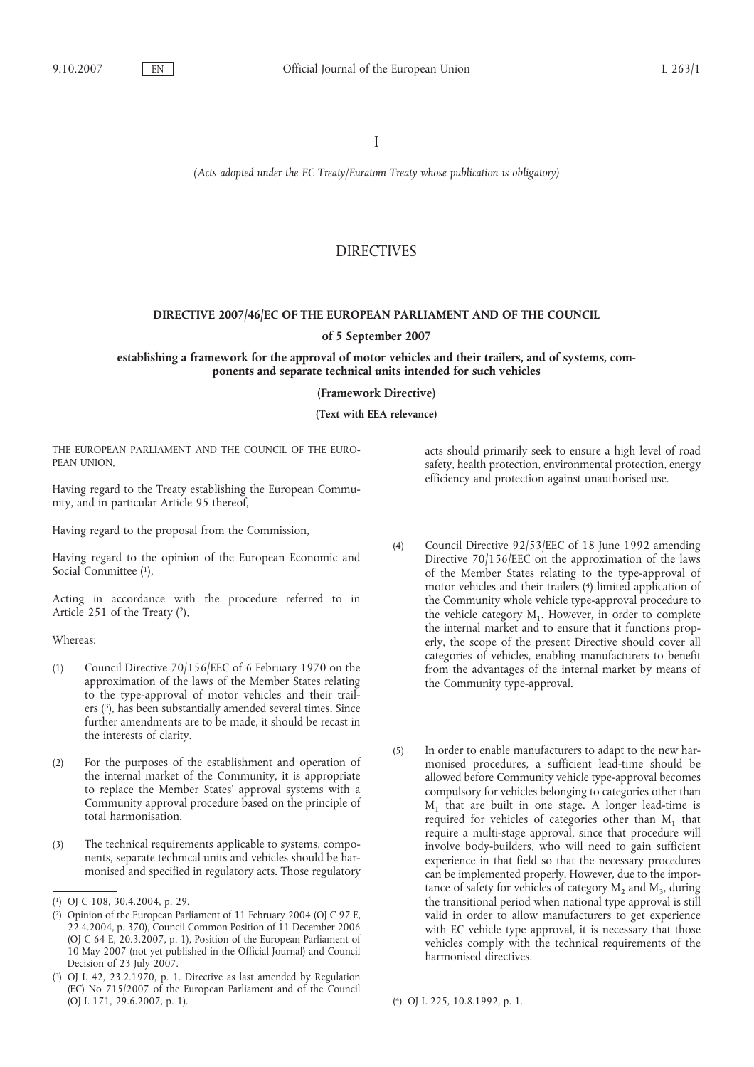I

*(Acts adopted under the EC Treaty/Euratom Treaty whose publication is obligatory)*

# DIRECTIVES

## **DIRECTIVE 2007/46/EC OF THE EUROPEAN PARLIAMENT AND OF THE COUNCIL**

### **of 5 September 2007**

## **establishing a framework for the approval of motor vehicles and their trailers, and of systems, components and separate technical units intended for such vehicles**

#### **(Framework Directive)**

**(Text with EEA relevance)**

THE EUROPEAN PARLIAMENT AND THE COUNCIL OF THE EURO-PEAN UNION,

Having regard to the Treaty establishing the European Community, and in particular Article 95 thereof,

Having regard to the proposal from the Commission,

Having regard to the opinion of the European Economic and Social Committee (1),

Acting in accordance with the procedure referred to in Article 251 of the Treaty (2),

#### Whereas:

- (1) Council Directive 70/156/EEC of 6 February 1970 on the approximation of the laws of the Member States relating to the type-approval of motor vehicles and their trailers (3), has been substantially amended several times. Since further amendments are to be made, it should be recast in the interests of clarity.
- (2) For the purposes of the establishment and operation of the internal market of the Community, it is appropriate to replace the Member States' approval systems with a Community approval procedure based on the principle of total harmonisation.
- (3) The technical requirements applicable to systems, components, separate technical units and vehicles should be harmonised and specified in regulatory acts. Those regulatory

acts should primarily seek to ensure a high level of road safety, health protection, environmental protection, energy efficiency and protection against unauthorised use.

- (4) Council Directive 92/53/EEC of 18 June 1992 amending Directive 70/156/EEC on the approximation of the laws of the Member States relating to the type-approval of motor vehicles and their trailers (4) limited application of the Community whole vehicle type-approval procedure to the vehicle category  $M_1$ . However, in order to complete the internal market and to ensure that it functions properly, the scope of the present Directive should cover all categories of vehicles, enabling manufacturers to benefit from the advantages of the internal market by means of the Community type-approval.
- (5) In order to enable manufacturers to adapt to the new harmonised procedures, a sufficient lead-time should be allowed before Community vehicle type-approval becomes compulsory for vehicles belonging to categories other than  $M_1$  that are built in one stage. A longer lead-time is required for vehicles of categories other than  $M_1$  that require a multi-stage approval, since that procedure will involve body-builders, who will need to gain sufficient experience in that field so that the necessary procedures can be implemented properly. However, due to the importance of safety for vehicles of category  $M_2$  and  $M_3$ , during the transitional period when national type approval is still valid in order to allow manufacturers to get experience with EC vehicle type approval, it is necessary that those vehicles comply with the technical requirements of the harmonised directives.

<sup>(</sup> 1) OJ C 108, 30.4.2004, p. 29.

<sup>(</sup> 2) Opinion of the European Parliament of 11 February 2004 (OJ C 97 E, 22.4.2004, p. 370), Council Common Position of 11 December 2006 (OJ C 64 E, 20.3.2007, p. 1), Position of the European Parliament of 10 May 2007 (not yet published in the Official Journal) and Council Decision of 23 July 2007.

<sup>(</sup> 3) OJ L 42, 23.2.1970, p. 1. Directive as last amended by Regulation (EC) No 715/2007 of the European Parliament and of the Council (OJ L 171, 29.6.2007, p. 1). (

<sup>4)</sup> OJ L 225, 10.8.1992, p. 1.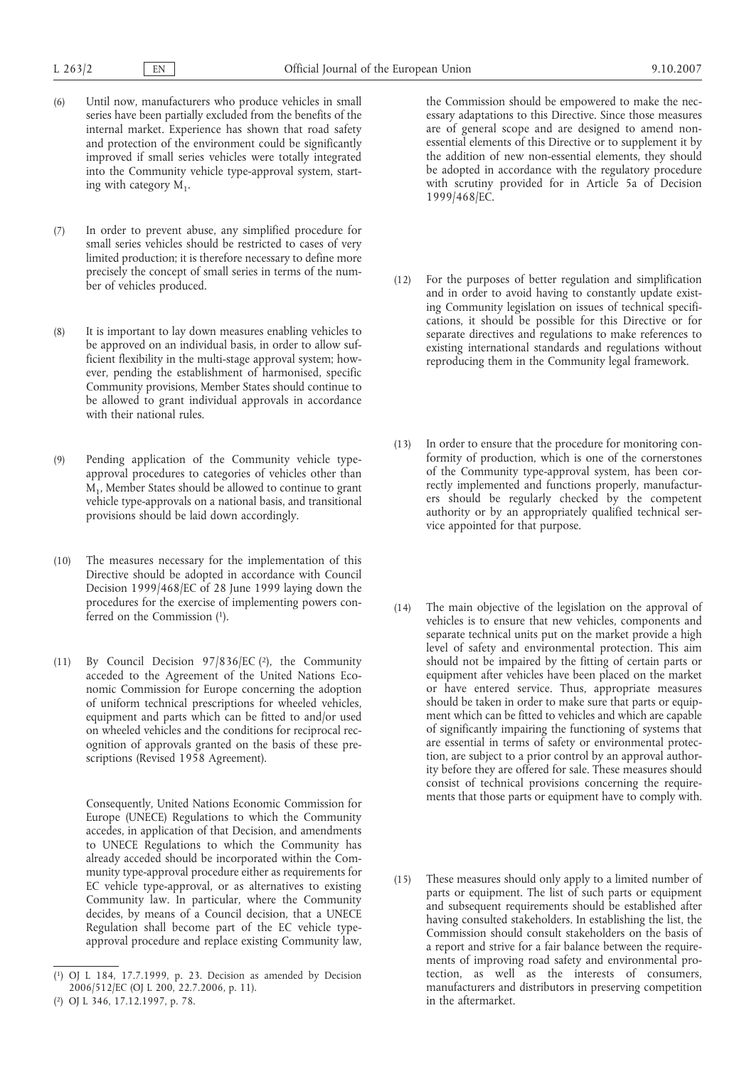- (6) Until now, manufacturers who produce vehicles in small series have been partially excluded from the benefits of the internal market. Experience has shown that road safety and protection of the environment could be significantly improved if small series vehicles were totally integrated into the Community vehicle type-approval system, starting with category  $M_1$ .
- (7) In order to prevent abuse, any simplified procedure for small series vehicles should be restricted to cases of very limited production; it is therefore necessary to define more precisely the concept of small series in terms of the number of vehicles produced.
- (8) It is important to lay down measures enabling vehicles to be approved on an individual basis, in order to allow sufficient flexibility in the multi-stage approval system; however, pending the establishment of harmonised, specific Community provisions, Member States should continue to be allowed to grant individual approvals in accordance with their national rules.
- (9) Pending application of the Community vehicle typeapproval procedures to categories of vehicles other than M1, Member States should be allowed to continue to grant vehicle type-approvals on a national basis, and transitional provisions should be laid down accordingly.
- (10) The measures necessary for the implementation of this Directive should be adopted in accordance with Council Decision 1999/468/EC of 28 June 1999 laying down the procedures for the exercise of implementing powers conferred on the Commission (1).
- (11) By Council Decision 97/836/EC (2), the Community acceded to the Agreement of the United Nations Economic Commission for Europe concerning the adoption of uniform technical prescriptions for wheeled vehicles, equipment and parts which can be fitted to and/or used on wheeled vehicles and the conditions for reciprocal recognition of approvals granted on the basis of these prescriptions (Revised 1958 Agreement).

Consequently, United Nations Economic Commission for Europe (UNECE) Regulations to which the Community accedes, in application of that Decision, and amendments to UNECE Regulations to which the Community has already acceded should be incorporated within the Community type-approval procedure either as requirements for EC vehicle type-approval, or as alternatives to existing Community law. In particular, where the Community decides, by means of a Council decision, that a UNECE Regulation shall become part of the EC vehicle typeapproval procedure and replace existing Community law,

the Commission should be empowered to make the necessary adaptations to this Directive. Since those measures are of general scope and are designed to amend nonessential elements of this Directive or to supplement it by the addition of new non-essential elements, they should be adopted in accordance with the regulatory procedure with scrutiny provided for in Article 5a of Decision 1999/468/EC.

- (12) For the purposes of better regulation and simplification and in order to avoid having to constantly update existing Community legislation on issues of technical specifications, it should be possible for this Directive or for separate directives and regulations to make references to existing international standards and regulations without reproducing them in the Community legal framework.
- (13) In order to ensure that the procedure for monitoring conformity of production, which is one of the cornerstones of the Community type-approval system, has been correctly implemented and functions properly, manufacturers should be regularly checked by the competent authority or by an appropriately qualified technical service appointed for that purpose.
- (14) The main objective of the legislation on the approval of vehicles is to ensure that new vehicles, components and separate technical units put on the market provide a high level of safety and environmental protection. This aim should not be impaired by the fitting of certain parts or equipment after vehicles have been placed on the market or have entered service. Thus, appropriate measures should be taken in order to make sure that parts or equipment which can be fitted to vehicles and which are capable of significantly impairing the functioning of systems that are essential in terms of safety or environmental protection, are subject to a prior control by an approval authority before they are offered for sale. These measures should consist of technical provisions concerning the requirements that those parts or equipment have to comply with.
- (15) These measures should only apply to a limited number of parts or equipment. The list of such parts or equipment and subsequent requirements should be established after having consulted stakeholders. In establishing the list, the Commission should consult stakeholders on the basis of a report and strive for a fair balance between the requirements of improving road safety and environmental protection, as well as the interests of consumers, manufacturers and distributors in preserving competition in the aftermarket.

<sup>(</sup> 1) OJ L 184, 17.7.1999, p. 23. Decision as amended by Decision 2006/512/EC (OJ L 200, 22.7.2006, p. 11).

<sup>(</sup> 2) OJ L 346, 17.12.1997, p. 78.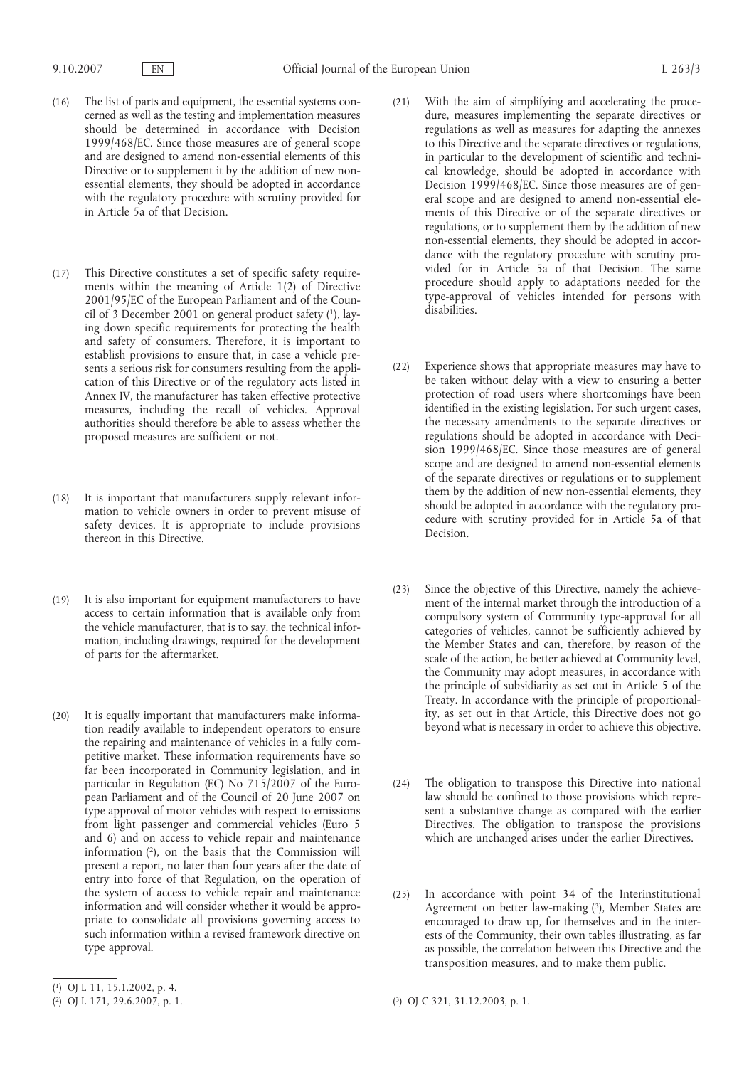- (16) The list of parts and equipment, the essential systems concerned as well as the testing and implementation measures should be determined in accordance with Decision 1999/468/EC. Since those measures are of general scope and are designed to amend non-essential elements of this Directive or to supplement it by the addition of new nonessential elements, they should be adopted in accordance with the regulatory procedure with scrutiny provided for in Article 5a of that Decision.
- (17) This Directive constitutes a set of specific safety requirements within the meaning of Article 1(2) of Directive 2001/95/EC of the European Parliament and of the Council of 3 December 2001 on general product safety (1), laying down specific requirements for protecting the health and safety of consumers. Therefore, it is important to establish provisions to ensure that, in case a vehicle presents a serious risk for consumers resulting from the application of this Directive or of the regulatory acts listed in Annex IV, the manufacturer has taken effective protective measures, including the recall of vehicles. Approval authorities should therefore be able to assess whether the proposed measures are sufficient or not.
- (18) It is important that manufacturers supply relevant information to vehicle owners in order to prevent misuse of safety devices. It is appropriate to include provisions thereon in this Directive.
- (19) It is also important for equipment manufacturers to have access to certain information that is available only from the vehicle manufacturer, that is to say, the technical information, including drawings, required for the development of parts for the aftermarket.
- (20) It is equally important that manufacturers make information readily available to independent operators to ensure the repairing and maintenance of vehicles in a fully competitive market. These information requirements have so far been incorporated in Community legislation, and in particular in Regulation (EC) No 715/2007 of the European Parliament and of the Council of 20 June 2007 on type approval of motor vehicles with respect to emissions from light passenger and commercial vehicles (Euro 5 and 6) and on access to vehicle repair and maintenance information (2), on the basis that the Commission will present a report, no later than four years after the date of entry into force of that Regulation, on the operation of the system of access to vehicle repair and maintenance information and will consider whether it would be appropriate to consolidate all provisions governing access to such information within a revised framework directive on type approval.
- (21) With the aim of simplifying and accelerating the procedure, measures implementing the separate directives or regulations as well as measures for adapting the annexes to this Directive and the separate directives or regulations, in particular to the development of scientific and technical knowledge, should be adopted in accordance with Decision 1999/468/EC. Since those measures are of general scope and are designed to amend non-essential elements of this Directive or of the separate directives or regulations, or to supplement them by the addition of new non-essential elements, they should be adopted in accordance with the regulatory procedure with scrutiny provided for in Article 5a of that Decision. The same procedure should apply to adaptations needed for the type-approval of vehicles intended for persons with disabilities.
- (22) Experience shows that appropriate measures may have to be taken without delay with a view to ensuring a better protection of road users where shortcomings have been identified in the existing legislation. For such urgent cases, the necessary amendments to the separate directives or regulations should be adopted in accordance with Decision 1999/468/EC. Since those measures are of general scope and are designed to amend non-essential elements of the separate directives or regulations or to supplement them by the addition of new non-essential elements, they should be adopted in accordance with the regulatory procedure with scrutiny provided for in Article 5a of that Decision.
- (23) Since the objective of this Directive, namely the achievement of the internal market through the introduction of a compulsory system of Community type-approval for all categories of vehicles, cannot be sufficiently achieved by the Member States and can, therefore, by reason of the scale of the action, be better achieved at Community level, the Community may adopt measures, in accordance with the principle of subsidiarity as set out in Article 5 of the Treaty. In accordance with the principle of proportionality, as set out in that Article, this Directive does not go beyond what is necessary in order to achieve this objective.
- (24) The obligation to transpose this Directive into national law should be confined to those provisions which represent a substantive change as compared with the earlier Directives. The obligation to transpose the provisions which are unchanged arises under the earlier Directives.
- (25) In accordance with point 34 of the Interinstitutional Agreement on better law-making (3), Member States are encouraged to draw up, for themselves and in the interests of the Community, their own tables illustrating, as far as possible, the correlation between this Directive and the transposition measures, and to make them public.

<sup>(</sup> 1) OJ L 11, 15.1.2002, p. 4.

<sup>(</sup> 2) OJ L 171, 29.6.2007, p. 1. (

<sup>3)</sup> OJ C 321, 31.12.2003, p. 1.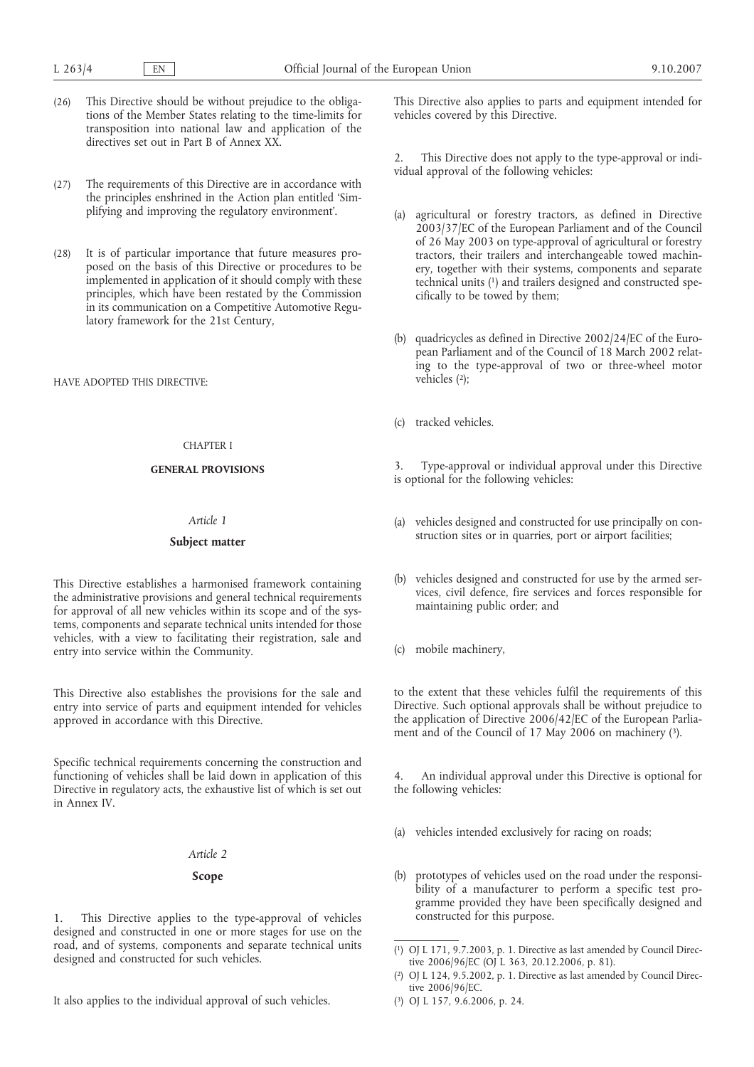- (26) This Directive should be without prejudice to the obligations of the Member States relating to the time-limits for transposition into national law and application of the directives set out in Part B of Annex XX.
- (27) The requirements of this Directive are in accordance with the principles enshrined in the Action plan entitled 'Simplifying and improving the regulatory environment'.
- (28) It is of particular importance that future measures proposed on the basis of this Directive or procedures to be implemented in application of it should comply with these principles, which have been restated by the Commission in its communication on a Competitive Automotive Regulatory framework for the 21st Century,

HAVE ADOPTED THIS DIRECTIVE:

#### CHAPTER I

# **GENERAL PROVISIONS**

## *Article 1*

#### **Subject matter**

This Directive establishes a harmonised framework containing the administrative provisions and general technical requirements for approval of all new vehicles within its scope and of the systems, components and separate technical units intended for those vehicles, with a view to facilitating their registration, sale and entry into service within the Community.

This Directive also establishes the provisions for the sale and entry into service of parts and equipment intended for vehicles approved in accordance with this Directive.

Specific technical requirements concerning the construction and functioning of vehicles shall be laid down in application of this Directive in regulatory acts, the exhaustive list of which is set out in Annex IV.

#### *Article 2*

## **Scope**

1. This Directive applies to the type-approval of vehicles designed and constructed in one or more stages for use on the road, and of systems, components and separate technical units designed and constructed for such vehicles.

It also applies to the individual approval of such vehicles.

This Directive also applies to parts and equipment intended for vehicles covered by this Directive.

2. This Directive does not apply to the type-approval or individual approval of the following vehicles:

- (a) agricultural or forestry tractors, as defined in Directive 2003/37/EC of the European Parliament and of the Council of 26 May 2003 on type-approval of agricultural or forestry tractors, their trailers and interchangeable towed machinery, together with their systems, components and separate technical units (1) and trailers designed and constructed specifically to be towed by them;
- (b) quadricycles as defined in Directive 2002/24/EC of the European Parliament and of the Council of 18 March 2002 relating to the type-approval of two or three-wheel motor vehicles (2);
- (c) tracked vehicles.

Type-approval or individual approval under this Directive is optional for the following vehicles:

- (a) vehicles designed and constructed for use principally on construction sites or in quarries, port or airport facilities;
- (b) vehicles designed and constructed for use by the armed services, civil defence, fire services and forces responsible for maintaining public order; and
- (c) mobile machinery,

to the extent that these vehicles fulfil the requirements of this Directive. Such optional approvals shall be without prejudice to the application of Directive 2006/42/EC of the European Parliament and of the Council of 17 May 2006 on machinery (3).

4. An individual approval under this Directive is optional for the following vehicles:

- (a) vehicles intended exclusively for racing on roads;
- (b) prototypes of vehicles used on the road under the responsibility of a manufacturer to perform a specific test programme provided they have been specifically designed and constructed for this purpose.

<sup>(</sup> 1) OJ L 171, 9.7.2003, p. 1. Directive as last amended by Council Directive 2006/96/EC (OJ L 363, 20.12.2006, p. 81).

<sup>(</sup> 2) OJ L 124, 9.5.2002, p. 1. Directive as last amended by Council Directive 2006/96/EC.

<sup>(</sup> 3) OJ L 157, 9.6.2006, p. 24.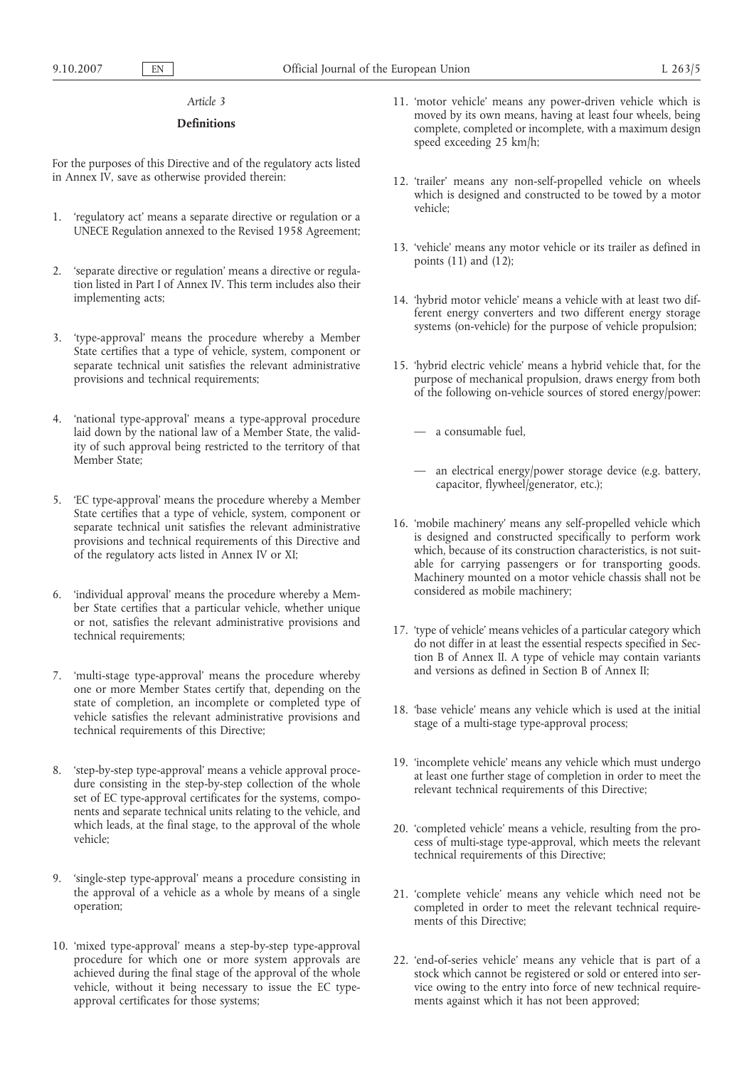### *Article 3*

## **Definitions**

For the purposes of this Directive and of the regulatory acts listed in Annex IV, save as otherwise provided therein:

- 1. 'regulatory act' means a separate directive or regulation or a UNECE Regulation annexed to the Revised 1958 Agreement;
- 2. 'separate directive or regulation' means a directive or regulation listed in Part I of Annex IV. This term includes also their implementing acts;
- 3. 'type-approval' means the procedure whereby a Member State certifies that a type of vehicle, system, component or separate technical unit satisfies the relevant administrative provisions and technical requirements;
- 4. 'national type-approval' means a type-approval procedure laid down by the national law of a Member State, the validity of such approval being restricted to the territory of that Member State:
- 5. 'EC type-approval' means the procedure whereby a Member State certifies that a type of vehicle, system, component or separate technical unit satisfies the relevant administrative provisions and technical requirements of this Directive and of the regulatory acts listed in Annex IV or XI;
- 6. 'individual approval' means the procedure whereby a Member State certifies that a particular vehicle, whether unique or not, satisfies the relevant administrative provisions and technical requirements;
- 7. 'multi-stage type-approval' means the procedure whereby one or more Member States certify that, depending on the state of completion, an incomplete or completed type of vehicle satisfies the relevant administrative provisions and technical requirements of this Directive;
- 8. 'step-by-step type-approval' means a vehicle approval procedure consisting in the step-by-step collection of the whole set of EC type-approval certificates for the systems, components and separate technical units relating to the vehicle, and which leads, at the final stage, to the approval of the whole vehicle;
- 9. 'single-step type-approval' means a procedure consisting in the approval of a vehicle as a whole by means of a single operation;
- 10. 'mixed type-approval' means a step-by-step type-approval procedure for which one or more system approvals are achieved during the final stage of the approval of the whole vehicle, without it being necessary to issue the EC typeapproval certificates for those systems;
- 11. 'motor vehicle' means any power-driven vehicle which is moved by its own means, having at least four wheels, being complete, completed or incomplete, with a maximum design speed exceeding 25 km/h;
- 12. 'trailer' means any non-self-propelled vehicle on wheels which is designed and constructed to be towed by a motor vehicle;
- 13. 'vehicle' means any motor vehicle or its trailer as defined in points  $(11)$  and  $(12)$ ;
- 14. 'hybrid motor vehicle' means a vehicle with at least two different energy converters and two different energy storage systems (on-vehicle) for the purpose of vehicle propulsion;
- 15. 'hybrid electric vehicle' means a hybrid vehicle that, for the purpose of mechanical propulsion, draws energy from both of the following on-vehicle sources of stored energy/power:
	- a consumable fuel,
	- an electrical energy/power storage device (e.g. battery, capacitor, flywheel/generator, etc.);
- 16. 'mobile machinery' means any self-propelled vehicle which is designed and constructed specifically to perform work which, because of its construction characteristics, is not suitable for carrying passengers or for transporting goods. Machinery mounted on a motor vehicle chassis shall not be considered as mobile machinery;
- 17. 'type of vehicle' means vehicles of a particular category which do not differ in at least the essential respects specified in Section B of Annex II. A type of vehicle may contain variants and versions as defined in Section B of Annex II;
- 18. 'base vehicle' means any vehicle which is used at the initial stage of a multi-stage type-approval process;
- 19. 'incomplete vehicle' means any vehicle which must undergo at least one further stage of completion in order to meet the relevant technical requirements of this Directive;
- 20. 'completed vehicle' means a vehicle, resulting from the process of multi-stage type-approval, which meets the relevant technical requirements of this Directive;
- 21. 'complete vehicle' means any vehicle which need not be completed in order to meet the relevant technical requirements of this Directive;
- 22. 'end-of-series vehicle' means any vehicle that is part of a stock which cannot be registered or sold or entered into service owing to the entry into force of new technical requirements against which it has not been approved;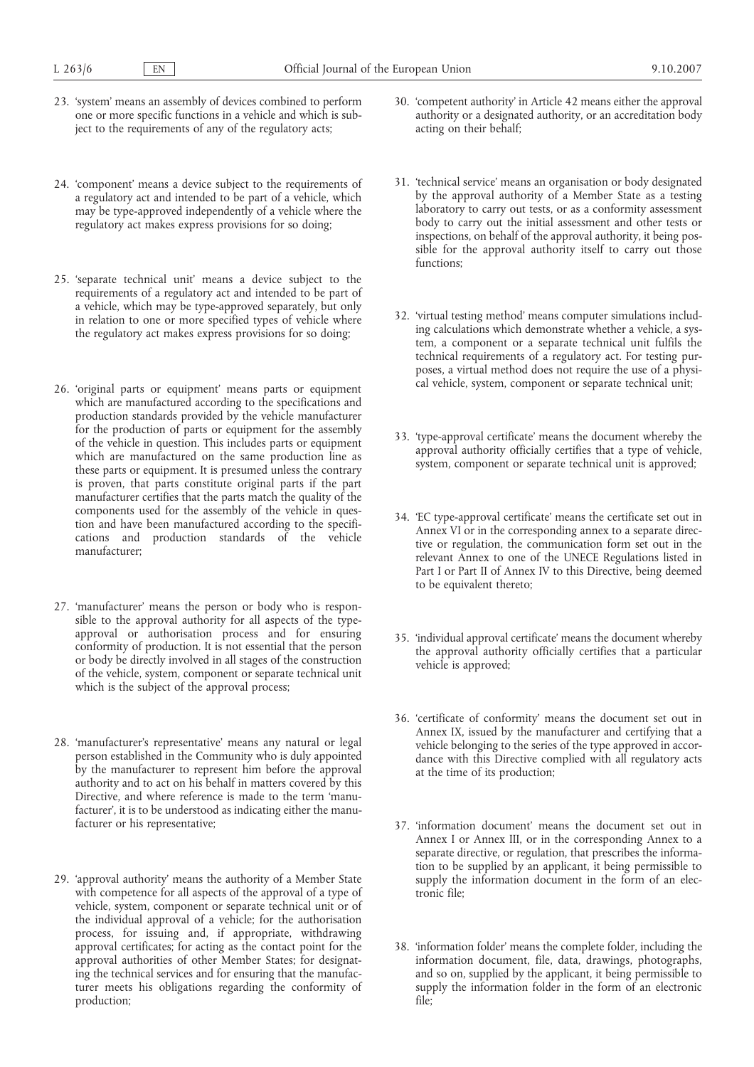- 23. 'system' means an assembly of devices combined to perform one or more specific functions in a vehicle and which is subject to the requirements of any of the regulatory acts;
- 24. 'component' means a device subject to the requirements of a regulatory act and intended to be part of a vehicle, which may be type-approved independently of a vehicle where the regulatory act makes express provisions for so doing;
- 25. 'separate technical unit' means a device subject to the requirements of a regulatory act and intended to be part of a vehicle, which may be type-approved separately, but only in relation to one or more specified types of vehicle where the regulatory act makes express provisions for so doing;
- 26. 'original parts or equipment' means parts or equipment which are manufactured according to the specifications and production standards provided by the vehicle manufacturer for the production of parts or equipment for the assembly of the vehicle in question. This includes parts or equipment which are manufactured on the same production line as these parts or equipment. It is presumed unless the contrary is proven, that parts constitute original parts if the part manufacturer certifies that the parts match the quality of the components used for the assembly of the vehicle in question and have been manufactured according to the specifications and production standards of the vehicle manufacturer;
- 27. 'manufacturer' means the person or body who is responsible to the approval authority for all aspects of the typeapproval or authorisation process and for ensuring conformity of production. It is not essential that the person or body be directly involved in all stages of the construction of the vehicle, system, component or separate technical unit which is the subject of the approval process;
- 28. 'manufacturer's representative' means any natural or legal person established in the Community who is duly appointed by the manufacturer to represent him before the approval authority and to act on his behalf in matters covered by this Directive, and where reference is made to the term 'manufacturer', it is to be understood as indicating either the manufacturer or his representative;
- 29. 'approval authority' means the authority of a Member State with competence for all aspects of the approval of a type of vehicle, system, component or separate technical unit or of the individual approval of a vehicle; for the authorisation process, for issuing and, if appropriate, withdrawing approval certificates; for acting as the contact point for the approval authorities of other Member States; for designating the technical services and for ensuring that the manufacturer meets his obligations regarding the conformity of production;
- 30. 'competent authority' in Article 42 means either the approval authority or a designated authority, or an accreditation body acting on their behalf;
- 31. 'technical service' means an organisation or body designated by the approval authority of a Member State as a testing laboratory to carry out tests, or as a conformity assessment body to carry out the initial assessment and other tests or inspections, on behalf of the approval authority, it being possible for the approval authority itself to carry out those functions;
- 32. 'virtual testing method' means computer simulations including calculations which demonstrate whether a vehicle, a system, a component or a separate technical unit fulfils the technical requirements of a regulatory act. For testing purposes, a virtual method does not require the use of a physical vehicle, system, component or separate technical unit;
- 33. 'type-approval certificate' means the document whereby the approval authority officially certifies that a type of vehicle, system, component or separate technical unit is approved;
- 34. 'EC type-approval certificate' means the certificate set out in Annex VI or in the corresponding annex to a separate directive or regulation, the communication form set out in the relevant Annex to one of the UNECE Regulations listed in Part I or Part II of Annex IV to this Directive, being deemed to be equivalent thereto;
- 35. 'individual approval certificate' means the document whereby the approval authority officially certifies that a particular vehicle is approved;
- 36. 'certificate of conformity' means the document set out in Annex IX, issued by the manufacturer and certifying that a vehicle belonging to the series of the type approved in accordance with this Directive complied with all regulatory acts at the time of its production;
- 37. 'information document' means the document set out in Annex I or Annex III, or in the corresponding Annex to a separate directive, or regulation, that prescribes the information to be supplied by an applicant, it being permissible to supply the information document in the form of an electronic file;
- 38. 'information folder' means the complete folder, including the information document, file, data, drawings, photographs, and so on, supplied by the applicant, it being permissible to supply the information folder in the form of an electronic file;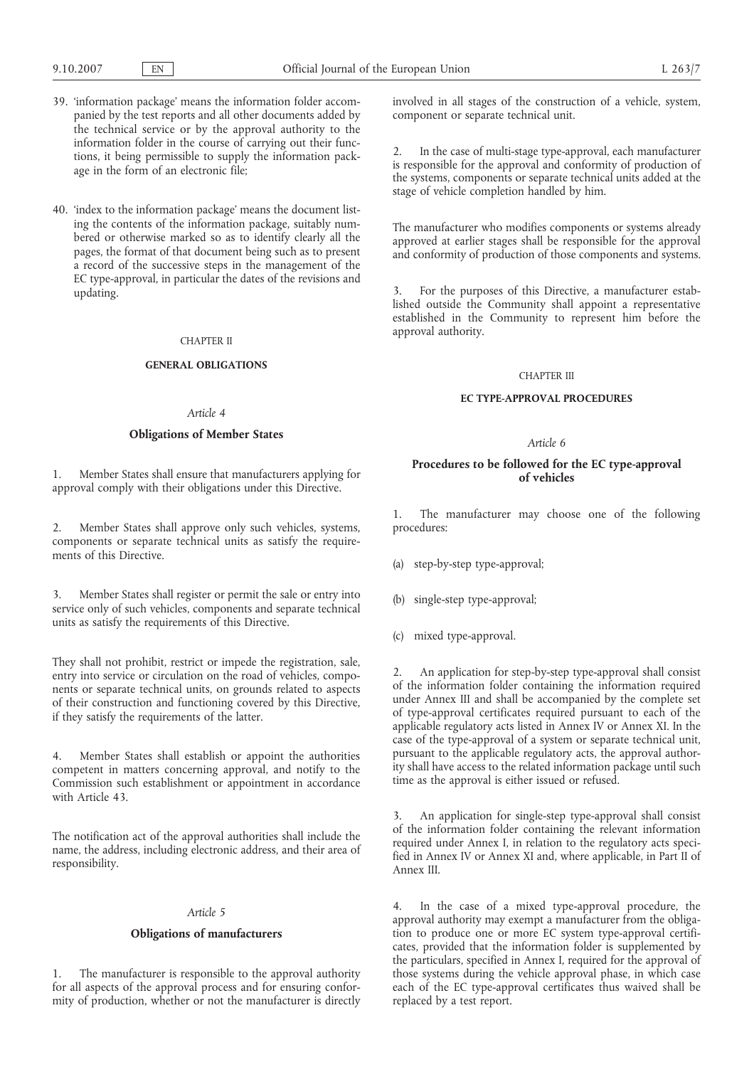- 39. 'information package' means the information folder accompanied by the test reports and all other documents added by the technical service or by the approval authority to the information folder in the course of carrying out their functions, it being permissible to supply the information package in the form of an electronic file;
- 40. 'index to the information package' means the document listing the contents of the information package, suitably numbered or otherwise marked so as to identify clearly all the pages, the format of that document being such as to present a record of the successive steps in the management of the EC type-approval, in particular the dates of the revisions and updating.

### CHAPTER II

#### **GENERAL OBLIGATIONS**

#### *Article 4*

## **Obligations of Member States**

1. Member States shall ensure that manufacturers applying for approval comply with their obligations under this Directive.

2. Member States shall approve only such vehicles, systems, components or separate technical units as satisfy the requirements of this Directive.

3. Member States shall register or permit the sale or entry into service only of such vehicles, components and separate technical units as satisfy the requirements of this Directive.

They shall not prohibit, restrict or impede the registration, sale, entry into service or circulation on the road of vehicles, components or separate technical units, on grounds related to aspects of their construction and functioning covered by this Directive, if they satisfy the requirements of the latter.

4. Member States shall establish or appoint the authorities competent in matters concerning approval, and notify to the Commission such establishment or appointment in accordance with Article 43.

The notification act of the approval authorities shall include the name, the address, including electronic address, and their area of responsibility.

## *Article 5*

## **Obligations of manufacturers**

1. The manufacturer is responsible to the approval authority for all aspects of the approval process and for ensuring conformity of production, whether or not the manufacturer is directly involved in all stages of the construction of a vehicle, system, component or separate technical unit.

2. In the case of multi-stage type-approval, each manufacturer is responsible for the approval and conformity of production of the systems, components or separate technical units added at the stage of vehicle completion handled by him.

The manufacturer who modifies components or systems already approved at earlier stages shall be responsible for the approval and conformity of production of those components and systems.

3. For the purposes of this Directive, a manufacturer established outside the Community shall appoint a representative established in the Community to represent him before the approval authority.

#### CHAPTER III

## **EC TYPE-APPROVAL PROCEDURES**

#### *Article 6*

## **Procedures to be followed for the EC type-approval of vehicles**

1. The manufacturer may choose one of the following procedures:

- (a) step-by-step type-approval;
- single-step type-approval;
- (c) mixed type-approval.

An application for step-by-step type-approval shall consist of the information folder containing the information required under Annex III and shall be accompanied by the complete set of type-approval certificates required pursuant to each of the applicable regulatory acts listed in Annex IV or Annex XI. In the case of the type-approval of a system or separate technical unit, pursuant to the applicable regulatory acts, the approval authority shall have access to the related information package until such time as the approval is either issued or refused.

An application for single-step type-approval shall consist of the information folder containing the relevant information required under Annex I, in relation to the regulatory acts specified in Annex IV or Annex XI and, where applicable, in Part II of Annex III.

4. In the case of a mixed type-approval procedure, the approval authority may exempt a manufacturer from the obligation to produce one or more EC system type-approval certificates, provided that the information folder is supplemented by the particulars, specified in Annex I, required for the approval of those systems during the vehicle approval phase, in which case each of the EC type-approval certificates thus waived shall be replaced by a test report.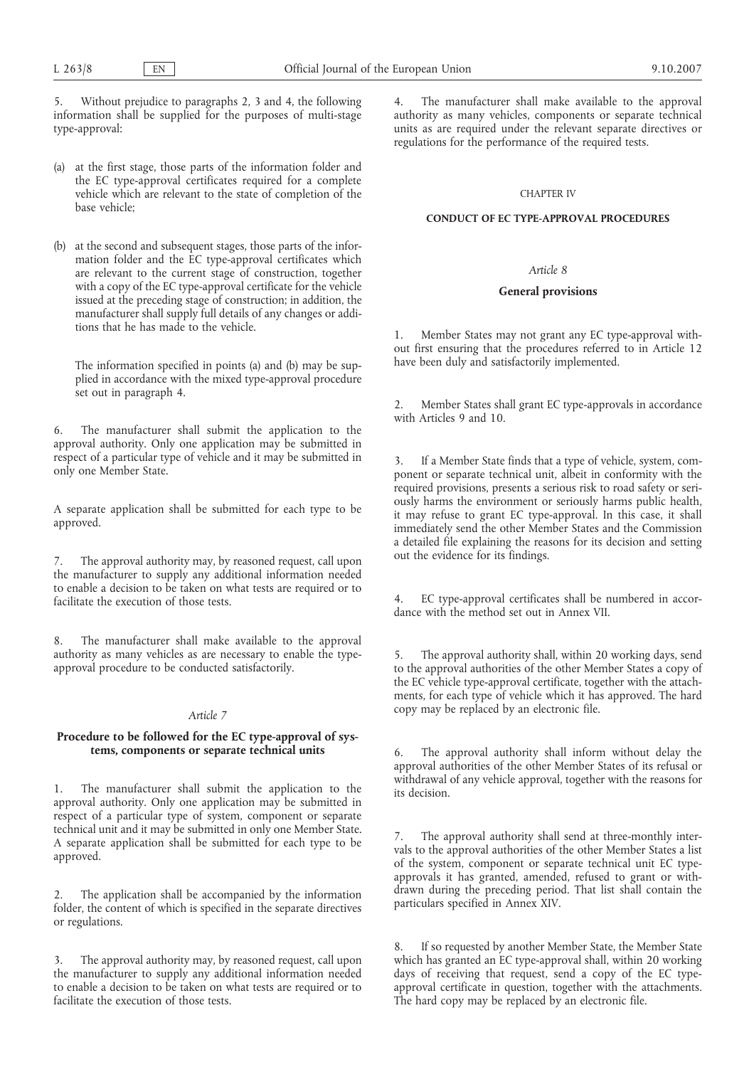5. Without prejudice to paragraphs 2, 3 and 4, the following information shall be supplied for the purposes of multi-stage type-approval:

- (a) at the first stage, those parts of the information folder and the EC type-approval certificates required for a complete vehicle which are relevant to the state of completion of the base vehicle;
- (b) at the second and subsequent stages, those parts of the information folder and the EC type-approval certificates which are relevant to the current stage of construction, together with a copy of the EC type-approval certificate for the vehicle issued at the preceding stage of construction; in addition, the manufacturer shall supply full details of any changes or additions that he has made to the vehicle.

The information specified in points (a) and (b) may be supplied in accordance with the mixed type-approval procedure set out in paragraph 4.

6. The manufacturer shall submit the application to the approval authority. Only one application may be submitted in respect of a particular type of vehicle and it may be submitted in only one Member State.

A separate application shall be submitted for each type to be approved.

The approval authority may, by reasoned request, call upon the manufacturer to supply any additional information needed to enable a decision to be taken on what tests are required or to facilitate the execution of those tests.

8. The manufacturer shall make available to the approval authority as many vehicles as are necessary to enable the typeapproval procedure to be conducted satisfactorily.

## *Article 7*

## **Procedure to be followed for the EC type-approval of systems, components or separate technical units**

The manufacturer shall submit the application to the approval authority. Only one application may be submitted in respect of a particular type of system, component or separate technical unit and it may be submitted in only one Member State. A separate application shall be submitted for each type to be approved.

The application shall be accompanied by the information folder, the content of which is specified in the separate directives or regulations.

3. The approval authority may, by reasoned request, call upon the manufacturer to supply any additional information needed to enable a decision to be taken on what tests are required or to facilitate the execution of those tests.

4. The manufacturer shall make available to the approval authority as many vehicles, components or separate technical units as are required under the relevant separate directives or regulations for the performance of the required tests.

## CHAPTER IV

## **CONDUCT OF EC TYPE-APPROVAL PROCEDURES**

## *Article 8*

### **General provisions**

1. Member States may not grant any EC type-approval without first ensuring that the procedures referred to in Article 12 have been duly and satisfactorily implemented.

Member States shall grant EC type-approvals in accordance with Articles 9 and 10.

If a Member State finds that a type of vehicle, system, component or separate technical unit, albeit in conformity with the required provisions, presents a serious risk to road safety or seriously harms the environment or seriously harms public health, it may refuse to grant EC type-approval. In this case, it shall immediately send the other Member States and the Commission a detailed file explaining the reasons for its decision and setting out the evidence for its findings.

4. EC type-approval certificates shall be numbered in accordance with the method set out in Annex VII.

5. The approval authority shall, within 20 working days, send to the approval authorities of the other Member States a copy of the EC vehicle type-approval certificate, together with the attachments, for each type of vehicle which it has approved. The hard copy may be replaced by an electronic file.

6. The approval authority shall inform without delay the approval authorities of the other Member States of its refusal or withdrawal of any vehicle approval, together with the reasons for its decision.

7. The approval authority shall send at three-monthly intervals to the approval authorities of the other Member States a list of the system, component or separate technical unit EC typeapprovals it has granted, amended, refused to grant or withdrawn during the preceding period. That list shall contain the particulars specified in Annex XIV.

8. If so requested by another Member State, the Member State which has granted an EC type-approval shall, within 20 working days of receiving that request, send a copy of the EC typeapproval certificate in question, together with the attachments. The hard copy may be replaced by an electronic file.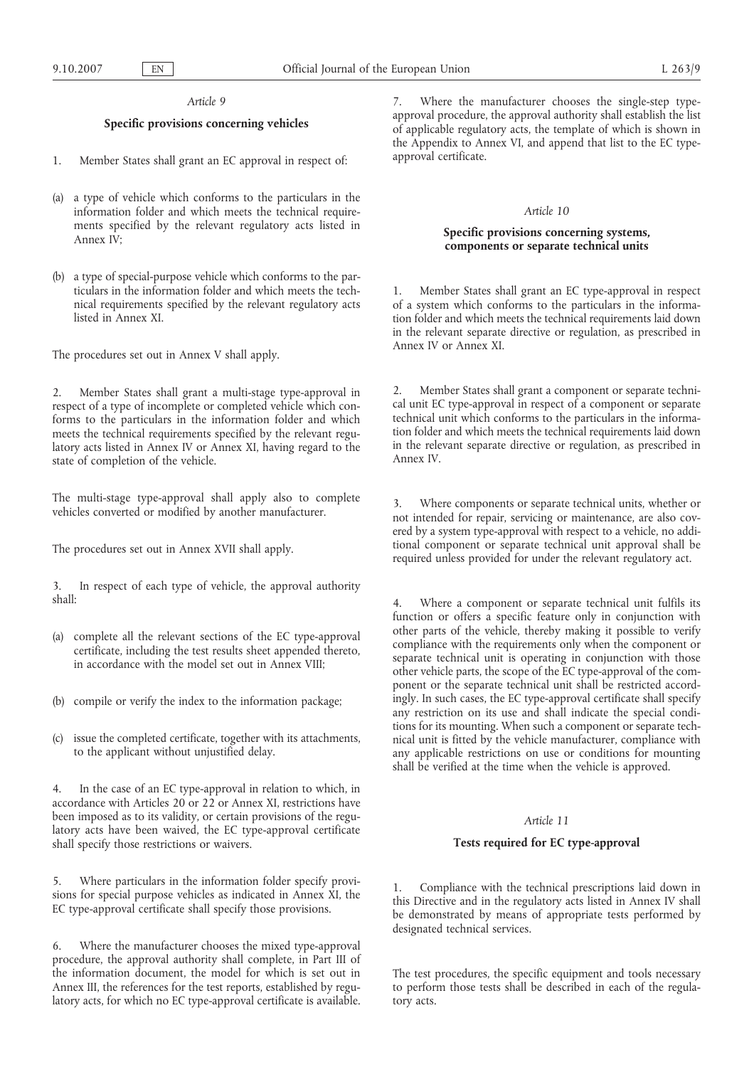#### *Article 9*

# **Specific provisions concerning vehicles**

- 1. Member States shall grant an EC approval in respect of:
- (a) a type of vehicle which conforms to the particulars in the information folder and which meets the technical requirements specified by the relevant regulatory acts listed in Annex IV;
- (b) a type of special-purpose vehicle which conforms to the particulars in the information folder and which meets the technical requirements specified by the relevant regulatory acts listed in Annex XI.

The procedures set out in Annex V shall apply.

2. Member States shall grant a multi-stage type-approval in respect of a type of incomplete or completed vehicle which conforms to the particulars in the information folder and which meets the technical requirements specified by the relevant regulatory acts listed in Annex IV or Annex XI, having regard to the state of completion of the vehicle.

The multi-stage type-approval shall apply also to complete vehicles converted or modified by another manufacturer.

The procedures set out in Annex XVII shall apply.

3. In respect of each type of vehicle, the approval authority shall:

- (a) complete all the relevant sections of the EC type-approval certificate, including the test results sheet appended thereto, in accordance with the model set out in Annex VIII;
- (b) compile or verify the index to the information package;
- (c) issue the completed certificate, together with its attachments, to the applicant without unjustified delay.

4. In the case of an EC type-approval in relation to which, in accordance with Articles 20 or 22 or Annex XI, restrictions have been imposed as to its validity, or certain provisions of the regulatory acts have been waived, the EC type-approval certificate shall specify those restrictions or waivers.

5. Where particulars in the information folder specify provisions for special purpose vehicles as indicated in Annex XI, the EC type-approval certificate shall specify those provisions.

6. Where the manufacturer chooses the mixed type-approval procedure, the approval authority shall complete, in Part III of the information document, the model for which is set out in Annex III, the references for the test reports, established by regulatory acts, for which no EC type-approval certificate is available. 7. Where the manufacturer chooses the single-step typeapproval procedure, the approval authority shall establish the list of applicable regulatory acts, the template of which is shown in the Appendix to Annex VI, and append that list to the EC typeapproval certificate.

### *Article 10*

## **Specific provisions concerning systems, components or separate technical units**

1. Member States shall grant an EC type-approval in respect of a system which conforms to the particulars in the information folder and which meets the technical requirements laid down in the relevant separate directive or regulation, as prescribed in Annex IV or Annex XI.

Member States shall grant a component or separate technical unit EC type-approval in respect of a component or separate technical unit which conforms to the particulars in the information folder and which meets the technical requirements laid down in the relevant separate directive or regulation, as prescribed in Annex IV.

3. Where components or separate technical units, whether or not intended for repair, servicing or maintenance, are also covered by a system type-approval with respect to a vehicle, no additional component or separate technical unit approval shall be required unless provided for under the relevant regulatory act.

Where a component or separate technical unit fulfils its function or offers a specific feature only in conjunction with other parts of the vehicle, thereby making it possible to verify compliance with the requirements only when the component or separate technical unit is operating in conjunction with those other vehicle parts, the scope of the EC type-approval of the component or the separate technical unit shall be restricted accordingly. In such cases, the EC type-approval certificate shall specify any restriction on its use and shall indicate the special conditions for its mounting. When such a component or separate technical unit is fitted by the vehicle manufacturer, compliance with any applicable restrictions on use or conditions for mounting shall be verified at the time when the vehicle is approved.

#### *Article 11*

## **Tests required for EC type-approval**

1. Compliance with the technical prescriptions laid down in this Directive and in the regulatory acts listed in Annex IV shall be demonstrated by means of appropriate tests performed by designated technical services.

The test procedures, the specific equipment and tools necessary to perform those tests shall be described in each of the regulatory acts.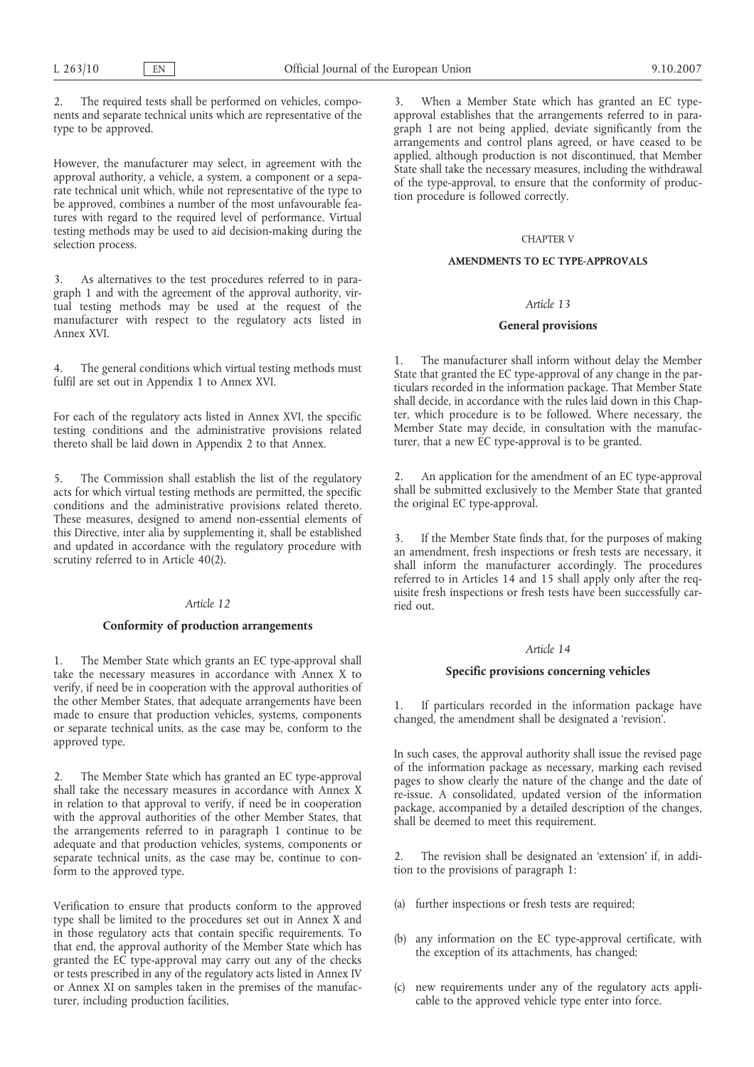2. The required tests shall be performed on vehicles, components and separate technical units which are representative of the type to be approved.

However, the manufacturer may select, in agreement with the approval authority, a vehicle, a system, a component or a separate technical unit which, while not representative of the type to be approved, combines a number of the most unfavourable features with regard to the required level of performance. Virtual testing methods may be used to aid decision-making during the selection process.

3. As alternatives to the test procedures referred to in paragraph 1 and with the agreement of the approval authority, virtual testing methods may be used at the request of the manufacturer with respect to the regulatory acts listed in Annex XVI.

The general conditions which virtual testing methods must fulfil are set out in Appendix 1 to Annex XVI.

For each of the regulatory acts listed in Annex XVI, the specific testing conditions and the administrative provisions related thereto shall be laid down in Appendix 2 to that Annex.

5. The Commission shall establish the list of the regulatory acts for which virtual testing methods are permitted, the specific conditions and the administrative provisions related thereto. These measures, designed to amend non-essential elements of this Directive, inter alia by supplementing it, shall be established and updated in accordance with the regulatory procedure with scrutiny referred to in Article 40(2).

## *Article 12*

### **Conformity of production arrangements**

The Member State which grants an EC type-approval shall take the necessary measures in accordance with Annex X to verify, if need be in cooperation with the approval authorities of the other Member States, that adequate arrangements have been made to ensure that production vehicles, systems, components or separate technical units, as the case may be, conform to the approved type.

2. The Member State which has granted an EC type-approval shall take the necessary measures in accordance with Annex X in relation to that approval to verify, if need be in cooperation with the approval authorities of the other Member States, that the arrangements referred to in paragraph 1 continue to be adequate and that production vehicles, systems, components or separate technical units, as the case may be, continue to conform to the approved type.

Verification to ensure that products conform to the approved type shall be limited to the procedures set out in Annex X and in those regulatory acts that contain specific requirements. To that end, the approval authority of the Member State which has granted the EC type-approval may carry out any of the checks or tests prescribed in any of the regulatory acts listed in Annex IV or Annex XI on samples taken in the premises of the manufacturer, including production facilities.

3. When a Member State which has granted an EC typeapproval establishes that the arrangements referred to in paragraph 1 are not being applied, deviate significantly from the arrangements and control plans agreed, or have ceased to be applied, although production is not discontinued, that Member State shall take the necessary measures, including the withdrawal of the type-approval, to ensure that the conformity of production procedure is followed correctly.

#### CHAPTER V

## **AMENDMENTS TO EC TYPE-APPROVALS**

## *Article 13*

### **General provisions**

The manufacturer shall inform without delay the Member State that granted the EC type-approval of any change in the particulars recorded in the information package. That Member State shall decide, in accordance with the rules laid down in this Chapter, which procedure is to be followed. Where necessary, the Member State may decide, in consultation with the manufacturer, that a new EC type-approval is to be granted.

2. An application for the amendment of an EC type-approval shall be submitted exclusively to the Member State that granted the original EC type-approval.

3. If the Member State finds that, for the purposes of making an amendment, fresh inspections or fresh tests are necessary, it shall inform the manufacturer accordingly. The procedures referred to in Articles 14 and 15 shall apply only after the requisite fresh inspections or fresh tests have been successfully carried out.

## *Article 14*

## **Specific provisions concerning vehicles**

1. If particulars recorded in the information package have changed, the amendment shall be designated a 'revision'.

In such cases, the approval authority shall issue the revised page of the information package as necessary, marking each revised pages to show clearly the nature of the change and the date of re-issue. A consolidated, updated version of the information package, accompanied by a detailed description of the changes, shall be deemed to meet this requirement.

2. The revision shall be designated an 'extension' if, in addition to the provisions of paragraph 1:

- (a) further inspections or fresh tests are required;
- (b) any information on the EC type-approval certificate, with the exception of its attachments, has changed;
- (c) new requirements under any of the regulatory acts applicable to the approved vehicle type enter into force.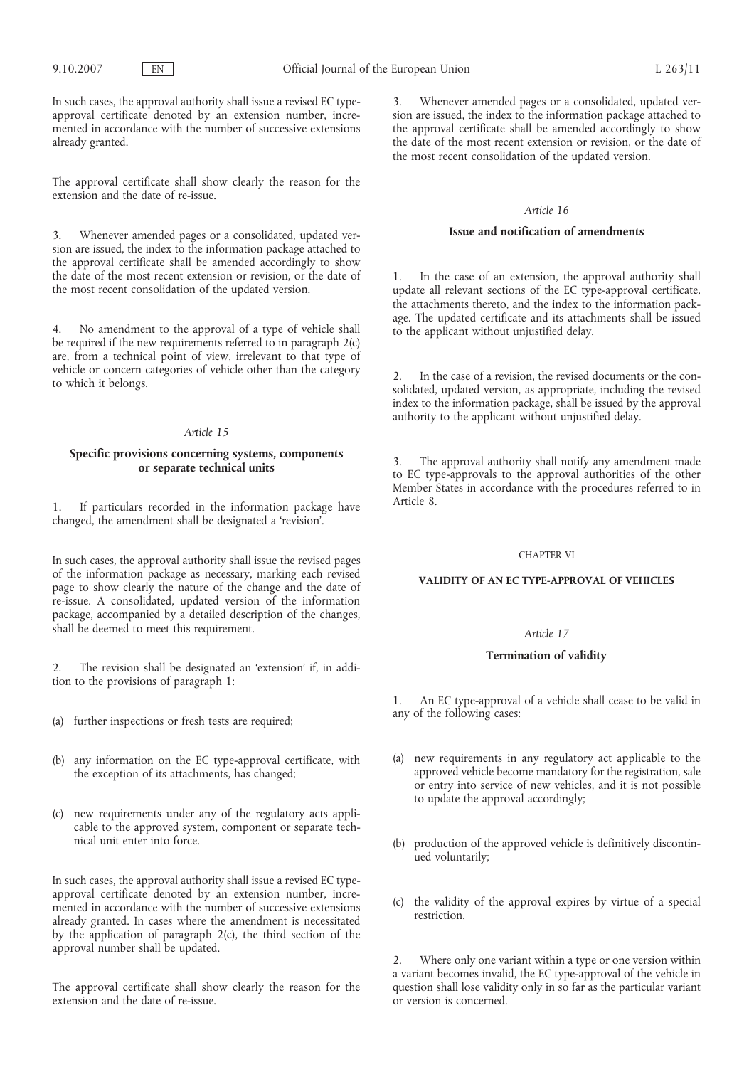In such cases, the approval authority shall issue a revised EC typeapproval certificate denoted by an extension number, incremented in accordance with the number of successive extensions already granted.

The approval certificate shall show clearly the reason for the extension and the date of re-issue.

3. Whenever amended pages or a consolidated, updated version are issued, the index to the information package attached to the approval certificate shall be amended accordingly to show the date of the most recent extension or revision, or the date of the most recent consolidation of the updated version.

4. No amendment to the approval of a type of vehicle shall be required if the new requirements referred to in paragraph  $2(c)$ are, from a technical point of view, irrelevant to that type of vehicle or concern categories of vehicle other than the category to which it belongs.

## *Article 15*

## **Specific provisions concerning systems, components or separate technical units**

1. If particulars recorded in the information package have changed, the amendment shall be designated a 'revision'.

In such cases, the approval authority shall issue the revised pages of the information package as necessary, marking each revised page to show clearly the nature of the change and the date of re-issue. A consolidated, updated version of the information package, accompanied by a detailed description of the changes, shall be deemed to meet this requirement.

2. The revision shall be designated an 'extension' if, in addition to the provisions of paragraph 1:

- (a) further inspections or fresh tests are required;
- (b) any information on the EC type-approval certificate, with the exception of its attachments, has changed;
- (c) new requirements under any of the regulatory acts applicable to the approved system, component or separate technical unit enter into force.

In such cases, the approval authority shall issue a revised EC typeapproval certificate denoted by an extension number, incremented in accordance with the number of successive extensions already granted. In cases where the amendment is necessitated by the application of paragraph 2(c), the third section of the approval number shall be updated.

The approval certificate shall show clearly the reason for the extension and the date of re-issue.

3. Whenever amended pages or a consolidated, updated version are issued, the index to the information package attached to the approval certificate shall be amended accordingly to show the date of the most recent extension or revision, or the date of the most recent consolidation of the updated version.

### *Article 16*

## **Issue and notification of amendments**

In the case of an extension, the approval authority shall update all relevant sections of the EC type-approval certificate, the attachments thereto, and the index to the information package. The updated certificate and its attachments shall be issued to the applicant without unjustified delay.

In the case of a revision, the revised documents or the consolidated, updated version, as appropriate, including the revised index to the information package, shall be issued by the approval authority to the applicant without unjustified delay.

The approval authority shall notify any amendment made to EC type-approvals to the approval authorities of the other Member States in accordance with the procedures referred to in Article 8.

### CHAPTER VI

## **VALIDITY OF AN EC TYPE-APPROVAL OF VEHICLES**

# *Article 17*

### **Termination of validity**

An EC type-approval of a vehicle shall cease to be valid in any of the following cases:

- (a) new requirements in any regulatory act applicable to the approved vehicle become mandatory for the registration, sale or entry into service of new vehicles, and it is not possible to update the approval accordingly;
- (b) production of the approved vehicle is definitively discontinued voluntarily;
- (c) the validity of the approval expires by virtue of a special restriction.

2. Where only one variant within a type or one version within a variant becomes invalid, the EC type-approval of the vehicle in question shall lose validity only in so far as the particular variant or version is concerned.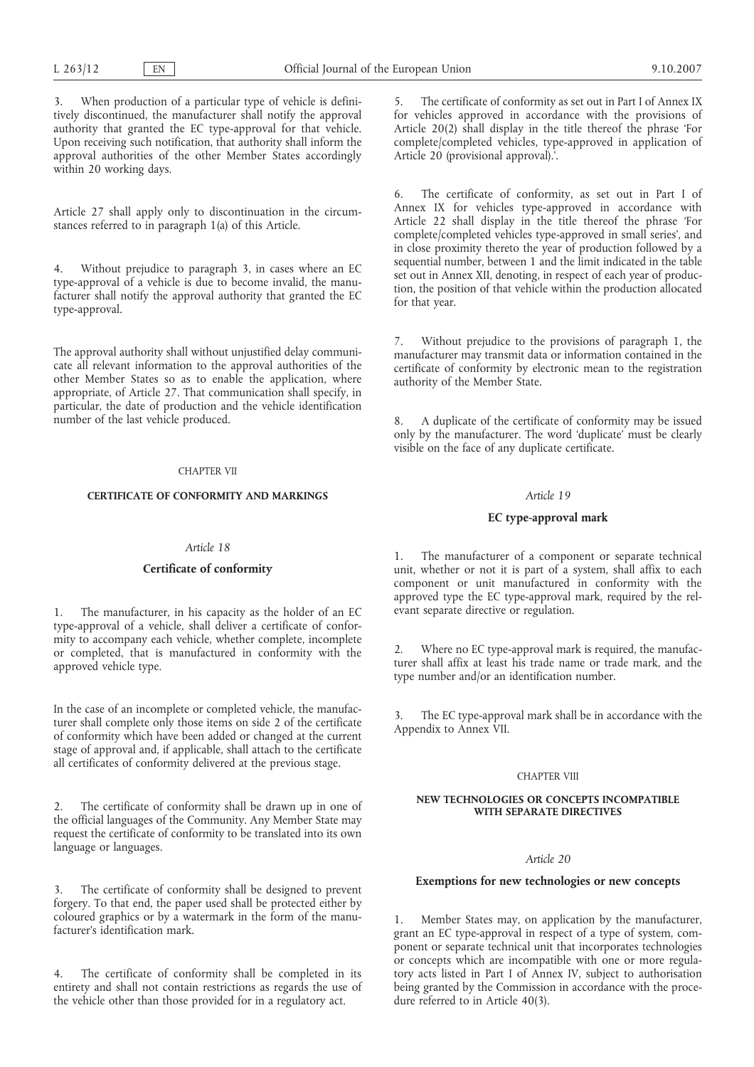3. When production of a particular type of vehicle is definitively discontinued, the manufacturer shall notify the approval authority that granted the EC type-approval for that vehicle. Upon receiving such notification, that authority shall inform the approval authorities of the other Member States accordingly within 20 working days.

Article 27 shall apply only to discontinuation in the circumstances referred to in paragraph 1(a) of this Article.

4. Without prejudice to paragraph 3, in cases where an EC type-approval of a vehicle is due to become invalid, the manufacturer shall notify the approval authority that granted the EC type-approval.

The approval authority shall without unjustified delay communicate all relevant information to the approval authorities of the other Member States so as to enable the application, where appropriate, of Article 27. That communication shall specify, in particular, the date of production and the vehicle identification number of the last vehicle produced.

### CHAPTER VII

# **CERTIFICATE OF CONFORMITY AND MARKINGS**

## *Article 18*

### **Certificate of conformity**

1. The manufacturer, in his capacity as the holder of an EC type-approval of a vehicle, shall deliver a certificate of conformity to accompany each vehicle, whether complete, incomplete or completed, that is manufactured in conformity with the approved vehicle type.

In the case of an incomplete or completed vehicle, the manufacturer shall complete only those items on side 2 of the certificate of conformity which have been added or changed at the current stage of approval and, if applicable, shall attach to the certificate all certificates of conformity delivered at the previous stage.

2. The certificate of conformity shall be drawn up in one of the official languages of the Community. Any Member State may request the certificate of conformity to be translated into its own language or languages.

3. The certificate of conformity shall be designed to prevent forgery. To that end, the paper used shall be protected either by coloured graphics or by a watermark in the form of the manufacturer's identification mark.

4. The certificate of conformity shall be completed in its entirety and shall not contain restrictions as regards the use of the vehicle other than those provided for in a regulatory act.

5. The certificate of conformity as set out in Part I of Annex IX for vehicles approved in accordance with the provisions of Article 20(2) shall display in the title thereof the phrase 'For complete/completed vehicles, type-approved in application of Article 20 (provisional approval).'.

6. The certificate of conformity, as set out in Part I of Annex IX for vehicles type-approved in accordance with Article 22 shall display in the title thereof the phrase 'For complete/completed vehicles type-approved in small series', and in close proximity thereto the year of production followed by a sequential number, between 1 and the limit indicated in the table set out in Annex XII, denoting, in respect of each year of production, the position of that vehicle within the production allocated for that year.

7. Without prejudice to the provisions of paragraph 1, the manufacturer may transmit data or information contained in the certificate of conformity by electronic mean to the registration authority of the Member State.

8. A duplicate of the certificate of conformity may be issued only by the manufacturer. The word 'duplicate' must be clearly visible on the face of any duplicate certificate.

## *Article 19*

## **EC type-approval mark**

1. The manufacturer of a component or separate technical unit, whether or not it is part of a system, shall affix to each component or unit manufactured in conformity with the approved type the EC type-approval mark, required by the relevant separate directive or regulation.

2. Where no EC type-approval mark is required, the manufacturer shall affix at least his trade name or trade mark, and the type number and/or an identification number.

3. The EC type-approval mark shall be in accordance with the Appendix to Annex VII.

### CHAPTER VIII

#### **NEW TECHNOLOGIES OR CONCEPTS INCOMPATIBLE WITH SEPARATE DIRECTIVES**

## *Article 20*

### **Exemptions for new technologies or new concepts**

1. Member States may, on application by the manufacturer, grant an EC type-approval in respect of a type of system, component or separate technical unit that incorporates technologies or concepts which are incompatible with one or more regulatory acts listed in Part I of Annex IV, subject to authorisation being granted by the Commission in accordance with the procedure referred to in Article 40(3).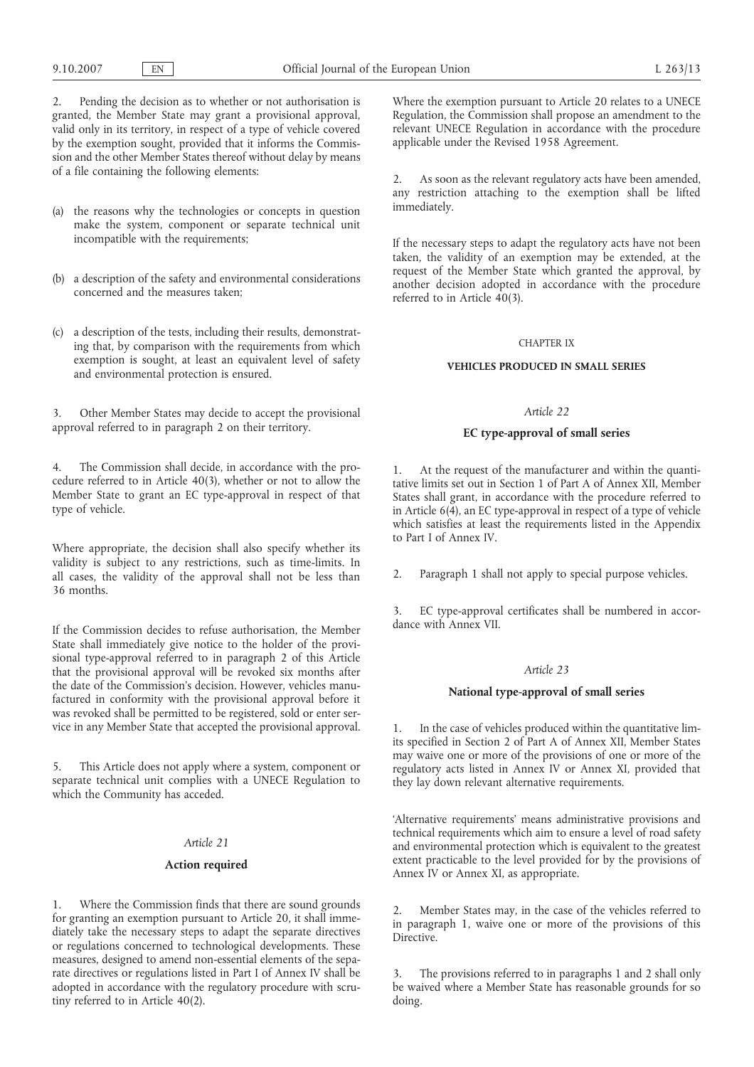2. Pending the decision as to whether or not authorisation is granted, the Member State may grant a provisional approval, valid only in its territory, in respect of a type of vehicle covered by the exemption sought, provided that it informs the Commission and the other Member States thereof without delay by means of a file containing the following elements:

- (a) the reasons why the technologies or concepts in question make the system, component or separate technical unit incompatible with the requirements;
- (b) a description of the safety and environmental considerations concerned and the measures taken;
- (c) a description of the tests, including their results, demonstrating that, by comparison with the requirements from which exemption is sought, at least an equivalent level of safety and environmental protection is ensured.

3. Other Member States may decide to accept the provisional approval referred to in paragraph 2 on their territory.

4. The Commission shall decide, in accordance with the procedure referred to in Article 40(3), whether or not to allow the Member State to grant an EC type-approval in respect of that type of vehicle.

Where appropriate, the decision shall also specify whether its validity is subject to any restrictions, such as time-limits. In all cases, the validity of the approval shall not be less than 36 months.

If the Commission decides to refuse authorisation, the Member State shall immediately give notice to the holder of the provisional type-approval referred to in paragraph 2 of this Article that the provisional approval will be revoked six months after the date of the Commission's decision. However, vehicles manufactured in conformity with the provisional approval before it was revoked shall be permitted to be registered, sold or enter service in any Member State that accepted the provisional approval.

5. This Article does not apply where a system, component or separate technical unit complies with a UNECE Regulation to which the Community has acceded.

## *Article 21*

### **Action required**

1. Where the Commission finds that there are sound grounds for granting an exemption pursuant to Article 20, it shall immediately take the necessary steps to adapt the separate directives or regulations concerned to technological developments. These measures, designed to amend non-essential elements of the separate directives or regulations listed in Part I of Annex IV shall be adopted in accordance with the regulatory procedure with scrutiny referred to in Article 40(2).

Where the exemption pursuant to Article 20 relates to a UNECE Regulation, the Commission shall propose an amendment to the relevant UNECE Regulation in accordance with the procedure applicable under the Revised 1958 Agreement.

2. As soon as the relevant regulatory acts have been amended, any restriction attaching to the exemption shall be lifted immediately.

If the necessary steps to adapt the regulatory acts have not been taken, the validity of an exemption may be extended, at the request of the Member State which granted the approval, by another decision adopted in accordance with the procedure referred to in Article 40(3).

#### CHAPTER IX

### **VEHICLES PRODUCED IN SMALL SERIES**

## *Article 22*

### **EC type-approval of small series**

1. At the request of the manufacturer and within the quantitative limits set out in Section 1 of Part A of Annex XII, Member States shall grant, in accordance with the procedure referred to in Article 6(4), an EC type-approval in respect of a type of vehicle which satisfies at least the requirements listed in the Appendix to Part I of Annex IV.

2. Paragraph 1 shall not apply to special purpose vehicles.

3. EC type-approval certificates shall be numbered in accordance with Annex VII.

#### *Article 23*

### **National type-approval of small series**

1. In the case of vehicles produced within the quantitative limits specified in Section 2 of Part A of Annex XII, Member States may waive one or more of the provisions of one or more of the regulatory acts listed in Annex IV or Annex XI, provided that they lay down relevant alternative requirements.

'Alternative requirements' means administrative provisions and technical requirements which aim to ensure a level of road safety and environmental protection which is equivalent to the greatest extent practicable to the level provided for by the provisions of Annex IV or Annex XI, as appropriate.

2. Member States may, in the case of the vehicles referred to in paragraph 1, waive one or more of the provisions of this Directive.

The provisions referred to in paragraphs 1 and 2 shall only be waived where a Member State has reasonable grounds for so doing.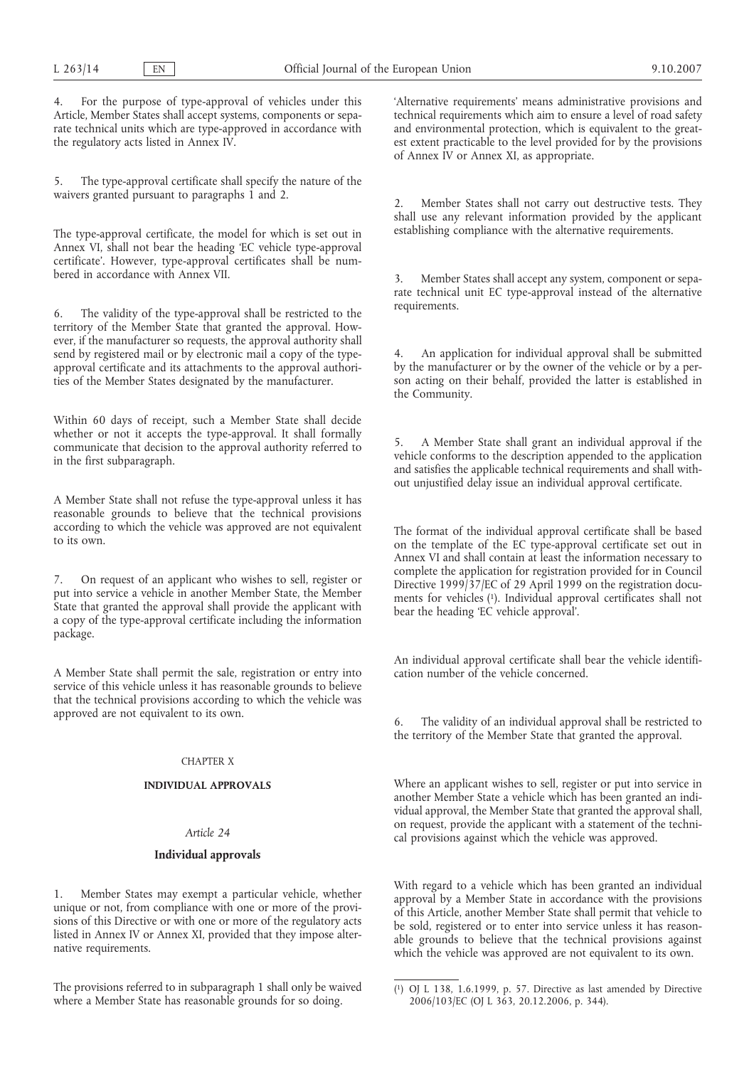4. For the purpose of type-approval of vehicles under this Article, Member States shall accept systems, components or separate technical units which are type-approved in accordance with the regulatory acts listed in Annex IV.

5. The type-approval certificate shall specify the nature of the waivers granted pursuant to paragraphs 1 and 2.

The type-approval certificate, the model for which is set out in Annex VI, shall not bear the heading 'EC vehicle type-approval certificate'. However, type-approval certificates shall be numbered in accordance with Annex VII.

6. The validity of the type-approval shall be restricted to the territory of the Member State that granted the approval. However, if the manufacturer so requests, the approval authority shall send by registered mail or by electronic mail a copy of the typeapproval certificate and its attachments to the approval authorities of the Member States designated by the manufacturer.

Within 60 days of receipt, such a Member State shall decide whether or not it accepts the type-approval. It shall formally communicate that decision to the approval authority referred to in the first subparagraph.

A Member State shall not refuse the type-approval unless it has reasonable grounds to believe that the technical provisions according to which the vehicle was approved are not equivalent to its own.

7. On request of an applicant who wishes to sell, register or put into service a vehicle in another Member State, the Member State that granted the approval shall provide the applicant with a copy of the type-approval certificate including the information package.

A Member State shall permit the sale, registration or entry into service of this vehicle unless it has reasonable grounds to believe that the technical provisions according to which the vehicle was approved are not equivalent to its own.

## CHAPTER X

## **INDIVIDUAL APPROVALS**

# *Article 24*

### **Individual approvals**

Member States may exempt a particular vehicle, whether unique or not, from compliance with one or more of the provisions of this Directive or with one or more of the regulatory acts listed in Annex IV or Annex XI, provided that they impose alternative requirements.

The provisions referred to in subparagraph 1 shall only be waived where a Member State has reasonable grounds for so doing.

'Alternative requirements' means administrative provisions and technical requirements which aim to ensure a level of road safety and environmental protection, which is equivalent to the greatest extent practicable to the level provided for by the provisions of Annex IV or Annex XI, as appropriate.

2. Member States shall not carry out destructive tests. They shall use any relevant information provided by the applicant establishing compliance with the alternative requirements.

3. Member States shall accept any system, component or separate technical unit EC type-approval instead of the alternative requirements.

4. An application for individual approval shall be submitted by the manufacturer or by the owner of the vehicle or by a person acting on their behalf, provided the latter is established in the Community.

5. A Member State shall grant an individual approval if the vehicle conforms to the description appended to the application and satisfies the applicable technical requirements and shall without unjustified delay issue an individual approval certificate.

The format of the individual approval certificate shall be based on the template of the EC type-approval certificate set out in Annex VI and shall contain at least the information necessary to complete the application for registration provided for in Council Directive 1999/37/EC of 29 April 1999 on the registration documents for vehicles (1). Individual approval certificates shall not bear the heading 'EC vehicle approval'.

An individual approval certificate shall bear the vehicle identification number of the vehicle concerned.

6. The validity of an individual approval shall be restricted to the territory of the Member State that granted the approval.

Where an applicant wishes to sell, register or put into service in another Member State a vehicle which has been granted an individual approval, the Member State that granted the approval shall, on request, provide the applicant with a statement of the technical provisions against which the vehicle was approved.

With regard to a vehicle which has been granted an individual approval by a Member State in accordance with the provisions of this Article, another Member State shall permit that vehicle to be sold, registered or to enter into service unless it has reasonable grounds to believe that the technical provisions against which the vehicle was approved are not equivalent to its own.

<sup>(</sup> 1) OJ L 138, 1.6.1999, p. 57. Directive as last amended by Directive 2006/103/EC (OJ L 363, 20.12.2006, p. 344).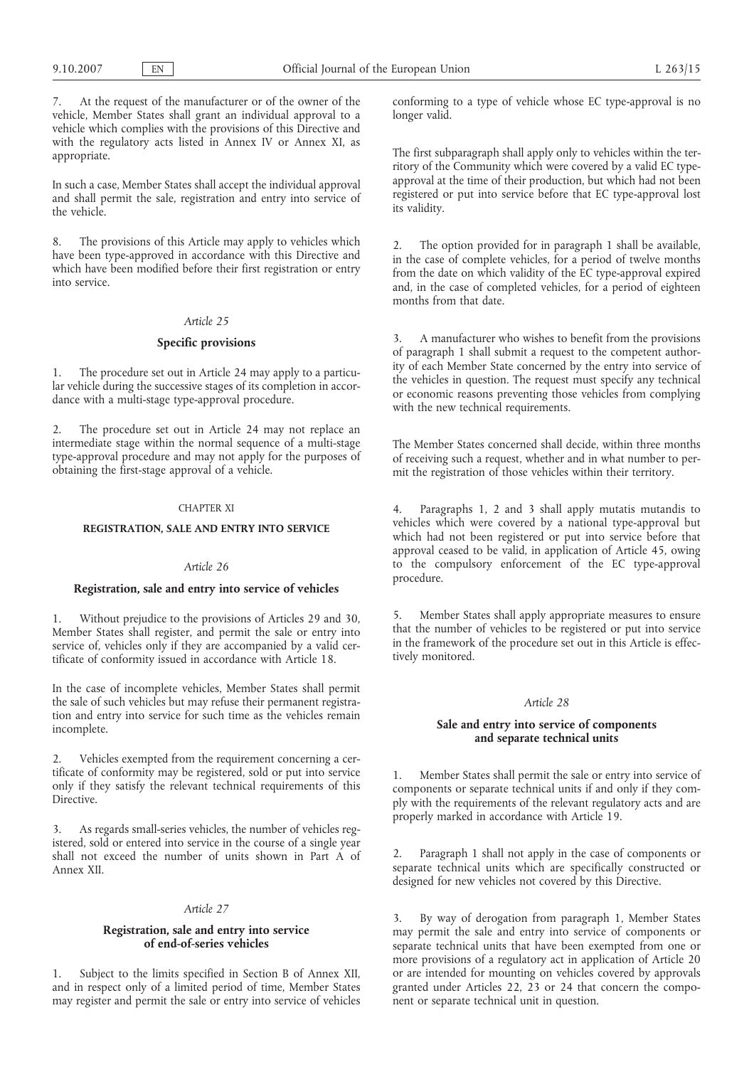7. At the request of the manufacturer or of the owner of the vehicle, Member States shall grant an individual approval to a vehicle which complies with the provisions of this Directive and with the regulatory acts listed in Annex IV or Annex XI, as appropriate.

In such a case, Member States shall accept the individual approval and shall permit the sale, registration and entry into service of the vehicle.

8. The provisions of this Article may apply to vehicles which have been type-approved in accordance with this Directive and which have been modified before their first registration or entry into service.

# *Article 25*

### **Specific provisions**

1. The procedure set out in Article 24 may apply to a particular vehicle during the successive stages of its completion in accordance with a multi-stage type-approval procedure.

2. The procedure set out in Article 24 may not replace an intermediate stage within the normal sequence of a multi-stage type-approval procedure and may not apply for the purposes of obtaining the first-stage approval of a vehicle.

## CHAPTER XI

## **REGISTRATION, SALE AND ENTRY INTO SERVICE**

#### *Article 26*

## **Registration, sale and entry into service of vehicles**

1. Without prejudice to the provisions of Articles 29 and 30, Member States shall register, and permit the sale or entry into service of, vehicles only if they are accompanied by a valid certificate of conformity issued in accordance with Article 18.

In the case of incomplete vehicles, Member States shall permit the sale of such vehicles but may refuse their permanent registration and entry into service for such time as the vehicles remain incomplete.

2. Vehicles exempted from the requirement concerning a certificate of conformity may be registered, sold or put into service only if they satisfy the relevant technical requirements of this Directive.

3. As regards small-series vehicles, the number of vehicles registered, sold or entered into service in the course of a single year shall not exceed the number of units shown in Part A of Annex XII.

#### *Article 27*

## **Registration, sale and entry into service of end-of-series vehicles**

1. Subject to the limits specified in Section B of Annex XII, and in respect only of a limited period of time, Member States may register and permit the sale or entry into service of vehicles conforming to a type of vehicle whose EC type-approval is no longer valid.

The first subparagraph shall apply only to vehicles within the territory of the Community which were covered by a valid EC typeapproval at the time of their production, but which had not been registered or put into service before that EC type-approval lost its validity.

2. The option provided for in paragraph 1 shall be available, in the case of complete vehicles, for a period of twelve months from the date on which validity of the EC type-approval expired and, in the case of completed vehicles, for a period of eighteen months from that date.

3. A manufacturer who wishes to benefit from the provisions of paragraph 1 shall submit a request to the competent authority of each Member State concerned by the entry into service of the vehicles in question. The request must specify any technical or economic reasons preventing those vehicles from complying with the new technical requirements.

The Member States concerned shall decide, within three months of receiving such a request, whether and in what number to permit the registration of those vehicles within their territory.

Paragraphs 1, 2 and 3 shall apply mutatis mutandis to vehicles which were covered by a national type-approval but which had not been registered or put into service before that approval ceased to be valid, in application of Article 45, owing to the compulsory enforcement of the EC type-approval procedure.

5. Member States shall apply appropriate measures to ensure that the number of vehicles to be registered or put into service in the framework of the procedure set out in this Article is effectively monitored.

## *Article 28*

## **Sale and entry into service of components and separate technical units**

1. Member States shall permit the sale or entry into service of components or separate technical units if and only if they comply with the requirements of the relevant regulatory acts and are properly marked in accordance with Article 19.

2. Paragraph 1 shall not apply in the case of components or separate technical units which are specifically constructed or designed for new vehicles not covered by this Directive.

3. By way of derogation from paragraph 1, Member States may permit the sale and entry into service of components or separate technical units that have been exempted from one or more provisions of a regulatory act in application of Article 20 or are intended for mounting on vehicles covered by approvals granted under Articles 22, 23 or 24 that concern the component or separate technical unit in question.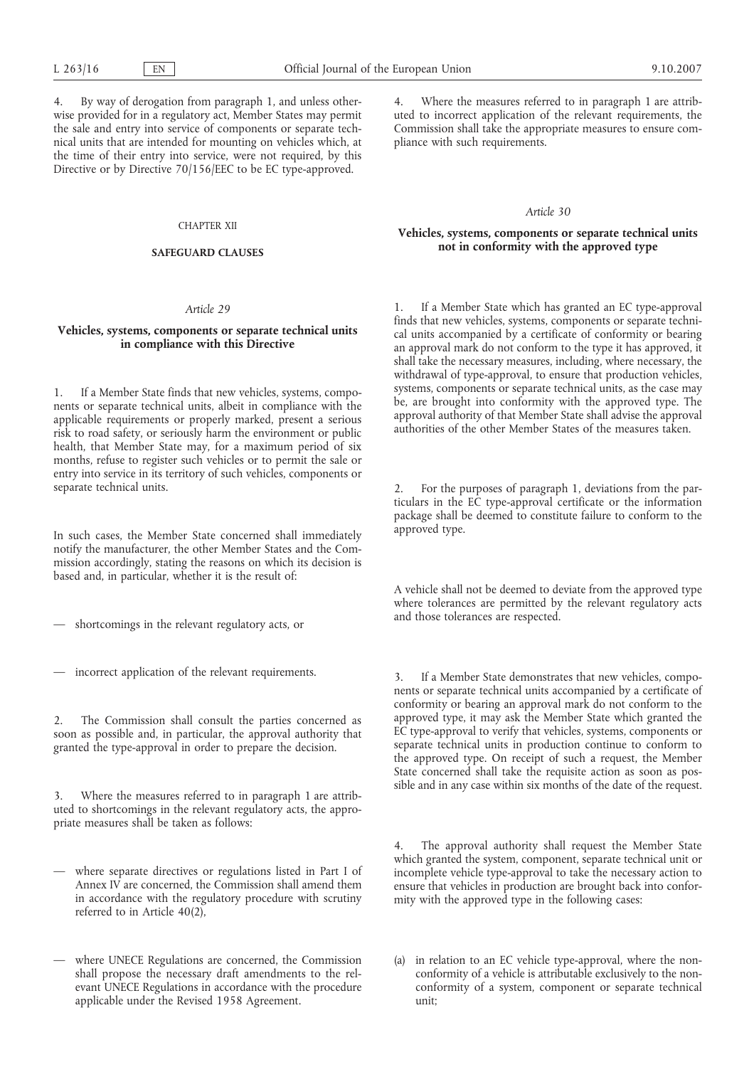4. By way of derogation from paragraph 1, and unless otherwise provided for in a regulatory act, Member States may permit the sale and entry into service of components or separate technical units that are intended for mounting on vehicles which, at the time of their entry into service, were not required, by this Directive or by Directive 70/156/EEC to be EC type-approved.

#### CHAPTER XII

#### **SAFEGUARD CLAUSES**

#### *Article 29*

## **Vehicles, systems, components or separate technical units in compliance with this Directive**

1. If a Member State finds that new vehicles, systems, components or separate technical units, albeit in compliance with the applicable requirements or properly marked, present a serious risk to road safety, or seriously harm the environment or public health, that Member State may, for a maximum period of six months, refuse to register such vehicles or to permit the sale or entry into service in its territory of such vehicles, components or separate technical units.

In such cases, the Member State concerned shall immediately notify the manufacturer, the other Member States and the Commission accordingly, stating the reasons on which its decision is based and, in particular, whether it is the result of:

— shortcomings in the relevant regulatory acts, or

— incorrect application of the relevant requirements.

2. The Commission shall consult the parties concerned as soon as possible and, in particular, the approval authority that granted the type-approval in order to prepare the decision.

3. Where the measures referred to in paragraph 1 are attributed to shortcomings in the relevant regulatory acts, the appropriate measures shall be taken as follows:

- where separate directives or regulations listed in Part I of Annex IV are concerned, the Commission shall amend them in accordance with the regulatory procedure with scrutiny referred to in Article 40(2),
- where UNECE Regulations are concerned, the Commission shall propose the necessary draft amendments to the relevant UNECE Regulations in accordance with the procedure applicable under the Revised 1958 Agreement.

4. Where the measures referred to in paragraph 1 are attributed to incorrect application of the relevant requirements, the Commission shall take the appropriate measures to ensure compliance with such requirements.

#### *Article 30*

## **Vehicles, systems, components or separate technical units not in conformity with the approved type**

1. If a Member State which has granted an EC type-approval finds that new vehicles, systems, components or separate technical units accompanied by a certificate of conformity or bearing an approval mark do not conform to the type it has approved, it shall take the necessary measures, including, where necessary, the withdrawal of type-approval, to ensure that production vehicles, systems, components or separate technical units, as the case may be, are brought into conformity with the approved type. The approval authority of that Member State shall advise the approval authorities of the other Member States of the measures taken.

For the purposes of paragraph 1, deviations from the particulars in the EC type-approval certificate or the information package shall be deemed to constitute failure to conform to the approved type.

A vehicle shall not be deemed to deviate from the approved type where tolerances are permitted by the relevant regulatory acts and those tolerances are respected.

3. If a Member State demonstrates that new vehicles, components or separate technical units accompanied by a certificate of conformity or bearing an approval mark do not conform to the approved type, it may ask the Member State which granted the EC type-approval to verify that vehicles, systems, components or separate technical units in production continue to conform to the approved type. On receipt of such a request, the Member State concerned shall take the requisite action as soon as possible and in any case within six months of the date of the request.

4. The approval authority shall request the Member State which granted the system, component, separate technical unit or incomplete vehicle type-approval to take the necessary action to ensure that vehicles in production are brought back into conformity with the approved type in the following cases:

(a) in relation to an EC vehicle type-approval, where the nonconformity of a vehicle is attributable exclusively to the nonconformity of a system, component or separate technical unit;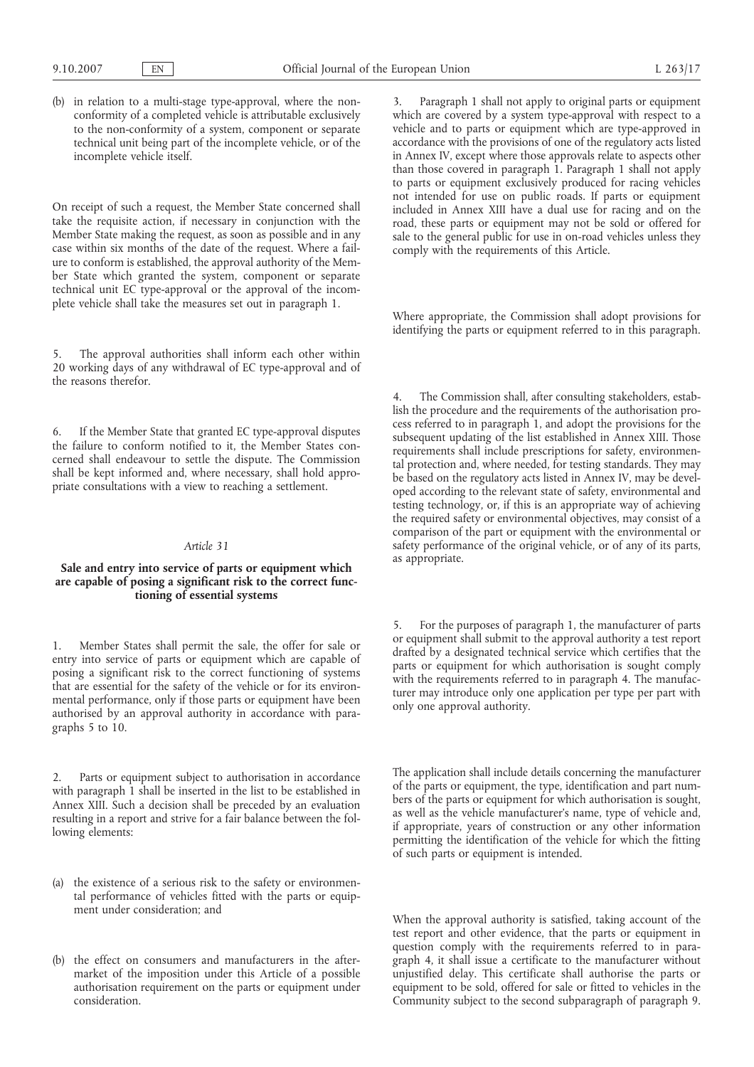(b) in relation to a multi-stage type-approval, where the nonconformity of a completed vehicle is attributable exclusively to the non-conformity of a system, component or separate technical unit being part of the incomplete vehicle, or of the incomplete vehicle itself.

On receipt of such a request, the Member State concerned shall take the requisite action, if necessary in conjunction with the Member State making the request, as soon as possible and in any case within six months of the date of the request. Where a failure to conform is established, the approval authority of the Member State which granted the system, component or separate technical unit EC type-approval or the approval of the incomplete vehicle shall take the measures set out in paragraph 1.

5. The approval authorities shall inform each other within 20 working days of any withdrawal of EC type-approval and of the reasons therefor.

6. If the Member State that granted EC type-approval disputes the failure to conform notified to it, the Member States concerned shall endeavour to settle the dispute. The Commission shall be kept informed and, where necessary, shall hold appropriate consultations with a view to reaching a settlement.

#### *Article 31*

## **Sale and entry into service of parts or equipment which are capable of posing a significant risk to the correct functioning of essential systems**

1. Member States shall permit the sale, the offer for sale or entry into service of parts or equipment which are capable of posing a significant risk to the correct functioning of systems that are essential for the safety of the vehicle or for its environmental performance, only if those parts or equipment have been authorised by an approval authority in accordance with paragraphs 5 to 10.

2. Parts or equipment subject to authorisation in accordance with paragraph 1 shall be inserted in the list to be established in Annex XIII. Such a decision shall be preceded by an evaluation resulting in a report and strive for a fair balance between the following elements:

- (a) the existence of a serious risk to the safety or environmental performance of vehicles fitted with the parts or equipment under consideration; and
- (b) the effect on consumers and manufacturers in the aftermarket of the imposition under this Article of a possible authorisation requirement on the parts or equipment under consideration.

3. Paragraph 1 shall not apply to original parts or equipment which are covered by a system type-approval with respect to a vehicle and to parts or equipment which are type-approved in accordance with the provisions of one of the regulatory acts listed in Annex IV, except where those approvals relate to aspects other than those covered in paragraph 1. Paragraph 1 shall not apply to parts or equipment exclusively produced for racing vehicles not intended for use on public roads. If parts or equipment included in Annex XIII have a dual use for racing and on the road, these parts or equipment may not be sold or offered for sale to the general public for use in on-road vehicles unless they comply with the requirements of this Article.

Where appropriate, the Commission shall adopt provisions for identifying the parts or equipment referred to in this paragraph.

The Commission shall, after consulting stakeholders, establish the procedure and the requirements of the authorisation process referred to in paragraph 1, and adopt the provisions for the subsequent updating of the list established in Annex XIII. Those requirements shall include prescriptions for safety, environmental protection and, where needed, for testing standards. They may be based on the regulatory acts listed in Annex IV, may be developed according to the relevant state of safety, environmental and testing technology, or, if this is an appropriate way of achieving the required safety or environmental objectives, may consist of a comparison of the part or equipment with the environmental or safety performance of the original vehicle, or of any of its parts, as appropriate.

5. For the purposes of paragraph 1, the manufacturer of parts or equipment shall submit to the approval authority a test report drafted by a designated technical service which certifies that the parts or equipment for which authorisation is sought comply with the requirements referred to in paragraph 4. The manufacturer may introduce only one application per type per part with only one approval authority.

The application shall include details concerning the manufacturer of the parts or equipment, the type, identification and part numbers of the parts or equipment for which authorisation is sought, as well as the vehicle manufacturer's name, type of vehicle and, if appropriate, years of construction or any other information permitting the identification of the vehicle for which the fitting of such parts or equipment is intended.

When the approval authority is satisfied, taking account of the test report and other evidence, that the parts or equipment in question comply with the requirements referred to in paragraph 4, it shall issue a certificate to the manufacturer without unjustified delay. This certificate shall authorise the parts or equipment to be sold, offered for sale or fitted to vehicles in the Community subject to the second subparagraph of paragraph 9.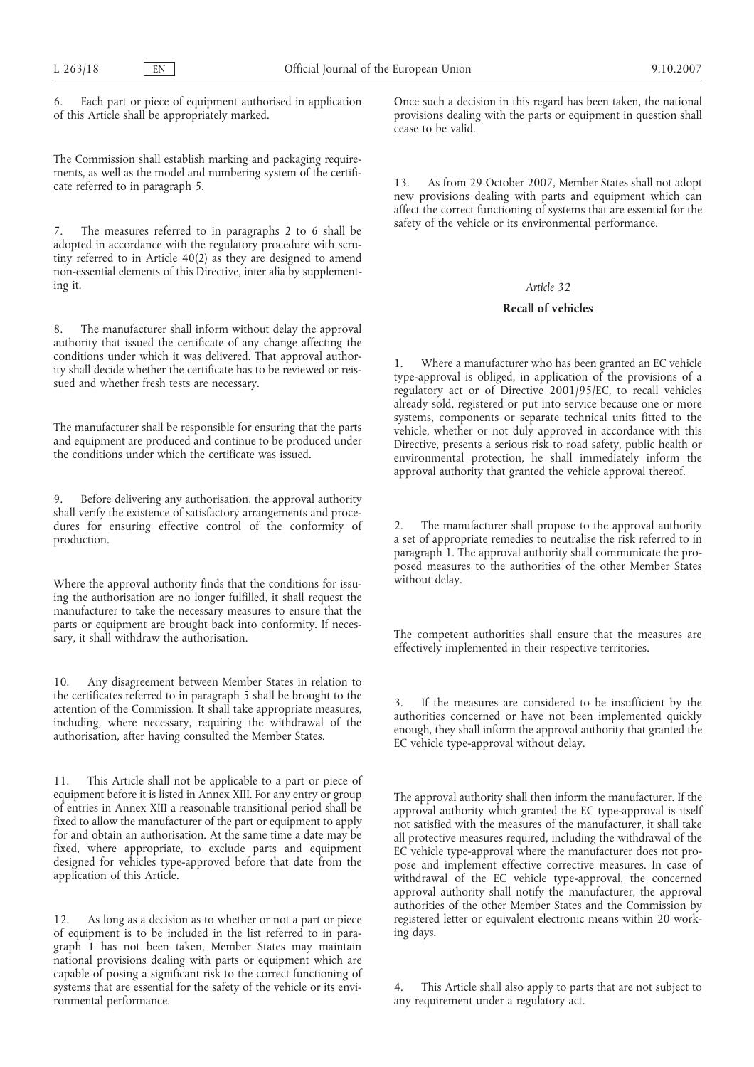6. Each part or piece of equipment authorised in application of this Article shall be appropriately marked.

The Commission shall establish marking and packaging requirements, as well as the model and numbering system of the certificate referred to in paragraph 5.

The measures referred to in paragraphs 2 to 6 shall be adopted in accordance with the regulatory procedure with scrutiny referred to in Article 40(2) as they are designed to amend non-essential elements of this Directive, inter alia by supplementing it.

8. The manufacturer shall inform without delay the approval authority that issued the certificate of any change affecting the conditions under which it was delivered. That approval authority shall decide whether the certificate has to be reviewed or reissued and whether fresh tests are necessary.

The manufacturer shall be responsible for ensuring that the parts and equipment are produced and continue to be produced under the conditions under which the certificate was issued.

9. Before delivering any authorisation, the approval authority shall verify the existence of satisfactory arrangements and procedures for ensuring effective control of the conformity of production.

Where the approval authority finds that the conditions for issuing the authorisation are no longer fulfilled, it shall request the manufacturer to take the necessary measures to ensure that the parts or equipment are brought back into conformity. If necessary, it shall withdraw the authorisation.

10. Any disagreement between Member States in relation to the certificates referred to in paragraph 5 shall be brought to the attention of the Commission. It shall take appropriate measures, including, where necessary, requiring the withdrawal of the authorisation, after having consulted the Member States.

11. This Article shall not be applicable to a part or piece of equipment before it is listed in Annex XIII. For any entry or group of entries in Annex XIII a reasonable transitional period shall be fixed to allow the manufacturer of the part or equipment to apply for and obtain an authorisation. At the same time a date may be fixed, where appropriate, to exclude parts and equipment designed for vehicles type-approved before that date from the application of this Article.

12. As long as a decision as to whether or not a part or piece of equipment is to be included in the list referred to in paragraph 1 has not been taken, Member States may maintain national provisions dealing with parts or equipment which are capable of posing a significant risk to the correct functioning of systems that are essential for the safety of the vehicle or its environmental performance.

Once such a decision in this regard has been taken, the national provisions dealing with the parts or equipment in question shall cease to be valid.

13. As from 29 October 2007, Member States shall not adopt new provisions dealing with parts and equipment which can affect the correct functioning of systems that are essential for the safety of the vehicle or its environmental performance.

#### *Article 32*

## **Recall of vehicles**

1. Where a manufacturer who has been granted an EC vehicle type-approval is obliged, in application of the provisions of a regulatory act or of Directive 2001/95/EC, to recall vehicles already sold, registered or put into service because one or more systems, components or separate technical units fitted to the vehicle, whether or not duly approved in accordance with this Directive, presents a serious risk to road safety, public health or environmental protection, he shall immediately inform the approval authority that granted the vehicle approval thereof.

The manufacturer shall propose to the approval authority a set of appropriate remedies to neutralise the risk referred to in paragraph 1. The approval authority shall communicate the proposed measures to the authorities of the other Member States without delay.

The competent authorities shall ensure that the measures are effectively implemented in their respective territories.

If the measures are considered to be insufficient by the authorities concerned or have not been implemented quickly enough, they shall inform the approval authority that granted the EC vehicle type-approval without delay.

The approval authority shall then inform the manufacturer. If the approval authority which granted the EC type-approval is itself not satisfied with the measures of the manufacturer, it shall take all protective measures required, including the withdrawal of the EC vehicle type-approval where the manufacturer does not propose and implement effective corrective measures. In case of withdrawal of the EC vehicle type-approval, the concerned approval authority shall notify the manufacturer, the approval authorities of the other Member States and the Commission by registered letter or equivalent electronic means within 20 working days.

This Article shall also apply to parts that are not subject to any requirement under a regulatory act.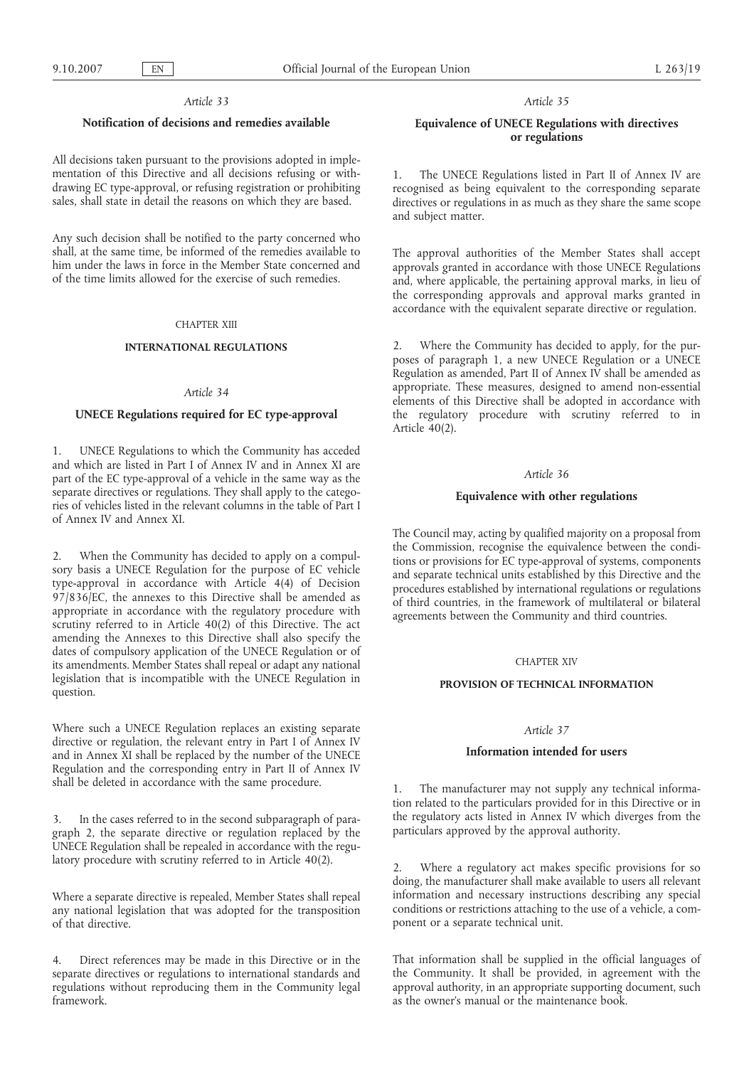### *Article 33*

## **Notification of decisions and remedies available**

All decisions taken pursuant to the provisions adopted in implementation of this Directive and all decisions refusing or withdrawing EC type-approval, or refusing registration or prohibiting sales, shall state in detail the reasons on which they are based.

Any such decision shall be notified to the party concerned who shall, at the same time, be informed of the remedies available to him under the laws in force in the Member State concerned and of the time limits allowed for the exercise of such remedies.

#### CHAPTER XIII

#### **INTERNATIONAL REGULATIONS**

#### *Article 34*

## **UNECE Regulations required for EC type-approval**

1. UNECE Regulations to which the Community has acceded and which are listed in Part I of Annex IV and in Annex XI are part of the EC type-approval of a vehicle in the same way as the separate directives or regulations. They shall apply to the categories of vehicles listed in the relevant columns in the table of Part I of Annex IV and Annex XI.

2. When the Community has decided to apply on a compulsory basis a UNECE Regulation for the purpose of EC vehicle type-approval in accordance with Article 4(4) of Decision 97/836/EC, the annexes to this Directive shall be amended as appropriate in accordance with the regulatory procedure with scrutiny referred to in Article 40(2) of this Directive. The act amending the Annexes to this Directive shall also specify the dates of compulsory application of the UNECE Regulation or of its amendments. Member States shall repeal or adapt any national legislation that is incompatible with the UNECE Regulation in question.

Where such a UNECE Regulation replaces an existing separate directive or regulation, the relevant entry in Part I of Annex IV and in Annex XI shall be replaced by the number of the UNECE Regulation and the corresponding entry in Part II of Annex IV shall be deleted in accordance with the same procedure.

3. In the cases referred to in the second subparagraph of paragraph 2, the separate directive or regulation replaced by the UNECE Regulation shall be repealed in accordance with the regulatory procedure with scrutiny referred to in Article 40(2).

Where a separate directive is repealed, Member States shall repeal any national legislation that was adopted for the transposition of that directive.

4. Direct references may be made in this Directive or in the separate directives or regulations to international standards and regulations without reproducing them in the Community legal framework.

### *Article 35*

# **Equivalence of UNECE Regulations with directives or regulations**

1. The UNECE Regulations listed in Part II of Annex IV are recognised as being equivalent to the corresponding separate directives or regulations in as much as they share the same scope and subject matter.

The approval authorities of the Member States shall accept approvals granted in accordance with those UNECE Regulations and, where applicable, the pertaining approval marks, in lieu of the corresponding approvals and approval marks granted in accordance with the equivalent separate directive or regulation.

2. Where the Community has decided to apply, for the purposes of paragraph 1, a new UNECE Regulation or a UNECE Regulation as amended, Part II of Annex IV shall be amended as appropriate. These measures, designed to amend non-essential elements of this Directive shall be adopted in accordance with the regulatory procedure with scrutiny referred to in Article 40(2).

#### *Article 36*

### **Equivalence with other regulations**

The Council may, acting by qualified majority on a proposal from the Commission, recognise the equivalence between the conditions or provisions for EC type-approval of systems, components and separate technical units established by this Directive and the procedures established by international regulations or regulations of third countries, in the framework of multilateral or bilateral agreements between the Community and third countries.

## CHAPTER XIV

## **PROVISION OF TECHNICAL INFORMATION**

## *Article 37*

### **Information intended for users**

1. The manufacturer may not supply any technical information related to the particulars provided for in this Directive or in the regulatory acts listed in Annex IV which diverges from the particulars approved by the approval authority.

2. Where a regulatory act makes specific provisions for so doing, the manufacturer shall make available to users all relevant information and necessary instructions describing any special conditions or restrictions attaching to the use of a vehicle, a component or a separate technical unit.

That information shall be supplied in the official languages of the Community. It shall be provided, in agreement with the approval authority, in an appropriate supporting document, such as the owner's manual or the maintenance book.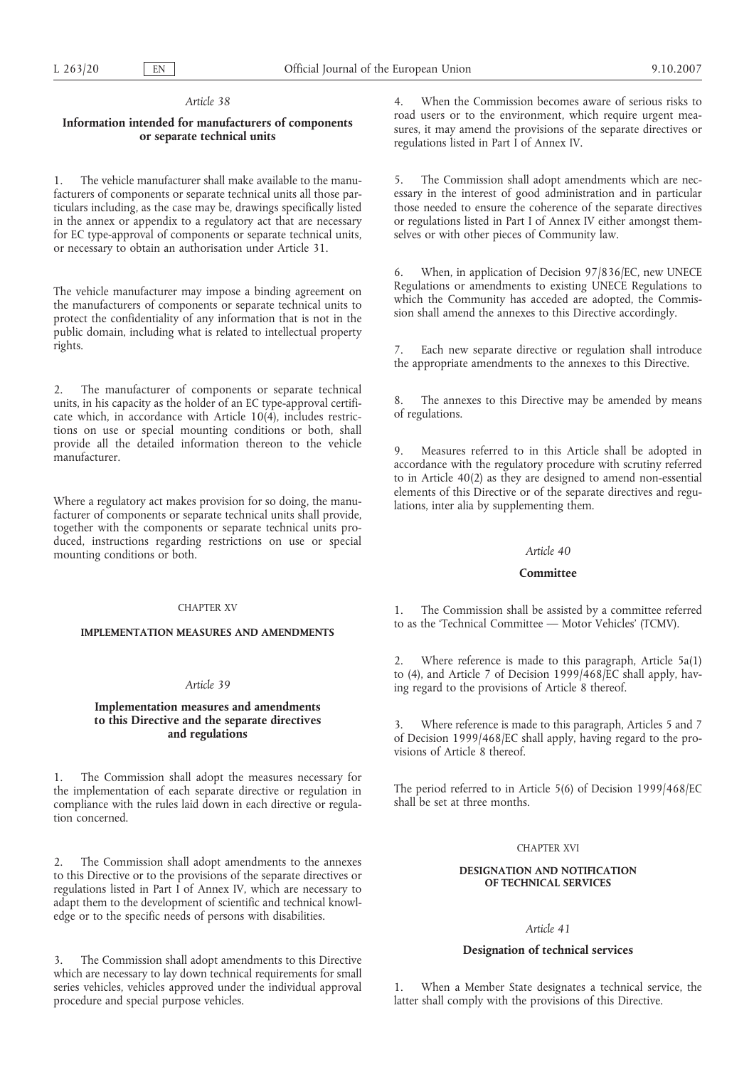#### *Article 38*

## **Information intended for manufacturers of components or separate technical units**

1. The vehicle manufacturer shall make available to the manufacturers of components or separate technical units all those particulars including, as the case may be, drawings specifically listed in the annex or appendix to a regulatory act that are necessary for EC type-approval of components or separate technical units, or necessary to obtain an authorisation under Article 31.

The vehicle manufacturer may impose a binding agreement on the manufacturers of components or separate technical units to protect the confidentiality of any information that is not in the public domain, including what is related to intellectual property rights.

2. The manufacturer of components or separate technical units, in his capacity as the holder of an EC type-approval certificate which, in accordance with Article  $10(4)$ , includes restrictions on use or special mounting conditions or both, shall provide all the detailed information thereon to the vehicle manufacturer.

Where a regulatory act makes provision for so doing, the manufacturer of components or separate technical units shall provide, together with the components or separate technical units produced, instructions regarding restrictions on use or special mounting conditions or both.

## CHAPTER XV

#### **IMPLEMENTATION MEASURES AND AMENDMENTS**

## *Article 39*

## **Implementation measures and amendments to this Directive and the separate directives and regulations**

1. The Commission shall adopt the measures necessary for the implementation of each separate directive or regulation in compliance with the rules laid down in each directive or regulation concerned.

2. The Commission shall adopt amendments to the annexes to this Directive or to the provisions of the separate directives or regulations listed in Part I of Annex IV, which are necessary to adapt them to the development of scientific and technical knowledge or to the specific needs of persons with disabilities.

3. The Commission shall adopt amendments to this Directive which are necessary to lay down technical requirements for small series vehicles, vehicles approved under the individual approval procedure and special purpose vehicles.

4. When the Commission becomes aware of serious risks to road users or to the environment, which require urgent measures, it may amend the provisions of the separate directives or regulations listed in Part I of Annex IV.

5. The Commission shall adopt amendments which are necessary in the interest of good administration and in particular those needed to ensure the coherence of the separate directives or regulations listed in Part I of Annex IV either amongst themselves or with other pieces of Community law.

6. When, in application of Decision 97/836/EC, new UNECE Regulations or amendments to existing UNECE Regulations to which the Community has acceded are adopted, the Commission shall amend the annexes to this Directive accordingly.

7. Each new separate directive or regulation shall introduce the appropriate amendments to the annexes to this Directive.

8. The annexes to this Directive may be amended by means of regulations.

9. Measures referred to in this Article shall be adopted in accordance with the regulatory procedure with scrutiny referred to in Article 40(2) as they are designed to amend non-essential elements of this Directive or of the separate directives and regulations, inter alia by supplementing them.

### *Article 40*

## **Committee**

1. The Commission shall be assisted by a committee referred to as the 'Technical Committee — Motor Vehicles' (TCMV).

2. Where reference is made to this paragraph, Article 5a(1) to (4), and Article 7 of Decision 1999/468/EC shall apply, having regard to the provisions of Article 8 thereof.

3. Where reference is made to this paragraph, Articles 5 and 7 of Decision 1999/468/EC shall apply, having regard to the provisions of Article 8 thereof.

The period referred to in Article 5(6) of Decision 1999/468/EC shall be set at three months.

### CHAPTER XVI

## **DESIGNATION AND NOTIFICATION OF TECHNICAL SERVICES**

## *Article 41*

## **Designation of technical services**

1. When a Member State designates a technical service, the latter shall comply with the provisions of this Directive.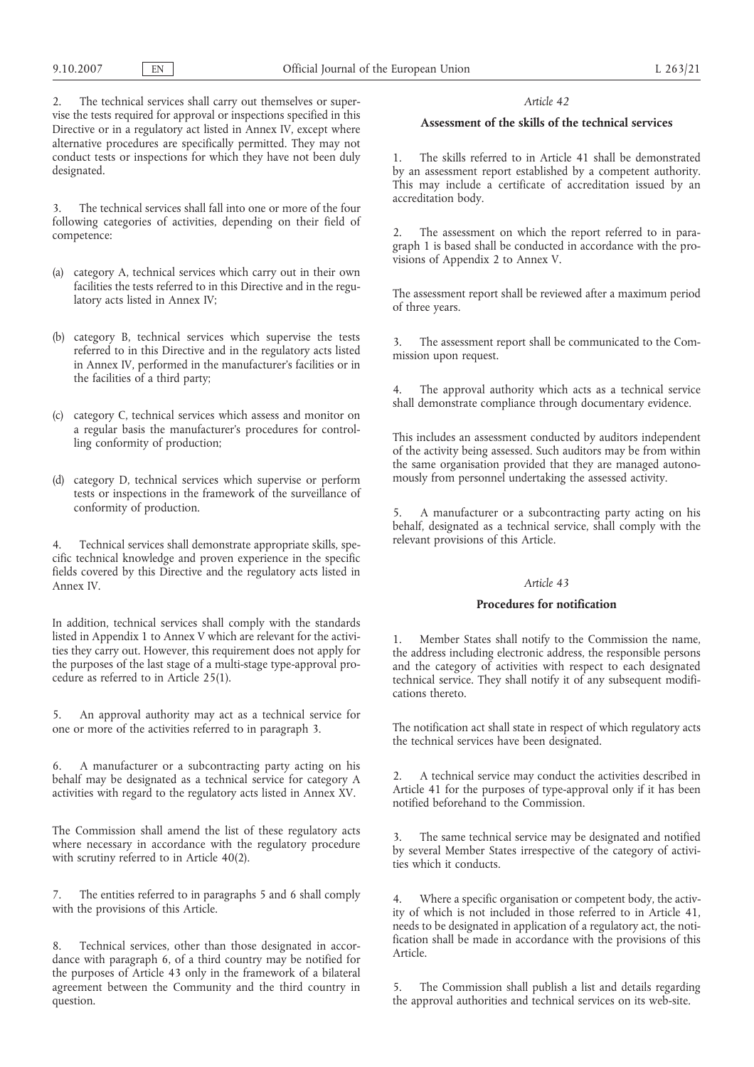2. The technical services shall carry out themselves or supervise the tests required for approval or inspections specified in this Directive or in a regulatory act listed in Annex IV, except where alternative procedures are specifically permitted. They may not conduct tests or inspections for which they have not been duly designated.

3. The technical services shall fall into one or more of the four following categories of activities, depending on their field of competence:

- (a) category A, technical services which carry out in their own facilities the tests referred to in this Directive and in the regulatory acts listed in Annex IV;
- (b) category B, technical services which supervise the tests referred to in this Directive and in the regulatory acts listed in Annex IV, performed in the manufacturer's facilities or in the facilities of a third party;
- (c) category C, technical services which assess and monitor on a regular basis the manufacturer's procedures for controlling conformity of production;
- (d) category D, technical services which supervise or perform tests or inspections in the framework of the surveillance of conformity of production.

4. Technical services shall demonstrate appropriate skills, specific technical knowledge and proven experience in the specific fields covered by this Directive and the regulatory acts listed in Annex IV.

In addition, technical services shall comply with the standards listed in Appendix 1 to Annex V which are relevant for the activities they carry out. However, this requirement does not apply for the purposes of the last stage of a multi-stage type-approval procedure as referred to in Article 25(1).

5. An approval authority may act as a technical service for one or more of the activities referred to in paragraph 3.

6. A manufacturer or a subcontracting party acting on his behalf may be designated as a technical service for category A activities with regard to the regulatory acts listed in Annex XV.

The Commission shall amend the list of these regulatory acts where necessary in accordance with the regulatory procedure with scrutiny referred to in Article 40(2).

7. The entities referred to in paragraphs 5 and 6 shall comply with the provisions of this Article.

8. Technical services, other than those designated in accordance with paragraph 6, of a third country may be notified for the purposes of Article 43 only in the framework of a bilateral agreement between the Community and the third country in question.

## *Article 42*

## **Assessment of the skills of the technical services**

1. The skills referred to in Article 41 shall be demonstrated by an assessment report established by a competent authority. This may include a certificate of accreditation issued by an accreditation body.

The assessment on which the report referred to in paragraph 1 is based shall be conducted in accordance with the provisions of Appendix 2 to Annex V.

The assessment report shall be reviewed after a maximum period of three years.

3. The assessment report shall be communicated to the Commission upon request.

The approval authority which acts as a technical service shall demonstrate compliance through documentary evidence.

This includes an assessment conducted by auditors independent of the activity being assessed. Such auditors may be from within the same organisation provided that they are managed autonomously from personnel undertaking the assessed activity.

5. A manufacturer or a subcontracting party acting on his behalf, designated as a technical service, shall comply with the relevant provisions of this Article.

### *Article 43*

## **Procedures for notification**

Member States shall notify to the Commission the name, the address including electronic address, the responsible persons and the category of activities with respect to each designated technical service. They shall notify it of any subsequent modifications thereto.

The notification act shall state in respect of which regulatory acts the technical services have been designated.

2. A technical service may conduct the activities described in Article 41 for the purposes of type-approval only if it has been notified beforehand to the Commission.

3. The same technical service may be designated and notified by several Member States irrespective of the category of activities which it conducts.

4. Where a specific organisation or competent body, the activity of which is not included in those referred to in Article 41, needs to be designated in application of a regulatory act, the notification shall be made in accordance with the provisions of this Article.

5. The Commission shall publish a list and details regarding the approval authorities and technical services on its web-site.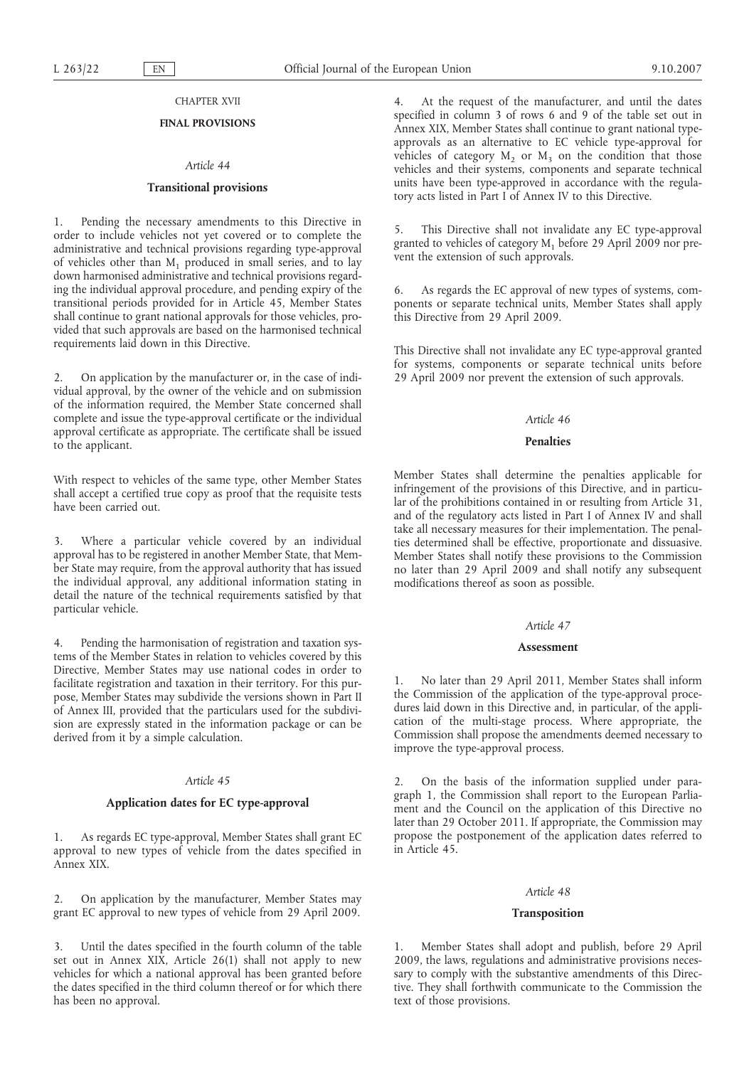### CHAPTER XVII

## **FINAL PROVISIONS**

#### *Article 44*

## **Transitional provisions**

1. Pending the necessary amendments to this Directive in order to include vehicles not yet covered or to complete the administrative and technical provisions regarding type-approval of vehicles other than  $M_1$  produced in small series, and to lay down harmonised administrative and technical provisions regarding the individual approval procedure, and pending expiry of the transitional periods provided for in Article 45, Member States shall continue to grant national approvals for those vehicles, provided that such approvals are based on the harmonised technical requirements laid down in this Directive.

2. On application by the manufacturer or, in the case of individual approval, by the owner of the vehicle and on submission of the information required, the Member State concerned shall complete and issue the type-approval certificate or the individual approval certificate as appropriate. The certificate shall be issued to the applicant.

With respect to vehicles of the same type, other Member States shall accept a certified true copy as proof that the requisite tests have been carried out.

3. Where a particular vehicle covered by an individual approval has to be registered in another Member State, that Member State may require, from the approval authority that has issued the individual approval, any additional information stating in detail the nature of the technical requirements satisfied by that particular vehicle.

4. Pending the harmonisation of registration and taxation systems of the Member States in relation to vehicles covered by this Directive, Member States may use national codes in order to facilitate registration and taxation in their territory. For this purpose, Member States may subdivide the versions shown in Part II of Annex III, provided that the particulars used for the subdivision are expressly stated in the information package or can be derived from it by a simple calculation.

## *Article 45*

### **Application dates for EC type-approval**

1. As regards EC type-approval, Member States shall grant EC approval to new types of vehicle from the dates specified in Annex XIX.

2. On application by the manufacturer, Member States may grant EC approval to new types of vehicle from 29 April 2009.

3. Until the dates specified in the fourth column of the table set out in Annex XIX, Article 26(1) shall not apply to new vehicles for which a national approval has been granted before the dates specified in the third column thereof or for which there has been no approval.

4. At the request of the manufacturer, and until the dates specified in column 3 of rows 6 and 9 of the table set out in Annex XIX, Member States shall continue to grant national typeapprovals as an alternative to EC vehicle type-approval for vehicles of category  $M_2$  or  $M_3$  on the condition that those vehicles and their systems, components and separate technical units have been type-approved in accordance with the regulatory acts listed in Part I of Annex IV to this Directive.

5. This Directive shall not invalidate any EC type-approval granted to vehicles of category  $M<sub>1</sub>$  before 29 April 2009 nor prevent the extension of such approvals.

6. As regards the EC approval of new types of systems, components or separate technical units, Member States shall apply this Directive from 29 April 2009.

This Directive shall not invalidate any EC type-approval granted for systems, components or separate technical units before 29 April 2009 nor prevent the extension of such approvals.

#### *Article 46*

## **Penalties**

Member States shall determine the penalties applicable for infringement of the provisions of this Directive, and in particular of the prohibitions contained in or resulting from Article 31, and of the regulatory acts listed in Part I of Annex IV and shall take all necessary measures for their implementation. The penalties determined shall be effective, proportionate and dissuasive. Member States shall notify these provisions to the Commission no later than 29 April 2009 and shall notify any subsequent modifications thereof as soon as possible.

#### *Article 47*

### **Assessment**

1. No later than 29 April 2011, Member States shall inform the Commission of the application of the type-approval procedures laid down in this Directive and, in particular, of the application of the multi-stage process. Where appropriate, the Commission shall propose the amendments deemed necessary to improve the type-approval process.

2. On the basis of the information supplied under paragraph 1, the Commission shall report to the European Parliament and the Council on the application of this Directive no later than 29 October 2011. If appropriate, the Commission may propose the postponement of the application dates referred to in Article 45.

#### *Article 48*

#### **Transposition**

1. Member States shall adopt and publish, before 29 April 2009, the laws, regulations and administrative provisions necessary to comply with the substantive amendments of this Directive. They shall forthwith communicate to the Commission the text of those provisions.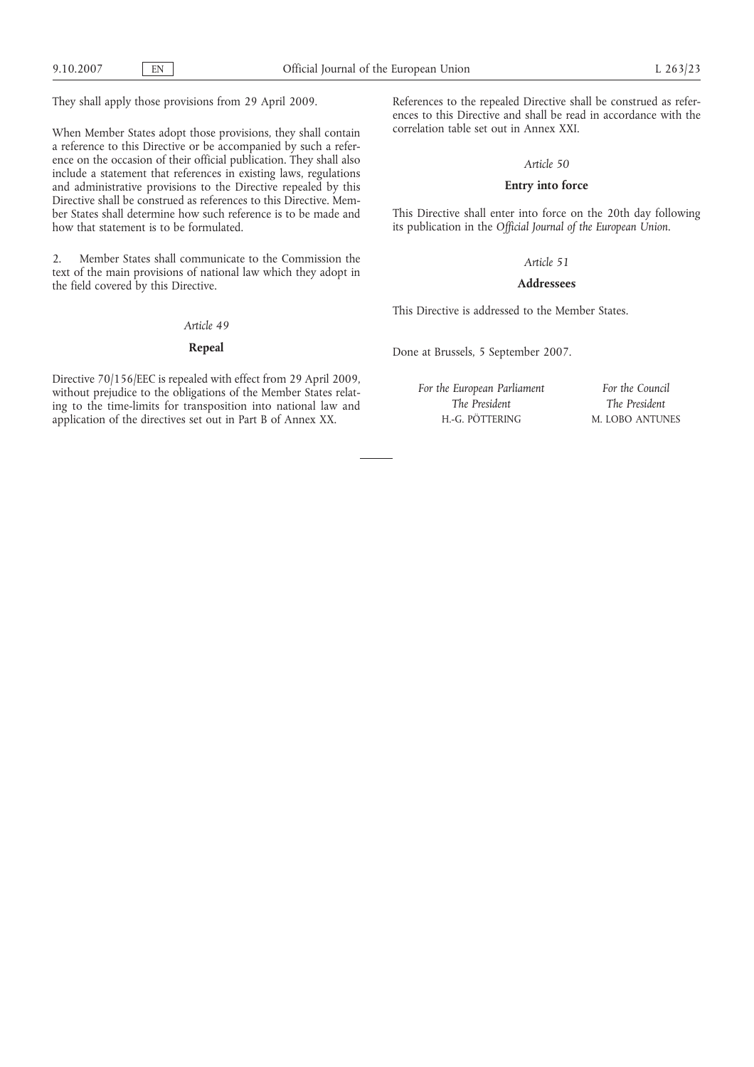They shall apply those provisions from 29 April 2009.

When Member States adopt those provisions, they shall contain a reference to this Directive or be accompanied by such a reference on the occasion of their official publication. They shall also include a statement that references in existing laws, regulations and administrative provisions to the Directive repealed by this Directive shall be construed as references to this Directive. Member States shall determine how such reference is to be made and how that statement is to be formulated.

2. Member States shall communicate to the Commission the text of the main provisions of national law which they adopt in the field covered by this Directive.

## *Article 49*

# **Repeal**

Directive 70/156/EEC is repealed with effect from 29 April 2009, without prejudice to the obligations of the Member States relating to the time-limits for transposition into national law and application of the directives set out in Part B of Annex XX.

References to the repealed Directive shall be construed as references to this Directive and shall be read in accordance with the correlation table set out in Annex XXI.

## *Article 50*

# **Entry into force**

This Directive shall enter into force on the 20th day following its publication in the *Official Journal of the European Union*.

## *Article 51*

## **Addressees**

This Directive is addressed to the Member States.

Done at Brussels, 5 September 2007.

*For the European Parliament The President* H.-G. PÖTTERING

*For the Council The President* M. LOBO ANTUNES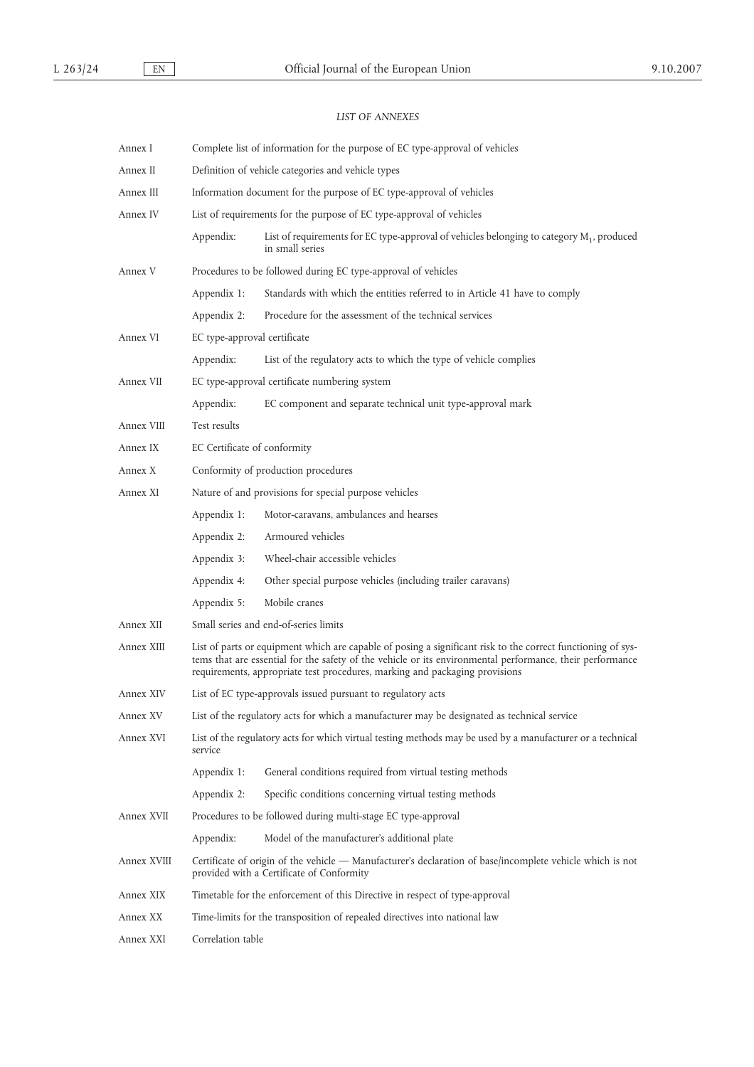# *LIST OF ANNEXES*

| Annex I     | Complete list of information for the purpose of EC type-approval of vehicles |                                                                                                                                                                                                                                                                                                          |  |
|-------------|------------------------------------------------------------------------------|----------------------------------------------------------------------------------------------------------------------------------------------------------------------------------------------------------------------------------------------------------------------------------------------------------|--|
| Annex II    | Definition of vehicle categories and vehicle types                           |                                                                                                                                                                                                                                                                                                          |  |
| Annex III   | Information document for the purpose of EC type-approval of vehicles         |                                                                                                                                                                                                                                                                                                          |  |
| Annex IV    |                                                                              | List of requirements for the purpose of EC type-approval of vehicles                                                                                                                                                                                                                                     |  |
|             | Appendix:                                                                    | List of requirements for EC type-approval of vehicles belonging to category M <sub>1</sub> , produced<br>in small series                                                                                                                                                                                 |  |
| Annex V     |                                                                              | Procedures to be followed during EC type-approval of vehicles                                                                                                                                                                                                                                            |  |
|             | Appendix 1:                                                                  | Standards with which the entities referred to in Article 41 have to comply                                                                                                                                                                                                                               |  |
|             | Appendix 2:                                                                  | Procedure for the assessment of the technical services                                                                                                                                                                                                                                                   |  |
| Annex VI    | EC type-approval certificate                                                 |                                                                                                                                                                                                                                                                                                          |  |
|             | Appendix:                                                                    | List of the regulatory acts to which the type of vehicle complies                                                                                                                                                                                                                                        |  |
| Annex VII   |                                                                              | EC type-approval certificate numbering system                                                                                                                                                                                                                                                            |  |
|             | Appendix:                                                                    | EC component and separate technical unit type-approval mark                                                                                                                                                                                                                                              |  |
| Annex VIII  | Test results                                                                 |                                                                                                                                                                                                                                                                                                          |  |
| Annex IX    | EC Certificate of conformity                                                 |                                                                                                                                                                                                                                                                                                          |  |
| Annex X     |                                                                              | Conformity of production procedures                                                                                                                                                                                                                                                                      |  |
| Annex XI    |                                                                              | Nature of and provisions for special purpose vehicles                                                                                                                                                                                                                                                    |  |
|             | Appendix 1:                                                                  | Motor-caravans, ambulances and hearses                                                                                                                                                                                                                                                                   |  |
|             | Appendix 2:                                                                  | Armoured vehicles                                                                                                                                                                                                                                                                                        |  |
|             | Appendix 3:                                                                  | Wheel-chair accessible vehicles                                                                                                                                                                                                                                                                          |  |
|             | Appendix 4:                                                                  | Other special purpose vehicles (including trailer caravans)                                                                                                                                                                                                                                              |  |
|             | Appendix 5:                                                                  | Mobile cranes                                                                                                                                                                                                                                                                                            |  |
| Annex XII   |                                                                              | Small series and end-of-series limits                                                                                                                                                                                                                                                                    |  |
| Annex XIII  |                                                                              | List of parts or equipment which are capable of posing a significant risk to the correct functioning of sys-<br>tems that are essential for the safety of the vehicle or its environmental performance, their performance<br>requirements, appropriate test procedures, marking and packaging provisions |  |
| Annex XIV   |                                                                              | List of EC type-approvals issued pursuant to regulatory acts                                                                                                                                                                                                                                             |  |
| Annex XV    |                                                                              | List of the regulatory acts for which a manufacturer may be designated as technical service                                                                                                                                                                                                              |  |
| Annex XVI   | service                                                                      | List of the regulatory acts for which virtual testing methods may be used by a manufacturer or a technical                                                                                                                                                                                               |  |
|             | Appendix 1:                                                                  | General conditions required from virtual testing methods                                                                                                                                                                                                                                                 |  |
|             | Appendix 2:                                                                  | Specific conditions concerning virtual testing methods                                                                                                                                                                                                                                                   |  |
| Annex XVII  |                                                                              | Procedures to be followed during multi-stage EC type-approval                                                                                                                                                                                                                                            |  |
|             | Appendix:                                                                    | Model of the manufacturer's additional plate                                                                                                                                                                                                                                                             |  |
| Annex XVIII |                                                                              | Certificate of origin of the vehicle — Manufacturer's declaration of base/incomplete vehicle which is not<br>provided with a Certificate of Conformity                                                                                                                                                   |  |
| Annex XIX   |                                                                              | Timetable for the enforcement of this Directive in respect of type-approval                                                                                                                                                                                                                              |  |
| Annex XX    |                                                                              | Time-limits for the transposition of repealed directives into national law                                                                                                                                                                                                                               |  |
| Annex XXI   | Correlation table                                                            |                                                                                                                                                                                                                                                                                                          |  |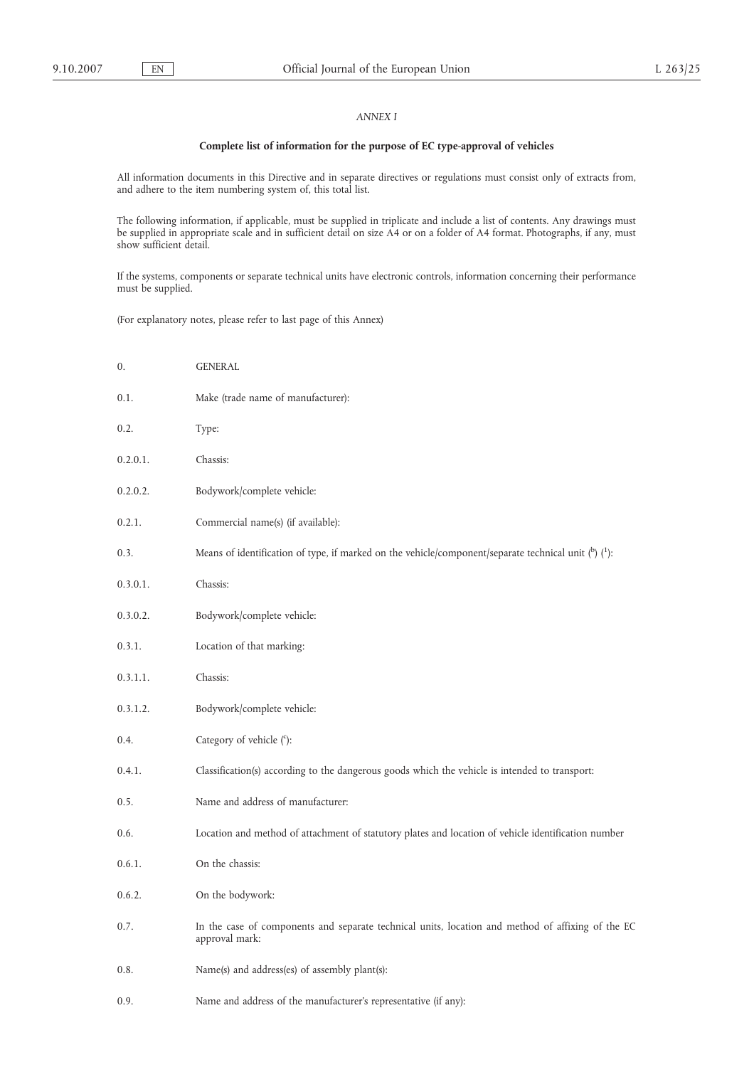## *ANNEX I*

# **Complete list of information for the purpose of EC type-approval of vehicles**

All information documents in this Directive and in separate directives or regulations must consist only of extracts from, and adhere to the item numbering system of, this total list.

The following information, if applicable, must be supplied in triplicate and include a list of contents. Any drawings must be supplied in appropriate scale and in sufficient detail on size A4 or on a folder of A4 format. Photographs, if any, must show sufficient detail.

If the systems, components or separate technical units have electronic controls, information concerning their performance must be supplied.

(For explanatory notes, please refer to last page of this Annex)

| 0.       | <b>GENERAL</b>                                                                                                      |
|----------|---------------------------------------------------------------------------------------------------------------------|
| 0.1.     | Make (trade name of manufacturer):                                                                                  |
| 0.2.     | Type:                                                                                                               |
| 0.2.0.1. | Chassis:                                                                                                            |
| 0.2.0.2. | Bodywork/complete vehicle:                                                                                          |
| 0.2.1.   | Commercial name(s) (if available):                                                                                  |
| 0.3.     | Means of identification of type, if marked on the vehicle/component/separate technical unit $(^{b})$ $(^{1})$ :     |
| 0.3.0.1. | Chassis:                                                                                                            |
| 0.3.0.2. | Bodywork/complete vehicle:                                                                                          |
| 0.3.1.   | Location of that marking:                                                                                           |
| 0.3.1.1. | Chassis:                                                                                                            |
| 0.3.1.2. | Bodywork/complete vehicle:                                                                                          |
| 0.4.     | Category of vehicle (°):                                                                                            |
| 0.4.1.   | Classification(s) according to the dangerous goods which the vehicle is intended to transport:                      |
| 0.5.     | Name and address of manufacturer:                                                                                   |
| 0.6.     | Location and method of attachment of statutory plates and location of vehicle identification number                 |
| 0.6.1.   | On the chassis:                                                                                                     |
| 0.6.2.   | On the bodywork:                                                                                                    |
| 0.7.     | In the case of components and separate technical units, location and method of affixing of the EC<br>approval mark: |
| 0.8.     | Name(s) and address(es) of assembly plant(s):                                                                       |
| 0.9.     | Name and address of the manufacturer's representative (if any):                                                     |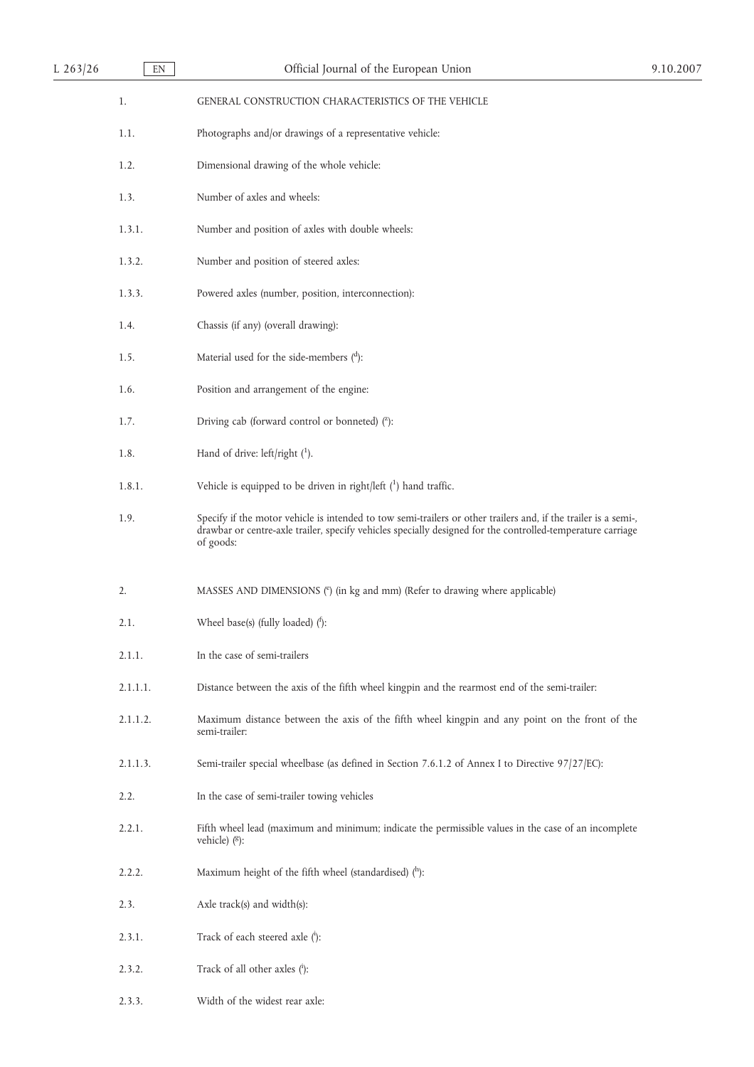| L $263/26$ | EN       | Official Journal of the European Union                                                                                                                                                                                                      | 9.10.2007 |
|------------|----------|---------------------------------------------------------------------------------------------------------------------------------------------------------------------------------------------------------------------------------------------|-----------|
|            | 1.       | GENERAL CONSTRUCTION CHARACTERISTICS OF THE VEHICLE                                                                                                                                                                                         |           |
|            | 1.1.     | Photographs and/or drawings of a representative vehicle:                                                                                                                                                                                    |           |
|            | 1.2.     | Dimensional drawing of the whole vehicle:                                                                                                                                                                                                   |           |
|            | 1.3.     | Number of axles and wheels:                                                                                                                                                                                                                 |           |
|            | 1.3.1.   | Number and position of axles with double wheels:                                                                                                                                                                                            |           |
|            | 1.3.2.   | Number and position of steered axles:                                                                                                                                                                                                       |           |
|            | 1.3.3.   | Powered axles (number, position, interconnection):                                                                                                                                                                                          |           |
|            | 1.4.     | Chassis (if any) (overall drawing):                                                                                                                                                                                                         |           |
|            | 1.5.     | Material used for the side-members $($ <sup>d</sup> ):                                                                                                                                                                                      |           |
|            | 1.6.     | Position and arrangement of the engine:                                                                                                                                                                                                     |           |
|            | 1.7.     | Driving cab (forward control or bonneted) $(2)$ :                                                                                                                                                                                           |           |
|            | 1.8.     | Hand of drive: left/right $(1)$ .                                                                                                                                                                                                           |           |
|            | 1.8.1.   | Vehicle is equipped to be driven in right/left $(1)$ hand traffic.                                                                                                                                                                          |           |
|            | 1.9.     | Specify if the motor vehicle is intended to tow semi-trailers or other trailers and, if the trailer is a semi-,<br>drawbar or centre-axle trailer, specify vehicles specially designed for the controlled-temperature carriage<br>of goods: |           |
|            | 2.       | MASSES AND DIMENSIONS (°) (in kg and mm) (Refer to drawing where applicable)                                                                                                                                                                |           |
|            | 2.1.     | Wheel base(s) (fully loaded) $($ <sup>t</sup> ):                                                                                                                                                                                            |           |
|            | 2.1.1.   | In the case of semi-trailers                                                                                                                                                                                                                |           |
|            | 2.1.1.1. | Distance between the axis of the fifth wheel kingpin and the rearmost end of the semi-trailer:                                                                                                                                              |           |
|            | 2.1.1.2. | Maximum distance between the axis of the fifth wheel kingpin and any point on the front of the<br>semi-trailer:                                                                                                                             |           |
|            | 2.1.1.3. | Semi-trailer special wheelbase (as defined in Section 7.6.1.2 of Annex I to Directive 97/27/EC):                                                                                                                                            |           |
|            | 2.2.     | In the case of semi-trailer towing vehicles                                                                                                                                                                                                 |           |
|            | 2.2.1.   | Fifth wheel lead (maximum and minimum; indicate the permissible values in the case of an incomplete<br>vehicle) $(8)$ :                                                                                                                     |           |
|            | 2.2.2.   | Maximum height of the fifth wheel (standardised) $(^{h})$ :                                                                                                                                                                                 |           |
|            | 2.3.     | Axle track(s) and width(s):                                                                                                                                                                                                                 |           |
|            | 2.3.1.   | Track of each steered axle (i):                                                                                                                                                                                                             |           |
|            | 2.3.2.   | Track of all other axles (i):                                                                                                                                                                                                               |           |

2.3.3. Width of the widest rear axle: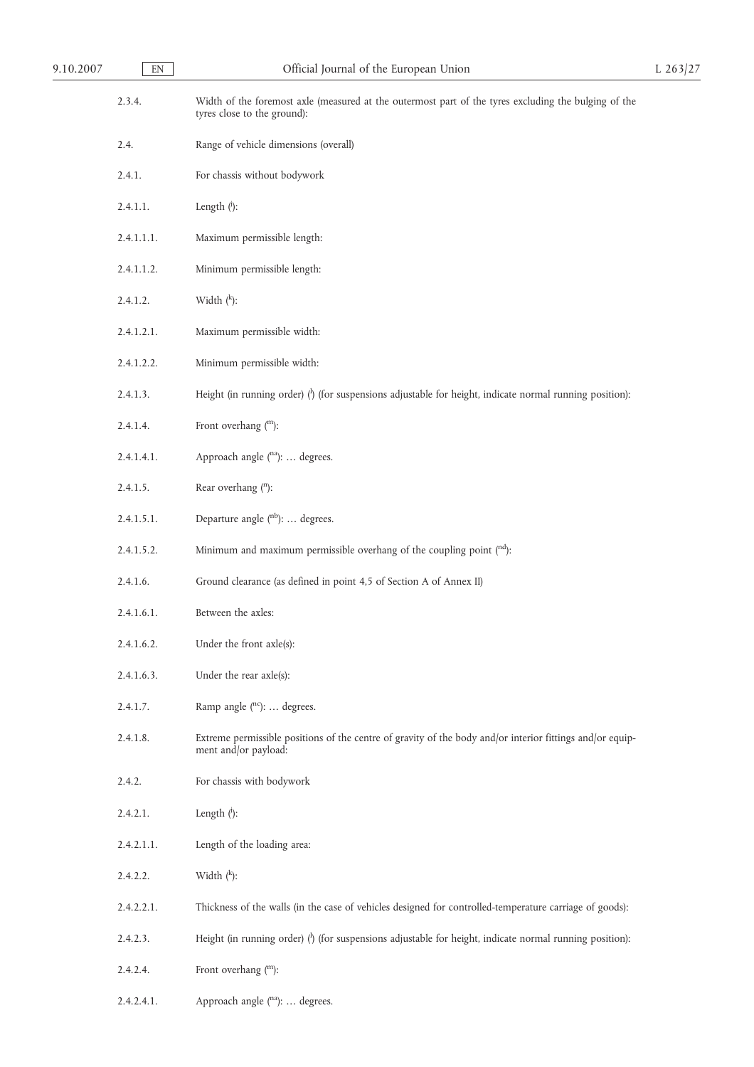| 9.10.2007 | EN         | Official Journal of the European Union                                                                                              | $L$ 263/27 |
|-----------|------------|-------------------------------------------------------------------------------------------------------------------------------------|------------|
|           | 2.3.4.     | Width of the foremost axle (measured at the outermost part of the tyres excluding the bulging of the<br>tyres close to the ground): |            |
|           | 2.4.       | Range of vehicle dimensions (overall)                                                                                               |            |
|           | 2.4.1.     | For chassis without bodywork                                                                                                        |            |
|           | 2.4.1.1.   | Length $(\cdot)$ :                                                                                                                  |            |
|           | 2.4.1.1.1. | Maximum permissible length:                                                                                                         |            |
|           | 2.4.1.1.2. | Minimum permissible length:                                                                                                         |            |
|           | 2.4.1.2.   | Width $(k)$ :                                                                                                                       |            |
|           | 2.4.1.2.1. | Maximum permissible width:                                                                                                          |            |
|           | 2.4.1.2.2. | Minimum permissible width:                                                                                                          |            |
|           | 2.4.1.3.   | Height (in running order) $\langle \cdot \rangle$ (for suspensions adjustable for height, indicate normal running position):        |            |
|           | 2.4.1.4.   | Front overhang (m):                                                                                                                 |            |
|           | 2.4.1.4.1. | Approach angle (na):  degrees.                                                                                                      |            |
|           | 2.4.1.5.   | Rear overhang (n):                                                                                                                  |            |
|           | 2.4.1.5.1. | Departure angle (nb):  degrees.                                                                                                     |            |
|           | 2.4.1.5.2. | Minimum and maximum permissible overhang of the coupling point $(^{nd})$ :                                                          |            |
|           | 2.4.1.6.   | Ground clearance (as defined in point 4,5 of Section A of Annex II)                                                                 |            |
|           | 2.4.1.6.1. | Between the axles:                                                                                                                  |            |
|           | 2.4.1.6.2. | Under the front axle(s):                                                                                                            |            |
|           | 2.4.1.6.3. | Under the rear axle(s):                                                                                                             |            |
|           | 2.4.1.7.   | Ramp angle (nc):  degrees.                                                                                                          |            |
|           | 2.4.1.8.   | Extreme permissible positions of the centre of gravity of the body and/or interior fittings and/or equip-<br>ment and/or payload:   |            |
|           | 2.4.2.     | For chassis with bodywork                                                                                                           |            |
|           | 2.4.2.1.   | Length $(i)$ :                                                                                                                      |            |
|           | 2.4.2.1.1. | Length of the loading area:                                                                                                         |            |
|           | 2.4.2.2.   | Width $(k)$ :                                                                                                                       |            |
|           | 2.4.2.2.1. | Thickness of the walls (in the case of vehicles designed for controlled-temperature carriage of goods):                             |            |
|           | 2.4.2.3.   | Height (in running order) $\langle \cdot \rangle$ (for suspensions adjustable for height, indicate normal running position):        |            |
|           | 2.4.2.4.   | Front overhang (m):                                                                                                                 |            |
|           | 2.4.2.4.1. | Approach angle (na):  degrees.                                                                                                      |            |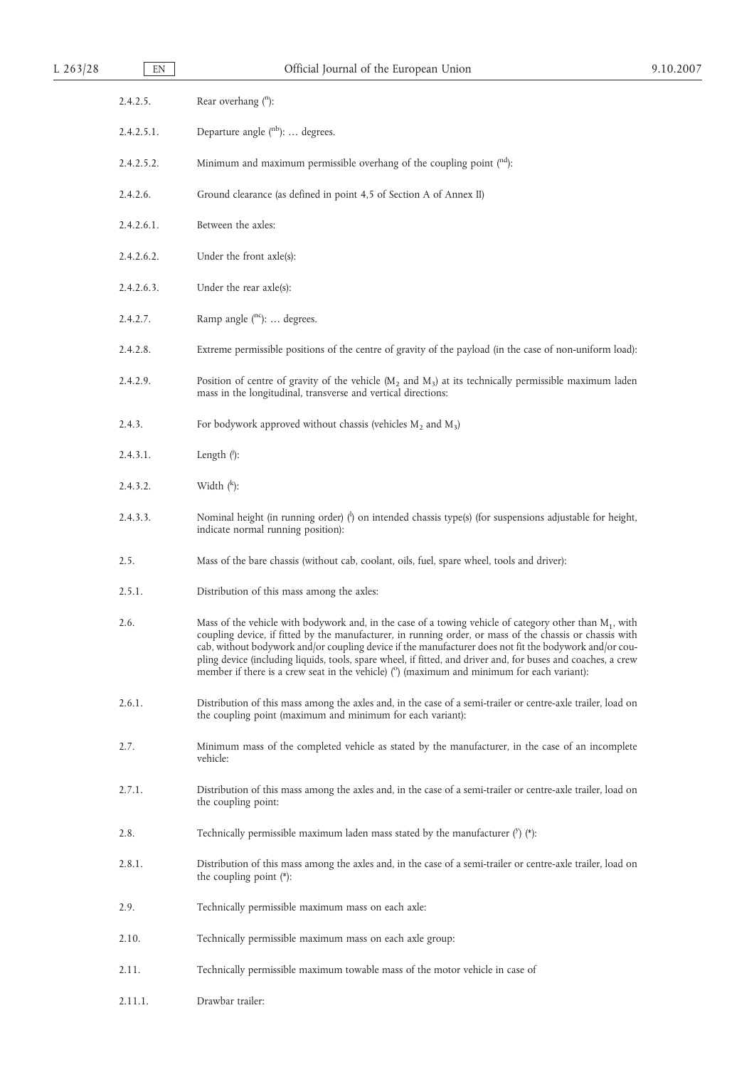| $L$ 263/28 | EN         | Official Journal of the European Union                                                                                                                                                                                                                                                                                                                                                                                                                                                                                                            | 9.10.2007 |
|------------|------------|---------------------------------------------------------------------------------------------------------------------------------------------------------------------------------------------------------------------------------------------------------------------------------------------------------------------------------------------------------------------------------------------------------------------------------------------------------------------------------------------------------------------------------------------------|-----------|
|            | 2.4.2.5.   | Rear overhang (n):                                                                                                                                                                                                                                                                                                                                                                                                                                                                                                                                |           |
|            | 2.4.2.5.1. | Departure angle (nb):  degrees.                                                                                                                                                                                                                                                                                                                                                                                                                                                                                                                   |           |
|            | 2.4.2.5.2. | Minimum and maximum permissible overhang of the coupling point $(nd)$ :                                                                                                                                                                                                                                                                                                                                                                                                                                                                           |           |
|            | 2.4.2.6.   | Ground clearance (as defined in point 4,5 of Section A of Annex II)                                                                                                                                                                                                                                                                                                                                                                                                                                                                               |           |
|            | 2.4.2.6.1. | Between the axles:                                                                                                                                                                                                                                                                                                                                                                                                                                                                                                                                |           |
|            | 2.4.2.6.2. | Under the front axle(s):                                                                                                                                                                                                                                                                                                                                                                                                                                                                                                                          |           |
|            | 2.4.2.6.3. | Under the rear $axle(s)$ :                                                                                                                                                                                                                                                                                                                                                                                                                                                                                                                        |           |
|            | 2.4.2.7.   | Ramp angle (nc):  degrees.                                                                                                                                                                                                                                                                                                                                                                                                                                                                                                                        |           |
|            | 2.4.2.8.   | Extreme permissible positions of the centre of gravity of the payload (in the case of non-uniform load):                                                                                                                                                                                                                                                                                                                                                                                                                                          |           |
|            | 2.4.2.9.   | Position of centre of gravity of the vehicle ( $M_2$ and $M_3$ ) at its technically permissible maximum laden<br>mass in the longitudinal, transverse and vertical directions:                                                                                                                                                                                                                                                                                                                                                                    |           |
|            | 2.4.3.     | For bodywork approved without chassis (vehicles $M_2$ and $M_3$ )                                                                                                                                                                                                                                                                                                                                                                                                                                                                                 |           |
|            | 2.4.3.1.   | Length $($ ):                                                                                                                                                                                                                                                                                                                                                                                                                                                                                                                                     |           |
|            | 2.4.3.2.   | Width $(k)$ :                                                                                                                                                                                                                                                                                                                                                                                                                                                                                                                                     |           |
|            | 2.4.3.3.   | Nominal height (in running order) $\binom{1}{1}$ on intended chassis type(s) (for suspensions adjustable for height,<br>indicate normal running position):                                                                                                                                                                                                                                                                                                                                                                                        |           |
|            | 2.5.       | Mass of the bare chassis (without cab, coolant, oils, fuel, spare wheel, tools and driver):                                                                                                                                                                                                                                                                                                                                                                                                                                                       |           |
|            | 2.5.1.     | Distribution of this mass among the axles:                                                                                                                                                                                                                                                                                                                                                                                                                                                                                                        |           |
|            | 2.6.       | Mass of the vehicle with bodywork and, in the case of a towing vehicle of category other than $M_1$ , with<br>coupling device, if fitted by the manufacturer, in running order, or mass of the chassis or chassis with<br>cab, without bodywork and/or coupling device if the manufacturer does not fit the bodywork and/or cou-<br>pling device (including liquids, tools, spare wheel, if fitted, and driver and, for buses and coaches, a crew<br>member if there is a crew seat in the vehicle) $(°)$ (maximum and minimum for each variant): |           |
|            | 2.6.1.     | Distribution of this mass among the axles and, in the case of a semi-trailer or centre-axle trailer, load on<br>the coupling point (maximum and minimum for each variant):                                                                                                                                                                                                                                                                                                                                                                        |           |
|            | 2.7.       | Minimum mass of the completed vehicle as stated by the manufacturer, in the case of an incomplete<br>vehicle:                                                                                                                                                                                                                                                                                                                                                                                                                                     |           |
|            | 2.7.1.     | Distribution of this mass among the axles and, in the case of a semi-trailer or centre-axle trailer, load on<br>the coupling point:                                                                                                                                                                                                                                                                                                                                                                                                               |           |
|            | 2.8.       | Technically permissible maximum laden mass stated by the manufacturer $('')$ (*):                                                                                                                                                                                                                                                                                                                                                                                                                                                                 |           |
|            | 2.8.1.     | Distribution of this mass among the axles and, in the case of a semi-trailer or centre-axle trailer, load on<br>the coupling point $(*)$ :                                                                                                                                                                                                                                                                                                                                                                                                        |           |
|            | 2.9.       | Technically permissible maximum mass on each axle:                                                                                                                                                                                                                                                                                                                                                                                                                                                                                                |           |
|            | 2.10.      | Technically permissible maximum mass on each axle group:                                                                                                                                                                                                                                                                                                                                                                                                                                                                                          |           |
|            | 2.11.      | Technically permissible maximum towable mass of the motor vehicle in case of                                                                                                                                                                                                                                                                                                                                                                                                                                                                      |           |
|            | 2.11.1.    | Drawbar trailer:                                                                                                                                                                                                                                                                                                                                                                                                                                                                                                                                  |           |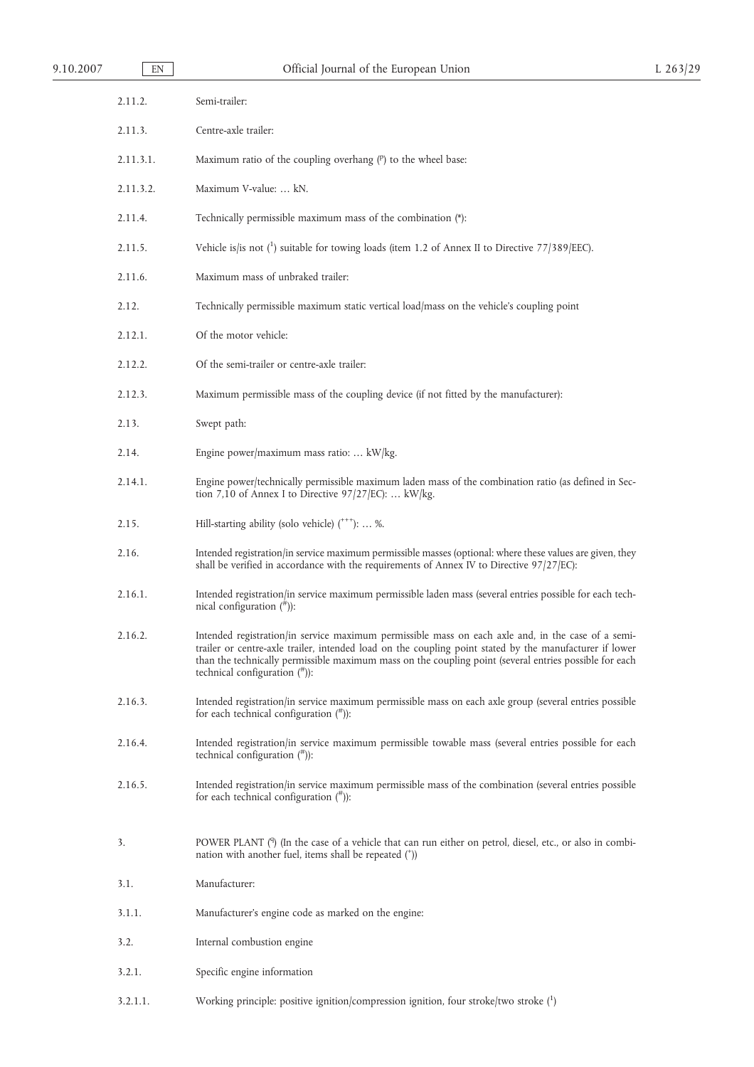| EN        | Official Journal of the European Union                                                                                                                                                                                                                                                                                                                       | L 263/29 |
|-----------|--------------------------------------------------------------------------------------------------------------------------------------------------------------------------------------------------------------------------------------------------------------------------------------------------------------------------------------------------------------|----------|
| 2.11.2.   | Semi-trailer:                                                                                                                                                                                                                                                                                                                                                |          |
| 2.11.3.   | Centre-axle trailer:                                                                                                                                                                                                                                                                                                                                         |          |
| 2.11.3.1. | Maximum ratio of the coupling overhang $(P)$ to the wheel base:                                                                                                                                                                                                                                                                                              |          |
| 2.11.3.2. | Maximum V-value:  kN.                                                                                                                                                                                                                                                                                                                                        |          |
| 2.11.4.   | Technically permissible maximum mass of the combination (*):                                                                                                                                                                                                                                                                                                 |          |
| 2.11.5.   | Vehicle is/is not $\binom{1}{1}$ suitable for towing loads (item 1.2 of Annex II to Directive 77/389/EEC).                                                                                                                                                                                                                                                   |          |
| 2.11.6.   | Maximum mass of unbraked trailer:                                                                                                                                                                                                                                                                                                                            |          |
| 2.12.     | Technically permissible maximum static vertical load/mass on the vehicle's coupling point                                                                                                                                                                                                                                                                    |          |
| 2.12.1.   | Of the motor vehicle:                                                                                                                                                                                                                                                                                                                                        |          |
| 2.12.2.   | Of the semi-trailer or centre-axle trailer:                                                                                                                                                                                                                                                                                                                  |          |
| 2.12.3.   | Maximum permissible mass of the coupling device (if not fitted by the manufacturer):                                                                                                                                                                                                                                                                         |          |
| 2.13.     | Swept path:                                                                                                                                                                                                                                                                                                                                                  |          |
| 2.14.     | Engine power/maximum mass ratio:  kW/kg.                                                                                                                                                                                                                                                                                                                     |          |
| 2.14.1.   | Engine power/technically permissible maximum laden mass of the combination ratio (as defined in Sec-<br>tion 7,10 of Annex I to Directive 97/27/EC):  kW/kg.                                                                                                                                                                                                 |          |
| 2.15.     | Hill-starting ability (solo vehicle) (***):  %.                                                                                                                                                                                                                                                                                                              |          |
| 2.16.     | Intended registration/in service maximum permissible masses (optional: where these values are given, they<br>shall be verified in accordance with the requirements of Annex IV to Directive 97/27/EC):                                                                                                                                                       |          |
| 2.16.1.   | Intended registration/in service maximum permissible laden mass (several entries possible for each tech-<br>nical configuration $($ <sup>#</sup> $))$ :                                                                                                                                                                                                      |          |
| 2.16.2.   | Intended registration/in service maximum permissible mass on each axle and, in the case of a semi-<br>trailer or centre-axle trailer, intended load on the coupling point stated by the manufacturer if lower<br>than the technically permissible maximum mass on the coupling point (several entries possible for each<br>technical configuration $(\pi)$ : |          |
| 2.16.3.   | Intended registration/in service maximum permissible mass on each axle group (several entries possible<br>for each technical configuration $($ <sup><math>#</math></sup> )):                                                                                                                                                                                 |          |
| 2.16.4.   | Intended registration/in service maximum permissible towable mass (several entries possible for each<br>technical configuration $($ <sup>#</sup> $))$ :                                                                                                                                                                                                      |          |
| 2.16.5.   | Intended registration/in service maximum permissible mass of the combination (several entries possible<br>for each technical configuration $($ <sup>#</sup> $)$ :                                                                                                                                                                                            |          |
| 3.        | POWER PLANT (9) (In the case of a vehicle that can run either on petrol, diesel, etc., or also in combi-<br>nation with another fuel, items shall be repeated (*))                                                                                                                                                                                           |          |
| 3.1.      | Manufacturer:                                                                                                                                                                                                                                                                                                                                                |          |
| 3.1.1.    | Manufacturer's engine code as marked on the engine:                                                                                                                                                                                                                                                                                                          |          |
| 3.2.      | Internal combustion engine                                                                                                                                                                                                                                                                                                                                   |          |
| 3.2.1.    | Specific engine information                                                                                                                                                                                                                                                                                                                                  |          |
|           |                                                                                                                                                                                                                                                                                                                                                              |          |

3.2.1.1. Working principle: positive ignition/compression ignition, four stroke/two stroke (<sup>1</sup> )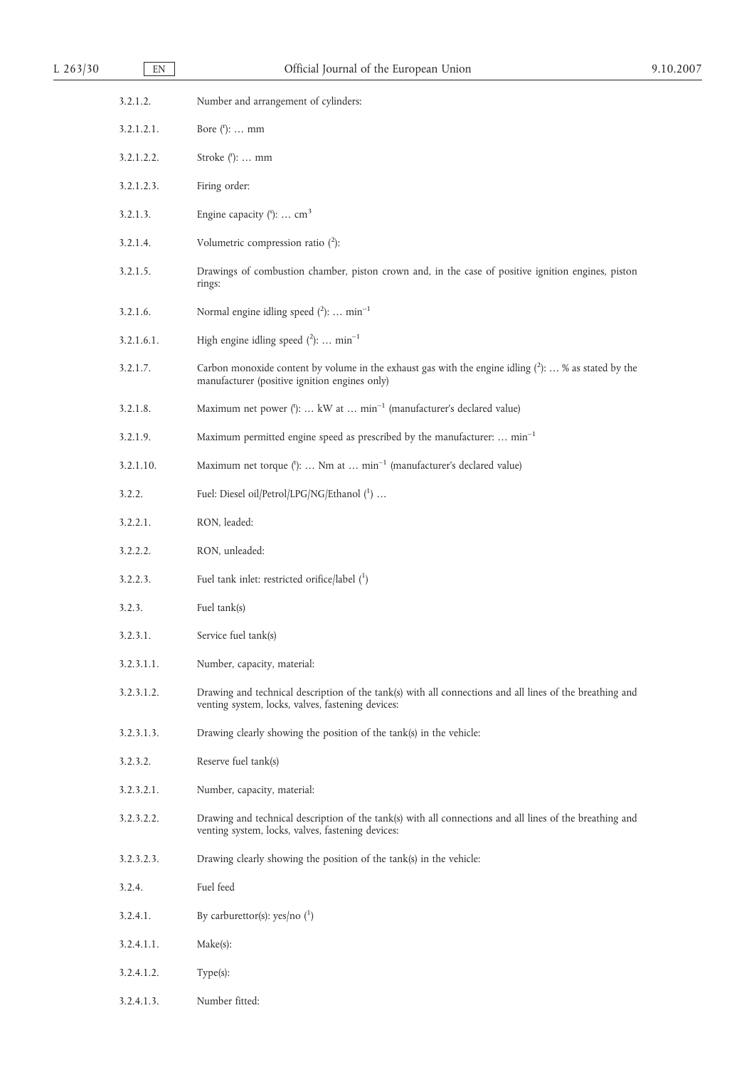| L 263/30 | EN         | Official Journal of the European Union                                                                                                                        | 9.10.2007 |
|----------|------------|---------------------------------------------------------------------------------------------------------------------------------------------------------------|-----------|
|          | 3.2.1.2.   | Number and arrangement of cylinders:                                                                                                                          |           |
|          | 3.2.1.2.1. | Bore $('): \ldots$ mm                                                                                                                                         |           |
|          | 3.2.1.2.2. | Stroke $(')$ :  mm                                                                                                                                            |           |
|          | 3.2.1.2.3. | Firing order:                                                                                                                                                 |           |
|          | 3.2.1.3.   | Engine capacity $(5)$ :  cm <sup>3</sup>                                                                                                                      |           |
|          | 3.2.1.4.   | Volumetric compression ratio $(^{2})$ :                                                                                                                       |           |
|          | 3.2.1.5.   | Drawings of combustion chamber, piston crown and, in the case of positive ignition engines, piston<br>rings:                                                  |           |
|          | 3.2.1.6.   | Normal engine idling speed $(^2)$ :  min <sup>-1</sup>                                                                                                        |           |
|          | 3.2.1.6.1. | High engine idling speed $(^{2})$ :  min <sup>-1</sup>                                                                                                        |           |
|          | 3.2.1.7.   | Carbon monoxide content by volume in the exhaust gas with the engine idling $(^2)$ :  % as stated by the<br>manufacturer (positive ignition engines only)     |           |
|          | 3.2.1.8.   | Maximum net power ('):  kW at  min <sup>-1</sup> (manufacturer's declared value)                                                                              |           |
|          | 3.2.1.9.   | Maximum permitted engine speed as prescribed by the manufacturer:  min <sup>-1</sup>                                                                          |           |
|          | 3.2.1.10.  | Maximum net torque ('):  Nm at  min <sup>-1</sup> (manufacturer's declared value)                                                                             |           |
|          | 3.2.2.     | Fuel: Diesel oil/Petrol/LPG/NG/Ethanol (1)                                                                                                                    |           |
|          | 3.2.2.1.   | RON, leaded:                                                                                                                                                  |           |
|          | 3.2.2.2.   | RON, unleaded:                                                                                                                                                |           |
|          | 3.2.2.3.   | Fuel tank inlet: restricted orifice/label $(1)$                                                                                                               |           |
|          | 3.2.3.     | Fuel tank(s)                                                                                                                                                  |           |
|          | 3.2.3.1.   | Service fuel tank(s)                                                                                                                                          |           |
|          | 3.2.3.1.1. | Number, capacity, material:                                                                                                                                   |           |
|          | 3.2.3.1.2. | Drawing and technical description of the tank(s) with all connections and all lines of the breathing and<br>venting system, locks, valves, fastening devices: |           |
|          | 3.2.3.1.3. | Drawing clearly showing the position of the tank(s) in the vehicle:                                                                                           |           |
|          | 3.2.3.2.   | Reserve fuel tank(s)                                                                                                                                          |           |
|          | 3.2.3.2.1. | Number, capacity, material:                                                                                                                                   |           |
|          | 3.2.3.2.2. | Drawing and technical description of the tank(s) with all connections and all lines of the breathing and<br>venting system, locks, valves, fastening devices: |           |
|          | 3.2.3.2.3. | Drawing clearly showing the position of the tank(s) in the vehicle:                                                                                           |           |
|          | 3.2.4.     | Fuel feed                                                                                                                                                     |           |
|          | 3.2.4.1.   | By carburettor(s): yes/no $(^1)$                                                                                                                              |           |
|          | 3.2.4.1.1. | Make(s):                                                                                                                                                      |           |
|          | 3.2.4.1.2. | $Type(s)$ :                                                                                                                                                   |           |
|          | 3.2.4.1.3. | Number fitted:                                                                                                                                                |           |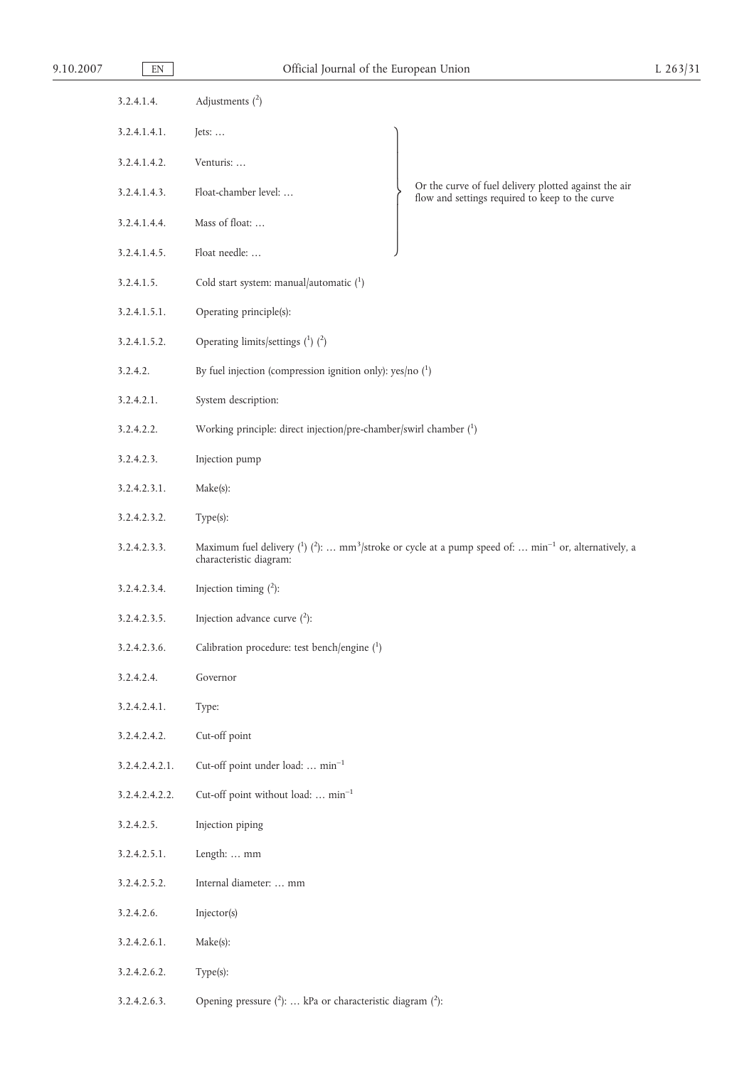| 9.10.2007 | EN           |                   | Official Journal of the European Union | $L$ 263/31 |
|-----------|--------------|-------------------|----------------------------------------|------------|
|           | 3.2.4.1.4.   | Adjustments $(2)$ |                                        |            |
|           | 3.2.4.1.4.1. | Jets: $\dots$     |                                        |            |
|           | 3.2.4.1.4.2. | Venturis:         |                                        |            |

- 3.2.4.1.4.4. Mass of float: … 3.2.4.1.4.5. Float needle: …
- 3.2.4.1.5. Cold start system: manual/automatic  $\binom{1}{1}$
- 3.2.4.1.5.1. Operating principle(s):
- 3.2.4.1.5.2. Operating limits/settings  $(1)$   $(2)$
- 3.2.4.2. By fuel injection (compression ignition only): yes/no (1)
- 3.2.4.2.1. System description:
- 3.2.4.2.2. Working principle: direct injection/pre-chamber/swirl chamber (<sup>1</sup> )
- 3.2.4.2.3. Injection pump
- 3.2.4.2.3.1. Make(s):
- 3.2.4.2.3.2. Type(s):
- 3.2.4.2.3.3. Maximum fuel delivery  $\binom{1}{2}$ : ... mm<sup>3</sup>/stroke or cycle at a pump speed of: ... min<sup>-1</sup> or, alternatively, a characteristic diagram:

 $\overline{\phantom{a}}$ 

 $\int$ 

 $\overline{\phantom{a}}$ 

J

- 3.2.4.2.3.4. Injection timing  $(^{2})$ :
- 3.2.4.2.3.5. Injection advance curve  $(^{2})$ :
- 3.2.4.2.3.6. Calibration procedure: test bench/engine (1)
- 3.2.4.2.4. Governor
- 3.2.4.2.4.1. Type:
- 3.2.4.2.4.2. Cut-off point
- 3.2.4.2.4.2.1. Cut-off point under load: … min–1
- 3.2.4.2.4.2.2. Cut-off point without load: … min–1
- 3.2.4.2.5. Injection piping
- 3.2.4.2.5.1. Length: … mm
- 3.2.4.2.5.2. Internal diameter: … mm
- 3.2.4.2.6. Injector(s)
- 3.2.4.2.6.1. Make(s):
- 3.2.4.2.6.2. Type(s):
- 3.2.4.2.6.3. Opening pressure  $(^2)$ : ... kPa or characteristic diagram  $(^2)$ :

Or the curve of fuel delivery plotted against the air flow and settings required to keep to the curve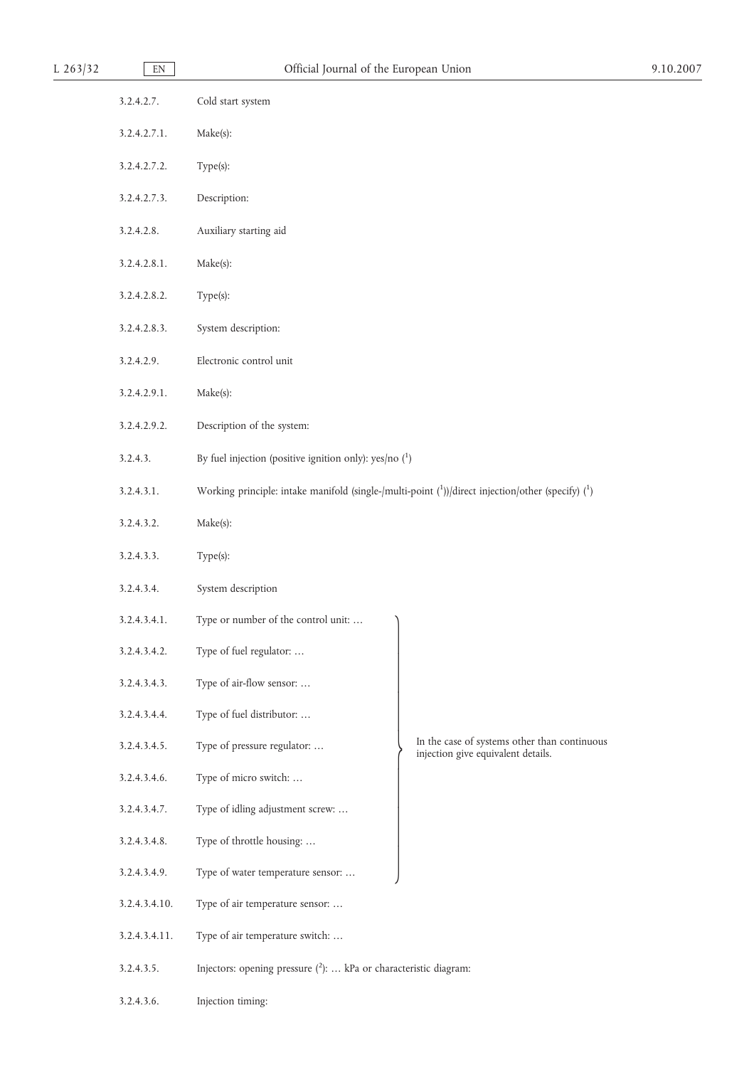| $L$ 263/32 | $\mathop{\rm EN}\nolimits$ | Official Journal of the European Union                                                                                   | 9.10.2007 |
|------------|----------------------------|--------------------------------------------------------------------------------------------------------------------------|-----------|
|            | 3.2.4.2.7.                 | Cold start system                                                                                                        |           |
|            | 3.2.4.2.7.1.               | Make(s):                                                                                                                 |           |
|            | 3.2.4.2.7.2.               | Type(s):                                                                                                                 |           |
|            | 3.2.4.2.7.3.               | Description:                                                                                                             |           |
|            | 3.2.4.2.8.                 | Auxiliary starting aid                                                                                                   |           |
|            | 3.2.4.2.8.1.               | Make(s):                                                                                                                 |           |
|            | 3.2.4.2.8.2.               | Type(s):                                                                                                                 |           |
|            | 3.2.4.2.8.3.               | System description:                                                                                                      |           |
|            | 3.2.4.2.9.                 | Electronic control unit                                                                                                  |           |
|            | 3.2.4.2.9.1.               | Make(s):                                                                                                                 |           |
|            | 3.2.4.2.9.2.               | Description of the system:                                                                                               |           |
|            | 3.2.4.3.                   | By fuel injection (positive ignition only): yes/no $(1)$                                                                 |           |
|            | 3.2.4.3.1.                 | Working principle: intake manifold (single-/multi-point $({}^{1}_{0})$ )/direct injection/other (specify) $({}^{1}_{0})$ |           |
|            | 3.2.4.3.2.                 | Make(s):                                                                                                                 |           |
|            | 3.2.4.3.3.                 | Type(s):                                                                                                                 |           |
|            | 3.2.4.3.4.                 | System description                                                                                                       |           |
|            | 3.2.4.3.4.1.               | Type or number of the control unit:                                                                                      |           |
|            | 3.2.4.3.4.2.               | Type of fuel regulator:                                                                                                  |           |
|            | 3.2.4.3.4.3.               | Type of air-flow sensor:                                                                                                 |           |
|            | 3.2.4.3.4.4.               | Type of fuel distributor:                                                                                                |           |
|            | 3.2.4.3.4.5.               | In the case of systems other than continuous<br>Type of pressure regulator:<br>injection give equivalent details.        |           |
|            | 3.2.4.3.4.6.               | Type of micro switch:                                                                                                    |           |
|            | 3.2.4.3.4.7.               | Type of idling adjustment screw:                                                                                         |           |
|            | 3.2.4.3.4.8.               | Type of throttle housing:                                                                                                |           |
|            | 3.2.4.3.4.9.               | Type of water temperature sensor:                                                                                        |           |
|            | 3.2.4.3.4.10.              | Type of air temperature sensor:                                                                                          |           |
|            | 3.2.4.3.4.11.              | Type of air temperature switch:                                                                                          |           |
|            | 3.2.4.3.5.                 | Injectors: opening pressure $(^{2})$ :  kPa or characteristic diagram:                                                   |           |
|            | 3.2.4.3.6.                 | Injection timing:                                                                                                        |           |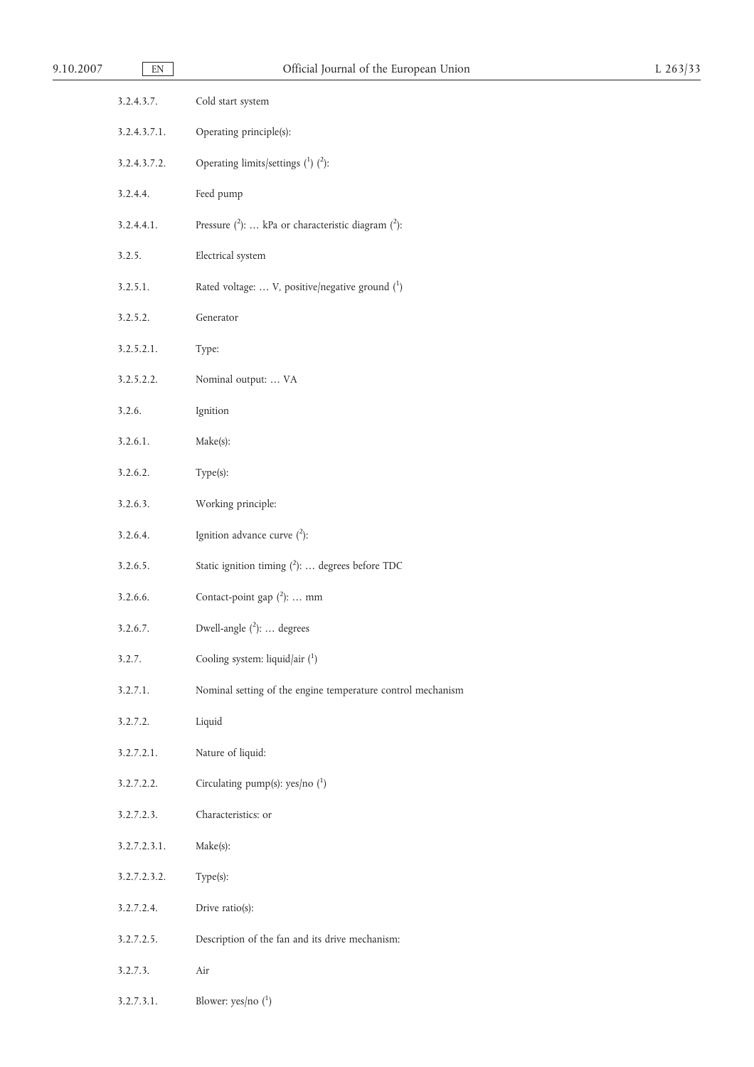| 9.10.2007 | $\mathop{\rm EN}\nolimits$ | Official Journal of the European Union                        | $L$ 263/33 |
|-----------|----------------------------|---------------------------------------------------------------|------------|
|           | 3.2.4.3.7.                 | Cold start system                                             |            |
|           | 3.2.4.3.7.1.               | Operating principle(s):                                       |            |
|           | 3.2.4.3.7.2.               | Operating limits/settings $(^1)$ $(^2)$ :                     |            |
|           | 3.2.4.4.                   | Feed pump                                                     |            |
|           | 3.2.4.4.1.                 | Pressure $(^{2})$ :  kPa or characteristic diagram $(^{2})$ : |            |
|           | 3.2.5.                     | Electrical system                                             |            |
|           | 3.2.5.1.                   | Rated voltage:  V, positive/negative ground (1)               |            |
|           | 3.2.5.2.                   | Generator                                                     |            |
|           | 3.2.5.2.1.                 | Type:                                                         |            |
|           | 3.2.5.2.2.                 | Nominal output:  VA                                           |            |
|           | 3.2.6.                     | Ignition                                                      |            |
|           | 3.2.6.1.                   | Make(s):                                                      |            |
|           | 3.2.6.2.                   | Type(s):                                                      |            |
|           | 3.2.6.3.                   | Working principle:                                            |            |
|           | 3.2.6.4.                   | Ignition advance curve $(^{2})$ :                             |            |
|           | 3.2.6.5.                   | Static ignition timing $(^{2})$ :  degrees before TDC         |            |
|           | 3.2.6.6.                   | Contact-point gap $(^{2})$ :  mm                              |            |
|           | 3.2.6.7.                   | Dwell-angle $(^{2})$ :  degrees                               |            |
|           | 3.2.7.                     | Cooling system: liquid/air (1)                                |            |
|           | 3.2.7.1.                   | Nominal setting of the engine temperature control mechanism   |            |
|           | 3.2.7.2.                   | Liquid                                                        |            |
|           | 3.2.7.2.1.                 | Nature of liquid:                                             |            |
|           | 3.2.7.2.2.                 | Circulating pump(s): $yes/no(^1)$                             |            |
|           | 3.2.7.2.3.                 | Characteristics: or                                           |            |
|           | 3.2.7.2.3.1.               | Make(s):                                                      |            |
|           | 3.2.7.2.3.2.               | Type(s):                                                      |            |
|           | 3.2.7.2.4.                 | Drive ratio(s):                                               |            |
|           | 3.2.7.2.5.                 | Description of the fan and its drive mechanism:               |            |
|           | 3.2.7.3.                   | Air                                                           |            |
|           | 3.2.7.3.1.                 | Blower: yes/no $(^1)$                                         |            |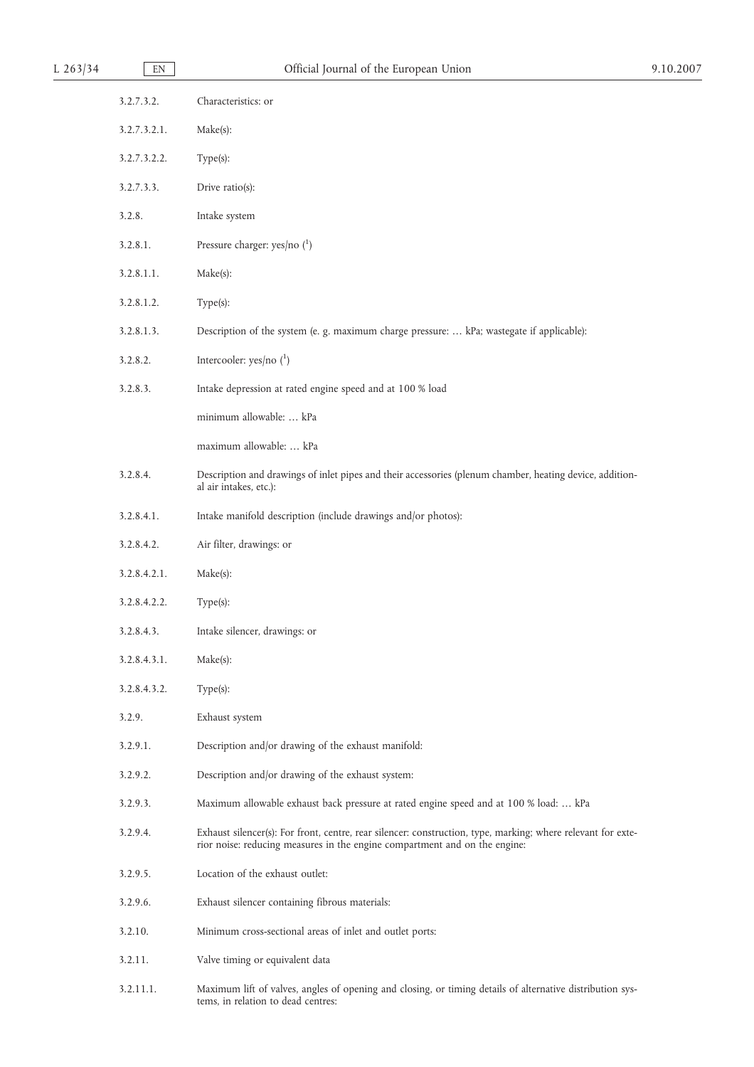| L $263/34$ | EN           | Official Journal of the European Union                                                                                                                                                     | 9.10.2007 |
|------------|--------------|--------------------------------------------------------------------------------------------------------------------------------------------------------------------------------------------|-----------|
|            | 3.2.7.3.2.   | Characteristics: or                                                                                                                                                                        |           |
|            | 3.2.7.3.2.1. | Make(s):                                                                                                                                                                                   |           |
|            | 3.2.7.3.2.2. | Type(s):                                                                                                                                                                                   |           |
|            | 3.2.7.3.3.   | Drive ratio(s):                                                                                                                                                                            |           |
|            | 3.2.8.       | Intake system                                                                                                                                                                              |           |
|            | 3.2.8.1.     | Pressure charger: yes/no $(^1)$                                                                                                                                                            |           |
|            | 3.2.8.1.1.   | Make(s):                                                                                                                                                                                   |           |
|            | 3.2.8.1.2.   | Type(s):                                                                                                                                                                                   |           |
|            | 3.2.8.1.3.   | Description of the system (e. g. maximum charge pressure:  kPa; wastegate if applicable):                                                                                                  |           |
|            | 3.2.8.2.     | Intercooler: yes/no $(^1)$                                                                                                                                                                 |           |
|            | 3.2.8.3.     | Intake depression at rated engine speed and at 100 % load                                                                                                                                  |           |
|            |              | minimum allowable:  kPa                                                                                                                                                                    |           |
|            |              | maximum allowable:  kPa                                                                                                                                                                    |           |
|            | 3.2.8.4.     | Description and drawings of inlet pipes and their accessories (plenum chamber, heating device, addition-<br>al air intakes, etc.):                                                         |           |
|            | 3.2.8.4.1.   | Intake manifold description (include drawings and/or photos):                                                                                                                              |           |
|            | 3.2.8.4.2.   | Air filter, drawings: or                                                                                                                                                                   |           |
|            | 3.2.8.4.2.1. | Make(s):                                                                                                                                                                                   |           |
|            | 3.2.8.4.2.2. | Type(s):                                                                                                                                                                                   |           |
|            | 3.2.8.4.3.   | Intake silencer, drawings: or                                                                                                                                                              |           |
|            | 3.2.8.4.3.1. | Make(s):                                                                                                                                                                                   |           |
|            | 3.2.8.4.3.2. | $Type(s)$ :                                                                                                                                                                                |           |
|            | 3.2.9.       | Exhaust system                                                                                                                                                                             |           |
|            | 3.2.9.1.     | Description and/or drawing of the exhaust manifold:                                                                                                                                        |           |
|            | 3.2.9.2.     | Description and/or drawing of the exhaust system:                                                                                                                                          |           |
|            | 3.2.9.3.     | Maximum allowable exhaust back pressure at rated engine speed and at 100 % load:  kPa                                                                                                      |           |
|            | 3.2.9.4.     | Exhaust silencer(s): For front, centre, rear silencer: construction, type, marking; where relevant for exte-<br>rior noise: reducing measures in the engine compartment and on the engine: |           |
|            | 3.2.9.5.     | Location of the exhaust outlet:                                                                                                                                                            |           |
|            | 3.2.9.6.     | Exhaust silencer containing fibrous materials:                                                                                                                                             |           |
|            | 3.2.10.      | Minimum cross-sectional areas of inlet and outlet ports:                                                                                                                                   |           |
|            | 3.2.11.      | Valve timing or equivalent data                                                                                                                                                            |           |
|            | 3.2.11.1.    | Maximum lift of valves, angles of opening and closing, or timing details of alternative distribution sys-<br>tems, in relation to dead centres:                                            |           |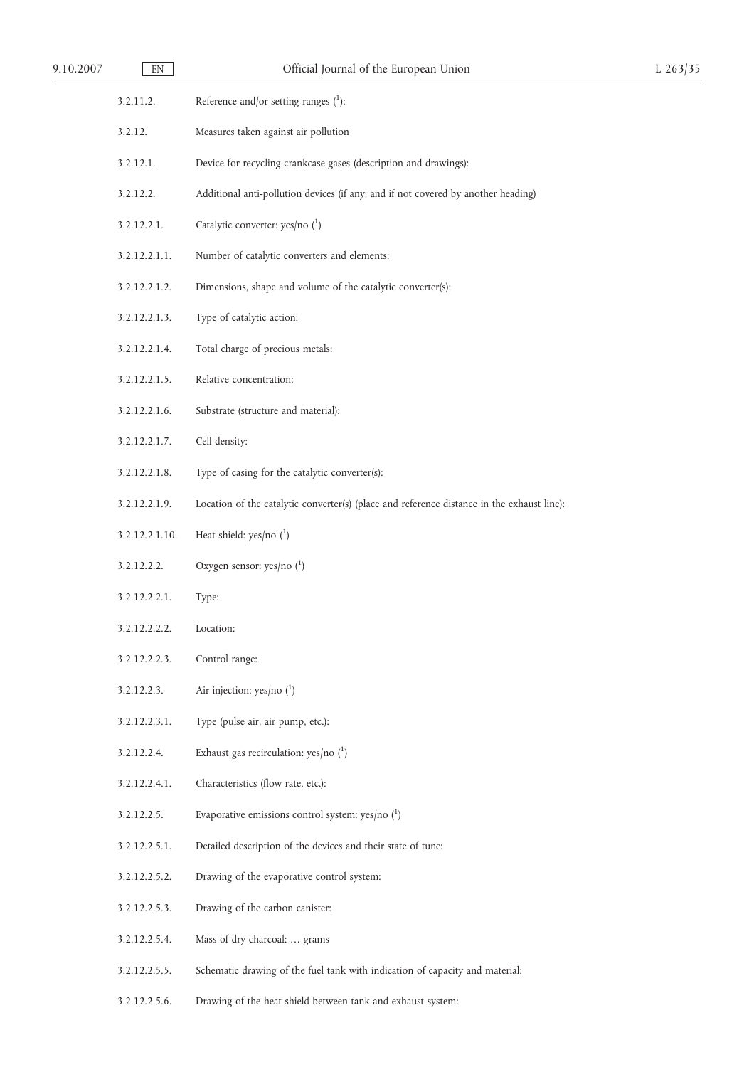| 9.10.2007 | EN             | Official Journal of the European Union                                                     | L $263/35$ |
|-----------|----------------|--------------------------------------------------------------------------------------------|------------|
|           | 3.2.11.2.      | Reference and/or setting ranges $(1)$ :                                                    |            |
|           | 3.2.12.        | Measures taken against air pollution                                                       |            |
|           | 3.2.12.1.      | Device for recycling crankcase gases (description and drawings):                           |            |
|           | 3.2.12.2.      | Additional anti-pollution devices (if any, and if not covered by another heading)          |            |
|           | 3.2.12.2.1.    | Catalytic converter: yes/no $(^1)$                                                         |            |
|           | 3.2.12.2.1.1.  | Number of catalytic converters and elements:                                               |            |
|           | 3.2.12.2.1.2.  | Dimensions, shape and volume of the catalytic converter(s):                                |            |
|           | 3.2.12.2.1.3.  | Type of catalytic action:                                                                  |            |
|           | 3.2.12.2.1.4.  | Total charge of precious metals:                                                           |            |
|           | 3.2.12.2.1.5.  | Relative concentration:                                                                    |            |
|           | 3.2.12.2.1.6.  | Substrate (structure and material):                                                        |            |
|           | 3.2.12.2.1.7.  | Cell density:                                                                              |            |
|           | 3.2.12.2.1.8.  | Type of casing for the catalytic converter(s):                                             |            |
|           | 3.2.12.2.1.9.  | Location of the catalytic converter(s) (place and reference distance in the exhaust line): |            |
|           | 3.2.12.2.1.10. | Heat shield: $yes/no(^1)$                                                                  |            |
|           | 3.2.12.2.2.    | Oxygen sensor: yes/no $(^1)$                                                               |            |
|           | 3.2.12.2.2.1.  | Type:                                                                                      |            |
|           | 3.2.12.2.2.2.  | Location:                                                                                  |            |
|           | 3.2.12.2.2.3.  | Control range:                                                                             |            |
|           | 3.2.12.2.3.    | Air injection: yes/no $(^1)$                                                               |            |
|           | 3.2.12.2.3.1.  | Type (pulse air, air pump, etc.):                                                          |            |
|           | 3.2.12.2.4.    | Exhaust gas recirculation: yes/no $(^1)$                                                   |            |
|           | 3.2.12.2.4.1.  | Characteristics (flow rate, etc.):                                                         |            |
|           | 3.2.12.2.5.    | Evaporative emissions control system: yes/no $(^1)$                                        |            |
|           | 3.2.12.2.5.1.  | Detailed description of the devices and their state of tune:                               |            |
|           | 3.2.12.2.5.2.  | Drawing of the evaporative control system:                                                 |            |
|           | 3.2.12.2.5.3.  | Drawing of the carbon canister:                                                            |            |
|           | 3.2.12.2.5.4.  | Mass of dry charcoal:  grams                                                               |            |
|           | 3.2.12.2.5.5.  | Schematic drawing of the fuel tank with indication of capacity and material:               |            |
|           | 3.2.12.2.5.6.  | Drawing of the heat shield between tank and exhaust system:                                |            |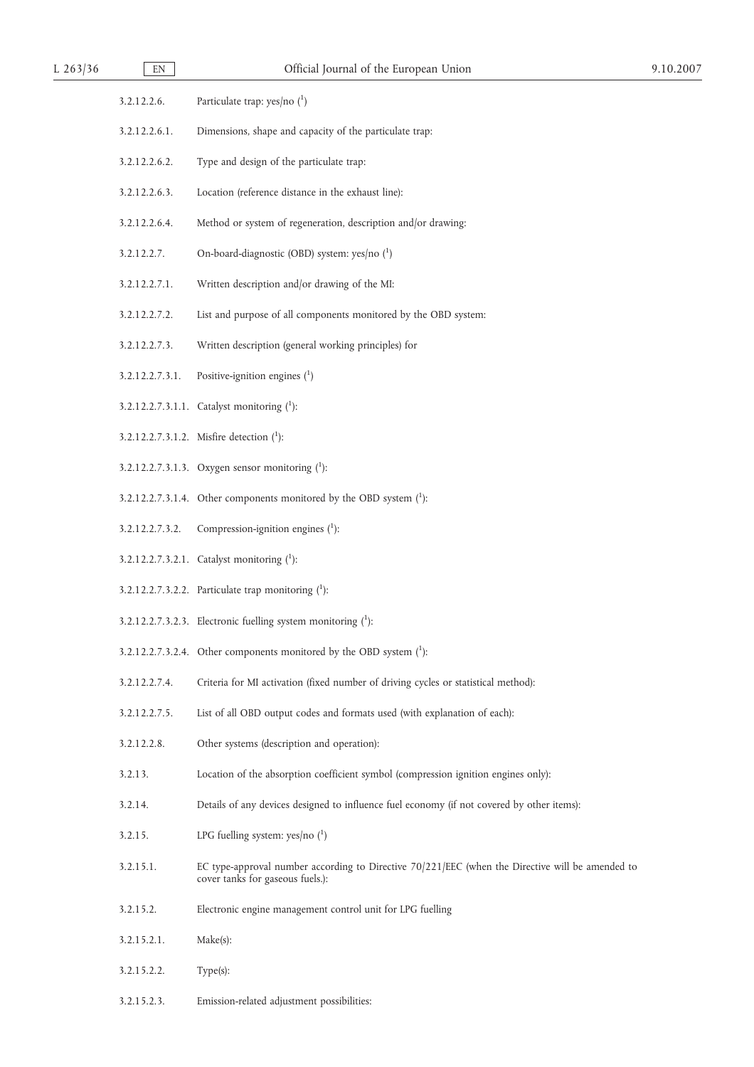| $L$ 263/36 | $\mathop{\rm EN}\nolimits$ | Official Journal of the European Union                                                                                               | 9.10.2007 |
|------------|----------------------------|--------------------------------------------------------------------------------------------------------------------------------------|-----------|
|            | 3.2.12.2.6.                | Particulate trap: yes/no $(^1)$                                                                                                      |           |
|            | 3.2.12.2.6.1.              | Dimensions, shape and capacity of the particulate trap:                                                                              |           |
|            | 3.2.12.2.6.2.              | Type and design of the particulate trap:                                                                                             |           |
|            | 3.2.12.2.6.3.              | Location (reference distance in the exhaust line):                                                                                   |           |
|            | 3.2.12.2.6.4.              | Method or system of regeneration, description and/or drawing:                                                                        |           |
|            | 3.2.12.2.7.                | On-board-diagnostic (OBD) system: yes/no (1)                                                                                         |           |
|            | 3.2.12.2.7.1.              | Written description and/or drawing of the MI:                                                                                        |           |
|            | 3.2.12.2.7.2.              | List and purpose of all components monitored by the OBD system:                                                                      |           |
|            | 3.2.12.2.7.3.              | Written description (general working principles) for                                                                                 |           |
|            | 3.2.12.2.7.3.1.            | Positive-ignition engines $(1)$                                                                                                      |           |
|            |                            | 3.2.12.2.7.3.1.1. Catalyst monitoring $(1)$ :                                                                                        |           |
|            |                            | 3.2.12.2.7.3.1.2. Misfire detection $(^{1})$ :                                                                                       |           |
|            |                            | 3.2.12.2.7.3.1.3. Oxygen sensor monitoring $(1)$ :                                                                                   |           |
|            |                            | 3.2.12.2.7.3.1.4. Other components monitored by the OBD system $(^1)$ :                                                              |           |
|            | 3.2.12.2.7.3.2.            | Compression-ignition engines $(1)$ :                                                                                                 |           |
|            |                            | 3.2.12.2.7.3.2.1. Catalyst monitoring $(1)$ :                                                                                        |           |
|            |                            | 3.2.12.2.7.3.2.2. Particulate trap monitoring $(1)$ :                                                                                |           |
|            |                            | 3.2.12.2.7.3.2.3. Electronic fuelling system monitoring $(^1)$ :                                                                     |           |
|            |                            | 3.2.12.2.7.3.2.4. Other components monitored by the OBD system $(^1)$ :                                                              |           |
|            | 3.2.12.2.7.4.              | Criteria for MI activation (fixed number of driving cycles or statistical method):                                                   |           |
|            | 3.2.12.2.7.5.              | List of all OBD output codes and formats used (with explanation of each):                                                            |           |
|            | 3.2.12.2.8.                | Other systems (description and operation):                                                                                           |           |
|            | 3.2.13.                    | Location of the absorption coefficient symbol (compression ignition engines only):                                                   |           |
|            | 3.2.14.                    | Details of any devices designed to influence fuel economy (if not covered by other items):                                           |           |
|            | 3.2.15.                    | LPG fuelling system: yes/no $(^1)$                                                                                                   |           |
|            | 3.2.15.1.                  | EC type-approval number according to Directive 70/221/EEC (when the Directive will be amended to<br>cover tanks for gaseous fuels.): |           |
|            | 3.2.15.2.                  | Electronic engine management control unit for LPG fuelling                                                                           |           |
|            | 3.2.15.2.1.                | Make(s):                                                                                                                             |           |
|            | 3.2.15.2.2.                | Type(s):                                                                                                                             |           |
|            | 3.2.15.2.3.                | Emission-related adjustment possibilities:                                                                                           |           |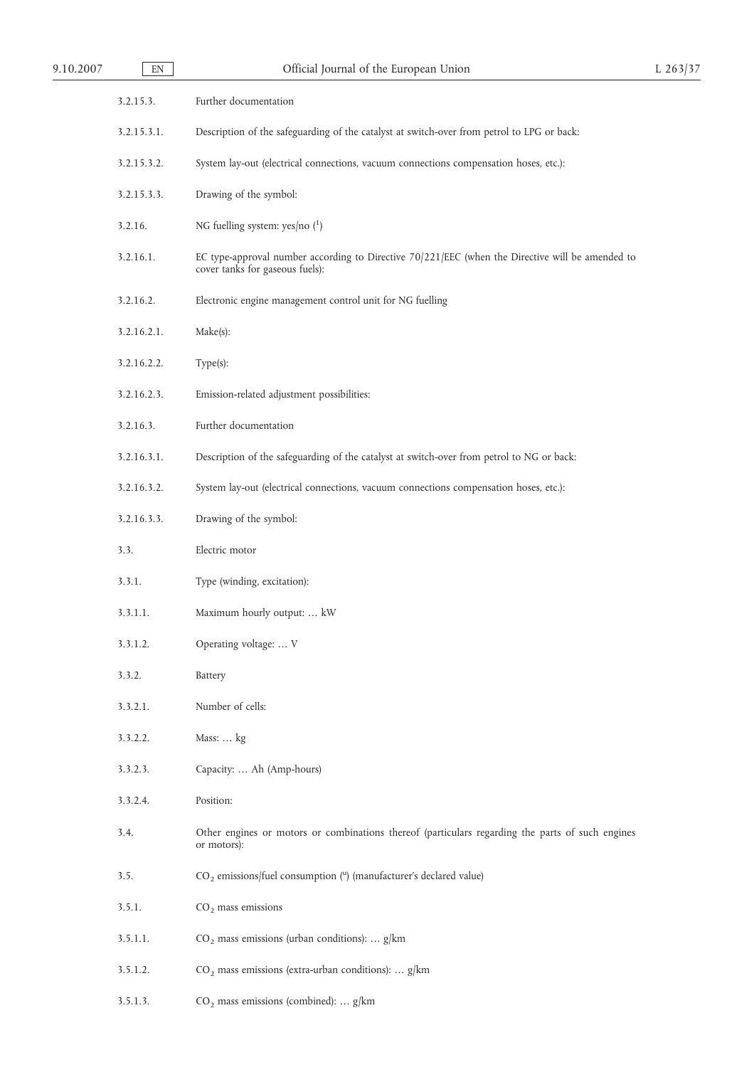| 9.10.2007 | $\mathop{\rm EN}\nolimits$ | Official Journal of the European Union                                                                                              | L $263/37$ |
|-----------|----------------------------|-------------------------------------------------------------------------------------------------------------------------------------|------------|
|           | 3.2.15.3.                  | Further documentation                                                                                                               |            |
|           | 3.2.15.3.1.                | Description of the safeguarding of the catalyst at switch-over from petrol to LPG or back:                                          |            |
|           | 3.2.15.3.2.                | System lay-out (electrical connections, vacuum connections compensation hoses, etc.):                                               |            |
|           | 3.2.15.3.3.                | Drawing of the symbol:                                                                                                              |            |
|           | 3.2.16.                    | NG fuelling system: yes/no $(^1)$                                                                                                   |            |
|           | 3.2.16.1.                  | EC type-approval number according to Directive 70/221/EEC (when the Directive will be amended to<br>cover tanks for gaseous fuels): |            |
|           | 3.2.16.2.                  | Electronic engine management control unit for NG fuelling                                                                           |            |
|           | 3.2.16.2.1.                | Make(s):                                                                                                                            |            |
|           | 3.2.16.2.2.                | Type(s):                                                                                                                            |            |
|           | 3.2.16.2.3.                | Emission-related adjustment possibilities:                                                                                          |            |
|           | 3.2.16.3.                  | Further documentation                                                                                                               |            |
|           | 3.2.16.3.1.                | Description of the safeguarding of the catalyst at switch-over from petrol to NG or back:                                           |            |
|           | 3.2.16.3.2.                | System lay-out (electrical connections, vacuum connections compensation hoses, etc.):                                               |            |
|           | 3.2.16.3.3.                | Drawing of the symbol:                                                                                                              |            |
|           | 3.3.                       | Electric motor                                                                                                                      |            |
|           | 3.3.1.                     | Type (winding, excitation):                                                                                                         |            |
|           | 3.3.1.1.                   | Maximum hourly output:  kW                                                                                                          |            |
|           | 3.3.1.2.                   | Operating voltage:  V                                                                                                               |            |
|           | 3.3.2.                     | Battery                                                                                                                             |            |
|           | 3.3.2.1.                   | Number of cells:                                                                                                                    |            |
|           | 3.3.2.2.                   | Mass:  kg                                                                                                                           |            |
|           | 3.3.2.3.                   | Capacity:  Ah (Amp-hours)                                                                                                           |            |
|           | 3.3.2.4.                   | Position:                                                                                                                           |            |
|           | 3.4.                       | Other engines or motors or combinations thereof (particulars regarding the parts of such engines<br>or motors):                     |            |
|           | 3.5.                       | CO <sub>2</sub> emissions/fuel consumption (") (manufacturer's declared value)                                                      |            |
|           | 3.5.1.                     | $CO2$ mass emissions                                                                                                                |            |
|           | 3.5.1.1.                   | $CO2$ mass emissions (urban conditions):  g/km                                                                                      |            |
|           | 3.5.1.2.                   | $CO2$ mass emissions (extra-urban conditions):  g/km                                                                                |            |
|           | 3.5.1.3.                   | $CO2$ mass emissions (combined):  g/km                                                                                              |            |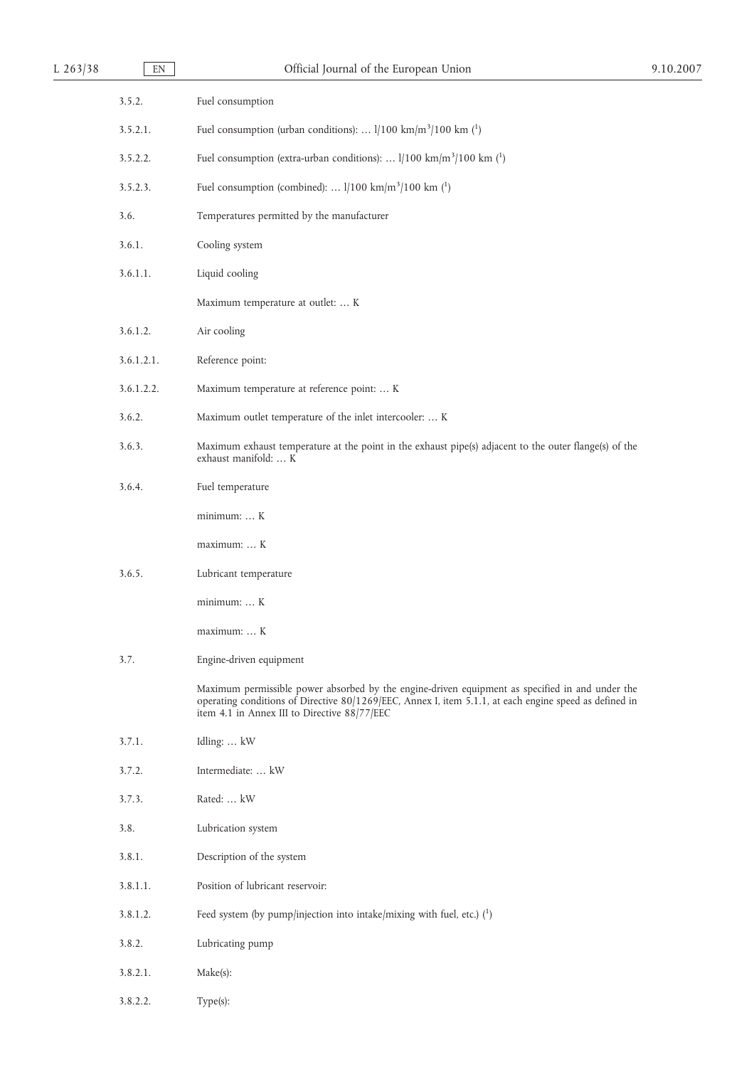| L $263/38$ | $\mathop{\rm EN}\nolimits$ | Official Journal of the European Union                                                                                                                                                                                                                    | 9.10.2007 |
|------------|----------------------------|-----------------------------------------------------------------------------------------------------------------------------------------------------------------------------------------------------------------------------------------------------------|-----------|
|            | 3.5.2.                     | Fuel consumption                                                                                                                                                                                                                                          |           |
|            | 3.5.2.1.                   | Fuel consumption (urban conditions): $1/100 \text{ km/m}^3/100 \text{ km}$ ( <sup>1</sup> )                                                                                                                                                               |           |
|            | 3.5.2.2.                   | Fuel consumption (extra-urban conditions): $1/100 \text{ km/m}^3/100 \text{ km}$ ( <sup>1</sup> )                                                                                                                                                         |           |
|            | 3.5.2.3.                   | Fuel consumption (combined): $1/100 \text{ km/m}^3/100 \text{ km}$ ( <sup>1</sup> )                                                                                                                                                                       |           |
|            | 3.6.                       | Temperatures permitted by the manufacturer                                                                                                                                                                                                                |           |
|            | 3.6.1.                     | Cooling system                                                                                                                                                                                                                                            |           |
|            | 3.6.1.1.                   | Liquid cooling                                                                                                                                                                                                                                            |           |
|            |                            | Maximum temperature at outlet:  K                                                                                                                                                                                                                         |           |
|            | 3.6.1.2.                   | Air cooling                                                                                                                                                                                                                                               |           |
|            | 3.6.1.2.1.                 | Reference point:                                                                                                                                                                                                                                          |           |
|            | 3.6.1.2.2.                 | Maximum temperature at reference point:  K                                                                                                                                                                                                                |           |
|            | 3.6.2.                     | Maximum outlet temperature of the inlet intercooler:  K                                                                                                                                                                                                   |           |
|            | 3.6.3.                     | Maximum exhaust temperature at the point in the exhaust pipe(s) adjacent to the outer flange(s) of the<br>exhaust manifold:  K                                                                                                                            |           |
|            | 3.6.4.                     | Fuel temperature                                                                                                                                                                                                                                          |           |
|            |                            | minimum:  K                                                                                                                                                                                                                                               |           |
|            |                            | maximum:  K                                                                                                                                                                                                                                               |           |
|            | 3.6.5.                     | Lubricant temperature                                                                                                                                                                                                                                     |           |
|            |                            | minimum:  K                                                                                                                                                                                                                                               |           |
|            |                            | maximum:  K                                                                                                                                                                                                                                               |           |
|            | 3.7.                       | Engine-driven equipment                                                                                                                                                                                                                                   |           |
|            |                            | Maximum permissible power absorbed by the engine-driven equipment as specified in and under the<br>operating conditions of Directive 80/1269/EEC, Annex I, item 5.1.1, at each engine speed as defined in<br>item 4.1 in Annex III to Directive 88/77/EEC |           |
|            | 3.7.1.                     | Idling:  kW                                                                                                                                                                                                                                               |           |
|            | 3.7.2.                     | Intermediate:  kW                                                                                                                                                                                                                                         |           |
|            | 3.7.3.                     | Rated:  kW                                                                                                                                                                                                                                                |           |
|            | 3.8.                       | Lubrication system                                                                                                                                                                                                                                        |           |
|            | 3.8.1.                     | Description of the system                                                                                                                                                                                                                                 |           |
|            | 3.8.1.1.                   | Position of lubricant reservoir:                                                                                                                                                                                                                          |           |
|            | 3.8.1.2.                   | Feed system (by pump/injection into intake/mixing with fuel, etc.) $\binom{1}{1}$                                                                                                                                                                         |           |
|            | 3.8.2.                     | Lubricating pump                                                                                                                                                                                                                                          |           |
|            | 3.8.2.1.                   | Make(s):                                                                                                                                                                                                                                                  |           |
|            | 3.8.2.2.                   | Type(s):                                                                                                                                                                                                                                                  |           |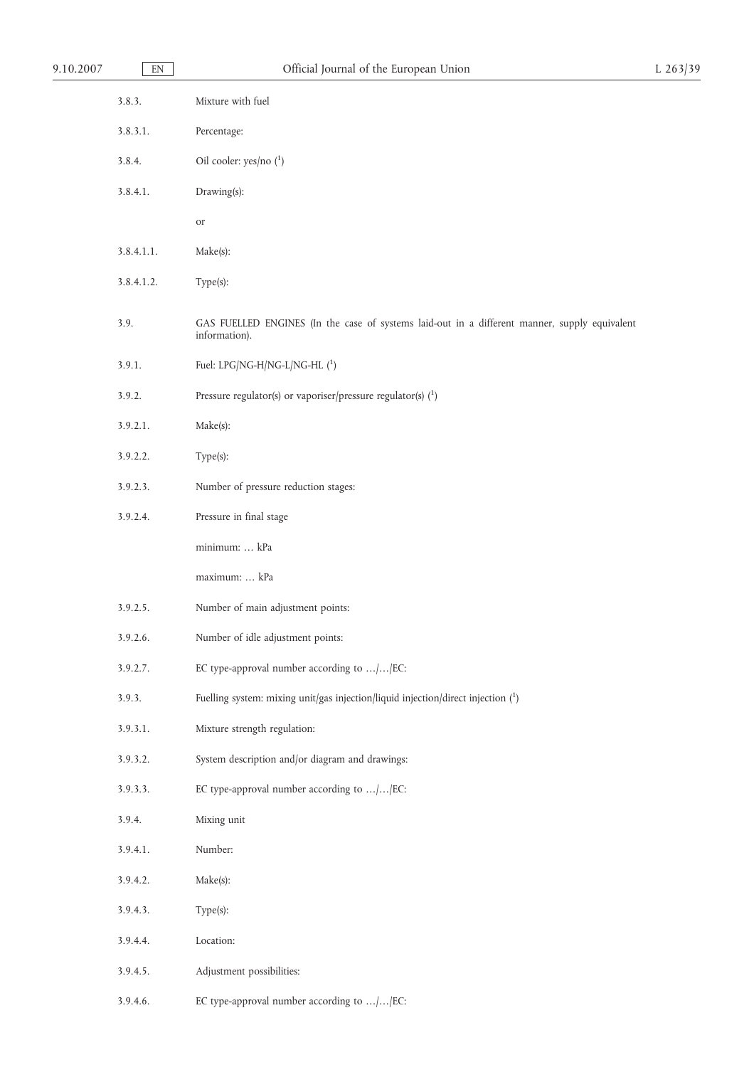| 9.10.2007 | $\mathop{\rm EN}\nolimits$ | Official Journal of the European Union                                                                         | $L$ 263/39 |
|-----------|----------------------------|----------------------------------------------------------------------------------------------------------------|------------|
|           | 3.8.3.                     | Mixture with fuel                                                                                              |            |
|           | 3.8.3.1.                   | Percentage:                                                                                                    |            |
|           | 3.8.4.                     | Oil cooler: yes/no $(^1)$                                                                                      |            |
|           | 3.8.4.1.                   | Drawing(s):                                                                                                    |            |
|           |                            | <b>or</b>                                                                                                      |            |
|           | 3.8.4.1.1.                 | Make(s):                                                                                                       |            |
|           | 3.8.4.1.2.                 | Type(s):                                                                                                       |            |
|           | 3.9.                       | GAS FUELLED ENGINES (In the case of systems laid-out in a different manner, supply equivalent<br>information). |            |
|           | 3.9.1.                     | Fuel: LPG/NG-H/NG-L/NG-HL $(^1)$                                                                               |            |
|           | 3.9.2.                     | Pressure regulator(s) or vaporiser/pressure regulator(s) $(1)$                                                 |            |
|           | 3.9.2.1.                   | Make(s):                                                                                                       |            |
|           | 3.9.2.2.                   | Type(s):                                                                                                       |            |
|           | 3.9.2.3.                   | Number of pressure reduction stages:                                                                           |            |
|           | 3.9.2.4.                   | Pressure in final stage                                                                                        |            |
|           |                            | minimum:  kPa                                                                                                  |            |
|           |                            | maximum:  kPa                                                                                                  |            |
|           | 3.9.2.5.                   | Number of main adjustment points:                                                                              |            |
|           | 3.9.2.6.                   | Number of idle adjustment points:                                                                              |            |
|           | 3.9.2.7.                   | EC type-approval number according to //EC:                                                                     |            |
|           | 3.9.3.                     | Fuelling system: mixing unit/gas injection/liquid injection/direct injection $(^1)$                            |            |
|           | 3.9.3.1.                   | Mixture strength regulation:                                                                                   |            |
|           | 3.9.3.2.                   | System description and/or diagram and drawings:                                                                |            |
|           | 3.9.3.3.                   | EC type-approval number according to //EC:                                                                     |            |
|           | 3.9.4.                     | Mixing unit                                                                                                    |            |
|           | 3.9.4.1.                   | Number:                                                                                                        |            |
|           | 3.9.4.2.                   | Make(s):                                                                                                       |            |
|           | 3.9.4.3.                   | Type(s):                                                                                                       |            |
|           | 3.9.4.4.                   | Location:                                                                                                      |            |
|           | 3.9.4.5.                   | Adjustment possibilities:                                                                                      |            |
|           | 3.9.4.6.                   | EC type-approval number according to //EC:                                                                     |            |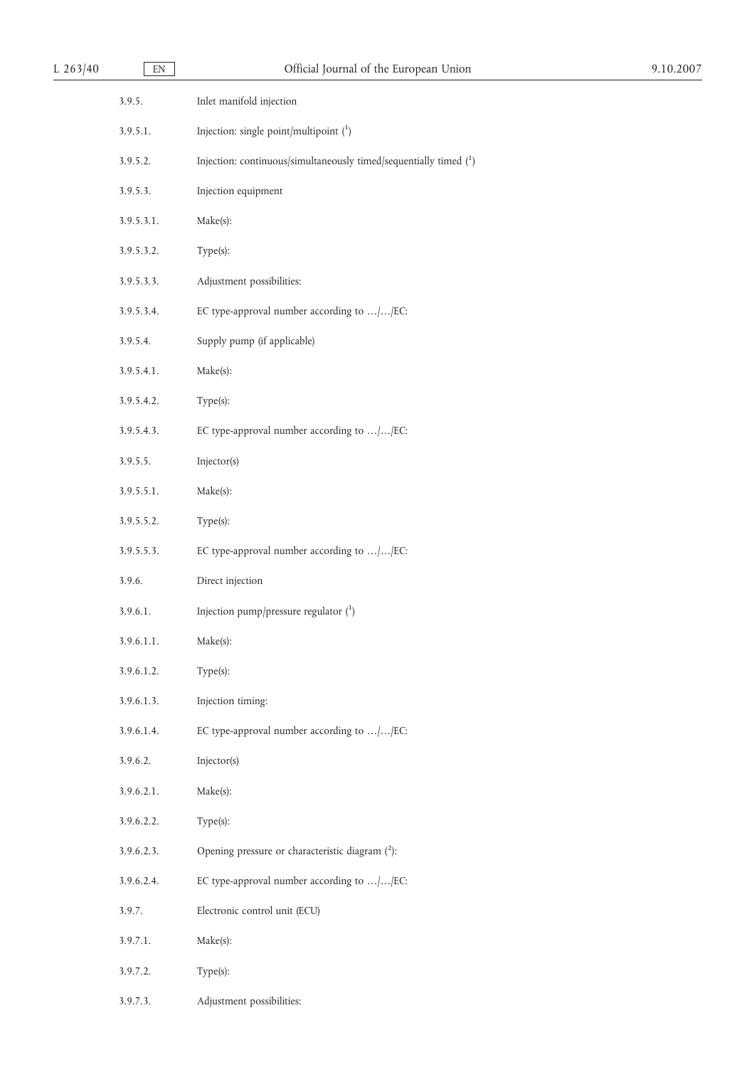| L 263/40 | EN         | Official Journal of the European Union                              | 9.10.2007 |
|----------|------------|---------------------------------------------------------------------|-----------|
|          | 3.9.5.     | Inlet manifold injection                                            |           |
|          | 3.9.5.1.   | Injection: single point/multipoint $(^1)$                           |           |
|          | 3.9.5.2.   | Injection: continuous/simultaneously timed/sequentially timed $(1)$ |           |
|          | 3.9.5.3.   | Injection equipment                                                 |           |
|          | 3.9.5.3.1. | Make(s):                                                            |           |
|          | 3.9.5.3.2. | Type(s):                                                            |           |
|          | 3.9.5.3.3. | Adjustment possibilities:                                           |           |
|          | 3.9.5.3.4. | EC type-approval number according to //EC:                          |           |
|          | 3.9.5.4.   | Supply pump (if applicable)                                         |           |
|          | 3.9.5.4.1. | Make(s):                                                            |           |
|          | 3.9.5.4.2. | Type(s):                                                            |           |
|          | 3.9.5.4.3. | EC type-approval number according to //EC:                          |           |
|          | 3.9.5.5.   | Injector(s)                                                         |           |
|          | 3.9.5.5.1. | Make(s):                                                            |           |
|          | 3.9.5.5.2. | Type(s):                                                            |           |
|          | 3.9.5.5.3. | EC type-approval number according to //EC:                          |           |
|          | 3.9.6.     | Direct injection                                                    |           |
|          | 3.9.6.1.   | Injection pump/pressure regulator $(^1)$                            |           |
|          | 3.9.6.1.1. | Make(s):                                                            |           |
|          | 3.9.6.1.2. | Type(s):                                                            |           |
|          | 3.9.6.1.3. | Injection timing:                                                   |           |
|          | 3.9.6.1.4. | EC type-approval number according to //EC:                          |           |
|          | 3.9.6.2.   | Injector(s)                                                         |           |
|          | 3.9.6.2.1. | Make(s):                                                            |           |
|          | 3.9.6.2.2. | Type(s):                                                            |           |
|          | 3.9.6.2.3. | Opening pressure or characteristic diagram (2):                     |           |
|          | 3.9.6.2.4. | EC type-approval number according to //EC:                          |           |
|          | 3.9.7.     | Electronic control unit (ECU)                                       |           |
|          | 3.9.7.1.   | Make(s):                                                            |           |
|          | 3.9.7.2.   | Type(s):                                                            |           |
|          | 3.9.7.3.   | Adjustment possibilities:                                           |           |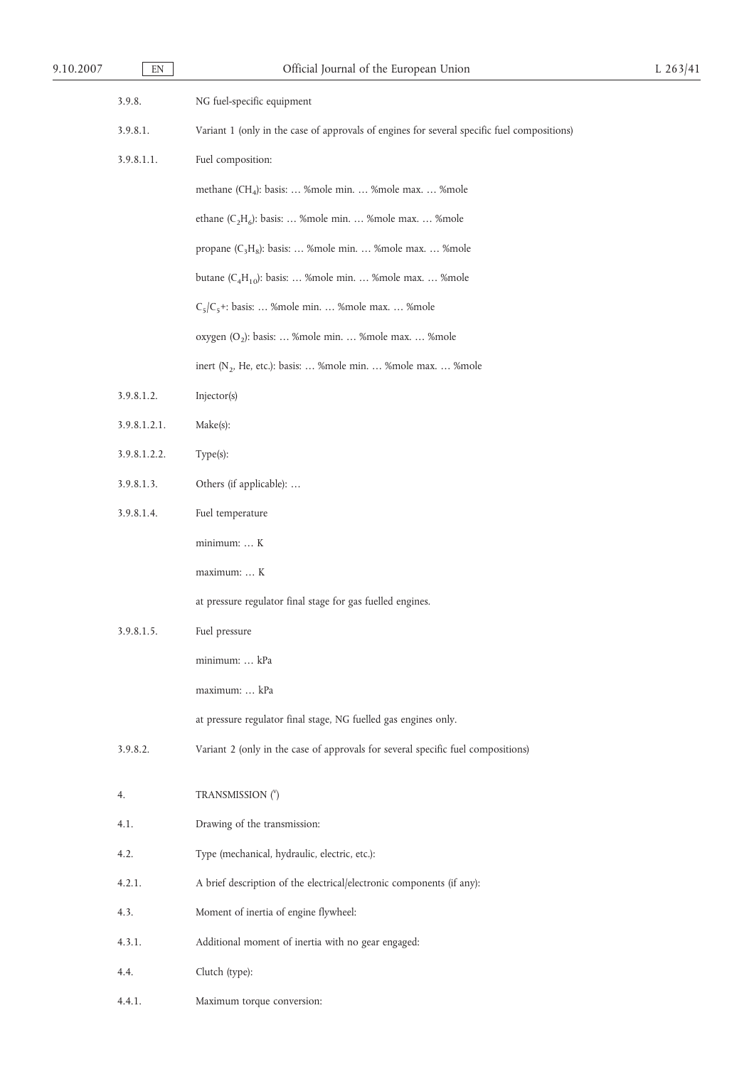| 9.10.2007 | $\mathop{\rm EN}\nolimits$ | Official Journal of the European Union                                                      | L 263/41 |
|-----------|----------------------------|---------------------------------------------------------------------------------------------|----------|
|           | 3.9.8.                     | NG fuel-specific equipment                                                                  |          |
|           | 3.9.8.1.                   | Variant 1 (only in the case of approvals of engines for several specific fuel compositions) |          |
|           | 3.9.8.1.1.                 | Fuel composition:                                                                           |          |
|           |                            | methane (CH <sub>4</sub> ): basis:  %mole min.  %mole max.  %mole                           |          |
|           |                            | ethane $(C_2H_6)$ : basis:  %mole min.  %mole max.  %mole                                   |          |
|           |                            | propane $(C_3H_8)$ : basis:  %mole min.  %mole max.  %mole                                  |          |
|           |                            | butane $(C_4H_{10})$ : basis:  %mole min.  %mole max.  %mole                                |          |
|           |                            | $C_5/C_5$ +: basis:  %mole min.  %mole max.  %mole                                          |          |
|           |                            | oxygen (O <sub>2</sub> ): basis:  %mole min.  %mole max.  %mole                             |          |
|           |                            | inert ( $N_2$ , He, etc.): basis:  %mole min.  %mole max.  %mole                            |          |
|           | 3.9.8.1.2.                 | Injector(s)                                                                                 |          |
|           | 3.9.8.1.2.1.               | Make(s):                                                                                    |          |
|           | 3.9.8.1.2.2.               | Type(s):                                                                                    |          |
|           | 3.9.8.1.3.                 | Others (if applicable):                                                                     |          |
|           | 3.9.8.1.4.                 | Fuel temperature                                                                            |          |
|           |                            | minimum:  K                                                                                 |          |
|           |                            | maximum:  K                                                                                 |          |
|           |                            | at pressure regulator final stage for gas fuelled engines.                                  |          |
|           | 3.9.8.1.5.                 | Fuel pressure                                                                               |          |
|           |                            | minimum:  kPa                                                                               |          |
|           |                            | maximum:  kPa                                                                               |          |
|           |                            | at pressure regulator final stage, NG fuelled gas engines only.                             |          |
|           | 3.9.8.2.                   | Variant 2 (only in the case of approvals for several specific fuel compositions)            |          |
|           | 4.                         | TRANSMISSION (Y)                                                                            |          |
|           | 4.1.                       | Drawing of the transmission:                                                                |          |
|           | 4.2.                       | Type (mechanical, hydraulic, electric, etc.):                                               |          |
|           | 4.2.1.                     | A brief description of the electrical/electronic components (if any):                       |          |
|           | 4.3.                       | Moment of inertia of engine flywheel:                                                       |          |
|           | 4.3.1.                     | Additional moment of inertia with no gear engaged:                                          |          |
|           |                            |                                                                                             |          |
|           | 4.4.                       | Clutch (type):                                                                              |          |
|           | 4.4.1.                     | Maximum torque conversion:                                                                  |          |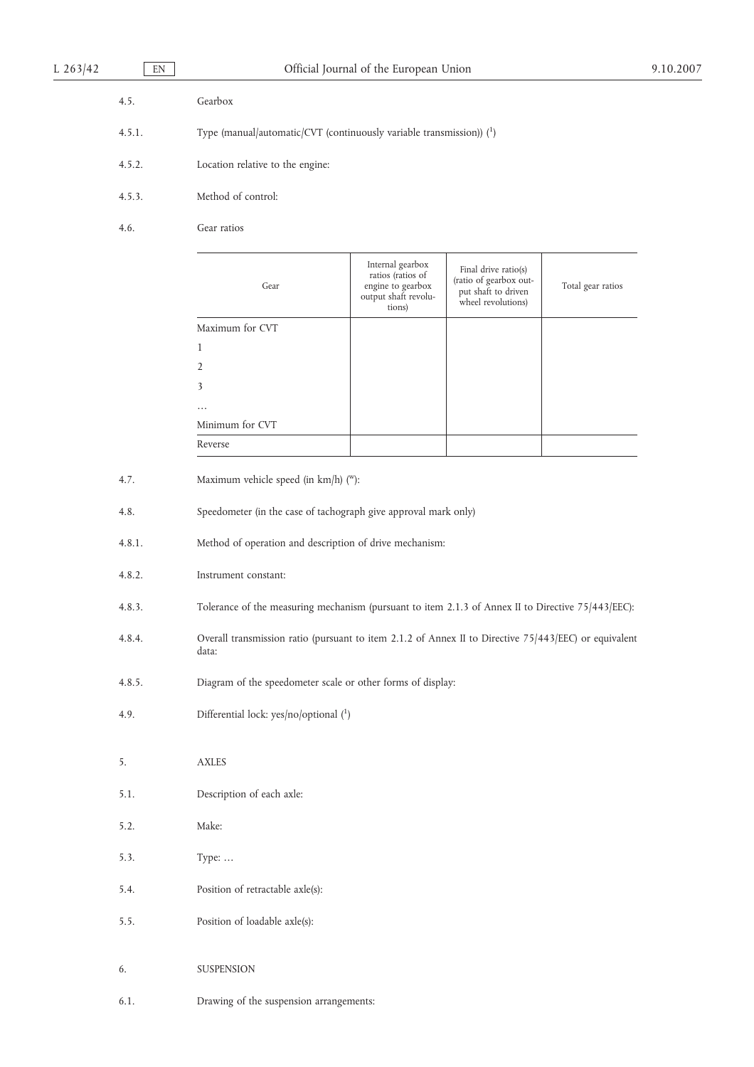| 4.5.   | Gearbox                                                                |
|--------|------------------------------------------------------------------------|
| 4.5.1. | Type (manual/automatic/CVT (continuously variable transmission)) $(1)$ |
| 4.5.2. | Location relative to the engine:                                       |
| 4.5.3. | Method of control:                                                     |

4.6. Gear ratios

| Gear            | Internal gearbox<br>ratios (ratios of<br>engine to gearbox<br>output shaft revolu-<br>tions) | Final drive ratio(s)<br>(ratio of gearbox out-<br>put shaft to driven<br>wheel revolutions) | Total gear ratios |
|-----------------|----------------------------------------------------------------------------------------------|---------------------------------------------------------------------------------------------|-------------------|
| Maximum for CVT |                                                                                              |                                                                                             |                   |
|                 |                                                                                              |                                                                                             |                   |
| $\mathfrak{D}$  |                                                                                              |                                                                                             |                   |
| 3               |                                                                                              |                                                                                             |                   |
| $\cdots$        |                                                                                              |                                                                                             |                   |
| Minimum for CVT |                                                                                              |                                                                                             |                   |
| Reverse         |                                                                                              |                                                                                             |                   |

| 4.7. |  | Maximum vehicle speed (in $km/h$ ) ("): |
|------|--|-----------------------------------------|
|------|--|-----------------------------------------|

- 4.8. Speedometer (in the case of tachograph give approval mark only)
- 4.8.1. Method of operation and description of drive mechanism:
- 4.8.2. Instrument constant:
- 4.8.3. Tolerance of the measuring mechanism (pursuant to item 2.1.3 of Annex II to Directive 75/443/EEC):
- 4.8.4. Overall transmission ratio (pursuant to item 2.1.2 of Annex II to Directive 75/443/EEC) or equivalent data:
- 4.8.5. Diagram of the speedometer scale or other forms of display:
- 4.9. Differential lock: yes/no/optional (1)
- 5. AXLES
- 5.1. Description of each axle:
- 5.2. Make:
- 5.3. Type: …
- 5.4. Position of retractable axle(s):
- 5.5. Position of loadable axle(s):
- 6. SUSPENSION
- 6.1. Drawing of the suspension arrangements: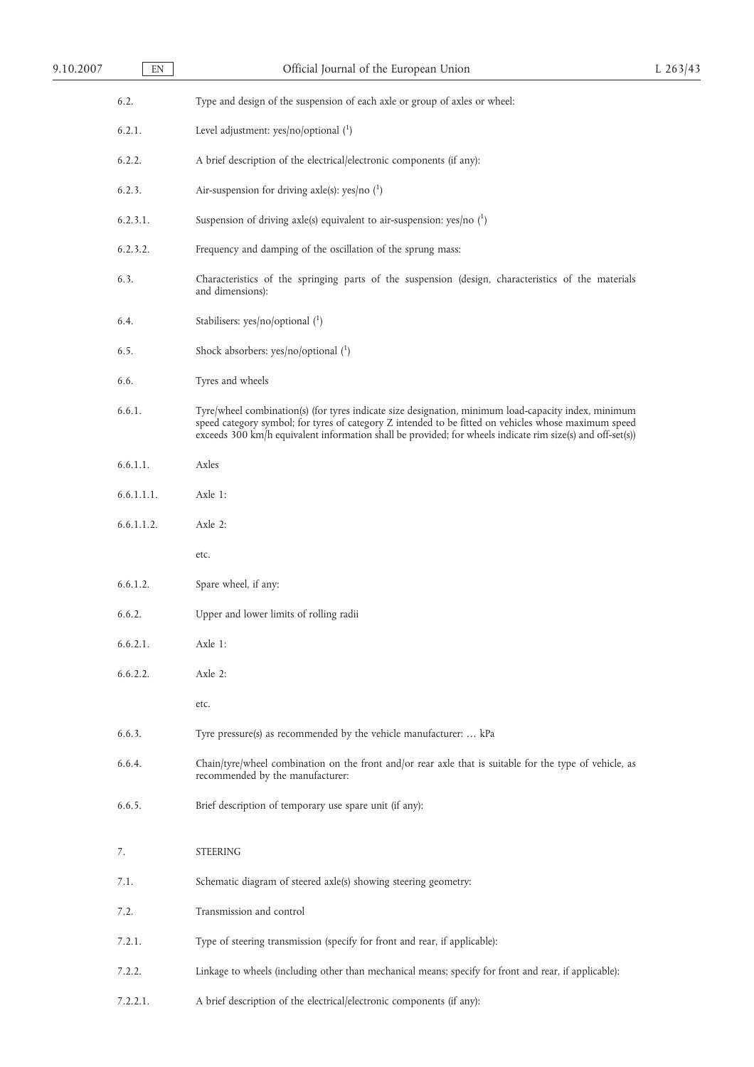# 9.10.2007 EN CHICIAL Official Journal of the European Union L 263/43

6.2. Type and design of the suspension of each axle or group of axles or wheel:

- 6.2.1. Level adjustment: yes/no/optional (<sup>1</sup> )
- 6.2.2. A brief description of the electrical/electronic components (if any):
- 6.2.3. Air-suspension for driving axle(s): yes/no  $(^1)$
- 6.2.3.1. Suspension of driving axle(s) equivalent to air-suspension: yes/no (<sup>1</sup> )
- 6.2.3.2. Frequency and damping of the oscillation of the sprung mass:
- 6.3. Characteristics of the springing parts of the suspension (design, characteristics of the materials and dimensions):
- 6.4. Stabilisers: yes/no/optional (<sup>1</sup> )
- 6.5. Shock absorbers:  $yes/no/optional (1)$
- 6.6. Tyres and wheels
- 6.6.1. Tyre/wheel combination(s) (for tyres indicate size designation, minimum load-capacity index, minimum speed category symbol; for tyres of category Z intended to be fitted on vehicles whose maximum speed exceeds 300 km/h equivalent information shall be provided; for wheels indicate rim size(s) and off-set(s))
- 6.6.1.1. Axles
- 6.6.1.1.1. Axle 1:
- 6.6.1.1.2. Axle 2:
	- etc.
- 6.6.1.2. Spare wheel, if any:
- 6.6.2. Upper and lower limits of rolling radii
- 6.6.2.1. Axle 1:
- 6.6.2.2. Axle 2:
	- etc.
- 6.6.3. Tyre pressure(s) as recommended by the vehicle manufacturer: … kPa
- 6.6.4. Chain/tyre/wheel combination on the front and/or rear axle that is suitable for the type of vehicle, as recommended by the manufacturer:
- 6.6.5. Brief description of temporary use spare unit (if any):
- 7. STEERING
- 7.1. Schematic diagram of steered axle(s) showing steering geometry:
- 7.2. Transmission and control
- 7.2.1. Type of steering transmission (specify for front and rear, if applicable):
- 7.2.2. Linkage to wheels (including other than mechanical means; specify for front and rear, if applicable):
- 7.2.2.1. A brief description of the electrical/electronic components (if any):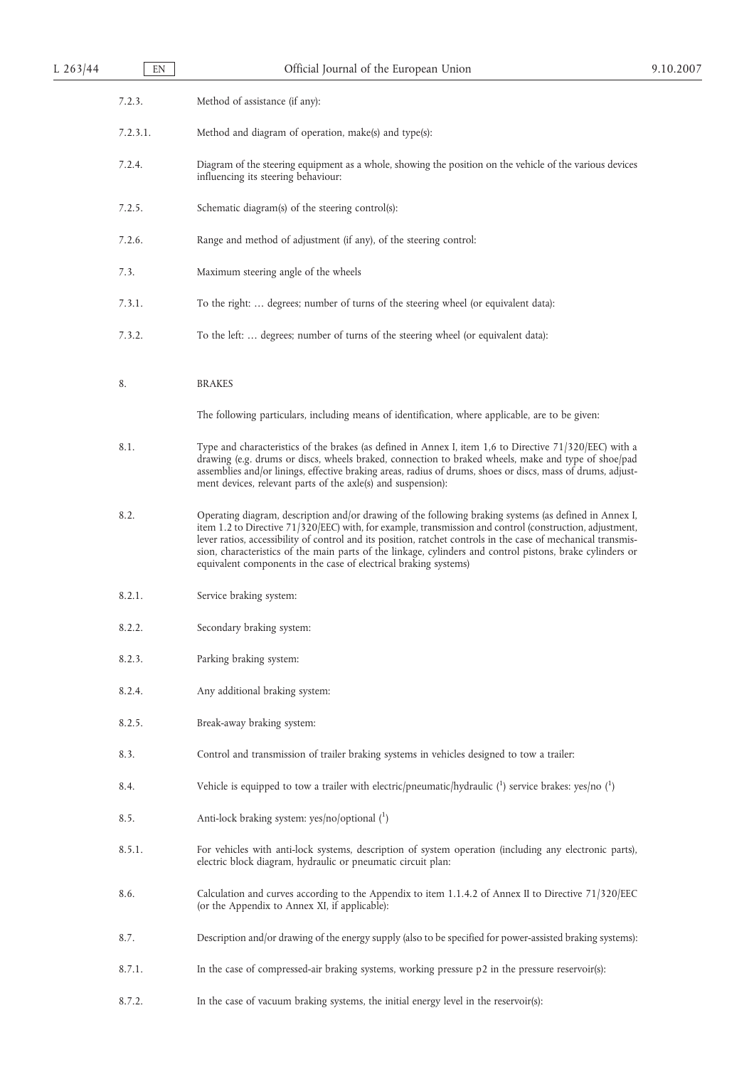| 7.2.3.<br>Method of assistance (if any):<br>7.2.3.1.<br>Method and diagram of operation, make(s) and type(s):<br>7.2.4.<br>Diagram of the steering equipment as a whole, showing the position on the vehicle of the various devices<br>influencing its steering behaviour:<br>7.2.5.<br>Schematic diagram(s) of the steering control(s):<br>7.2.6.<br>Range and method of adjustment (if any), of the steering control:<br>7.3.<br>Maximum steering angle of the wheels<br>7.3.1.<br>To the right:  degrees; number of turns of the steering wheel (or equivalent data):<br>7.3.2.<br>To the left:  degrees; number of turns of the steering wheel (or equivalent data):<br>8.<br><b>BRAKES</b><br>The following particulars, including means of identification, where applicable, are to be given:<br>8.1.<br>Type and characteristics of the brakes (as defined in Annex I, item $1,6$ to Directive $71/320$ /EEC) with a<br>drawing (e.g. drums or discs, wheels braked, connection to braked wheels, make and type of shoe/pad | 9.10.2007 |
|------------------------------------------------------------------------------------------------------------------------------------------------------------------------------------------------------------------------------------------------------------------------------------------------------------------------------------------------------------------------------------------------------------------------------------------------------------------------------------------------------------------------------------------------------------------------------------------------------------------------------------------------------------------------------------------------------------------------------------------------------------------------------------------------------------------------------------------------------------------------------------------------------------------------------------------------------------------------------------------------------------------------------------|-----------|
|                                                                                                                                                                                                                                                                                                                                                                                                                                                                                                                                                                                                                                                                                                                                                                                                                                                                                                                                                                                                                                    |           |
|                                                                                                                                                                                                                                                                                                                                                                                                                                                                                                                                                                                                                                                                                                                                                                                                                                                                                                                                                                                                                                    |           |
|                                                                                                                                                                                                                                                                                                                                                                                                                                                                                                                                                                                                                                                                                                                                                                                                                                                                                                                                                                                                                                    |           |
|                                                                                                                                                                                                                                                                                                                                                                                                                                                                                                                                                                                                                                                                                                                                                                                                                                                                                                                                                                                                                                    |           |
|                                                                                                                                                                                                                                                                                                                                                                                                                                                                                                                                                                                                                                                                                                                                                                                                                                                                                                                                                                                                                                    |           |
|                                                                                                                                                                                                                                                                                                                                                                                                                                                                                                                                                                                                                                                                                                                                                                                                                                                                                                                                                                                                                                    |           |
|                                                                                                                                                                                                                                                                                                                                                                                                                                                                                                                                                                                                                                                                                                                                                                                                                                                                                                                                                                                                                                    |           |
|                                                                                                                                                                                                                                                                                                                                                                                                                                                                                                                                                                                                                                                                                                                                                                                                                                                                                                                                                                                                                                    |           |
|                                                                                                                                                                                                                                                                                                                                                                                                                                                                                                                                                                                                                                                                                                                                                                                                                                                                                                                                                                                                                                    |           |
|                                                                                                                                                                                                                                                                                                                                                                                                                                                                                                                                                                                                                                                                                                                                                                                                                                                                                                                                                                                                                                    |           |
| assemblies and/or linings, effective braking areas, radius of drums, shoes or discs, mass of drums, adjust-<br>ment devices, relevant parts of the axle(s) and suspension):                                                                                                                                                                                                                                                                                                                                                                                                                                                                                                                                                                                                                                                                                                                                                                                                                                                        |           |
| 8.2.<br>Operating diagram, description and/or drawing of the following braking systems (as defined in Annex I,<br>item 1.2 to Directive 71/320/EEC) with, for example, transmission and control (construction, adjustment,<br>lever ratios, accessibility of control and its position, ratchet controls in the case of mechanical transmis-<br>sion, characteristics of the main parts of the linkage, cylinders and control pistons, brake cylinders or<br>equivalent components in the case of electrical braking systems)                                                                                                                                                                                                                                                                                                                                                                                                                                                                                                       |           |
| 8.2.1.<br>Service braking system:                                                                                                                                                                                                                                                                                                                                                                                                                                                                                                                                                                                                                                                                                                                                                                                                                                                                                                                                                                                                  |           |
| 8.2.2.<br>Secondary braking system:                                                                                                                                                                                                                                                                                                                                                                                                                                                                                                                                                                                                                                                                                                                                                                                                                                                                                                                                                                                                |           |
| 8.2.3.<br>Parking braking system:                                                                                                                                                                                                                                                                                                                                                                                                                                                                                                                                                                                                                                                                                                                                                                                                                                                                                                                                                                                                  |           |
| 8.2.4.<br>Any additional braking system:                                                                                                                                                                                                                                                                                                                                                                                                                                                                                                                                                                                                                                                                                                                                                                                                                                                                                                                                                                                           |           |
| 8.2.5.<br>Break-away braking system:                                                                                                                                                                                                                                                                                                                                                                                                                                                                                                                                                                                                                                                                                                                                                                                                                                                                                                                                                                                               |           |
| 8.3.<br>Control and transmission of trailer braking systems in vehicles designed to tow a trailer:                                                                                                                                                                                                                                                                                                                                                                                                                                                                                                                                                                                                                                                                                                                                                                                                                                                                                                                                 |           |
| Vehicle is equipped to tow a trailer with electric/pneumatic/hydraulic $\binom{1}{1}$ service brakes: yes/no $\binom{1}{1}$<br>8.4.                                                                                                                                                                                                                                                                                                                                                                                                                                                                                                                                                                                                                                                                                                                                                                                                                                                                                                |           |
| 8.5.<br>Anti-lock braking system: yes/no/optional (1)                                                                                                                                                                                                                                                                                                                                                                                                                                                                                                                                                                                                                                                                                                                                                                                                                                                                                                                                                                              |           |
| 8.5.1.<br>For vehicles with anti-lock systems, description of system operation (including any electronic parts),<br>electric block diagram, hydraulic or pneumatic circuit plan:                                                                                                                                                                                                                                                                                                                                                                                                                                                                                                                                                                                                                                                                                                                                                                                                                                                   |           |
| 8.6.<br>Calculation and curves according to the Appendix to item 1.1.4.2 of Annex II to Directive 71/320/EEC<br>(or the Appendix to Annex XI, if applicable):                                                                                                                                                                                                                                                                                                                                                                                                                                                                                                                                                                                                                                                                                                                                                                                                                                                                      |           |
| 8.7.<br>Description and/or drawing of the energy supply (also to be specified for power-assisted braking systems):                                                                                                                                                                                                                                                                                                                                                                                                                                                                                                                                                                                                                                                                                                                                                                                                                                                                                                                 |           |
| 8.7.1.<br>In the case of compressed-air braking systems, working pressure $p2$ in the pressure reservoir(s):                                                                                                                                                                                                                                                                                                                                                                                                                                                                                                                                                                                                                                                                                                                                                                                                                                                                                                                       |           |
| 8.7.2.<br>In the case of vacuum braking systems, the initial energy level in the reservoir(s):                                                                                                                                                                                                                                                                                                                                                                                                                                                                                                                                                                                                                                                                                                                                                                                                                                                                                                                                     |           |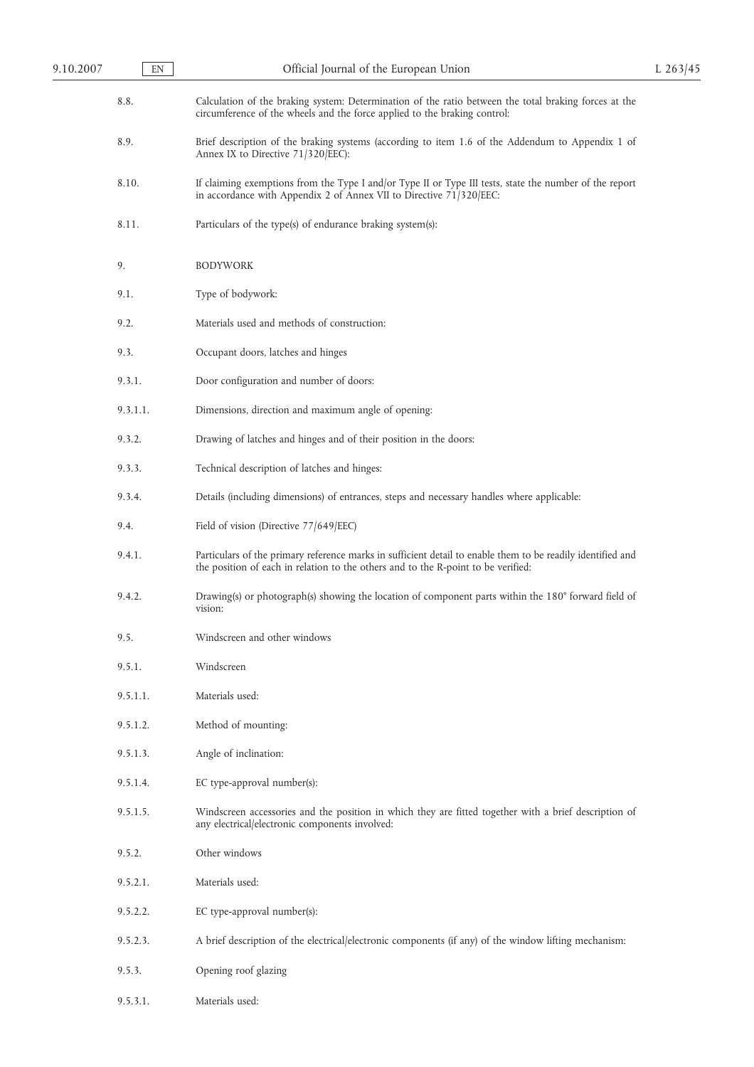| 9.10.2007 | EN       | Official Journal of the European Union                                                                                                                                                           | L $263/45$ |
|-----------|----------|--------------------------------------------------------------------------------------------------------------------------------------------------------------------------------------------------|------------|
|           | 8.8.     | Calculation of the braking system: Determination of the ratio between the total braking forces at the<br>circumference of the wheels and the force applied to the braking control:               |            |
|           | 8.9.     | Brief description of the braking systems (according to item 1.6 of the Addendum to Appendix 1 of<br>Annex IX to Directive 71/320/EEC):                                                           |            |
|           | 8.10.    | If claiming exemptions from the Type I and/or Type II or Type III tests, state the number of the report<br>in accordance with Appendix 2 of Annex VII to Directive 71/320/EEC:                   |            |
|           | 8.11.    | Particulars of the type(s) of endurance braking system(s):                                                                                                                                       |            |
|           | 9.       | <b>BODYWORK</b>                                                                                                                                                                                  |            |
|           | 9.1.     | Type of bodywork:                                                                                                                                                                                |            |
|           | 9.2.     | Materials used and methods of construction:                                                                                                                                                      |            |
|           | 9.3.     | Occupant doors, latches and hinges                                                                                                                                                               |            |
|           | 9.3.1.   | Door configuration and number of doors:                                                                                                                                                          |            |
|           | 9.3.1.1. | Dimensions, direction and maximum angle of opening:                                                                                                                                              |            |
|           | 9.3.2.   | Drawing of latches and hinges and of their position in the doors:                                                                                                                                |            |
|           | 9.3.3.   | Technical description of latches and hinges:                                                                                                                                                     |            |
|           | 9.3.4.   | Details (including dimensions) of entrances, steps and necessary handles where applicable:                                                                                                       |            |
|           | 9.4.     | Field of vision (Directive 77/649/EEC)                                                                                                                                                           |            |
|           | 9.4.1.   | Particulars of the primary reference marks in sufficient detail to enable them to be readily identified and<br>the position of each in relation to the others and to the R-point to be verified: |            |
|           | 9.4.2.   | Drawing(s) or photograph(s) showing the location of component parts within the 180° forward field of<br>vision:                                                                                  |            |
|           | 9.5.     | Windscreen and other windows                                                                                                                                                                     |            |
|           | 9.5.1.   | Windscreen                                                                                                                                                                                       |            |
|           | 9.5.1.1. | Materials used:                                                                                                                                                                                  |            |
|           | 9.5.1.2. | Method of mounting:                                                                                                                                                                              |            |
|           | 9.5.1.3. | Angle of inclination:                                                                                                                                                                            |            |
|           | 9.5.1.4. | EC type-approval number(s):                                                                                                                                                                      |            |
|           | 9.5.1.5. | Windscreen accessories and the position in which they are fitted together with a brief description of<br>any electrical/electronic components involved:                                          |            |
|           | 9.5.2.   | Other windows                                                                                                                                                                                    |            |
|           | 9.5.2.1. | Materials used:                                                                                                                                                                                  |            |
|           | 9.5.2.2. | EC type-approval number(s):                                                                                                                                                                      |            |
|           | 9.5.2.3. | A brief description of the electrical/electronic components (if any) of the window lifting mechanism:                                                                                            |            |
|           | 9.5.3.   | Opening roof glazing                                                                                                                                                                             |            |
|           | 9.5.3.1. | Materials used:                                                                                                                                                                                  |            |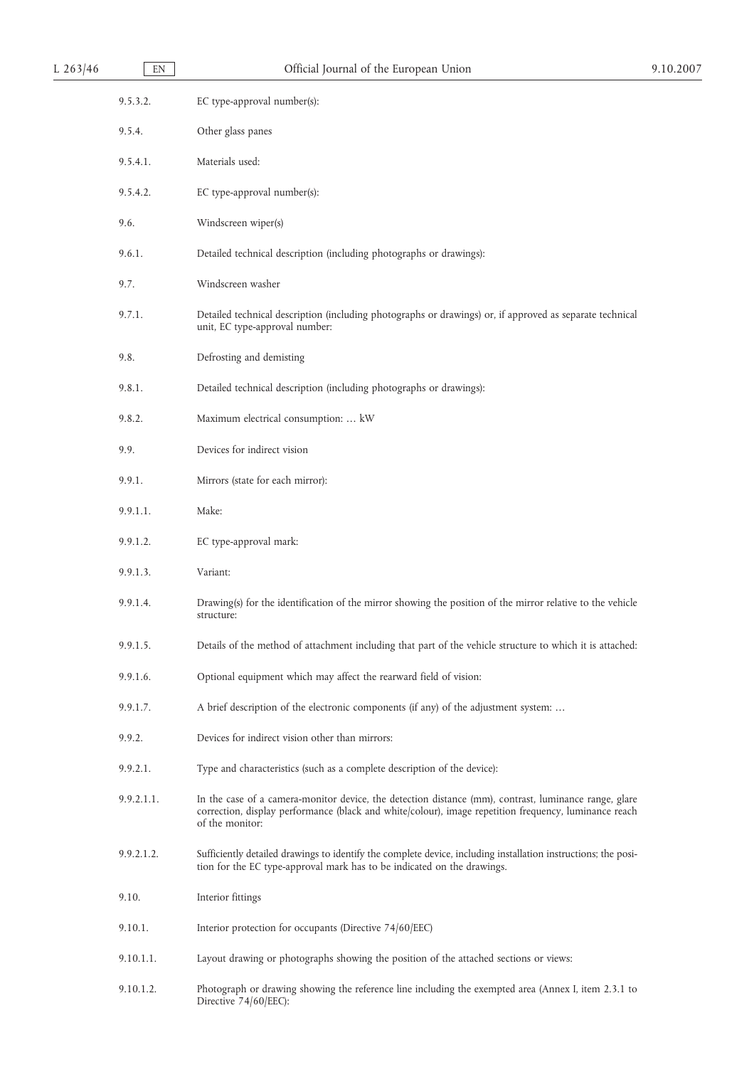| L $263/46$ | EN         | Official Journal of the European Union                                                                                                                                                                                            | 9.10.2007 |
|------------|------------|-----------------------------------------------------------------------------------------------------------------------------------------------------------------------------------------------------------------------------------|-----------|
|            | 9.5.3.2.   | EC type-approval number(s):                                                                                                                                                                                                       |           |
|            | 9.5.4.     | Other glass panes                                                                                                                                                                                                                 |           |
|            | 9.5.4.1.   | Materials used:                                                                                                                                                                                                                   |           |
|            | 9.5.4.2.   | EC type-approval number(s):                                                                                                                                                                                                       |           |
|            | 9.6.       | Windscreen wiper(s)                                                                                                                                                                                                               |           |
|            | 9.6.1.     | Detailed technical description (including photographs or drawings):                                                                                                                                                               |           |
|            | 9.7.       | Windscreen washer                                                                                                                                                                                                                 |           |
|            | 9.7.1.     | Detailed technical description (including photographs or drawings) or, if approved as separate technical<br>unit, EC type-approval number:                                                                                        |           |
|            | 9.8.       | Defrosting and demisting                                                                                                                                                                                                          |           |
|            | 9.8.1.     | Detailed technical description (including photographs or drawings):                                                                                                                                                               |           |
|            | 9.8.2.     | Maximum electrical consumption:  kW                                                                                                                                                                                               |           |
|            | 9.9.       | Devices for indirect vision                                                                                                                                                                                                       |           |
|            | 9.9.1.     | Mirrors (state for each mirror):                                                                                                                                                                                                  |           |
|            | 9.9.1.1.   | Make:                                                                                                                                                                                                                             |           |
|            | 9.9.1.2.   | EC type-approval mark:                                                                                                                                                                                                            |           |
|            | 9.9.1.3.   | Variant:                                                                                                                                                                                                                          |           |
|            | 9.9.1.4.   | Drawing(s) for the identification of the mirror showing the position of the mirror relative to the vehicle<br>structure:                                                                                                          |           |
|            | 9.9.1.5.   | Details of the method of attachment including that part of the vehicle structure to which it is attached:                                                                                                                         |           |
|            | 9.9.1.6.   | Optional equipment which may affect the rearward field of vision:                                                                                                                                                                 |           |
|            | 9.9.1.7.   | A brief description of the electronic components (if any) of the adjustment system:                                                                                                                                               |           |
|            | 9.9.2.     | Devices for indirect vision other than mirrors:                                                                                                                                                                                   |           |
|            | 9.9.2.1.   | Type and characteristics (such as a complete description of the device):                                                                                                                                                          |           |
|            | 9.9.2.1.1. | In the case of a camera-monitor device, the detection distance (mm), contrast, luminance range, glare<br>correction, display performance (black and white/colour), image repetition frequency, luminance reach<br>of the monitor: |           |
|            | 9.9.2.1.2. | Sufficiently detailed drawings to identify the complete device, including installation instructions; the posi-<br>tion for the EC type-approval mark has to be indicated on the drawings.                                         |           |
|            | 9.10.      | Interior fittings                                                                                                                                                                                                                 |           |
|            | 9.10.1.    | Interior protection for occupants (Directive 74/60/EEC)                                                                                                                                                                           |           |
|            | 9.10.1.1.  | Layout drawing or photographs showing the position of the attached sections or views:                                                                                                                                             |           |
|            | 9.10.1.2.  | Photograph or drawing showing the reference line including the exempted area (Annex I, item 2.3.1 to<br>Directive 74/60/EEC):                                                                                                     |           |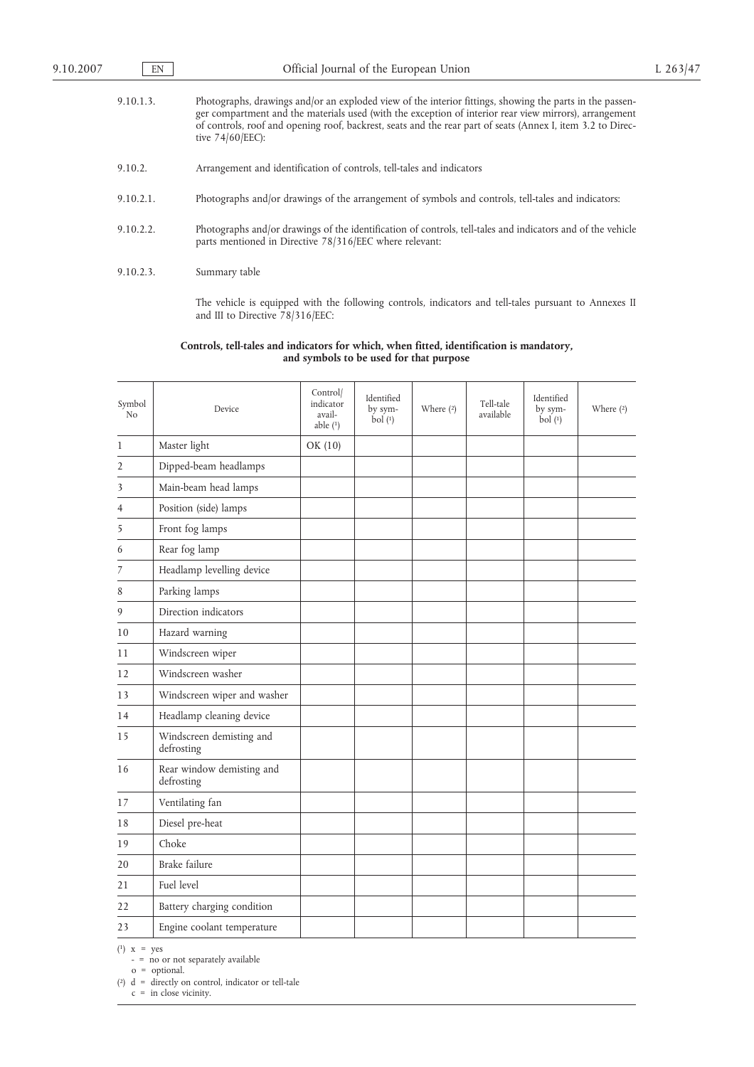| 9.10.1.3. | Photographs, drawings and/or an exploded view of the interior fittings, showing the parts in the passen-<br>ger compartment and the materials used (with the exception of interior rear view mirrors), arrangement<br>of controls, roof and opening roof, backrest, seats and the rear part of seats (Annex I, item 3.2 to Direc-<br>tive $74/60$ /EEC): |
|-----------|----------------------------------------------------------------------------------------------------------------------------------------------------------------------------------------------------------------------------------------------------------------------------------------------------------------------------------------------------------|
| 9.10.2.   | Arrangement and identification of controls, tell-tales and indicators                                                                                                                                                                                                                                                                                    |
| 9.10.2.1. | Photographs and/or drawings of the arrangement of symbols and controls, tell-tales and indicators:                                                                                                                                                                                                                                                       |
| 9.10.2.2. | Photographs and/or drawings of the identification of controls, tell-tales and indicators and of the vehicle<br>parts mentioned in Directive 78/316/EEC where relevant:                                                                                                                                                                                   |
| 9.10.2.3. | Summary table                                                                                                                                                                                                                                                                                                                                            |

The vehicle is equipped with the following controls, indicators and tell-tales pursuant to Annexes II and III to Directive 78/316/EEC:

#### **Controls, tell-tales and indicators for which, when fitted, identification is mandatory, and symbols to be used for that purpose**

| Symbol<br>N <sub>o</sub> | Device                                  | Control/<br>indicator<br>avail-<br>able $(1)$ | Identified<br>by sym-<br>bol(1) | Where $(2)$ | Tell-tale<br>available | Identified<br>by sym-<br>bol(1) | Where $(2)$ |
|--------------------------|-----------------------------------------|-----------------------------------------------|---------------------------------|-------------|------------------------|---------------------------------|-------------|
| 1                        | Master light                            | OK (10)                                       |                                 |             |                        |                                 |             |
| 2                        | Dipped-beam headlamps                   |                                               |                                 |             |                        |                                 |             |
| 3                        | Main-beam head lamps                    |                                               |                                 |             |                        |                                 |             |
| 4                        | Position (side) lamps                   |                                               |                                 |             |                        |                                 |             |
| 5                        | Front fog lamps                         |                                               |                                 |             |                        |                                 |             |
| 6                        | Rear fog lamp                           |                                               |                                 |             |                        |                                 |             |
| 7                        | Headlamp levelling device               |                                               |                                 |             |                        |                                 |             |
| 8                        | Parking lamps                           |                                               |                                 |             |                        |                                 |             |
| 9                        | Direction indicators                    |                                               |                                 |             |                        |                                 |             |
| 10                       | Hazard warning                          |                                               |                                 |             |                        |                                 |             |
| 11                       | Windscreen wiper                        |                                               |                                 |             |                        |                                 |             |
| 12                       | Windscreen washer                       |                                               |                                 |             |                        |                                 |             |
| 13                       | Windscreen wiper and washer             |                                               |                                 |             |                        |                                 |             |
| 14                       | Headlamp cleaning device                |                                               |                                 |             |                        |                                 |             |
| 15                       | Windscreen demisting and<br>defrosting  |                                               |                                 |             |                        |                                 |             |
| 16                       | Rear window demisting and<br>defrosting |                                               |                                 |             |                        |                                 |             |
| 17                       | Ventilating fan                         |                                               |                                 |             |                        |                                 |             |
| 18                       | Diesel pre-heat                         |                                               |                                 |             |                        |                                 |             |
| 19                       | Choke                                   |                                               |                                 |             |                        |                                 |             |
| 20                       | Brake failure                           |                                               |                                 |             |                        |                                 |             |
| 21                       | Fuel level                              |                                               |                                 |             |                        |                                 |             |
| 22                       | Battery charging condition              |                                               |                                 |             |                        |                                 |             |
| 23                       | Engine coolant temperature              |                                               |                                 |             |                        |                                 |             |

 $(1)$  x = yes

- = no or not separately available

o = optional.

( 2) d = directly on control, indicator or tell-tale

c = in close vicinity.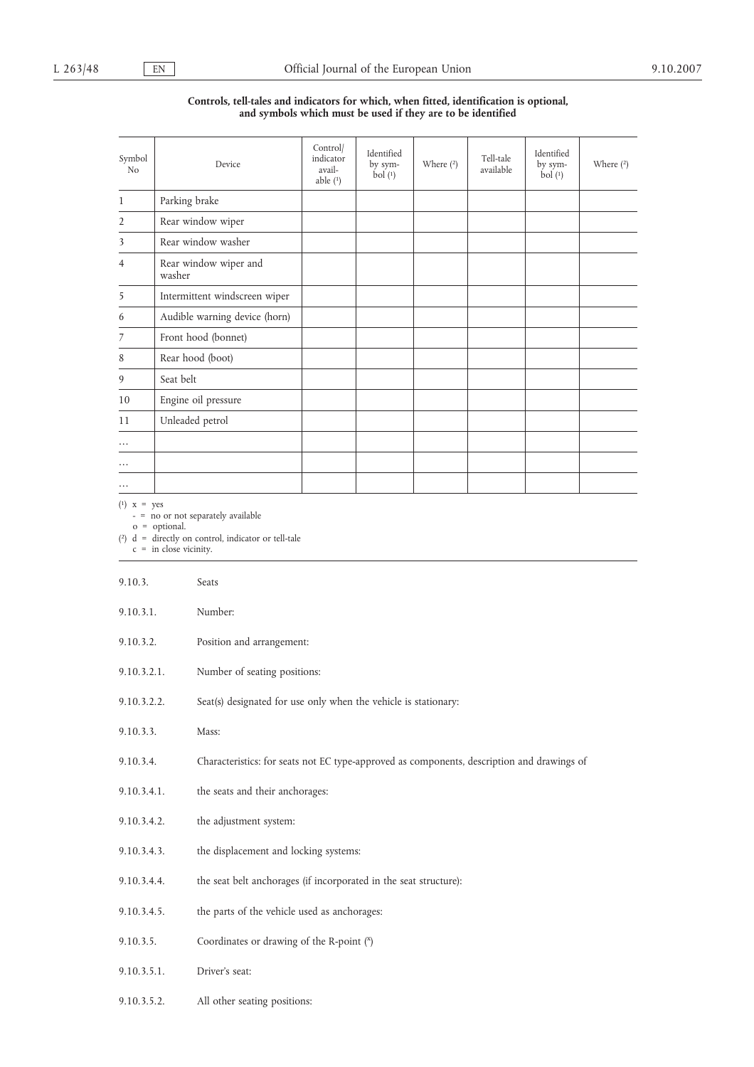# **Controls, tell-tales and indicators for which, when fitted, identification is optional, and symbols which must be used if they are to be identified**

| Symbol<br>N <sub>o</sub> | Device                          | Control/<br>indicator<br>avail-<br>able $(1)$ | Identified<br>by sym-<br>bol(1) | Where (2) | Tell-tale<br>available | Identified<br>by sym-<br>bol(1) | Where (2) |
|--------------------------|---------------------------------|-----------------------------------------------|---------------------------------|-----------|------------------------|---------------------------------|-----------|
| $\mathbf{1}$             | Parking brake                   |                                               |                                 |           |                        |                                 |           |
| $\overline{2}$           | Rear window wiper               |                                               |                                 |           |                        |                                 |           |
| 3                        | Rear window washer              |                                               |                                 |           |                        |                                 |           |
| $\overline{4}$           | Rear window wiper and<br>washer |                                               |                                 |           |                        |                                 |           |
| 5                        | Intermittent windscreen wiper   |                                               |                                 |           |                        |                                 |           |
| 6                        | Audible warning device (horn)   |                                               |                                 |           |                        |                                 |           |
| 7                        | Front hood (bonnet)             |                                               |                                 |           |                        |                                 |           |
| 8                        | Rear hood (boot)                |                                               |                                 |           |                        |                                 |           |
| 9                        | Seat belt                       |                                               |                                 |           |                        |                                 |           |
| 10                       | Engine oil pressure             |                                               |                                 |           |                        |                                 |           |
| 11                       | Unleaded petrol                 |                                               |                                 |           |                        |                                 |           |
| $\cdots$                 |                                 |                                               |                                 |           |                        |                                 |           |
| .                        |                                 |                                               |                                 |           |                        |                                 |           |
|                          |                                 |                                               |                                 |           |                        |                                 |           |

 $(1)$  x = yes

- = no or not separately available

o = optional.

( 2) d = directly on control, indicator or tell-tale

c = in close vicinity.

| 9.10.3.     | Seats                                                                                      |
|-------------|--------------------------------------------------------------------------------------------|
| 9.10.3.1.   | Number:                                                                                    |
| 9.10.3.2.   | Position and arrangement:                                                                  |
| 9.10.3.2.1. | Number of seating positions:                                                               |
| 9.10.3.2.2. | Seat(s) designated for use only when the vehicle is stationary:                            |
| 9.10.3.3.   | Mass:                                                                                      |
| 9.10.3.4.   | Characteristics: for seats not EC type-approved as components, description and drawings of |
| 9.10.3.4.1. | the seats and their anchorages:                                                            |
| 9.10.3.4.2. | the adjustment system:                                                                     |
| 9.10.3.4.3. | the displacement and locking systems:                                                      |
| 9.10.3.4.4. | the seat belt anchorages (if incorporated in the seat structure):                          |
| 9.10.3.4.5. | the parts of the vehicle used as anchorages:                                               |
| 9.10.3.5.   | Coordinates or drawing of the R-point (x)                                                  |
| 9.10.3.5.1. | Driver's seat:                                                                             |
| 9.10.3.5.2. | All other seating positions:                                                               |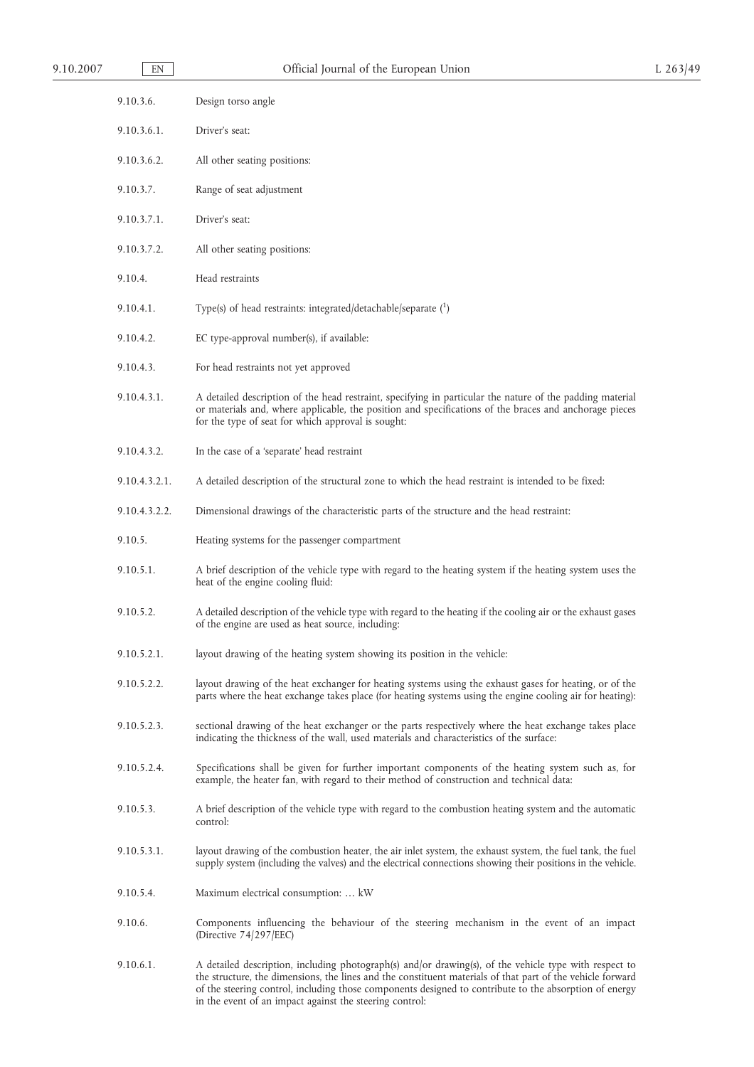| 9.10.2007 | EN            | Official Journal of the European Union                                                                                                                                                                                                                                    | $L$ 263/49 |
|-----------|---------------|---------------------------------------------------------------------------------------------------------------------------------------------------------------------------------------------------------------------------------------------------------------------------|------------|
|           | 9.10.3.6.     | Design torso angle                                                                                                                                                                                                                                                        |            |
|           | 9.10.3.6.1.   | Driver's seat:                                                                                                                                                                                                                                                            |            |
|           | 9.10.3.6.2.   | All other seating positions:                                                                                                                                                                                                                                              |            |
|           | 9.10.3.7.     | Range of seat adjustment                                                                                                                                                                                                                                                  |            |
|           | 9.10.3.7.1.   | Driver's seat:                                                                                                                                                                                                                                                            |            |
|           | 9.10.3.7.2.   | All other seating positions:                                                                                                                                                                                                                                              |            |
|           | 9.10.4.       | Head restraints                                                                                                                                                                                                                                                           |            |
|           | 9.10.4.1.     | Type(s) of head restraints: integrated/detachable/separate $(1)$                                                                                                                                                                                                          |            |
|           | 9.10.4.2.     | EC type-approval number(s), if available:                                                                                                                                                                                                                                 |            |
|           | 9.10.4.3.     | For head restraints not yet approved                                                                                                                                                                                                                                      |            |
|           | 9.10.4.3.1.   | A detailed description of the head restraint, specifying in particular the nature of the padding material<br>or materials and, where applicable, the position and specifications of the braces and anchorage pieces<br>for the type of seat for which approval is sought: |            |
|           | 9.10.4.3.2.   | In the case of a 'separate' head restraint                                                                                                                                                                                                                                |            |
|           | 9.10.4.3.2.1. | A detailed description of the structural zone to which the head restraint is intended to be fixed:                                                                                                                                                                        |            |
|           | 9.10.4.3.2.2. | Dimensional drawings of the characteristic parts of the structure and the head restraint:                                                                                                                                                                                 |            |
|           | 9.10.5.       | Heating systems for the passenger compartment                                                                                                                                                                                                                             |            |
|           | 9.10.5.1.     | A brief description of the vehicle type with regard to the heating system if the heating system uses the<br>heat of the engine cooling fluid:                                                                                                                             |            |
|           | 9.10.5.2.     | A detailed description of the vehicle type with regard to the heating if the cooling air or the exhaust gases<br>of the engine are used as heat source, including:                                                                                                        |            |
|           | 9.10.5.2.1.   | layout drawing of the heating system showing its position in the vehicle:                                                                                                                                                                                                 |            |
|           | 9.10.5.2.2.   | layout drawing of the heat exchanger for heating systems using the exhaust gases for heating, or of the<br>parts where the heat exchange takes place (for heating systems using the engine cooling air for heating):                                                      |            |
|           | 9.10.5.2.3.   | sectional drawing of the heat exchanger or the parts respectively where the heat exchange takes place<br>indicating the thickness of the wall, used materials and characteristics of the surface:                                                                         |            |
|           | 9.10.5.2.4.   | Specifications shall be given for further important components of the heating system such as, for<br>example, the heater fan, with regard to their method of construction and technical data:                                                                             |            |
|           | 9.10.5.3.     | A brief description of the vehicle type with regard to the combustion heating system and the automatic<br>control:                                                                                                                                                        |            |
|           | 9.10.5.3.1.   | layout drawing of the combustion heater, the air inlet system, the exhaust system, the fuel tank, the fuel<br>supply system (including the valves) and the electrical connections showing their positions in the vehicle.                                                 |            |
|           | 9.10.5.4.     | Maximum electrical consumption:  kW                                                                                                                                                                                                                                       |            |
|           | 9.10.6.       | Components influencing the behaviour of the steering mechanism in the event of an impact<br>(Directive 74/297/EEC)                                                                                                                                                        |            |
|           | 9.10.6.1.     | A detailed description, including photograph(s) and/or drawing(s), of the vehicle type with respect to<br>the structure, the dimensions, the lines and the constituent materials of that part of the vehicle forward                                                      |            |

of the steering control, including those components designed to contribute to the absorption of energy

in the event of an impact against the steering control: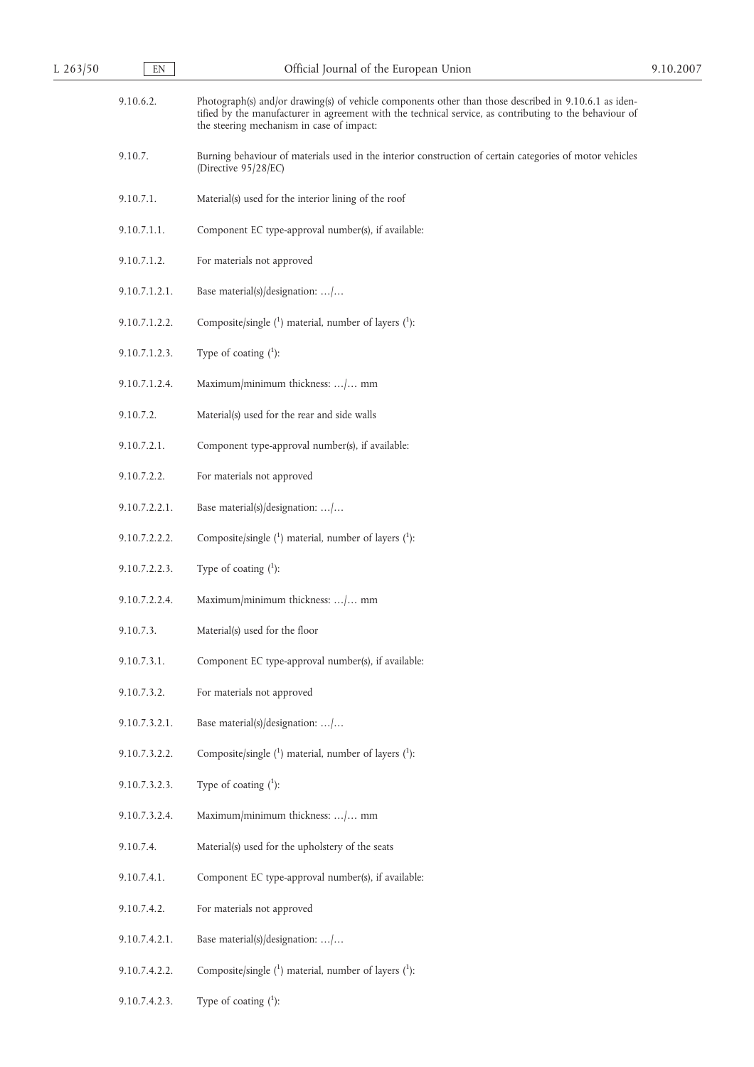| 9.10.6.2.     | Photograph(s) and/or drawing(s) of vehicle components other than those described in 9.10.6.1 as iden-<br>tified by the manufacturer in agreement with the technical service, as contributing to the behaviour of<br>the steering mechanism in case of impact: |
|---------------|---------------------------------------------------------------------------------------------------------------------------------------------------------------------------------------------------------------------------------------------------------------|
| 9.10.7.       | Burning behaviour of materials used in the interior construction of certain categories of motor vehicles<br>(Directive 95/28/EC)                                                                                                                              |
| 9.10.7.1.     | Material(s) used for the interior lining of the roof                                                                                                                                                                                                          |
| 9.10.7.1.1.   | Component EC type-approval number(s), if available:                                                                                                                                                                                                           |
| 9.10.7.1.2.   | For materials not approved                                                                                                                                                                                                                                    |
| 9.10.7.1.2.1. | Base material(s)/designation: /                                                                                                                                                                                                                               |
| 9.10.7.1.2.2. | Composite/single $(1)$ material, number of layers $(1)$ :                                                                                                                                                                                                     |
| 9.10.7.1.2.3. | Type of coating $(^1)$ :                                                                                                                                                                                                                                      |
| 9.10.7.1.2.4. | Maximum/minimum thickness: / mm                                                                                                                                                                                                                               |
| 9.10.7.2.     | Material(s) used for the rear and side walls                                                                                                                                                                                                                  |
| 9.10.7.2.1.   | Component type-approval number(s), if available:                                                                                                                                                                                                              |
| 9.10.7.2.2.   | For materials not approved                                                                                                                                                                                                                                    |
| 9.10.7.2.2.1. | Base material(s)/designation: /                                                                                                                                                                                                                               |
| 9.10.7.2.2.2. | Composite/single $(1)$ material, number of layers $(1)$ :                                                                                                                                                                                                     |
| 9.10.7.2.2.3. | Type of coating $(1)$ :                                                                                                                                                                                                                                       |
| 9.10.7.2.2.4. | Maximum/minimum thickness: / mm                                                                                                                                                                                                                               |
| 9.10.7.3.     | Material(s) used for the floor                                                                                                                                                                                                                                |
| 9.10.7.3.1.   | Component EC type-approval number(s), if available:                                                                                                                                                                                                           |
| 9.10.7.3.2.   | For materials not approved                                                                                                                                                                                                                                    |
| 9.10.7.3.2.1. | Base material(s)/designation: /                                                                                                                                                                                                                               |
| 9.10.7.3.2.2. | Composite/single $(1)$ material, number of layers $(1)$ :                                                                                                                                                                                                     |
| 9.10.7.3.2.3. | Type of coating $(^1)$ :                                                                                                                                                                                                                                      |
| 9.10.7.3.2.4. | Maximum/minimum thickness: / mm                                                                                                                                                                                                                               |
| 9.10.7.4.     | Material(s) used for the upholstery of the seats                                                                                                                                                                                                              |
| 9.10.7.4.1.   | Component EC type-approval number(s), if available:                                                                                                                                                                                                           |
| 9.10.7.4.2.   | For materials not approved                                                                                                                                                                                                                                    |
| 9.10.7.4.2.1. | Base material(s)/designation: /                                                                                                                                                                                                                               |
| 9.10.7.4.2.2. | Composite/single $(1)$ material, number of layers $(1)$ :                                                                                                                                                                                                     |
| 9.10.7.4.2.3. | Type of coating $(^1)$ :                                                                                                                                                                                                                                      |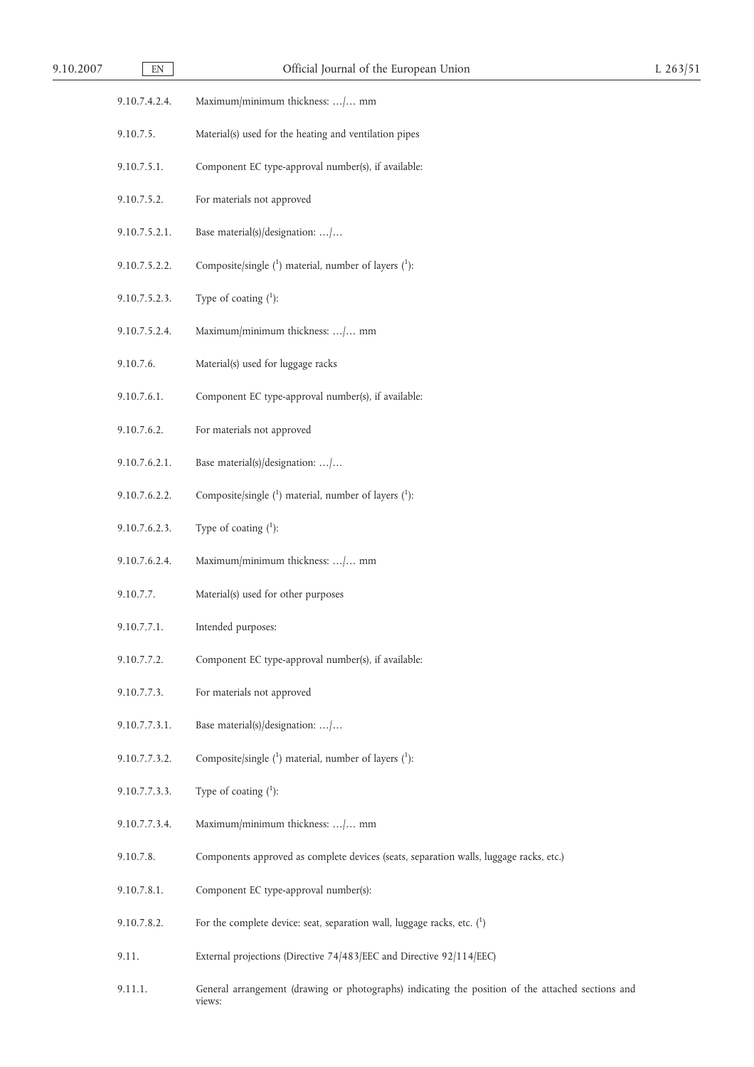| 9.10<br>200. | ____<br>EN | Union<br>rhe<br>диоглеат<br>$\Omega$<br>таг<br>-14 |  |
|--------------|------------|----------------------------------------------------|--|
|              |            |                                                    |  |

| 9.10.7.4.2.4. | Maximum/minimum thickness: / mm                                                        |
|---------------|----------------------------------------------------------------------------------------|
| 9.10.7.5.     | Material(s) used for the heating and ventilation pipes                                 |
| 9.10.7.5.1.   | Component EC type-approval number(s), if available:                                    |
| 9.10.7.5.2.   | For materials not approved                                                             |
| 9.10.7.5.2.1. | Base material(s)/designation: /                                                        |
| 9.10.7.5.2.2. | Composite/single $(1)$ material, number of layers $(1)$ :                              |
| 9.10.7.5.2.3. | Type of coating $(^1)$ :                                                               |
| 9.10.7.5.2.4. | Maximum/minimum thickness: / mm                                                        |
| 9.10.7.6.     | Material(s) used for luggage racks                                                     |
| 9.10.7.6.1.   | Component EC type-approval number(s), if available:                                    |
| 9.10.7.6.2.   | For materials not approved                                                             |
| 9.10.7.6.2.1. | Base material(s)/designation: /                                                        |
| 9.10.7.6.2.2. | Composite/single $(1)$ material, number of layers $(1)$ :                              |
| 9.10.7.6.2.3. | Type of coating $(1)$ :                                                                |
| 9.10.7.6.2.4. | Maximum/minimum thickness: / mm                                                        |
| 9.10.7.7.     | Material(s) used for other purposes                                                    |
| 9.10.7.7.1.   | Intended purposes:                                                                     |
| 9.10.7.7.2.   | Component EC type-approval number(s), if available:                                    |
| 9.10.7.7.3.   | For materials not approved                                                             |
| 9.10.7.7.3.1. | Base material(s)/designation: /                                                        |
| 9.10.7.7.3.2. | Composite/single $(1)$ material, number of layers $(1)$ :                              |
| 9.10.7.7.3.3. | Type of coating $(^1)$ :                                                               |
| 9.10.7.7.3.4. | Maximum/minimum thickness: / mm                                                        |
| 9.10.7.8.     | Components approved as complete devices (seats, separation walls, luggage racks, etc.) |
| 9.10.7.8.1.   | Component EC type-approval number(s):                                                  |
| 9.10.7.8.2.   | For the complete device: seat, separation wall, luggage racks, etc. $(^{1})$           |
| 9.11.         | External projections (Directive 74/483/EEC and Directive 92/114/EEC)                   |
|               |                                                                                        |

9.11.1. General arrangement (drawing or photographs) indicating the position of the attached sections and views: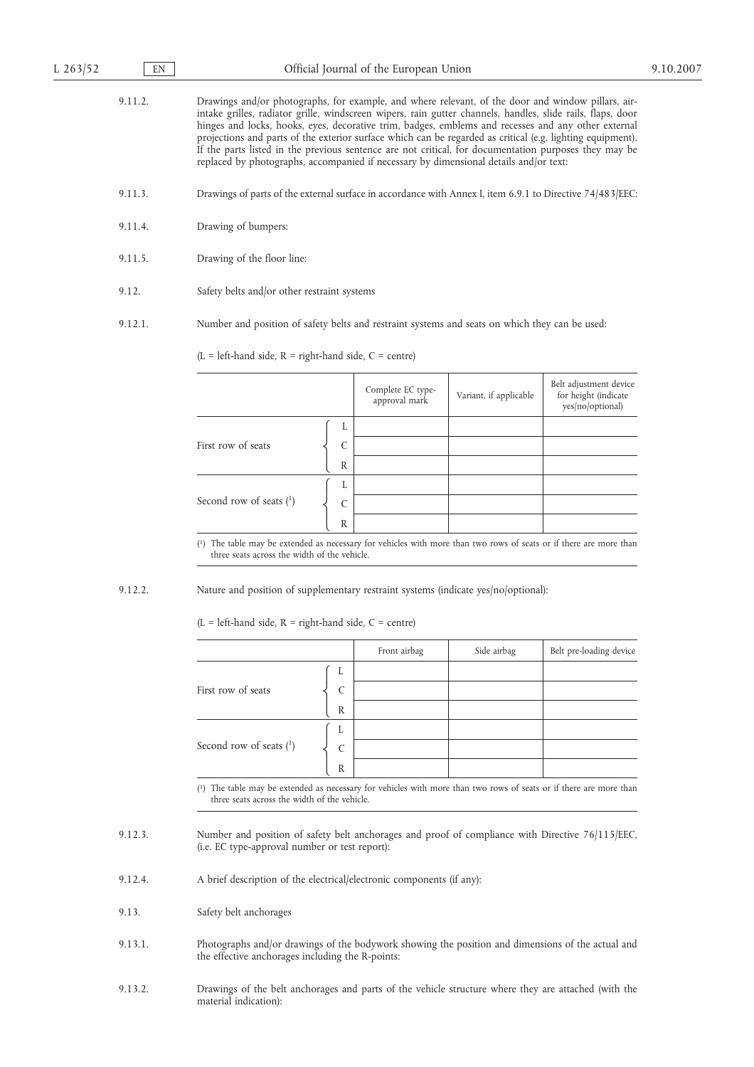9.11.2. Drawings and/or photographs, for example, and where relevant, of the door and window pillars, airintake grilles, radiator grille, windscreen wipers, rain gutter channels, handles, slide rails, flaps, door hinges and locks, hooks, eyes, decorative trim, badges, emblems and recesses and any other external projections and parts of the exterior surface which can be regarded as critical (e.g. lighting equipment). If the parts listed in the previous sentence are not critical, for documentation purposes they may be replaced by photographs, accompanied if necessary by dimensional details and/or text:

- 9.11.3. Drawings of parts of the external surface in accordance with Annex I, item 6.9.1 to Directive 74/483/EEC:
- 9.11.4. Drawing of bumpers:
- 9.11.5. Drawing of the floor line:
- 9.12. Safety belts and/or other restraint systems
- 9.12.1. Number and position of safety belts and restraint systems and seats on which they can be used:

 $(L = left$ -hand side,  $R = right$ -hand side,  $C = centre$ )

|                              |                                    | Complete EC type-<br>approval mark | Variant, if applicable | Belt adjustment device<br>for height (indicate<br>yes/no/optional) |
|------------------------------|------------------------------------|------------------------------------|------------------------|--------------------------------------------------------------------|
| First row of seats           | L<br>$\mathcal{C}$<br>$\mathbb{R}$ |                                    |                        |                                                                    |
| Second row of seats $(^{1})$ | L<br>$\mathcal{C}$<br>$\mathbb R$  |                                    |                        |                                                                    |

( 1) The table may be extended as necessary for vehicles with more than two rows of seats or if there are more than three seats across the width of the vehicle.

9.12.2. Nature and position of supplementary restraint systems (indicate yes/no/optional):

 $(L = left$ -hand side,  $R = right$ -hand side,  $C = centre$ )

|                              |              | Front airbag | Side airbag | Belt pre-loading device |
|------------------------------|--------------|--------------|-------------|-------------------------|
|                              | L            |              |             |                         |
| First row of seats           | $\mathsf{C}$ |              |             |                         |
|                              | $\mathbb{R}$ |              |             |                         |
|                              | L            |              |             |                         |
| Second row of seats $(^{1})$ | C            |              |             |                         |
|                              | R            |              |             |                         |

( 1) The table may be extended as necessary for vehicles with more than two rows of seats or if there are more than three seats across the width of the vehicle.

- 9.12.3. Number and position of safety belt anchorages and proof of compliance with Directive 76/115/EEC, (i.e. EC type-approval number or test report):
- 9.12.4. A brief description of the electrical/electronic components (if any):
- 9.13. Safety belt anchorages
- 9.13.1. Photographs and/or drawings of the bodywork showing the position and dimensions of the actual and the effective anchorages including the R-points:
- 9.13.2. Drawings of the belt anchorages and parts of the vehicle structure where they are attached (with the material indication):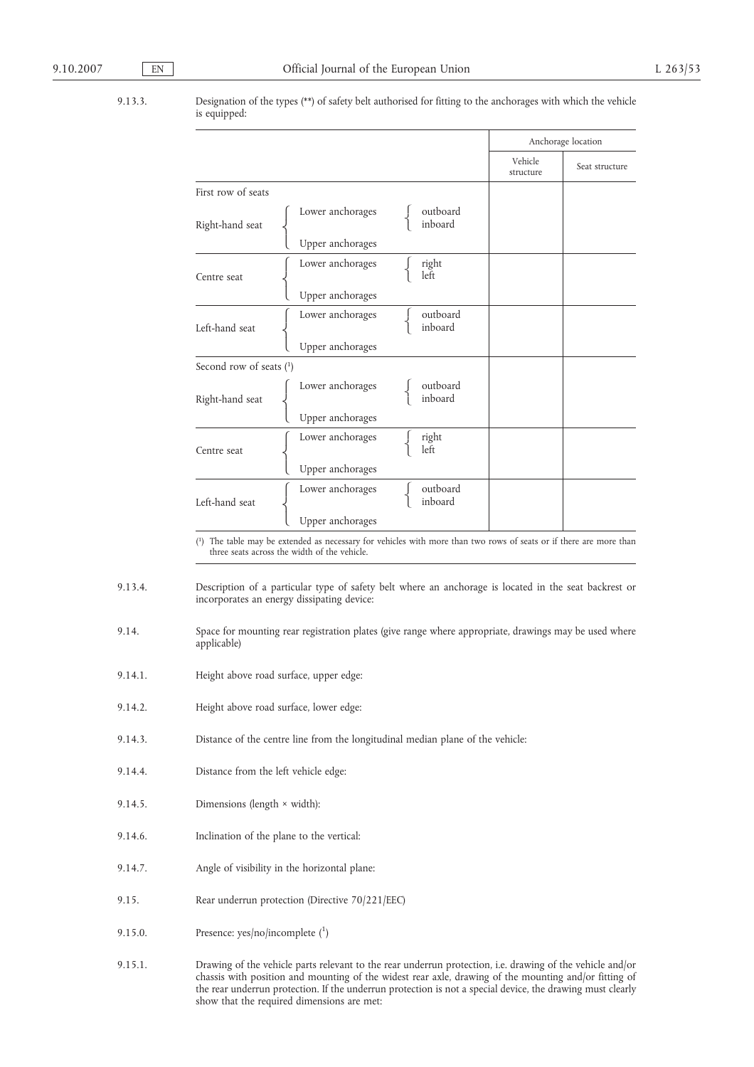9.13.3. Designation of the types (\*\*) of safety belt authorised for fitting to the anchorages with which the vehicle is equipped:

|                         |                  |                     |                      | Anchorage location |
|-------------------------|------------------|---------------------|----------------------|--------------------|
|                         |                  |                     | Vehicle<br>structure | Seat structure     |
| First row of seats      |                  |                     |                      |                    |
| Right-hand seat         | Lower anchorages | outboard<br>inboard |                      |                    |
|                         | Upper anchorages |                     |                      |                    |
| Centre seat             | Lower anchorages | right<br>left       |                      |                    |
|                         | Upper anchorages |                     |                      |                    |
| Left-hand seat          | Lower anchorages | outboard<br>inboard |                      |                    |
|                         | Upper anchorages |                     |                      |                    |
| Second row of seats (1) |                  |                     |                      |                    |
| Right-hand seat         | Lower anchorages | outboard<br>inboard |                      |                    |
|                         | Upper anchorages |                     |                      |                    |
| Centre seat             | Lower anchorages | right<br>left       |                      |                    |
|                         | Upper anchorages |                     |                      |                    |
| Left-hand seat          | Lower anchorages | outboard<br>inboard |                      |                    |
|                         | Upper anchorages |                     |                      |                    |

 $(1)$ The table may be extended as necessary for vehicles with more than two rows of seats or if there are more than three seats across the width of the vehicle.

9.13.4. Description of a particular type of safety belt where an anchorage is located in the seat backrest or incorporates an energy dissipating device:

- 9.14. Space for mounting rear registration plates (give range where appropriate, drawings may be used where applicable)
- 9.14.1. Height above road surface, upper edge:
- 9.14.2. Height above road surface, lower edge:
- 9.14.3. Distance of the centre line from the longitudinal median plane of the vehicle:
- 9.14.4. Distance from the left vehicle edge:
- 9.14.5. Dimensions (length × width):
- 9.14.6. Inclination of the plane to the vertical:
- 9.14.7. Angle of visibility in the horizontal plane:
- 9.15. Rear underrun protection (Directive 70/221/EEC)
- 9.15.0. Presence:  $yes/no/incomplete (1)$
- 9.15.1. Drawing of the vehicle parts relevant to the rear underrun protection, i.e. drawing of the vehicle and/or chassis with position and mounting of the widest rear axle, drawing of the mounting and/or fitting of the rear underrun protection. If the underrun protection is not a special device, the drawing must clearly show that the required dimensions are met: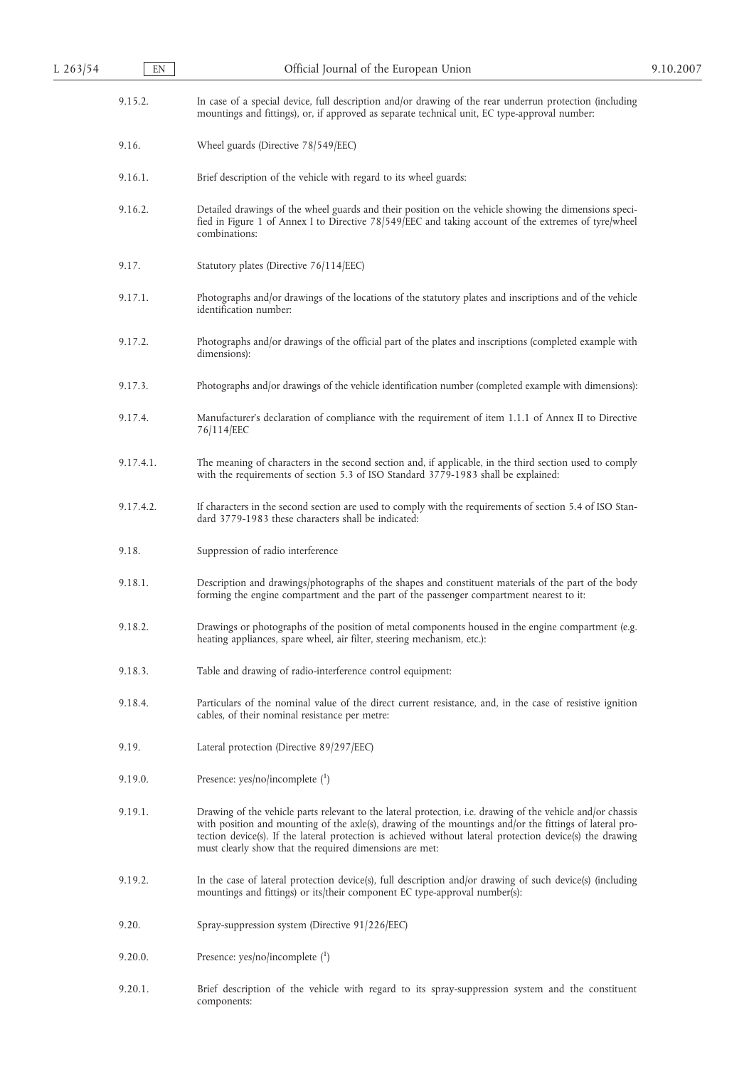| L 263/54 | EN        | Official Journal of the European Union                                                                                                                                                                                                                                                                                                                                                         | 9.10.2007 |
|----------|-----------|------------------------------------------------------------------------------------------------------------------------------------------------------------------------------------------------------------------------------------------------------------------------------------------------------------------------------------------------------------------------------------------------|-----------|
|          | 9.15.2.   | In case of a special device, full description and/or drawing of the rear underrun protection (including<br>mountings and fittings), or, if approved as separate technical unit, EC type-approval number:                                                                                                                                                                                       |           |
|          | 9.16.     | Wheel guards (Directive 78/549/EEC)                                                                                                                                                                                                                                                                                                                                                            |           |
|          | 9.16.1.   | Brief description of the vehicle with regard to its wheel guards:                                                                                                                                                                                                                                                                                                                              |           |
|          | 9.16.2.   | Detailed drawings of the wheel guards and their position on the vehicle showing the dimensions speci-<br>fied in Figure 1 of Annex I to Directive 78/549/EEC and taking account of the extremes of tyre/wheel<br>combinations:                                                                                                                                                                 |           |
|          | 9.17.     | Statutory plates (Directive 76/114/EEC)                                                                                                                                                                                                                                                                                                                                                        |           |
|          | 9.17.1.   | Photographs and/or drawings of the locations of the statutory plates and inscriptions and of the vehicle<br>identification number:                                                                                                                                                                                                                                                             |           |
|          | 9.17.2.   | Photographs and/or drawings of the official part of the plates and inscriptions (completed example with<br>dimensions):                                                                                                                                                                                                                                                                        |           |
|          | 9.17.3.   | Photographs and/or drawings of the vehicle identification number (completed example with dimensions):                                                                                                                                                                                                                                                                                          |           |
|          | 9.17.4.   | Manufacturer's declaration of compliance with the requirement of item 1.1.1 of Annex II to Directive<br>76/114/EEC                                                                                                                                                                                                                                                                             |           |
|          | 9.17.4.1. | The meaning of characters in the second section and, if applicable, in the third section used to comply<br>with the requirements of section 5.3 of ISO Standard 3779-1983 shall be explained:                                                                                                                                                                                                  |           |
|          | 9.17.4.2. | If characters in the second section are used to comply with the requirements of section 5.4 of ISO Stan-<br>dard 3779-1983 these characters shall be indicated:                                                                                                                                                                                                                                |           |
|          | 9.18.     | Suppression of radio interference                                                                                                                                                                                                                                                                                                                                                              |           |
|          | 9.18.1.   | Description and drawings/photographs of the shapes and constituent materials of the part of the body<br>forming the engine compartment and the part of the passenger compartment nearest to it:                                                                                                                                                                                                |           |
|          | 9.18.2.   | Drawings or photographs of the position of metal components housed in the engine compartment (e.g.<br>heating appliances, spare wheel, air filter, steering mechanism, etc.):                                                                                                                                                                                                                  |           |
|          | 9.18.3.   | Table and drawing of radio-interference control equipment:                                                                                                                                                                                                                                                                                                                                     |           |
|          | 9.18.4.   | Particulars of the nominal value of the direct current resistance, and, in the case of resistive ignition<br>cables, of their nominal resistance per metre:                                                                                                                                                                                                                                    |           |
|          | 9.19.     | Lateral protection (Directive 89/297/EEC)                                                                                                                                                                                                                                                                                                                                                      |           |
|          | 9.19.0.   | Presence: $yes/no/incomplete (1)$                                                                                                                                                                                                                                                                                                                                                              |           |
|          | 9.19.1.   | Drawing of the vehicle parts relevant to the lateral protection, i.e. drawing of the vehicle and/or chassis<br>with position and mounting of the axle(s), drawing of the mountings and/or the fittings of lateral pro-<br>tection device(s). If the lateral protection is achieved without lateral protection device(s) the drawing<br>must clearly show that the required dimensions are met: |           |
|          | 9.19.2.   | In the case of lateral protection device(s), full description and/or drawing of such device(s) (including<br>mountings and fittings) or its/their component EC type-approval number(s):                                                                                                                                                                                                        |           |
|          | 9.20.     | Spray-suppression system (Directive 91/226/EEC)                                                                                                                                                                                                                                                                                                                                                |           |
|          | 9.20.0.   | Presence: $yes/no/incomplete (1)$                                                                                                                                                                                                                                                                                                                                                              |           |
|          | 9.20.1.   | Brief description of the vehicle with regard to its spray-suppression system and the constituent<br>components:                                                                                                                                                                                                                                                                                |           |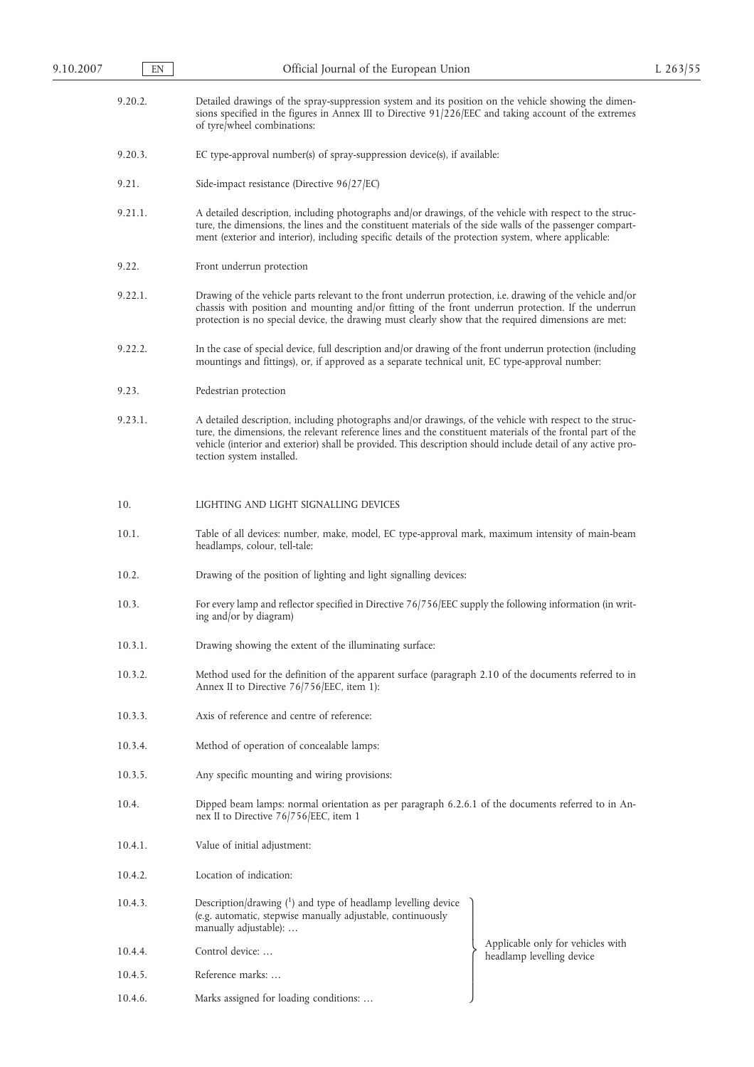- 9.20.2. Detailed drawings of the spray-suppression system and its position on the vehicle showing the dimensions specified in the figures in Annex III to Directive 91/226/EEC and taking account of the extremes of tyre/wheel combinations:
- 9.20.3. EC type-approval number(s) of spray-suppression device(s), if available:
- 9.21. Side-impact resistance (Directive 96/27/EC)
- 9.21.1. A detailed description, including photographs and/or drawings, of the vehicle with respect to the structure, the dimensions, the lines and the constituent materials of the side walls of the passenger compartment (exterior and interior), including specific details of the protection system, where applicable:
- 9.22. Front underrun protection
- 9.22.1. Drawing of the vehicle parts relevant to the front underrun protection, i.e. drawing of the vehicle and/or chassis with position and mounting and/or fitting of the front underrun protection. If the underrun protection is no special device, the drawing must clearly show that the required dimensions are met:
- 9.22.2. In the case of special device, full description and/or drawing of the front underrun protection (including mountings and fittings), or, if approved as a separate technical unit, EC type-approval number:
- 9.23. Pedestrian protection
- 9.23.1. A detailed description, including photographs and/or drawings, of the vehicle with respect to the structure, the dimensions, the relevant reference lines and the constituent materials of the frontal part of the vehicle (interior and exterior) shall be provided. This description should include detail of any active protection system installed.

### 10. LIGHTING AND LIGHT SIGNALLING DEVICES

- 10.1. Table of all devices: number, make, model, EC type-approval mark, maximum intensity of main-beam headlamps, colour, tell-tale:
- 10.2. Drawing of the position of lighting and light signalling devices:
- 10.3. For every lamp and reflector specified in Directive 76/756/EEC supply the following information (in writing and/or by diagram)
- 10.3.1. Drawing showing the extent of the illuminating surface:
- 10.3.2. Method used for the definition of the apparent surface (paragraph 2.10 of the documents referred to in Annex II to Directive 76/756/EEC, item 1):
- 10.3.3. Axis of reference and centre of reference:
- 10.3.4. Method of operation of concealable lamps:
- 10.3.5. Any specific mounting and wiring provisions:
- 10.4. Dipped beam lamps: normal orientation as per paragraph 6.2.6.1 of the documents referred to in Annex II to Directive 76/756/EEC, item 1
- 10.4.1. Value of initial adjustment:
- 10.4.2. Location of indication:
- 10.4.3. Description/drawing (1) and type of headlamp levelling device (e.g. automatic, stepwise manually adjustable, continuously manually adjustable): …
- 10.4.4. Control device: …
- 10.4.5. Reference marks: …
- 10.4.6. Marks assigned for loading conditions: …

Applicable only for vehicles with

 $\overline{1}$  $\overline{ }$ Ì  $\overline{ }$ J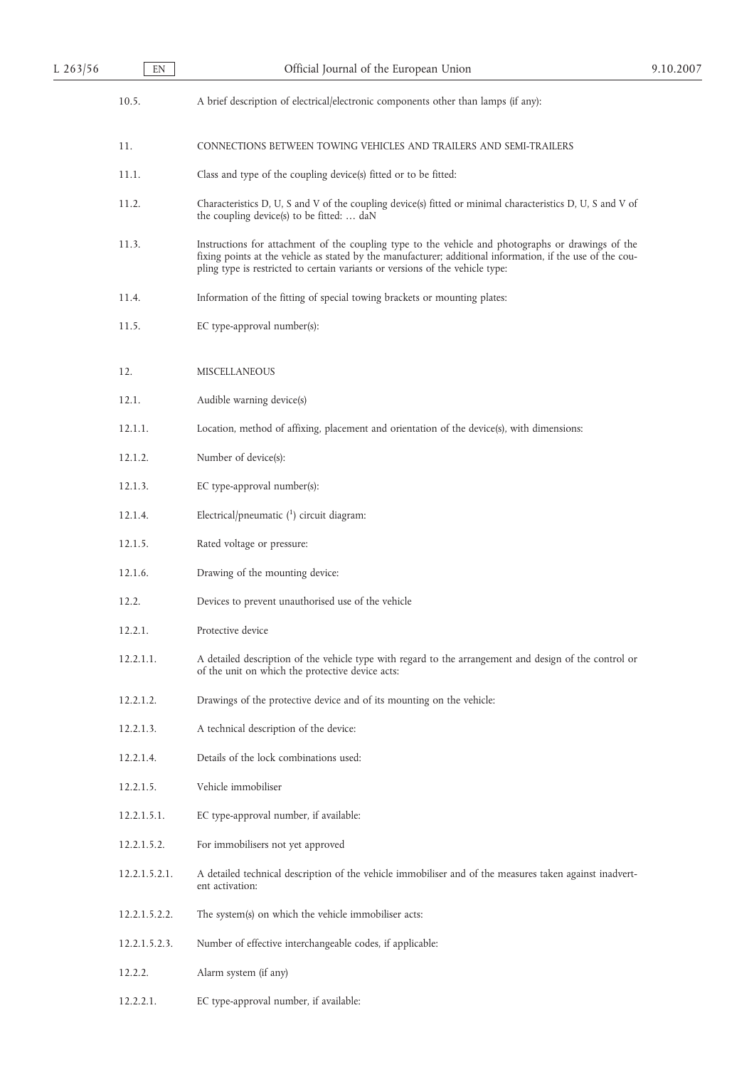10.5. A brief description of electrical/electronic components other than lamps (if any):

11. CONNECTIONS BETWEEN TOWING VEHICLES AND TRAILERS AND SEMI-TRAILERS

- 11.1. Class and type of the coupling device(s) fitted or to be fitted:
- 11.2. Characteristics D, U, S and V of the coupling device(s) fitted or minimal characteristics D, U, S and V of the coupling device(s) to be fitted: … daN
- 11.3. Instructions for attachment of the coupling type to the vehicle and photographs or drawings of the fixing points at the vehicle as stated by the manufacturer; additional information, if the use of the coupling type is restricted to certain variants or versions of the vehicle type:
- 11.4. Information of the fitting of special towing brackets or mounting plates:
- 11.5. EC type-approval number(s):
- 12. MISCELLANEOUS
- 12.1. Audible warning device(s)
- 12.1.1. Location, method of affixing, placement and orientation of the device(s), with dimensions:
- 12.1.2. Number of device(s):
- 12.1.3. EC type-approval number(s):
- 12.1.4. Electrical/pneumatic  $(1)$  circuit diagram:
- 12.1.5. Rated voltage or pressure:
- 12.1.6. Drawing of the mounting device:
- 12.2. Devices to prevent unauthorised use of the vehicle
- 12.2.1. Protective device
- 12.2.1.1. A detailed description of the vehicle type with regard to the arrangement and design of the control or of the unit on which the protective device acts:
- 12.2.1.2. Drawings of the protective device and of its mounting on the vehicle:
- 12.2.1.3. A technical description of the device:
- 12.2.1.4. Details of the lock combinations used:
- 12.2.1.5. Vehicle immobiliser
- 12.2.1.5.1. EC type-approval number, if available:
- 12.2.1.5.2. For immobilisers not yet approved
- 12.2.1.5.2.1. A detailed technical description of the vehicle immobiliser and of the measures taken against inadvertent activation:
- 12.2.1.5.2.2. The system(s) on which the vehicle immobiliser acts:
- 12.2.1.5.2.3. Number of effective interchangeable codes, if applicable:
- 12.2.2. Alarm system (if any)
- 12.2.2.1. EC type-approval number, if available: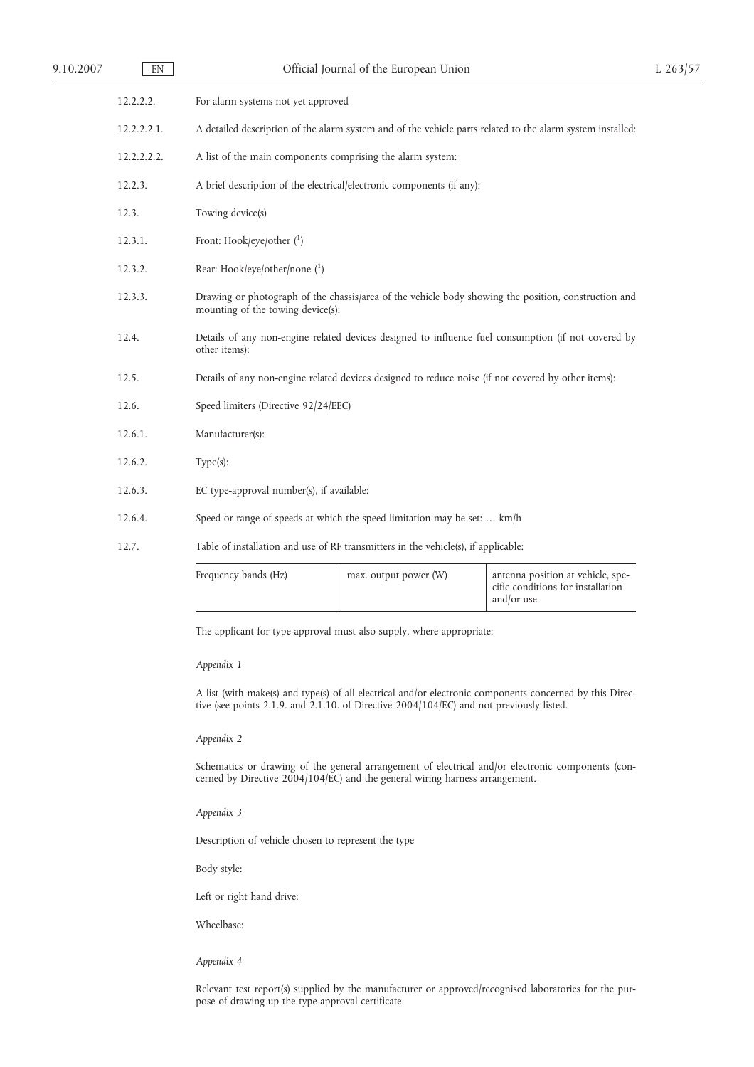| 9.10.2007 | EN          | Official Journal of the European Union                                                                                                    | $L$ 263/57 |
|-----------|-------------|-------------------------------------------------------------------------------------------------------------------------------------------|------------|
|           | 12.2.2.2.   | For alarm systems not yet approved                                                                                                        |            |
|           | 12.2.2.2.1. | A detailed description of the alarm system and of the vehicle parts related to the alarm system installed:                                |            |
|           | 12.2.2.2.2. | A list of the main components comprising the alarm system:                                                                                |            |
|           | 12.2.3.     | A brief description of the electrical/electronic components (if any):                                                                     |            |
|           | 12.3.       | Towing device(s)                                                                                                                          |            |
|           | 12.3.1.     | Front: Hook/eye/other $(^1)$                                                                                                              |            |
|           | 12.3.2.     | Rear: Hook/eye/other/none $(^1)$                                                                                                          |            |
|           | 12.3.3.     | Drawing or photograph of the chassis/area of the vehicle body showing the position, construction and<br>mounting of the towing device(s): |            |
|           | 12.4.       | Details of any non-engine related devices designed to influence fuel consumption (if not covered by<br>other items):                      |            |
|           | 12.5.       | Details of any non-engine related devices designed to reduce noise (if not covered by other items):                                       |            |
|           | 12.6.       | Speed limiters (Directive 92/24/EEC)                                                                                                      |            |
|           | 12.6.1.     | Manufacturer(s):                                                                                                                          |            |
|           | 12.6.2.     | Type(s):                                                                                                                                  |            |
|           | 12.6.3.     | EC type-approval number(s), if available:                                                                                                 |            |
|           | 12.6.4.     | Speed or range of speeds at which the speed limitation may be set:  km/h                                                                  |            |
|           | 12.7.       | Table of installation and use of RF transmitters in the vehicle(s), if applicable:                                                        |            |

| Frequency bands (Hz) | max. output power (W) | antenna position at vehicle, spe-<br>cific conditions for installation<br>and/or use |
|----------------------|-----------------------|--------------------------------------------------------------------------------------|
|----------------------|-----------------------|--------------------------------------------------------------------------------------|

The applicant for type-approval must also supply, where appropriate:

# *Appendix 1*

A list (with make(s) and type(s) of all electrical and/or electronic components concerned by this Directive (see points 2.1.9. and 2.1.10. of Directive 2004/104/EC) and not previously listed.

#### *Appendix 2*

Schematics or drawing of the general arrangement of electrical and/or electronic components (concerned by Directive 2004/104/EC) and the general wiring harness arrangement.

*Appendix 3*

Description of vehicle chosen to represent the type

Body style:

Left or right hand drive:

Wheelbase:

*Appendix 4*

Relevant test report(s) supplied by the manufacturer or approved/recognised laboratories for the purpose of drawing up the type-approval certificate.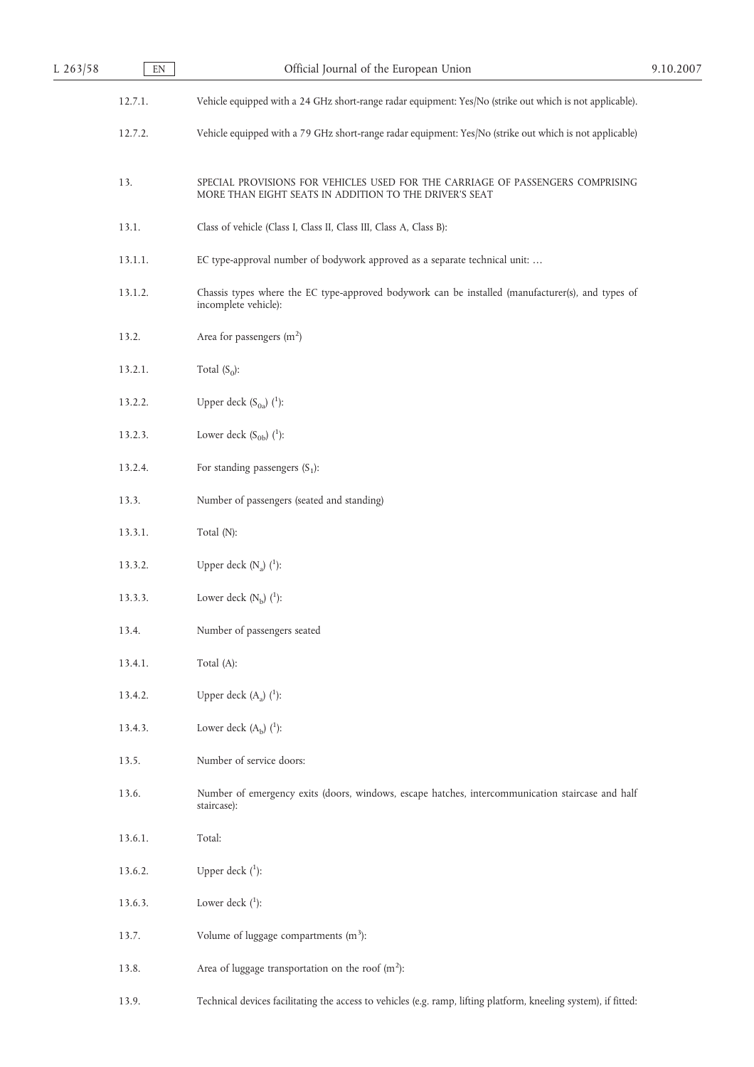| $L$ 263/58 | $\mathop{\rm EN}\nolimits$ | Official Journal of the European Union                                                                                                   | 9.10.2007 |
|------------|----------------------------|------------------------------------------------------------------------------------------------------------------------------------------|-----------|
|            | 12.7.1.                    | Vehicle equipped with a 24 GHz short-range radar equipment: Yes/No (strike out which is not applicable).                                 |           |
|            | 12.7.2.                    | Vehicle equipped with a 79 GHz short-range radar equipment: Yes/No (strike out which is not applicable)                                  |           |
|            | 13.                        | SPECIAL PROVISIONS FOR VEHICLES USED FOR THE CARRIAGE OF PASSENGERS COMPRISING<br>MORE THAN EIGHT SEATS IN ADDITION TO THE DRIVER'S SEAT |           |
|            | 13.1.                      | Class of vehicle (Class I, Class II, Class III, Class A, Class B):                                                                       |           |
|            | 13.1.1.                    | EC type-approval number of bodywork approved as a separate technical unit:                                                               |           |
|            | 13.1.2.                    | Chassis types where the EC type-approved bodywork can be installed (manufacturer(s), and types of<br>incomplete vehicle):                |           |
|            | 13.2.                      | Area for passengers $(m2)$                                                                                                               |           |
|            | 13.2.1.                    | Total $(S_0)$ :                                                                                                                          |           |
|            | 13.2.2.                    | Upper deck $(S_{0a})$ $(1)$ :                                                                                                            |           |
|            | 13.2.3.                    | Lower deck $(S_{0b})$ $(^1)$ :                                                                                                           |           |
|            | 13.2.4.                    | For standing passengers $(S_1)$ :                                                                                                        |           |
|            | 13.3.                      | Number of passengers (seated and standing)                                                                                               |           |
|            | 13.3.1.                    | Total (N):                                                                                                                               |           |
|            | 13.3.2.                    | Upper deck $(N_a)$ $(^1)$ :                                                                                                              |           |
|            | 13.3.3.                    | Lower deck $(N_b)$ $(^1)$ :                                                                                                              |           |
|            | 13.4.                      | Number of passengers seated                                                                                                              |           |
|            | 13.4.1.                    | Total (A):                                                                                                                               |           |
|            | 13.4.2.                    | Upper deck $(A_a)$ $(^1)$ :                                                                                                              |           |
|            | 13.4.3.                    | Lower deck $(A_b)$ $(^1)$ :                                                                                                              |           |
|            | 13.5.                      | Number of service doors:                                                                                                                 |           |
|            | 13.6.                      | Number of emergency exits (doors, windows, escape hatches, intercommunication staircase and half<br>staircase):                          |           |
|            | 13.6.1.                    | Total:                                                                                                                                   |           |
|            | 13.6.2.                    | Upper deck $(^1)$ :                                                                                                                      |           |
|            | 13.6.3.                    | Lower deck $(^1)$ :                                                                                                                      |           |
|            | 13.7.                      | Volume of luggage compartments $(m^3)$ :                                                                                                 |           |
|            | 13.8.                      | Area of luggage transportation on the roof $(m^2)$ :                                                                                     |           |
|            | 13.9.                      | Technical devices facilitating the access to vehicles (e.g. ramp, lifting platform, kneeling system), if fitted:                         |           |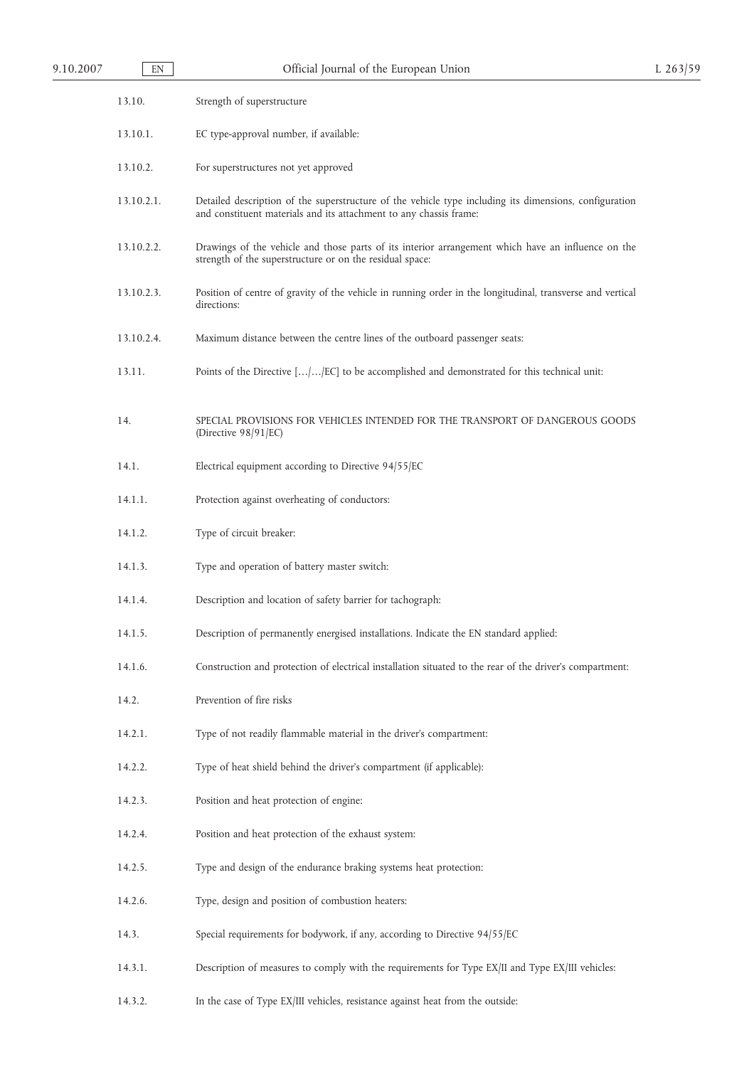| 9.10.2007 | EN         | Official Journal of the European Union                                                                                                                                       |  |
|-----------|------------|------------------------------------------------------------------------------------------------------------------------------------------------------------------------------|--|
|           | 13.10.     | Strength of superstructure                                                                                                                                                   |  |
|           | 13.10.1.   | EC type-approval number, if available:                                                                                                                                       |  |
|           | 13.10.2.   | For superstructures not yet approved                                                                                                                                         |  |
|           | 13.10.2.1. | Detailed description of the superstructure of the vehicle type including its dimensions, configuration<br>and constituent materials and its attachment to any chassis frame: |  |
|           | 13.10.2.2. | Drawings of the vehicle and those parts of its interior arrangement which have an influence on the<br>strength of the superstructure or on the residual space:               |  |
|           | 13.10.2.3. | Position of centre of gravity of the vehicle in running order in the longitudinal, transverse and vertical<br>directions:                                                    |  |
|           | 13.10.2.4. | Maximum distance between the centre lines of the outboard passenger seats:                                                                                                   |  |
|           | 13.11.     | Points of the Directive [//EC] to be accomplished and demonstrated for this technical unit:                                                                                  |  |
|           | 14.        | SPECIAL PROVISIONS FOR VEHICLES INTENDED FOR THE TRANSPORT OF DANGEROUS GOODS<br>(Directive 98/91/EC)                                                                        |  |
|           | 14.1.      | Electrical equipment according to Directive 94/55/EC                                                                                                                         |  |
|           | 14.1.1.    | Protection against overheating of conductors:                                                                                                                                |  |
|           | 14.1.2.    | Type of circuit breaker:                                                                                                                                                     |  |
|           | 14.1.3.    | Type and operation of battery master switch:                                                                                                                                 |  |
|           | 14.1.4.    | Description and location of safety barrier for tachograph:                                                                                                                   |  |
|           | 14.1.5.    | Description of permanently energised installations. Indicate the EN standard applied:                                                                                        |  |
|           | 14.1.6.    | Construction and protection of electrical installation situated to the rear of the driver's compartment:                                                                     |  |
|           | 14.2.      | Prevention of fire risks                                                                                                                                                     |  |
|           | 14.2.1.    | Type of not readily flammable material in the driver's compartment:                                                                                                          |  |
|           | 14.2.2.    | Type of heat shield behind the driver's compartment (if applicable):                                                                                                         |  |
|           | 14.2.3.    | Position and heat protection of engine:                                                                                                                                      |  |
|           | 14.2.4.    | Position and heat protection of the exhaust system:                                                                                                                          |  |
|           | 14.2.5.    | Type and design of the endurance braking systems heat protection:                                                                                                            |  |
|           | 14.2.6.    | Type, design and position of combustion heaters:                                                                                                                             |  |
|           | 14.3.      | Special requirements for bodywork, if any, according to Directive 94/55/EC                                                                                                   |  |
|           | 14.3.1.    | Description of measures to comply with the requirements for Type EX/II and Type EX/III vehicles:                                                                             |  |
|           | 14.3.2.    | In the case of Type EX/III vehicles, resistance against heat from the outside:                                                                                               |  |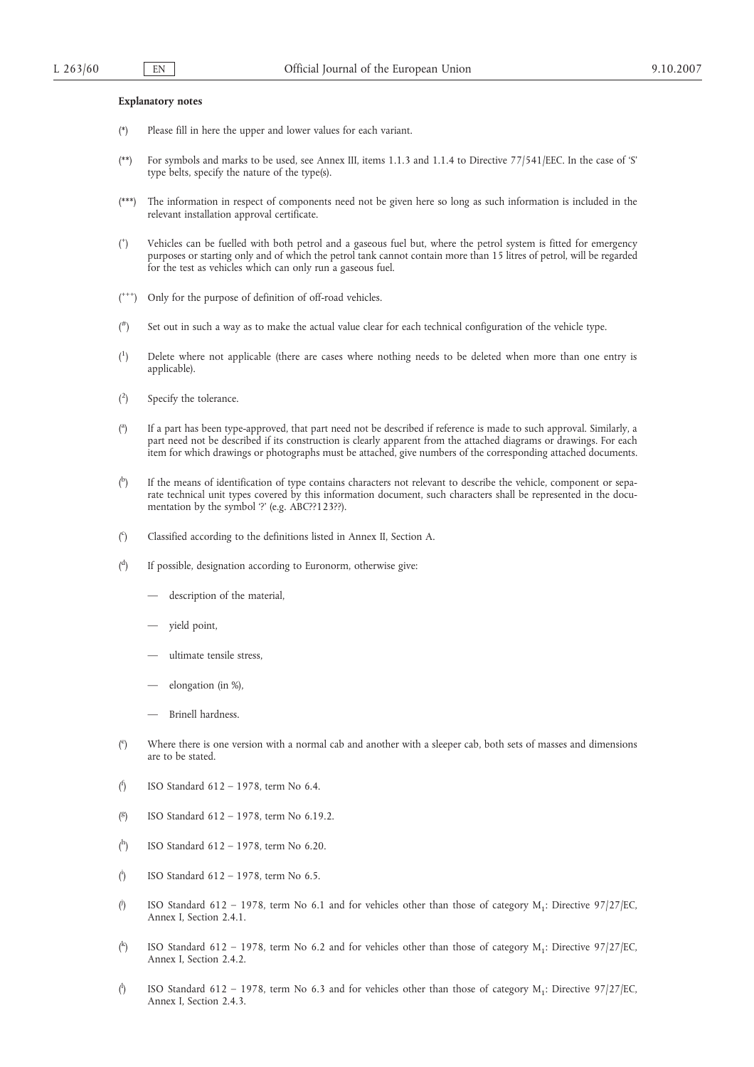#### **Explanatory notes**

- (\*) Please fill in here the upper and lower values for each variant.
- (\*\*) For symbols and marks to be used, see Annex III, items 1.1.3 and 1.1.4 to Directive 77/541/EEC. In the case of 'S' type belts, specify the nature of the type(s).
- (\*\*\*) The information in respect of components need not be given here so long as such information is included in the relevant installation approval certificate.
- $($ <sup>+</sup> ) Vehicles can be fuelled with both petrol and a gaseous fuel but, where the petrol system is fitted for emergency purposes or starting only and of which the petrol tank cannot contain more than 15 litres of petrol, will be regarded for the test as vehicles which can only run a gaseous fuel.
- (\*\*\*) Only for the purpose of definition of off-road vehicles.
- $($ #) Set out in such a way as to make the actual value clear for each technical configuration of the vehicle type.
- $($ <sup>1</sup> ) Delete where not applicable (there are cases where nothing needs to be deleted when more than one entry is applicable).
- $($ <sup>2</sup> Specify the tolerance.
- $\binom{a}{b}$ ) If a part has been type-approved, that part need not be described if reference is made to such approval. Similarly, a part need not be described if its construction is clearly apparent from the attached diagrams or drawings. For each item for which drawings or photographs must be attached, give numbers of the corresponding attached documents.
- ( b ) If the means of identification of type contains characters not relevant to describe the vehicle, component or separate technical unit types covered by this information document, such characters shall be represented in the documentation by the symbol '?' (e.g. ABC??123??).
- $($ <sup>c</sup> ) Classified according to the definitions listed in Annex II, Section A.
- $\binom{d}{ }$ ) If possible, designation according to Euronorm, otherwise give:
	- description of the material,
	- yield point,
	- ultimate tensile stress.
	- elongation (in %),
	- Brinell hardness.
- $($ <sup>e</sup> ) Where there is one version with a normal cab and another with a sleeper cab, both sets of masses and dimensions are to be stated.
- ( f ) ISO Standard 612 – 1978, term No 6.4.
- ( g ) ISO Standard 612 – 1978, term No 6.19.2.
- ( h ) ISO Standard 612 – 1978, term No 6.20.
- $\int_0^1$ ) ISO Standard 612 – 1978, term No 6.5.
- ( j ISO Standard 612 – 1978, term No 6.1 and for vehicles other than those of category  $M_1$ : Directive 97/27/EC, Annex I, Section 2.4.1.
- ( k ISO Standard 612 – 1978, term No 6.2 and for vehicles other than those of category  $M_1$ : Directive 97/27/EC, Annex I, Section 2.4.2.
- $\binom{1}{1}$ ISO Standard 612 – 1978, term No 6.3 and for vehicles other than those of category  $M_1$ : Directive 97/27/EC, Annex I, Section 2.4.3.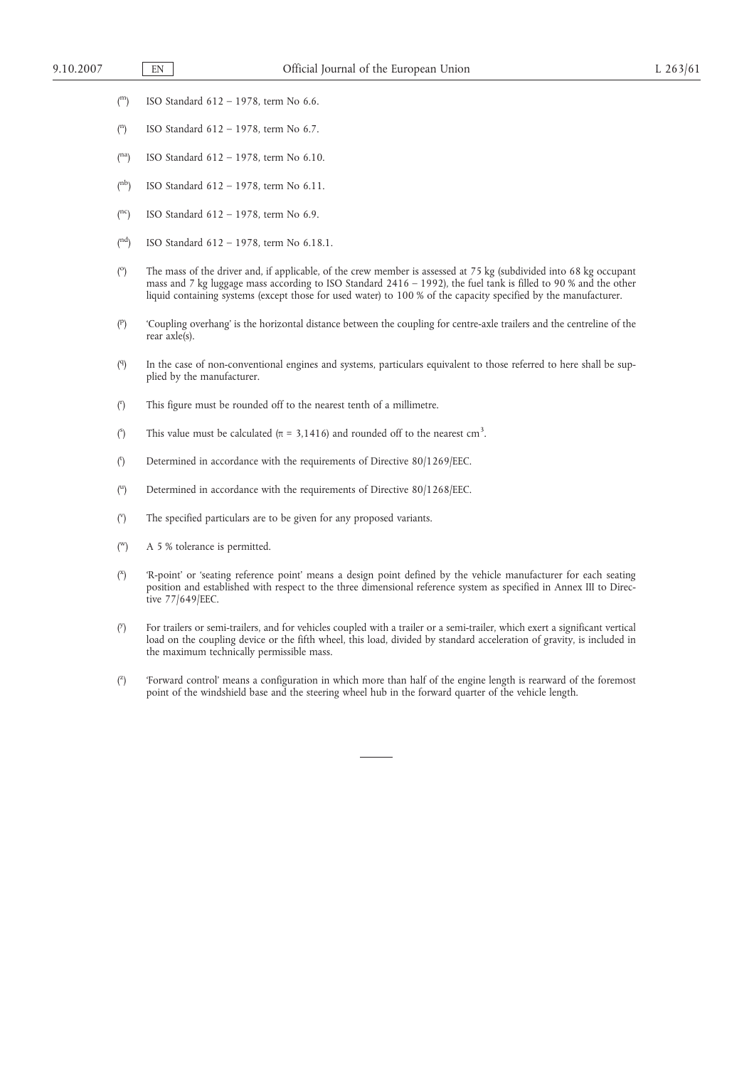- $($ <sup>m</sup> $)$ m) ISO Standard 612 – 1978, term No 6.6.
- ( n ) ISO Standard 612 – 1978, term No 6.7.
- $($ na $)$ ISO Standard 612 - 1978, term No 6.10.
- $($ <sup>nb</sup> $)$ ISO Standard 612 – 1978, term No 6.11.
- $(nc)$ ISO Standard  $612 - 1978$ , term No 6.9.
- $(^{nd}$ ) ISO Standard 612 – 1978, term No 6.18.1.
- $(^\circ$ ) The mass of the driver and, if applicable, of the crew member is assessed at 75 kg (subdivided into 68 kg occupant mass and 7 kg luggage mass according to ISO Standard 2416 – 1992), the fuel tank is filled to 90 % and the other liquid containing systems (except those for used water) to 100 % of the capacity specified by the manufacturer.
- ( p ) 'Coupling overhang' is the horizontal distance between the coupling for centre-axle trailers and the centreline of the rear axle(s).
- $(9)$ ) In the case of non-conventional engines and systems, particulars equivalent to those referred to here shall be supplied by the manufacturer.
- $\binom{r}{r}$ ) This figure must be rounded off to the nearest tenth of a millimetre.
- $\binom{S}{k}$ This value must be calculated ( $\pi = 3,1416$ ) and rounded off to the nearest cm<sup>3</sup>.
- $\binom{t}{t}$ ) Determined in accordance with the requirements of Directive 80/1269/EEC.
- $\binom{u}{u}$ ) Determined in accordance with the requirements of Directive 80/1268/EEC.
- $\binom{v}{v}$ The specified particulars are to be given for any proposed variants.
- $\binom{W}{k}$ A 5 % tolerance is permitted.
- $\binom{X}{x}$ ) 'R-point' or 'seating reference point' means a design point defined by the vehicle manufacturer for each seating position and established with respect to the three dimensional reference system as specified in Annex III to Directive 77/649/EEC.
- $\binom{y}{x}$ ) For trailers or semi-trailers, and for vehicles coupled with a trailer or a semi-trailer, which exert a significant vertical load on the coupling device or the fifth wheel, this load, divided by standard acceleration of gravity, is included in the maximum technically permissible mass.
- $\binom{z}{x}$ ) 'Forward control' means a configuration in which more than half of the engine length is rearward of the foremost point of the windshield base and the steering wheel hub in the forward quarter of the vehicle length.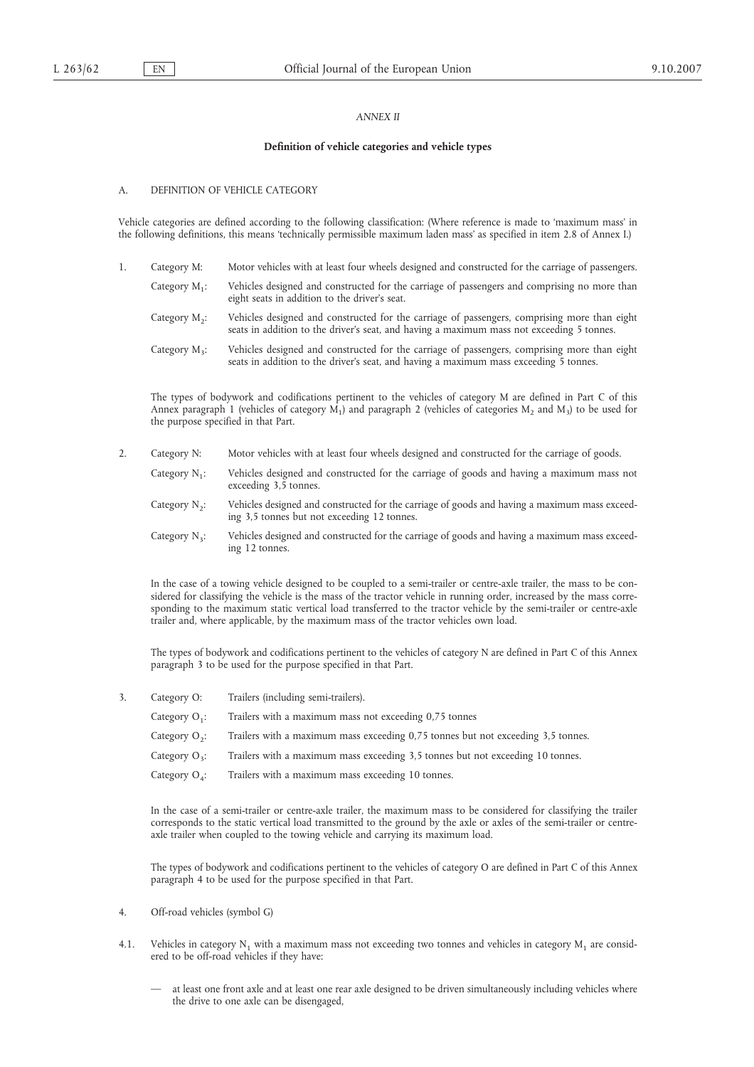# *ANNEX II*

#### **Definition of vehicle categories and vehicle types**

# A. DEFINITION OF VEHICLE CATEGORY

Vehicle categories are defined according to the following classification: (Where reference is made to 'maximum mass' in the following definitions, this means 'technically permissible maximum laden mass' as specified in item 2.8 of Annex I.)

- 1. Category M: Motor vehicles with at least four wheels designed and constructed for the carriage of passengers.
	- Category M<sub>1</sub>: Vehicles designed and constructed for the carriage of passengers and comprising no more than eight seats in addition to the driver's seat.
	- Category M<sub>2</sub>: Vehicles designed and constructed for the carriage of passengers, comprising more than eight seats in addition to the driver's seat, and having a maximum mass not exceeding 5 tonnes.
	- Category  $M_3$ : Vehicles designed and constructed for the carriage of passengers, comprising more than eight seats in addition to the driver's seat, and having a maximum mass exceeding 5 tonnes.

The types of bodywork and codifications pertinent to the vehicles of category M are defined in Part C of this Annex paragraph 1 (vehicles of category  $M_1$ ) and paragraph 2 (vehicles of categories M<sub>2</sub> and M<sub>3</sub>) to be used for the purpose specified in that Part.

- 2. Category N: Motor vehicles with at least four wheels designed and constructed for the carriage of goods.
	- Category  $N_1$ : Vehicles designed and constructed for the carriage of goods and having a maximum mass not exceeding 3,5 tonnes.
	- Category N<sub>2</sub>: Vehicles designed and constructed for the carriage of goods and having a maximum mass exceeding 3,5 tonnes but not exceeding 12 tonnes.
	- Category N<sub>3</sub>: Vehicles designed and constructed for the carriage of goods and having a maximum mass exceeding 12 tonnes.

In the case of a towing vehicle designed to be coupled to a semi-trailer or centre-axle trailer, the mass to be considered for classifying the vehicle is the mass of the tractor vehicle in running order, increased by the mass corresponding to the maximum static vertical load transferred to the tractor vehicle by the semi-trailer or centre-axle trailer and, where applicable, by the maximum mass of the tractor vehicles own load.

The types of bodywork and codifications pertinent to the vehicles of category N are defined in Part C of this Annex paragraph 3 to be used for the purpose specified in that Part.

- 3. Category O: Trailers (including semi-trailers).
	- Category  $O_1$ : Trailers with a maximum mass not exceeding 0,75 tonnes
	- Category  $O_2$ : Trailers with a maximum mass exceeding  $0,75$  tonnes but not exceeding  $3,5$  tonnes.
	- Category  $O_3$ : Trailers with a maximum mass exceeding 3,5 tonnes but not exceeding 10 tonnes.
	- Category  $O_4$ : Trailers with a maximum mass exceeding 10 tonnes.

In the case of a semi-trailer or centre-axle trailer, the maximum mass to be considered for classifying the trailer corresponds to the static vertical load transmitted to the ground by the axle or axles of the semi-trailer or centreaxle trailer when coupled to the towing vehicle and carrying its maximum load.

The types of bodywork and codifications pertinent to the vehicles of category O are defined in Part C of this Annex paragraph 4 to be used for the purpose specified in that Part.

- 4. Off-road vehicles (symbol G)
- 4.1. Vehicles in category  $N_1$  with a maximum mass not exceeding two tonnes and vehicles in category  $M_1$  are considered to be off-road vehicles if they have:
	- at least one front axle and at least one rear axle designed to be driven simultaneously including vehicles where the drive to one axle can be disengaged,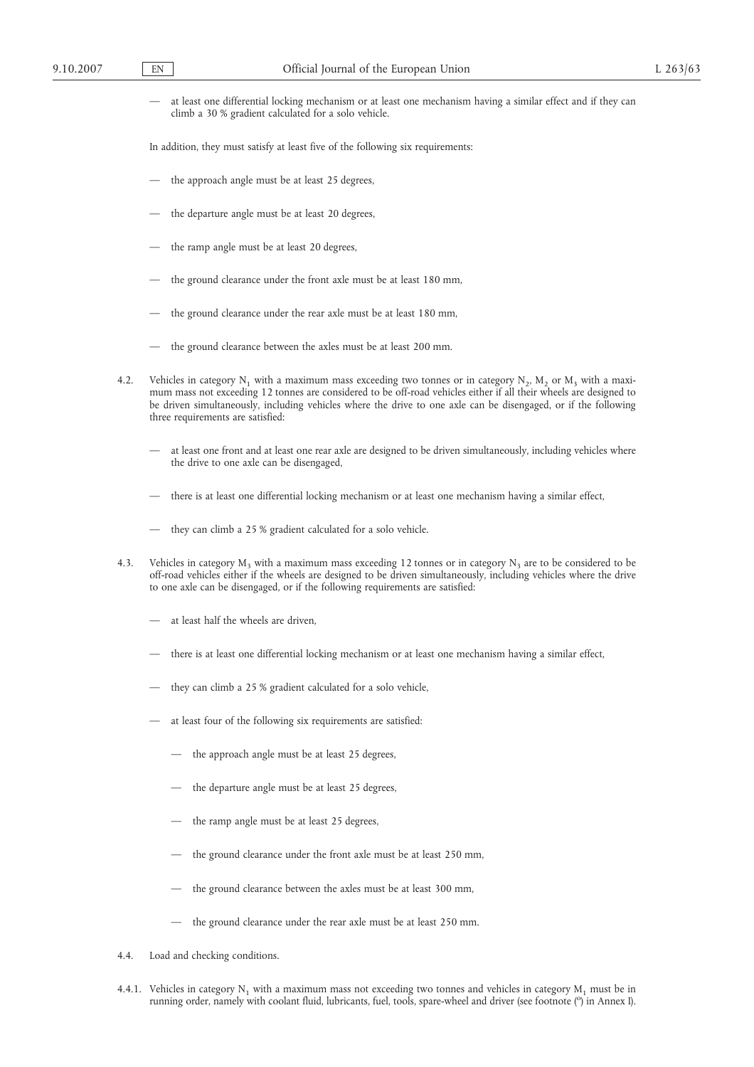— at least one differential locking mechanism or at least one mechanism having a similar effect and if they can climb a 30 % gradient calculated for a solo vehicle.

In addition, they must satisfy at least five of the following six requirements:

- the approach angle must be at least 25 degrees,
- the departure angle must be at least 20 degrees,
- the ramp angle must be at least 20 degrees,
- the ground clearance under the front axle must be at least 180 mm,
- the ground clearance under the rear axle must be at least 180 mm,
- the ground clearance between the axles must be at least 200 mm.
- 4.2. Vehicles in category N<sub>1</sub> with a maximum mass exceeding two tonnes or in category N<sub>2</sub>, M<sub>2</sub> or M<sub>3</sub> with a maximum mass not exceeding 12 tonnes are considered to be off-road vehicles either if all their wheels are designed to be driven simultaneously, including vehicles where the drive to one axle can be disengaged, or if the following three requirements are satisfied:
	- at least one front and at least one rear axle are designed to be driven simultaneously, including vehicles where the drive to one axle can be disengaged,
	- there is at least one differential locking mechanism or at least one mechanism having a similar effect,
	- they can climb a 25 % gradient calculated for a solo vehicle.
- 4.3. Vehicles in category  $M_3$  with a maximum mass exceeding 12 tonnes or in category  $N_3$  are to be considered to be off-road vehicles either if the wheels are designed to be driven simultaneously, including vehicles where the drive to one axle can be disengaged, or if the following requirements are satisfied:
	- at least half the wheels are driven.
	- there is at least one differential locking mechanism or at least one mechanism having a similar effect,
	- they can climb a 25 % gradient calculated for a solo vehicle,
	- at least four of the following six requirements are satisfied:
		- the approach angle must be at least 25 degrees,
		- the departure angle must be at least 25 degrees,
		- the ramp angle must be at least 25 degrees,
		- the ground clearance under the front axle must be at least 250 mm,
		- the ground clearance between the axles must be at least 300 mm,
		- the ground clearance under the rear axle must be at least 250 mm.
- 4.4. Load and checking conditions.
- 4.4.1. Vehicles in category  $N_1$  with a maximum mass not exceeding two tonnes and vehicles in category  $M_1$  must be in running order, namely with coolant fluid, lubricants, fuel, tools, spare-wheel and driver (see footnote (°) in Annex I).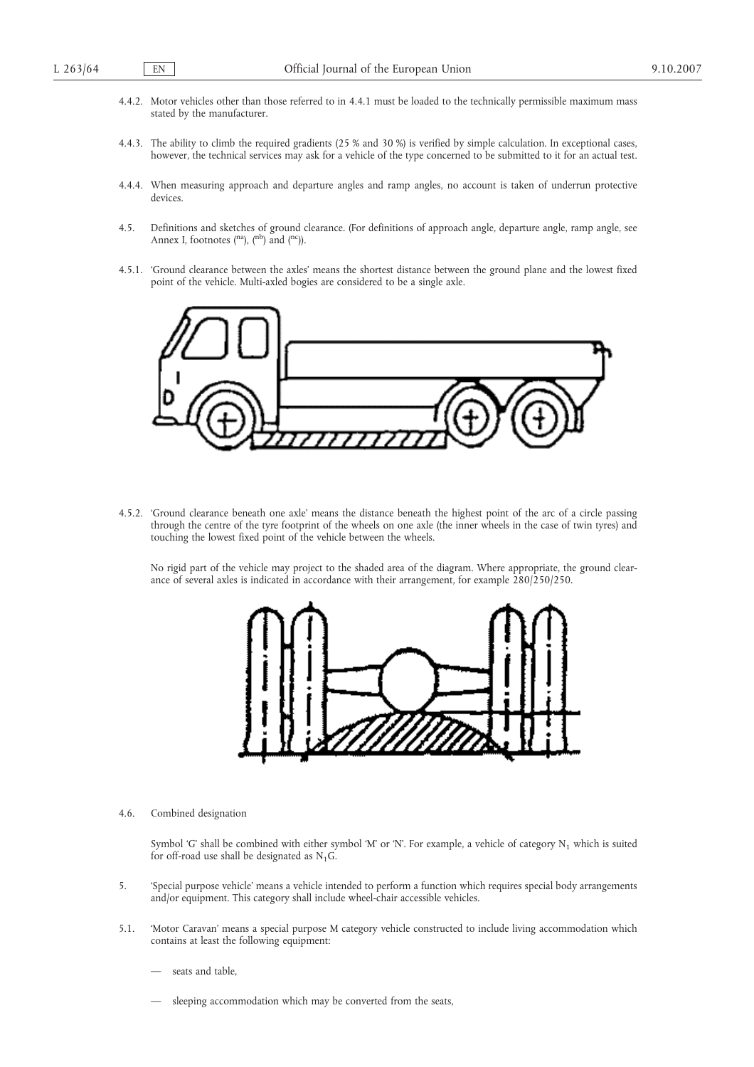- 4.4.2. Motor vehicles other than those referred to in 4.4.1 must be loaded to the technically permissible maximum mass stated by the manufacturer.
- 4.4.3. The ability to climb the required gradients (25 % and 30 %) is verified by simple calculation. In exceptional cases, however, the technical services may ask for a vehicle of the type concerned to be submitted to it for an actual test.
- 4.4.4. When measuring approach and departure angles and ramp angles, no account is taken of underrun protective devices.
- 4.5. Definitions and sketches of ground clearance. (For definitions of approach angle, departure angle, ramp angle, see Annex I, footnotes  $(^{na}$ ),  $(^{nb}$ ) and  $(^{nc})$ ).
- 4.5.1. 'Ground clearance between the axles' means the shortest distance between the ground plane and the lowest fixed point of the vehicle. Multi-axled bogies are considered to be a single axle.



4.5.2. 'Ground clearance beneath one axle' means the distance beneath the highest point of the arc of a circle passing through the centre of the tyre footprint of the wheels on one axle (the inner wheels in the case of twin tyres) and touching the lowest fixed point of the vehicle between the wheels.

No rigid part of the vehicle may project to the shaded area of the diagram. Where appropriate, the ground clearance of several axles is indicated in accordance with their arrangement, for example 280/250/250.



4.6. Combined designation

Symbol 'G' shall be combined with either symbol 'M' or 'N'. For example, a vehicle of category  $N_1$  which is suited for off-road use shall be designated as  $N_1G$ .

- 5. 'Special purpose vehicle' means a vehicle intended to perform a function which requires special body arrangements and/or equipment. This category shall include wheel-chair accessible vehicles.
- 5.1. 'Motor Caravan' means a special purpose M category vehicle constructed to include living accommodation which contains at least the following equipment:
	- seats and table,
	- sleeping accommodation which may be converted from the seats,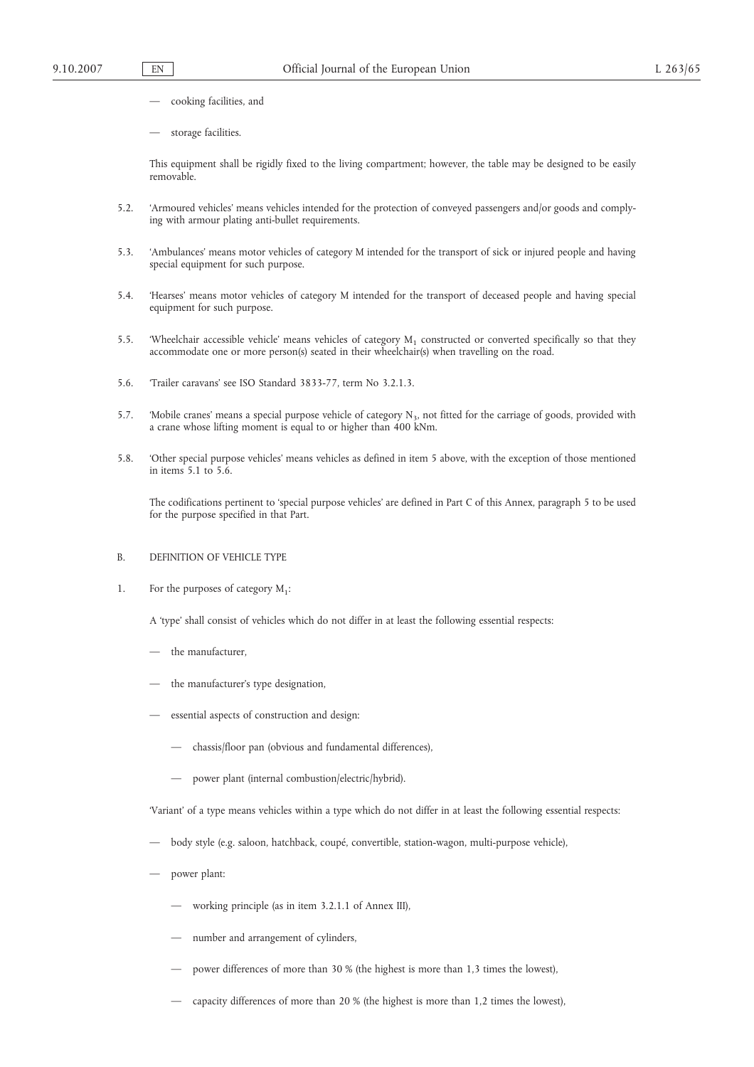- cooking facilities, and
- storage facilities.

This equipment shall be rigidly fixed to the living compartment; however, the table may be designed to be easily removable.

- 5.2. 'Armoured vehicles' means vehicles intended for the protection of conveyed passengers and/or goods and complying with armour plating anti-bullet requirements.
- 5.3. 'Ambulances' means motor vehicles of category M intended for the transport of sick or injured people and having special equipment for such purpose.
- 5.4. 'Hearses' means motor vehicles of category M intended for the transport of deceased people and having special equipment for such purpose.
- 5.5. 'Wheelchair accessible vehicle' means vehicles of category  $M_1$  constructed or converted specifically so that they accommodate one or more person(s) seated in their wheelchair(s) when travelling on the road.
- 5.6. 'Trailer caravans' see ISO Standard 3833-77, term No 3.2.1.3.
- 5.7. 'Mobile cranes' means a special purpose vehicle of category  $N<sub>3</sub>$ , not fitted for the carriage of goods, provided with a crane whose lifting moment is equal to or higher than 400 kNm.
- 5.8. 'Other special purpose vehicles' means vehicles as defined in item 5 above, with the exception of those mentioned in items 5.1 to 5.6.

The codifications pertinent to 'special purpose vehicles' are defined in Part C of this Annex, paragraph 5 to be used for the purpose specified in that Part.

- B. DEFINITION OF VEHICLE TYPE
- 1. For the purposes of category  $M_1$ :

A 'type' shall consist of vehicles which do not differ in at least the following essential respects:

- the manufacturer,
- the manufacturer's type designation,
- essential aspects of construction and design:
	- chassis/floor pan (obvious and fundamental differences),
	- power plant (internal combustion/electric/hybrid).

'Variant' of a type means vehicles within a type which do not differ in at least the following essential respects:

- body style (e.g. saloon, hatchback, coupé, convertible, station-wagon, multi-purpose vehicle),
- power plant:
	- working principle (as in item 3.2.1.1 of Annex III),
	- number and arrangement of cylinders,
	- power differences of more than 30 % (the highest is more than 1,3 times the lowest),
	- capacity differences of more than 20 % (the highest is more than 1,2 times the lowest),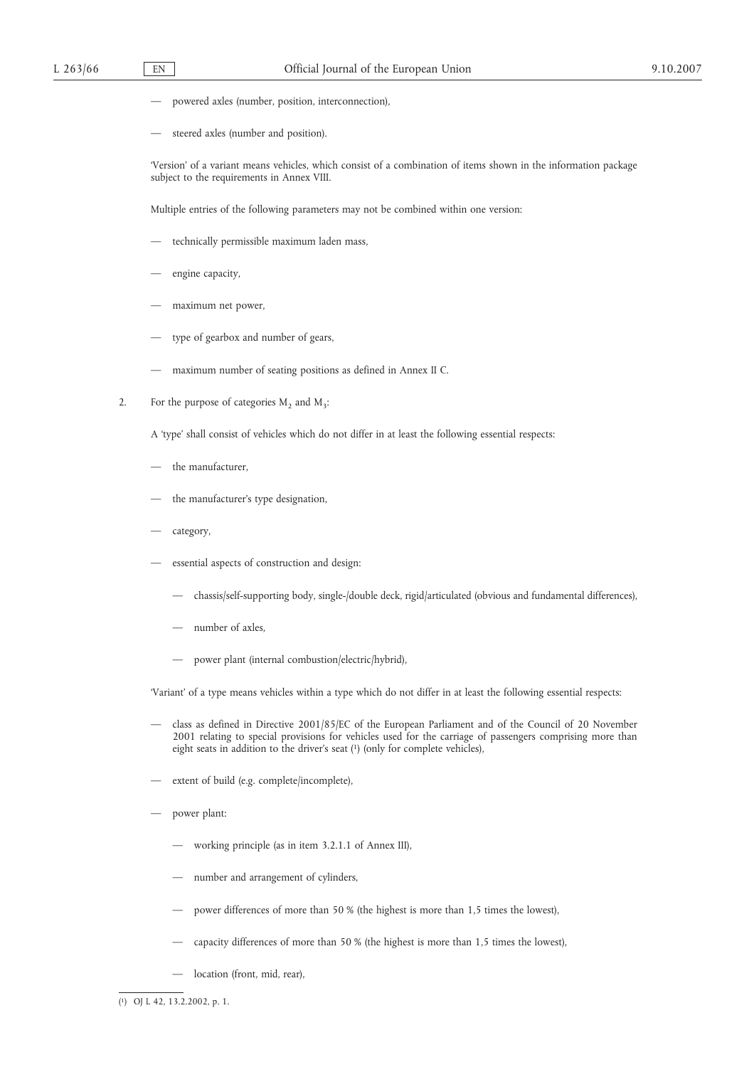- powered axles (number, position, interconnection),
- steered axles (number and position).

'Version' of a variant means vehicles, which consist of a combination of items shown in the information package subject to the requirements in Annex VIII.

Multiple entries of the following parameters may not be combined within one version:

- technically permissible maximum laden mass,
- engine capacity,
- maximum net power,
- type of gearbox and number of gears,
- maximum number of seating positions as defined in Annex II C.
- 2. For the purpose of categories  $M_2$  and  $M_3$ :

A 'type' shall consist of vehicles which do not differ in at least the following essential respects:

- the manufacturer.
- the manufacturer's type designation,
- category,
- essential aspects of construction and design:
	- chassis/self-supporting body, single-/double deck, rigid/articulated (obvious and fundamental differences),
	- number of axles,
	- power plant (internal combustion/electric/hybrid),

'Variant' of a type means vehicles within a type which do not differ in at least the following essential respects:

- class as defined in Directive 2001/85/EC of the European Parliament and of the Council of 20 November 2001 relating to special provisions for vehicles used for the carriage of passengers comprising more than eight seats in addition to the driver's seat (1) (only for complete vehicles),
- extent of build (e.g. complete/incomplete),
- power plant:
	- working principle (as in item 3.2.1.1 of Annex III),
	- number and arrangement of cylinders,
	- power differences of more than 50 % (the highest is more than 1,5 times the lowest),
	- capacity differences of more than 50 % (the highest is more than 1,5 times the lowest),
	- location (front, mid, rear),

( 1) OJ L 42, 13.2.2002, p. 1.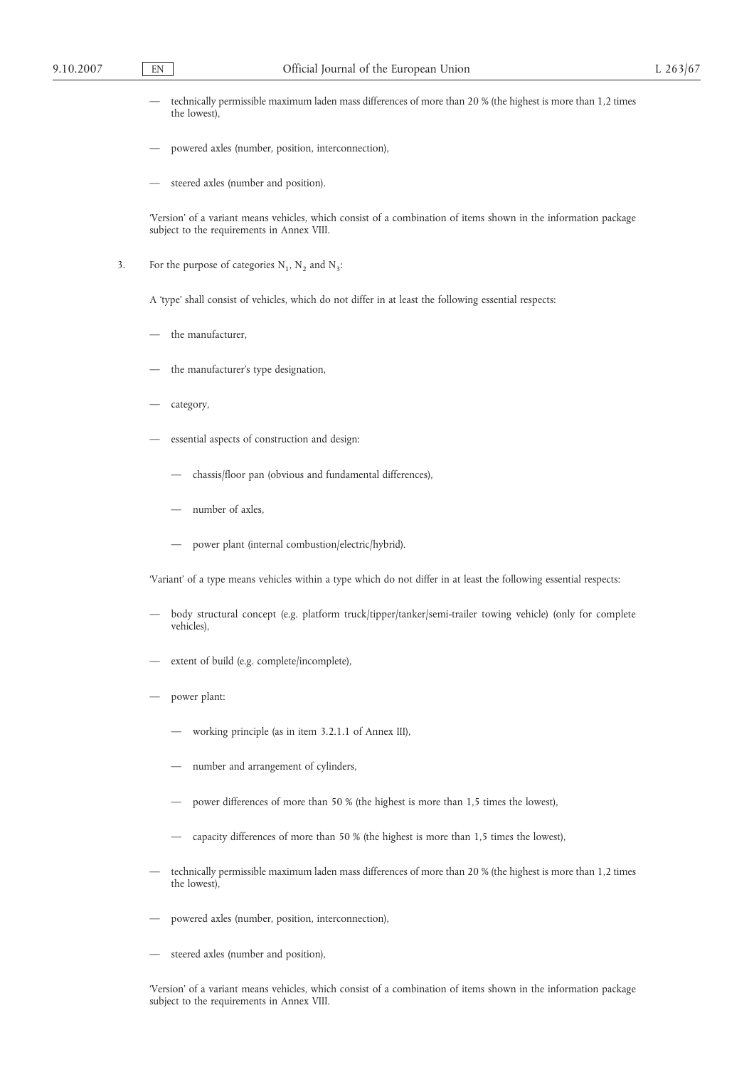- technically permissible maximum laden mass differences of more than 20 % (the highest is more than 1,2 times the lowest),
- powered axles (number, position, interconnection),
- steered axles (number and position).

'Version' of a variant means vehicles, which consist of a combination of items shown in the information package subject to the requirements in Annex VIII.

3. For the purpose of categories  $N_1$ ,  $N_2$  and  $N_3$ :

A 'type' shall consist of vehicles, which do not differ in at least the following essential respects:

- the manufacturer,
- the manufacturer's type designation,
- category,
- essential aspects of construction and design:
	- chassis/floor pan (obvious and fundamental differences),
	- number of axles.
	- power plant (internal combustion/electric/hybrid).

'Variant' of a type means vehicles within a type which do not differ in at least the following essential respects:

- body structural concept (e.g. platform truck/tipper/tanker/semi-trailer towing vehicle) (only for complete vehicles),
- extent of build (e.g. complete/incomplete),
- power plant:
	- working principle (as in item 3.2.1.1 of Annex III),
	- number and arrangement of cylinders,
	- power differences of more than 50 % (the highest is more than 1,5 times the lowest),
	- capacity differences of more than 50 % (the highest is more than 1,5 times the lowest),
- technically permissible maximum laden mass differences of more than 20 % (the highest is more than 1,2 times the lowest),
- powered axles (number, position, interconnection),
- steered axles (number and position),

'Version' of a variant means vehicles, which consist of a combination of items shown in the information package subject to the requirements in Annex VIII.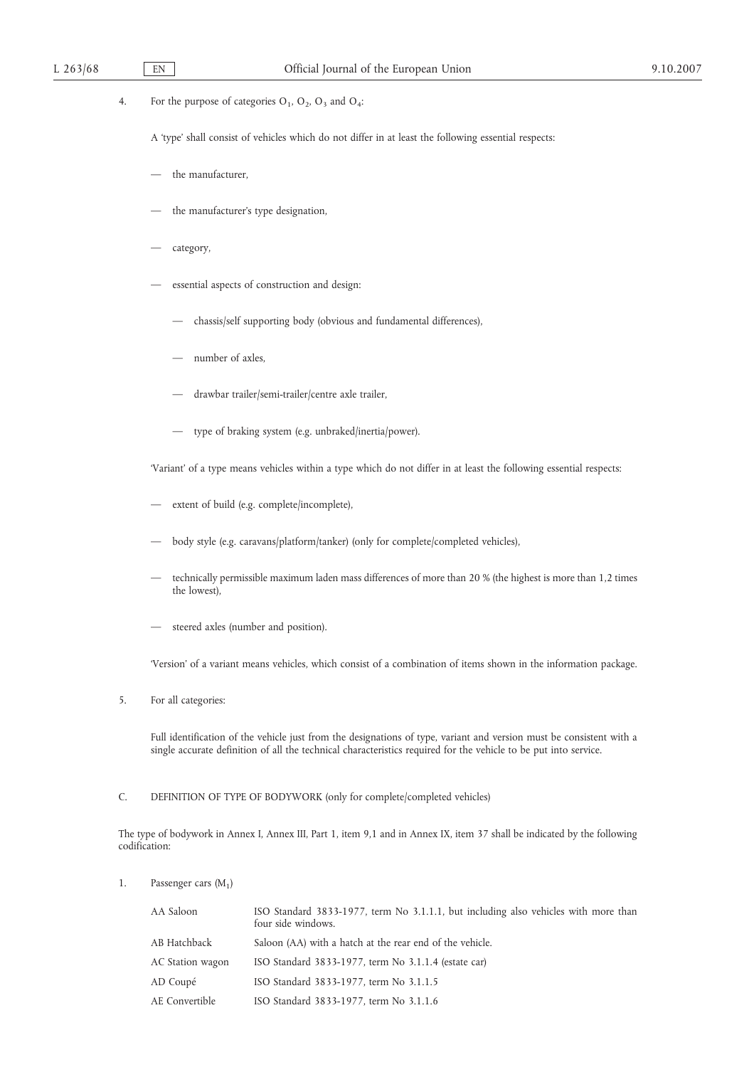# 4. For the purpose of categories  $O_1$ ,  $O_2$ ,  $O_3$  and  $O_4$ :

A 'type' shall consist of vehicles which do not differ in at least the following essential respects:

- the manufacturer,
- the manufacturer's type designation,
- category,
- essential aspects of construction and design:
	- chassis/self supporting body (obvious and fundamental differences),
	- number of axles.
	- drawbar trailer/semi-trailer/centre axle trailer,
	- type of braking system (e.g. unbraked/inertia/power).

'Variant' of a type means vehicles within a type which do not differ in at least the following essential respects:

- extent of build (e.g. complete/incomplete),
- body style (e.g. caravans/platform/tanker) (only for complete/completed vehicles),
- technically permissible maximum laden mass differences of more than 20 % (the highest is more than 1,2 times the lowest),
- steered axles (number and position).

'Version' of a variant means vehicles, which consist of a combination of items shown in the information package.

5. For all categories:

Full identification of the vehicle just from the designations of type, variant and version must be consistent with a single accurate definition of all the technical characteristics required for the vehicle to be put into service.

# C. DEFINITION OF TYPE OF BODYWORK (only for complete/completed vehicles)

The type of bodywork in Annex I, Annex III, Part 1, item 9,1 and in Annex IX, item 37 shall be indicated by the following codification:

1. Passenger cars  $(M_1)$ 

| AA Saloon        | ISO Standard 3833-1977, term No 3.1.1.1, but including also vehicles with more than<br>four side windows. |
|------------------|-----------------------------------------------------------------------------------------------------------|
| AB Hatchback     | Saloon (AA) with a hatch at the rear end of the vehicle.                                                  |
| AC Station wagon | ISO Standard 3833-1977, term No 3.1.1.4 (estate car)                                                      |
| AD Coupé         | ISO Standard 3833-1977, term No 3.1.1.5                                                                   |
| AE Convertible   | ISO Standard 3833-1977, term No 3.1.1.6                                                                   |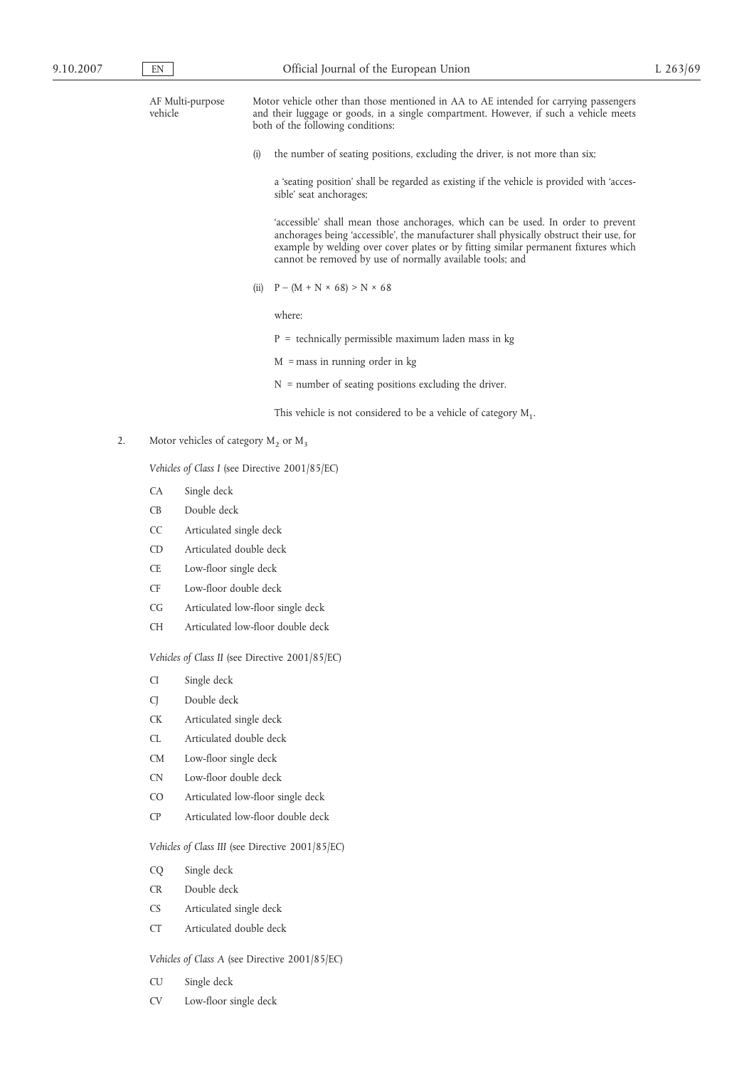| 9.10.2007 |    | EN                         |                                           | Official Journal of the European Union                                                                                                                                                                                                                                                                                           | L $263/69$ |
|-----------|----|----------------------------|-------------------------------------------|----------------------------------------------------------------------------------------------------------------------------------------------------------------------------------------------------------------------------------------------------------------------------------------------------------------------------------|------------|
|           |    | vehicle                    | AF Multi-purpose                          | Motor vehicle other than those mentioned in AA to AE intended for carrying passengers<br>and their luggage or goods, in a single compartment. However, if such a vehicle meets<br>both of the following conditions:                                                                                                              |            |
|           |    |                            |                                           | the number of seating positions, excluding the driver, is not more than six;<br>(i)                                                                                                                                                                                                                                              |            |
|           |    |                            |                                           | a 'seating position' shall be regarded as existing if the vehicle is provided with 'acces-<br>sible' seat anchorages;                                                                                                                                                                                                            |            |
|           |    |                            |                                           | 'accessible' shall mean those anchorages, which can be used. In order to prevent<br>anchorages being 'accessible', the manufacturer shall physically obstruct their use, for<br>example by welding over cover plates or by fitting similar permanent fixtures which<br>cannot be removed by use of normally available tools; and |            |
|           |    |                            |                                           | $P - (M + N \times 68) > N \times 68$<br>(ii)                                                                                                                                                                                                                                                                                    |            |
|           |    |                            |                                           | where:                                                                                                                                                                                                                                                                                                                           |            |
|           |    |                            |                                           | $P =$ technically permissible maximum laden mass in kg                                                                                                                                                                                                                                                                           |            |
|           |    |                            |                                           | $M =$ mass in running order in kg                                                                                                                                                                                                                                                                                                |            |
|           |    |                            |                                           | $N =$ number of seating positions excluding the driver.                                                                                                                                                                                                                                                                          |            |
|           |    |                            |                                           | This vehicle is not considered to be a vehicle of category $M_1$ .                                                                                                                                                                                                                                                               |            |
|           | 2. |                            | Motor vehicles of category $M_2$ or $M_3$ |                                                                                                                                                                                                                                                                                                                                  |            |
|           |    |                            |                                           | Vehicles of Class I (see Directive 2001/85/EC)                                                                                                                                                                                                                                                                                   |            |
|           |    | CA                         | Single deck                               |                                                                                                                                                                                                                                                                                                                                  |            |
|           |    | CB                         | Double deck                               |                                                                                                                                                                                                                                                                                                                                  |            |
|           |    | CC                         | Articulated single deck                   |                                                                                                                                                                                                                                                                                                                                  |            |
|           |    | <b>CD</b>                  | Articulated double deck                   |                                                                                                                                                                                                                                                                                                                                  |            |
|           |    | CE                         | Low-floor single deck                     |                                                                                                                                                                                                                                                                                                                                  |            |
|           |    | CF                         | Low-floor double deck                     |                                                                                                                                                                                                                                                                                                                                  |            |
|           |    | CG                         |                                           | Articulated low-floor single deck                                                                                                                                                                                                                                                                                                |            |
|           |    | $\operatorname{CH}$        |                                           | Articulated low-floor double deck                                                                                                                                                                                                                                                                                                |            |
|           |    |                            |                                           | Vehicles of Class II (see Directive 2001/85/EC)                                                                                                                                                                                                                                                                                  |            |
|           |    | $\mathop{\rm Cl}\nolimits$ | Single deck                               |                                                                                                                                                                                                                                                                                                                                  |            |
|           |    | CJ                         | Double deck                               |                                                                                                                                                                                                                                                                                                                                  |            |
|           |    | <b>CK</b>                  | Articulated single deck                   |                                                                                                                                                                                                                                                                                                                                  |            |
|           |    | CL                         | Articulated double deck                   |                                                                                                                                                                                                                                                                                                                                  |            |

- CM Low-floor single deck
- CN Low-floor double deck
- CO Articulated low-floor single deck
- CP Articulated low-floor double deck

*Vehicles of Class III* (see Directive 2001/85/EC)

- CQ Single deck
- CR Double deck
- CS Articulated single deck
- CT Articulated double deck

# *Vehicles of Class A* (see Directive 2001/85/EC)

- CU Single deck
- CV Low-floor single deck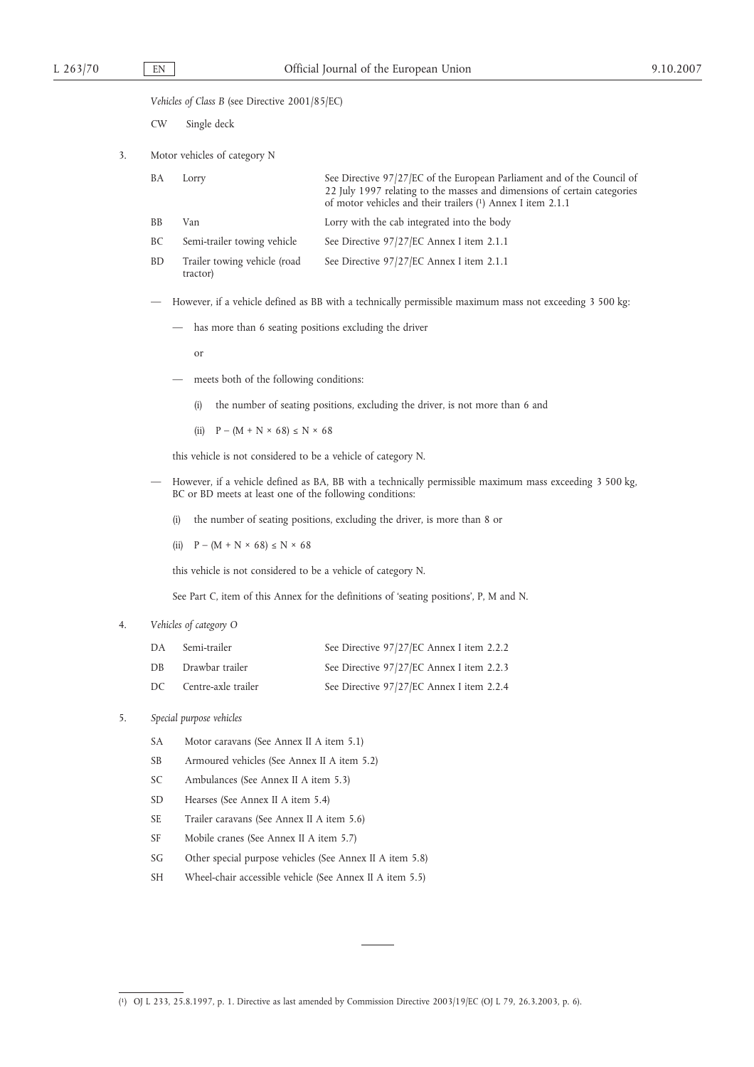*Vehicles of Class B* (see Directive 2001/85/EC)

CW Single deck

3. Motor vehicles of category N

| BA  | Lorry                       | See Directive 97/27/EC of the European Parliament and of the Council of<br>22 July 1997 relating to the masses and dimensions of certain categories<br>of motor vehicles and their trailers (1) Annex I item 2.1.1 |
|-----|-----------------------------|--------------------------------------------------------------------------------------------------------------------------------------------------------------------------------------------------------------------|
| -BB | Van                         | Lorry with the cab integrated into the body                                                                                                                                                                        |
| BC  | Semi-trailer towing vehicle | See Directive 97/27/EC Annex I item 2.1.1                                                                                                                                                                          |

BD Trailer towing vehicle (road See Directive 97/27/EC Annex I item 2.1.1

tractor)

— However, if a vehicle defined as BB with a technically permissible maximum mass not exceeding 3 500 kg:

— has more than 6 seating positions excluding the driver

or

- meets both of the following conditions:
	- (i) the number of seating positions, excluding the driver, is not more than 6 and
	- (ii)  $P (M + N \times 68) \le N \times 68$

this vehicle is not considered to be a vehicle of category N.

- However, if a vehicle defined as BA, BB with a technically permissible maximum mass exceeding 3 500 kg, BC or BD meets at least one of the following conditions:
	- (i) the number of seating positions, excluding the driver, is more than 8 or
	- (ii)  $P (M + N \times 68) \le N \times 68$

this vehicle is not considered to be a vehicle of category N.

See Part C, item of this Annex for the definitions of 'seating positions', P, M and N.

#### 4. *Vehicles of category O*

| DA  | Semi-trailer        | See Directive 97/27/EC Annex I item 2.2.2 |
|-----|---------------------|-------------------------------------------|
| DB  | Drawbar trailer     | See Directive 97/27/EC Annex I item 2.2.3 |
| DC. | Centre-axle trailer | See Directive 97/27/EC Annex I item 2.2.4 |

# 5. *Special purpose vehicles*

- SA Motor caravans (See Annex II A item 5.1)
- SB Armoured vehicles (See Annex II A item 5.2)
- SC Ambulances (See Annex II A item 5.3)
- SD Hearses (See Annex II A item 5.4)
- SE Trailer caravans (See Annex II A item 5.6)
- SF Mobile cranes (See Annex II A item 5.7)
- SG Other special purpose vehicles (See Annex II A item 5.8)
- SH Wheel-chair accessible vehicle (See Annex II A item 5.5)

<sup>(</sup> 1) OJ L 233, 25.8.1997, p. 1. Directive as last amended by Commission Directive 2003/19/EC (OJ L 79, 26.3.2003, p. 6).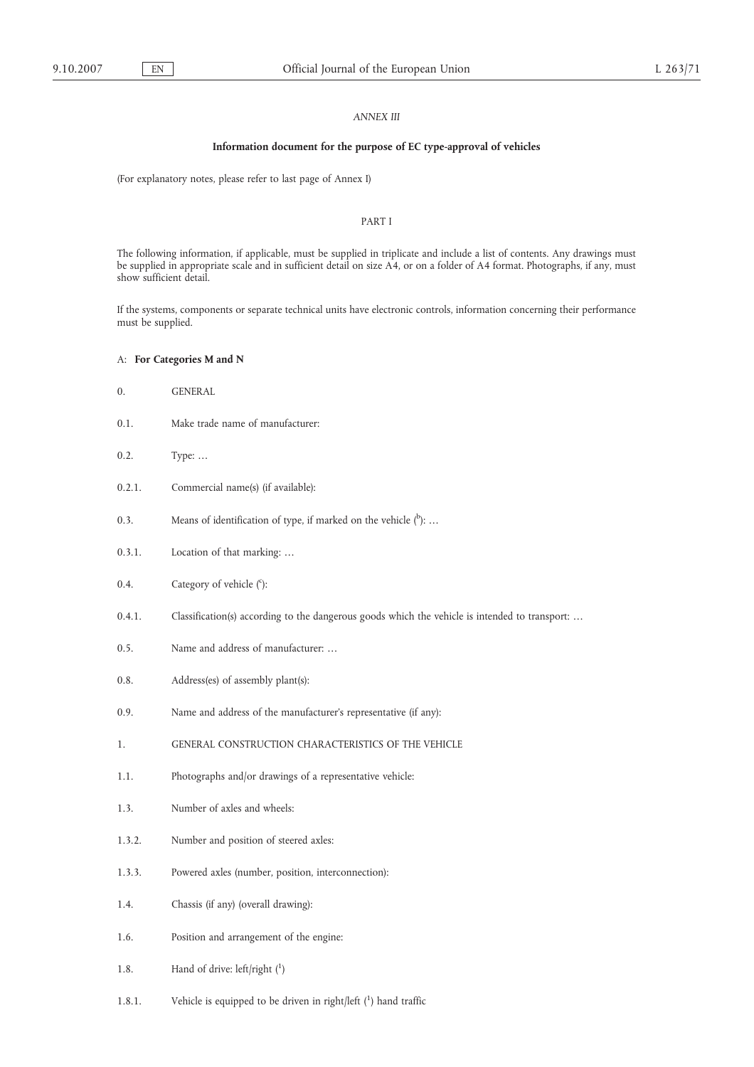#### *ANNEX III*

#### **Information document for the purpose of EC type-approval of vehicles**

(For explanatory notes, please refer to last page of Annex I)

# PART I

The following information, if applicable, must be supplied in triplicate and include a list of contents. Any drawings must be supplied in appropriate scale and in sufficient detail on size A4, or on a folder of A4 format. Photographs, if any, must show sufficient detail.

If the systems, components or separate technical units have electronic controls, information concerning their performance must be supplied.

# A: **For Categories M and N**

- 0. GENERAL
- 0.1. Make trade name of manufacturer:
- 0.2. Type: …
- 0.2.1. Commercial name(s) (if available):
- 0.3. Means of identification of type, if marked on the vehicle  $(^{b})$ : ...
- 0.3.1. Location of that marking: …
- 0.4. Category of vehicle  $(°)$ :
- 0.4.1. Classification(s) according to the dangerous goods which the vehicle is intended to transport: ...
- 0.5. Name and address of manufacturer: …
- 0.8. Address(es) of assembly plant(s):
- 0.9. Name and address of the manufacturer's representative (if any):
- 1. GENERAL CONSTRUCTION CHARACTERISTICS OF THE VEHICLE
- 1.1. Photographs and/or drawings of a representative vehicle:
- 1.3. Number of axles and wheels:
- 1.3.2. Number and position of steered axles:
- 1.3.3. Powered axles (number, position, interconnection):
- 1.4. Chassis (if any) (overall drawing):
- 1.6. Position and arrangement of the engine:
- 1.8. Hand of drive: left/right (1)
- 1.8.1. Vehicle is equipped to be driven in right/left (1) hand traffic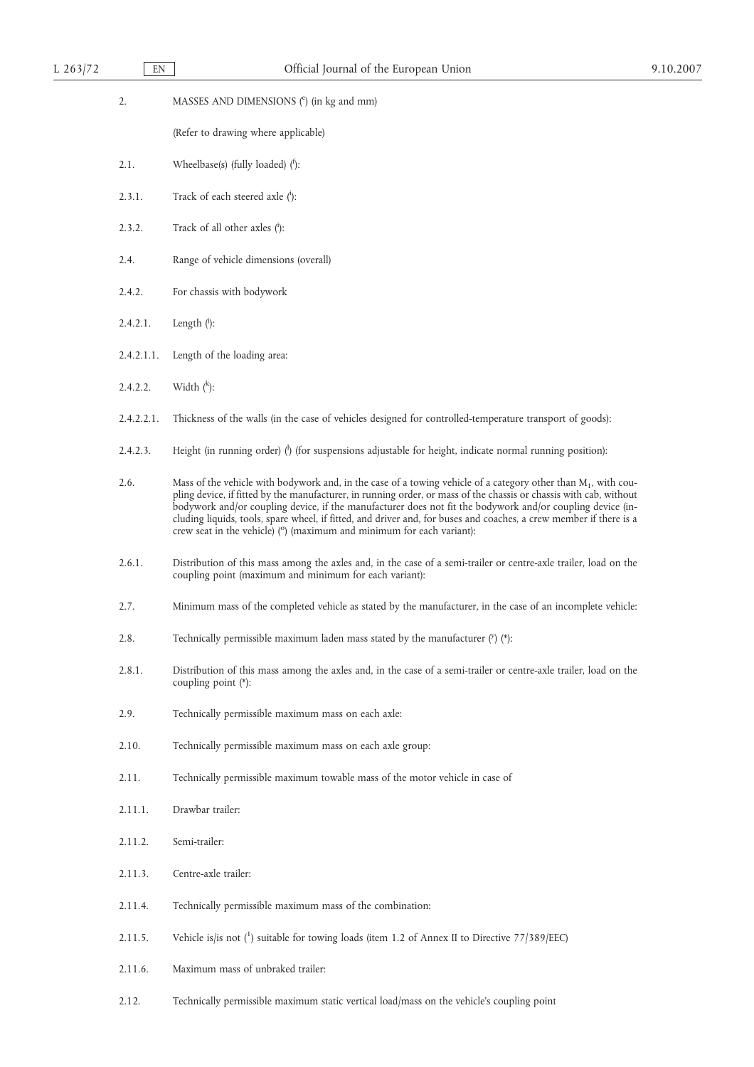| L 263/72 | EN         | Official Journal of the European Union                                                                                                                                                                                                                                                                                                                                                                                                                                                                                                               |  |
|----------|------------|------------------------------------------------------------------------------------------------------------------------------------------------------------------------------------------------------------------------------------------------------------------------------------------------------------------------------------------------------------------------------------------------------------------------------------------------------------------------------------------------------------------------------------------------------|--|
|          | 2.         | MASSES AND DIMENSIONS (°) (in kg and mm)                                                                                                                                                                                                                                                                                                                                                                                                                                                                                                             |  |
|          |            | (Refer to drawing where applicable)                                                                                                                                                                                                                                                                                                                                                                                                                                                                                                                  |  |
|          | 2.1.       | Wheelbase(s) (fully loaded) $($ <sup>t</sup> ):                                                                                                                                                                                                                                                                                                                                                                                                                                                                                                      |  |
|          | 2.3.1.     | Track of each steered axle (i):                                                                                                                                                                                                                                                                                                                                                                                                                                                                                                                      |  |
|          | 2.3.2.     | Track of all other axles (i):                                                                                                                                                                                                                                                                                                                                                                                                                                                                                                                        |  |
|          | 2.4.       | Range of vehicle dimensions (overall)                                                                                                                                                                                                                                                                                                                                                                                                                                                                                                                |  |
|          | 2.4.2.     | For chassis with bodywork                                                                                                                                                                                                                                                                                                                                                                                                                                                                                                                            |  |
|          | 2.4.2.1.   | Length ( <sup>j</sup> ):                                                                                                                                                                                                                                                                                                                                                                                                                                                                                                                             |  |
|          | 2.4.2.1.1. | Length of the loading area:                                                                                                                                                                                                                                                                                                                                                                                                                                                                                                                          |  |
|          | 2.4.2.2.   | Width $(k)$ :                                                                                                                                                                                                                                                                                                                                                                                                                                                                                                                                        |  |
|          | 2.4.2.2.1. | Thickness of the walls (in the case of vehicles designed for controlled-temperature transport of goods):                                                                                                                                                                                                                                                                                                                                                                                                                                             |  |
|          | 2.4.2.3.   | Height (in running order) $\langle \cdot \rangle$ (for suspensions adjustable for height, indicate normal running position):                                                                                                                                                                                                                                                                                                                                                                                                                         |  |
|          | 2.6.       | Mass of the vehicle with bodywork and, in the case of a towing vehicle of a category other than $M_1$ , with cou-<br>pling device, if fitted by the manufacturer, in running order, or mass of the chassis or chassis with cab, without<br>bodywork and/or coupling device, if the manufacturer does not fit the bodywork and/or coupling device (in-<br>cluding liquids, tools, spare wheel, if fitted, and driver and, for buses and coaches, a crew member if there is a<br>crew seat in the vehicle) (°) (maximum and minimum for each variant): |  |
|          | 2.6.1.     | Distribution of this mass among the axles and, in the case of a semi-trailer or centre-axle trailer, load on the<br>coupling point (maximum and minimum for each variant):                                                                                                                                                                                                                                                                                                                                                                           |  |
|          | 2.7.       | Minimum mass of the completed vehicle as stated by the manufacturer, in the case of an incomplete vehicle:                                                                                                                                                                                                                                                                                                                                                                                                                                           |  |
|          | 2.8.       | Technically permissible maximum laden mass stated by the manufacturer $(\%)$ (*):                                                                                                                                                                                                                                                                                                                                                                                                                                                                    |  |
|          | 2.8.1.     | Distribution of this mass among the axles and, in the case of a semi-trailer or centre-axle trailer, load on the<br>coupling point (*):                                                                                                                                                                                                                                                                                                                                                                                                              |  |
|          | 2.9.       | Technically permissible maximum mass on each axle:                                                                                                                                                                                                                                                                                                                                                                                                                                                                                                   |  |
|          | 2.10.      | Technically permissible maximum mass on each axle group:                                                                                                                                                                                                                                                                                                                                                                                                                                                                                             |  |
|          | 2.11.      | Technically permissible maximum towable mass of the motor vehicle in case of                                                                                                                                                                                                                                                                                                                                                                                                                                                                         |  |
|          | 2.11.1.    | Drawbar trailer:                                                                                                                                                                                                                                                                                                                                                                                                                                                                                                                                     |  |
|          | 2.11.2.    | Semi-trailer:                                                                                                                                                                                                                                                                                                                                                                                                                                                                                                                                        |  |
|          | 2.11.3.    | Centre-axle trailer:                                                                                                                                                                                                                                                                                                                                                                                                                                                                                                                                 |  |
|          | 2.11.4.    | Technically permissible maximum mass of the combination:                                                                                                                                                                                                                                                                                                                                                                                                                                                                                             |  |
|          | 2.11.5.    | Vehicle is/is not (1) suitable for towing loads (item 1.2 of Annex II to Directive 77/389/EEC)                                                                                                                                                                                                                                                                                                                                                                                                                                                       |  |
|          | 2.11.6.    | Maximum mass of unbraked trailer:                                                                                                                                                                                                                                                                                                                                                                                                                                                                                                                    |  |
|          | 2.12.      | Technically permissible maximum static vertical load/mass on the vehicle's coupling point                                                                                                                                                                                                                                                                                                                                                                                                                                                            |  |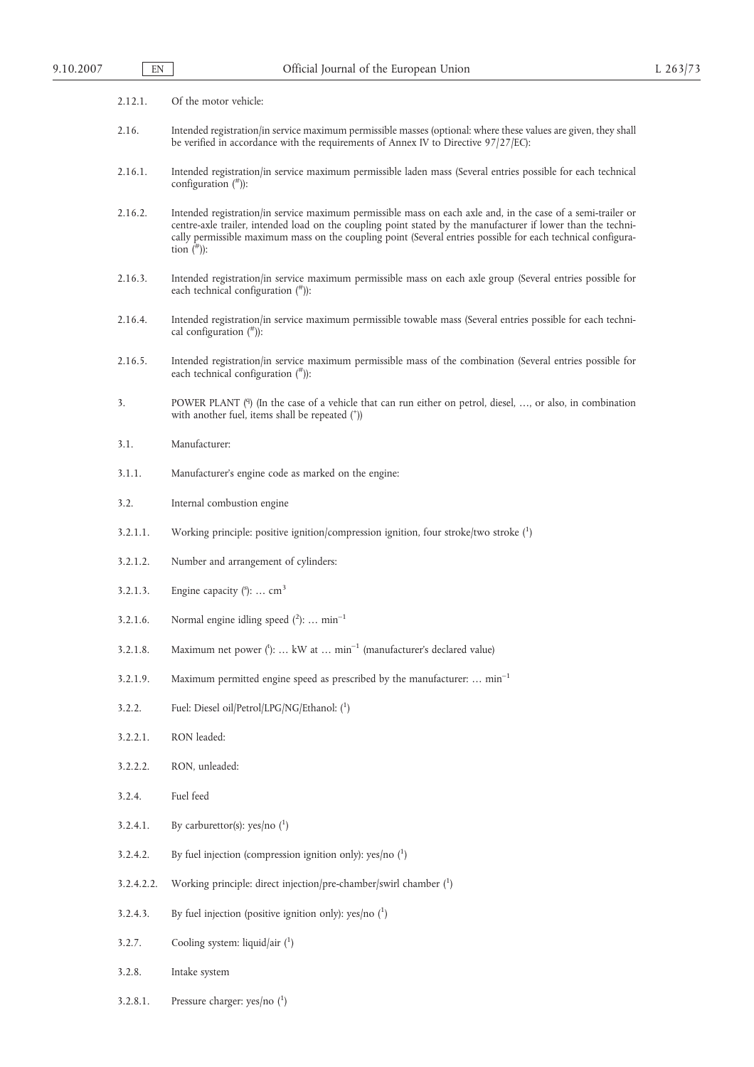| 2.12.1.    | Of the motor vehicle:                                                                                                                                                                                                                                                                                                                                           |
|------------|-----------------------------------------------------------------------------------------------------------------------------------------------------------------------------------------------------------------------------------------------------------------------------------------------------------------------------------------------------------------|
| 2.16.      | Intended registration/in service maximum permissible masses (optional: where these values are given, they shall<br>be verified in accordance with the requirements of Annex IV to Directive 97/27/EC):                                                                                                                                                          |
| 2.16.1.    | Intended registration/in service maximum permissible laden mass (Several entries possible for each technical<br>configuration $(*)$ :                                                                                                                                                                                                                           |
| 2.16.2.    | Intended registration/in service maximum permissible mass on each axle and, in the case of a semi-trailer or<br>centre-axle trailer, intended load on the coupling point stated by the manufacturer if lower than the techni-<br>cally permissible maximum mass on the coupling point (Several entries possible for each technical configura-<br>tion $(\#))$ : |
| 2.16.3.    | Intended registration/in service maximum permissible mass on each axle group (Several entries possible for<br>each technical configuration $($ <sup>#</sup> $))$ :                                                                                                                                                                                              |
| 2.16.4.    | Intended registration/in service maximum permissible towable mass (Several entries possible for each techni-<br>cal configuration $(*)$ :                                                                                                                                                                                                                       |
| 2.16.5.    | Intended registration/in service maximum permissible mass of the combination (Several entries possible for<br>each technical configuration $($ <sup>#</sup> $))$ :                                                                                                                                                                                              |
| 3.         | POWER PLANT (9) (In the case of a vehicle that can run either on petrol, diesel, , or also, in combination<br>with another fuel, items shall be repeated (*))                                                                                                                                                                                                   |
| 3.1.       | Manufacturer:                                                                                                                                                                                                                                                                                                                                                   |
| 3.1.1.     | Manufacturer's engine code as marked on the engine:                                                                                                                                                                                                                                                                                                             |
| 3.2.       | Internal combustion engine                                                                                                                                                                                                                                                                                                                                      |
| 3.2.1.1.   | Working principle: positive ignition/compression ignition, four stroke/two stroke $(1)$                                                                                                                                                                                                                                                                         |
| 3.2.1.2.   | Number and arrangement of cylinders:                                                                                                                                                                                                                                                                                                                            |
| 3.2.1.3.   | Engine capacity $($ <sup>s</sup> ):  cm <sup>3</sup>                                                                                                                                                                                                                                                                                                            |
| 3.2.1.6.   | Normal engine idling speed $(^{2})$ :  min <sup>-1</sup>                                                                                                                                                                                                                                                                                                        |
| 3.2.1.8.   | Maximum net power $(')$ :  kW at $min^{-1}$ (manufacturer's declared value)                                                                                                                                                                                                                                                                                     |
| 3.2.1.9.   | Maximum permitted engine speed as prescribed by the manufacturer:  min <sup>-1</sup>                                                                                                                                                                                                                                                                            |
| 3.2.2.     | Fuel: Diesel oil/Petrol/LPG/NG/Ethanol: (1)                                                                                                                                                                                                                                                                                                                     |
| 3.2.2.1.   | RON leaded:                                                                                                                                                                                                                                                                                                                                                     |
| 3.2.2.2.   | RON, unleaded:                                                                                                                                                                                                                                                                                                                                                  |
| 3.2.4.     | Fuel feed                                                                                                                                                                                                                                                                                                                                                       |
| 3.2.4.1.   | By carburettor(s): yes/no $(^1)$                                                                                                                                                                                                                                                                                                                                |
| 3.2.4.2.   | By fuel injection (compression ignition only): yes/no $(^1)$                                                                                                                                                                                                                                                                                                    |
| 3.2.4.2.2. | Working principle: direct injection/pre-chamber/swirl chamber $(1)$                                                                                                                                                                                                                                                                                             |
| 3.2.4.3.   | By fuel injection (positive ignition only): yes/no $(1)$                                                                                                                                                                                                                                                                                                        |
| 3.2.7.     | Cooling system: liquid/air $(1)$                                                                                                                                                                                                                                                                                                                                |
| 3.2.8.     | Intake system                                                                                                                                                                                                                                                                                                                                                   |
| 3.2.8.1.   | Pressure charger: yes/no $(^1)$                                                                                                                                                                                                                                                                                                                                 |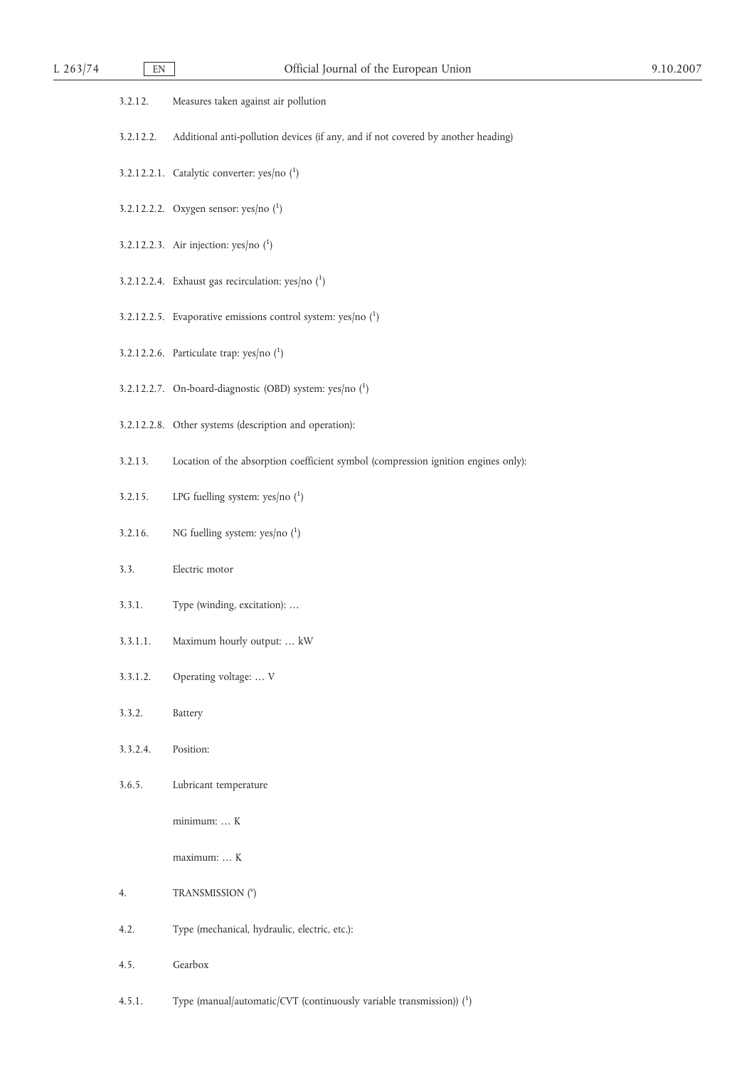| 3.2.12.   | Measures taken against air pollution                                               |
|-----------|------------------------------------------------------------------------------------|
| 3.2.12.2. | Additional anti-pollution devices (if any, and if not covered by another heading)  |
|           | 3.2.12.2.1. Catalytic converter: $yes/no(^1)$                                      |
|           | 3.2.12.2.2. Oxygen sensor: $yes/no(^1)$                                            |
|           | 3.2.12.2.3. Air injection: $yes/no(^1)$                                            |
|           | 3.2.12.2.4. Exhaust gas recirculation: yes/no $(^1)$                               |
|           | 3.2.12.2.5. Evaporative emissions control system: yes/no $(^1)$                    |
|           | 3.2.12.2.6. Particulate trap: yes/no $(^1)$                                        |
|           | 3.2.12.2.7. On-board-diagnostic (OBD) system: yes/no (1)                           |
|           | 3.2.12.2.8. Other systems (description and operation):                             |
| 3.2.13.   | Location of the absorption coefficient symbol (compression ignition engines only): |
| 3.2.15.   | LPG fuelling system: yes/no $(^1)$                                                 |
| 3.2.16.   | NG fuelling system: yes/no $(^1)$                                                  |
| 3.3.      | Electric motor                                                                     |
| 3.3.1.    | Type (winding, excitation):                                                        |
| 3.3.1.1.  | Maximum hourly output:  kW                                                         |
| 3.3.1.2.  | Operating voltage:  V                                                              |
| 3.3.2.    | Battery                                                                            |
| 3.3.2.4.  | Position:                                                                          |
| 3.6.5.    | Lubricant temperature                                                              |
|           | minimum:  K                                                                        |
|           | maximum:  K                                                                        |
| 4.        | TRANSMISSION (Y)                                                                   |
| 4.2.      | Type (mechanical, hydraulic, electric, etc.):                                      |
| 4.5.      | Gearbox                                                                            |

4.5.1. Type (manual/automatic/CVT (continuously variable transmission)) (1)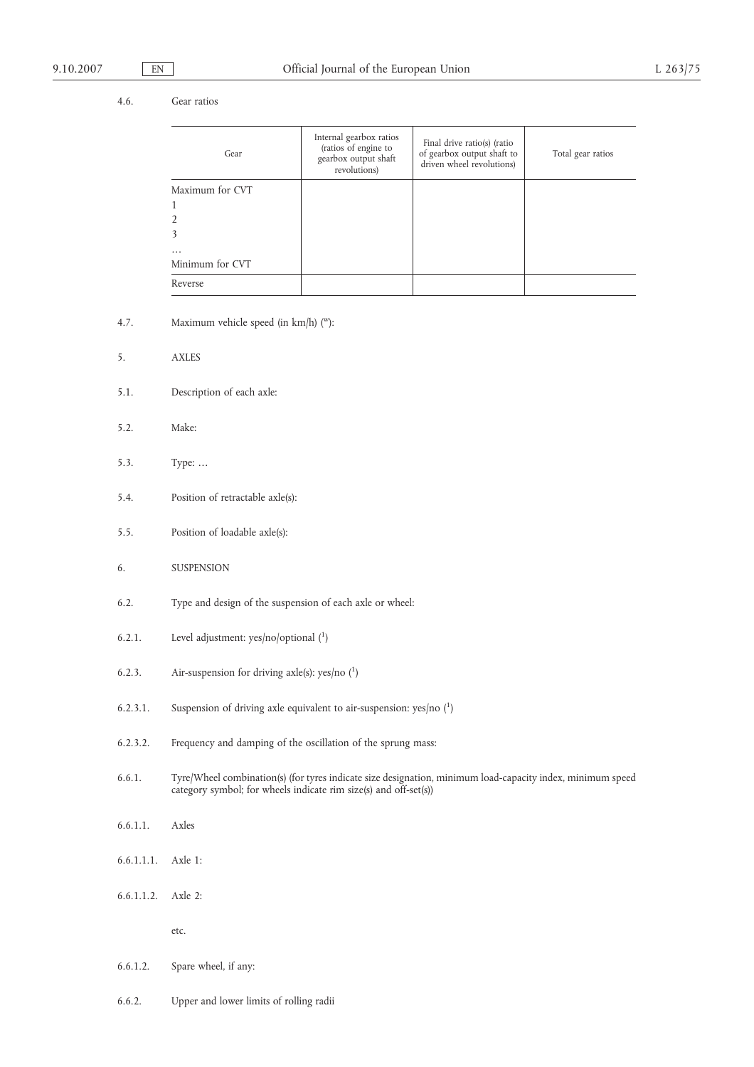# 4.6. Gear ratios

| Gear            | Internal gearbox ratios<br>(ratios of engine to<br>gearbox output shaft<br>revolutions) | Final drive ratio(s) (ratio<br>of gearbox output shaft to<br>driven wheel revolutions) | Total gear ratios |
|-----------------|-----------------------------------------------------------------------------------------|----------------------------------------------------------------------------------------|-------------------|
| Maximum for CVT |                                                                                         |                                                                                        |                   |
| 1               |                                                                                         |                                                                                        |                   |
| $\overline{2}$  |                                                                                         |                                                                                        |                   |
| 3               |                                                                                         |                                                                                        |                   |
| $\cdots$        |                                                                                         |                                                                                        |                   |
| Minimum for CVT |                                                                                         |                                                                                        |                   |
| Reverse         |                                                                                         |                                                                                        |                   |

- 4.7. Maximum vehicle speed (in km/h) ("):
- 5. AXLES
- 5.1. Description of each axle:
- 5.2. Make:
- 5.3. Type: …
- 5.4. Position of retractable axle(s):
- 5.5. Position of loadable axle(s):
- 6. SUSPENSION
- 6.2. Type and design of the suspension of each axle or wheel:
- 6.2.1. Level adjustment:  $yes/no/optional (1)$
- 6.2.3. Air-suspension for driving axle(s):  $yes/no(^1)$
- 6.2.3.1. Suspension of driving axle equivalent to air-suspension: yes/no  $(^1)$
- 6.2.3.2. Frequency and damping of the oscillation of the sprung mass:
- 6.6.1. Tyre/Wheel combination(s) (for tyres indicate size designation, minimum load-capacity index, minimum speed category symbol; for wheels indicate rim size(s) and off-set(s))
- 6.6.1.1. Axles
- 6.6.1.1.1. Axle 1:
- 6.6.1.1.2. Axle 2:

etc.

- 6.6.1.2. Spare wheel, if any:
- 6.6.2. Upper and lower limits of rolling radii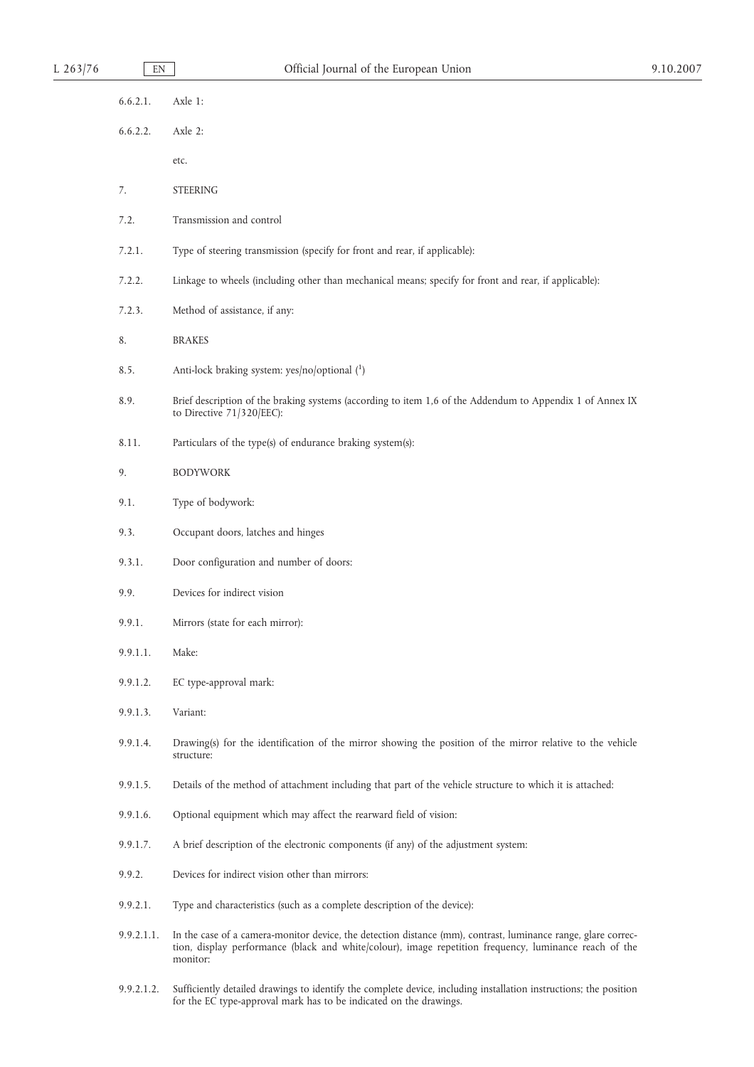| L $263/76$ | EN         | Official Journal of the European Union                                                                                                                                                                                              | 9.10.2007 |
|------------|------------|-------------------------------------------------------------------------------------------------------------------------------------------------------------------------------------------------------------------------------------|-----------|
|            | 6.6.2.1.   | Axle 1:                                                                                                                                                                                                                             |           |
|            | 6.6.2.2.   | Axle 2:                                                                                                                                                                                                                             |           |
|            |            | etc.                                                                                                                                                                                                                                |           |
|            | 7.         | <b>STEERING</b>                                                                                                                                                                                                                     |           |
|            | 7.2.       | Transmission and control                                                                                                                                                                                                            |           |
|            | 7.2.1.     | Type of steering transmission (specify for front and rear, if applicable):                                                                                                                                                          |           |
|            | 7.2.2.     | Linkage to wheels (including other than mechanical means; specify for front and rear, if applicable):                                                                                                                               |           |
|            | 7.2.3.     | Method of assistance, if any:                                                                                                                                                                                                       |           |
|            | 8.         | <b>BRAKES</b>                                                                                                                                                                                                                       |           |
|            | 8.5.       | Anti-lock braking system: yes/no/optional (1)                                                                                                                                                                                       |           |
|            | 8.9.       | Brief description of the braking systems (according to item 1,6 of the Addendum to Appendix 1 of Annex IX<br>to Directive 71/320/EEC):                                                                                              |           |
|            | 8.11.      | Particulars of the type(s) of endurance braking system(s):                                                                                                                                                                          |           |
|            | 9.         | <b>BODYWORK</b>                                                                                                                                                                                                                     |           |
|            | 9.1.       | Type of bodywork:                                                                                                                                                                                                                   |           |
|            | 9.3.       | Occupant doors, latches and hinges                                                                                                                                                                                                  |           |
|            | 9.3.1.     | Door configuration and number of doors:                                                                                                                                                                                             |           |
|            | 9.9.       | Devices for indirect vision                                                                                                                                                                                                         |           |
|            | 9.9.1.     | Mirrors (state for each mirror):                                                                                                                                                                                                    |           |
|            | 9.9.1.1.   | Make:                                                                                                                                                                                                                               |           |
|            | 9.9.1.2.   | EC type-approval mark:                                                                                                                                                                                                              |           |
|            | 9.9.1.3.   | Variant:                                                                                                                                                                                                                            |           |
|            | 9.9.1.4.   | Drawing(s) for the identification of the mirror showing the position of the mirror relative to the vehicle<br>structure:                                                                                                            |           |
|            | 9.9.1.5.   | Details of the method of attachment including that part of the vehicle structure to which it is attached:                                                                                                                           |           |
|            | 9.9.1.6.   | Optional equipment which may affect the rearward field of vision:                                                                                                                                                                   |           |
|            | 9.9.1.7.   | A brief description of the electronic components (if any) of the adjustment system:                                                                                                                                                 |           |
|            | 9.9.2.     | Devices for indirect vision other than mirrors:                                                                                                                                                                                     |           |
|            | 9.9.2.1.   | Type and characteristics (such as a complete description of the device):                                                                                                                                                            |           |
|            | 9.9.2.1.1. | In the case of a camera-monitor device, the detection distance (mm), contrast, luminance range, glare correc-<br>tion, display performance (black and white/colour), image repetition frequency, luminance reach of the<br>monitor: |           |
|            |            |                                                                                                                                                                                                                                     |           |

9.9.2.1.2. Sufficiently detailed drawings to identify the complete device, including installation instructions; the position for the EC type-approval mark has to be indicated on the drawings.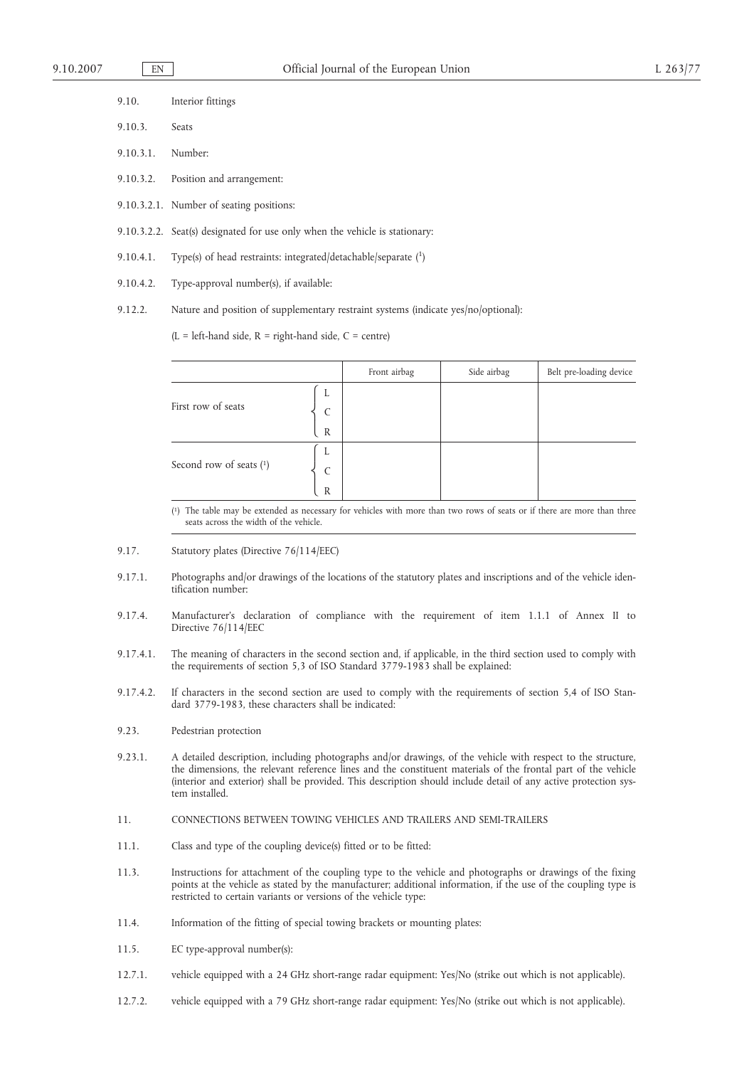| 9.10.             | Interior fittings                                                           |
|-------------------|-----------------------------------------------------------------------------|
| 9.10.3.           | <b>Seats</b>                                                                |
| 9.10.3.1. Number: |                                                                             |
|                   | 9.10.3.2. Position and arrangement:                                         |
|                   | 9.10.3.2.1. Number of seating positions:                                    |
|                   | 9.10.3.2.2. Seat(s) designated for use only when the vehicle is stationary: |
| 9.10.4.1.         | Type(s) of head restraints: integrated/detachable/separate $(1)$            |
| 9.10.4.2.         | Type-approval number(s), if available:                                      |
|                   |                                                                             |

9.12.2. Nature and position of supplementary restraint systems (indicate yes/no/optional):

 $(L = left$ -hand side,  $R = right$ -hand side,  $C = centre$ )

|                         |              | Front airbag | Side airbag | Belt pre-loading device |
|-------------------------|--------------|--------------|-------------|-------------------------|
| First row of seats      | L            |              |             |                         |
|                         | C            |              |             |                         |
|                         | $\mathbb{R}$ |              |             |                         |
|                         | L            |              |             |                         |
| Second row of seats (1) | $\mathsf{C}$ |              |             |                         |
|                         | $\mathbb{R}$ |              |             |                         |

( 1) The table may be extended as necessary for vehicles with more than two rows of seats or if there are more than three seats across the width of the vehicle.

- 9.17. Statutory plates (Directive 76/114/EEC)
- 9.17.1. Photographs and/or drawings of the locations of the statutory plates and inscriptions and of the vehicle identification number:
- 9.17.4. Manufacturer's declaration of compliance with the requirement of item 1.1.1 of Annex II to Directive 76/114/EEC
- 9.17.4.1. The meaning of characters in the second section and, if applicable, in the third section used to comply with the requirements of section 5,3 of ISO Standard 3779-1983 shall be explained:
- 9.17.4.2. If characters in the second section are used to comply with the requirements of section 5,4 of ISO Standard 3779-1983, these characters shall be indicated:
- 9.23. Pedestrian protection
- 9.23.1. A detailed description, including photographs and/or drawings, of the vehicle with respect to the structure, the dimensions, the relevant reference lines and the constituent materials of the frontal part of the vehicle (interior and exterior) shall be provided. This description should include detail of any active protection system installed.
- 11. CONNECTIONS BETWEEN TOWING VEHICLES AND TRAILERS AND SEMI-TRAILERS
- 11.1. Class and type of the coupling device(s) fitted or to be fitted:
- 11.3. Instructions for attachment of the coupling type to the vehicle and photographs or drawings of the fixing points at the vehicle as stated by the manufacturer; additional information, if the use of the coupling type is restricted to certain variants or versions of the vehicle type:
- 11.4. Information of the fitting of special towing brackets or mounting plates:
- 11.5. EC type-approval number(s):
- 12.7.1. vehicle equipped with a 24 GHz short-range radar equipment: Yes/No (strike out which is not applicable).
- 12.7.2. vehicle equipped with a 79 GHz short-range radar equipment: Yes/No (strike out which is not applicable).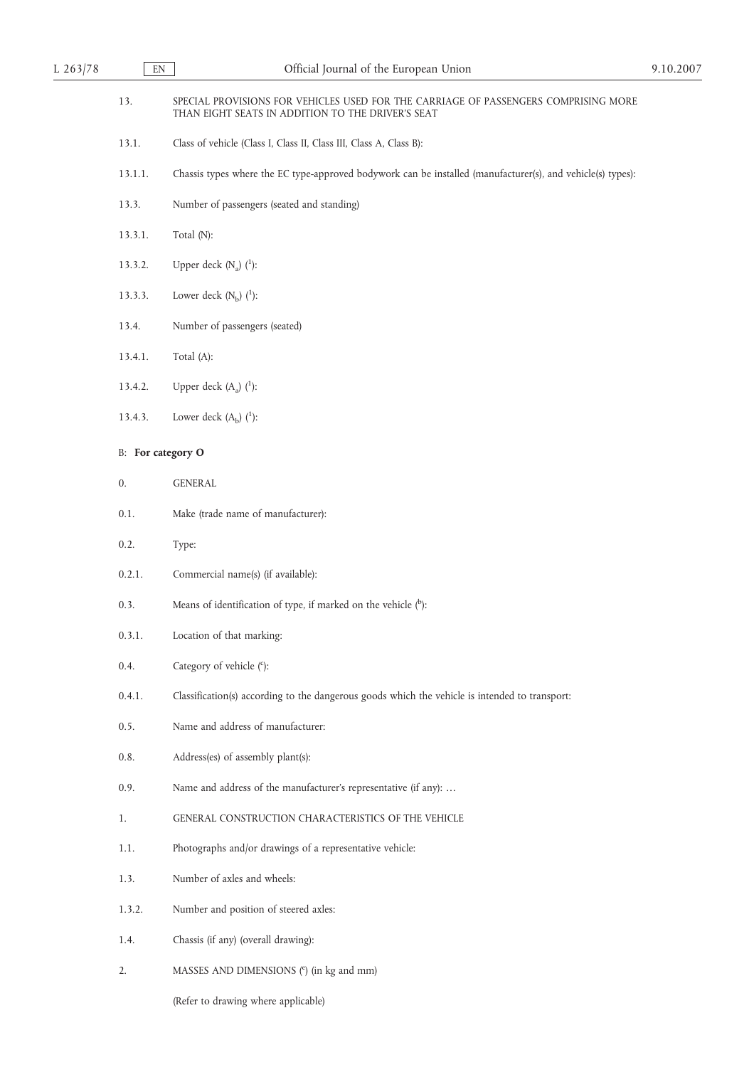| 13.     | SPECIAL PROVISIONS FOR VEHICLES USED FOR THE CARRIAGE OF PASSENGERS COMPRISING MORE<br>THAN EIGHT SEATS IN ADDITION TO THE DRIVER'S SEAT |
|---------|------------------------------------------------------------------------------------------------------------------------------------------|
| 13.1.   | Class of vehicle (Class I, Class II, Class III, Class A, Class B):                                                                       |
| 13.1.1. | Chassis types where the EC type-approved bodywork can be installed (manufacturer(s), and vehicle(s) types):                              |
| 13.3.   | Number of passengers (seated and standing)                                                                                               |
| 13.3.1. | Total (N):                                                                                                                               |
| 13.3.2. | Upper deck $(N_a)$ $(^1)$ :                                                                                                              |
| 13.3.3. | Lower deck $(N_b)$ $(^1)$ :                                                                                                              |
| 13.4.   | Number of passengers (seated)                                                                                                            |
| 13.4.1. | Total (A):                                                                                                                               |
| 13.4.2. | Upper deck $(A_a)$ $(^1)$ :                                                                                                              |
| 13.4.3. | Lower deck $(A_b)$ $(^1)$ :                                                                                                              |
|         | <b>B:</b> For category O                                                                                                                 |
| 0.      | <b>GENERAL</b>                                                                                                                           |
| 0.1.    | Make (trade name of manufacturer):                                                                                                       |
| 0.2.    | Type:                                                                                                                                    |
| 0.2.1.  | Commercial name(s) (if available):                                                                                                       |
| 0.3.    | Means of identification of type, if marked on the vehicle $(^{b})$ :                                                                     |
| 0.3.1.  | Location of that marking:                                                                                                                |
| 0.4.    | Category of vehicle (°):                                                                                                                 |
| 0.4.1.  | Classification(s) according to the dangerous goods which the vehicle is intended to transport:                                           |
| 0.5.    | Name and address of manufacturer:                                                                                                        |
| $0.8.$  | Address(es) of assembly plant(s):                                                                                                        |
| 0.9.    | Name and address of the manufacturer's representative (if any):                                                                          |
| 1.      | GENERAL CONSTRUCTION CHARACTERISTICS OF THE VEHICLE                                                                                      |
| 1.1.    | Photographs and/or drawings of a representative vehicle:                                                                                 |
| 1.3.    | Number of axles and wheels:                                                                                                              |
| 1.3.2.  | Number and position of steered axles:                                                                                                    |
| 1.4.    | Chassis (if any) (overall drawing):                                                                                                      |
| 2.      | MASSES AND DIMENSIONS (e) (in kg and mm)                                                                                                 |

(Refer to drawing where applicable)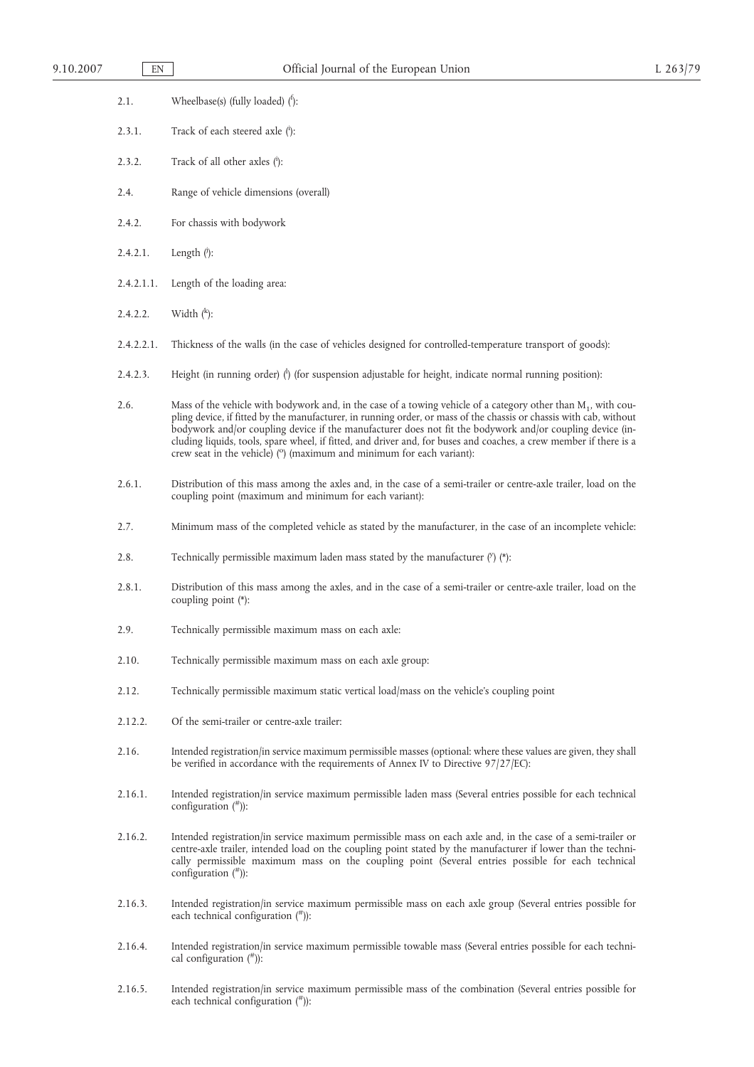- 2.1. Wheelbase(s) (fully loaded) (f):
- 2.3.1. Track of each steered axle (i):
- 2.3.2. Track of all other axles  $(i)$ :
- 2.4. Range of vehicle dimensions (overall)
- 2.4.2. For chassis with bodywork
- 2.4.2.1. Length  $(i)$ :
- 2.4.2.1.1. Length of the loading area:
- 2.4.2.2. Width  $(k)$ :
- 2.4.2.2.1. Thickness of the walls (in the case of vehicles designed for controlled-temperature transport of goods):
- 2.4.2.3. Height (in running order) (<sup>1</sup>) (for suspension adjustable for height, indicate normal running position):
- 2.6. Mass of the vehicle with bodywork and, in the case of a towing vehicle of a category other than M<sub>1</sub>, with coupling device, if fitted by the manufacturer, in running order, or mass of the chassis or chassis with cab, without bodywork and/or coupling device if the manufacturer does not fit the bodywork and/or coupling device (including liquids, tools, spare wheel, if fitted, and driver and, for buses and coaches, a crew member if there is a<br>crew seat in the vehicle) (°) (maximum and minimum for each variant):
- 2.6.1. Distribution of this mass among the axles and, in the case of a semi-trailer or centre-axle trailer, load on the coupling point (maximum and minimum for each variant):
- 2.7. Minimum mass of the completed vehicle as stated by the manufacturer, in the case of an incomplete vehicle:
- 2.8. Technically permissible maximum laden mass stated by the manufacturer  $('')$  (\*):
- 2.8.1. Distribution of this mass among the axles, and in the case of a semi-trailer or centre-axle trailer, load on the coupling point (\*):
- 2.9. Technically permissible maximum mass on each axle:
- 2.10. Technically permissible maximum mass on each axle group:
- 2.12. Technically permissible maximum static vertical load/mass on the vehicle's coupling point
- 2.12.2. Of the semi-trailer or centre-axle trailer:
- 2.16. Intended registration/in service maximum permissible masses (optional: where these values are given, they shall be verified in accordance with the requirements of Annex IV to Directive 97/27/EC):
- 2.16.1. Intended registration/in service maximum permissible laden mass (Several entries possible for each technical configuration (#)):
- 2.16.2. Intended registration/in service maximum permissible mass on each axle and, in the case of a semi-trailer or centre-axle trailer, intended load on the coupling point stated by the manufacturer if lower than the technically permissible maximum mass on the coupling point (Several entries possible for each technical configuration (#)):
- 2.16.3. Intended registration/in service maximum permissible mass on each axle group (Several entries possible for each technical configuration  $($ <sup>#</sup> $))$ :
- 2.16.4. Intended registration/in service maximum permissible towable mass (Several entries possible for each technical configuration  $($ <sup>#</sup> $)$ :
- 2.16.5. Intended registration/in service maximum permissible mass of the combination (Several entries possible for each technical configuration  $($ <sup>#</sup> $))$ :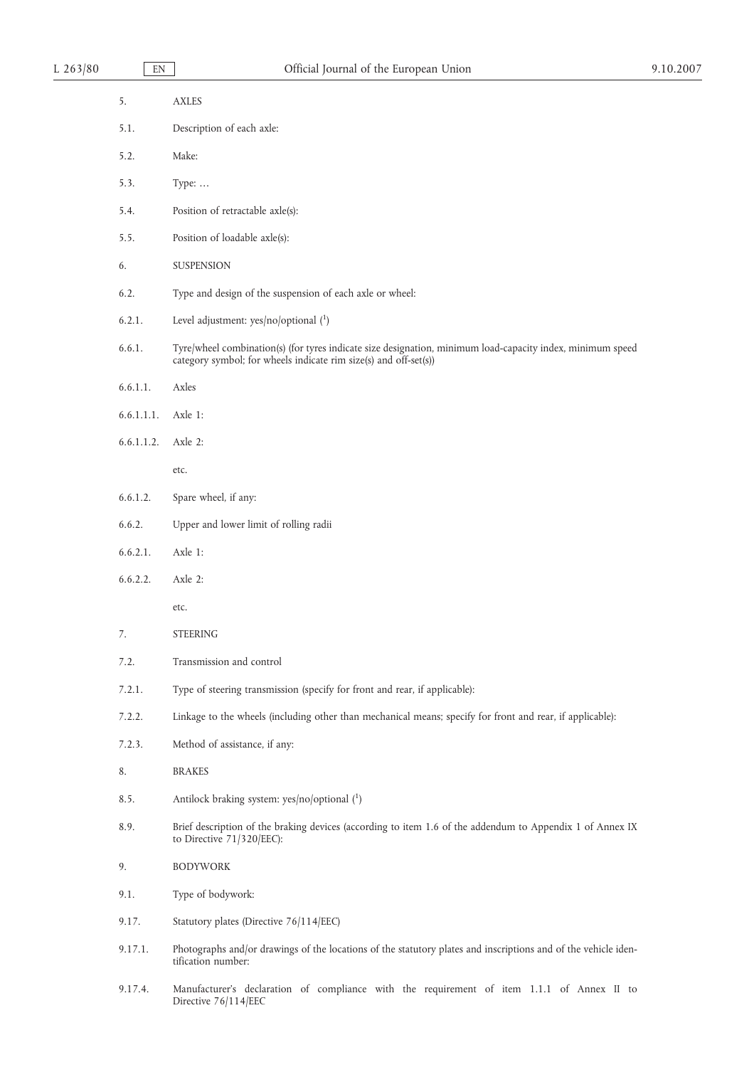# L 263/80 EN Official Journal of the European Union 9.10.2007

| 5.         | AXLES                                                                                                                                                                          |
|------------|--------------------------------------------------------------------------------------------------------------------------------------------------------------------------------|
| 5.1.       | Description of each axle:                                                                                                                                                      |
| 5.2.       | Make:                                                                                                                                                                          |
| 5.3.       | Type:                                                                                                                                                                          |
| 5.4.       | Position of retractable axle(s):                                                                                                                                               |
| 5.5.       | Position of loadable axle(s):                                                                                                                                                  |
| 6.         | SUSPENSION                                                                                                                                                                     |
| 6.2.       | Type and design of the suspension of each axle or wheel:                                                                                                                       |
| 6.2.1.     | Level adjustment: $yes/no/optional(^1)$                                                                                                                                        |
| 6.6.1.     | Tyre/wheel combination(s) (for tyres indicate size designation, minimum load-capacity index, minimum speed<br>category symbol; for wheels indicate rim size(s) and off-set(s)) |
| 6.6.1.1.   | Axles                                                                                                                                                                          |
| 6.6.1.1.1. | Axle 1:                                                                                                                                                                        |
| 6.6.1.1.2. | Axle 2:                                                                                                                                                                        |
|            | etc.                                                                                                                                                                           |
| 6.6.1.2.   | Spare wheel, if any:                                                                                                                                                           |
| 6.6.2.     | Upper and lower limit of rolling radii                                                                                                                                         |
| 6.6.2.1.   | Axle 1:                                                                                                                                                                        |
| 6.6.2.2.   | Axle 2:                                                                                                                                                                        |
|            | etc.                                                                                                                                                                           |
| 7.         | <b>STEERING</b>                                                                                                                                                                |
| 7.2.       | Transmission and control                                                                                                                                                       |
| 7.2.1.     | Type of steering transmission (specify for front and rear, if applicable):                                                                                                     |
| 7.2.2.     | Linkage to the wheels (including other than mechanical means; specify for front and rear, if applicable):                                                                      |
| 7.2.3.     | Method of assistance, if any:                                                                                                                                                  |
| 8.         | <b>BRAKES</b>                                                                                                                                                                  |
| 8.5.       | Antilock braking system: yes/no/optional (1)                                                                                                                                   |
| 8.9.       | Brief description of the braking devices (according to item 1.6 of the addendum to Appendix 1 of Annex IX<br>to Directive $71/320/EEC$ :                                       |
| 9.         | <b>BODYWORK</b>                                                                                                                                                                |
| 9.1.       | Type of bodywork:                                                                                                                                                              |
| 9.17.      | Statutory plates (Directive 76/114/EEC)                                                                                                                                        |
| 9.17.1.    | Photographs and/or drawings of the locations of the statutory plates and inscriptions and of the vehicle iden-<br>tification number:                                           |
| 9.17.4.    | Manufacturer's declaration of compliance with the requirement of item 1.1.1 of Annex II to<br>Directive 76/114/EEC                                                             |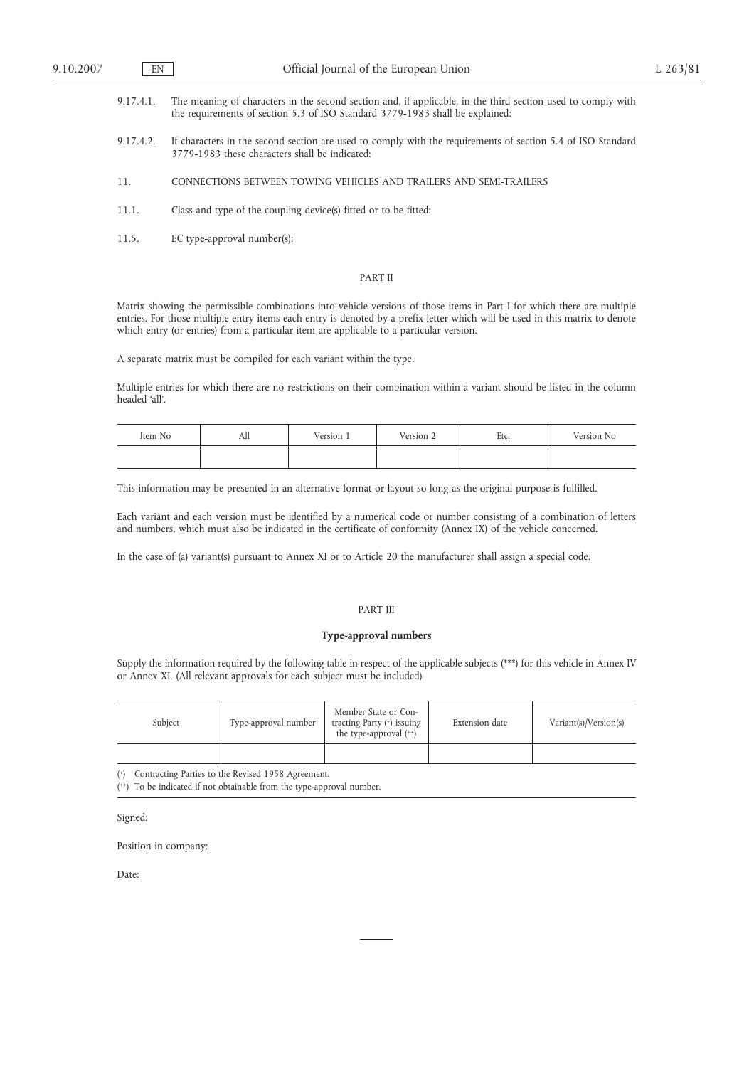- 9.17.4.1. The meaning of characters in the second section and, if applicable, in the third section used to comply with the requirements of section 5.3 of ISO Standard 3779-1983 shall be explained:
- 9.17.4.2. If characters in the second section are used to comply with the requirements of section 5.4 of ISO Standard 3779-1983 these characters shall be indicated:
- 11. CONNECTIONS BETWEEN TOWING VEHICLES AND TRAILERS AND SEMI-TRAILERS
- 11.1. Class and type of the coupling device(s) fitted or to be fitted:
- 11.5. EC type-approval number(s):

## PART II

Matrix showing the permissible combinations into vehicle versions of those items in Part I for which there are multiple entries. For those multiple entry items each entry is denoted by a prefix letter which will be used in this matrix to denote which entry (or entries) from a particular item are applicable to a particular version.

A separate matrix must be compiled for each variant within the type.

Multiple entries for which there are no restrictions on their combination within a variant should be listed in the column headed 'all'.

| Item No | All | Version 1 | Version $\angle$ | Etc. | Version No |
|---------|-----|-----------|------------------|------|------------|
|         |     |           |                  |      |            |

This information may be presented in an alternative format or layout so long as the original purpose is fulfilled.

Each variant and each version must be identified by a numerical code or number consisting of a combination of letters and numbers, which must also be indicated in the certificate of conformity (Annex IX) of the vehicle concerned.

In the case of (a) variant(s) pursuant to Annex XI or to Article 20 the manufacturer shall assign a special code.

### PART III

#### **Type-approval numbers**

Supply the information required by the following table in respect of the applicable subjects (\*\*\*) for this vehicle in Annex IV or Annex XI. (All relevant approvals for each subject must be included)

| Subject | Type-approval number | Member State or Con-<br>tracting Party (*) issuing<br>the type-approval $(+)$ | Extension date | Variant(s)/Version(s) |
|---------|----------------------|-------------------------------------------------------------------------------|----------------|-----------------------|
|         |                      |                                                                               |                |                       |

( +) Contracting Parties to the Revised 1958 Agreement.

( ++) To be indicated if not obtainable from the type-approval number.

Signed:

Position in company:

Date: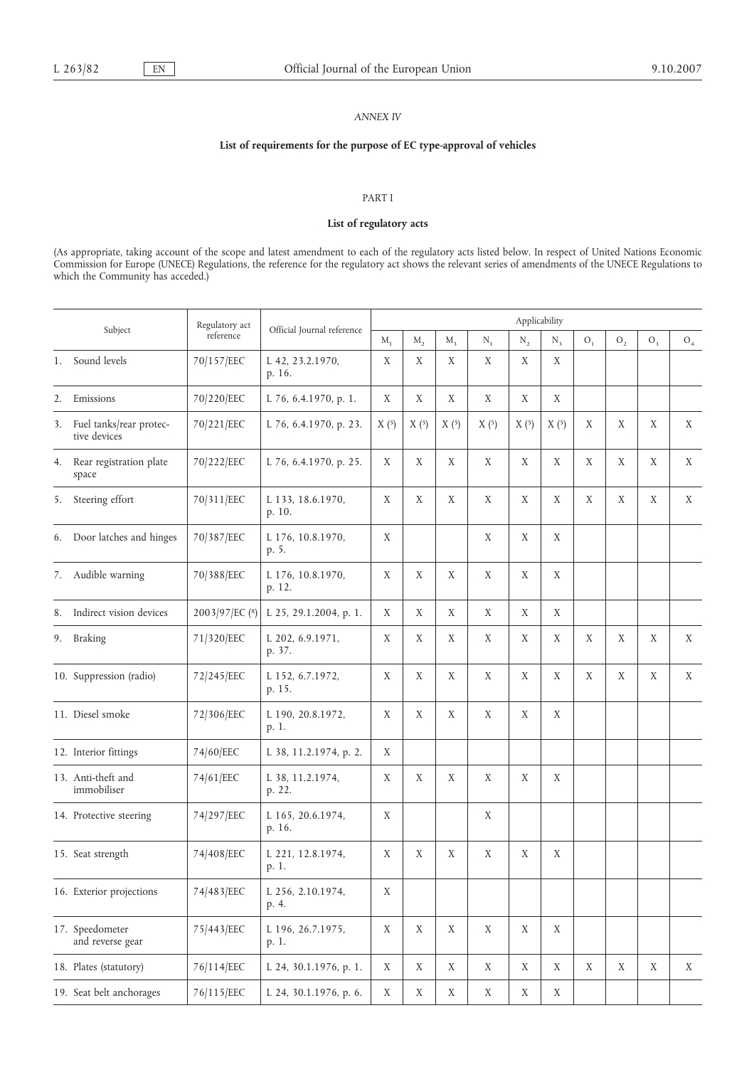# *ANNEX IV*

# **List of requirements for the purpose of EC type-approval of vehicles**

# PART I

# **List of regulatory acts**

(As appropriate, taking account of the scope and latest amendment to each of the regulatory acts listed below. In respect of United Nations Economic Commission for Europe (UNECE) Regulations, the reference for the regulatory act shows the relevant series of amendments of the UNECE Regulations to which the Community has acceded.)

| Subject |                                         | Regulatory act | Official Journal reference  | Applicability |             |             |             |             |       |       |                |       |                |
|---------|-----------------------------------------|----------------|-----------------------------|---------------|-------------|-------------|-------------|-------------|-------|-------|----------------|-------|----------------|
|         |                                         | reference      |                             | $M_1$         | $M_{2}$     | $M_{\rm A}$ | $N_1$       | $N_2$       | $N_3$ | $O_1$ | O <sub>2</sub> | $O_3$ | O <sub>4</sub> |
| 1.      | Sound levels                            | 70/157/EEC     | L 42, 23.2.1970,<br>p. 16.  | X             | X           | X           | X           | X           | X     |       |                |       |                |
| 2.      | Emissions                               | 70/220/EEC     | L 76, 6.4.1970, p. 1.       | X             | X           | X           | X           | X           | X     |       |                |       |                |
| 3.      | Fuel tanks/rear protec-<br>tive devices | 70/221/EEC     | L 76, 6.4.1970, p. 23.      | X(5)          | X(5)        | X(5)        | X(5)        | X(5)        | X(5)  | X     | $\mathbf X$    | X     | X              |
| 4.      | Rear registration plate<br>space        | 70/222/EEC     | L 76, 6.4.1970, p. 25.      | X             | X           | X           | X           | X           | X     | X     | X              | X     | X              |
| 5.      | Steering effort                         | 70/311/EEC     | L 133, 18.6.1970,<br>p. 10. | X             | X           | X           | X           | X           | X     | X     | X              | X     | X              |
|         | 6. Door latches and hinges              | 70/387/EEC     | L 176, 10.8.1970,<br>p. 5.  | X             |             |             | X           | X           | X     |       |                |       |                |
| 7.      | Audible warning                         | 70/388/EEC     | L 176, 10.8.1970,<br>p. 12. | X             | X           | X           | X           | $\mathbf X$ | X     |       |                |       |                |
| 8.      | Indirect vision devices                 | 2003/97/EC (8) | L 25, 29.1.2004, p. 1.      | X             | X           | X           | X           | X           | X     |       |                |       |                |
| 9.      | <b>Braking</b>                          | 71/320/EEC     | L 202, 6.9.1971,<br>p. 37.  | X             | X           | X           | X           | X           | X     | X     | X              | X     | X              |
|         | 10. Suppression (radio)                 | 72/245/EEC     | L 152, 6.7.1972,<br>p. 15.  | X             | X           | X           | X           | X           | X     | X     | X              | X     | X              |
|         | 11. Diesel smoke                        | 72/306/EEC     | L 190, 20.8.1972,<br>p. 1.  | X             | X           | X           | X           | X           | X     |       |                |       |                |
|         | 12. Interior fittings                   | 74/60/EEC      | L 38, 11.2.1974, p. 2.      | X             |             |             |             |             |       |       |                |       |                |
|         | 13. Anti-theft and<br>immobiliser       | 74/61/EEC      | L 38, 11.2.1974,<br>p. 22.  | X             | X           | X           | X           | X           | X     |       |                |       |                |
|         | 14. Protective steering                 | 74/297/EEC     | L 165, 20.6.1974,<br>p. 16. | X             |             |             | X           |             |       |       |                |       |                |
|         | 15. Seat strength                       | 74/408/EEC     | L 221, 12.8.1974,<br>p. 1.  | X             | X           | X           | X           | X           | X     |       |                |       |                |
|         | 16. Exterior projections                | 74/483/EEC     | L 256, 2.10.1974,<br>p. 4.  | X             |             |             |             |             |       |       |                |       |                |
|         | 17. Speedometer<br>and reverse gear     | 75/443/EEC     | L 196, 26.7.1975,<br>p. 1.  | $\mathbf X$   | $\mathbf X$ | X           | $\mathbf X$ | $\mathbf X$ | X     |       |                |       |                |
|         | 18. Plates (statutory)                  | 76/114/EEC     | L 24, 30.1.1976, p. 1.      | X             | $\mathbf X$ | X           | $\mathbf X$ | X           | X     | X     | $\mathbf X$    | X     | X              |
|         | 19. Seat belt anchorages                | 76/115/EEC     | L 24, 30.1.1976, p. 6.      | $\mathbf X$   | $\mathbf X$ | X           | X           | $\mathbf X$ | X     |       |                |       |                |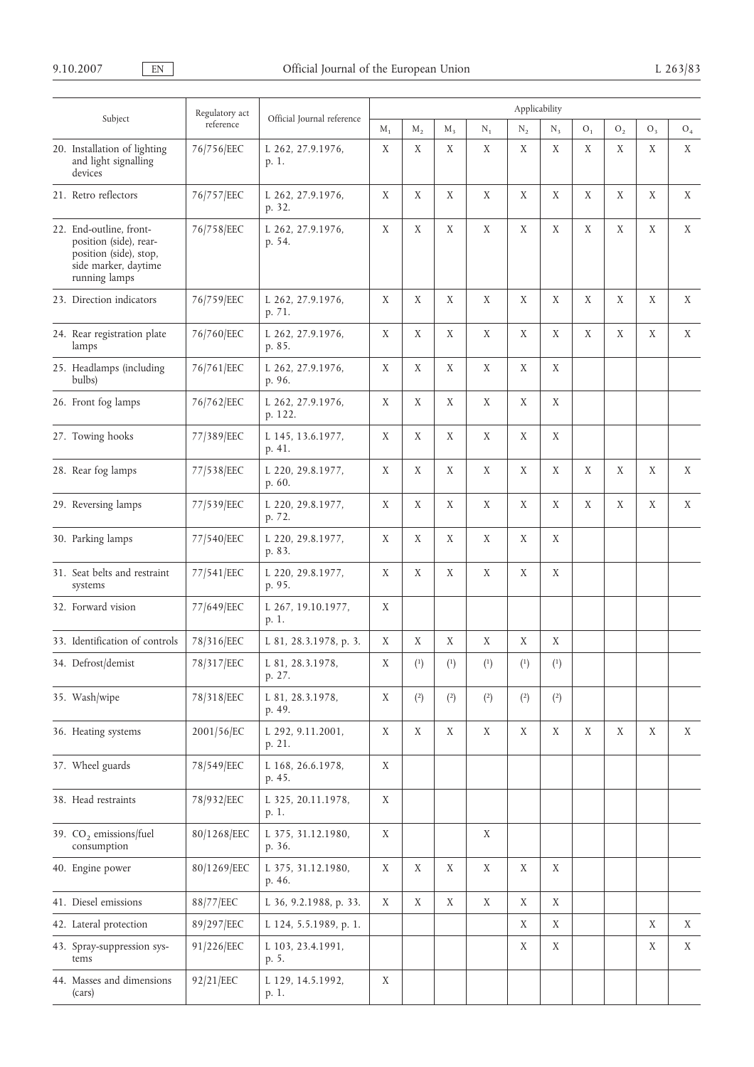|  |                                                                                                                      | Regulatory act | Applicability                |             |             |                                                             |             |                |                                                             |                |             |             |             |
|--|----------------------------------------------------------------------------------------------------------------------|----------------|------------------------------|-------------|-------------|-------------------------------------------------------------|-------------|----------------|-------------------------------------------------------------|----------------|-------------|-------------|-------------|
|  | Subject                                                                                                              | reference      | Official Journal reference   | $M_1$       | $M_{2}$     | $M_{3}$                                                     | $N_1$       | $\rm N_2$      | $N_{3}$                                                     | O <sub>1</sub> | ${\rm O}_2$ | $O_3$       | ${\rm O}_4$ |
|  | 20. Installation of lighting<br>and light signalling<br>devices                                                      | 76/756/EEC     | L 262, 27.9.1976,<br>p. 1.   | X           | X           | X                                                           | $\mathbf X$ | $\mathbf X$    | X                                                           | X              | X           | $\mathbf X$ | X           |
|  | 21. Retro reflectors                                                                                                 | 76/757/EEC     | L 262, 27.9.1976,<br>p. 32.  | X           | $\mathbf X$ | $\mathbf X$                                                 | $\mathbf X$ | $\mathbf X$    | $\mathbf X$                                                 | X              | $\mathbf X$ | $\mathbf X$ | X           |
|  | 22. End-outline, front-<br>position (side), rear-<br>position (side), stop,<br>side marker, daytime<br>running lamps | 76/758/EEC     | L 262, 27.9.1976,<br>p. 54.  | $\mathbf X$ | $\mathbf X$ | $\mathbf X$                                                 | $\mathbf X$ | $\mathbf X$    | $\mathbf X$                                                 | X              | $\mathbf X$ | $\mathbf X$ | X           |
|  | 23. Direction indicators                                                                                             | 76/759/EEC     | L 262, 27.9.1976,<br>p. 71.  | X           | X           | X                                                           | X           | X              | X                                                           | X              | X           | X           | X           |
|  | 24. Rear registration plate<br>lamps                                                                                 | 76/760/EEC     | L 262, 27.9.1976,<br>p. 85.  | X           | X           | X                                                           | X           | X              | X                                                           | X              | X           | X           | X           |
|  | 25. Headlamps (including<br>bulbs)                                                                                   | 76/761/EEC     | L 262, 27.9.1976,<br>p. 96.  | X           | X           | X                                                           | X           | X              | X                                                           |                |             |             |             |
|  | 26. Front fog lamps                                                                                                  | 76/762/EEC     | L 262, 27.9.1976,<br>p. 122. | X           | X           | X                                                           | X           | X              | X                                                           |                |             |             |             |
|  | 27. Towing hooks                                                                                                     | 77/389/EEC     | L 145, 13.6.1977,<br>p. 41.  | X           | X           | X                                                           | X           | X              | X                                                           |                |             |             |             |
|  | 28. Rear fog lamps                                                                                                   | 77/538/EEC     | L 220, 29.8.1977,<br>p. 60.  | Χ           | X           | X                                                           | X           | X              | X                                                           | X              | X           | X           | X           |
|  | 29. Reversing lamps                                                                                                  | 77/539/EEC     | L 220, 29.8.1977,<br>p. 72.  | Χ           | X           | Χ                                                           | X           | X              | X                                                           | X              | X           | X           | X           |
|  | 30. Parking lamps                                                                                                    | 77/540/EEC     | L 220, 29.8.1977,<br>p. 83.  | X           | X           | X                                                           | X           | X              | X                                                           |                |             |             |             |
|  | 31. Seat belts and restraint<br>systems                                                                              | 77/541/EEC     | L 220, 29.8.1977,<br>p. 95.  | X           | X           | X                                                           | X           | X              | X                                                           |                |             |             |             |
|  | 32. Forward vision                                                                                                   | 77/649/EEC     | L 267, 19.10.1977,<br>p. 1.  | X           |             |                                                             |             |                |                                                             |                |             |             |             |
|  | 33. Identification of controls                                                                                       | 78/316/EEC     | L 81, 28.3.1978, p. 3.       | X           | X           | X                                                           | X           | X              | X                                                           |                |             |             |             |
|  | 34. Defrost/demist                                                                                                   | 78/317/EEC     | L 81, 28.3.1978,<br>p. 27.   | Χ           | (1)         | $\left( \begin{smallmatrix} 1 \\ \end{smallmatrix} \right)$ | (1)         | $\binom{1}{ }$ | $\left( \begin{smallmatrix} 1 \\ \end{smallmatrix} \right)$ |                |             |             |             |
|  | 35. Wash/wipe                                                                                                        | 78/318/EEC     | L 81, 28.3.1978,<br>p. 49.   | X           | (2)         | (2)                                                         | (2)         | (2)            | $\left( 2\right)$                                           |                |             |             |             |
|  | 36. Heating systems                                                                                                  | 2001/56/EC     | L 292, 9.11.2001,<br>p. 21.  | X           | $\mathbf X$ | X                                                           | X           | $\mathbf X$    | X                                                           | X              | X           | X           | X           |
|  | 37. Wheel guards                                                                                                     | 78/549/EEC     | L 168, 26.6.1978,<br>p. 45.  | X           |             |                                                             |             |                |                                                             |                |             |             |             |
|  | 38. Head restraints                                                                                                  | 78/932/EEC     | L 325, 20.11.1978,<br>p. 1.  | X           |             |                                                             |             |                |                                                             |                |             |             |             |
|  | 39. CO <sub>2</sub> emissions/fuel<br>consumption                                                                    | 80/1268/EEC    | L 375, 31.12.1980,<br>p. 36. | X           |             |                                                             | X           |                |                                                             |                |             |             |             |
|  | 40. Engine power                                                                                                     | 80/1269/EEC    | L 375, 31.12.1980,<br>p. 46. | X           | X           | X                                                           | X           | $\mathbf X$    | X                                                           |                |             |             |             |
|  | 41. Diesel emissions                                                                                                 | 88/77/EEC      | L 36, 9.2.1988, p. 33.       | X           | X           | X                                                           | X           | X              | X                                                           |                |             |             |             |
|  | 42. Lateral protection                                                                                               | 89/297/EEC     | L 124, 5.5.1989, p. 1.       |             |             |                                                             |             | X              | X                                                           |                |             | X           | X           |
|  | 43. Spray-suppression sys-<br>tems                                                                                   | 91/226/EEC     | L 103, 23.4.1991,<br>p. 5.   |             |             |                                                             |             | X              | X                                                           |                |             | X           | X           |
|  | 44. Masses and dimensions<br>(cars)                                                                                  | 92/21/EEC      | L 129, 14.5.1992,<br>p. 1.   | X           |             |                                                             |             |                |                                                             |                |             |             |             |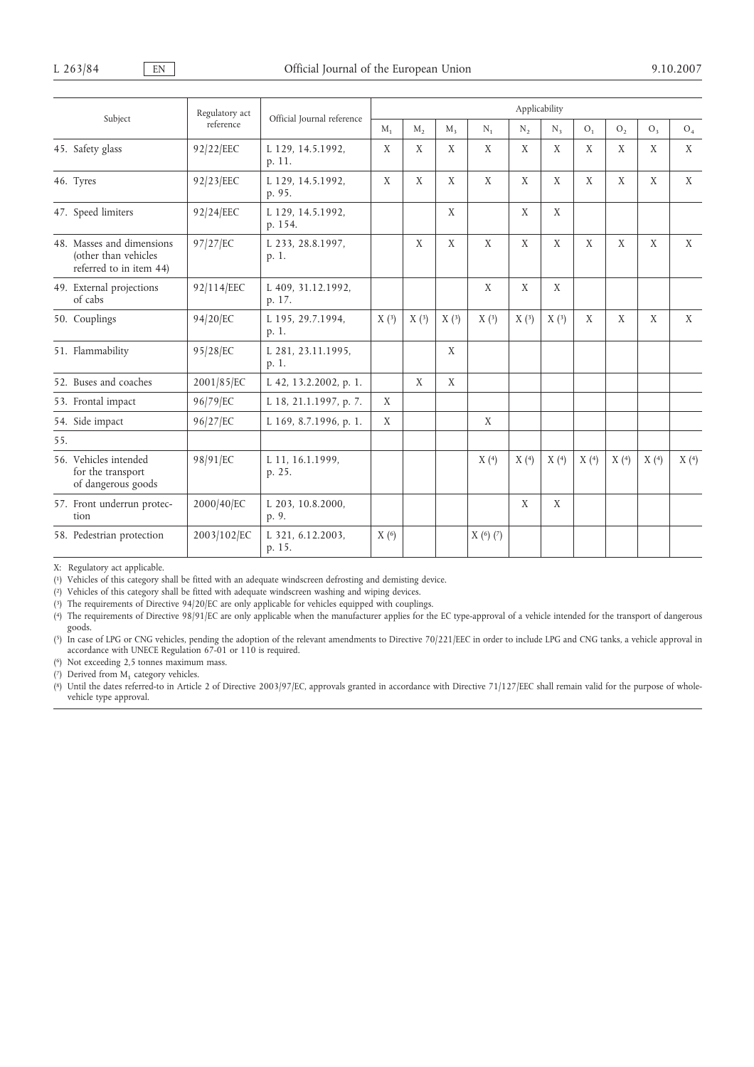|                                                                              | Regulatory act |                              | Applicability                                                                            |      |                |                |                |      |      |      |      |      |
|------------------------------------------------------------------------------|----------------|------------------------------|------------------------------------------------------------------------------------------|------|----------------|----------------|----------------|------|------|------|------|------|
| Subject                                                                      | reference      | Official Journal reference   | $M_{2}$<br>$M_{1}$<br>$M_{\rm a}$<br>$N_{2}$<br>O <sub>1</sub><br>$N_{1}$<br>$N_{\rm a}$ |      | O <sub>2</sub> | O <sub>3</sub> | O <sub>4</sub> |      |      |      |      |      |
| 45. Safety glass                                                             | 92/22/EEC      | L 129, 14.5.1992,<br>p. 11.  | X                                                                                        | X    | X              | X              | X              | X    | X    | X    | X    | X    |
| 46. Tyres                                                                    | 92/23/EEC      | L 129, 14.5.1992,<br>p. 95.  | X                                                                                        | X    | X              | X              | X              | X    | X    | X    | X    | X    |
| 47. Speed limiters                                                           | 92/24/EEC      | L 129, 14.5.1992,<br>p. 154. |                                                                                          |      | X              |                | X              | X    |      |      |      |      |
| 48. Masses and dimensions<br>(other than vehicles<br>referred to in item 44) | 97/27/EC       | L 233, 28.8.1997,<br>p. 1.   |                                                                                          | X    | X              | X              | X              | X    | X    | X    | X    | X    |
| 49. External projections<br>of cabs                                          | 92/114/EEC     | L 409, 31.12.1992,<br>p. 17. |                                                                                          |      |                | X              | X              | X    |      |      |      |      |
| 50. Couplings                                                                | 94/20/EC       | L 195, 29.7.1994,<br>p. 1.   | X(3)                                                                                     | X(3) | X(3)           | X(3)           | X(3)           | X(3) | X    | X    | X    | X    |
| 51. Flammability                                                             | 95/28/EC       | L 281, 23.11.1995,<br>p. 1.  |                                                                                          |      | X              |                |                |      |      |      |      |      |
| 52. Buses and coaches                                                        | 2001/85/EC     | L 42, 13.2.2002, p. 1.       |                                                                                          | X    | X              |                |                |      |      |      |      |      |
| 53. Frontal impact                                                           | 96/79/EC       | L 18, 21.1.1997, p. 7.       | X                                                                                        |      |                |                |                |      |      |      |      |      |
| 54. Side impact                                                              | 96/27/EC       | L 169, 8.7.1996, p. 1.       | X                                                                                        |      |                | X              |                |      |      |      |      |      |
| 55.                                                                          |                |                              |                                                                                          |      |                |                |                |      |      |      |      |      |
| 56. Vehicles intended<br>for the transport<br>of dangerous goods             | 98/91/EC       | L 11, 16.1.1999,<br>p. 25.   |                                                                                          |      |                | X(4)           | X(4)           | X(4) | X(4) | X(4) | X(4) | X(4) |
| 57. Front underrun protec-<br>tion                                           | 2000/40/EC     | L 203, 10.8.2000,<br>p. 9.   |                                                                                          |      |                |                | X              | X    |      |      |      |      |
| 58. Pedestrian protection                                                    | 2003/102/EC    | L 321, 6.12.2003,<br>p. 15.  | X(6)                                                                                     |      |                | X(6)(7)        |                |      |      |      |      |      |

X: Regulatory act applicable.

( 1) Vehicles of this category shall be fitted with an adequate windscreen defrosting and demisting device.

( 2) Vehicles of this category shall be fitted with adequate windscreen washing and wiping devices.

( 3) The requirements of Directive 94/20/EC are only applicable for vehicles equipped with couplings.

( 4) The requirements of Directive 98/91/EC are only applicable when the manufacturer applies for the EC type-approval of a vehicle intended for the transport of dangerous goods.

 $(5)$ In case of LPG or CNG vehicles, pending the adoption of the relevant amendments to Directive 70/221/EEC in order to include LPG and CNG tanks, a vehicle approval in accordance with UNECE Regulation 67-01 or 110 is required.

( 6) Not exceeding 2,5 tonnes maximum mass.

 $(7)$  Derived from  $M_1$  category vehicles.

( 8) Until the dates referred-to in Article 2 of Directive 2003/97/EC, approvals granted in accordance with Directive 71/127/EEC shall remain valid for the purpose of wholevehicle type approval.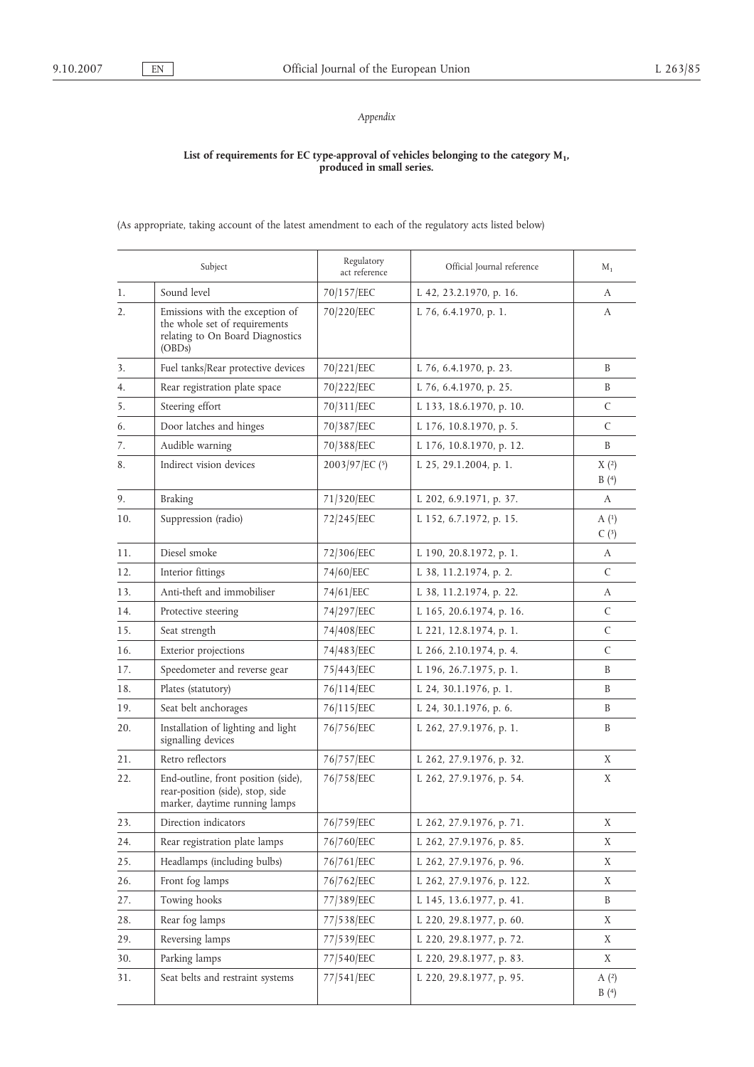# *Appendix*

#### **List of requirements for EC type-approval of vehicles belonging to the category M1, produced in small series.**

(As appropriate, taking account of the latest amendment to each of the regulatory acts listed below)

|     | Subject                                                                                                        | Regulatory<br>act reference | Official Journal reference | $M_{1}$      |
|-----|----------------------------------------------------------------------------------------------------------------|-----------------------------|----------------------------|--------------|
| 1.  | Sound level                                                                                                    | 70/157/EEC                  | L 42, 23.2.1970, p. 16.    | A            |
| 2.  | Emissions with the exception of<br>the whole set of requirements<br>relating to On Board Diagnostics<br>(OBDs) | 70/220/EEC                  | L 76, 6.4.1970, p. 1.      | А            |
| 3.  | Fuel tanks/Rear protective devices                                                                             | 70/221/EEC                  | L 76, 6.4.1970, p. 23.     | B            |
| 4.  | Rear registration plate space                                                                                  | 70/222/EEC                  | L 76, 6.4.1970, p. 25.     | B            |
| 5.  | Steering effort                                                                                                | 70/311/EEC                  | L 133, 18.6.1970, p. 10.   | C            |
| 6.  | Door latches and hinges                                                                                        | 70/387/EEC                  | L 176, 10.8.1970, p. 5.    | C            |
| 7.  | Audible warning                                                                                                | 70/388/EEC                  | L 176, 10.8.1970, p. 12.   | B            |
| 8.  | Indirect vision devices                                                                                        | $2003/97/EC$ (5)            | L 25, 29.1.2004, p. 1.     | X(2)<br>B(4) |
| 9.  | Braking                                                                                                        | 71/320/EEC                  | L 202, 6.9.1971, p. 37.    | A            |
| 10. | Suppression (radio)                                                                                            | 72/245/EEC                  | L 152, 6.7.1972, p. 15.    | A(1)<br>C(3) |
| 11. | Diesel smoke                                                                                                   | 72/306/EEC                  | L 190, 20.8.1972, p. 1.    | A            |
| 12. | Interior fittings                                                                                              | 74/60/EEC                   | L 38, 11.2.1974, p. 2.     | C            |
| 13. | Anti-theft and immobiliser                                                                                     | 74/61/EEC                   | L 38, 11.2.1974, p. 22.    | А            |
| 14. | Protective steering                                                                                            | 74/297/EEC                  | L 165, 20.6.1974, p. 16.   | C            |
| 15. | Seat strength                                                                                                  | 74/408/EEC                  | L 221, 12.8.1974, p. 1.    | C            |
| 16. | Exterior projections                                                                                           | 74/483/EEC                  | L 266, 2.10.1974, p. 4.    | C            |
| 17. | Speedometer and reverse gear                                                                                   | 75/443/EEC                  | L 196, 26.7.1975, p. 1.    | B            |
| 18. | Plates (statutory)                                                                                             | 76/114/EEC                  | L 24, 30.1.1976, p. 1.     | B            |
| 19. | Seat belt anchorages                                                                                           | 76/115/EEC                  | L 24, 30.1.1976, p. 6.     | B            |
| 20. | Installation of lighting and light<br>signalling devices                                                       | 76/756/EEC                  | L 262, 27.9.1976, p. 1.    | B            |
| 21. | Retro reflectors                                                                                               | 76/757/EEC                  | L 262, 27.9.1976, p. 32.   | X            |
| 22. | End-outline, front position (side),<br>rear-position (side), stop, side<br>marker, daytime running lamps       | 76/758/EEC                  | L 262, 27.9.1976, p. 54.   | X            |
| 23. | Direction indicators                                                                                           | 76/759/EEC                  | L 262, 27.9.1976, p. 71.   | X            |
| 24. | Rear registration plate lamps                                                                                  | 76/760/EEC                  | L 262, 27.9.1976, p. 85.   | X            |
| 25. | Headlamps (including bulbs)                                                                                    | 76/761/EEC                  | L 262, 27.9.1976, p. 96.   | X            |
| 26. | Front fog lamps                                                                                                | 76/762/EEC                  | L 262, 27.9.1976, p. 122.  | X            |
| 27. | Towing hooks                                                                                                   | 77/389/EEC                  | L 145, 13.6.1977, p. 41.   | B            |
| 28. | Rear fog lamps                                                                                                 | 77/538/EEC                  | L 220, 29.8.1977, p. 60.   | X            |
| 29. | Reversing lamps                                                                                                | 77/539/EEC                  | L 220, 29.8.1977, p. 72.   | X            |
| 30. | Parking lamps                                                                                                  | 77/540/EEC                  | L 220, 29.8.1977, p. 83.   | X            |
| 31. | Seat belts and restraint systems                                                                               | 77/541/EEC                  | L 220, 29.8.1977, p. 95.   | A(2)<br>B(4) |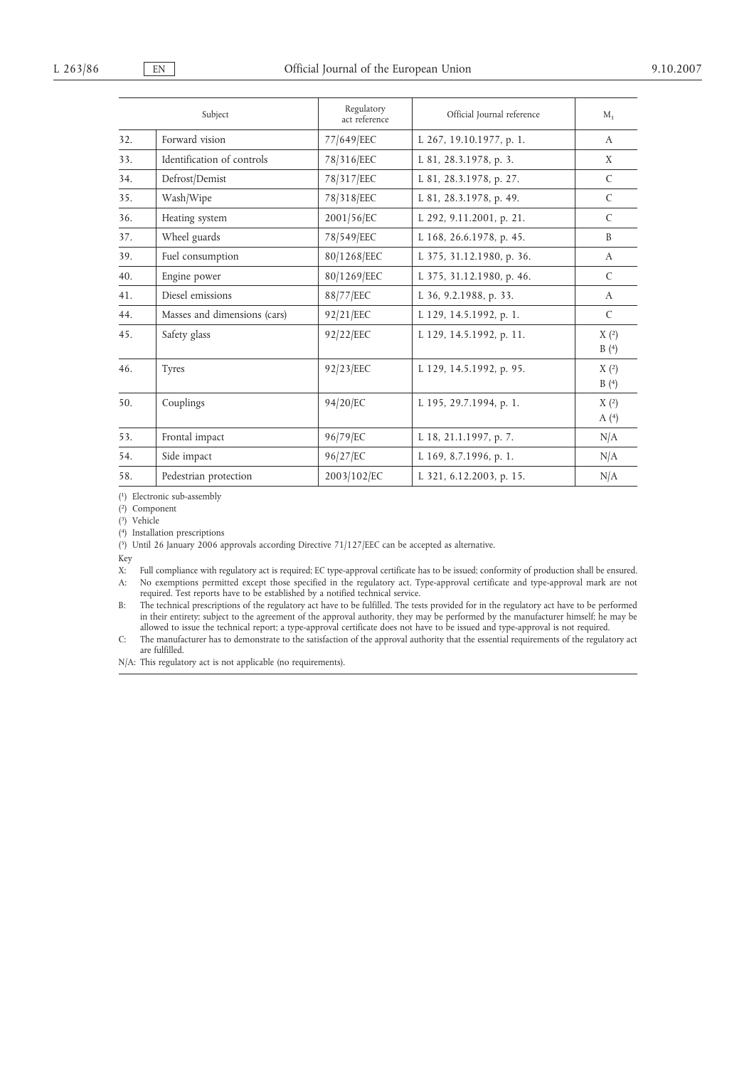|     | Subject                      | Regulatory<br>act reference | Official Journal reference | $M_{1}$       |
|-----|------------------------------|-----------------------------|----------------------------|---------------|
| 32. | Forward vision               | 77/649/EEC                  | L 267, 19.10.1977, p. 1.   | $\mathbf{A}$  |
| 33. | Identification of controls   | 78/316/EEC                  | L 81, 28.3.1978, p. 3.     | X             |
| 34. | Defrost/Demist               | 78/317/EEC                  | L 81, 28.3.1978, p. 27.    | C             |
| 35. | Wash/Wipe                    | 78/318/EEC                  | L 81, 28.3.1978, p. 49.    | $\mathcal{C}$ |
| 36. | Heating system               | 2001/56/EC                  | L 292, 9.11.2001, p. 21.   | $\mathcal{C}$ |
| 37. | Wheel guards                 | 78/549/EEC                  | L 168, 26.6.1978, p. 45.   | B             |
| 39. | Fuel consumption             | 80/1268/EEC                 | L 375, 31.12.1980, p. 36.  | $\mathsf{A}$  |
| 40. | Engine power                 | 80/1269/EEC                 | L 375, 31.12.1980, p. 46.  | C             |
| 41. | Diesel emissions             | 88/77/EEC                   | L 36, 9.2.1988, p. 33.     | $\mathsf{A}$  |
| 44. | Masses and dimensions (cars) | 92/21/EEC                   | L 129, 14.5.1992, p. 1.    | $\mathsf{C}$  |
| 45. | Safety glass                 | 92/22/EEC                   | L 129, 14.5.1992, p. 11.   | X(2)<br>B(4)  |
| 46. | <b>Tyres</b>                 | 92/23/EEC                   | L 129, 14.5.1992, p. 95.   | X(2)<br>B(4)  |
| 50. | Couplings                    | 94/20/EC                    | L 195, 29.7.1994, p. 1.    | X(2)<br>A(4)  |
| 53. | Frontal impact               | 96/79/EC                    | L 18, 21.1.1997, p. 7.     | N/A           |
| 54. | Side impact                  | 96/27/EC                    | L 169, 8.7.1996, p. 1.     | N/A           |
| 58. | Pedestrian protection        | 2003/102/EC                 | L 321, 6.12.2003, p. 15.   | N/A           |

( 1) Electronic sub-assembly

( 2) Component

( 3) Vehicle

( 4) Installation prescriptions

( 5) Until 26 January 2006 approvals according Directive 71/127/EEC can be accepted as alternative.

Key

X: Full compliance with regulatory act is required; EC type-approval certificate has to be issued; conformity of production shall be ensured. A: No exemptions permitted except those specified in the regulatory act. Type-approval certificate and type-approval mark are not required. Test reports have to be established by a notified technical service.

B: The technical prescriptions of the regulatory act have to be fulfilled. The tests provided for in the regulatory act have to be performed in their entirety; subject to the agreement of the approval authority, they may be performed by the manufacturer himself; he may be allowed to issue the technical report; a type-approval certificate does not have to be issued and type-approval is not required.

C: The manufacturer has to demonstrate to the satisfaction of the approval authority that the essential requirements of the regulatory act are fulfilled.

N/A: This regulatory act is not applicable (no requirements).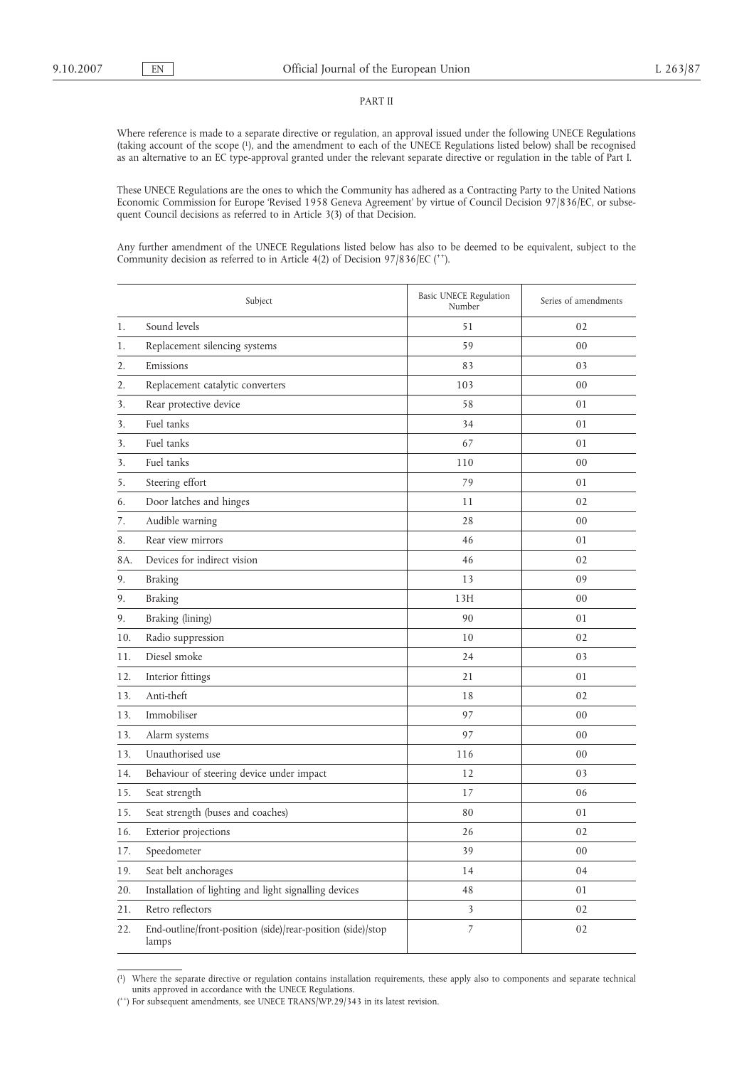#### PART II

Where reference is made to a separate directive or regulation, an approval issued under the following UNECE Regulations (taking account of the scope (1), and the amendment to each of the UNECE Regulations listed below) shall be recognised as an alternative to an EC type-approval granted under the relevant separate directive or regulation in the table of Part I.

These UNECE Regulations are the ones to which the Community has adhered as a Contracting Party to the United Nations Economic Commission for Europe 'Revised 1958 Geneva Agreement' by virtue of Council Decision 97/836/EC, or subsequent Council decisions as referred to in Article 3(3) of that Decision.

Any further amendment of the UNECE Regulations listed below has also to be deemed to be equivalent, subject to the Community decision as referred to in Article 4(2) of Decision 97/836/EC ( $^{++}$ ).

|     | Subject                                                              | Basic UNECE Regulation<br>Number | Series of amendments |
|-----|----------------------------------------------------------------------|----------------------------------|----------------------|
| 1.  | Sound levels                                                         | 51                               | 02                   |
| 1.  | Replacement silencing systems                                        | 59                               | 00                   |
| 2.  | Emissions                                                            | 83                               | 03                   |
| 2.  | Replacement catalytic converters                                     | 103                              | 00                   |
| 3.  | Rear protective device                                               | 58                               | 01                   |
| 3.  | Fuel tanks                                                           | 34                               | 01                   |
| 3.  | Fuel tanks                                                           | 67                               | 01                   |
| 3.  | Fuel tanks                                                           | 110                              | 00                   |
| 5.  | Steering effort                                                      | 79                               | 01                   |
| 6.  | Door latches and hinges                                              | 11                               | 02                   |
| 7.  | Audible warning                                                      | 28                               | 00                   |
| 8.  | Rear view mirrors                                                    | 46                               | 01                   |
| 8A. | Devices for indirect vision                                          | 46                               | 02                   |
| 9.  | <b>Braking</b>                                                       | 13                               | 09                   |
| 9.  | <b>Braking</b>                                                       | 13H                              | 00                   |
| 9.  | Braking (lining)                                                     | 90                               | 01                   |
| 10. | Radio suppression                                                    | 10                               | 02                   |
| 11. | Diesel smoke                                                         | 24                               | 03                   |
| 12. | Interior fittings                                                    | 21                               | 01                   |
| 13. | Anti-theft                                                           | 18                               | 02                   |
| 13. | Immobiliser                                                          | 97                               | 00                   |
| 13. | Alarm systems                                                        | 97                               | 00                   |
| 13. | Unauthorised use                                                     | 116                              | 00                   |
| 14. | Behaviour of steering device under impact                            | 12                               | 03                   |
| 15. | Seat strength                                                        | 17                               | 06                   |
| 15. | Seat strength (buses and coaches)                                    | 80                               | 01                   |
| 16. | Exterior projections                                                 | 26                               | 02                   |
| 17. | Speedometer                                                          | 39                               | 00                   |
| 19. | Seat belt anchorages                                                 | 14                               | 04                   |
| 20. | Installation of lighting and light signalling devices                | 48                               | 01                   |
| 21. | Retro reflectors                                                     | 3                                | 02                   |
| 22. | End-outline/front-position (side)/rear-position (side)/stop<br>lamps | 7                                | 02                   |

 $\left(1\right)$ 1) Where the separate directive or regulation contains installation requirements, these apply also to components and separate technical units approved in accordance with the UNECE Regulations.

<sup>(\*\*)</sup> For subsequent amendments, see UNECE TRANS/WP.29/343 in its latest revision.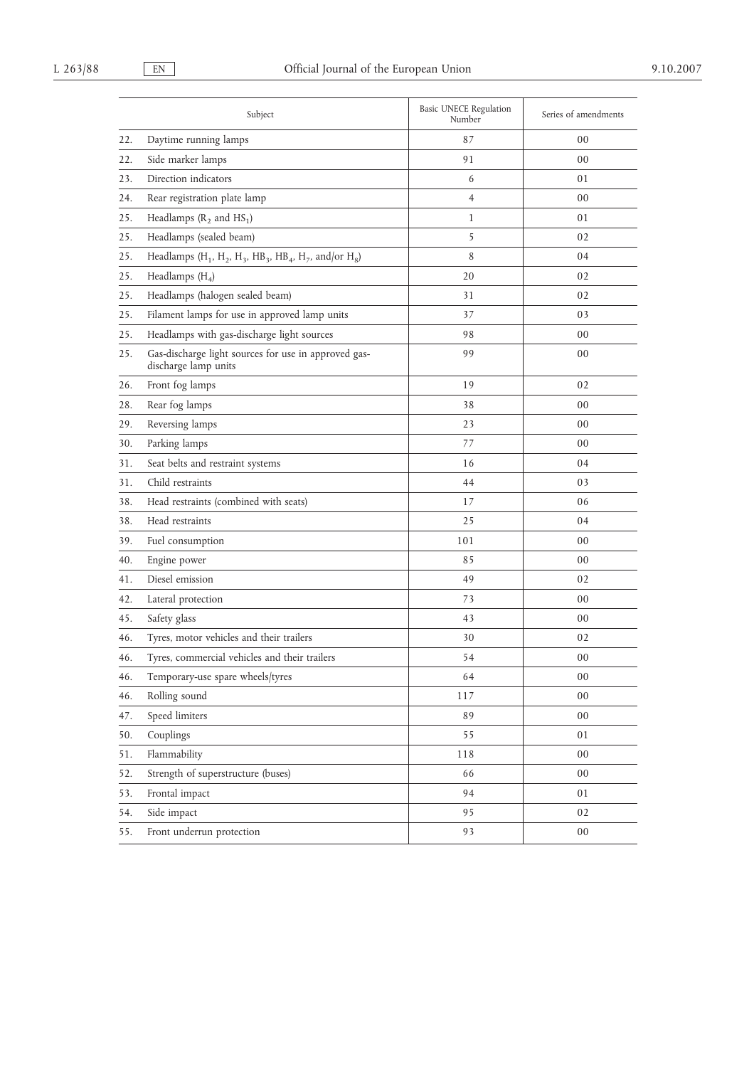|     | Subject                                                                                                                                    | <b>Basic UNECE Regulation</b><br>Number | Series of amendments |
|-----|--------------------------------------------------------------------------------------------------------------------------------------------|-----------------------------------------|----------------------|
| 22. | Daytime running lamps                                                                                                                      | 87                                      | 00                   |
| 22. | Side marker lamps                                                                                                                          | 91                                      | 00                   |
| 23. | Direction indicators                                                                                                                       | 6                                       | 01                   |
| 24. | Rear registration plate lamp                                                                                                               | $\overline{4}$                          | 00                   |
| 25. | Headlamps $(R_2 \text{ and } HS_1)$                                                                                                        | $\mathbf{1}$                            | 01                   |
| 25. | Headlamps (sealed beam)                                                                                                                    | 5                                       | 02                   |
| 25. | Headlamps (H <sub>1</sub> , H <sub>2</sub> , H <sub>3</sub> , HB <sub>3</sub> , HB <sub>4</sub> , H <sub>7</sub> , and/or H <sub>8</sub> ) | 8                                       | 04                   |
| 25. | Headlamps $(H_4)$                                                                                                                          | 20                                      | 02                   |
| 25. | Headlamps (halogen sealed beam)                                                                                                            | 31                                      | 02                   |
| 25. | Filament lamps for use in approved lamp units                                                                                              | 37                                      | 03                   |
| 25. | Headlamps with gas-discharge light sources                                                                                                 | 98                                      | 00                   |
| 25. | Gas-discharge light sources for use in approved gas-<br>discharge lamp units                                                               | 99                                      | 00                   |
| 26. | Front fog lamps                                                                                                                            | 19                                      | 02                   |
| 28. | Rear fog lamps                                                                                                                             | 38                                      | 00                   |
| 29. | Reversing lamps                                                                                                                            | 23                                      | 00                   |
| 30. | Parking lamps                                                                                                                              | 77                                      | 00                   |
| 31. | Seat belts and restraint systems                                                                                                           | 16                                      | 04                   |
| 31. | Child restraints                                                                                                                           | 44                                      | 03                   |
| 38. | Head restraints (combined with seats)                                                                                                      | 17                                      | 06                   |
| 38. | Head restraints                                                                                                                            | 25                                      | 04                   |
| 39. | Fuel consumption                                                                                                                           | 101                                     | 00                   |
| 40. | Engine power                                                                                                                               | 85                                      | 00                   |
| 41. | Diesel emission                                                                                                                            | 49                                      | 02                   |
| 42. | Lateral protection                                                                                                                         | 73                                      | 00                   |
| 45. | Safety glass                                                                                                                               | 43                                      | 00                   |
| 46. | Tyres, motor vehicles and their trailers                                                                                                   | 30                                      | 02                   |
| 46. | Tyres, commercial vehicles and their trailers                                                                                              | 54                                      | 00                   |
| 46. | Temporary-use spare wheels/tyres                                                                                                           | 64                                      | 00                   |
| 46. | Rolling sound                                                                                                                              | 117                                     | 00                   |
| 47. | Speed limiters                                                                                                                             | 89                                      | 00                   |
| 50. | Couplings                                                                                                                                  | 55                                      | 01                   |
| 51. | Flammability                                                                                                                               | 118                                     | 00                   |
| 52. | Strength of superstructure (buses)                                                                                                         | 66                                      | 00                   |
| 53. | Frontal impact                                                                                                                             | 94                                      | 01                   |
| 54. | Side impact                                                                                                                                | 95                                      | 02                   |
| 55. | Front underrun protection                                                                                                                  | 93                                      | 00                   |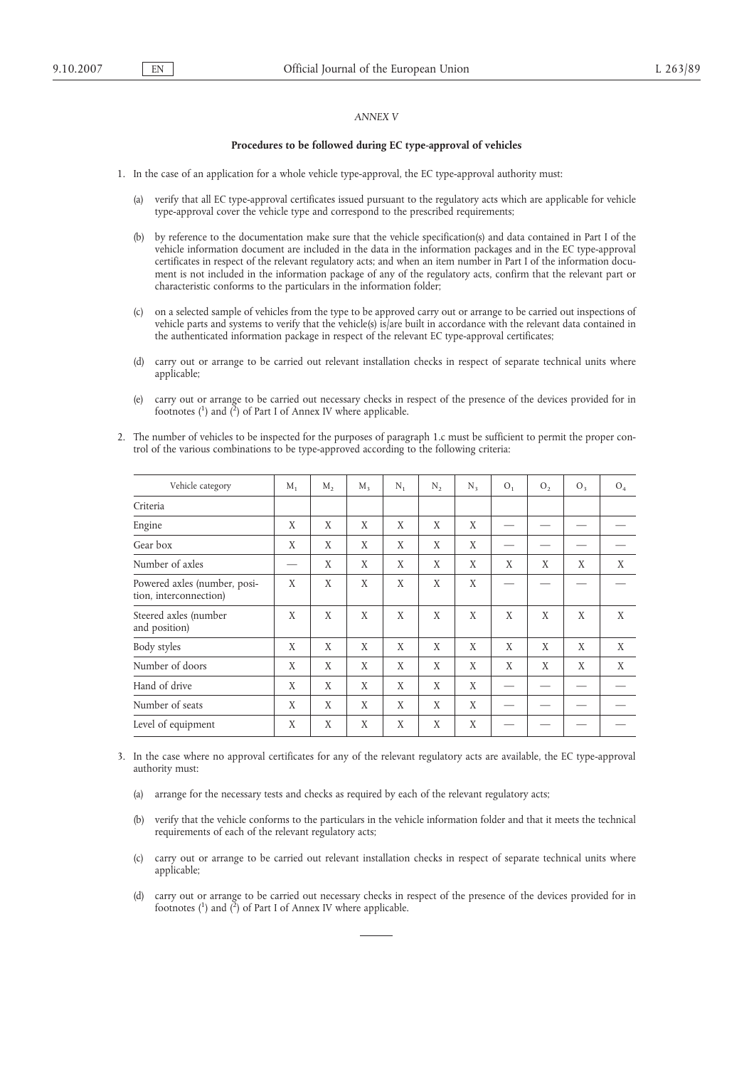## *ANNEX V*

#### **Procedures to be followed during EC type-approval of vehicles**

1. In the case of an application for a whole vehicle type-approval, the EC type-approval authority must:

- (a) verify that all EC type-approval certificates issued pursuant to the regulatory acts which are applicable for vehicle type-approval cover the vehicle type and correspond to the prescribed requirements;
- (b) by reference to the documentation make sure that the vehicle specification(s) and data contained in Part I of the vehicle information document are included in the data in the information packages and in the EC type-approval certificates in respect of the relevant regulatory acts; and when an item number in Part I of the information document is not included in the information package of any of the regulatory acts, confirm that the relevant part or characteristic conforms to the particulars in the information folder;
- (c) on a selected sample of vehicles from the type to be approved carry out or arrange to be carried out inspections of vehicle parts and systems to verify that the vehicle(s) is/are built in accordance with the relevant data contained in the authenticated information package in respect of the relevant EC type-approval certificates;
- (d) carry out or arrange to be carried out relevant installation checks in respect of separate technical units where applicable;
- (e) carry out or arrange to be carried out necessary checks in respect of the presence of the devices provided for in footnotes ( $^{1}$ ) and ( $^{2}$ ) of Part I of Annex IV where applicable.
- 2. The number of vehicles to be inspected for the purposes of paragraph 1.c must be sufficient to permit the proper control of the various combinations to be type-approved according to the following criteria:

| Vehicle category                                       | $M_{1}$ | $M_{2}$ | $M_{\rm R}$ | $N_{1}$ | $N_{2}$ | $N_{3}$ | O <sub>1</sub> | O <sub>2</sub> | O <sub>3</sub> | O <sub>4</sub> |
|--------------------------------------------------------|---------|---------|-------------|---------|---------|---------|----------------|----------------|----------------|----------------|
| Criteria                                               |         |         |             |         |         |         |                |                |                |                |
| Engine                                                 | X       | X       | X           | X       | X       | X       |                |                |                |                |
| Gear box                                               | X       | X       | X           | X       | X       | X       |                |                |                |                |
| Number of axles                                        |         | X       | X           | X       | X       | X       | X              | X              | X              | X              |
| Powered axles (number, posi-<br>tion, interconnection) | X       | X       | X           | X       | X       | X       |                |                |                |                |
| Steered axles (number<br>and position)                 | X       | X       | X           | X       | X       | X       | X              | X              | X              | X              |
| Body styles                                            | X       | X       | X           | X       | X       | X       | X              | X              | X              | X              |
| Number of doors                                        | X       | X       | X           | X       | X       | X       | X              | X              | X              | X              |
| Hand of drive                                          | X       | X       | X           | X       | X       | X       |                |                |                |                |
| Number of seats                                        | X       | X       | X           | X       | X       | X       |                |                |                |                |
| Level of equipment                                     | X       | X       | X           | X       | X       | X       |                |                |                |                |
|                                                        |         |         |             |         |         |         |                |                |                |                |

- 3. In the case where no approval certificates for any of the relevant regulatory acts are available, the EC type-approval authority must:
	- (a) arrange for the necessary tests and checks as required by each of the relevant regulatory acts;
	- (b) verify that the vehicle conforms to the particulars in the vehicle information folder and that it meets the technical requirements of each of the relevant regulatory acts;
	- (c) carry out or arrange to be carried out relevant installation checks in respect of separate technical units where applicable;
	- (d) carry out or arrange to be carried out necessary checks in respect of the presence of the devices provided for in footnotes  $\binom{1}{1}$  and  $\binom{2}{1}$  of Part I of Annex IV where applicable.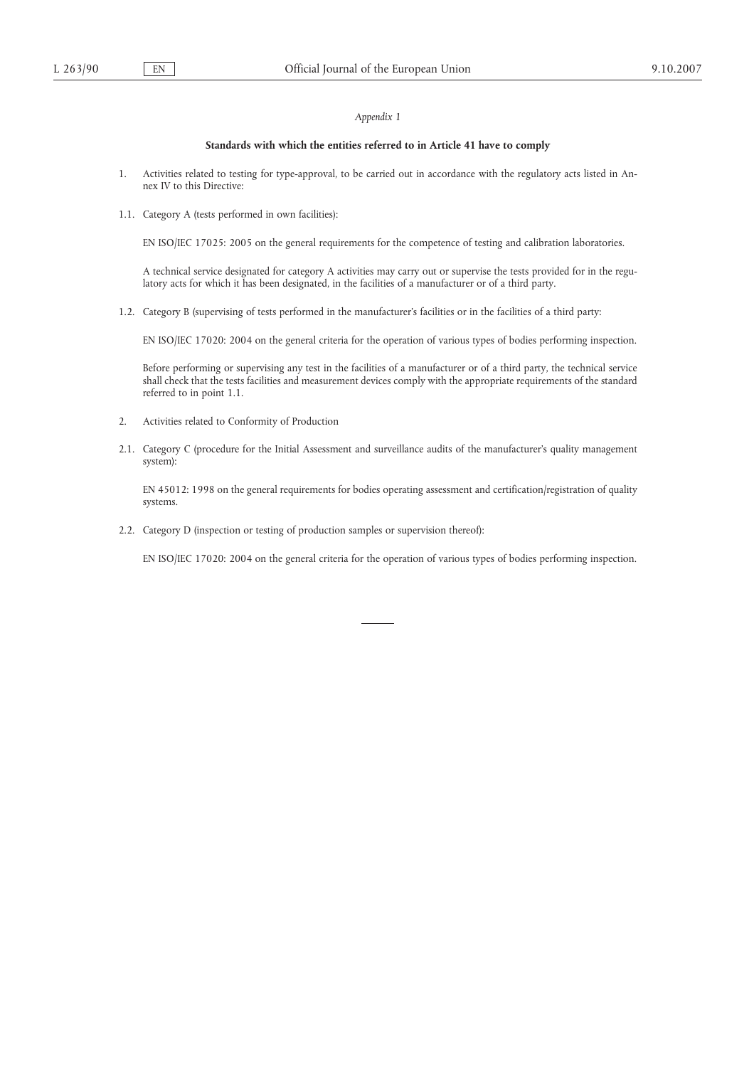# *Appendix 1*

# **Standards with which the entities referred to in Article 41 have to comply**

- 1. Activities related to testing for type-approval, to be carried out in accordance with the regulatory acts listed in Annex IV to this Directive:
- 1.1. Category A (tests performed in own facilities):

EN ISO/IEC 17025: 2005 on the general requirements for the competence of testing and calibration laboratories.

A technical service designated for category A activities may carry out or supervise the tests provided for in the regulatory acts for which it has been designated, in the facilities of a manufacturer or of a third party.

1.2. Category B (supervising of tests performed in the manufacturer's facilities or in the facilities of a third party:

EN ISO/IEC 17020: 2004 on the general criteria for the operation of various types of bodies performing inspection.

Before performing or supervising any test in the facilities of a manufacturer or of a third party, the technical service shall check that the tests facilities and measurement devices comply with the appropriate requirements of the standard referred to in point 1.1.

- 2. Activities related to Conformity of Production
- 2.1. Category C (procedure for the Initial Assessment and surveillance audits of the manufacturer's quality management system):

EN 45012: 1998 on the general requirements for bodies operating assessment and certification/registration of quality systems.

2.2. Category D (inspection or testing of production samples or supervision thereof):

EN ISO/IEC 17020: 2004 on the general criteria for the operation of various types of bodies performing inspection.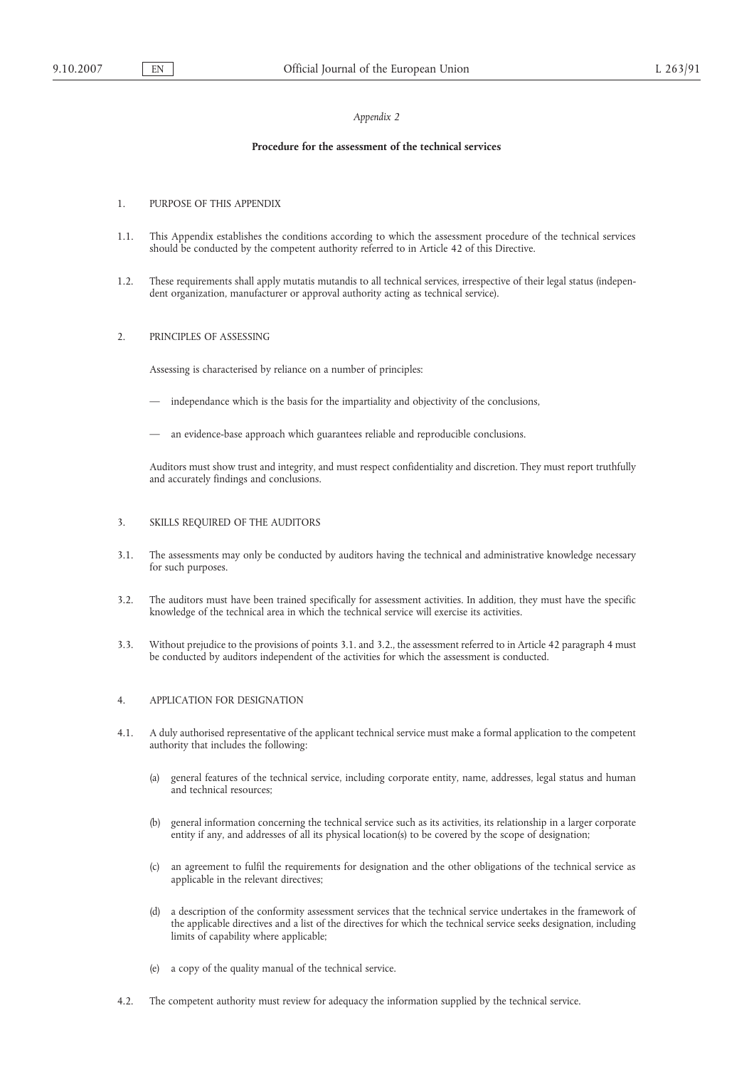#### *Appendix 2*

#### **Procedure for the assessment of the technical services**

- 1. PURPOSE OF THIS APPENDIX
- 1.1. This Appendix establishes the conditions according to which the assessment procedure of the technical services should be conducted by the competent authority referred to in Article 42 of this Directive.
- 1.2. These requirements shall apply mutatis mutandis to all technical services, irrespective of their legal status (independent organization, manufacturer or approval authority acting as technical service).
- 2. PRINCIPLES OF ASSESSING

Assessing is characterised by reliance on a number of principles:

- independance which is the basis for the impartiality and objectivity of the conclusions,
- an evidence-base approach which guarantees reliable and reproducible conclusions.

Auditors must show trust and integrity, and must respect confidentiality and discretion. They must report truthfully and accurately findings and conclusions.

#### 3. SKILLS REQUIRED OF THE AUDITORS

- 3.1. The assessments may only be conducted by auditors having the technical and administrative knowledge necessary for such purposes.
- 3.2. The auditors must have been trained specifically for assessment activities. In addition, they must have the specific knowledge of the technical area in which the technical service will exercise its activities.
- 3.3. Without prejudice to the provisions of points 3.1. and 3.2., the assessment referred to in Article 42 paragraph 4 must be conducted by auditors independent of the activities for which the assessment is conducted.

### 4. APPLICATION FOR DESIGNATION

- 4.1. A duly authorised representative of the applicant technical service must make a formal application to the competent authority that includes the following:
	- (a) general features of the technical service, including corporate entity, name, addresses, legal status and human and technical resources;
	- (b) general information concerning the technical service such as its activities, its relationship in a larger corporate entity if any, and addresses of all its physical location(s) to be covered by the scope of designation;
	- (c) an agreement to fulfil the requirements for designation and the other obligations of the technical service as applicable in the relevant directives;
	- (d) a description of the conformity assessment services that the technical service undertakes in the framework of the applicable directives and a list of the directives for which the technical service seeks designation, including limits of capability where applicable;
	- (e) a copy of the quality manual of the technical service.
- 4.2. The competent authority must review for adequacy the information supplied by the technical service.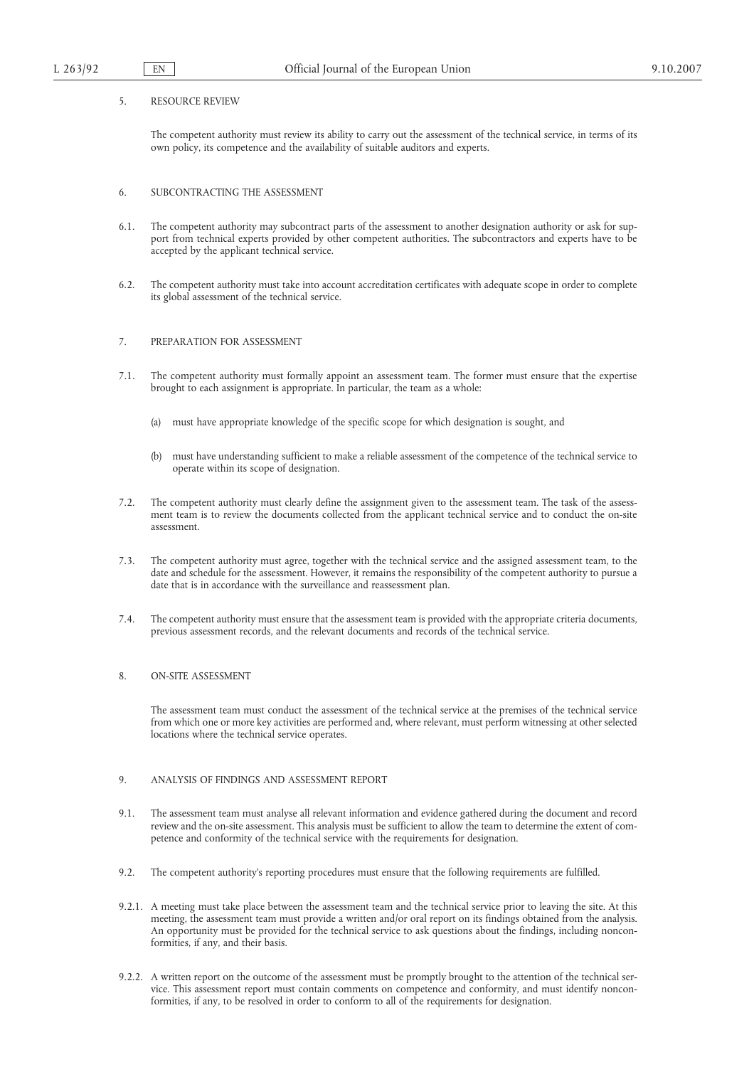#### 5. RESOURCE REVIEW

The competent authority must review its ability to carry out the assessment of the technical service, in terms of its own policy, its competence and the availability of suitable auditors and experts.

## 6. SUBCONTRACTING THE ASSESSMENT

- 6.1. The competent authority may subcontract parts of the assessment to another designation authority or ask for support from technical experts provided by other competent authorities. The subcontractors and experts have to be accepted by the applicant technical service.
- 6.2. The competent authority must take into account accreditation certificates with adequate scope in order to complete its global assessment of the technical service.

#### 7. PREPARATION FOR ASSESSMENT

- 7.1. The competent authority must formally appoint an assessment team. The former must ensure that the expertise brought to each assignment is appropriate. In particular, the team as a whole:
	- (a) must have appropriate knowledge of the specific scope for which designation is sought, and
	- (b) must have understanding sufficient to make a reliable assessment of the competence of the technical service to operate within its scope of designation.
- 7.2. The competent authority must clearly define the assignment given to the assessment team. The task of the assessment team is to review the documents collected from the applicant technical service and to conduct the on-site assessment.
- 7.3. The competent authority must agree, together with the technical service and the assigned assessment team, to the date and schedule for the assessment. However, it remains the responsibility of the competent authority to pursue a date that is in accordance with the surveillance and reassessment plan.
- 7.4. The competent authority must ensure that the assessment team is provided with the appropriate criteria documents, previous assessment records, and the relevant documents and records of the technical service.

## 8. ON-SITE ASSESSMENT

The assessment team must conduct the assessment of the technical service at the premises of the technical service from which one or more key activities are performed and, where relevant, must perform witnessing at other selected locations where the technical service operates.

#### 9. ANALYSIS OF FINDINGS AND ASSESSMENT REPORT

- 9.1. The assessment team must analyse all relevant information and evidence gathered during the document and record review and the on-site assessment. This analysis must be sufficient to allow the team to determine the extent of competence and conformity of the technical service with the requirements for designation.
- 9.2. The competent authority's reporting procedures must ensure that the following requirements are fulfilled.
- 9.2.1. A meeting must take place between the assessment team and the technical service prior to leaving the site. At this meeting, the assessment team must provide a written and/or oral report on its findings obtained from the analysis. An opportunity must be provided for the technical service to ask questions about the findings, including nonconformities, if any, and their basis.
- 9.2.2. A written report on the outcome of the assessment must be promptly brought to the attention of the technical service. This assessment report must contain comments on competence and conformity, and must identify nonconformities, if any, to be resolved in order to conform to all of the requirements for designation.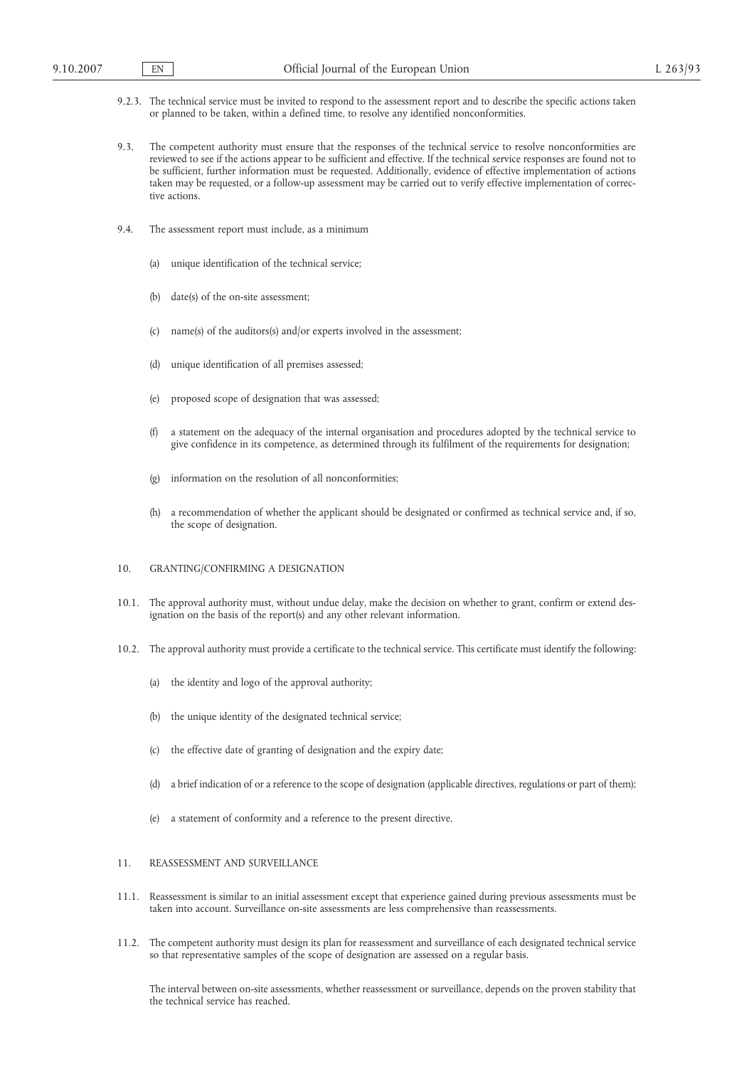- 9.2.3. The technical service must be invited to respond to the assessment report and to describe the specific actions taken or planned to be taken, within a defined time, to resolve any identified nonconformities.
- 9.3. The competent authority must ensure that the responses of the technical service to resolve nonconformities are reviewed to see if the actions appear to be sufficient and effective. If the technical service responses are found not to be sufficient, further information must be requested. Additionally, evidence of effective implementation of actions taken may be requested, or a follow-up assessment may be carried out to verify effective implementation of corrective actions.
- 9.4. The assessment report must include, as a minimum
	- (a) unique identification of the technical service;
	- (b) date(s) of the on-site assessment;
	- (c) name(s) of the auditors(s) and/or experts involved in the assessment;
	- (d) unique identification of all premises assessed;
	- (e) proposed scope of designation that was assessed;
	- (f) a statement on the adequacy of the internal organisation and procedures adopted by the technical service to give confidence in its competence, as determined through its fulfilment of the requirements for designation;
	- (g) information on the resolution of all nonconformities;
	- (h) a recommendation of whether the applicant should be designated or confirmed as technical service and, if so, the scope of designation.

#### 10. GRANTING/CONFIRMING A DESIGNATION

- 10.1. The approval authority must, without undue delay, make the decision on whether to grant, confirm or extend designation on the basis of the report(s) and any other relevant information.
- 10.2. The approval authority must provide a certificate to the technical service. This certificate must identify the following:
	- (a) the identity and logo of the approval authority;
	- (b) the unique identity of the designated technical service;
	- (c) the effective date of granting of designation and the expiry date;
	- (d) a brief indication of or a reference to the scope of designation (applicable directives, regulations or part of them);
	- (e) a statement of conformity and a reference to the present directive.

#### 11. REASSESSMENT AND SURVEILLANCE

- 11.1. Reassessment is similar to an initial assessment except that experience gained during previous assessments must be taken into account. Surveillance on-site assessments are less comprehensive than reassessments.
- 11.2. The competent authority must design its plan for reassessment and surveillance of each designated technical service so that representative samples of the scope of designation are assessed on a regular basis.

The interval between on-site assessments, whether reassessment or surveillance, depends on the proven stability that the technical service has reached.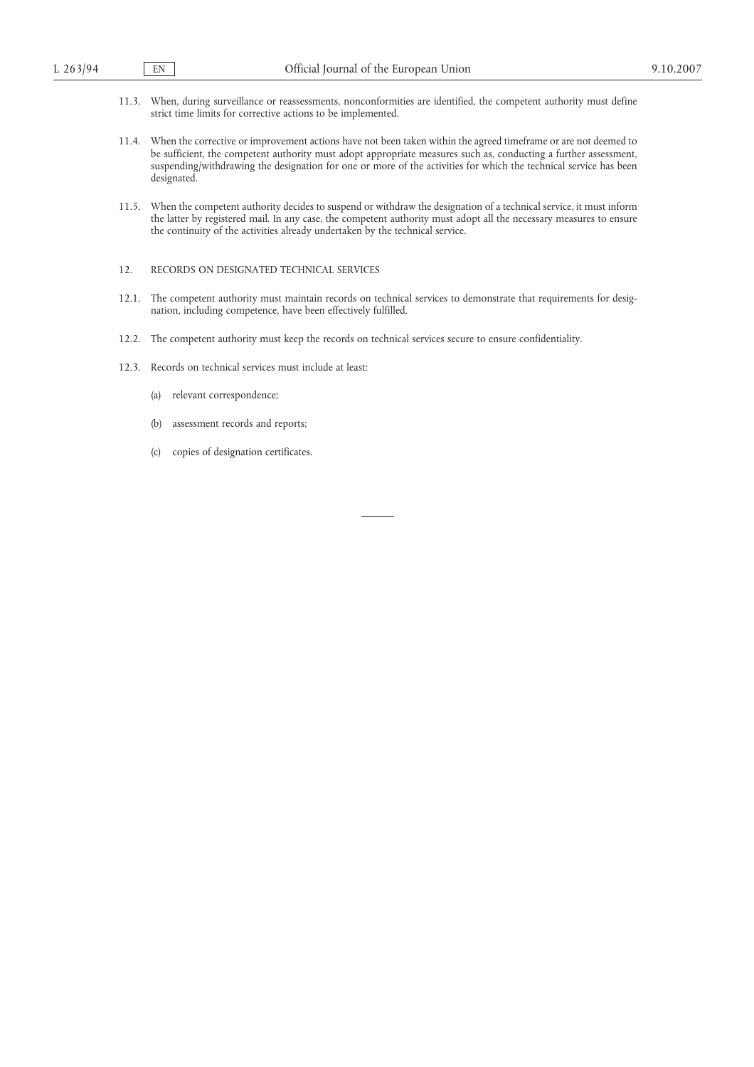- 11.3. When, during surveillance or reassessments, nonconformities are identified, the competent authority must define strict time limits for corrective actions to be implemented.
- 11.4. When the corrective or improvement actions have not been taken within the agreed timeframe or are not deemed to be sufficient, the competent authority must adopt appropriate measures such as, conducting a further assessment, suspending/withdrawing the designation for one or more of the activities for which the technical service has been designated.
- 11.5. When the competent authority decides to suspend or withdraw the designation of a technical service, it must inform the latter by registered mail. In any case, the competent authority must adopt all the necessary measures to ensure the continuity of the activities already undertaken by the technical service.
- 12. RECORDS ON DESIGNATED TECHNICAL SERVICES
- 12.1. The competent authority must maintain records on technical services to demonstrate that requirements for designation, including competence, have been effectively fulfilled.
- 12.2. The competent authority must keep the records on technical services secure to ensure confidentiality.
- 12.3. Records on technical services must include at least:
	- (a) relevant correspondence;
	- (b) assessment records and reports;
	- (c) copies of designation certificates.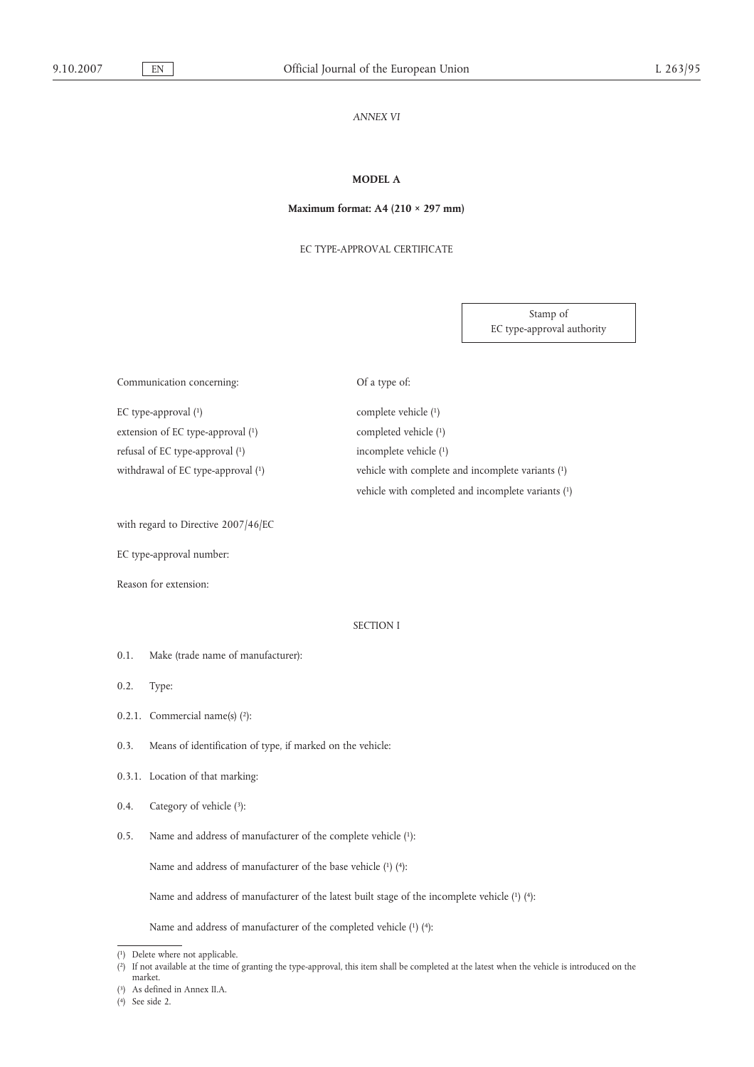#### *ANNEX VI*

# **MODEL A**

# **Maximum format: A4 (210 × 297 mm)**

EC TYPE-APPROVAL CERTIFICATE

Stamp of EC type-approval authority

| Communication concerning:           | Of a type of:                                      |
|-------------------------------------|----------------------------------------------------|
| EC type-approval $(1)$              | complete vehicle (1)                               |
| extension of EC type-approval $(1)$ | completed vehicle (1)                              |
| refusal of EC type-approval $(1)$   | incomplete vehicle (1)                             |
| withdrawal of EC type-approval (1)  | vehicle with complete and incomplete variants (1)  |
|                                     | vehicle with completed and incomplete variants (1) |

with regard to Directive 2007/46/EC

EC type-approval number:

Reason for extension:

#### SECTION I

0.1. Make (trade name of manufacturer):

0.2. Type:

- 0.2.1. Commercial name(s)  $(2)$ :
- 0.3. Means of identification of type, if marked on the vehicle:
- 0.3.1. Location of that marking:
- 0.4. Category of vehicle (3):
- 0.5. Name and address of manufacturer of the complete vehicle (1):

Name and address of manufacturer of the base vehicle (1) (4):

Name and address of manufacturer of the latest built stage of the incomplete vehicle (1) (4):

Name and address of manufacturer of the completed vehicle (1) (4):

<sup>(</sup> 1) Delete where not applicable.

<sup>(</sup> 2) If not available at the time of granting the type-approval, this item shall be completed at the latest when the vehicle is introduced on the market.

<sup>(</sup> 3) As defined in Annex II.A.

<sup>(</sup> 4) See side 2.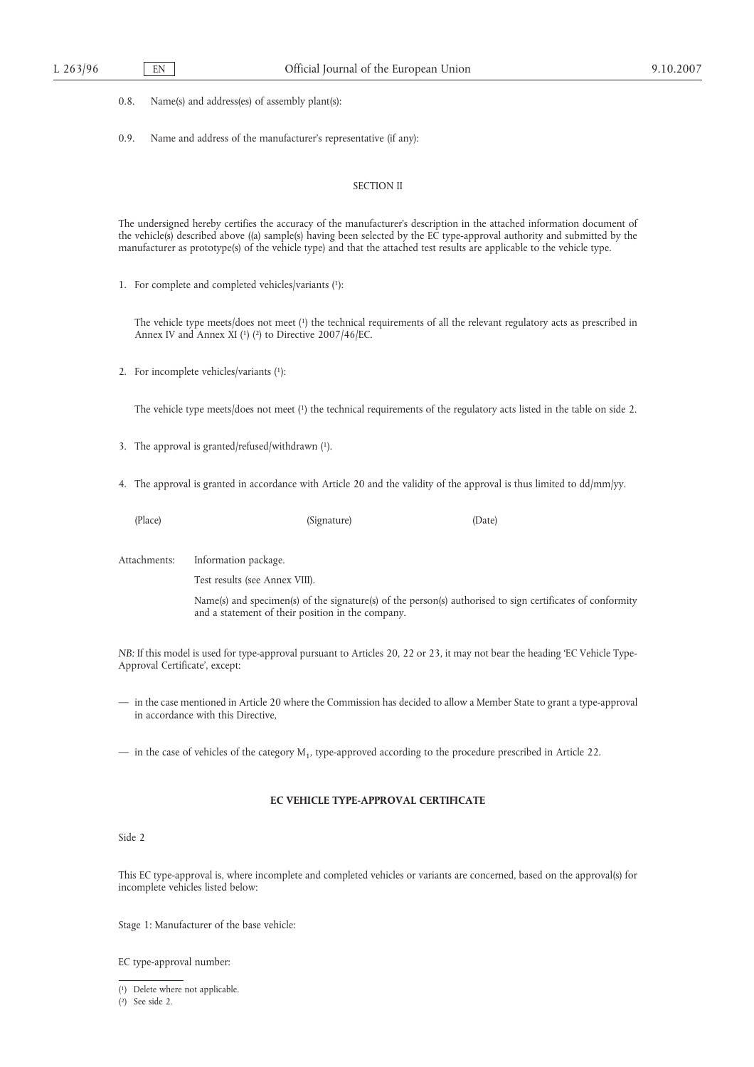0.8. Name(s) and address(es) of assembly plant(s):

0.9. Name and address of the manufacturer's representative (if any):

# SECTION II

The undersigned hereby certifies the accuracy of the manufacturer's description in the attached information document of the vehicle(s) described above ((a) sample(s) having been selected by the EC type-approval authority and submitted by the manufacturer as prototype(s) of the vehicle type) and that the attached test results are applicable to the vehicle type.

1. For complete and completed vehicles/variants (1):

The vehicle type meets/does not meet (1) the technical requirements of all the relevant regulatory acts as prescribed in Annex IV and Annex XI (1) (2) to Directive 2007/46/EC.

2. For incomplete vehicles/variants (1):

The vehicle type meets/does not meet (1) the technical requirements of the regulatory acts listed in the table on side 2.

- 3. The approval is granted/refused/withdrawn (1).
- 4. The approval is granted in accordance with Article 20 and the validity of the approval is thus limited to dd/mm/yy.
	-

(Place) (Signature) (Date)

Attachments: Information package.

Test results (see Annex VIII).

Name(s) and specimen(s) of the signature(s) of the person(s) authorised to sign certificates of conformity and a statement of their position in the company.

*NB:* If this model is used for type-approval pursuant to Articles 20, 22 or 23, it may not bear the heading 'EC Vehicle Type-Approval Certificate', except:

— in the case mentioned in Article 20 where the Commission has decided to allow a Member State to grant a type-approval in accordance with this Directive,

— in the case of vehicles of the category  $M_1$ , type-approved according to the procedure prescribed in Article 22.

# **EC VEHICLE TYPE-APPROVAL CERTIFICATE**

#### Side 2

This EC type-approval is, where incomplete and completed vehicles or variants are concerned, based on the approval(s) for incomplete vehicles listed below:

Stage 1: Manufacturer of the base vehicle:

EC type-approval number:

<sup>(</sup> 1) Delete where not applicable.

<sup>(</sup> 2) See side 2.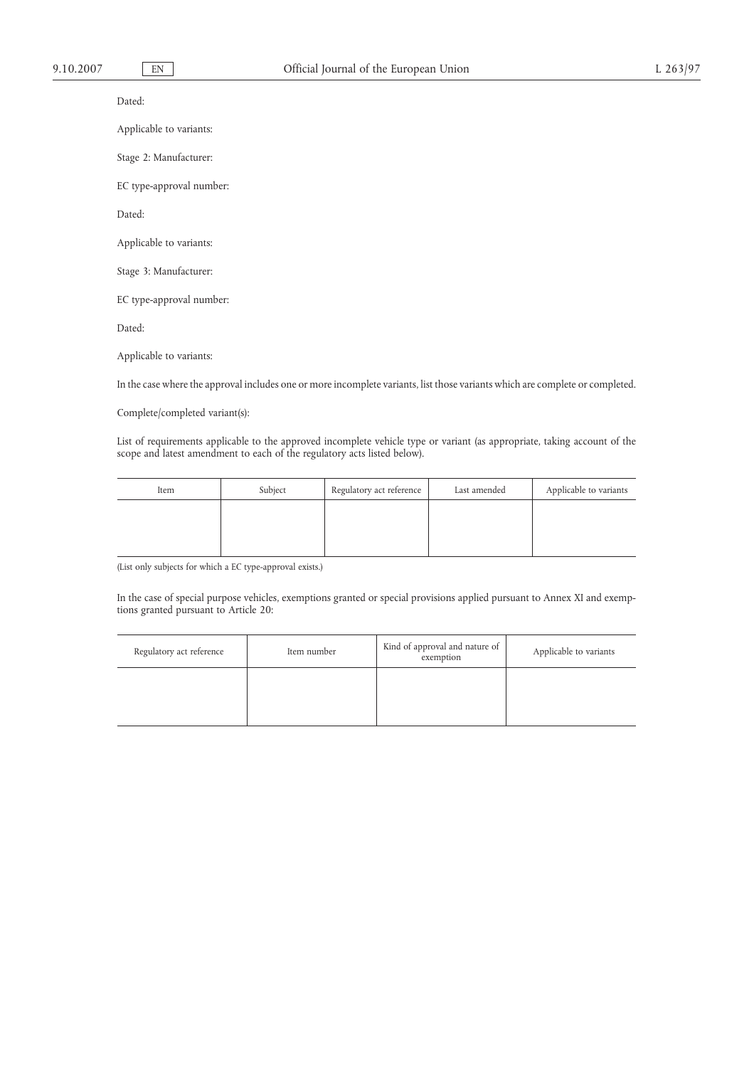Dated:

Applicable to variants:

Stage 2: Manufacturer:

EC type-approval number:

Dated:

Applicable to variants:

Stage 3: Manufacturer:

EC type-approval number:

Dated:

Applicable to variants:

In the case where the approval includes one or more incomplete variants, list those variants which are complete or completed.

Complete/completed variant(s):

List of requirements applicable to the approved incomplete vehicle type or variant (as appropriate, taking account of the scope and latest amendment to each of the regulatory acts listed below).

| Item | Subject | Regulatory act reference | Last amended | Applicable to variants |
|------|---------|--------------------------|--------------|------------------------|
|      |         |                          |              |                        |
|      |         |                          |              |                        |
|      |         |                          |              |                        |

(List only subjects for which a EC type-approval exists.)

In the case of special purpose vehicles, exemptions granted or special provisions applied pursuant to Annex XI and exemptions granted pursuant to Article 20:

| Regulatory act reference | Item number | Kind of approval and nature of<br>exemption | Applicable to variants |
|--------------------------|-------------|---------------------------------------------|------------------------|
|                          |             |                                             |                        |
|                          |             |                                             |                        |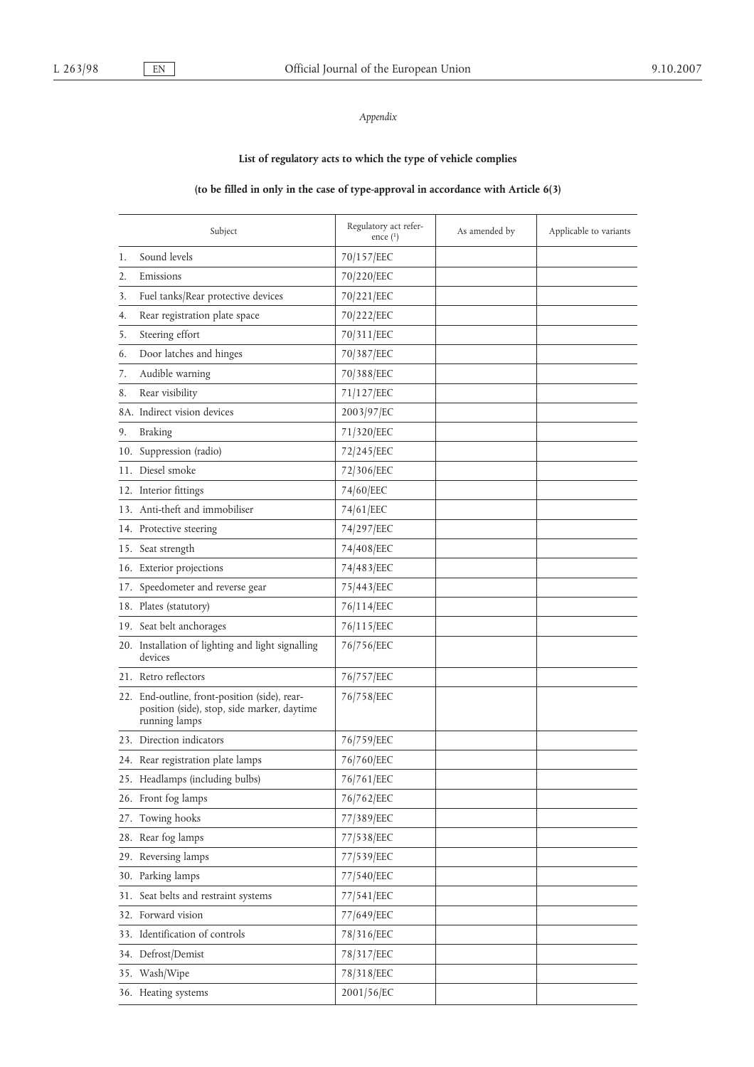# *Appendix*

# **List of regulatory acts to which the type of vehicle complies**

# **(to be filled in only in the case of type-approval in accordance with Article 6(3)**

|    | Subject                                                                                                       | Regulatory act refer-<br>ence $(1)$ | As amended by | Applicable to variants |
|----|---------------------------------------------------------------------------------------------------------------|-------------------------------------|---------------|------------------------|
| 1. | Sound levels                                                                                                  | 70/157/EEC                          |               |                        |
| 2. | Emissions                                                                                                     | 70/220/EEC                          |               |                        |
| 3. | Fuel tanks/Rear protective devices                                                                            | 70/221/EEC                          |               |                        |
| 4. | Rear registration plate space                                                                                 | 70/222/EEC                          |               |                        |
| 5. | Steering effort                                                                                               | 70/311/EEC                          |               |                        |
| 6. | Door latches and hinges                                                                                       | 70/387/EEC                          |               |                        |
| 7. | Audible warning                                                                                               | 70/388/EEC                          |               |                        |
| 8. | Rear visibility                                                                                               | 71/127/EEC                          |               |                        |
|    | 8A. Indirect vision devices                                                                                   | 2003/97/EC                          |               |                        |
| 9. | <b>Braking</b>                                                                                                | 71/320/EEC                          |               |                        |
|    | 10. Suppression (radio)                                                                                       | 72/245/EEC                          |               |                        |
|    | 11. Diesel smoke                                                                                              | 72/306/EEC                          |               |                        |
|    | 12. Interior fittings                                                                                         | 74/60/EEC                           |               |                        |
|    | 13. Anti-theft and immobiliser                                                                                | 74/61/EEC                           |               |                        |
|    | 14. Protective steering                                                                                       | 74/297/EEC                          |               |                        |
|    | 15. Seat strength                                                                                             | 74/408/EEC                          |               |                        |
|    | 16. Exterior projections                                                                                      | 74/483/EEC                          |               |                        |
|    | 17. Speedometer and reverse gear                                                                              | 75/443/EEC                          |               |                        |
|    | 18. Plates (statutory)                                                                                        | 76/114/EEC                          |               |                        |
|    | 19. Seat belt anchorages                                                                                      | 76/115/EEC                          |               |                        |
|    | 20. Installation of lighting and light signalling<br>devices                                                  | 76/756/EEC                          |               |                        |
|    | 21. Retro reflectors                                                                                          | 76/757/EEC                          |               |                        |
|    | 22. End-outline, front-position (side), rear-<br>position (side), stop, side marker, daytime<br>running lamps | 76/758/EEC                          |               |                        |
|    | 23. Direction indicators                                                                                      | 76/759/EEC                          |               |                        |
|    | 24. Rear registration plate lamps                                                                             | 76/760/EEC                          |               |                        |
|    | 25. Headlamps (including bulbs)                                                                               | 76/761/EEC                          |               |                        |
|    | 26. Front fog lamps                                                                                           | 76/762/EEC                          |               |                        |
|    | 27. Towing hooks                                                                                              | 77/389/EEC                          |               |                        |
|    | 28. Rear fog lamps                                                                                            | 77/538/EEC                          |               |                        |
|    | 29. Reversing lamps                                                                                           | 77/539/EEC                          |               |                        |
|    | 30. Parking lamps                                                                                             | 77/540/EEC                          |               |                        |
|    | 31. Seat belts and restraint systems                                                                          | 77/541/EEC                          |               |                        |
|    | 32. Forward vision                                                                                            | 77/649/EEC                          |               |                        |
|    | 33. Identification of controls                                                                                | 78/316/EEC                          |               |                        |
|    | 34. Defrost/Demist                                                                                            | 78/317/EEC                          |               |                        |
|    | 35. Wash/Wipe                                                                                                 | 78/318/EEC                          |               |                        |
|    | 36. Heating systems                                                                                           | 2001/56/EC                          |               |                        |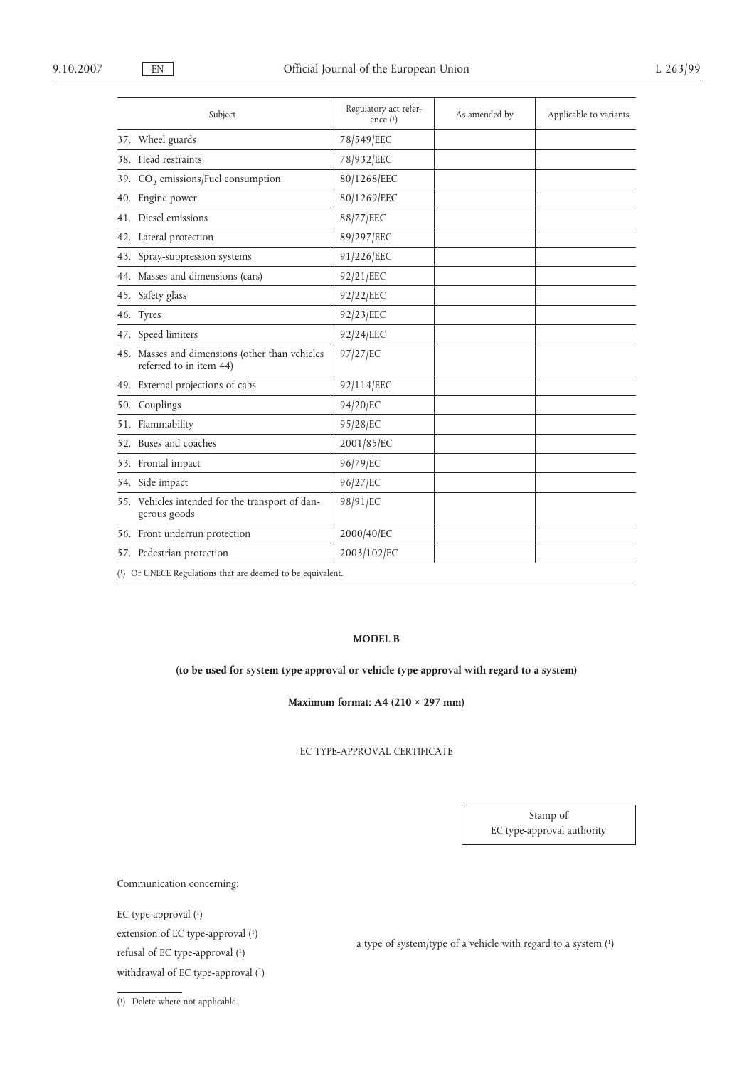| Subject                                                                   | Regulatory act refer-<br>ence $(1)$ | As amended by | Applicable to variants |
|---------------------------------------------------------------------------|-------------------------------------|---------------|------------------------|
| 37. Wheel guards                                                          | 78/549/EEC                          |               |                        |
| 38. Head restraints                                                       | 78/932/EEC                          |               |                        |
| 39. CO <sub>2</sub> emissions/Fuel consumption                            | 80/1268/EEC                         |               |                        |
| 40. Engine power                                                          | 80/1269/EEC                         |               |                        |
| 41. Diesel emissions                                                      | 88/77/EEC                           |               |                        |
| 42. Lateral protection                                                    | 89/297/EEC                          |               |                        |
| 43. Spray-suppression systems                                             | 91/226/EEC                          |               |                        |
| 44. Masses and dimensions (cars)                                          | 92/21/EEC                           |               |                        |
| 45. Safety glass                                                          | 92/22/EEC                           |               |                        |
| 46. Tyres                                                                 | 92/23/EEC                           |               |                        |
| 47. Speed limiters                                                        | 92/24/EEC                           |               |                        |
| 48. Masses and dimensions (other than vehicles<br>referred to in item 44) | 97/27/EC                            |               |                        |
| 49. External projections of cabs                                          | 92/114/EEC                          |               |                        |
| 50. Couplings                                                             | 94/20/EC                            |               |                        |
| 51. Flammability                                                          | 95/28/EC                            |               |                        |
| 52. Buses and coaches                                                     | 2001/85/EC                          |               |                        |
| 53. Frontal impact                                                        | 96/79/EC                            |               |                        |
| 54. Side impact                                                           | 96/27/EC                            |               |                        |
| 55. Vehicles intended for the transport of dan-<br>gerous goods           | 98/91/EC                            |               |                        |
| 56. Front underrun protection                                             | 2000/40/EC                          |               |                        |
| 57. Pedestrian protection                                                 | 2003/102/EC                         |               |                        |
| (1) Or UNECE Regulations that are deemed to be equivalent.                |                                     |               |                        |

# **MODEL B**

# **(to be used for system type-approval or vehicle type-approval with regard to a system)**

**Maximum format: A4 (210 × 297 mm)**

# EC TYPE-APPROVAL CERTIFICATE

Stamp of EC type-approval authority

Communication concerning:

EC type-approval (1) extension of EC type-approval (1)<br>a type of system/type of a vehicle with regard to a system (1) refusal of EC type-approval (1) withdrawal of EC type-approval (1)

( 1) Delete where not applicable.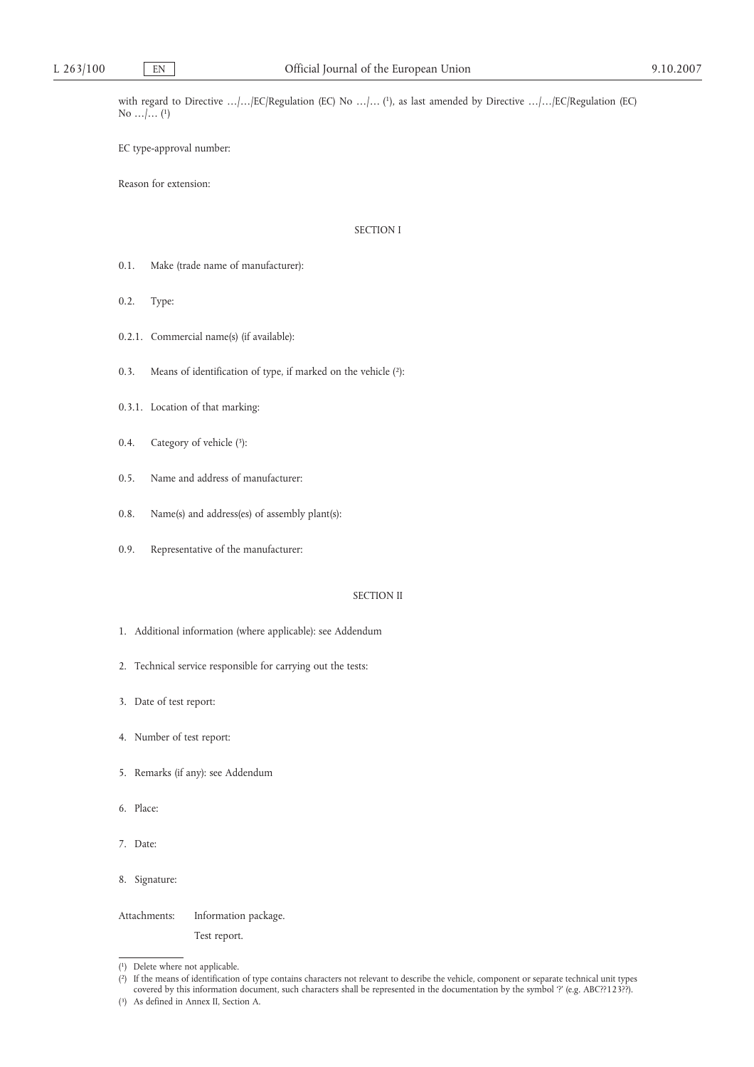with regard to Directive …/…/EC/Regulation (EC) No …/… (1), as last amended by Directive …/…/EC/Regulation (EC) No  $...$ ,  $(1)$ 

EC type-approval number:

Reason for extension:

# SECTION I

- 0.1. Make (trade name of manufacturer):
- 0.2. Type:
- 0.2.1. Commercial name(s) (if available):
- 0.3. Means of identification of type, if marked on the vehicle (2):
- 0.3.1. Location of that marking:
- 0.4. Category of vehicle (3):
- 0.5. Name and address of manufacturer:
- 0.8. Name(s) and address(es) of assembly plant(s):
- 0.9. Representative of the manufacturer:

# SECTION II

- 1. Additional information (where applicable): see Addendum
- 2. Technical service responsible for carrying out the tests:
- 3. Date of test report:
- 4. Number of test report:
- 5. Remarks (if any): see Addendum
- 6. Place:
- 7. Date:
- 8. Signature:

Attachments: Information package.

Test report.

<sup>(</sup> 1) Delete where not applicable.

<sup>(</sup> 2) If the means of identification of type contains characters not relevant to describe the vehicle, component or separate technical unit types covered by this information document, such characters shall be represented in the documentation by the symbol '?' (e.g. ABC??123??).

 $(3)$ As defined in Annex II, Section A.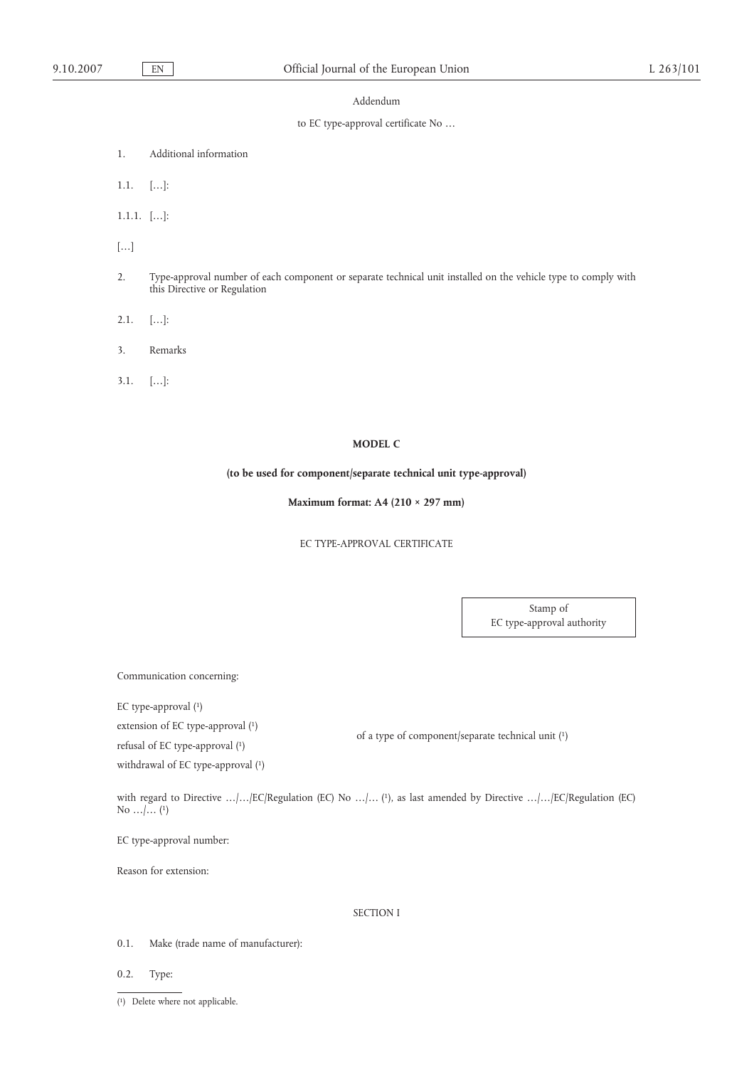#### Addendum

# to EC type-approval certificate No …

- 1. Additional information
- 1.1. […]:
- 1.1.1. […]:
- […]
- 2. Type-approval number of each component or separate technical unit installed on the vehicle type to comply with this Directive or Regulation
- $2.1.$  [...]:
- 3. Remarks
- 3.1. […]:

# **MODEL C**

# **(to be used for component/separate technical unit type-approval)**

**Maximum format: A4 (210 × 297 mm)**

#### EC TYPE-APPROVAL CERTIFICATE

Stamp of EC type-approval authority

Communication concerning:

EC type-approval (1)

withdrawal of EC type-approval (1)

refusal of EC type-approval (1)

extension of EC type-approval (1) of a type of component/separate technical unit (1)

with regard to Directive .../.../EC/Regulation (EC) No .../... (1), as last amended by Directive .../.../EC/Regulation (EC) No …/… (1)

EC type-approval number:

Reason for extension:

# SECTION I

- 0.1. Make (trade name of manufacturer):
- 0.2. Type:

<sup>(</sup> 1) Delete where not applicable.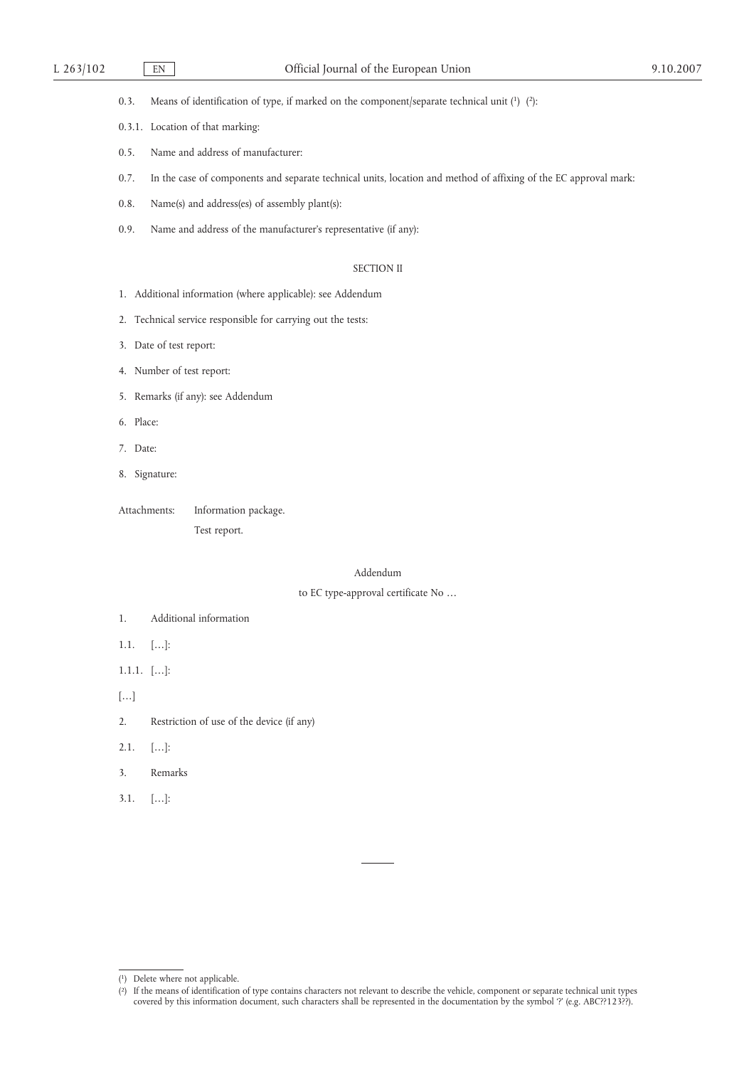0.3. Means of identification of type, if marked on the component/separate technical unit (1) (2):

- 0.3.1. Location of that marking:
- 0.5. Name and address of manufacturer:
- 0.7. In the case of components and separate technical units, location and method of affixing of the EC approval mark:
- 0.8. Name(s) and address(es) of assembly plant(s):
- 0.9. Name and address of the manufacturer's representative (if any):

# SECTION II

- 1. Additional information (where applicable): see Addendum
- 2. Technical service responsible for carrying out the tests:
- 3. Date of test report:
- 4. Number of test report:
- 5. Remarks (if any): see Addendum
- 6. Place:
- 7. Date:
- 8. Signature:
- Attachments: Information package.

Test report.

#### Addendum

### to EC type-approval certificate No …

- 1. Additional information
- 1.1. […]:
- 1.1.1. […]:
- […]
- 2. Restriction of use of the device (if any)
- $2.1.$  [...]:
- 3. Remarks
- 3.1. […]:

<sup>(</sup> 1) Delete where not applicable.

<sup>(</sup> 2) If the means of identification of type contains characters not relevant to describe the vehicle, component or separate technical unit types covered by this information document, such characters shall be represented in the documentation by the symbol '?' (e.g. ABC??123??).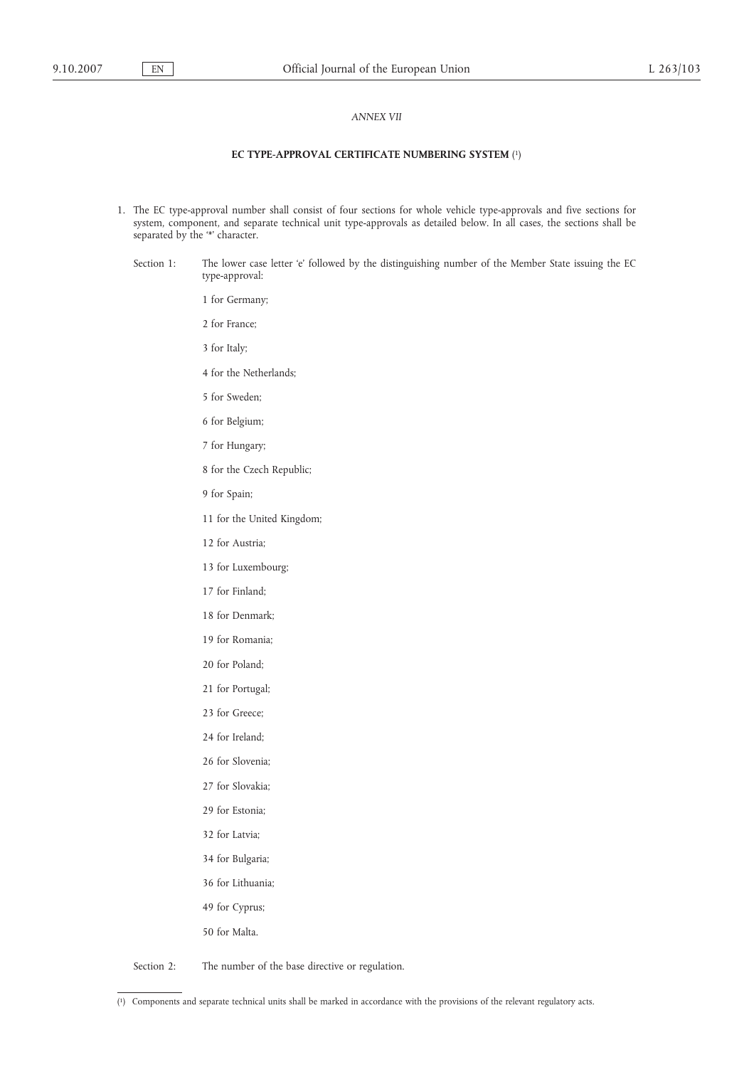#### *ANNEX VII*

#### **EC TYPE-APPROVAL CERTIFICATE NUMBERING SYSTEM** ( 1)

- 1. The EC type-approval number shall consist of four sections for whole vehicle type-approvals and five sections for system, component, and separate technical unit type-approvals as detailed below. In all cases, the sections shall be separated by the '\*' character.
	- Section 1: The lower case letter 'e' followed by the distinguishing number of the Member State issuing the EC type-approval:
		- 1 for Germany;
		- 2 for France;
		- 3 for Italy;
		- 4 for the Netherlands;
		- 5 for Sweden;
		- 6 for Belgium;
		- 7 for Hungary;
		- 8 for the Czech Republic;
		- 9 for Spain;
		- 11 for the United Kingdom;
		- 12 for Austria;
		- 13 for Luxembourg;
		- 17 for Finland;
		- 18 for Denmark;
		- 19 for Romania;
		- 20 for Poland;
		- 21 for Portugal;
		- 23 for Greece;
		- 24 for Ireland;
		- 26 for Slovenia;
		- 27 for Slovakia;
		- 29 for Estonia;
		- 32 for Latvia;
		- 34 for Bulgaria;
		- 36 for Lithuania;
		- 49 for Cyprus;
		- 50 for Malta.

Section 2: The number of the base directive or regulation.

<sup>(</sup> 1) Components and separate technical units shall be marked in accordance with the provisions of the relevant regulatory acts.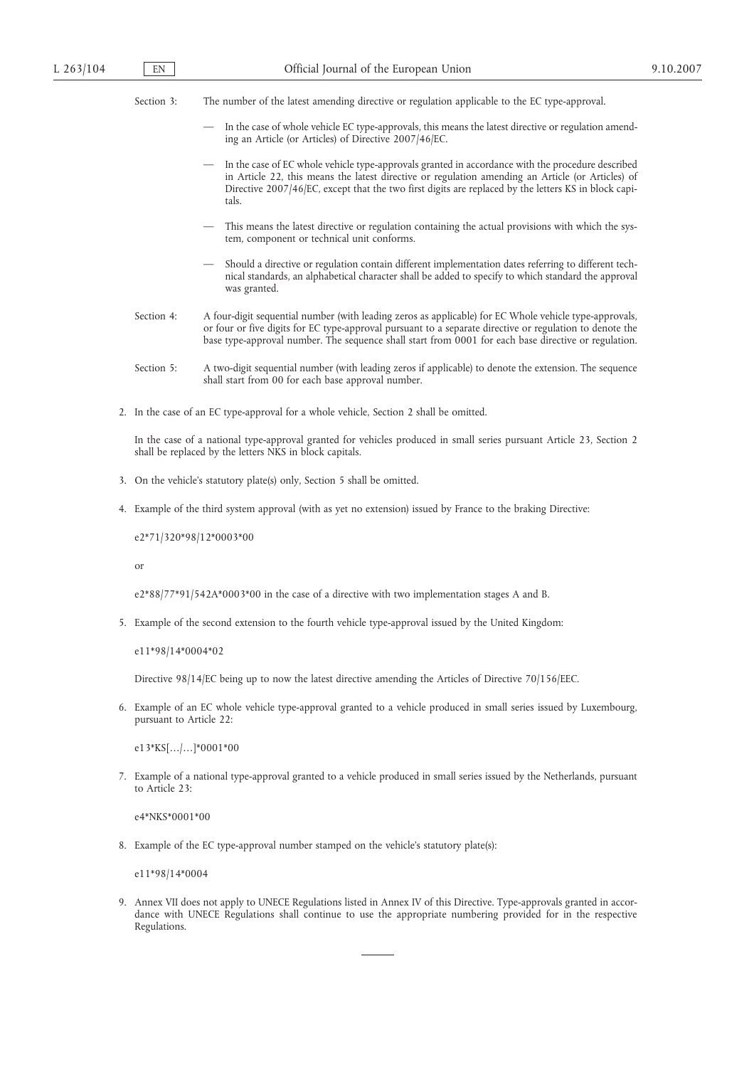Section 3: The number of the latest amending directive or regulation applicable to the EC type-approval.

- In the case of whole vehicle EC type-approvals, this means the latest directive or regulation amending an Article (or Articles) of Directive 2007/46/EC.
- In the case of EC whole vehicle type-approvals granted in accordance with the procedure described in Article 22, this means the latest directive or regulation amending an Article (or Articles) of Directive 2007/46/EC, except that the two first digits are replaced by the letters KS in block capitals.
- This means the latest directive or regulation containing the actual provisions with which the system, component or technical unit conforms.
- Should a directive or regulation contain different implementation dates referring to different technical standards, an alphabetical character shall be added to specify to which standard the approval was granted.
- Section 4: A four-digit sequential number (with leading zeros as applicable) for EC Whole vehicle type-approvals, or four or five digits for EC type-approval pursuant to a separate directive or regulation to denote the base type-approval number. The sequence shall start from 0001 for each base directive or regulation.
- Section 5: A two-digit sequential number (with leading zeros if applicable) to denote the extension. The sequence shall start from 00 for each base approval number.
- 2. In the case of an EC type-approval for a whole vehicle, Section 2 shall be omitted.

In the case of a national type-approval granted for vehicles produced in small series pursuant Article 23, Section 2 shall be replaced by the letters NKS in block capitals.

- 3. On the vehicle's statutory plate(s) only, Section 5 shall be omitted.
- 4. Example of the third system approval (with as yet no extension) issued by France to the braking Directive:

e2\*71/320\*98/12\*0003\*00

or

e2\*88/77\*91/542A\*0003\*00 in the case of a directive with two implementation stages A and B.

5. Example of the second extension to the fourth vehicle type-approval issued by the United Kingdom:

e11\*98/14\*0004\*02

Directive 98/14/EC being up to now the latest directive amending the Articles of Directive 70/156/EEC.

6. Example of an EC whole vehicle type-approval granted to a vehicle produced in small series issued by Luxembourg, pursuant to Article 22:

e13\*KS[…/…]\*0001\*00

7. Example of a national type-approval granted to a vehicle produced in small series issued by the Netherlands, pursuant to Article 23:

e4\*NKS\*0001\*00

8. Example of the EC type-approval number stamped on the vehicle's statutory plate(s):

e11\*98/14\*0004

9. Annex VII does not apply to UNECE Regulations listed in Annex IV of this Directive. Type-approvals granted in accordance with UNECE Regulations shall continue to use the appropriate numbering provided for in the respective Regulations.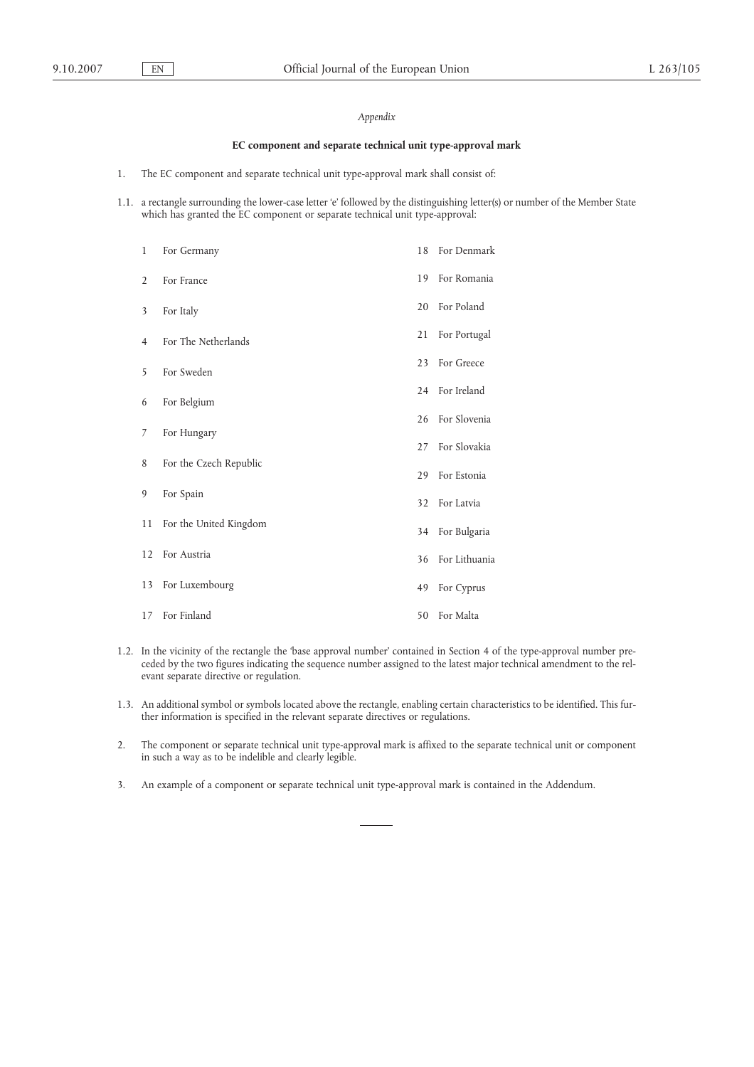# *Appendix*

# **EC component and separate technical unit type-approval mark**

- 1. The EC component and separate technical unit type-approval mark shall consist of:
- 1.1. a rectangle surrounding the lower-case letter 'e' followed by the distinguishing letter(s) or number of the Member State which has granted the EC component or separate technical unit type-approval:

| $\mathbf{1}$   | For Germany            | 18 | For Denmark   |
|----------------|------------------------|----|---------------|
| $\overline{2}$ | For France             | 19 | For Romania   |
| 3              | For Italy              | 20 | For Poland    |
| 4              | For The Netherlands    | 21 | For Portugal  |
| 5              | For Sweden             | 23 | For Greece    |
| 6              | For Belgium            | 24 | For Ireland   |
|                |                        | 26 | For Slovenia  |
| 7              | For Hungary            | 27 | For Slovakia  |
| 8              | For the Czech Republic | 29 | For Estonia   |
| 9              | For Spain              | 32 | For Latvia    |
| 11             | For the United Kingdom | 34 | For Bulgaria  |
| 12             | For Austria            | 36 | For Lithuania |
| 13             | For Luxembourg         | 49 | For Cyprus    |
|                | 17 For Finland         | 50 | For Malta     |

- 1.2. In the vicinity of the rectangle the 'base approval number' contained in Section 4 of the type-approval number preceded by the two figures indicating the sequence number assigned to the latest major technical amendment to the relevant separate directive or regulation.
- 1.3. An additional symbol or symbols located above the rectangle, enabling certain characteristics to be identified. This further information is specified in the relevant separate directives or regulations.
- 2. The component or separate technical unit type-approval mark is affixed to the separate technical unit or component in such a way as to be indelible and clearly legible.
- 3. An example of a component or separate technical unit type-approval mark is contained in the Addendum.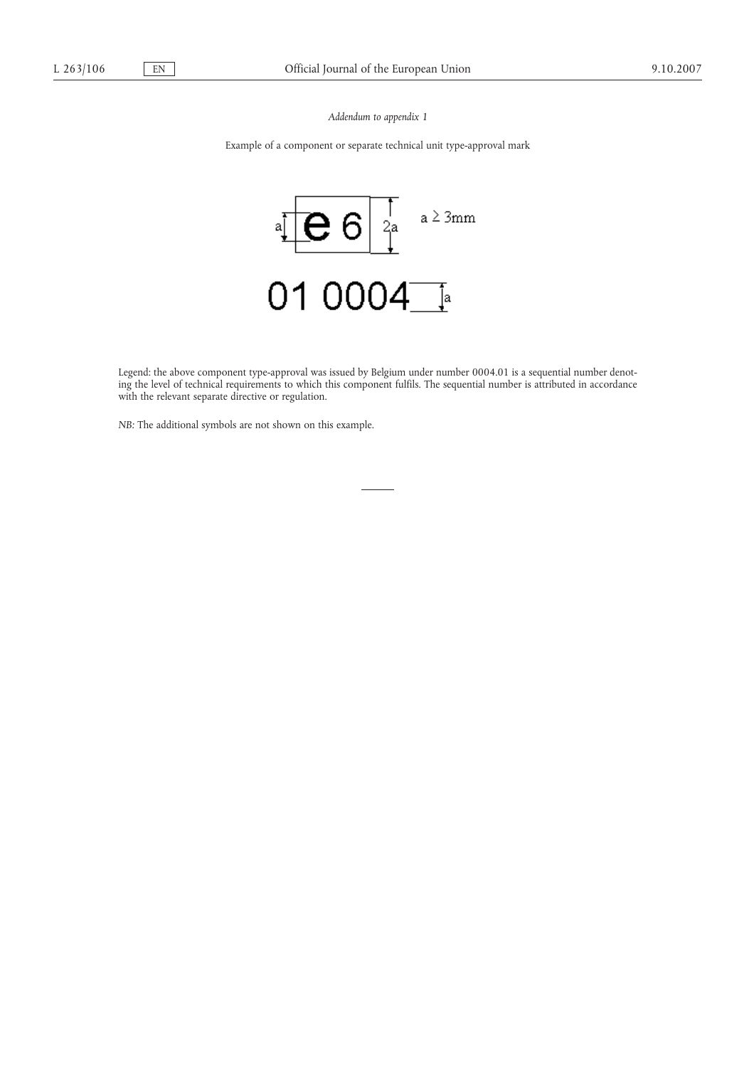*Addendum to appendix 1*

Example of a component or separate technical unit type-approval mark



Legend: the above component type-approval was issued by Belgium under number 0004.01 is a sequential number denoting the level of technical requirements to which this component fulfils. The sequential number is attributed in accordance with the relevant separate directive or regulation.

*NB:* The additional symbols are not shown on this example.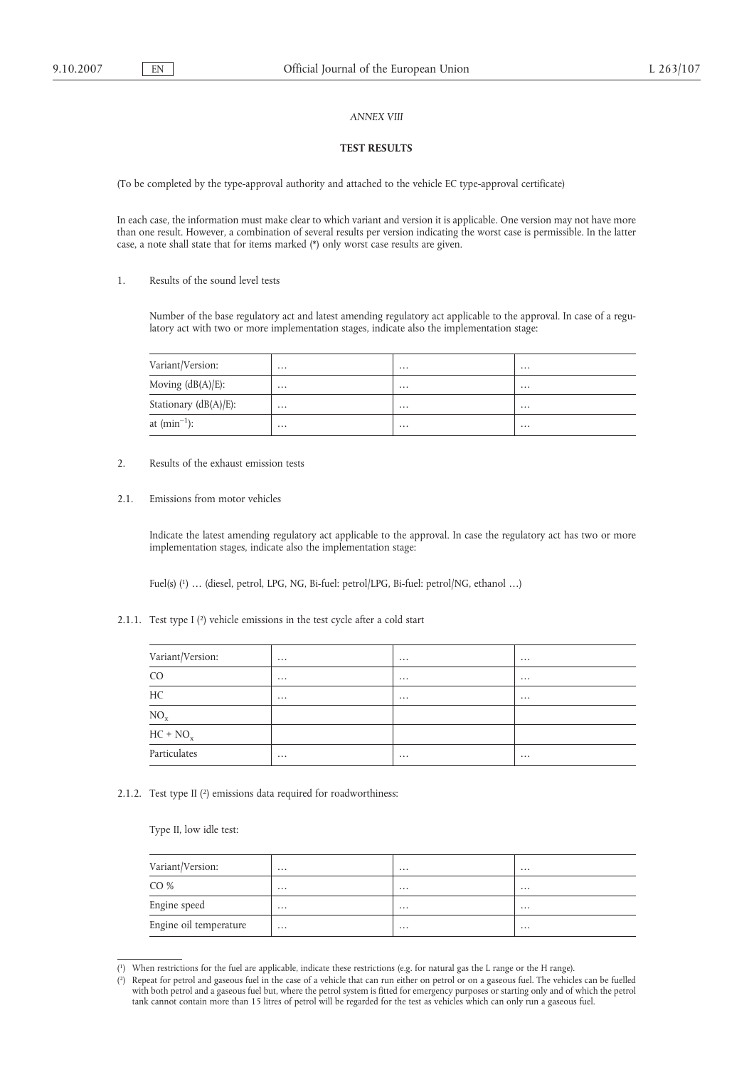## *ANNEX VIII*

# **TEST RESULTS**

(To be completed by the type-approval authority and attached to the vehicle EC type-approval certificate)

In each case, the information must make clear to which variant and version it is applicable. One version may not have more than one result. However, a combination of several results per version indicating the worst case is permissible. In the latter case, a note shall state that for items marked (\*) only worst case results are given.

1. Results of the sound level tests

Number of the base regulatory act and latest amending regulatory act applicable to the approval. In case of a regulatory act with two or more implementation stages, indicate also the implementation stage:

| Variant/Version:         | $\cdots$ | $\cdots$ | $\cdots$ |
|--------------------------|----------|----------|----------|
| Moving $(dB(A)/E)$ :     | $\cdots$ | $\cdots$ | $\cdots$ |
| Stationary $(dB(A)/E)$ : | $\cdots$ | $\cdots$ | $\cdots$ |
| at $(min^{-1})$ :        | $\cdots$ | $\cdots$ | $\cdots$ |

- 2. Results of the exhaust emission tests
- 2.1. Emissions from motor vehicles

Indicate the latest amending regulatory act applicable to the approval. In case the regulatory act has two or more implementation stages, indicate also the implementation stage:

Fuel(s) (1) … (diesel, petrol, LPG, NG, Bi-fuel: petrol/LPG, Bi-fuel: petrol/NG, ethanol …)

2.1.1. Test type I (2) vehicle emissions in the test cycle after a cold start

| Variant/Version:                        | $\cdots$ | $\cdots$ | $\cdots$ |
|-----------------------------------------|----------|----------|----------|
| CO <sub>1</sub>                         | $\cdots$ | $\cdots$ | $\cdots$ |
| HC                                      | $\cdots$ | $\cdots$ | $\cdots$ |
| $\underbrace{\overline{\mathrm{NO_x}}}$ |          |          |          |
| $HC + NO_x$                             |          |          |          |
| ____<br>Particulates                    | $\cdots$ | $\cdots$ | $\cdots$ |

2.1.2. Test type II (2) emissions data required for roadworthiness:

Type II, low idle test:

| Variant/Version:       | $\cdots$ | $\cdots$ | $\cdots$ |
|------------------------|----------|----------|----------|
| CO%                    | $\cdots$ | $\cdots$ | $\cdots$ |
| Engine speed           | $\cdots$ | $\cdots$ | $\cdots$ |
| Engine oil temperature | $\cdots$ | $\cdots$ | $\cdots$ |

<sup>(</sup> 1) When restrictions for the fuel are applicable, indicate these restrictions (e.g. for natural gas the L range or the H range).

<sup>(</sup> 2) Repeat for petrol and gaseous fuel in the case of a vehicle that can run either on petrol or on a gaseous fuel. The vehicles can be fuelled with both petrol and a gaseous fuel but, where the petrol system is fitted for emergency purposes or starting only and of which the petrol tank cannot contain more than 15 litres of petrol will be regarded for the test as vehicles which can only run a gaseous fuel.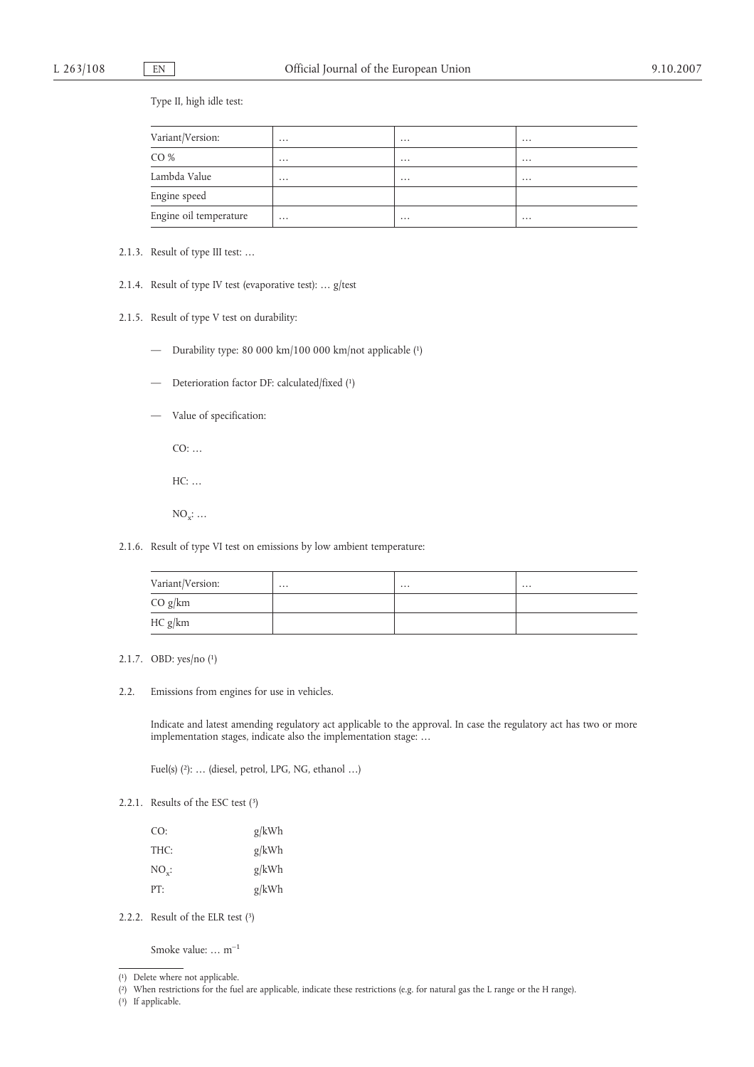Type II, high idle test:

| Variant/Version:       | $\cdots$ | $\cdots$ | $\cdots$ |
|------------------------|----------|----------|----------|
| CO%                    | $\cdots$ | $\cdots$ | $\cdots$ |
| Lambda Value           | $\cdots$ | $\cdots$ | $\cdots$ |
| Engine speed           |          |          |          |
| Engine oil temperature | $\cdots$ | $\cdots$ | $\cdots$ |

2.1.3. Result of type III test: …

2.1.4. Result of type IV test (evaporative test): … g/test

2.1.5. Result of type V test on durability:

- Durability type: 80 000 km/100 000 km/not applicable (1)
- Deterioration factor DF: calculated/fixed (1)
- Value of specification:

CO: …

 $HC: \ldots$ 

 $NO_x$ : ...

2.1.6. Result of type VI test on emissions by low ambient temperature:

| Variant/Version: | $\cdots$ | $\cdots$ | $\cdots$ |
|------------------|----------|----------|----------|
| CO g/km          |          |          |          |
| HC g/km          |          |          |          |

2.1.7. OBD: yes/no (1)

2.2. Emissions from engines for use in vehicles.

Indicate and latest amending regulatory act applicable to the approval. In case the regulatory act has two or more implementation stages, indicate also the implementation stage: …

Fuel(s) (2): … (diesel, petrol, LPG, NG, ethanol …)

2.2.1. Results of the ESC test (3)

| CO:          | g/kWh |
|--------------|-------|
| THC:         | g/kWh |
| $NO_{\nu}$ : | g/kWh |
| PT:          | g/kWh |

2.2.2. Result of the ELR test (3)

Smoke value: … m–1

( 2) When restrictions for the fuel are applicable, indicate these restrictions (e.g. for natural gas the L range or the H range).

<sup>(</sup> 1) Delete where not applicable.

<sup>(</sup> 3) If applicable.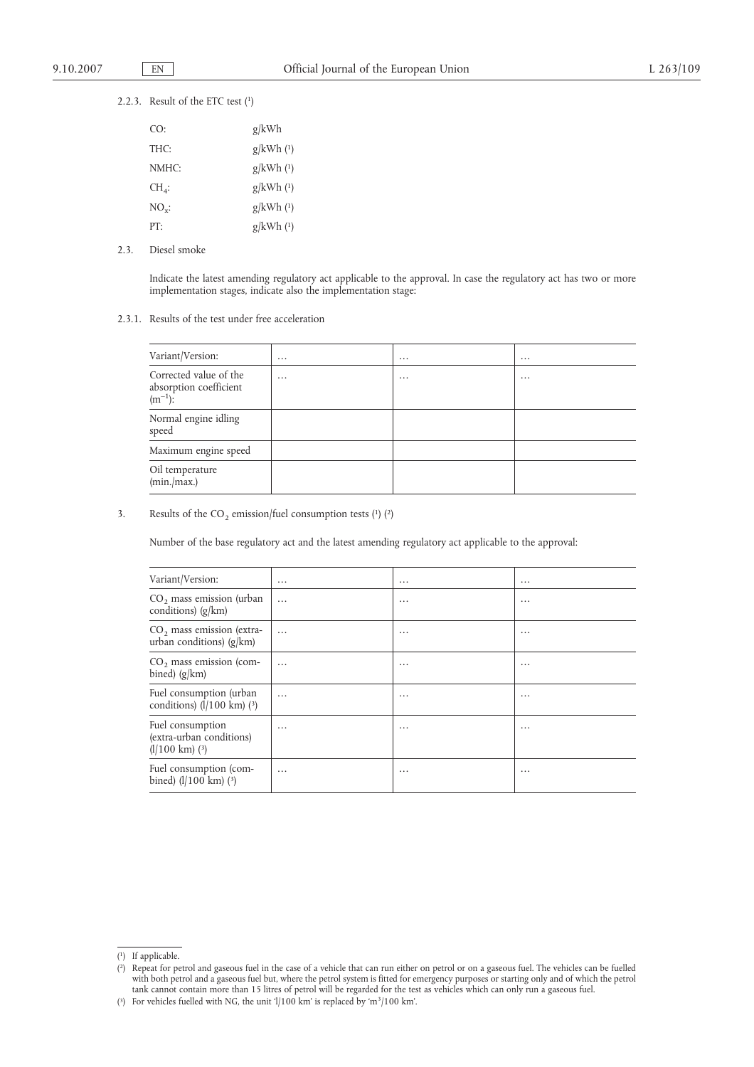### 2.2.3. Result of the ETC test (1)

| CO:            | g/kWh       |
|----------------|-------------|
| THC:           | $g/kWh$ (1) |
| NMHC:          | $g/kWh$ (1) |
| $CH_{4}$ :     | $g/kWh$ (1) |
| $NO_{\rm v}$ : | $g/kWh$ (1) |
| PT:            | $g/kWh$ (1) |

2.3. Diesel smoke

Indicate the latest amending regulatory act applicable to the approval. In case the regulatory act has two or more implementation stages, indicate also the implementation stage:

#### 2.3.1. Results of the test under free acceleration

| Variant/Version:                                                 | $\cdots$ | $\cdots$ | $\cdots$ |
|------------------------------------------------------------------|----------|----------|----------|
| Corrected value of the<br>absorption coefficient<br>$(m^{-1})$ : | $\cdots$ | $\cdots$ | $\cdots$ |
| Normal engine idling<br>speed                                    |          |          |          |
| Maximum engine speed                                             |          |          |          |
| Oil temperature<br>(min/max.)                                    |          |          |          |

## 3. Results of the  $CO_2$  emission/fuel consumption tests (1) (2)

Number of the base regulatory act and the latest amending regulatory act applicable to the approval:

| Variant/Version:                                                         | $\cdots$ | $\cdots$ | $\cdots$ |
|--------------------------------------------------------------------------|----------|----------|----------|
| $CO2$ mass emission (urban<br>conditions) $(g/km)$                       | .        | $\cdots$ | $\cdots$ |
| $CO2$ mass emission (extra-<br>urban conditions) $(g/km)$                | .        | $\cdots$ | $\cdots$ |
| $CO2$ mass emission (com-<br>bined) (g/km)                               | $\cdots$ | $\cdots$ | $\cdots$ |
| Fuel consumption (urban<br>conditions) $(l/100 \text{ km})$ (3)          | .        | $\cdots$ | $\cdots$ |
| Fuel consumption<br>(extra-urban conditions)<br>$(1/100 \text{ km})$ (3) | $\cdots$ | $\cdots$ | $\cdots$ |
| Fuel consumption (com-<br>bined) $(l/100 \text{ km})$ (3)                | .        | $\cdots$ | $\cdots$ |
|                                                                          |          |          |          |

( 1) If applicable.

<sup>(</sup> 2) Repeat for petrol and gaseous fuel in the case of a vehicle that can run either on petrol or on a gaseous fuel. The vehicles can be fuelled with both petrol and a gaseous fuel but, where the petrol system is fitted for emergency purposes or starting only and of which the petrol tank cannot contain more than 15 litres of petrol will be regarded for the test as vehicles which can only run a gaseous fuel.

<sup>(3)</sup> For vehicles fuelled with NG, the unit  $1/100$  km' is replaced by 'm<sup>3</sup>/100 km'.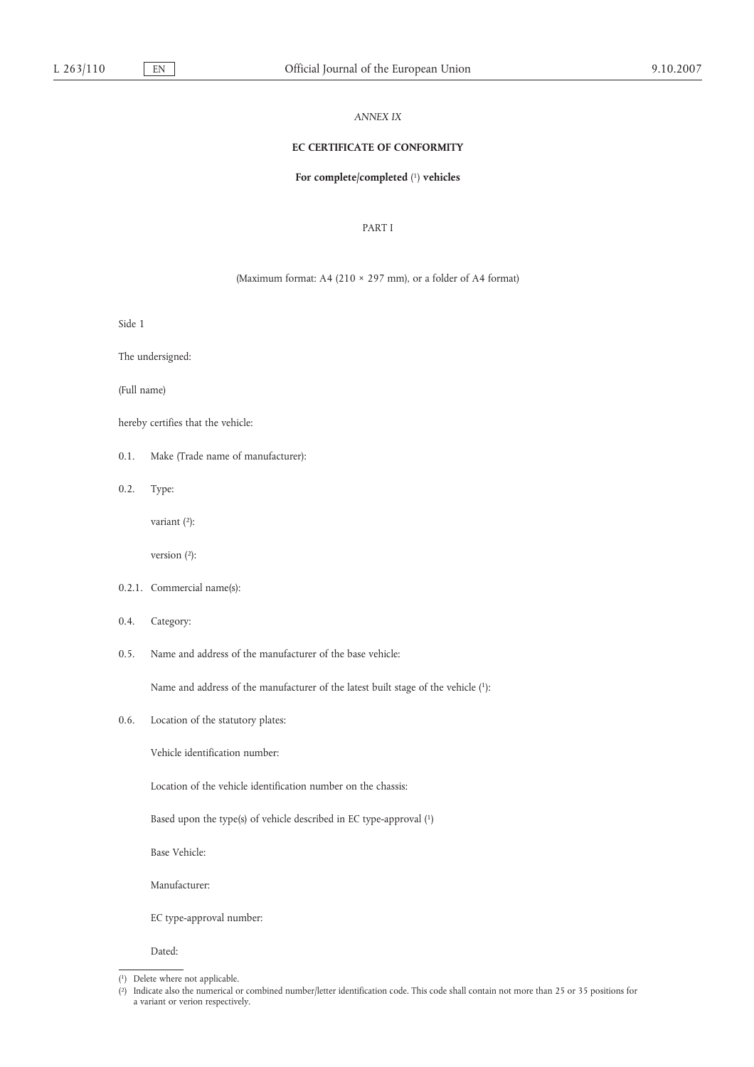#### *ANNEX IX*

## **EC CERTIFICATE OF CONFORMITY**

#### **For complete/completed** ( 1) **vehicles**

## PART I

## (Maximum format: A4 (210 × 297 mm), or a folder of A4 format)

Side 1

The undersigned:

(Full name)

hereby certifies that the vehicle:

- 0.1. Make (Trade name of manufacturer):
- 0.2. Type:

variant (2):

version  $(2)$ :

- 0.2.1. Commercial name(s):
- 0.4. Category:
- 0.5. Name and address of the manufacturer of the base vehicle:

Name and address of the manufacturer of the latest built stage of the vehicle (1):

0.6. Location of the statutory plates:

Vehicle identification number:

Location of the vehicle identification number on the chassis:

Based upon the type(s) of vehicle described in EC type-approval (1)

Base Vehicle:

Manufacturer:

EC type-approval number:

Dated:

<sup>(</sup> 1) Delete where not applicable.

<sup>(</sup> 2) Indicate also the numerical or combined number/letter identification code. This code shall contain not more than 25 or 35 positions for a variant or verion respectively.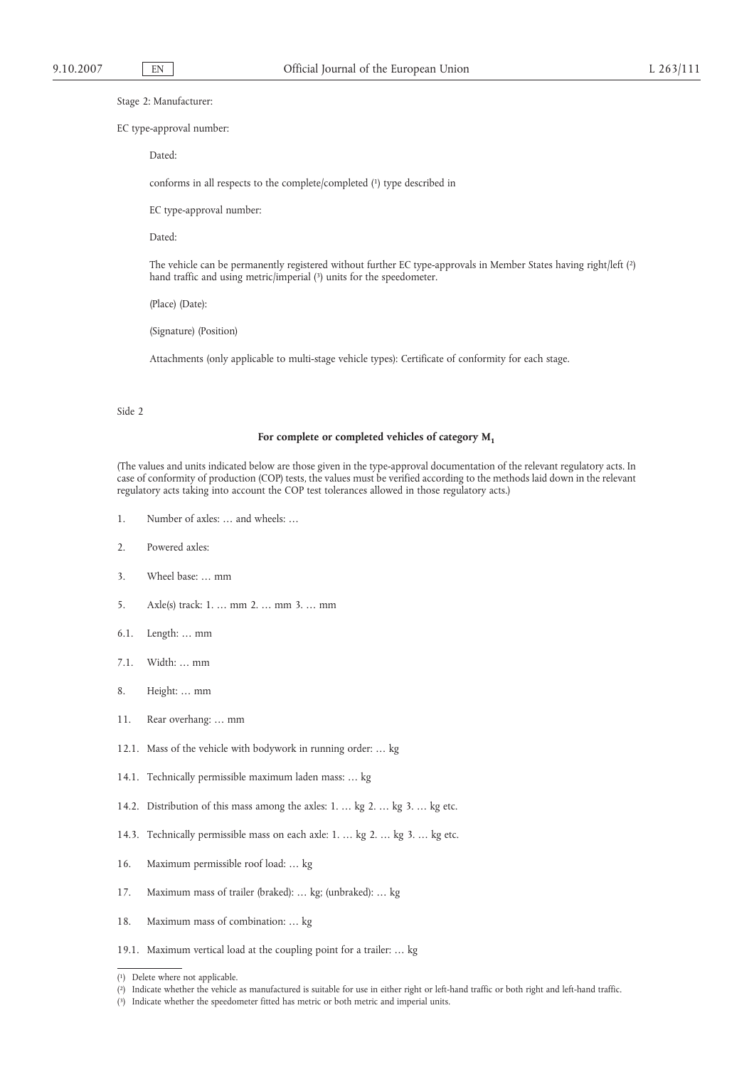Stage 2: Manufacturer:

#### EC type-approval number:

Dated:

conforms in all respects to the complete/completed (1) type described in

EC type-approval number:

Dated:

The vehicle can be permanently registered without further EC type-approvals in Member States having right/left (2) hand traffic and using metric/imperial (3) units for the speedometer.

(Place) (Date):

(Signature) (Position)

Attachments (only applicable to multi-stage vehicle types): Certificate of conformity for each stage.

#### Side 2

#### For complete or completed vehicles of category  $M_1$

(The values and units indicated below are those given in the type-approval documentation of the relevant regulatory acts. In case of conformity of production (COP) tests, the values must be verified according to the methods laid down in the relevant regulatory acts taking into account the COP test tolerances allowed in those regulatory acts.)

- 1. Number of axles: … and wheels: …
- 2. Powered axles:
- 3. Wheel base: … mm
- 5. Axle(s) track: 1. … mm 2. … mm 3. … mm
- 6.1. Length: … mm
- 7.1. Width: … mm
- 8. Height: … mm
- 11. Rear overhang: … mm
- 12.1. Mass of the vehicle with bodywork in running order: … kg
- 14.1. Technically permissible maximum laden mass: … kg
- 14.2. Distribution of this mass among the axles: 1. … kg 2. … kg 3. … kg etc.
- 14.3. Technically permissible mass on each axle: 1. … kg 2. … kg 3. … kg etc.
- 16. Maximum permissible roof load: … kg
- 17. Maximum mass of trailer (braked): … kg; (unbraked): … kg
- 18. Maximum mass of combination: … kg
- 19.1. Maximum vertical load at the coupling point for a trailer: … kg

<sup>(</sup> 1) Delete where not applicable.

<sup>(</sup> 2) Indicate whether the vehicle as manufactured is suitable for use in either right or left-hand traffic or both right and left-hand traffic.

<sup>(</sup> 3) Indicate whether the speedometer fitted has metric or both metric and imperial units.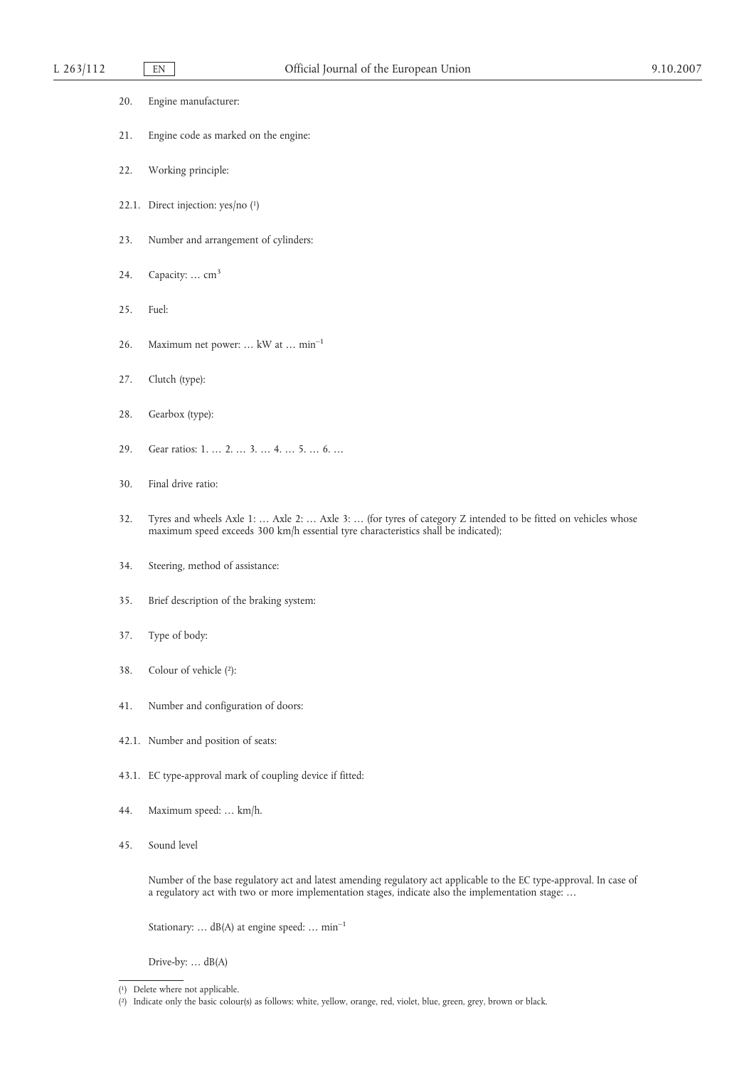| 20. |  | Engine manufacturer: |
|-----|--|----------------------|
|-----|--|----------------------|

- 21. Engine code as marked on the engine:
- 22. Working principle:
- 22.1. Direct injection: yes/no (1)
- 23. Number and arrangement of cylinders:
- 24. Capacity:  $\ldots$  cm<sup>3</sup>
- 25. Fuel:
- 26. Maximum net power: … kW at … min–1
- 27. Clutch (type):
- 28. Gearbox (type):
- 29. Gear ratios: 1. … 2. … 3. … 4. … 5. … 6. …
- 30. Final drive ratio:
- 32. Tyres and wheels Axle 1: … Axle 2: … Axle 3: … (for tyres of category Z intended to be fitted on vehicles whose maximum speed exceeds 300 km/h essential tyre characteristics shall be indicated);
- 34. Steering, method of assistance:
- 35. Brief description of the braking system:
- 37. Type of body:
- 38. Colour of vehicle (2):
- 41. Number and configuration of doors:
- 42.1. Number and position of seats:
- 43.1. EC type-approval mark of coupling device if fitted:
- 44. Maximum speed: … km/h.
- 45. Sound level

Number of the base regulatory act and latest amending regulatory act applicable to the EC type-approval. In case of a regulatory act with two or more implementation stages, indicate also the implementation stage: …

Stationary: ...  $dB(A)$  at engine speed: ... min<sup>-1</sup>

Drive-by: … dB(A)

<sup>(</sup> 1) Delete where not applicable.

<sup>(</sup> 2) Indicate only the basic colour(s) as follows: white, yellow, orange, red, violet, blue, green, grey, brown or black.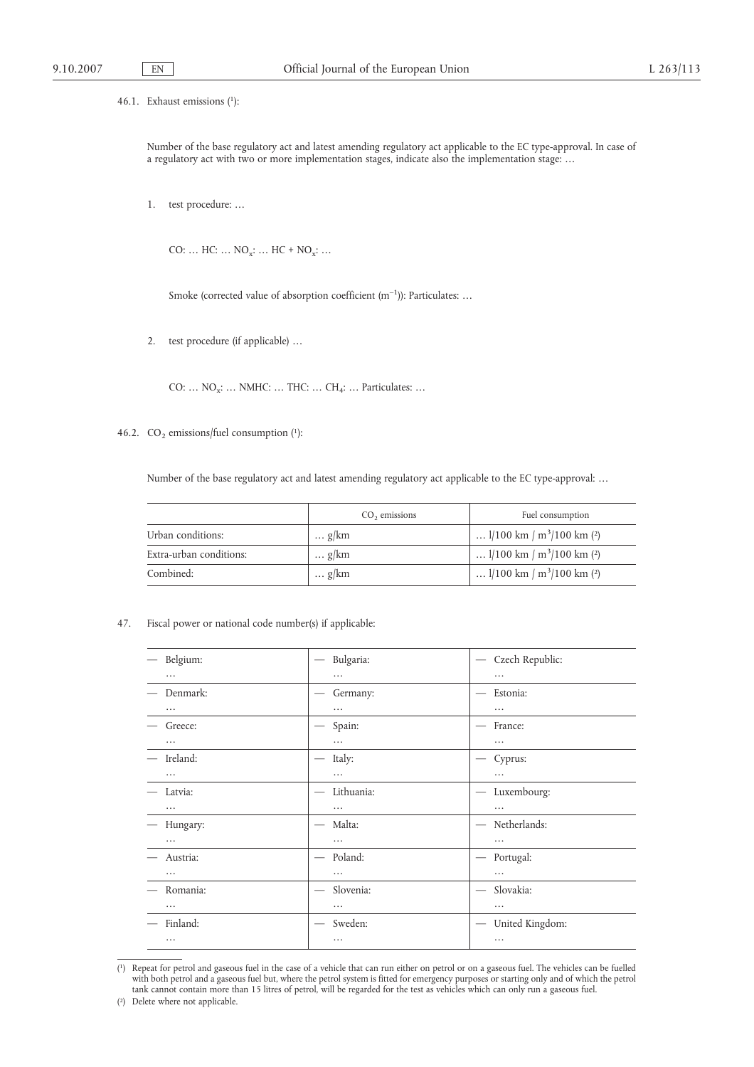46.1. Exhaust emissions (1):

Number of the base regulatory act and latest amending regulatory act applicable to the EC type-approval. In case of a regulatory act with two or more implementation stages, indicate also the implementation stage: …

1. test procedure: …

CO: ...  $HC: ... NO_x: ... HC + NO_x: ...$ 

Smoke (corrected value of absorption coefficient  $(m^{-1})$ ): Particulates: ...

2. test procedure (if applicable) …

CO: ...  $NO_x$ : ... NMHC: ... THC: ... CH<sub>4</sub>: ... Particulates: ...

46.2.  $CO<sub>2</sub>$  emissions/fuel consumption (1):

Number of the base regulatory act and latest amending regulatory act applicable to the EC type-approval: …

|                         | $CO2$ emissions | Fuel consumption                                      |
|-------------------------|-----------------|-------------------------------------------------------|
| Urban conditions:       | $\ldots$ g/km   | $1/100 \text{ km} / \text{m}^3/100 \text{ km}$ (2)    |
| Extra-urban conditions: | $\ldots$ g/km   | $1/100 \text{ km} / \text{m}^3/100 \text{ km}$ (2)    |
| Combined:               | $\ldots$ g/km   | $1/100 \text{ km } / \text{ m}^3/100 \text{ km } (2)$ |

### 47. Fiscal power or national code number(s) if applicable:

| Belgium: | Bulgaria:                                    | Czech Republic:<br>$\overline{\phantom{m}}$     |
|----------|----------------------------------------------|-------------------------------------------------|
| .        | .                                            | $\cdots$                                        |
| Denmark: | Germany:                                     | Estonia:<br>$\overbrace{\phantom{123321}}$      |
| $\cdots$ | $\cdots$                                     | $\cdots$                                        |
| Greece:  | Spain:                                       | France:                                         |
| $\cdots$ | $\cdots$                                     | $\cdots$                                        |
| Ireland: | Italy:                                       | Cyprus:                                         |
| $\cdots$ | .                                            | .                                               |
| Latvia:  | Lithuania:                                   | Luxembourg:<br>—                                |
| $\cdots$ | $\cdots$                                     | $\cdots$                                        |
| Hungary: | Malta:<br>$\overline{\phantom{m}}$           | Netherlands:<br>$\hspace{0.1mm}-\hspace{0.1mm}$ |
| $\cdots$ | $\cdots$                                     | $\cdots$                                        |
| Austria: | Poland:<br>$\hspace{0.1mm}-\hspace{0.1mm}$   | Portugal:<br>$\hspace{0.1mm}-\hspace{0.1mm}$    |
| $\cdots$ | $\cdots$                                     | $\cdots$                                        |
| Romania: | Slovenia:<br>$\hspace{0.1mm}-\hspace{0.1mm}$ | Slovakia:                                       |
| $\cdots$ | $\cdots$                                     |                                                 |
| Finland: | Sweden:<br>$\overbrace{\phantom{12332}}$     | United Kingdom:                                 |
| $\cdots$ | .                                            | $\cdots$                                        |

<sup>(</sup> 1) Repeat for petrol and gaseous fuel in the case of a vehicle that can run either on petrol or on a gaseous fuel. The vehicles can be fuelled with both petrol and a gaseous fuel but, where the petrol system is fitted for emergency purposes or starting only and of which the petrol tank cannot contain more than 15 litres of petrol, will be regarded for the test as vehicles which can only run a gaseous fuel.

<sup>(</sup> 2) Delete where not applicable.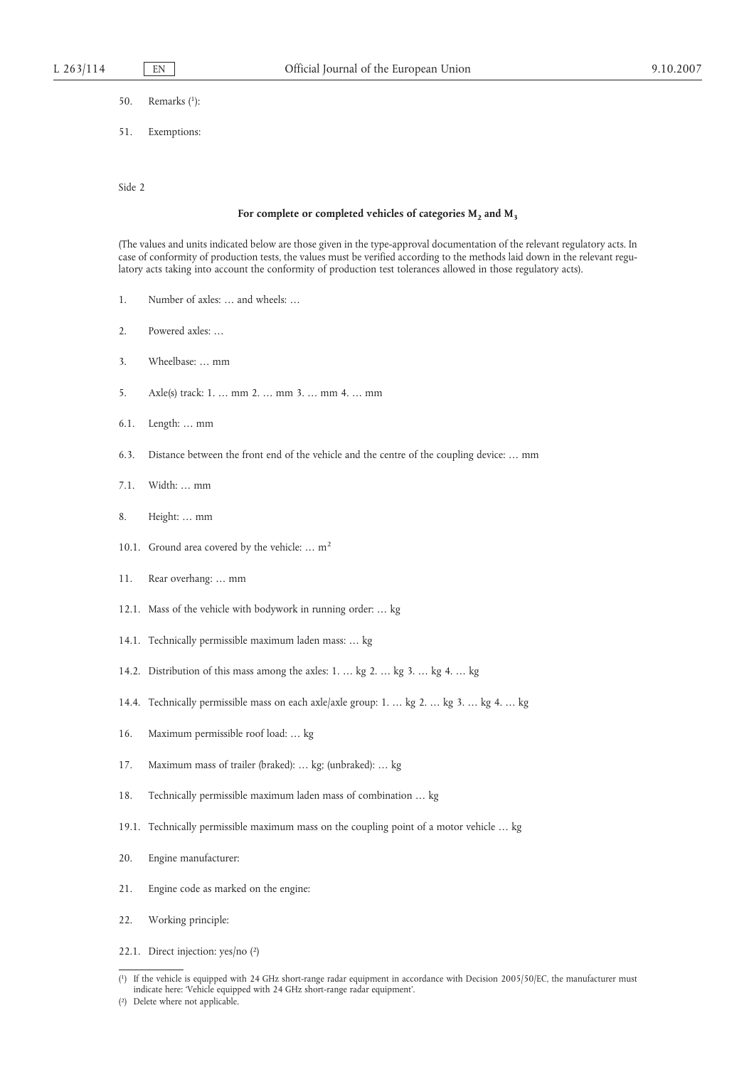- 50. Remarks (1):
- 51. Exemptions:

Side 2

### For complete or completed vehicles of categories  $M_2$  and  $M_3$

(The values and units indicated below are those given in the type-approval documentation of the relevant regulatory acts. In case of conformity of production tests, the values must be verified according to the methods laid down in the relevant regulatory acts taking into account the conformity of production test tolerances allowed in those regulatory acts).

- 1. Number of axles: … and wheels: …
- 2. Powered axles: …
- 3. Wheelbase: … mm
- 5. Axle(s) track: 1. … mm 2. … mm 3. … mm 4. … mm
- 6.1. Length: … mm
- 6.3. Distance between the front end of the vehicle and the centre of the coupling device: … mm
- 7.1. Width: … mm
- 8. Height: … mm
- 10.1. Ground area covered by the vehicle: ... m<sup>2</sup>
- 11. Rear overhang: … mm
- 12.1. Mass of the vehicle with bodywork in running order: … kg
- 14.1. Technically permissible maximum laden mass: … kg
- 14.2. Distribution of this mass among the axles: 1. … kg 2. … kg 3. … kg 4. … kg
- 14.4. Technically permissible mass on each axle/axle group: 1. … kg 2. … kg 3. … kg 4. … kg
- 16. Maximum permissible roof load: … kg
- 17. Maximum mass of trailer (braked): … kg; (unbraked): … kg
- 18. Technically permissible maximum laden mass of combination … kg
- 19.1. Technically permissible maximum mass on the coupling point of a motor vehicle … kg
- 20. Engine manufacturer:
- 21. Engine code as marked on the engine:
- 22. Working principle:
- 22.1. Direct injection: yes/no (2)

 $\left(1\right)$ 1) If the vehicle is equipped with 24 GHz short-range radar equipment in accordance with Decision 2005/50/EC, the manufacturer must indicate here: 'Vehicle equipped with 24 GHz short-range radar equipment'.

<sup>(</sup> 2) Delete where not applicable.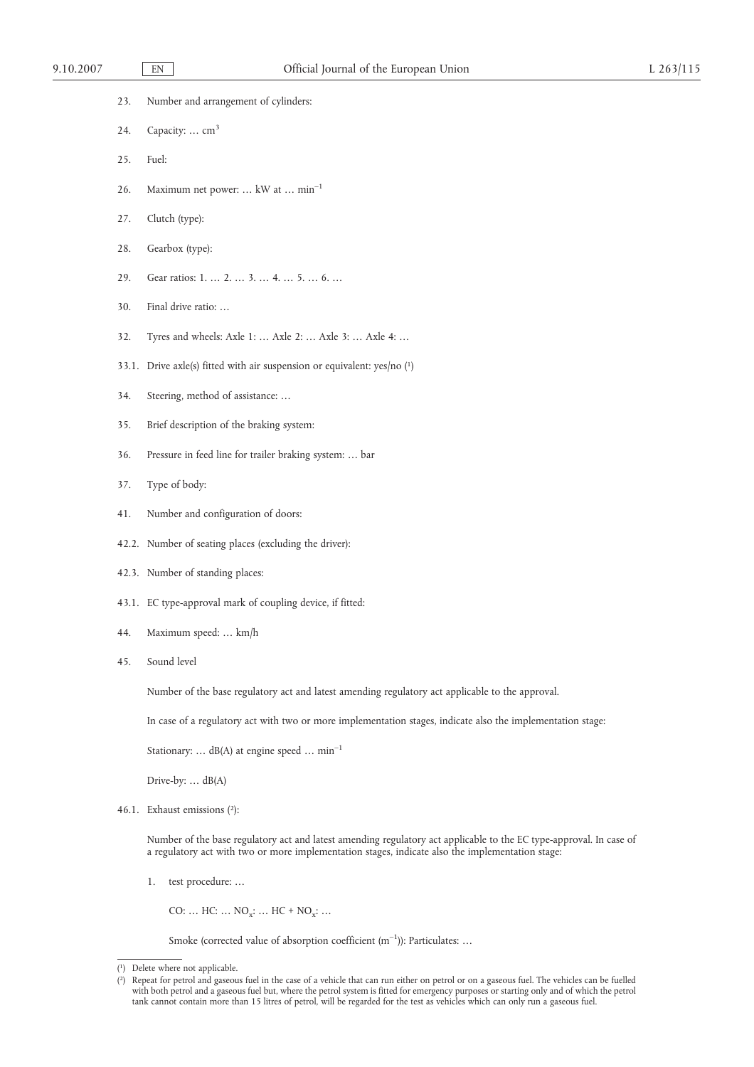| 23. |  |  | Number and arrangement of cylinders: |  |  |
|-----|--|--|--------------------------------------|--|--|
|-----|--|--|--------------------------------------|--|--|

- 24. Capacity: ...  $cm<sup>3</sup>$
- 25. Fuel:
- 26. Maximum net power: … kW at … min–1
- 27. Clutch (type):
- 28. Gearbox (type):
- 29. Gear ratios: 1. … 2. … 3. … 4. … 5. … 6. …
- 30. Final drive ratio: …
- 32. Tyres and wheels: Axle 1: … Axle 2: … Axle 3: … Axle 4: …
- 33.1. Drive axle(s) fitted with air suspension or equivalent:  $yes/no$  (1)
- 34. Steering, method of assistance: …
- 35. Brief description of the braking system:
- 36. Pressure in feed line for trailer braking system: … bar
- 37. Type of body:
- 41. Number and configuration of doors:
- 42.2. Number of seating places (excluding the driver):
- 42.3. Number of standing places:
- 43.1. EC type-approval mark of coupling device, if fitted:
- 44. Maximum speed: … km/h
- 45. Sound level

Number of the base regulatory act and latest amending regulatory act applicable to the approval.

In case of a regulatory act with two or more implementation stages, indicate also the implementation stage:

Stationary: … dB(A) at engine speed … min–1

Drive-by: … dB(A)

46.1. Exhaust emissions (2):

Number of the base regulatory act and latest amending regulatory act applicable to the EC type-approval. In case of a regulatory act with two or more implementation stages, indicate also the implementation stage:

1. test procedure: …

CO: ... HC: ... NO<sub>y</sub>: ... HC + NO<sub>y</sub>: ...

Smoke (corrected value of absorption coefficient  $(m^{-1})$ ): Particulates: ...

<sup>(</sup> 1) Delete where not applicable.

 $(2)$ 2) Repeat for petrol and gaseous fuel in the case of a vehicle that can run either on petrol or on a gaseous fuel. The vehicles can be fuelled with both petrol and a gaseous fuel but, where the petrol system is fitted for emergency purposes or starting only and of which the petrol tank cannot contain more than 15 litres of petrol, will be regarded for the test as vehicles which can only run a gaseous fuel.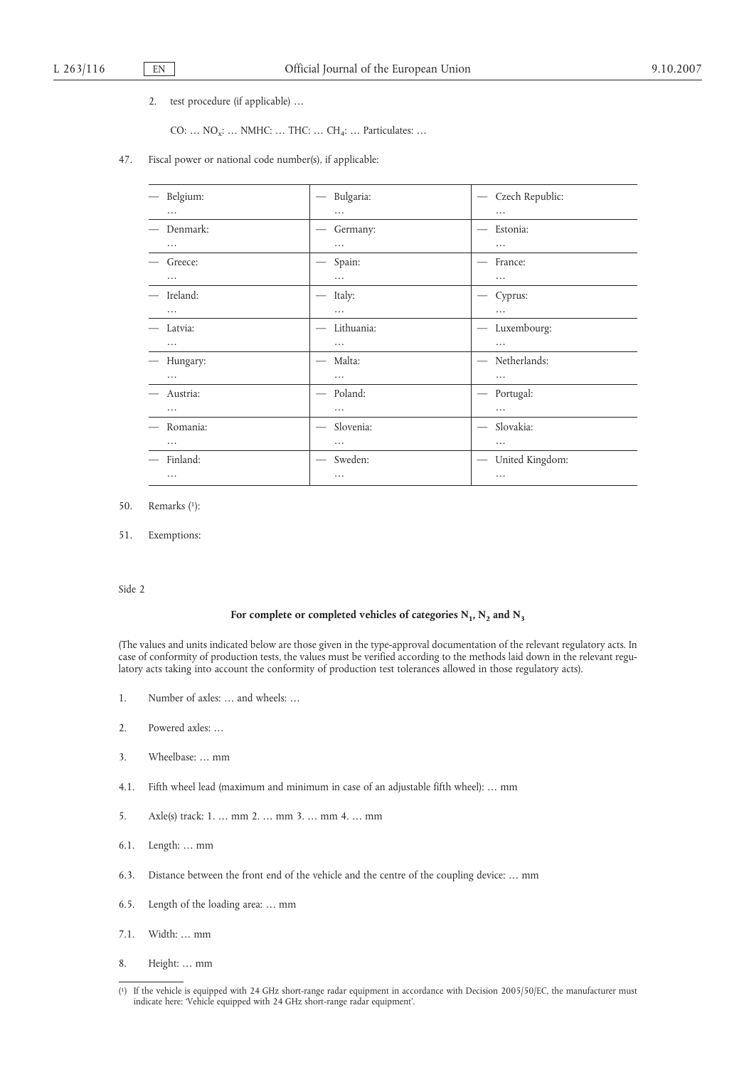2. test procedure (if applicable) …

CO: ... NO<sub>x</sub>: ... NMHC: ... THC: ... CH<sub>4</sub>: ... Particulates: ...

47. Fiscal power or national code number(s), if applicable:

| Belgium: | Bulgaria:                                 | Czech Republic:<br>$\qquad \qquad -$            |
|----------|-------------------------------------------|-------------------------------------------------|
|          |                                           |                                                 |
| .        | $\cdots$                                  | .                                               |
| Denmark: | Germany:                                  | Estonia:                                        |
| .        | $\cdots$                                  | .                                               |
| Greece:  | Spain:<br>$\hspace{0.1mm}-\hspace{0.1mm}$ | France:                                         |
| .        | $\cdots$                                  |                                                 |
| Ireland: | Italy:<br>$\hspace{0.05cm}$               | Cyprus:                                         |
| .        | .                                         | .                                               |
| Latvia:  | Lithuania:                                | Luxembourg:                                     |
| $\cdots$ | $\cdots$                                  | $\cdots$                                        |
| Hungary: | Malta:                                    | Netherlands:<br>$\overbrace{\qquad \qquad }^{}$ |
| $\cdots$ | $\cdots$                                  | $\cdots$                                        |
| Austria: | Poland:<br>$\overbrace{\phantom{12332}}$  | Portugal:                                       |
| .        | $\cdots$                                  | $\cdots$                                        |
| Romania: | Slovenia:                                 | Slovakia:<br>$\hspace{0.1mm}-\hspace{0.1mm}$    |
| .        | .                                         | $\cdots$                                        |
| Finland: | Sweden:                                   | United Kingdom:<br>$\hspace{0.05cm}$            |
| $\cdots$ | $\cdots$                                  | $\cdots$                                        |

- 50. Remarks (1):
- 51. Exemptions:

Side 2

### For complete or completed vehicles of categories  $N_1$ ,  $N_2$  and  $N_3$

(The values and units indicated below are those given in the type-approval documentation of the relevant regulatory acts. In case of conformity of production tests, the values must be verified according to the methods laid down in the relevant regulatory acts taking into account the conformity of production test tolerances allowed in those regulatory acts).

- 1. Number of axles: … and wheels: …
- 2. Powered axles: …
- 3. Wheelbase: … mm
- 4.1. Fifth wheel lead (maximum and minimum in case of an adjustable fifth wheel): … mm
- 5. Axle(s) track: 1. … mm 2. … mm 3. … mm 4. … mm
- 6.1. Length: … mm
- 6.3. Distance between the front end of the vehicle and the centre of the coupling device: … mm
- 6.5. Length of the loading area: … mm
- 7.1. Width: … mm
- 8. Height: … mm

<sup>(</sup> 1) If the vehicle is equipped with 24 GHz short-range radar equipment in accordance with Decision 2005/50/EC, the manufacturer must indicate here: 'Vehicle equipped with 24 GHz short-range radar equipment'.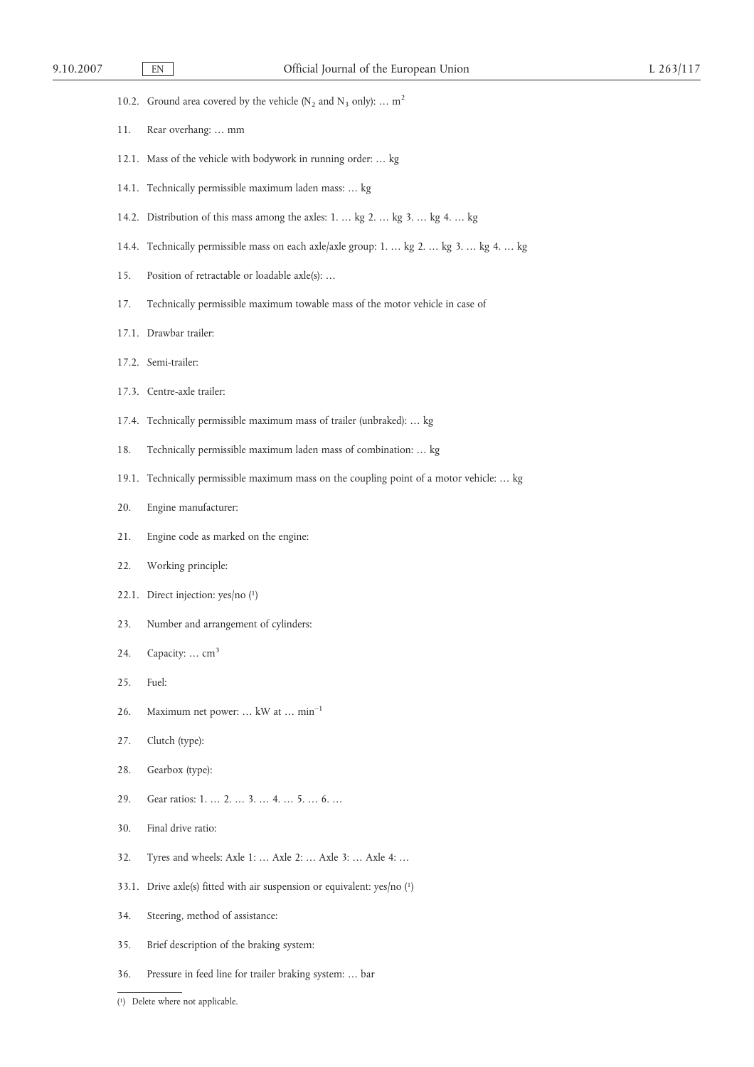|  | 10.2. Ground area covered by the vehicle ( $N_2$ and $N_3$ only):  m <sup>2</sup> |  |  |  |  |  |  |  |
|--|-----------------------------------------------------------------------------------|--|--|--|--|--|--|--|
|--|-----------------------------------------------------------------------------------|--|--|--|--|--|--|--|

- 11. Rear overhang: … mm
- 12.1. Mass of the vehicle with bodywork in running order: … kg
- 14.1. Technically permissible maximum laden mass: … kg
- 14.2. Distribution of this mass among the axles: 1. … kg 2. … kg 3. … kg 4. … kg
- 14.4. Technically permissible mass on each axle/axle group: 1. … kg 2. … kg 3. … kg 4. … kg
- 15. Position of retractable or loadable axle(s): …
- 17. Technically permissible maximum towable mass of the motor vehicle in case of
- 17.1. Drawbar trailer:
- 17.2. Semi-trailer:
- 17.3. Centre-axle trailer:
- 17.4. Technically permissible maximum mass of trailer (unbraked): … kg
- 18. Technically permissible maximum laden mass of combination: … kg
- 19.1. Technically permissible maximum mass on the coupling point of a motor vehicle: … kg
- 20. Engine manufacturer:
- 21. Engine code as marked on the engine:
- 22. Working principle:
- 22.1. Direct injection: yes/no (1)
- 23. Number and arrangement of cylinders:
- 24. Capacity:  $\ldots$  cm<sup>3</sup>
- 25. Fuel:
- 26. Maximum net power: … kW at … min–1
- 27. Clutch (type):
- 28. Gearbox (type):
- 29. Gear ratios: 1. … 2. … 3. … 4. … 5. … 6. …
- 30. Final drive ratio:
- 32. Tyres and wheels: Axle 1: … Axle 2: … Axle 3: … Axle 4: …
- 33.1. Drive axle(s) fitted with air suspension or equivalent: yes/no (1)
- 34. Steering, method of assistance:
- 35. Brief description of the braking system:
- 36. Pressure in feed line for trailer braking system: … bar

( 1) Delete where not applicable.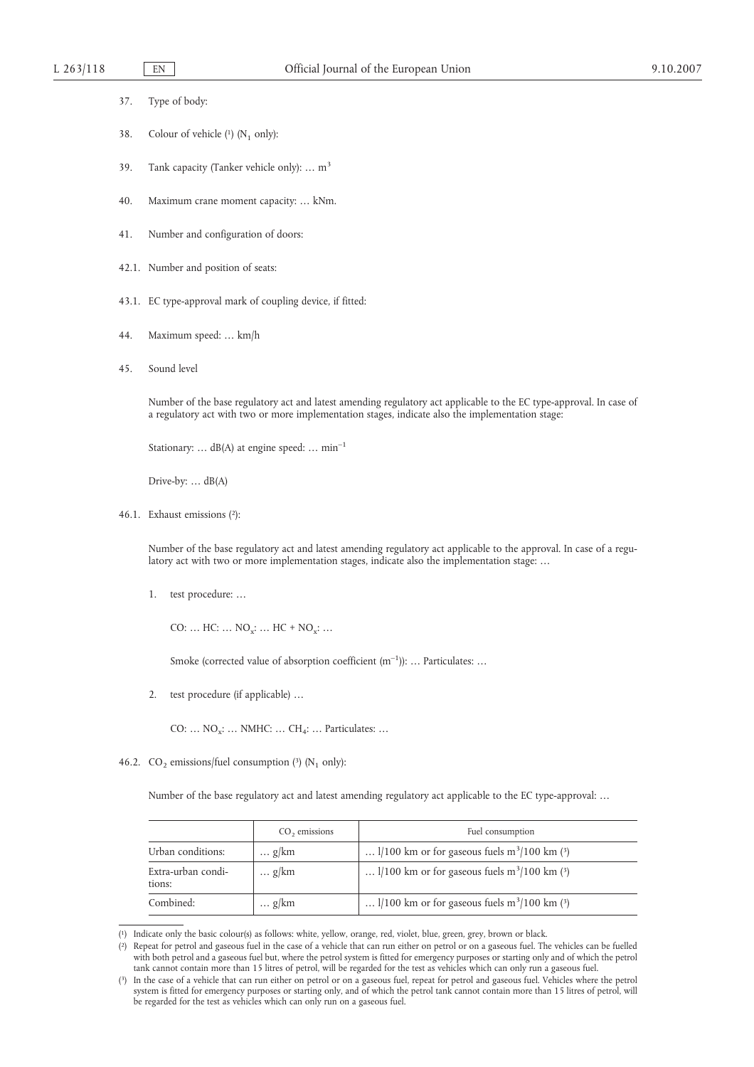|  | 37 | Type of body: |
|--|----|---------------|
|--|----|---------------|

- 38. Colour of vehicle  $(1)$  (N<sub>1</sub> only):
- 39. Tank capacity (Tanker vehicle only): ...  $m<sup>3</sup>$
- 40. Maximum crane moment capacity: … kNm.
- 41. Number and configuration of doors:
- 42.1. Number and position of seats:
- 43.1. EC type-approval mark of coupling device, if fitted:
- 44. Maximum speed: … km/h
- 45. Sound level

Number of the base regulatory act and latest amending regulatory act applicable to the EC type-approval. In case of a regulatory act with two or more implementation stages, indicate also the implementation stage:

Stationary: ...  $dB(A)$  at engine speed: ...  $min^{-1}$ 

Drive-by: ... dB(A)

46.1. Exhaust emissions (2):

Number of the base regulatory act and latest amending regulatory act applicable to the approval. In case of a regulatory act with two or more implementation stages, indicate also the implementation stage: …

1. test procedure: …

CO: ...  $HC: ... NO_x: ... HC + NO_x: ...$ 

Smoke (corrected value of absorption coefficient  $(m^{-1})$ ): ... Particulates: ...

2. test procedure (if applicable) …

CO:  $\ldots$  NO<sub>x</sub>:  $\ldots$  NMHC:  $\ldots$  CH<sub>4</sub>:  $\ldots$  Particulates:  $\ldots$ 

46.2. CO<sub>2</sub> emissions/fuel consumption  $(3)$  (N<sub>1</sub> only):

Number of the base regulatory act and latest amending regulatory act applicable to the EC type-approval: …

|                              | $CO2$ emissions | Fuel consumption                                           |
|------------------------------|-----------------|------------------------------------------------------------|
| Urban conditions:            | $\ldots$ g/km   | $1/100$ km or for gaseous fuels m <sup>3</sup> /100 km (3) |
| Extra-urban condi-<br>tions: | $\ldots$ g/km   | $1/100$ km or for gaseous fuels m <sup>3</sup> /100 km (3) |
| Combined:                    | $\ldots$ g/km   | $1/100$ km or for gaseous fuels m <sup>3</sup> /100 km (3) |

<sup>(</sup> 1) Indicate only the basic colour(s) as follows: white, yellow, orange, red, violet, blue, green, grey, brown or black.

<sup>(</sup> 2) Repeat for petrol and gaseous fuel in the case of a vehicle that can run either on petrol or on a gaseous fuel. The vehicles can be fuelled with both petrol and a gaseous fuel but, where the petrol system is fitted for emergency purposes or starting only and of which the petrol tank cannot contain more than 15 litres of petrol, will be regarded for the test as vehicles which can only run a gaseous fuel.

 $(3)$ 3) In the case of a vehicle that can run either on petrol or on a gaseous fuel, repeat for petrol and gaseous fuel. Vehicles where the petrol system is fitted for emergency purposes or starting only, and of which the petrol tank cannot contain more than 15 litres of petrol, will be regarded for the test as vehicles which can only run on a gaseous fuel.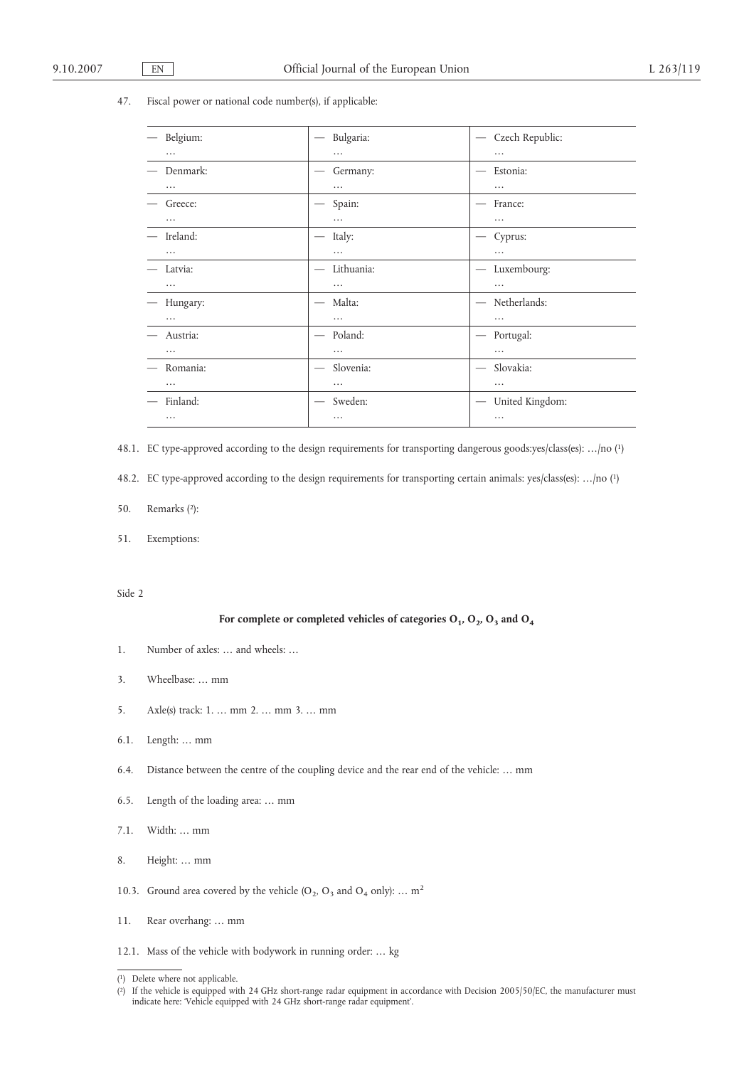### 47. Fiscal power or national code number(s), if applicable:

| Belgium: | Bulgaria:<br>$\overline{\phantom{m}}$          | Czech Republic:<br>$\hspace{0.1mm}-\hspace{0.1mm}$ |
|----------|------------------------------------------------|----------------------------------------------------|
| .        | $\cdots$                                       | $\cdots$                                           |
| Denmark: | Germany:                                       | Estonia:                                           |
| .        | $\cdots$                                       | $\cdots$                                           |
| Greece:  | Spain:                                         | France:                                            |
| $\cdots$ | $\cdots$                                       | $\cdots$                                           |
| Ireland: | Italy:                                         | Cyprus:                                            |
| $\cdots$ | $\cdots$                                       | $\cdots$                                           |
| Latvia:  | Lithuania:<br>$\overbrace{\phantom{aaaaa}}^{}$ | Luxembourg:                                        |
| $\cdots$ | $\cdots$                                       | $\cdots$                                           |
| Hungary: | Malta:                                         | Netherlands:<br>$\overline{\phantom{m}}$           |
| $\cdots$ | $\cdots$                                       |                                                    |
| Austria: | Poland:<br>$\overline{\phantom{m}}$            | Portugal:<br>$\hspace{0.1mm}-\hspace{0.1mm}$       |
| $\cdots$ | $\cdots$                                       | $\cdots$                                           |
| Romania: | Slovenia:<br>$\overbrace{\phantom{12332}}$     | Slovakia:                                          |
| $\cdots$ | $\cdots$                                       | $\cdots$                                           |
| Finland: | Sweden:                                        | United Kingdom:                                    |
| $\cdots$ | $\cdots$                                       | $\cdots$                                           |

48.1. EC type-approved according to the design requirements for transporting dangerous goods:yes/class(es): …/no (1)

48.2. EC type-approved according to the design requirements for transporting certain animals: yes/class(es): …/no (1)

- 50. Remarks (2):
- 51. Exemptions:

Side 2

## For complete or completed vehicles of categories  $O_1$ ,  $O_2$ ,  $O_3$  and  $O_4$

- 1. Number of axles: … and wheels: …
- 3. Wheelbase: … mm
- 5. Axle(s) track: 1. … mm 2. … mm 3. … mm
- 6.1. Length: … mm
- 6.4. Distance between the centre of the coupling device and the rear end of the vehicle: … mm
- 6.5. Length of the loading area: … mm
- 7.1. Width: … mm
- 8. Height: … mm
- 10.3. Ground area covered by the vehicle (O<sub>2</sub>, O<sub>3</sub> and O<sub>4</sub> only): ... m<sup>2</sup>
- 11. Rear overhang: … mm
- 12.1. Mass of the vehicle with bodywork in running order: … kg

<sup>(</sup> 1) Delete where not applicable.

<sup>(</sup> 2) If the vehicle is equipped with 24 GHz short-range radar equipment in accordance with Decision 2005/50/EC, the manufacturer must indicate here: 'Vehicle equipped with 24 GHz short-range radar equipment'.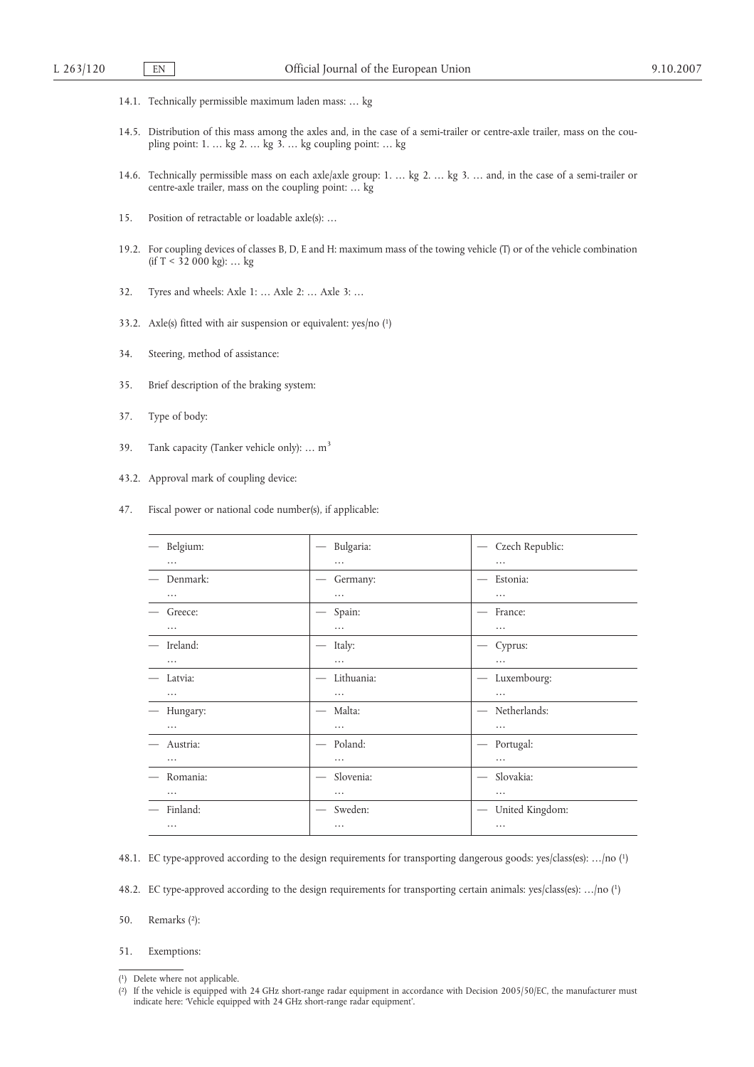- 14.1. Technically permissible maximum laden mass: … kg
- 14.5. Distribution of this mass among the axles and, in the case of a semi-trailer or centre-axle trailer, mass on the coupling point: 1. … kg 2. … kg 3. … kg coupling point: … kg
- 14.6. Technically permissible mass on each axle/axle group: 1. … kg 2. … kg 3. … and, in the case of a semi-trailer or centre-axle trailer, mass on the coupling point: … kg
- 15. Position of retractable or loadable axle(s): …
- 19.2. For coupling devices of classes B, D, E and H: maximum mass of the towing vehicle (T) or of the vehicle combination (if  $T < 32000$  kg): ... kg
- 32. Tyres and wheels: Axle 1: … Axle 2: … Axle 3: …
- 33.2. Axle(s) fitted with air suspension or equivalent: yes/no (1)
- 34. Steering, method of assistance:
- 35. Brief description of the braking system:
- 37. Type of body:
- 39. Tank capacity (Tanker vehicle only): ...  $m<sup>3</sup>$
- 43.2. Approval mark of coupling device:
- 47. Fiscal power or national code number(s), if applicable:

| Belgium: | Bulgaria:                                  | Czech Republic:<br>$\overline{\phantom{m}}$        |
|----------|--------------------------------------------|----------------------------------------------------|
| .        | $\cdots$                                   | $\cdots$                                           |
| Denmark: | Germany:                                   | Estonia:                                           |
| $\cdots$ | $\cdots$                                   | $\cdots$                                           |
| Greece:  | Spain:<br>$\qquad \qquad \longleftarrow$   | France:                                            |
| $\cdots$ | $\cdots$                                   | $\cdots$                                           |
| Ireland: | Italy:<br>$\hspace{0.1mm}-\hspace{0.1mm}$  | Cyprus:                                            |
| .        | $\cdots$                                   | .                                                  |
| Latvia:  | Lithuania:                                 | Luxembourg:<br>$\overbrace{\qquad \qquad }^{}$     |
| .        | $\cdots$                                   | .                                                  |
| Hungary: | Malta:<br>$\hspace{0.1mm}-\hspace{0.1mm}$  | Netherlands:<br>$\overline{\phantom{m}}$           |
| $\cdots$ | $\cdots$                                   | $\cdots$                                           |
| Austria: | Poland:<br>$\overline{\phantom{0}}$        | Portugal:<br>$\overline{\phantom{m}}$              |
| $\cdots$ | $\cdots$                                   | $\cdots$                                           |
| Romania: | Slovenia:<br>$\overline{\phantom{m}}$      | Slovakia:                                          |
| $\cdots$ | $\cdots$                                   | $\cdots$                                           |
| Finland: | Sweden:<br>$\hspace{0.1mm}-\hspace{0.1mm}$ | United Kingdom:<br>$\overbrace{\qquad \qquad }^{}$ |
| $\cdots$ | $\cdots$                                   | $\cdots$                                           |
|          |                                            |                                                    |

48.1. EC type-approved according to the design requirements for transporting dangerous goods: yes/class(es): …/no (1)

48.2. EC type-approved according to the design requirements for transporting certain animals: yes/class(es): …/no (1)

50. Remarks (2):

<sup>51.</sup> Exemptions:

<sup>(</sup> 1) Delete where not applicable.

<sup>(</sup> 2) If the vehicle is equipped with 24 GHz short-range radar equipment in accordance with Decision 2005/50/EC, the manufacturer must indicate here: 'Vehicle equipped with 24 GHz short-range radar equipment'.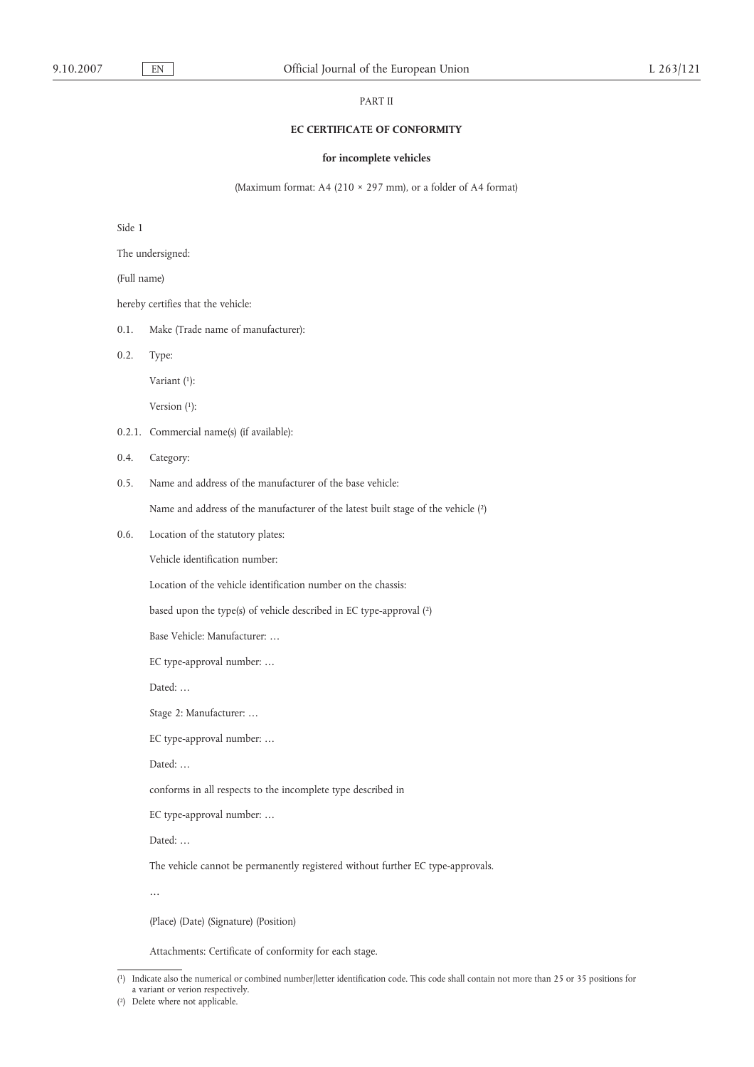### PART II

## **EC CERTIFICATE OF CONFORMITY**

### **for incomplete vehicles**

(Maximum format: A4 (210 × 297 mm), or a folder of A4 format)

Side 1

The undersigned:

(Full name)

hereby certifies that the vehicle:

0.1. Make (Trade name of manufacturer):

0.2. Type:

Variant (1):

Version (1):

- 0.2.1. Commercial name(s) (if available):
- 0.4. Category:
- 0.5. Name and address of the manufacturer of the base vehicle:

Name and address of the manufacturer of the latest built stage of the vehicle (2)

0.6. Location of the statutory plates:

Vehicle identification number:

Location of the vehicle identification number on the chassis:

based upon the type(s) of vehicle described in EC type-approval (2)

Base Vehicle: Manufacturer: …

EC type-approval number: …

Dated: …

Stage 2: Manufacturer: …

EC type-approval number: …

Dated: …

conforms in all respects to the incomplete type described in

EC type-approval number: …

Dated: …

The vehicle cannot be permanently registered without further EC type-approvals.

…

(Place) (Date) (Signature) (Position)

Attachments: Certificate of conformity for each stage.

<sup>(</sup> 1) Indicate also the numerical or combined number/letter identification code. This code shall contain not more than 25 or 35 positions for a variant or verion respectively.

<sup>(</sup> 2) Delete where not applicable.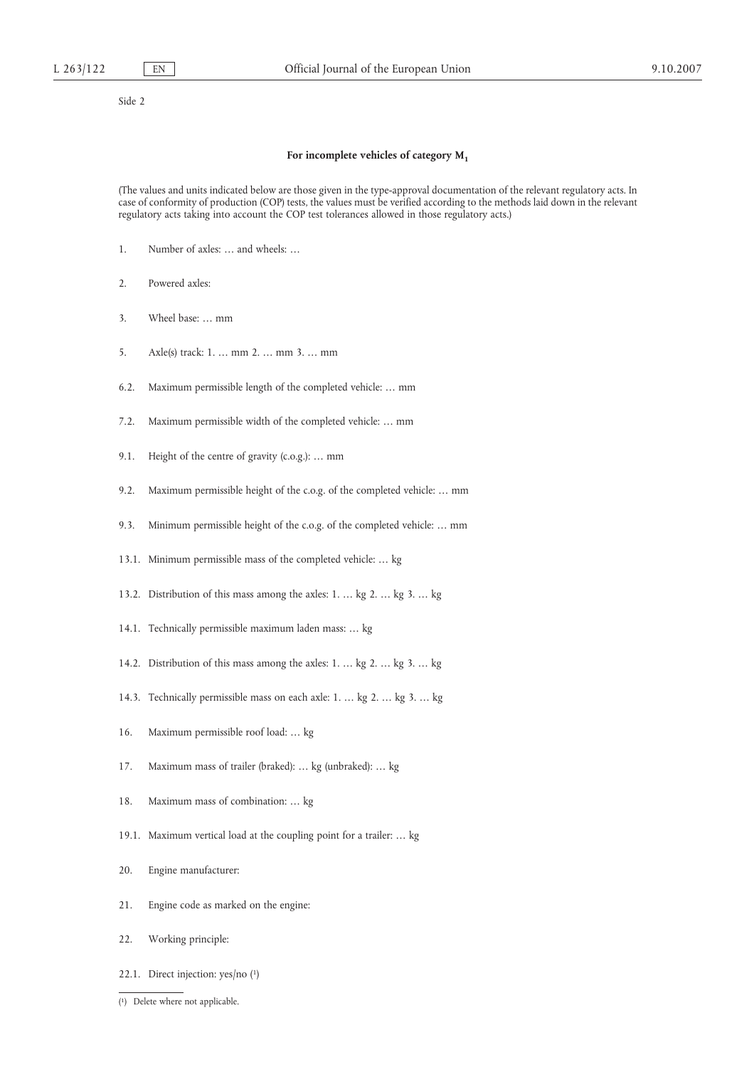Side 2

#### **For incomplete vehicles of category M1**

(The values and units indicated below are those given in the type-approval documentation of the relevant regulatory acts. In case of conformity of production (COP) tests, the values must be verified according to the methods laid down in the relevant regulatory acts taking into account the COP test tolerances allowed in those regulatory acts.)

- 1. Number of axles: … and wheels: …
- 2. Powered axles:
- 3. Wheel base: … mm
- 5. Axle(s) track: 1. … mm 2. … mm 3. … mm
- 6.2. Maximum permissible length of the completed vehicle: … mm
- 7.2. Maximum permissible width of the completed vehicle: … mm
- 9.1. Height of the centre of gravity (c.o.g.): … mm
- 9.2. Maximum permissible height of the c.o.g. of the completed vehicle: … mm
- 9.3. Minimum permissible height of the c.o.g. of the completed vehicle: … mm
- 13.1. Minimum permissible mass of the completed vehicle: … kg
- 13.2. Distribution of this mass among the axles: 1. … kg 2. … kg 3. … kg
- 14.1. Technically permissible maximum laden mass: … kg
- 14.2. Distribution of this mass among the axles: 1. … kg 2. … kg 3. … kg
- 14.3. Technically permissible mass on each axle: 1. … kg 2. … kg 3. … kg
- 16. Maximum permissible roof load: … kg
- 17. Maximum mass of trailer (braked): … kg (unbraked): … kg
- 18. Maximum mass of combination: … kg
- 19.1. Maximum vertical load at the coupling point for a trailer: … kg
- 20. Engine manufacturer:
- 21. Engine code as marked on the engine:
- 22. Working principle:
- 22.1. Direct injection: yes/no (1)
- ( 1) Delete where not applicable.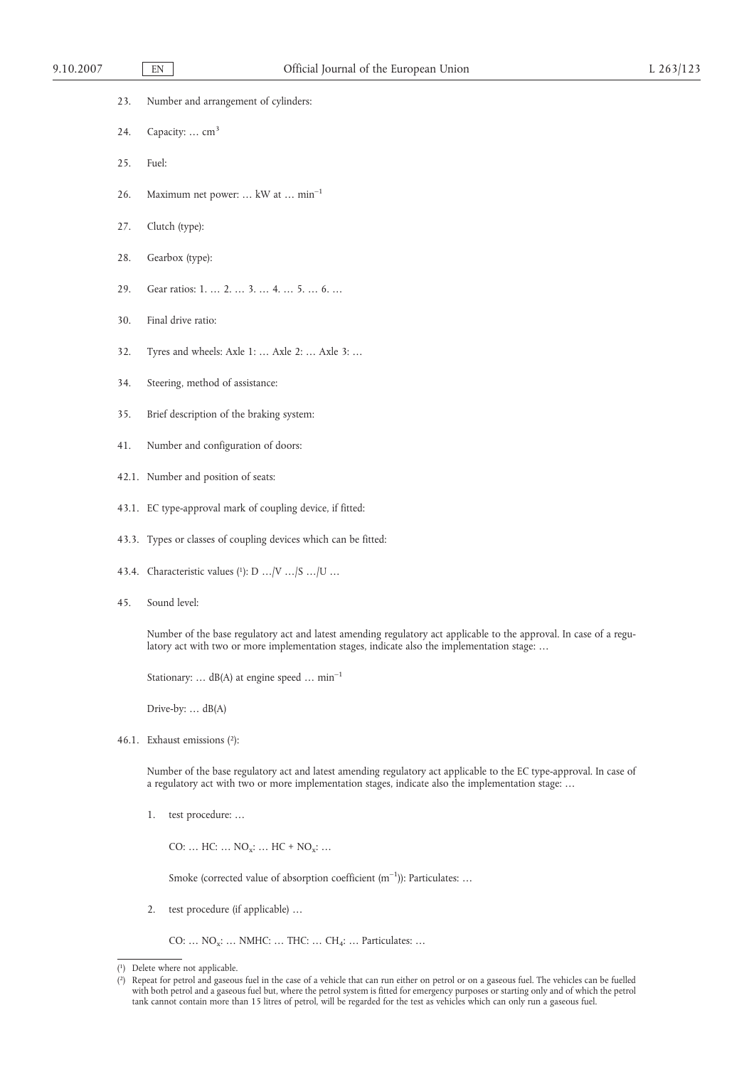- 23. Number and arrangement of cylinders:
- 24. Capacity: ...  $cm<sup>3</sup>$
- 25. Fuel:
- 26. Maximum net power: … kW at … min–1
- 27. Clutch (type):
- 28. Gearbox (type):
- 29. Gear ratios: 1. … 2. … 3. … 4. … 5. … 6. …
- 30. Final drive ratio:
- 32. Tyres and wheels: Axle 1: … Axle 2: … Axle 3: …
- 34. Steering, method of assistance:
- 35. Brief description of the braking system:
- 41. Number and configuration of doors:
- 42.1. Number and position of seats:
- 43.1. EC type-approval mark of coupling device, if fitted:
- 43.3. Types or classes of coupling devices which can be fitted:
- 43.4. Characteristic values (1): D …/V …/S …/U …
- 45. Sound level:

Number of the base regulatory act and latest amending regulatory act applicable to the approval. In case of a regulatory act with two or more implementation stages, indicate also the implementation stage: …

Stationary: ...  $dB(A)$  at engine speed ...  $min^{-1}$ 

Drive-by: … dB(A)

46.1. Exhaust emissions (2):

Number of the base regulatory act and latest amending regulatory act applicable to the EC type-approval. In case of a regulatory act with two or more implementation stages, indicate also the implementation stage: …

1. test procedure: …

CO: ...  $HC: ... NO_x: ... HC + NO_x: ...$ 

Smoke (corrected value of absorption coefficient  $(m^{-1})$ ): Particulates: ...

2. test procedure (if applicable) …

CO: ...  $NO_x$ : ... NMHC: ... THC: ... CH<sub>4</sub>: ... Particulates: ...

<sup>(</sup> 1) Delete where not applicable.

 $(2)$ 2) Repeat for petrol and gaseous fuel in the case of a vehicle that can run either on petrol or on a gaseous fuel. The vehicles can be fuelled with both petrol and a gaseous fuel but, where the petrol system is fitted for emergency purposes or starting only and of which the petrol tank cannot contain more than 15 litres of petrol, will be regarded for the test as vehicles which can only run a gaseous fuel.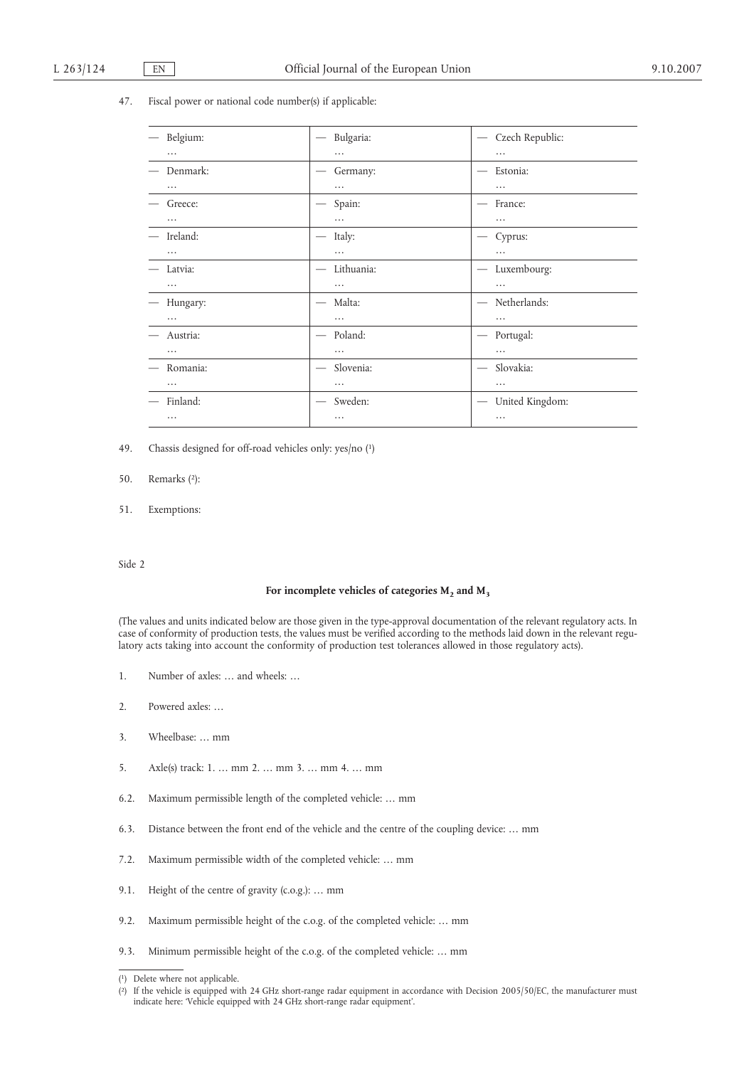#### 47. Fiscal power or national code number(s) if applicable:

| Belgium: | Bulgaria:                                 | Czech Republic:<br>$\hspace{0.05cm}$             |
|----------|-------------------------------------------|--------------------------------------------------|
| .        | .                                         |                                                  |
| Denmark: | Germany:                                  | Estonia:                                         |
| .        | $\cdots$                                  | .                                                |
| Greece:  | Spain:                                    | France:                                          |
| .        | $\cdots$                                  |                                                  |
| Ireland: | Italy:<br>$\hspace{0.1mm}-\hspace{0.1mm}$ | Cyprus:                                          |
| $\cdots$ | $\cdots$                                  | $\cdots$                                         |
| Latvia:  | Lithuania:<br>$\overline{\phantom{m}}$    | Luxembourg:<br>$\hspace{0.05cm}$                 |
| $\cdots$ | $\cdots$                                  |                                                  |
| Hungary: | Malta:<br>$\hspace{0.1mm}-\hspace{0.1mm}$ | Netherlands:                                     |
| $\cdots$ | .                                         |                                                  |
| Austria: | Poland:<br>$\overline{\phantom{m}}$       | Portugal:<br>$\hspace{0.1mm}-\hspace{0.1mm}$     |
| $\cdots$ | .                                         |                                                  |
| Romania: | Slovenia:<br>$\overline{\phantom{m}}$     | Slovakia:<br>$\hspace{0.1mm}-\hspace{0.1mm}$     |
| $\cdots$ | .                                         | $\cdots$                                         |
| Finland: | Sweden:                                   | United Kingdom:<br>$\overbrace{\phantom{12332}}$ |
| $\cdots$ | .                                         |                                                  |

49. Chassis designed for off-road vehicles only: yes/no (1)

### 50. Remarks (2):

51. Exemptions:

#### Side 2

### For incomplete vehicles of categories  $M_2$  and  $M_3$

(The values and units indicated below are those given in the type-approval documentation of the relevant regulatory acts. In case of conformity of production tests, the values must be verified according to the methods laid down in the relevant regulatory acts taking into account the conformity of production test tolerances allowed in those regulatory acts).

- 1. Number of axles: … and wheels: …
- 2. Powered axles: …
- 3. Wheelbase: … mm
- 5. Axle(s) track: 1. … mm 2. … mm 3. … mm 4. … mm
- 6.2. Maximum permissible length of the completed vehicle: … mm
- 6.3. Distance between the front end of the vehicle and the centre of the coupling device: … mm
- 7.2. Maximum permissible width of the completed vehicle: … mm
- 9.1. Height of the centre of gravity (c.o.g.): … mm
- 9.2. Maximum permissible height of the c.o.g. of the completed vehicle: … mm
- 9.3. Minimum permissible height of the c.o.g. of the completed vehicle: … mm

<sup>(</sup> 1) Delete where not applicable.

<sup>(</sup> 2) If the vehicle is equipped with 24 GHz short-range radar equipment in accordance with Decision 2005/50/EC, the manufacturer must indicate here: 'Vehicle equipped with 24 GHz short-range radar equipment'.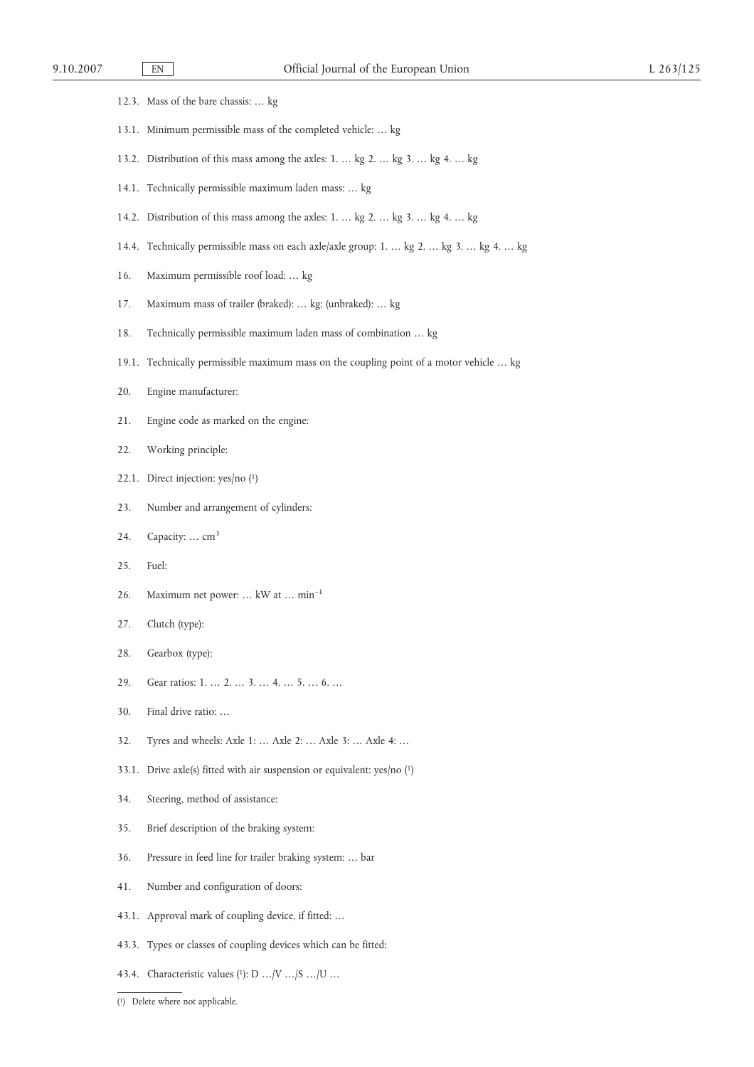|       | 12.3. Mass of the bare chassis:  kg                                                     |
|-------|-----------------------------------------------------------------------------------------|
|       | 13.1. Minimum permissible mass of the completed vehicle:  kg                            |
|       | 13.2. Distribution of this mass among the axles: 1.  kg 2.  kg 3.  kg 4.  kg            |
| 14.1. | Technically permissible maximum laden mass:  kg                                         |
|       | 14.2. Distribution of this mass among the axles: 1.  kg 2.  kg 3.  kg 4.  kg            |
|       | 14.4. Technically permissible mass on each axle/axle group: 1.  kg 2.  kg 3.  kg 4.  kg |
| 16.   | Maximum permissible roof load:  kg                                                      |
| 17.   | Maximum mass of trailer (braked):  kg; (unbraked):  kg                                  |
| 18.   | Technically permissible maximum laden mass of combination  kg                           |
| 19.1. | Technically permissible maximum mass on the coupling point of a motor vehicle  kg       |
| 20.   | Engine manufacturer:                                                                    |
| 21.   | Engine code as marked on the engine:                                                    |
| 22.   | Working principle:                                                                      |
| 22.1. | Direct injection: $yes/no$ (1)                                                          |
| 23.   | Number and arrangement of cylinders:                                                    |
| 24.   | Capacity:  cm <sup>3</sup>                                                              |
| 25.   | Fuel:                                                                                   |
| 26.   | Maximum net power:  kW at  min <sup>-1</sup>                                            |
| 27.   | Clutch (type):                                                                          |
| 28.   | Gearbox (type):                                                                         |
| 29.   | Gear ratios: 1.  2.  3.  4.  5.  6.                                                     |
| 30.   | Final drive ratio:                                                                      |
| 32.   | Tyres and wheels: Axle 1:  Axle 2:  Axle 3:  Axle 4:                                    |
|       | 33.1. Drive axle(s) fitted with air suspension or equivalent: $yes/no(1)$               |
| 34.   | Steering, method of assistance:                                                         |
| 35.   | Brief description of the braking system:                                                |
| 36.   | Pressure in feed line for trailer braking system:  bar                                  |
| 41.   | Number and configuration of doors:                                                      |
| 43.1. | Approval mark of coupling device, if fitted:                                            |
|       | 43.3. Types or classes of coupling devices which can be fitted:                         |

43.4. Characteristic values (1): D  $\ldots\!/\!\!\,{\rm V}\ldots\!/\!\!\,{\rm S}\ldots\!/\!\!\,{\rm U}\ldots$ 

<sup>(</sup> 1) Delete where not applicable.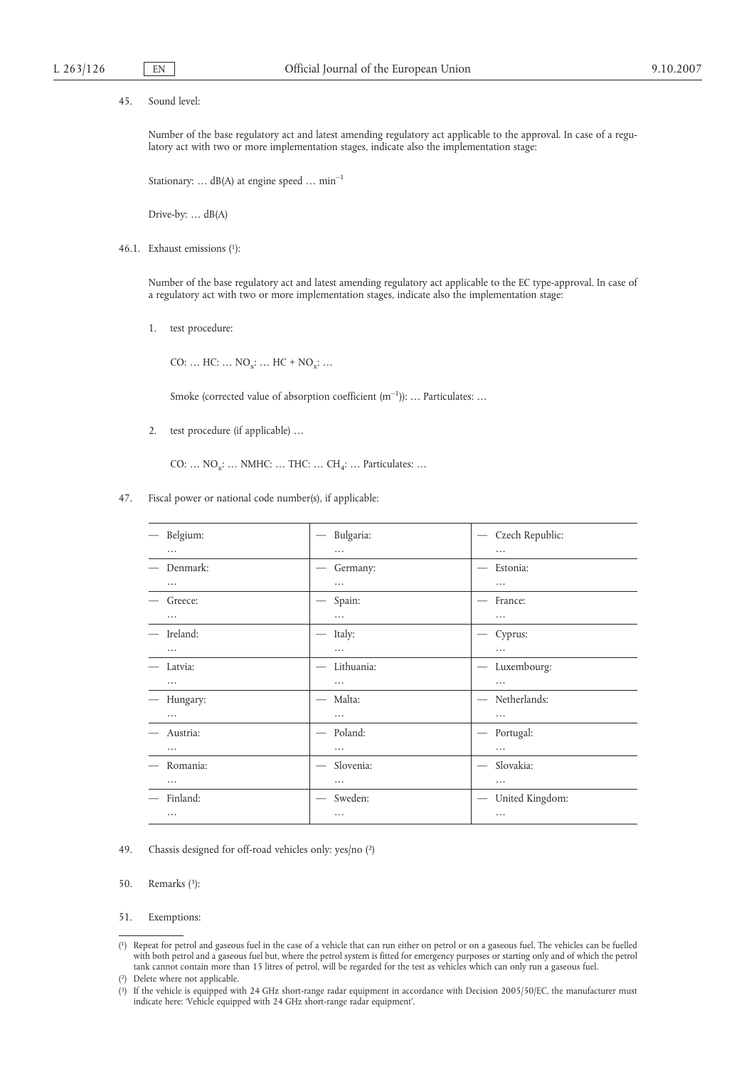45. Sound level:

Number of the base regulatory act and latest amending regulatory act applicable to the approval. In case of a regulatory act with two or more implementation stages, indicate also the implementation stage:

Stationary: ... dB(A) at engine speed ...  $min^{-1}$ 

Drive-by: … dB(A)

46.1. Exhaust emissions (1):

Number of the base regulatory act and latest amending regulatory act applicable to the EC type-approval. In case of a regulatory act with two or more implementation stages, indicate also the implementation stage:

1. test procedure:

CO: ...  $HC: ... NO_x: ... HC + NO_x: ...$ 

Smoke (corrected value of absorption coefficient  $(m^{-1})$ ): ... Particulates: ...

2. test procedure (if applicable) …

CO: ...  $NO_x$ : ... NMHC: ... THC: ... CH<sub>4</sub>: ... Particulates: ...

47. Fiscal power or national code number(s), if applicable:

| Belgium: | Bulgaria:                                     | Czech Republic:<br>$\hspace{0.1mm}-\hspace{0.1mm}$ |
|----------|-----------------------------------------------|----------------------------------------------------|
| $\cdots$ | $\cdots$                                      |                                                    |
| Denmark: | Germany:                                      | Estonia:<br>$\overline{\phantom{0}}$               |
| $\cdots$ | $\cdots$                                      | $\cdots$                                           |
| Greece:  | Spain:<br>$\qquad \qquad$                     | France:<br>$\overbrace{\qquad \qquad }^{}$         |
| $\cdots$ | $\cdots$                                      | $\cdots$                                           |
| Ireland: | Italy:                                        | Cyprus:                                            |
| $\cdots$ | $\cdots$                                      |                                                    |
| Latvia:  | Lithuania:<br>$\overbrace{\qquad \qquad }^{}$ | Luxembourg:<br>$\hspace{0.1mm}-\hspace{0.1mm}$     |
| $\cdots$ | $\cdots$                                      |                                                    |
| Hungary: | Malta:<br>$\qquad \qquad$                     | Netherlands:<br>$\overbrace{\qquad \qquad }^{}$    |
| $\cdots$ | $\cdots$                                      | $\cdots$                                           |
| Austria: | Poland:<br>$\overline{\phantom{m}}$           | Portugal:<br>$\hspace{0.05cm}$                     |
| $\cdots$ | $\cdots$                                      |                                                    |
| Romania: | Slovenia:<br>$\overline{\phantom{m}}$         | Slovakia:<br>$\overline{\phantom{m}}$              |
| $\cdots$ | $\cdots$                                      |                                                    |
| Finland: | Sweden:                                       | United Kingdom:<br>$\overline{\phantom{m}}$        |
| $\cdots$ | $\cdots$                                      |                                                    |

- 49. Chassis designed for off-road vehicles only: yes/no (2)
- 50. Remarks (3):

<sup>51.</sup> Exemptions:

<sup>(</sup> 1) Repeat for petrol and gaseous fuel in the case of a vehicle that can run either on petrol or on a gaseous fuel. The vehicles can be fuelled with both petrol and a gaseous fuel but, where the petrol system is fitted for emergency purposes or starting only and of which the petrol tank cannot contain more than 15 litres of petrol, will be regarded for the test as vehicles which can only run a gaseous fuel.

<sup>(</sup> 2) Delete where not applicable.

<sup>(</sup> 3) If the vehicle is equipped with 24 GHz short-range radar equipment in accordance with Decision 2005/50/EC, the manufacturer must indicate here: 'Vehicle equipped with 24 GHz short-range radar equipment'.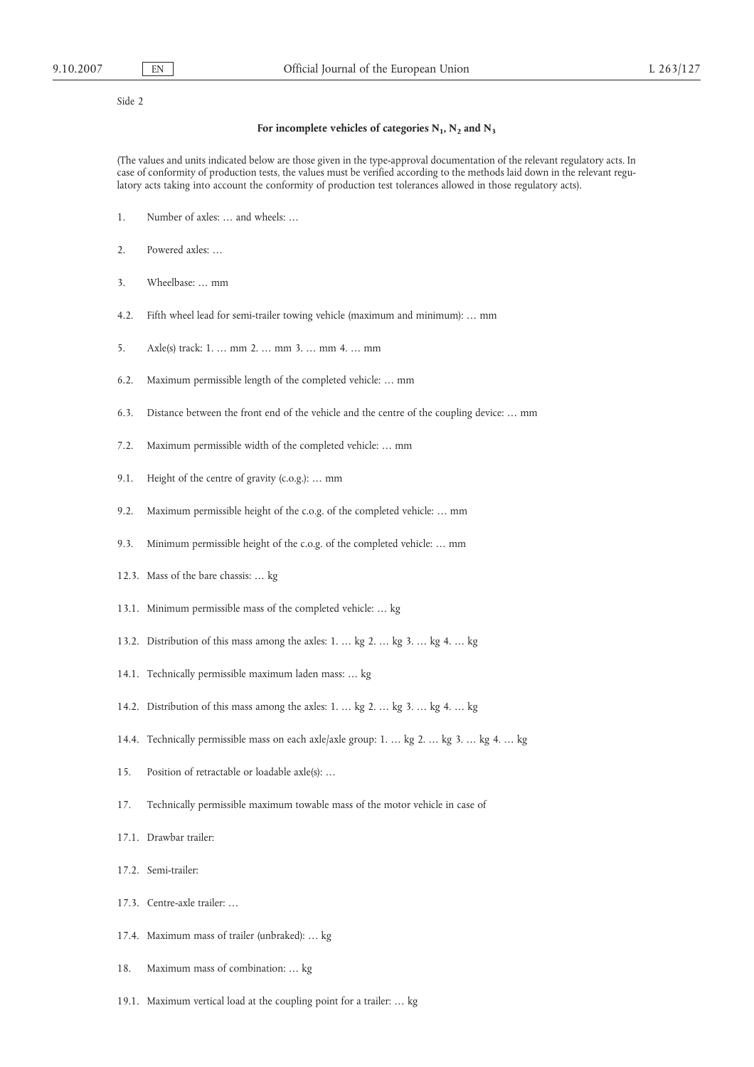Side 2

#### For incomplete vehicles of categories  $N_1$ ,  $N_2$  and  $N_3$

(The values and units indicated below are those given in the type-approval documentation of the relevant regulatory acts. In case of conformity of production tests, the values must be verified according to the methods laid down in the relevant regulatory acts taking into account the conformity of production test tolerances allowed in those regulatory acts).

- 1. Number of axles: … and wheels: …
- 2. Powered axles: …
- 3. Wheelbase: … mm
- 4.2. Fifth wheel lead for semi-trailer towing vehicle (maximum and minimum): … mm
- 5. Axle(s) track: 1. … mm 2. … mm 3. … mm 4. … mm
- 6.2. Maximum permissible length of the completed vehicle: … mm
- 6.3. Distance between the front end of the vehicle and the centre of the coupling device: … mm
- 7.2. Maximum permissible width of the completed vehicle: … mm
- 9.1. Height of the centre of gravity (c.o.g.): … mm
- 9.2. Maximum permissible height of the c.o.g. of the completed vehicle: … mm
- 9.3. Minimum permissible height of the c.o.g. of the completed vehicle: ... mm
- 12.3. Mass of the bare chassis: … kg
- 13.1. Minimum permissible mass of the completed vehicle: … kg
- 13.2. Distribution of this mass among the axles: 1. … kg 2. … kg 3. … kg 4. … kg
- 14.1. Technically permissible maximum laden mass: … kg
- 14.2. Distribution of this mass among the axles: 1. … kg 2. … kg 3. … kg 4. … kg
- 14.4. Technically permissible mass on each axle/axle group: 1. … kg 2. … kg 3. … kg 4. … kg
- 15. Position of retractable or loadable axle(s): …
- 17. Technically permissible maximum towable mass of the motor vehicle in case of
- 17.1. Drawbar trailer:
- 17.2. Semi-trailer:
- 17.3. Centre-axle trailer: …
- 17.4. Maximum mass of trailer (unbraked): … kg
- 18. Maximum mass of combination: … kg
- 19.1. Maximum vertical load at the coupling point for a trailer: … kg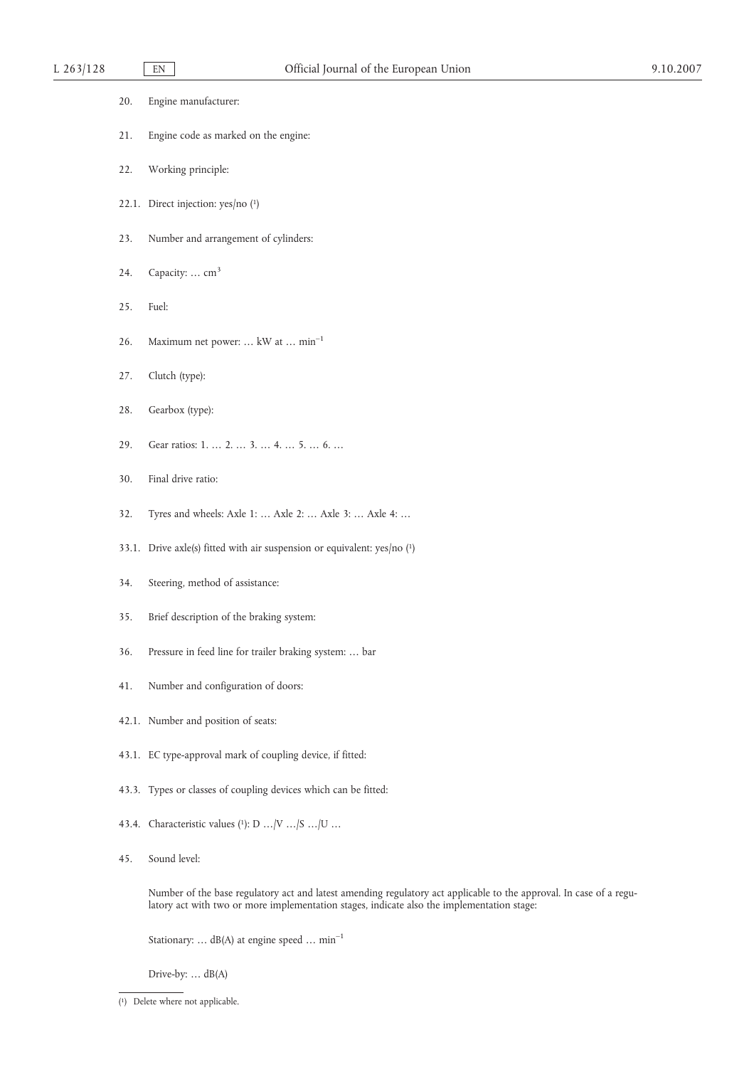| 20. | Engine manufacturer:                                                                                                                                                                                              |
|-----|-------------------------------------------------------------------------------------------------------------------------------------------------------------------------------------------------------------------|
| 21. | Engine code as marked on the engine:                                                                                                                                                                              |
| 22. | Working principle:                                                                                                                                                                                                |
|     | 22.1. Direct injection: yes/no (1)                                                                                                                                                                                |
| 23. | Number and arrangement of cylinders:                                                                                                                                                                              |
| 24. | Capacity:  cm <sup>3</sup>                                                                                                                                                                                        |
| 25. | Fuel:                                                                                                                                                                                                             |
| 26. | Maximum net power:  kW at  min <sup>-1</sup>                                                                                                                                                                      |
| 27. | Clutch (type):                                                                                                                                                                                                    |
| 28. | Gearbox (type):                                                                                                                                                                                                   |
| 29. | Gear ratios: 1.  2.  3.  4.  5.  6.                                                                                                                                                                               |
| 30. | Final drive ratio:                                                                                                                                                                                                |
| 32. | Tyres and wheels: Axle 1:  Axle 2:  Axle 3:  Axle 4:                                                                                                                                                              |
|     | 33.1. Drive axle(s) fitted with air suspension or equivalent: yes/no (1)                                                                                                                                          |
| 34. | Steering, method of assistance:                                                                                                                                                                                   |
| 35. | Brief description of the braking system:                                                                                                                                                                          |
| 36. | Pressure in feed line for trailer braking system:  bar                                                                                                                                                            |
| 41. | Number and configuration of doors:                                                                                                                                                                                |
|     | 42.1. Number and position of seats:                                                                                                                                                                               |
|     | 43.1. EC type-approval mark of coupling device, if fitted:                                                                                                                                                        |
|     | 43.3. Types or classes of coupling devices which can be fitted:                                                                                                                                                   |
|     | 43.4. Characteristic values (1): D    V    S    U                                                                                                                                                                 |
| 45. | Sound level:                                                                                                                                                                                                      |
|     | Number of the base regulatory act and latest amending regulatory act applicable to the approval. In case of a regu-<br>latory act with two or more implementation stages, indicate also the implementation stage: |

Stationary:  $\ldots$  dB(A) at engine speed  $\ldots$   $\min^{-1}$ 

Drive-by: … dB(A)

<sup>(</sup> 1) Delete where not applicable.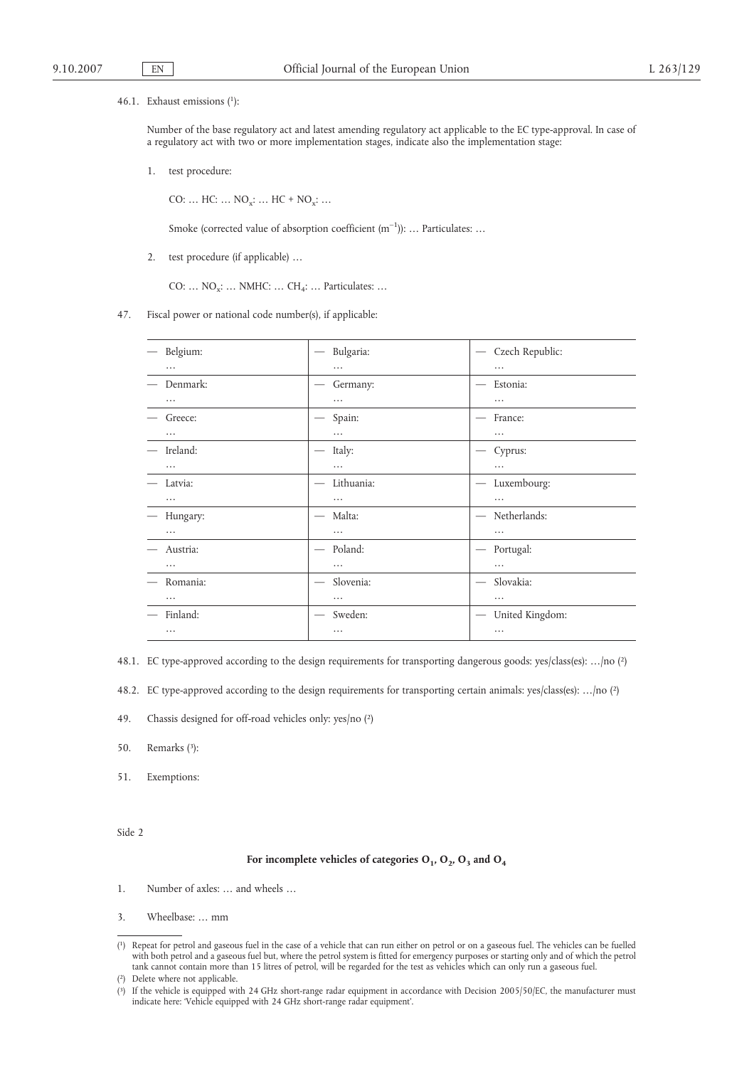#### 46.1. Exhaust emissions (1):

Number of the base regulatory act and latest amending regulatory act applicable to the EC type-approval. In case of a regulatory act with two or more implementation stages, indicate also the implementation stage:

1. test procedure:

CO: ...  $HC: ... NO_x: ... HC + NO_x: ...$ 

Smoke (corrected value of absorption coefficient (m<sup>-1</sup>)): ... Particulates: ...

2. test procedure (if applicable) …

CO: ...  $NO_x$ : ... NMHC: ...  $CH_4$ : ... Particulates: ...

47. Fiscal power or national code number(s), if applicable:

| Belgium: | Bulgaria:                                    | Czech Republic:<br>$\overline{\phantom{m}}$        |
|----------|----------------------------------------------|----------------------------------------------------|
| $\cdots$ | $\cdots$                                     | $\cdots$                                           |
| Denmark: | Germany:                                     | Estonia:                                           |
| $\cdots$ | .                                            | .                                                  |
| Greece:  | Spain:                                       | France:                                            |
| $\cdots$ | .                                            | .                                                  |
| Ireland: | Italy:                                       | Cyprus:                                            |
| $\cdots$ | $\cdots$                                     | .                                                  |
| Latvia:  | Lithuania:                                   | Luxembourg:                                        |
| $\cdots$ | .                                            | .                                                  |
| Hungary: | Malta:                                       | Netherlands:                                       |
| $\cdots$ | $\cdots$                                     | $\cdots$                                           |
| Austria: | Poland:<br>$\overline{\phantom{m}}$          | Portugal:<br>$\hspace{0.05cm}$                     |
| $\cdots$ | $\cdots$                                     | $\cdots$                                           |
| Romania: | Slovenia:<br>$\hspace{0.1mm}-\hspace{0.1mm}$ | Slovakia:<br>$\hspace{0.1mm}-\hspace{0.1mm}$       |
| $\cdots$ | $\cdots$                                     |                                                    |
| Finland: | Sweden:<br>$\hspace{0.1mm}-\hspace{0.1mm}$   | United Kingdom:<br>$\hspace{0.1mm}-\hspace{0.1mm}$ |
| $\cdots$ | $\cdots$                                     | $\cdots$                                           |

48.1. EC type-approved according to the design requirements for transporting dangerous goods: yes/class(es): …/no (2)

48.2. EC type-approved according to the design requirements for transporting certain animals: yes/class(es): …/no (2)

- 49. Chassis designed for off-road vehicles only: yes/no (2)
- 50. Remarks (3):
- 51. Exemptions:

Side 2

#### For incomplete vehicles of categories  $O_1$ ,  $O_2$ ,  $O_3$  and  $O_4$

- 1. Number of axles: … and wheels …
- 3. Wheelbase: … mm

<sup>(</sup> 1) Repeat for petrol and gaseous fuel in the case of a vehicle that can run either on petrol or on a gaseous fuel. The vehicles can be fuelled with both petrol and a gaseous fuel but, where the petrol system is fitted for emergency purposes or starting only and of which the petrol tank cannot contain more than 15 litres of petrol, will be regarded for the test as vehicles which can only run a gaseous fuel.

<sup>(</sup> 2) Delete where not applicable.

<sup>(</sup> 3) If the vehicle is equipped with 24 GHz short-range radar equipment in accordance with Decision 2005/50/EC, the manufacturer must indicate here: 'Vehicle equipped with 24 GHz short-range radar equipment'.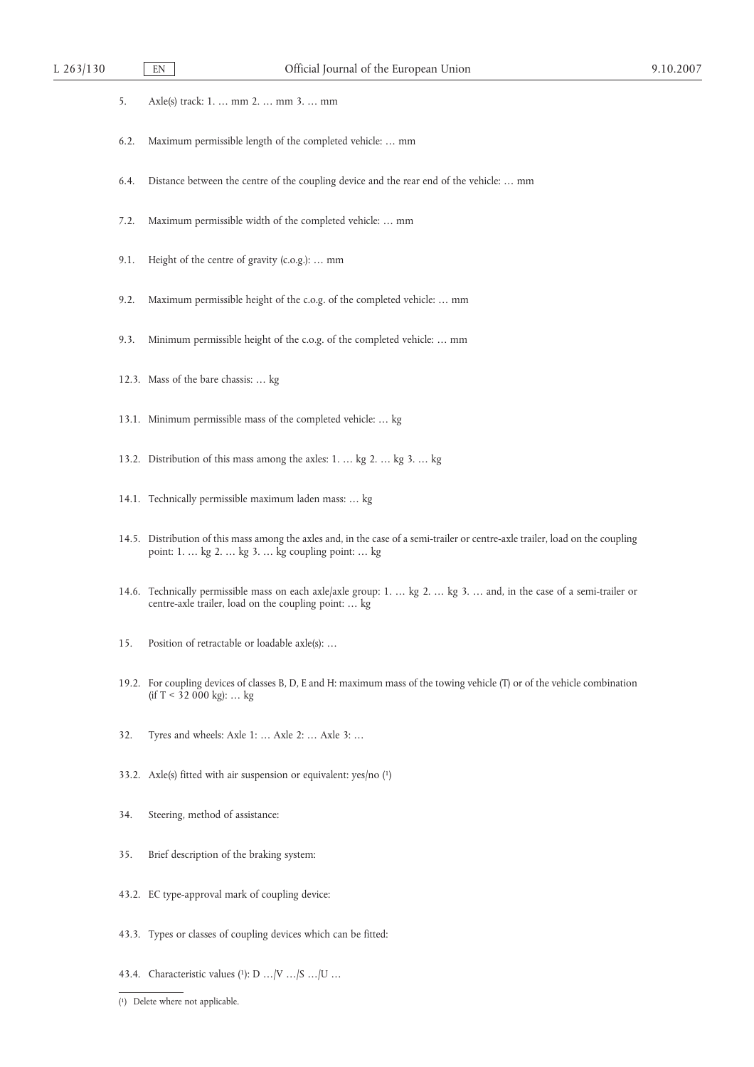- 5. Axle(s) track: 1. … mm 2. … mm 3. … mm
- 6.2. Maximum permissible length of the completed vehicle: … mm
- 6.4. Distance between the centre of the coupling device and the rear end of the vehicle: … mm
- 7.2. Maximum permissible width of the completed vehicle: … mm
- 9.1. Height of the centre of gravity (c.o.g.): … mm
- 9.2. Maximum permissible height of the c.o.g. of the completed vehicle: … mm
- 9.3. Minimum permissible height of the c.o.g. of the completed vehicle: … mm
- 12.3. Mass of the bare chassis: … kg
- 13.1. Minimum permissible mass of the completed vehicle: … kg
- 13.2. Distribution of this mass among the axles: 1. … kg 2. … kg 3. … kg
- 14.1. Technically permissible maximum laden mass: … kg
- 14.5. Distribution of this mass among the axles and, in the case of a semi-trailer or centre-axle trailer, load on the coupling point: 1. … kg 2. … kg 3. … kg coupling point: … kg
- 14.6. Technically permissible mass on each axle/axle group: 1. … kg 2. … kg 3. … and, in the case of a semi-trailer or centre-axle trailer, load on the coupling point: … kg
- 15. Position of retractable or loadable axle(s): …
- 19.2. For coupling devices of classes B, D, E and H: maximum mass of the towing vehicle (T) or of the vehicle combination (if  $T < 32000$  kg): ... kg
- 32. Tyres and wheels: Axle 1: … Axle 2: … Axle 3: …
- 33.2. Axle(s) fitted with air suspension or equivalent: yes/no (1)
- 34. Steering, method of assistance:
- 35. Brief description of the braking system:
- 43.2. EC type-approval mark of coupling device:
- 43.3. Types or classes of coupling devices which can be fitted:
- 43.4. Characteristic values (1): D …/V …/S …/U …
- ( 1) Delete where not applicable.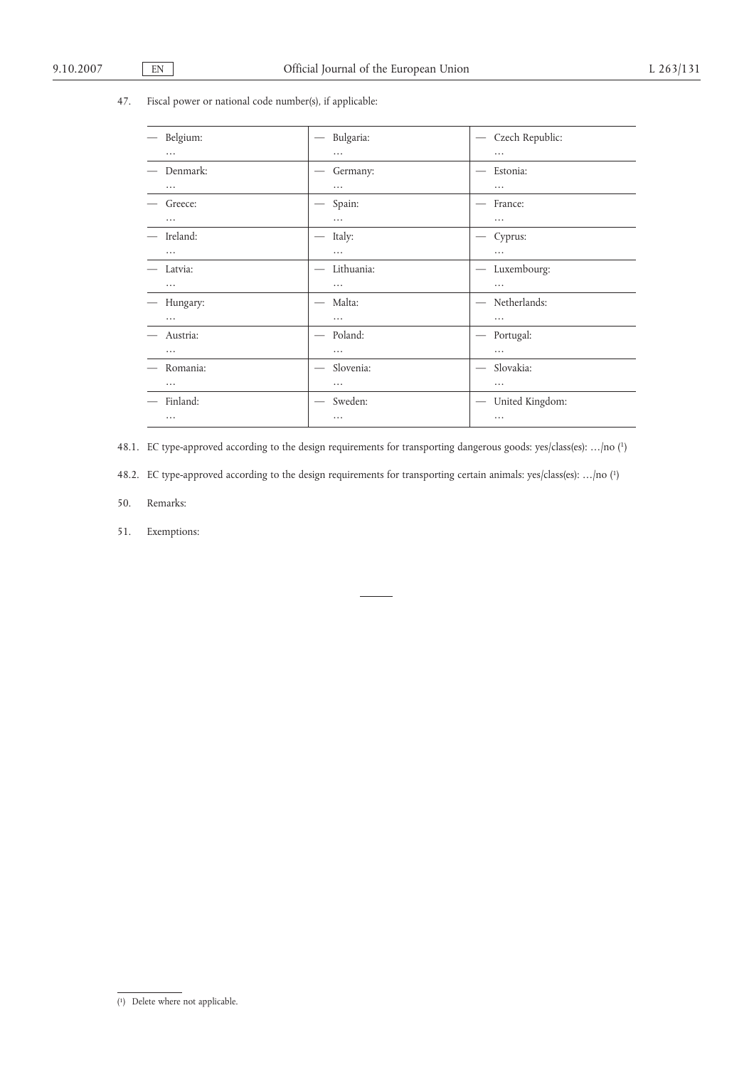# 47. Fiscal power or national code number(s), if applicable:

| Belgium: | Bulgaria:<br>$\hspace{0.1mm}-\hspace{0.1mm}$   | Czech Republic:<br>$\hspace{0.1mm}-\hspace{0.1mm}$ |
|----------|------------------------------------------------|----------------------------------------------------|
| .        | $\cdots$                                       | $\cdots$                                           |
| Denmark: | Germany:                                       | Estonia:                                           |
| .        | $\cdots$                                       | $\cdots$                                           |
| Greece:  | Spain:                                         | France:                                            |
| $\cdots$ | $\cdots$                                       | $\cdots$                                           |
| Ireland: | Italy:                                         | Cyprus:                                            |
| $\cdots$ | $\cdots$                                       | $\cdots$                                           |
| Latvia:  | Lithuania:<br>$\overbrace{\phantom{aaaaa}}^{}$ | Luxembourg:                                        |
| $\cdots$ | $\cdots$                                       | $\cdots$                                           |
| Hungary: | Malta:                                         | Netherlands:<br>$\overline{\phantom{m}}$           |
| $\cdots$ | $\cdots$                                       |                                                    |
| Austria: | Poland:<br>$\overline{\phantom{m}}$            | Portugal:<br>$\hspace{0.1mm}-\hspace{0.1mm}$       |
| $\cdots$ | $\cdots$                                       | $\cdots$                                           |
| Romania: | Slovenia:<br>$\qquad \qquad$                   | Slovakia:                                          |
| $\cdots$ | $\cdots$                                       | $\cdots$                                           |
| Finland: | Sweden:                                        | United Kingdom:                                    |
| $\cdots$ | $\cdots$                                       | $\cdots$                                           |

48.1. EC type-approved according to the design requirements for transporting dangerous goods: yes/class(es): …/no (1)

48.2. EC type-approved according to the design requirements for transporting certain animals: yes/class(es): …/no (1)

- 50. Remarks:
- 51. Exemptions:

<sup>(</sup> 1) Delete where not applicable.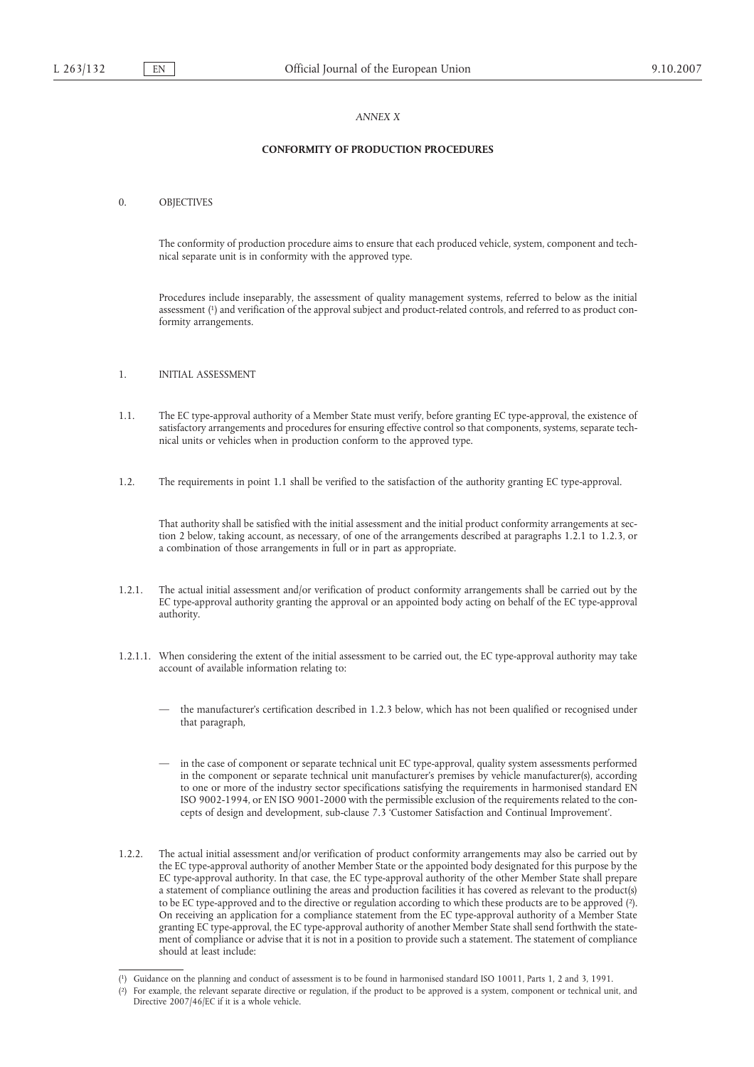#### *ANNEX X*

#### **CONFORMITY OF PRODUCTION PROCEDURES**

0. OBJECTIVES

The conformity of production procedure aims to ensure that each produced vehicle, system, component and technical separate unit is in conformity with the approved type.

Procedures include inseparably, the assessment of quality management systems, referred to below as the initial assessment (1) and verification of the approval subject and product-related controls, and referred to as product conformity arrangements.

- 1. INITIAL ASSESSMENT
- 1.1. The EC type-approval authority of a Member State must verify, before granting EC type-approval, the existence of satisfactory arrangements and procedures for ensuring effective control so that components, systems, separate technical units or vehicles when in production conform to the approved type.
- 1.2. The requirements in point 1.1 shall be verified to the satisfaction of the authority granting EC type-approval.

That authority shall be satisfied with the initial assessment and the initial product conformity arrangements at section 2 below, taking account, as necessary, of one of the arrangements described at paragraphs 1.2.1 to 1.2.3, or a combination of those arrangements in full or in part as appropriate.

- 1.2.1. The actual initial assessment and/or verification of product conformity arrangements shall be carried out by the EC type-approval authority granting the approval or an appointed body acting on behalf of the EC type-approval authority.
- 1.2.1.1. When considering the extent of the initial assessment to be carried out, the EC type-approval authority may take account of available information relating to:
	- the manufacturer's certification described in 1.2.3 below, which has not been qualified or recognised under that paragraph,
	- in the case of component or separate technical unit EC type-approval, quality system assessments performed in the component or separate technical unit manufacturer's premises by vehicle manufacturer(s), according to one or more of the industry sector specifications satisfying the requirements in harmonised standard EN ISO 9002-1994, or EN ISO 9001-2000 with the permissible exclusion of the requirements related to the concepts of design and development, sub-clause 7.3 'Customer Satisfaction and Continual Improvement'.
- 1.2.2. The actual initial assessment and/or verification of product conformity arrangements may also be carried out by the EC type-approval authority of another Member State or the appointed body designated for this purpose by the EC type-approval authority. In that case, the EC type-approval authority of the other Member State shall prepare a statement of compliance outlining the areas and production facilities it has covered as relevant to the product(s) to be EC type-approved and to the directive or regulation according to which these products are to be approved (2). On receiving an application for a compliance statement from the EC type-approval authority of a Member State granting EC type-approval, the EC type-approval authority of another Member State shall send forthwith the statement of compliance or advise that it is not in a position to provide such a statement. The statement of compliance should at least include:

<sup>(</sup> 1) Guidance on the planning and conduct of assessment is to be found in harmonised standard ISO 10011, Parts 1, 2 and 3, 1991.

<sup>(</sup> 2) For example, the relevant separate directive or regulation, if the product to be approved is a system, component or technical unit, and Directive 2007/46/EC if it is a whole vehicle.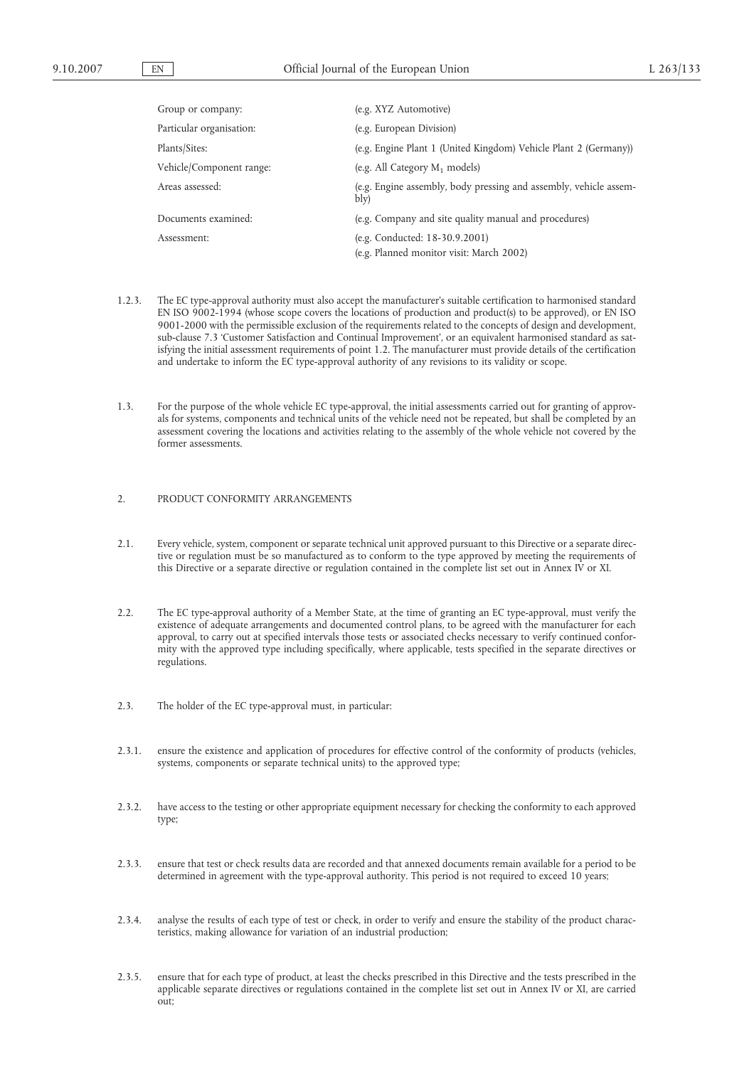| Group or company:        | (e.g. XYZ Automotive)                                                      |
|--------------------------|----------------------------------------------------------------------------|
| Particular organisation: | (e.g. European Division)                                                   |
| Plants/Sites:            | (e.g. Engine Plant 1 (United Kingdom) Vehicle Plant 2 (Germany))           |
| Vehicle/Component range: | (e.g. All Category $M_1$ models)                                           |
| Areas assessed:          | (e.g. Engine assembly, body pressing and assembly, vehicle assem-<br>bly)  |
| Documents examined:      | (e.g. Company and site quality manual and procedures)                      |
| Assessment:              | (e.g. Conducted: 18-30.9.2001)<br>(e.g. Planned monitor visit: March 2002) |

- 1.2.3. The EC type-approval authority must also accept the manufacturer's suitable certification to harmonised standard EN ISO 9002-1994 (whose scope covers the locations of production and product(s) to be approved), or EN ISO 9001-2000 with the permissible exclusion of the requirements related to the concepts of design and development, sub-clause 7.3 'Customer Satisfaction and Continual Improvement', or an equivalent harmonised standard as satisfying the initial assessment requirements of point 1.2. The manufacturer must provide details of the certification and undertake to inform the EC type-approval authority of any revisions to its validity or scope.
- 1.3. For the purpose of the whole vehicle EC type-approval, the initial assessments carried out for granting of approvals for systems, components and technical units of the vehicle need not be repeated, but shall be completed by an assessment covering the locations and activities relating to the assembly of the whole vehicle not covered by the former assessments.

#### 2. PRODUCT CONFORMITY ARRANGEMENTS

- 2.1. Every vehicle, system, component or separate technical unit approved pursuant to this Directive or a separate directive or regulation must be so manufactured as to conform to the type approved by meeting the requirements of this Directive or a separate directive or regulation contained in the complete list set out in Annex IV or XI.
- 2.2. The EC type-approval authority of a Member State, at the time of granting an EC type-approval, must verify the existence of adequate arrangements and documented control plans, to be agreed with the manufacturer for each approval, to carry out at specified intervals those tests or associated checks necessary to verify continued conformity with the approved type including specifically, where applicable, tests specified in the separate directives or regulations.
- 2.3. The holder of the EC type-approval must, in particular:
- 2.3.1. ensure the existence and application of procedures for effective control of the conformity of products (vehicles, systems, components or separate technical units) to the approved type;
- 2.3.2. have access to the testing or other appropriate equipment necessary for checking the conformity to each approved type;
- 2.3.3. ensure that test or check results data are recorded and that annexed documents remain available for a period to be determined in agreement with the type-approval authority. This period is not required to exceed 10 years;
- 2.3.4. analyse the results of each type of test or check, in order to verify and ensure the stability of the product characteristics, making allowance for variation of an industrial production;
- 2.3.5. ensure that for each type of product, at least the checks prescribed in this Directive and the tests prescribed in the applicable separate directives or regulations contained in the complete list set out in Annex IV or XI, are carried out;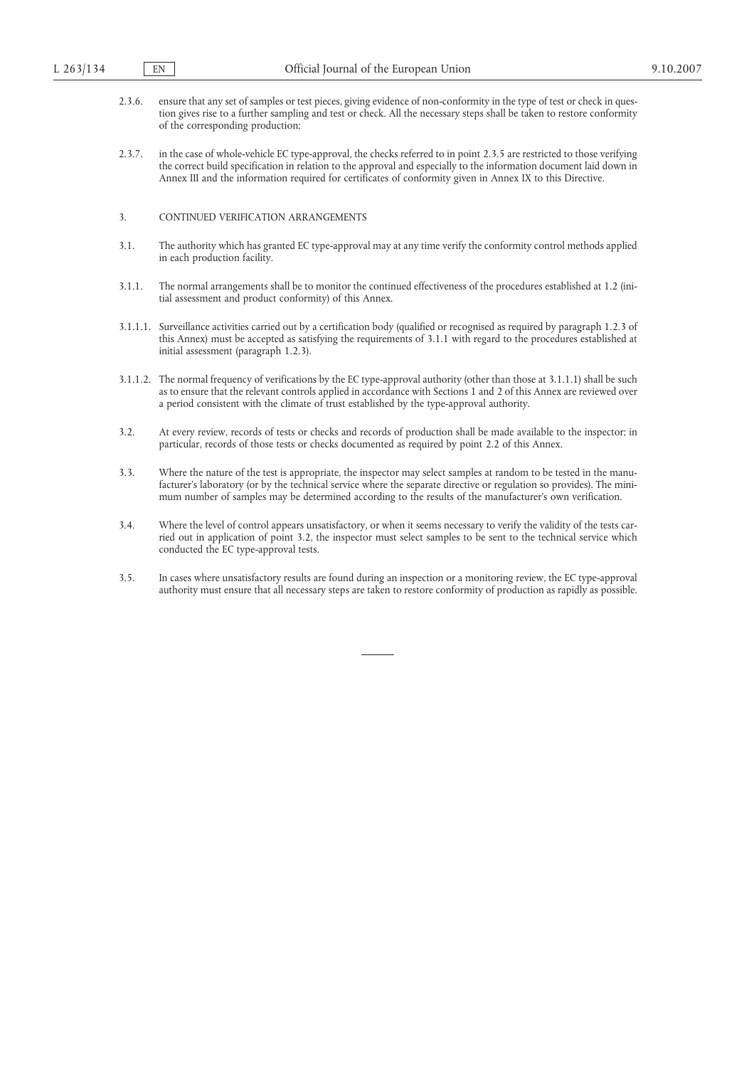- 2.3.6. ensure that any set of samples or test pieces, giving evidence of non-conformity in the type of test or check in question gives rise to a further sampling and test or check. All the necessary steps shall be taken to restore conformity of the corresponding production;
- 2.3.7. in the case of whole-vehicle EC type-approval, the checks referred to in point 2.3.5 are restricted to those verifying the correct build specification in relation to the approval and especially to the information document laid down in Annex III and the information required for certificates of conformity given in Annex IX to this Directive.

#### 3. CONTINUED VERIFICATION ARRANGEMENTS

- 3.1. The authority which has granted EC type-approval may at any time verify the conformity control methods applied in each production facility.
- 3.1.1. The normal arrangements shall be to monitor the continued effectiveness of the procedures established at 1.2 (initial assessment and product conformity) of this Annex.
- 3.1.1.1. Surveillance activities carried out by a certification body (qualified or recognised as required by paragraph 1.2.3 of this Annex) must be accepted as satisfying the requirements of 3.1.1 with regard to the procedures established at initial assessment (paragraph 1.2.3).
- 3.1.1.2. The normal frequency of verifications by the EC type-approval authority (other than those at 3.1.1.1) shall be such as to ensure that the relevant controls applied in accordance with Sections 1 and 2 of this Annex are reviewed over a period consistent with the climate of trust established by the type-approval authority.
- 3.2. At every review, records of tests or checks and records of production shall be made available to the inspector; in particular, records of those tests or checks documented as required by point 2.2 of this Annex.
- 3.3. Where the nature of the test is appropriate, the inspector may select samples at random to be tested in the manufacturer's laboratory (or by the technical service where the separate directive or regulation so provides). The minimum number of samples may be determined according to the results of the manufacturer's own verification.
- 3.4. Where the level of control appears unsatisfactory, or when it seems necessary to verify the validity of the tests carried out in application of point 3.2, the inspector must select samples to be sent to the technical service which conducted the EC type-approval tests.
- 3.5. In cases where unsatisfactory results are found during an inspection or a monitoring review, the EC type-approval authority must ensure that all necessary steps are taken to restore conformity of production as rapidly as possible.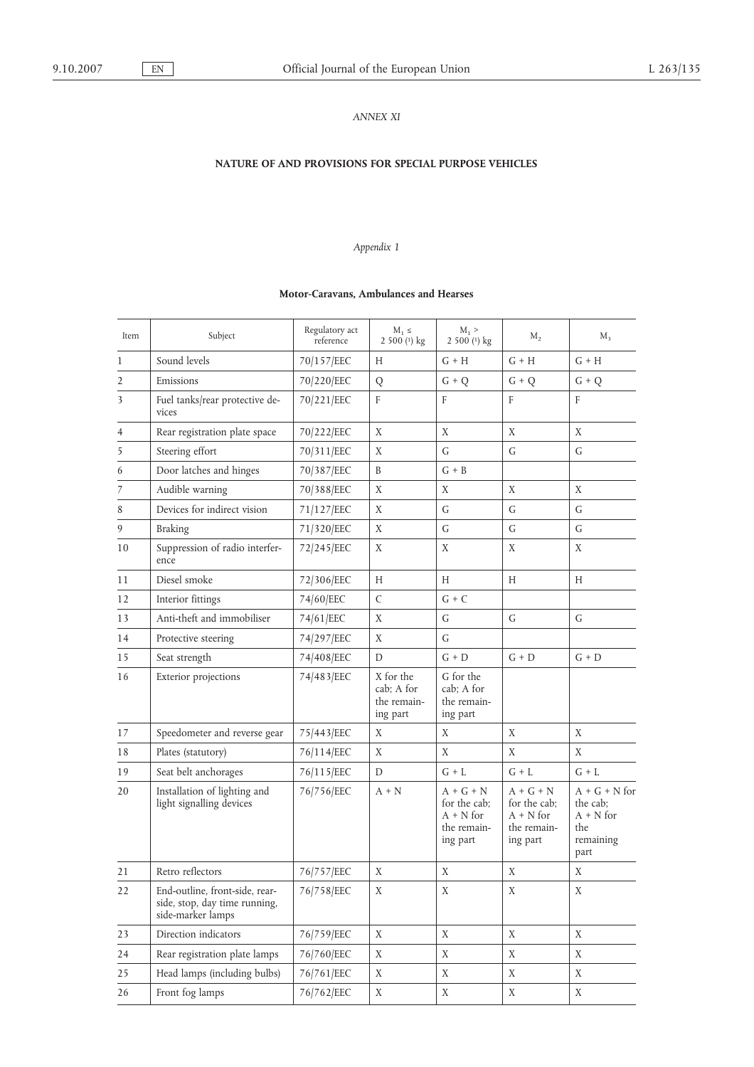## *ANNEX XI*

# **NATURE OF AND PROVISIONS FOR SPECIAL PURPOSE VEHICLES**

# *Appendix 1*

## **Motor-Caravans, Ambulances and Hearses**

| Item           | Subject                                                                              | Regulatory act<br>reference | $M_1 \leq$<br>2 500 $(1)$ kg                       | $M_1$ ><br>2 500 $(1)$ kg                                             | $M_{2}$                                                               | $M_3$                                                                  |
|----------------|--------------------------------------------------------------------------------------|-----------------------------|----------------------------------------------------|-----------------------------------------------------------------------|-----------------------------------------------------------------------|------------------------------------------------------------------------|
| $\mathbf{1}$   | Sound levels                                                                         | 70/157/EEC                  | H                                                  | $G + H$                                                               | $G + H$                                                               | $G + H$                                                                |
| $\overline{2}$ | Emissions                                                                            | 70/220/EEC                  | Q                                                  | $G + Q$                                                               | $G + Q$                                                               | $G + Q$                                                                |
| 3              | Fuel tanks/rear protective de-<br>vices                                              | 70/221/EEC                  | F                                                  | F                                                                     | F                                                                     | F                                                                      |
| 4              | Rear registration plate space                                                        | 70/222/EEC                  | X                                                  | X                                                                     | X                                                                     | X                                                                      |
| 5              | Steering effort                                                                      | 70/311/EEC                  | X                                                  | G                                                                     | G                                                                     | G                                                                      |
| 6              | Door latches and hinges                                                              | 70/387/EEC                  | B                                                  | $G + B$                                                               |                                                                       |                                                                        |
| 7              | Audible warning                                                                      | 70/388/EEC                  | X                                                  | X                                                                     | X                                                                     | X                                                                      |
| 8              | Devices for indirect vision                                                          | 71/127/EEC                  | X                                                  | G                                                                     | $\mathsf{G}$                                                          | G                                                                      |
| 9              | <b>Braking</b>                                                                       | 71/320/EEC                  | X                                                  | G                                                                     | G                                                                     | G                                                                      |
| 10             | Suppression of radio interfer-<br>ence                                               | 72/245/EEC                  | X                                                  | X                                                                     | X                                                                     | X                                                                      |
| 11             | Diesel smoke                                                                         | 72/306/EEC                  | H                                                  | Н                                                                     | H                                                                     | Н                                                                      |
| 12             | Interior fittings                                                                    | 74/60/EEC                   | $\mathsf{C}$                                       | $G + C$                                                               |                                                                       |                                                                        |
| 13             | Anti-theft and immobiliser                                                           | 74/61/EEC                   | X                                                  | G                                                                     | G                                                                     | G                                                                      |
| 14             | Protective steering                                                                  | 74/297/EEC                  | X                                                  | G                                                                     |                                                                       |                                                                        |
| 15             | Seat strength                                                                        | 74/408/EEC                  | D                                                  | $G + D$                                                               | $G + D$                                                               | $G + D$                                                                |
| 16             | Exterior projections                                                                 | 74/483/EEC                  | X for the<br>cab; A for<br>the remain-<br>ing part | G for the<br>cab; A for<br>the remain-<br>ing part                    |                                                                       |                                                                        |
| 17             | Speedometer and reverse gear                                                         | 75/443/EEC                  | X                                                  | X                                                                     | X                                                                     | X                                                                      |
| 18             | Plates (statutory)                                                                   | 76/114/EEC                  | X                                                  | X                                                                     | X                                                                     | X                                                                      |
| 19             | Seat belt anchorages                                                                 | 76/115/EEC                  | D                                                  | $G + L$                                                               | $G + L$                                                               | $G + L$                                                                |
| 20             | Installation of lighting and<br>light signalling devices                             | 76/756/EEC                  | $A + N$                                            | $A + G + N$<br>for the cab;<br>$A + N$ for<br>the remain-<br>ing part | $A + G + N$<br>for the cab;<br>$A + N$ for<br>the remain-<br>ing part | $A + G + N$ for<br>the cab;<br>$A + N$ for<br>the<br>remaining<br>part |
| 21             | Retro reflectors                                                                     | 76/757/EEC                  | X                                                  | Χ                                                                     | X                                                                     | Χ                                                                      |
| 22             | End-outline, front-side, rear-<br>side, stop, day time running,<br>side-marker lamps | 76/758/EEC                  | $\mathbf X$                                        | $\mathbf X$                                                           | $\mathbf X$                                                           | $\mathbf X$                                                            |
| 23             | Direction indicators                                                                 | 76/759/EEC                  | X                                                  | X                                                                     | X                                                                     | X                                                                      |
| 24             | Rear registration plate lamps                                                        | 76/760/EEC                  | X                                                  | X                                                                     | X                                                                     | Χ                                                                      |
| 25             | Head lamps (including bulbs)                                                         | 76/761/EEC                  | X                                                  | X                                                                     | X                                                                     | Χ                                                                      |
| 26             | Front fog lamps                                                                      | 76/762/EEC                  | X                                                  | X                                                                     | X                                                                     | X                                                                      |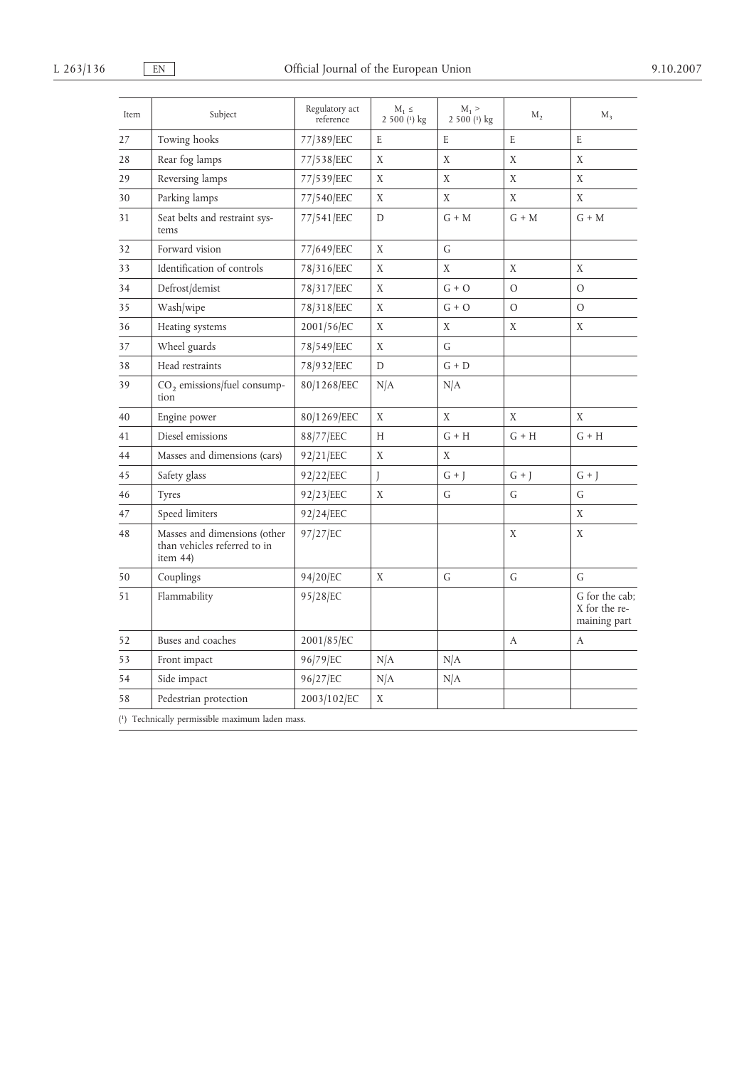| Item | Regulatory act<br>Subject<br>reference                                   |             | $M_1 \leq$<br>2 500 (1) kg | $M_1$ ><br>2 500 (1) kg |          | $M_{\rm R}$                                     |
|------|--------------------------------------------------------------------------|-------------|----------------------------|-------------------------|----------|-------------------------------------------------|
| 27   | Towing hooks                                                             | 77/389/EEC  | E                          | E                       | E        | E                                               |
| 28   | Rear fog lamps                                                           | 77/538/EEC  | X                          | X                       |          | X                                               |
| 29   | Reversing lamps                                                          | 77/539/EEC  |                            | X                       | X        | X                                               |
| 30   | Parking lamps                                                            | 77/540/EEC  | X                          | Χ                       | X        | X                                               |
| 31   | Seat belts and restraint sys-<br>tems                                    | 77/541/EEC  | D                          | $G + M$                 | $G + M$  | $G + M$                                         |
| 32   | Forward vision                                                           | 77/649/EEC  | X                          | G                       |          |                                                 |
| 33   | Identification of controls                                               | 78/316/EEC  | X                          | X                       | X        | X                                               |
| 34   | Defrost/demist                                                           | 78/317/EEC  | X                          | $G + O$                 | $\Omega$ | $\Omega$                                        |
| 35   | Wash/wipe                                                                | 78/318/EEC  | X                          | $G + O$                 | $\circ$  | $\mathcal{O}$                                   |
| 36   | Heating systems                                                          | 2001/56/EC  | X                          | X                       | X        | X                                               |
| 37   | Wheel guards                                                             | 78/549/EEC  | X                          | G                       |          |                                                 |
| 38   | Head restraints                                                          | 78/932/EEC  | $\mathbf D$                | $G + D$                 |          |                                                 |
| 39   | $CO2$ emissions/fuel consump-<br>tion                                    | 80/1268/EEC | N/A                        | N/A                     |          |                                                 |
| 40   | Engine power                                                             | 80/1269/EEC | X                          | Χ                       | X        | X                                               |
| 41   | Diesel emissions                                                         | 88/77/EEC   | H                          | $G + H$                 | $G + H$  | $G + H$                                         |
| 44   | Masses and dimensions (cars)                                             | 92/21/EEC   | X                          | X                       |          |                                                 |
| 45   | Safety glass                                                             | 92/22/EEC   | J                          | $G + J$                 | $G + J$  | $G + J$                                         |
| 46   | <b>Tyres</b>                                                             | 92/23/EEC   | X                          | G                       | G        | G                                               |
| 47   | Speed limiters                                                           | 92/24/EEC   |                            |                         |          | X                                               |
| 48   | Masses and dimensions (other<br>than vehicles referred to in<br>item 44) | 97/27/EC    |                            |                         | X        | X                                               |
| 50   | Couplings                                                                | 94/20/EC    | X                          | G                       | G        | G                                               |
| 51   | Flammability                                                             | 95/28/EC    |                            |                         |          | G for the cab:<br>X for the re-<br>maining part |
| 52   | Buses and coaches                                                        | 2001/85/EC  |                            |                         | A        | А                                               |
| 53   | Front impact                                                             | 96/79/EC    | N/A                        | N/A                     |          |                                                 |
| 54   | Side impact                                                              | 96/27/EC    | N/A                        | N/A                     |          |                                                 |
| 58   | Pedestrian protection                                                    | 2003/102/EC | Χ                          |                         |          |                                                 |
|      | (1) Technically permissible maximum laden mass.                          |             |                            |                         |          |                                                 |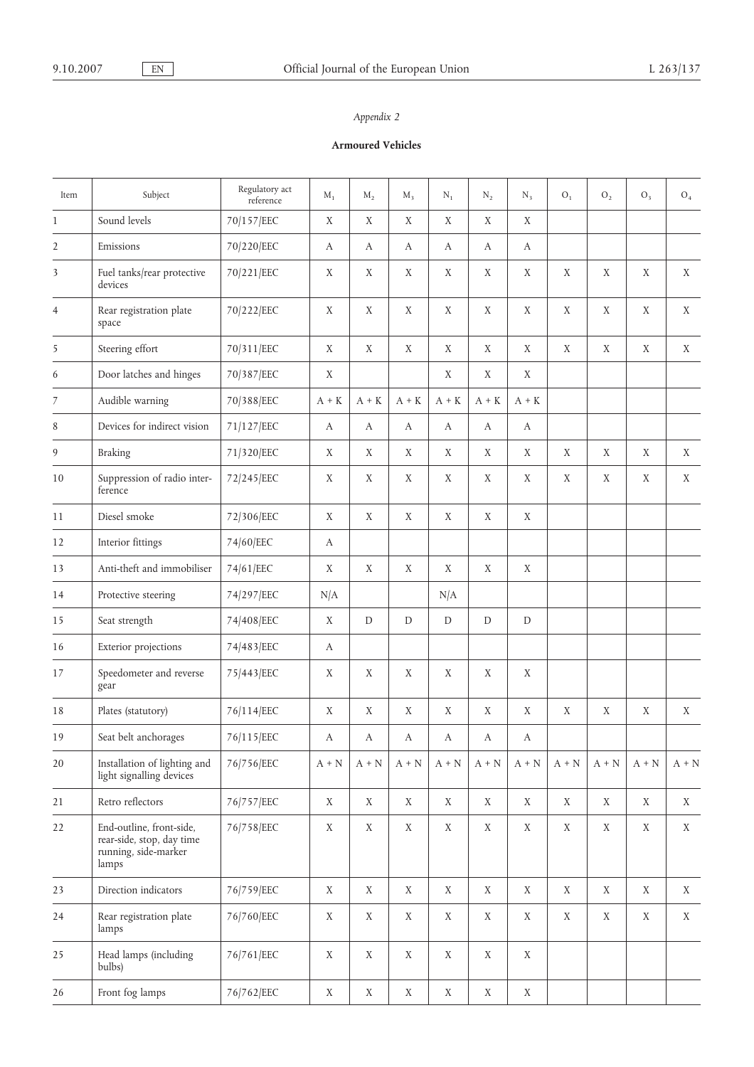# **Armoured Vehicles**

| Item           | Subject                                                                                | Regulatory act<br>reference | $\mathbf{M}_1$ | $M_{2}$          | $M_3$       | $\rm N_1$        | $\rm N_2$   | $N_3$         | ${\rm O}_1$ | ${\rm O}_2$ | $O_3$       | $O_4$       |
|----------------|----------------------------------------------------------------------------------------|-----------------------------|----------------|------------------|-------------|------------------|-------------|---------------|-------------|-------------|-------------|-------------|
| $\mathbf{1}$   | Sound levels                                                                           | 70/157/EEC                  | X              | X                | $\mathbf X$ | X                | X           | X             |             |             |             |             |
| $\overline{2}$ | Emissions                                                                              | 70/220/EEC                  | А              | A                | A           | A                | А           | A             |             |             |             |             |
| 3              | Fuel tanks/rear protective<br>devices                                                  | 70/221/EEC                  | X              | X                | X           | X                | X           | X             | X           | X           | X           | X           |
| $\overline{4}$ | Rear registration plate<br>space                                                       | 70/222/EEC                  | X              | X                | X           | X                | X           | X             | X           | X           | X           | X           |
| 5              | Steering effort                                                                        | 70/311/EEC                  | X              | X                | X           | X                | X           | X             | $\mathbf X$ | X           | X           | X           |
| 6              | Door latches and hinges                                                                | 70/387/EEC                  | X              |                  |             | X                | X           | X             |             |             |             |             |
| $\overline{7}$ | Audible warning                                                                        | 70/388/EEC                  | $A + K$        | $A + K$          | $A + K$     | $A + K$          | $A + K$     | $A + K$       |             |             |             |             |
| 8              | Devices for indirect vision                                                            | 71/127/EEC                  | A              | $\boldsymbol{A}$ | A           | $\boldsymbol{A}$ | А           | A             |             |             |             |             |
| 9              | <b>Braking</b>                                                                         | 71/320/EEC                  | X              | X                | X           | X                | X           | X             | $\mathbf X$ | X           | $\mathbf X$ | $\mathbf X$ |
| 10             | Suppression of radio inter-<br>ference                                                 | 72/245/EEC                  | $\mathbf X$    | X                | $\mathbf X$ | X                | X           | X             | X           | $\mathbf X$ | X           | X           |
| 11             | Diesel smoke                                                                           | 72/306/EEC                  | $\mathbf X$    | $\mathbf X$      | $\mathbf X$ | $\mathbf X$      | $\mathbf X$ | $\mathbf X$   |             |             |             |             |
| 12             | Interior fittings                                                                      | 74/60/EEC                   | А              |                  |             |                  |             |               |             |             |             |             |
| 13             | Anti-theft and immobiliser                                                             | 74/61/EEC                   | $\mathbf X$    | X                | X           | X                | X           | X             |             |             |             |             |
| 14             | Protective steering                                                                    | 74/297/EEC                  | N/A            |                  |             | N/A              |             |               |             |             |             |             |
| 15             | Seat strength                                                                          | 74/408/EEC                  | X              | ${\mathbb D}$    | $\mathbf D$ | $\mathbf D$      | D           | ${\mathbb D}$ |             |             |             |             |
| 16             | Exterior projections                                                                   | 74/483/EEC                  | A              |                  |             |                  |             |               |             |             |             |             |
| 17             | Speedometer and reverse<br>gear                                                        | 75/443/EEC                  | X              | X                | X           | X                | X           | X             |             |             |             |             |
| 18             | Plates (statutory)                                                                     | 76/114/EEC                  | Χ              | X                | X           | X                | X           | X             | X           | X           | X           | X           |
| 19             | Seat belt anchorages                                                                   | 76/115/EEC                  | А              | А                | А           | А                | А           | А             |             |             |             |             |
| 20             | Installation of lighting and<br>light signalling devices                               | 76/756/EEC                  | $A + N$        | $A + N$          | $A + N$     | $A + N$          | $A + N$     | $A + N$       | $A + N$     | $A + N$     | $A + N$     | $A + N$     |
| 21             | Retro reflectors                                                                       | 76/757/EEC                  | X              | X                | X           | X                | X           | X             | X           | X           | X           | X           |
| 22             | End-outline, front-side,<br>rear-side, stop, day time<br>running, side-marker<br>lamps | 76/758/EEC                  | X              | X                | X           | X                | X           | X             | $\mathbf X$ | X           | X           | X           |
| 23             | Direction indicators                                                                   | 76/759/EEC                  | X              | $\mathbf X$      | X           | $\mathbf X$      | X           | $\mathbf X$   | $\mathbf X$ | $\mathbf X$ | $\mathbf X$ | X           |
| 24             | Rear registration plate<br>lamps                                                       | 76/760/EEC                  | $\mathbf X$    | X                | X           | X                | $\mathbf X$ | X             | $\mathbf X$ | X           | $\mathbf X$ | $\mathbf X$ |
| 25             | Head lamps (including<br>bulbs)                                                        | 76/761/EEC                  | X              | $\mathbf X$      | $\mathbf X$ | $\mathbf X$      | $\mathbf X$ | $\mathbf X$   |             |             |             |             |
| 26             | Front fog lamps                                                                        | 76/762/EEC                  | X              | $\mathbf X$      | $\mathbf X$ | X                | $\mathbf X$ | X             |             |             |             |             |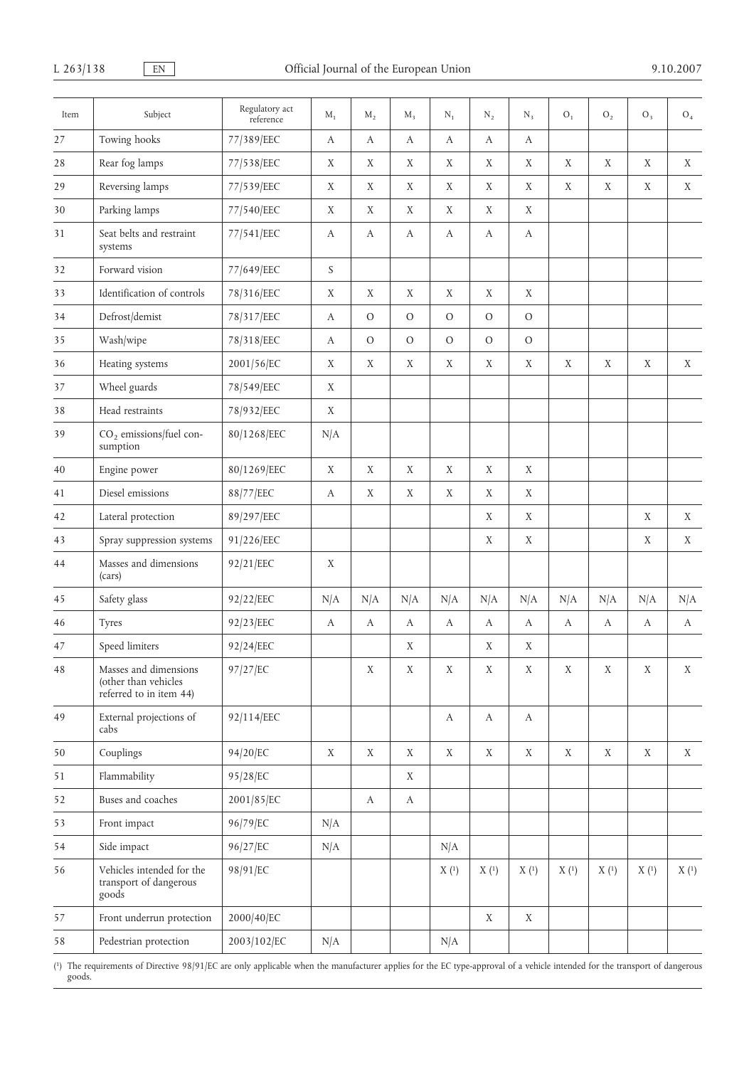| Item | Subject                                                                  | Regulatory act<br>reference | $M_1$            | $M_2$            | $M_3$         | $N_1$            | $N_2$            | $N_3$            | $O_1$       | O <sub>2</sub> | O <sub>3</sub> | O <sub>4</sub> |
|------|--------------------------------------------------------------------------|-----------------------------|------------------|------------------|---------------|------------------|------------------|------------------|-------------|----------------|----------------|----------------|
| 27   | Towing hooks                                                             | 77/389/EEC                  | $\boldsymbol{A}$ | $\boldsymbol{A}$ | A             | $\boldsymbol{A}$ | $\boldsymbol{A}$ | $\boldsymbol{A}$ |             |                |                |                |
| 28   | Rear fog lamps                                                           | 77/538/EEC                  | X                | X                | X             | X                | X                | X                | X           | X              | X              | X              |
| 29   | Reversing lamps                                                          | 77/539/EEC                  | X                | X                | X             | X                | X                | X                | X           | X              | X              | X              |
| 30   | Parking lamps                                                            | 77/540/EEC                  | X                | X                | X             | X                | X                | X                |             |                |                |                |
| 31   | Seat belts and restraint<br>systems                                      | 77/541/EEC                  | $\boldsymbol{A}$ | А                | A             | А                | $\boldsymbol{A}$ | А                |             |                |                |                |
| 32   | Forward vision                                                           | 77/649/EEC                  | S                |                  |               |                  |                  |                  |             |                |                |                |
| 33   | Identification of controls                                               | 78/316/EEC                  | X                | X                | X             | X                | X                | X                |             |                |                |                |
| 34   | Defrost/demist                                                           | 78/317/EEC                  | А                | $\mathcal{O}$    | $\mathcal{O}$ | $\mathcal{O}$    | $\mathcal{O}$    | $\mathcal{O}$    |             |                |                |                |
| 35   | Wash/wipe                                                                | 78/318/EEC                  | A                | $\mathcal{O}$    | $\mathcal{O}$ | $\mathcal{O}$    | $\mathcal{O}$    | $\mathcal{O}$    |             |                |                |                |
| 36   | Heating systems                                                          | 2001/56/EC                  | X                | X                | X             | X                | X                | X                | X           | X              | X              | X              |
| 37   | Wheel guards                                                             | 78/549/EEC                  | X                |                  |               |                  |                  |                  |             |                |                |                |
| 38   | Head restraints                                                          | 78/932/EEC                  | X                |                  |               |                  |                  |                  |             |                |                |                |
| 39   | CO <sub>2</sub> emissions/fuel con-<br>sumption                          | 80/1268/EEC                 | N/A              |                  |               |                  |                  |                  |             |                |                |                |
| 40   | Engine power                                                             | 80/1269/EEC                 | X                | X                | X             | X                | X                | X                |             |                |                |                |
| 41   | Diesel emissions                                                         | 88/77/EEC                   | $\boldsymbol{A}$ | X                | X             | X                | X                | X                |             |                |                |                |
| 42   | Lateral protection                                                       | 89/297/EEC                  |                  |                  |               |                  | X                | X                |             |                | X              | $\mathbf X$    |
| 43   | Spray suppression systems                                                | 91/226/EEC                  |                  |                  |               |                  | X                | X                |             |                | X              | X              |
| 44   | Masses and dimensions<br>(cars)                                          | 92/21/EEC                   | X                |                  |               |                  |                  |                  |             |                |                |                |
| 45   | Safety glass                                                             | 92/22/EEC                   | N/A              | N/A              | N/A           | N/A              | N/A              | N/A              | N/A         | N/A            | N/A            | N/A            |
| 46   | Tyres                                                                    | 92/23/EEC                   | $\boldsymbol{A}$ | А                | А             | А                | А                | А                | A           | А              | А              | A              |
| 47   | Speed limiters                                                           | 92/24/EEC                   |                  |                  | X             |                  | X                | X                |             |                |                |                |
| 48   | Masses and dimensions<br>(other than vehicles<br>referred to in item 44) | 97/27/EC                    |                  | X                | X             | X                | X                | X                | X           | X              | X              | X              |
| 49   | External projections of<br>cabs                                          | 92/114/EEC                  |                  |                  |               | $\boldsymbol{A}$ | $\boldsymbol{A}$ | $\boldsymbol{A}$ |             |                |                |                |
| 50   | Couplings                                                                | 94/20/EC                    | $\mathbf X$      | $\mathbf X$      | X             | $\mathbf X$      | X                | X                | $\mathbf X$ | X              | X              | X              |
| 51   | Flammability                                                             | 95/28/EC                    |                  |                  | X             |                  |                  |                  |             |                |                |                |
| 52   | Buses and coaches                                                        | 2001/85/EC                  |                  | $\boldsymbol{A}$ | $\bf{A}$      |                  |                  |                  |             |                |                |                |
| 53   | Front impact                                                             | 96/79/EC                    | N/A              |                  |               |                  |                  |                  |             |                |                |                |
| 54   | Side impact                                                              | 96/27/EC                    | N/A              |                  |               | N/A              |                  |                  |             |                |                |                |
| 56   | Vehicles intended for the<br>transport of dangerous<br>goods             | 98/91/EC                    |                  |                  |               | X(1)             | X(1)             | X(1)             | X(1)        | X(1)           | X(1)           | X(1)           |
| 57   | Front underrun protection                                                | 2000/40/EC                  |                  |                  |               |                  | X                | X                |             |                |                |                |
| 58   | Pedestrian protection                                                    | 2003/102/EC                 | N/A              |                  |               | N/A              |                  |                  |             |                |                |                |

( 1) The requirements of Directive 98/91/EC are only applicable when the manufacturer applies for the EC type-approval of a vehicle intended for the transport of dangerous goods.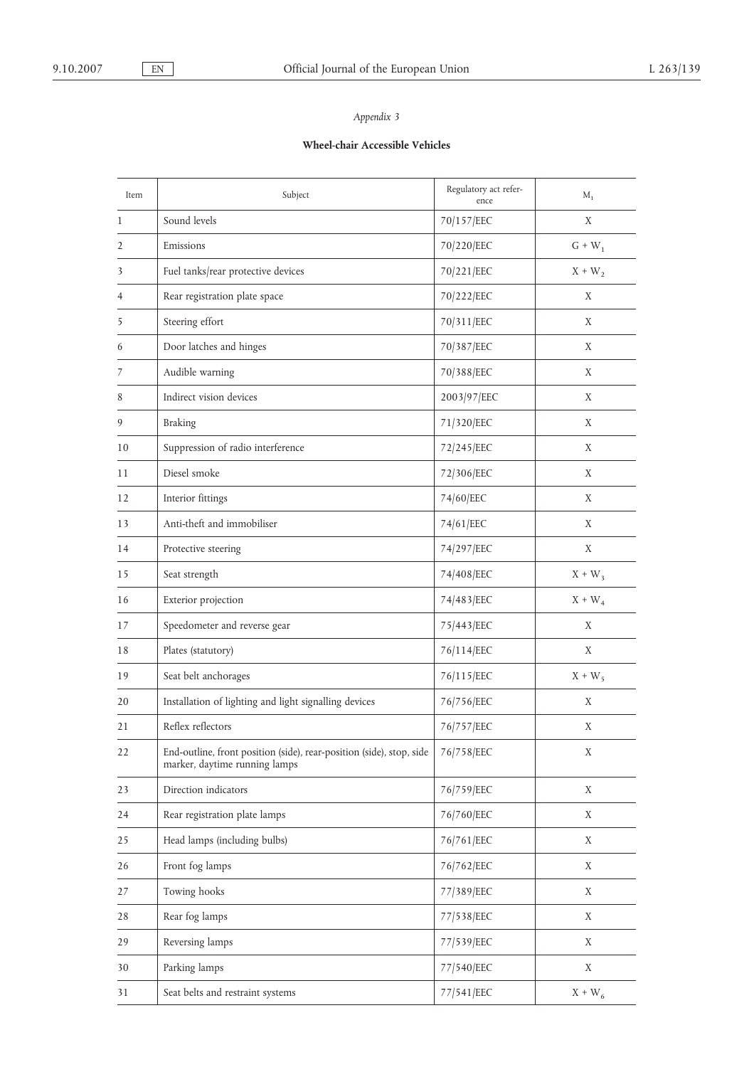# **Wheel-chair Accessible Vehicles**

| Item           | Subject                                                                                               | Regulatory act refer-<br>ence | $M_1$       |
|----------------|-------------------------------------------------------------------------------------------------------|-------------------------------|-------------|
| 1              | Sound levels                                                                                          | 70/157/EEC                    | X           |
| 2              | Emissions                                                                                             | 70/220/EEC                    | $G + W_1$   |
| 3              | Fuel tanks/rear protective devices                                                                    | 70/221/EEC                    | $X + W_2$   |
| 4              | Rear registration plate space                                                                         | 70/222/EEC                    | X           |
| 5              | Steering effort                                                                                       | 70/311/EEC                    | X           |
| 6              | Door latches and hinges                                                                               | 70/387/EEC                    | X           |
| $\overline{1}$ | Audible warning                                                                                       | 70/388/EEC                    | X           |
| 8              | Indirect vision devices                                                                               | 2003/97/EEC                   | X           |
| 9              | <b>Braking</b>                                                                                        | 71/320/EEC                    | X           |
| 10             | Suppression of radio interference                                                                     | 72/245/EEC                    | X           |
| 11             | Diesel smoke                                                                                          | 72/306/EEC                    | X           |
| 12             | Interior fittings                                                                                     | 74/60/EEC                     | X           |
| 13             | Anti-theft and immobiliser                                                                            | 74/61/EEC                     | X           |
| 14             | Protective steering                                                                                   | 74/297/EEC                    | X           |
| 15             | Seat strength                                                                                         | 74/408/EEC                    | $X + W_3$   |
| 16             | Exterior projection                                                                                   | 74/483/EEC                    | $X + W_4$   |
| 17             | Speedometer and reverse gear                                                                          | 75/443/EEC                    | X           |
| 18             | Plates (statutory)                                                                                    | 76/114/EEC                    | X           |
| 19             | Seat belt anchorages                                                                                  | 76/115/EEC                    | $X + W_5$   |
| 20             | Installation of lighting and light signalling devices                                                 | 76/756/EEC                    | X           |
| 21             | Reflex reflectors                                                                                     | 76/757/EEC                    | X           |
| 22             | End-outline, front position (side), rear-position (side), stop, side<br>marker, daytime running lamps | 76/758/EEC                    | X           |
| 23             | Direction indicators                                                                                  | 76/759/EEC                    | $\mathbf X$ |
| 24             | Rear registration plate lamps                                                                         | 76/760/EEC                    | X           |
| 25             | Head lamps (including bulbs)                                                                          | 76/761/EEC                    | X           |
| 26             | Front fog lamps                                                                                       | 76/762/EEC                    | X           |
| 27             | Towing hooks                                                                                          | 77/389/EEC                    | X           |
| 28             | Rear fog lamps                                                                                        | 77/538/EEC                    | X           |
| 29             | Reversing lamps                                                                                       | 77/539/EEC                    | X           |
| 30             | Parking lamps                                                                                         | 77/540/EEC                    | X           |
| 31             | Seat belts and restraint systems                                                                      | 77/541/EEC                    | $X + W_6$   |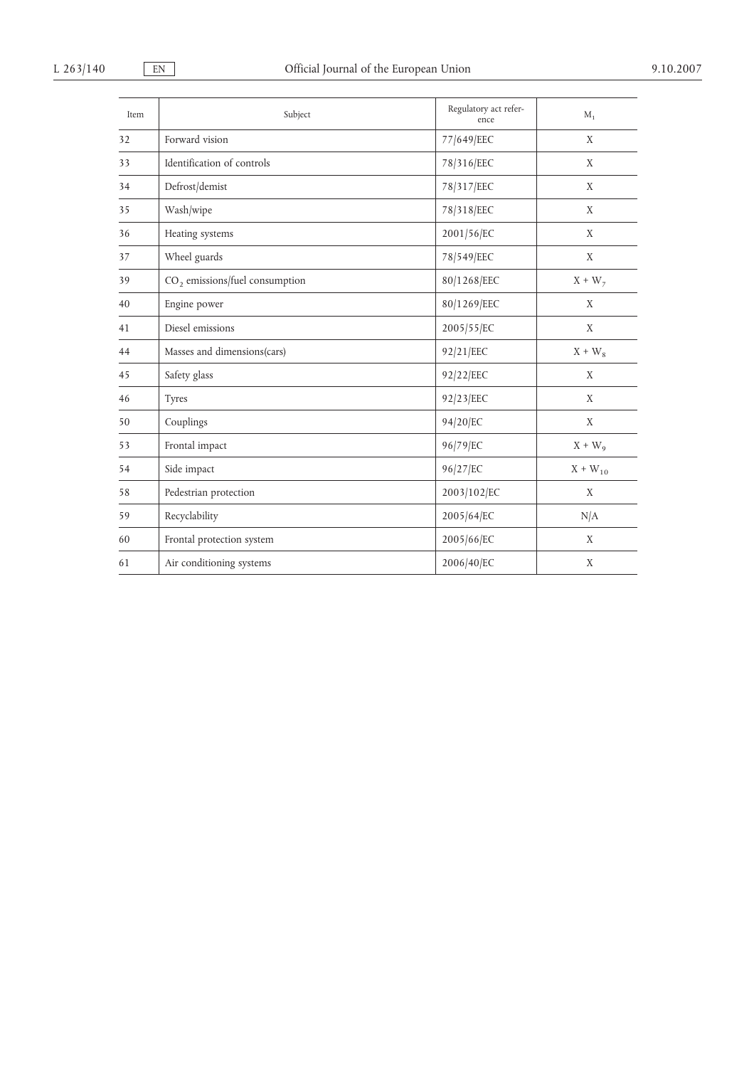| Item | Subject                                    | Regulatory act refer-<br>ence | $M_1$        |
|------|--------------------------------------------|-------------------------------|--------------|
| 32   | Forward vision                             | 77/649/EEC                    | X            |
| 33   | Identification of controls                 | 78/316/EEC                    | X            |
| 34   | Defrost/demist                             | 78/317/EEC                    | X            |
| 35   | Wash/wipe                                  | 78/318/EEC                    | X            |
| 36   | Heating systems                            | 2001/56/EC                    | X            |
| 37   | Wheel guards                               | 78/549/EEC                    | X            |
| 39   | CO <sub>2</sub> emissions/fuel consumption | 80/1268/EEC                   | $X + W_7$    |
| 40   | Engine power                               | 80/1269/EEC                   | X            |
| 41   | Diesel emissions                           | 2005/55/EC                    | X            |
| 44   | Masses and dimensions(cars)                | 92/21/EEC                     | $X + W_8$    |
| 45   | Safety glass                               | 92/22/EEC                     | X            |
| 46   | Tyres                                      | 92/23/EEC                     | X            |
| 50   | Couplings                                  | 94/20/EC                      | X            |
| 53   | Frontal impact                             | 96/79/EC                      | $X + W_{9}$  |
| 54   | Side impact                                | 96/27/EC                      | $X + W_{10}$ |
| 58   | Pedestrian protection                      | 2003/102/EC                   | X            |
| 59   | Recyclability                              | 2005/64/EC                    | N/A          |
| 60   | Frontal protection system                  | 2005/66/EC                    | X            |
| 61   | Air conditioning systems                   | 2006/40/EC                    | X            |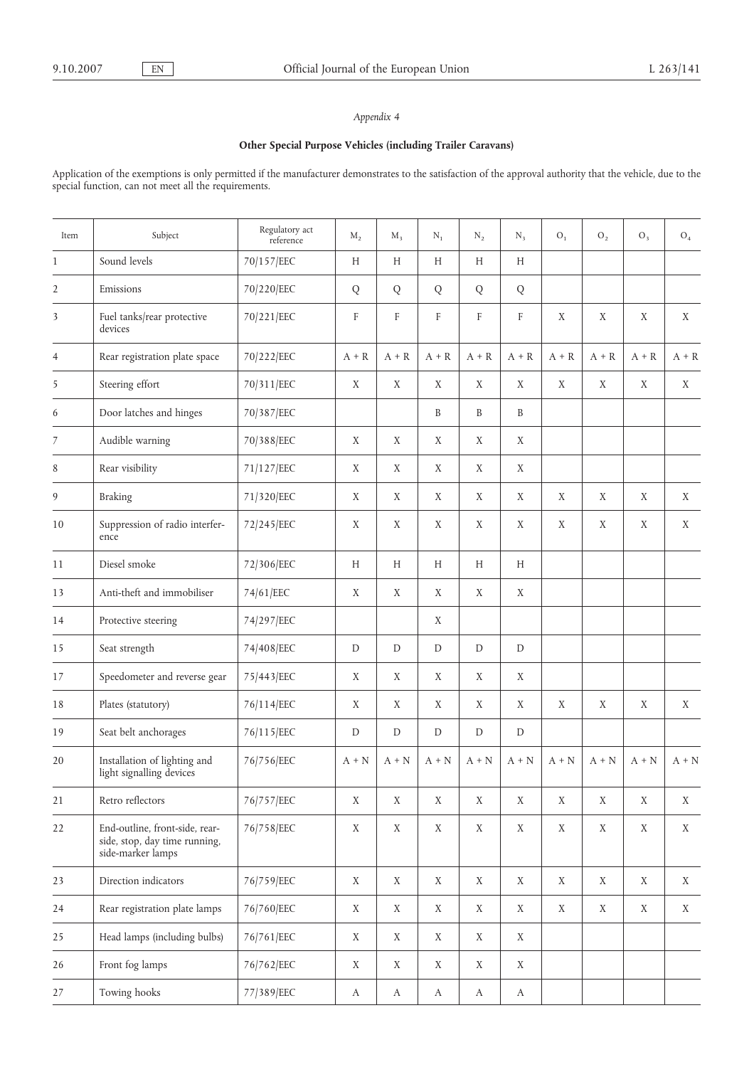## **Other Special Purpose Vehicles (including Trailer Caravans)**

Application of the exemptions is only permitted if the manufacturer demonstrates to the satisfaction of the approval authority that the vehicle, due to the special function, can not meet all the requirements.

| Item           | Subject                                                                              | Regulatory act<br>reference | $M_{2}$       | $M_{\rm R}$      | $N_1$                 | $N_{2}$          | $N_{3}$          | O <sub>1</sub> | O <sub>2</sub> | $O_3$       | O <sub>4</sub> |
|----------------|--------------------------------------------------------------------------------------|-----------------------------|---------------|------------------|-----------------------|------------------|------------------|----------------|----------------|-------------|----------------|
| $\mathbf{1}$   | Sound levels                                                                         | 70/157/EEC                  | H             | H                | H                     | H                | H                |                |                |             |                |
| $\overline{2}$ | Emissions                                                                            | 70/220/EEC                  | $\bf Q$       | $\bf Q$          | $\bf Q$               | $\bf Q$          | $\bf Q$          |                |                |             |                |
| 3              | Fuel tanks/rear protective<br>devices                                                | 70/221/EEC                  | F             | F                | F                     | F                | F                | X              | X              | X           | X              |
| $\overline{4}$ | Rear registration plate space                                                        | 70/222/EEC                  | $A + R$       | $A + R$          | $A + R$               | $A + R$          | $A + R$          | $A + R$        | $A + R$        | $A + R$     | $A + R$        |
| 5              | Steering effort                                                                      | 70/311/EEC                  | X             | X                | X                     | X                | X                | X              | X              | X           | X              |
| 6              | Door latches and hinges                                                              | 70/387/EEC                  |               |                  | B                     | B                | B                |                |                |             |                |
| 7              | Audible warning                                                                      | 70/388/EEC                  | X             | X                | X                     | X                | $\mathbf X$      |                |                |             |                |
| 8              | Rear visibility                                                                      | 71/127/EEC                  | X             | X                | X                     | X                | X                |                |                |             |                |
| 9              | <b>Braking</b>                                                                       | 71/320/EEC                  | X             | X                | X                     | X                | X                | X              | X              | X           | X              |
| 10             | Suppression of radio interfer-<br>ence                                               | 72/245/EEC                  | X             | $\mathbf X$      | X                     | X                | $\mathbf X$      | $\mathbf X$    | $\mathbf X$    | X           | X              |
| 11             | Diesel smoke                                                                         | 72/306/EEC                  | H             | H                | H                     | H                | H                |                |                |             |                |
| 13             | Anti-theft and immobiliser                                                           | 74/61/EEC                   | X             | X                | X                     | X                | $\mathbf X$      |                |                |             |                |
| 14             | Protective steering                                                                  | 74/297/EEC                  |               |                  | X                     |                  |                  |                |                |             |                |
| 15             | Seat strength                                                                        | 74/408/EEC                  | D             | D                | D                     | D                | D                |                |                |             |                |
| 17             | Speedometer and reverse gear                                                         | 75/443/EEC                  | X             | X                | X                     | X                | $\mathbf X$      |                |                |             |                |
| 18             | Plates (statutory)                                                                   | 76/114/EEC                  | X             | X                | X                     | X                | X                | X              | X              | X           | X              |
| 19             | Seat belt anchorages                                                                 | 76/115/EEC                  | ${\mathbb D}$ | D                | D                     | D                | $\mathbf D$      |                |                |             |                |
| 20             | Installation of lighting and<br>light signalling devices                             | 76/756/EEC                  | $A + N$       | $A + N$          | $A + N$               | $A + N$          | $A + N$          | $A + N$        | $A + N$        | $A + N$     | $A + N$        |
| 21             | Retro reflectors                                                                     | 76/757/EEC                  | X             | X                | X                     | X                | X                | X              | X              | X           | X              |
| 22             | End-outline, front-side, rear-<br>side, stop, day time running,<br>side-marker lamps | 76/758/EEC                  | $\mathbf X$   | X                | $\mathbf X$           | $\mathbf X$      | $\mathbf X$      | $\mathbf X$    | $\mathbf X$    | $\mathbf X$ | X              |
| 23             | Direction indicators                                                                 | 76/759/EEC                  | $\mathbf X$   | X                | $\mathbf X$           | X                | X                | $\mathbf X$    | X              | $\mathbf X$ | $\mathbf X$    |
| 24             | Rear registration plate lamps                                                        | 76/760/EEC                  | X             | X                | X                     | X                | X                | X              | X              | X           | X              |
| 25             | Head lamps (including bulbs)                                                         | 76/761/EEC                  | X             | X                | X                     | X                | X                |                |                |             |                |
| 26             | Front fog lamps                                                                      | 76/762/EEC                  | $\mathbf X$   | X                | $\mathbf X$           | X                | $\mathbf X$      |                |                |             |                |
| 27             | Towing hooks                                                                         | 77/389/EEC                  | A             | $\boldsymbol{A}$ | $\boldsymbol{\rm{A}}$ | $\boldsymbol{A}$ | $\boldsymbol{A}$ |                |                |             |                |
|                |                                                                                      |                             |               |                  |                       |                  |                  |                |                |             |                |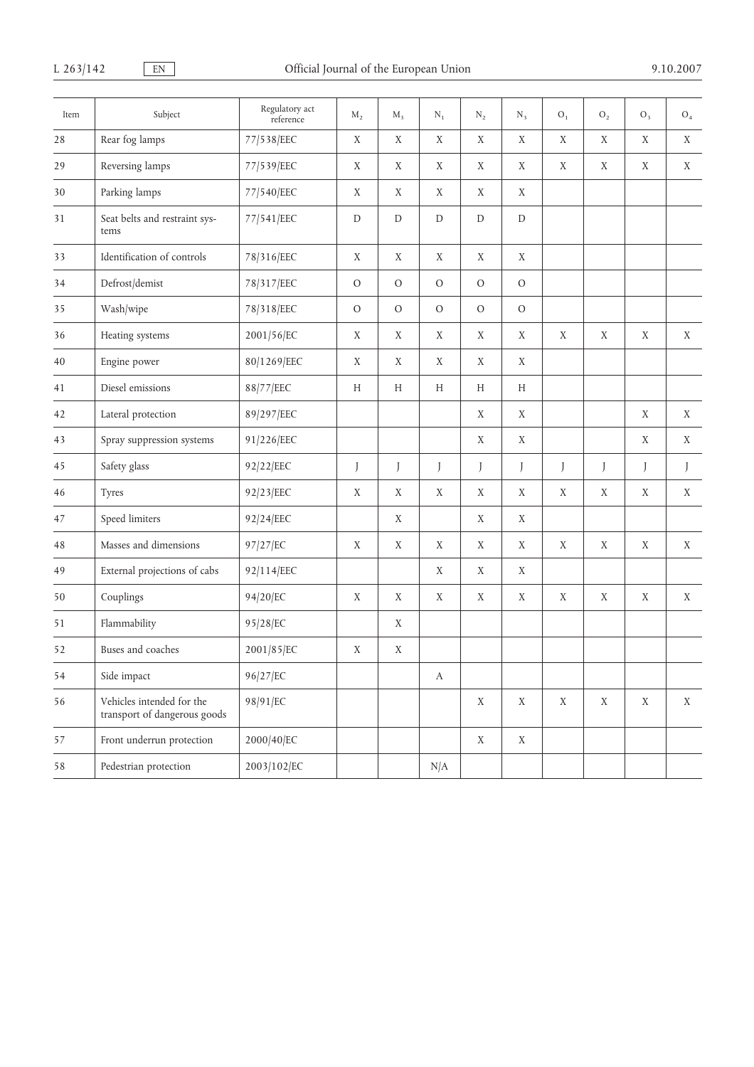| Item | Subject                                                   | Regulatory act<br>reference | $M_{2}$       | $M_3$         | $N_1$            | $\rm N_2$    | $N_3$         | O <sub>1</sub> | ${\rm O}_2$ | $O_3$ | ${\rm O}_4$  |
|------|-----------------------------------------------------------|-----------------------------|---------------|---------------|------------------|--------------|---------------|----------------|-------------|-------|--------------|
| 28   | Rear fog lamps                                            | 77/538/EEC                  | $\mathbf X$   | X             | $\mathbf X$      | $\mathbf X$  | $\mathbf X$   | X              | $\mathbf X$ | X     | X            |
| 29   | Reversing lamps                                           | 77/539/EEC                  | X             | X             | X                | X            | X             | X              | X           | X     | X            |
| 30   | Parking lamps                                             | 77/540/EEC                  | X             | X             | X                | X            | X             |                |             |       |              |
| 31   | Seat belts and restraint sys-<br>tems                     | 77/541/EEC                  | $\mathbf D$   | $\mathbf D$   | ${\mathbb D}$    | $\mathbf D$  | ${\mathbb D}$ |                |             |       |              |
| 33   | Identification of controls                                | 78/316/EEC                  | X             | X             | X                | $\mathbf X$  | X             |                |             |       |              |
| 34   | Defrost/demist                                            | 78/317/EEC                  | $\mathcal{O}$ | $\mathcal{O}$ | $\mathcal{O}$    | $\mathcal O$ | $\mathcal{O}$ |                |             |       |              |
| 35   | Wash/wipe                                                 | 78/318/EEC                  | $\mathcal O$  | $\mathcal O$  | $\mathcal{O}$    | $\mathcal O$ | $\rm{O}$      |                |             |       |              |
| 36   | Heating systems                                           | 2001/56/EC                  | X             | $\mathbf X$   | X                | X            | X             | X              | X           | X     | X            |
| 40   | Engine power                                              | 80/1269/EEC                 | X             | X             | X                | X            | X             |                |             |       |              |
| 41   | Diesel emissions                                          | 88/77/EEC                   | Н             | H             | H                | H            | H             |                |             |       |              |
| 42   | Lateral protection                                        | 89/297/EEC                  |               |               |                  | $\mathbf X$  | X             |                |             | X     | X            |
| 43   | Spray suppression systems                                 | 91/226/EEC                  |               |               |                  | X            | X             |                |             | X     | X            |
| 45   | Safety glass                                              | 92/22/EEC                   | J             | J             | J                | J            | J             | J              | J           | J     | $\mathbf{I}$ |
| 46   | Tyres                                                     | 92/23/EEC                   | X             | X             | X                | X            | X             | X              | X           | X     | X            |
| 47   | Speed limiters                                            | 92/24/EEC                   |               | X             |                  | X            | X             |                |             |       |              |
| 48   | Masses and dimensions                                     | 97/27/EC                    | X             | X             | X                | X            | X             | X              | $\mathbf X$ | X     | $\mathbf X$  |
| 49   | External projections of cabs                              | 92/114/EEC                  |               |               | X                | X            | X             |                |             |       |              |
| 50   | Couplings                                                 | 94/20/EC                    | X             | X             | X                | X            | X             | X              | X           | X     | X            |
| 51   | Flammability                                              | 95/28/EC                    |               | X             |                  |              |               |                |             |       |              |
| 52   | Buses and coaches                                         | 2001/85/EC                  | X             | X             |                  |              |               |                |             |       |              |
| 54   | Side impact                                               | 96/27/EC                    |               |               | $\boldsymbol{A}$ |              |               |                |             |       |              |
| 56   | Vehicles intended for the<br>transport of dangerous goods | 98/91/EC                    |               |               |                  | X            | X             | X              | X           | X     | X            |
| 57   | Front underrun protection                                 | 2000/40/EC                  |               |               |                  | $\mathbf X$  | $\mathbf X$   |                |             |       |              |
| 58   | Pedestrian protection                                     | 2003/102/EC                 |               |               | N/A              |              |               |                |             |       |              |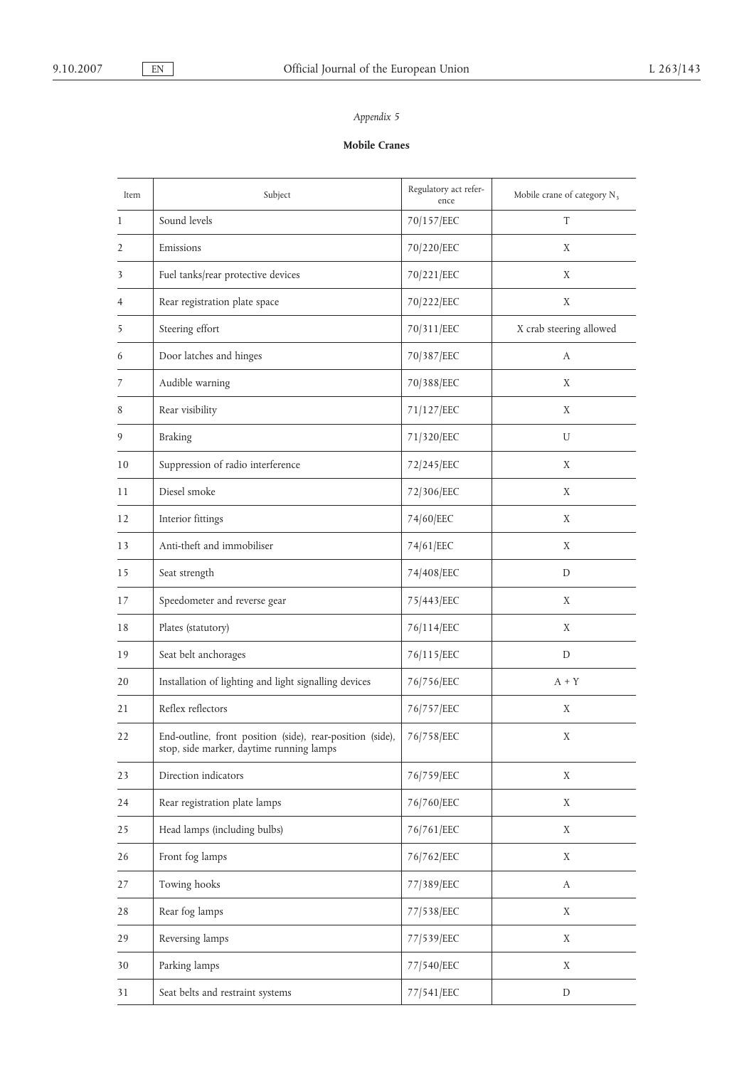# **Mobile Cranes**

| Item | Subject                                                                                               | Regulatory act refer-<br>ence | Mobile crane of category $N_3$ |  |  |
|------|-------------------------------------------------------------------------------------------------------|-------------------------------|--------------------------------|--|--|
| 1    | Sound levels                                                                                          | 70/157/EEC                    | T                              |  |  |
| 2    | Emissions                                                                                             | 70/220/EEC                    | X                              |  |  |
| 3    | Fuel tanks/rear protective devices                                                                    | 70/221/EEC                    | X                              |  |  |
| 4    | Rear registration plate space                                                                         | 70/222/EEC                    | X                              |  |  |
| 5    | Steering effort                                                                                       | 70/311/EEC                    | X crab steering allowed        |  |  |
| 6    | Door latches and hinges                                                                               | 70/387/EEC                    | A                              |  |  |
| 7    | Audible warning                                                                                       | 70/388/EEC                    | X                              |  |  |
| 8    | Rear visibility                                                                                       | 71/127/EEC                    | X                              |  |  |
| 9    | <b>Braking</b>                                                                                        | 71/320/EEC                    | U                              |  |  |
| 10   | Suppression of radio interference                                                                     | 72/245/EEC                    | X                              |  |  |
| 11   | Diesel smoke                                                                                          | 72/306/EEC                    | X                              |  |  |
| 12   | Interior fittings                                                                                     | 74/60/EEC                     | Χ                              |  |  |
| 13   | Anti-theft and immobiliser                                                                            | 74/61/EEC                     | X                              |  |  |
| 15   | Seat strength                                                                                         | 74/408/EEC                    | D                              |  |  |
| 17   | Speedometer and reverse gear                                                                          | 75/443/EEC                    | X                              |  |  |
| 18   | Plates (statutory)                                                                                    | 76/114/EEC                    | X                              |  |  |
| 19   | Seat belt anchorages                                                                                  | 76/115/EEC                    | D                              |  |  |
| 20   | Installation of lighting and light signalling devices                                                 | 76/756/EEC                    | $A + Y$                        |  |  |
| 21   | Reflex reflectors                                                                                     | 76/757/EEC                    | Χ                              |  |  |
| 22   | End-outline, front position (side), rear-position (side),<br>stop, side marker, daytime running lamps | 76/758/EEC                    | X                              |  |  |
| 23   | Direction indicators                                                                                  | 76/759/EEC                    | X                              |  |  |
| 24   | Rear registration plate lamps                                                                         | 76/760/EEC                    | X                              |  |  |
| 25   | Head lamps (including bulbs)                                                                          | 76/761/EEC                    | X                              |  |  |
| 26   | Front fog lamps                                                                                       | 76/762/EEC                    | X                              |  |  |
| 27   | Towing hooks                                                                                          | 77/389/EEC                    | A                              |  |  |
| 28   | Rear fog lamps                                                                                        | 77/538/EEC                    | X                              |  |  |
| 29   | Reversing lamps                                                                                       | 77/539/EEC                    | X                              |  |  |
| 30   | Parking lamps                                                                                         | 77/540/EEC                    | X                              |  |  |
| 31   | Seat belts and restraint systems                                                                      | 77/541/EEC                    | D                              |  |  |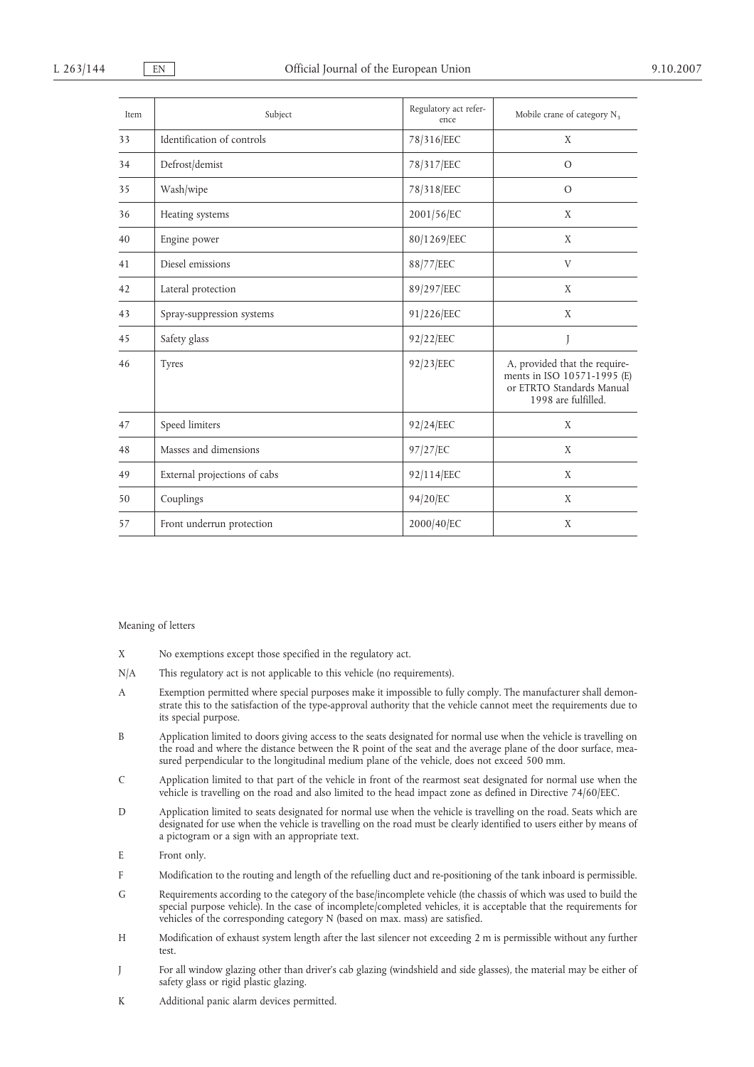| Item | Subject                      | Regulatory act refer-<br>ence | Mobile crane of category $N_3$                                                                                   |
|------|------------------------------|-------------------------------|------------------------------------------------------------------------------------------------------------------|
| 33   | Identification of controls   | 78/316/EEC                    | X                                                                                                                |
| 34   | Defrost/demist               | 78/317/EEC                    | $\circ$                                                                                                          |
| 35   | Wash/wipe                    | 78/318/EEC                    | $\circ$                                                                                                          |
| 36   | Heating systems              | 2001/56/EC                    | X                                                                                                                |
| 40   | Engine power                 | 80/1269/EEC                   | X                                                                                                                |
| 41   | Diesel emissions             | 88/77/EEC                     | V                                                                                                                |
| 42   | Lateral protection           | 89/297/EEC                    | X                                                                                                                |
| 43   | Spray-suppression systems    | 91/226/EEC                    | X                                                                                                                |
| 45   | Safety glass                 | 92/22/EEC                     |                                                                                                                  |
| 46   | <b>Tyres</b>                 | 92/23/EEC                     | A, provided that the require-<br>ments in ISO 10571-1995 (E)<br>or ETRTO Standards Manual<br>1998 are fulfilled. |
| 47   | Speed limiters               | 92/24/EEC                     | X                                                                                                                |
| 48   | Masses and dimensions        | 97/27/EC                      | X                                                                                                                |
| 49   | External projections of cabs | 92/114/EEC                    | X                                                                                                                |
| 50   | Couplings                    | 94/20/EC                      | X                                                                                                                |
| 57   | Front underrun protection    | 2000/40/EC                    | X                                                                                                                |

#### Meaning of letters

- X No exemptions except those specified in the regulatory act.
- N/A This regulatory act is not applicable to this vehicle (no requirements).
- A Exemption permitted where special purposes make it impossible to fully comply. The manufacturer shall demonstrate this to the satisfaction of the type-approval authority that the vehicle cannot meet the requirements due to its special purpose.
- B Application limited to doors giving access to the seats designated for normal use when the vehicle is travelling on the road and where the distance between the R point of the seat and the average plane of the door surface, measured perpendicular to the longitudinal medium plane of the vehicle, does not exceed 500 mm.
- C Application limited to that part of the vehicle in front of the rearmost seat designated for normal use when the vehicle is travelling on the road and also limited to the head impact zone as defined in Directive 74/60/EEC.
- D Application limited to seats designated for normal use when the vehicle is travelling on the road. Seats which are designated for use when the vehicle is travelling on the road must be clearly identified to users either by means of a pictogram or a sign with an appropriate text.
- E Front only.
- F Modification to the routing and length of the refuelling duct and re-positioning of the tank inboard is permissible.
- G Requirements according to the category of the base/incomplete vehicle (the chassis of which was used to build the special purpose vehicle). In the case of incomplete/completed vehicles, it is acceptable that the requirements for vehicles of the corresponding category N (based on max. mass) are satisfied.
- H Modification of exhaust system length after the last silencer not exceeding 2 m is permissible without any further test.
- J For all window glazing other than driver's cab glazing (windshield and side glasses), the material may be either of safety glass or rigid plastic glazing.
- K Additional panic alarm devices permitted.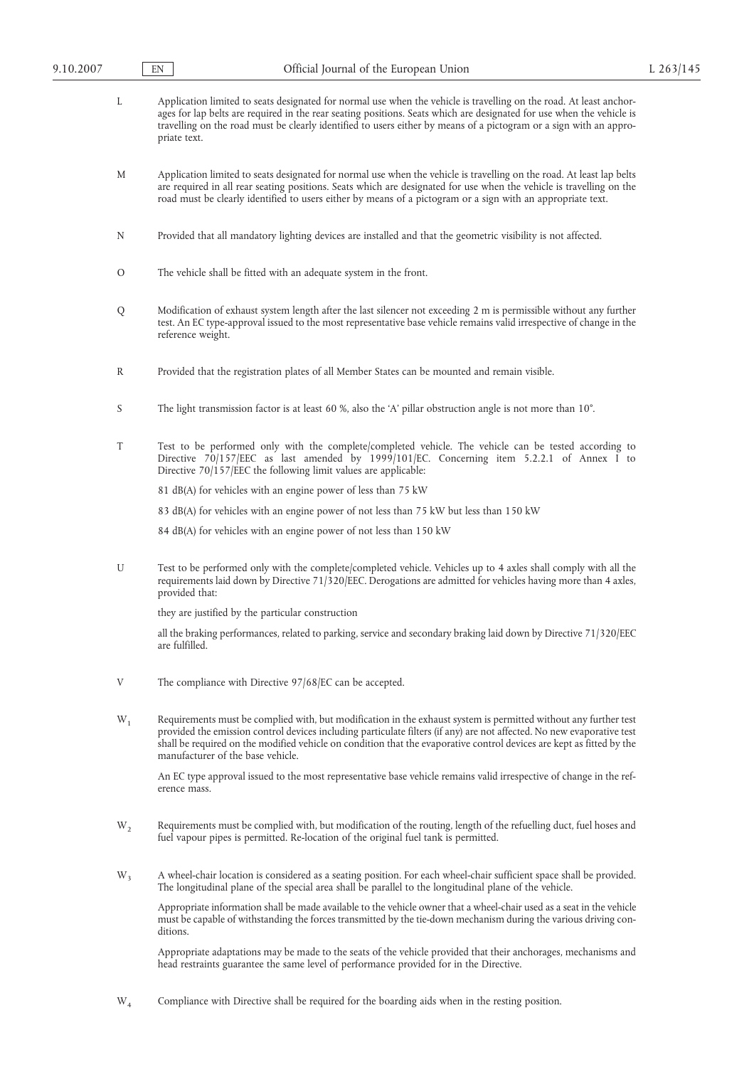| L              | Application limited to seats designated for normal use when the vehicle is travelling on the road. At least anchor-<br>ages for lap belts are required in the rear seating positions. Seats which are designated for use when the vehicle is<br>travelling on the road must be clearly identified to users either by means of a pictogram or a sign with an appro-<br>priate text.                       |
|----------------|----------------------------------------------------------------------------------------------------------------------------------------------------------------------------------------------------------------------------------------------------------------------------------------------------------------------------------------------------------------------------------------------------------|
| М              | Application limited to seats designated for normal use when the vehicle is travelling on the road. At least lap belts<br>are required in all rear seating positions. Seats which are designated for use when the vehicle is travelling on the<br>road must be clearly identified to users either by means of a pictogram or a sign with an appropriate text.                                             |
| N              | Provided that all mandatory lighting devices are installed and that the geometric visibility is not affected.                                                                                                                                                                                                                                                                                            |
| O              | The vehicle shall be fitted with an adequate system in the front.                                                                                                                                                                                                                                                                                                                                        |
| Q              | Modification of exhaust system length after the last silencer not exceeding 2 m is permissible without any further<br>test. An EC type-approval issued to the most representative base vehicle remains valid irrespective of change in the<br>reference weight.                                                                                                                                          |
| R              | Provided that the registration plates of all Member States can be mounted and remain visible.                                                                                                                                                                                                                                                                                                            |
| S              | The light transmission factor is at least 60 %, also the 'A' pillar obstruction angle is not more than $10^{\circ}$ .                                                                                                                                                                                                                                                                                    |
| T              | Test to be performed only with the complete/completed vehicle. The vehicle can be tested according to<br>Directive 70/157/EEC as last amended by 1999/101/EC. Concerning item 5.2.2.1 of Annex I to<br>Directive $70/157$ /EEC the following limit values are applicable:                                                                                                                                |
|                | 81 dB(A) for vehicles with an engine power of less than 75 kW                                                                                                                                                                                                                                                                                                                                            |
|                | 83 dB(A) for vehicles with an engine power of not less than 75 kW but less than 150 kW                                                                                                                                                                                                                                                                                                                   |
|                | 84 dB(A) for vehicles with an engine power of not less than 150 kW                                                                                                                                                                                                                                                                                                                                       |
| U              | Test to be performed only with the complete/completed vehicle. Vehicles up to 4 axles shall comply with all the<br>requirements laid down by Directive 71/320/EEC. Derogations are admitted for vehicles having more than 4 axles,<br>provided that:                                                                                                                                                     |
|                | they are justified by the particular construction                                                                                                                                                                                                                                                                                                                                                        |
|                | all the braking performances, related to parking, service and secondary braking laid down by Directive 71/320/EEC<br>are fulfilled.                                                                                                                                                                                                                                                                      |
| V              | The compliance with Directive $97/68/EC$ can be accepted.                                                                                                                                                                                                                                                                                                                                                |
| $W_1$          | Requirements must be complied with, but modification in the exhaust system is permitted without any further test<br>provided the emission control devices including particulate filters (if any) are not affected. No new evaporative test<br>shall be required on the modified vehicle on condition that the evaporative control devices are kept as fitted by the<br>manufacturer of the base vehicle. |
|                | An EC type approval issued to the most representative base vehicle remains valid irrespective of change in the ref-<br>erence mass.                                                                                                                                                                                                                                                                      |
| $W_2$          | Requirements must be complied with, but modification of the routing, length of the refuelling duct, fuel hoses and<br>fuel vapour pipes is permitted. Re-location of the original fuel tank is permitted.                                                                                                                                                                                                |
| W <sub>3</sub> | A wheel-chair location is considered as a seating position. For each wheel-chair sufficient space shall be provided.<br>The longitudinal plane of the special area shall be parallel to the longitudinal plane of the vehicle.                                                                                                                                                                           |
|                | Appropriate information shall be made available to the vehicle owner that a wheel-chair used as a seat in the vehicle<br>must be capable of withstanding the forces transmitted by the tie-down mechanism during the various driving con-<br>ditions.                                                                                                                                                    |
|                | Appropriate adaptations may be made to the seats of the vehicle provided that their anchorages, mechanisms and                                                                                                                                                                                                                                                                                           |

W4 Compliance with Directive shall be required for the boarding aids when in the resting position.

head restraints guarantee the same level of performance provided for in the Directive.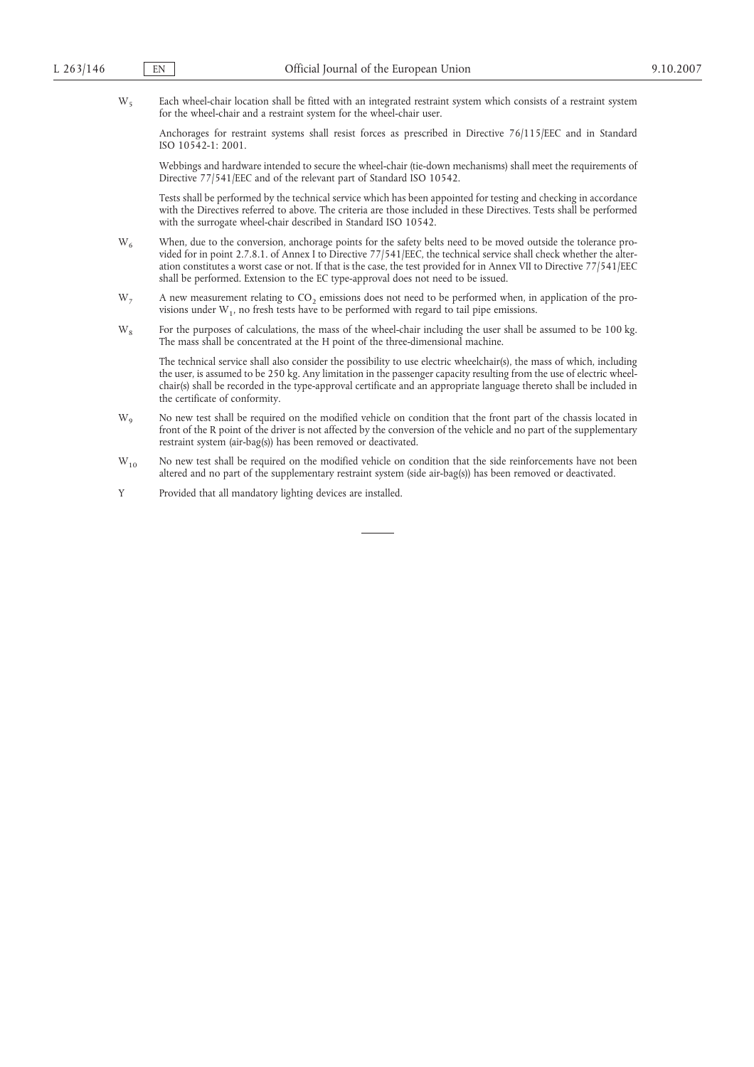W<sub>5</sub> Each wheel-chair location shall be fitted with an integrated restraint system which consists of a restraint system for the wheel-chair and a restraint system for the wheel-chair user.

Anchorages for restraint systems shall resist forces as prescribed in Directive 76/115/EEC and in Standard ISO 10542-1: 2001.

Webbings and hardware intended to secure the wheel-chair (tie-down mechanisms) shall meet the requirements of Directive 77/541/EEC and of the relevant part of Standard ISO 10542.

Tests shall be performed by the technical service which has been appointed for testing and checking in accordance with the Directives referred to above. The criteria are those included in these Directives. Tests shall be performed with the surrogate wheel-chair described in Standard ISO 10542.

- W<sub>6</sub> When, due to the conversion, anchorage points for the safety belts need to be moved outside the tolerance provided for in point 2.7.8.1. of Annex I to Directive 77/541/EEC, the technical service shall check whether the alteration constitutes a worst case or not. If that is the case, the test provided for in Annex VII to Directive 77/541/EEC shall be performed. Extension to the EC type-approval does not need to be issued.
- $W<sub>7</sub>$  A new measurement relating to CO<sub>2</sub> emissions does not need to be performed when, in application of the provisions under  $W_1$ , no fresh tests have to be performed with regard to tail pipe emissions.
- W<sub>8</sub> For the purposes of calculations, the mass of the wheel-chair including the user shall be assumed to be 100 kg. The mass shall be concentrated at the H point of the three-dimensional machine.

The technical service shall also consider the possibility to use electric wheelchair(s), the mass of which, including the user, is assumed to be 250 kg. Any limitation in the passenger capacity resulting from the use of electric wheelchair(s) shall be recorded in the type-approval certificate and an appropriate language thereto shall be included in the certificate of conformity.

- W<sub>9</sub> No new test shall be required on the modified vehicle on condition that the front part of the chassis located in front of the R point of the driver is not affected by the conversion of the vehicle and no part of the supplementary restraint system (air-bag(s)) has been removed or deactivated.
- W<sub>10</sub> No new test shall be required on the modified vehicle on condition that the side reinforcements have not been altered and no part of the supplementary restraint system (side air-bag(s)) has been removed or deactivated.
- Y Provided that all mandatory lighting devices are installed.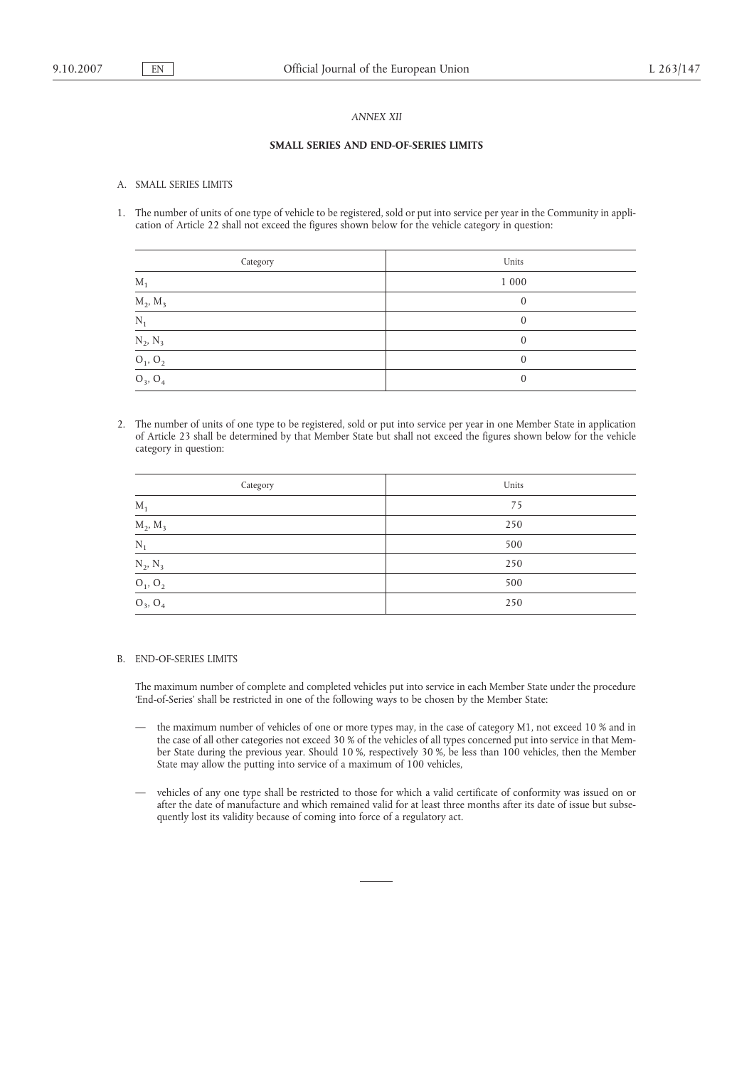### *ANNEX XII*

#### **SMALL SERIES AND END-OF-SERIES LIMITS**

#### A. SMALL SERIES LIMITS

1. The number of units of one type of vehicle to be registered, sold or put into service per year in the Community in application of Article 22 shall not exceed the figures shown below for the vehicle category in question:

| Category                                                                   | Units    |
|----------------------------------------------------------------------------|----------|
| $M_1$                                                                      | 1 000    |
| $\underline{M}_2$ , $\underline{M}_3$                                      |          |
| $N_1$                                                                      |          |
|                                                                            |          |
| $\frac{{\rm N}_2, {\rm N}_3}{\rm O_1, \, \rm O_2}$ ${\rm O}_3, \, \rm O_4$ | $\Omega$ |
|                                                                            |          |

2. The number of units of one type to be registered, sold or put into service per year in one Member State in application of Article 23 shall be determined by that Member State but shall not exceed the figures shown below for the vehicle category in question:

| Category                    | Units |
|-----------------------------|-------|
| $M_1$                       | 75    |
| $\underline{M_2, M_3}$      | 250   |
| $N_1$                       | 500   |
|                             | 250   |
| $\frac{N_2, N_3}{O_1, O_2}$ | 500   |
| $O_3$ , $O_4$               | 250   |

### B. END-OF-SERIES LIMITS

The maximum number of complete and completed vehicles put into service in each Member State under the procedure 'End-of-Series' shall be restricted in one of the following ways to be chosen by the Member State:

- the maximum number of vehicles of one or more types may, in the case of category M1, not exceed 10 % and in the case of all other categories not exceed 30 % of the vehicles of all types concerned put into service in that Member State during the previous year. Should 10 %, respectively 30 %, be less than 100 vehicles, then the Member State may allow the putting into service of a maximum of 100 vehicles,
- vehicles of any one type shall be restricted to those for which a valid certificate of conformity was issued on or after the date of manufacture and which remained valid for at least three months after its date of issue but subsequently lost its validity because of coming into force of a regulatory act.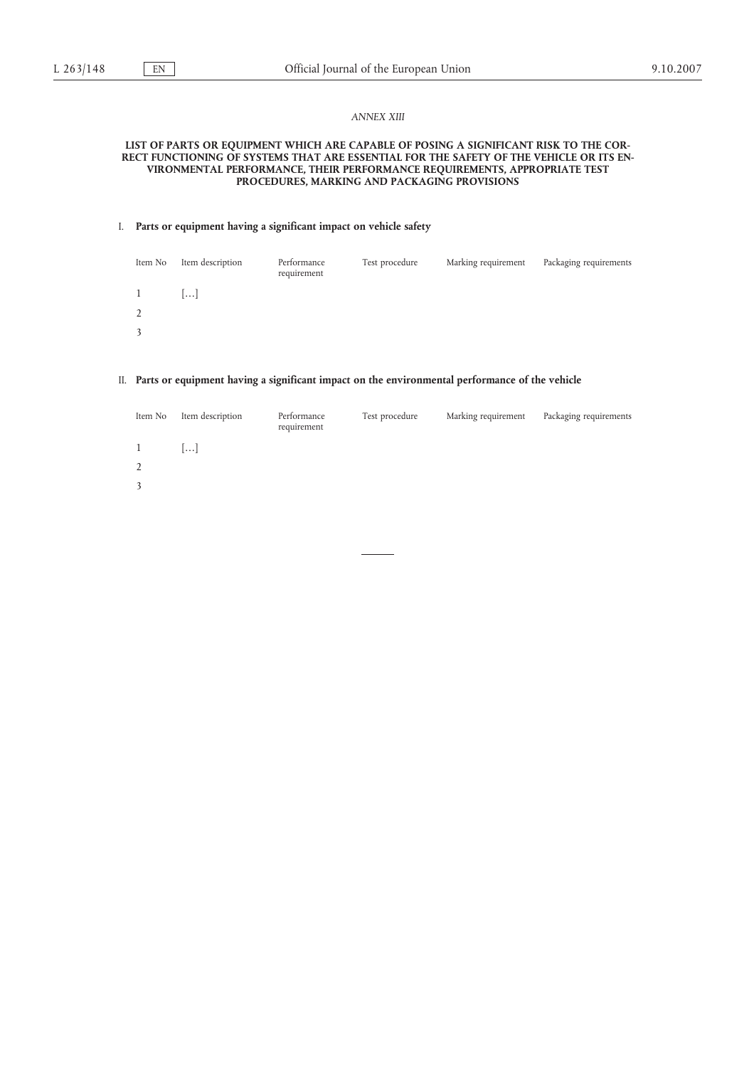### *ANNEX XIII*

### **LIST OF PARTS OR EQUIPMENT WHICH ARE CAPABLE OF POSING A SIGNIFICANT RISK TO THE COR-RECT FUNCTIONING OF SYSTEMS THAT ARE ESSENTIAL FOR THE SAFETY OF THE VEHICLE OR ITS EN-VIRONMENTAL PERFORMANCE, THEIR PERFORMANCE REQUIREMENTS, APPROPRIATE TEST PROCEDURES, MARKING AND PACKAGING PROVISIONS**

### I. **Parts or equipment having a significant impact on vehicle safety**

| Item No        | Item description | Performance<br>requirement | Test procedure | Marking requirement | Packaging requirements |
|----------------|------------------|----------------------------|----------------|---------------------|------------------------|
| $\mathbf{1}$   | ا…ا              |                            |                |                     |                        |
| $\overline{2}$ |                  |                            |                |                     |                        |
| 3              |                  |                            |                |                     |                        |

# II. **Parts or equipment having a significant impact on the environmental performance of the vehicle**

| Item No      | Item description | Performance<br>requirement | Test procedure | Marking requirement | Packaging requirements |
|--------------|------------------|----------------------------|----------------|---------------------|------------------------|
| $\mathbf{1}$ | $\ldots$         |                            |                |                     |                        |
| 2            |                  |                            |                |                     |                        |
| 3            |                  |                            |                |                     |                        |
|              |                  |                            |                |                     |                        |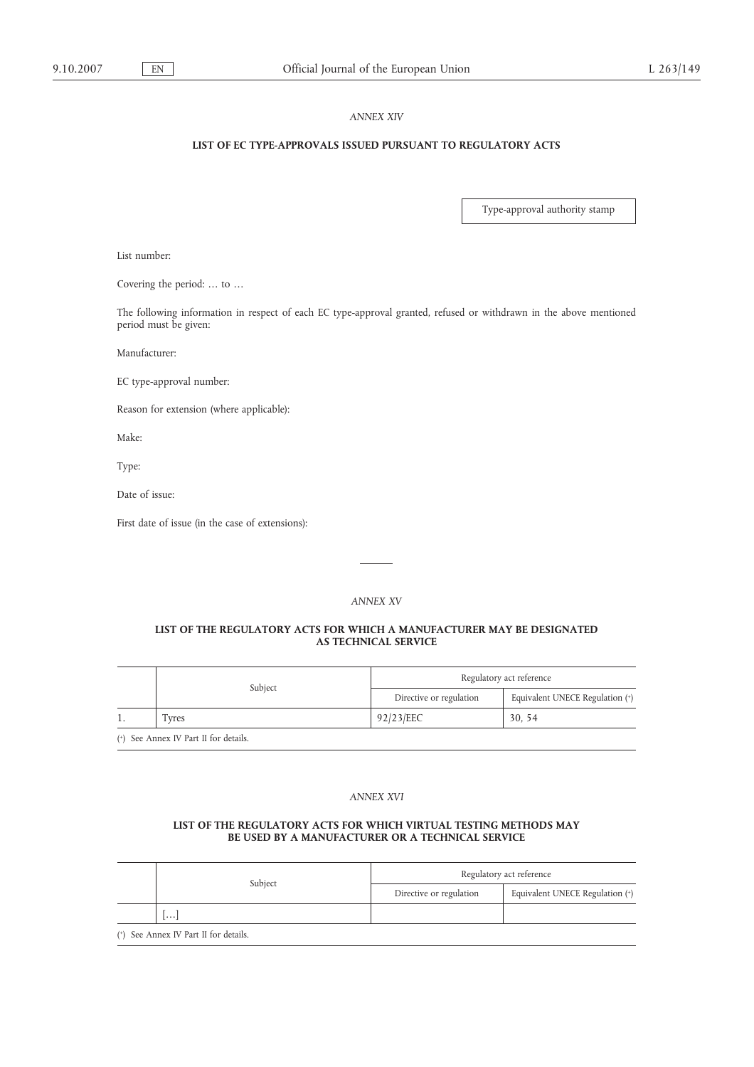### *ANNEX XIV*

## **LIST OF EC TYPE-APPROVALS ISSUED PURSUANT TO REGULATORY ACTS**

Type-approval authority stamp

List number:

Covering the period: … to …

The following information in respect of each EC type-approval granted, refused or withdrawn in the above mentioned period must be given:

Manufacturer:

EC type-approval number:

Reason for extension (where applicable):

Make:

Type:

Date of issue:

First date of issue (in the case of extensions):

### *ANNEX XV*

### **LIST OF THE REGULATORY ACTS FOR WHICH A MANUFACTURER MAY BE DESIGNATED AS TECHNICAL SERVICE**

|                                       | Subject | Regulatory act reference |                                 |  |
|---------------------------------------|---------|--------------------------|---------------------------------|--|
|                                       |         | Directive or regulation  | Equivalent UNECE Regulation (+) |  |
| -1.                                   | Fvres   | 92/23/EEC                | 30, 54                          |  |
| (*) See Annex IV Part II for details. |         |                          |                                 |  |

### *ANNEX XVI*

### **LIST OF THE REGULATORY ACTS FOR WHICH VIRTUAL TESTING METHODS MAY BE USED BY A MANUFACTURER OR A TECHNICAL SERVICE**

|                                       | Regulatory act reference |                                 |  |
|---------------------------------------|--------------------------|---------------------------------|--|
| Subject                               | Directive or regulation  | Equivalent UNECE Regulation (+) |  |
| $  \cdots  $                          |                          |                                 |  |
| (*) See Annex IV Part II for details. |                          |                                 |  |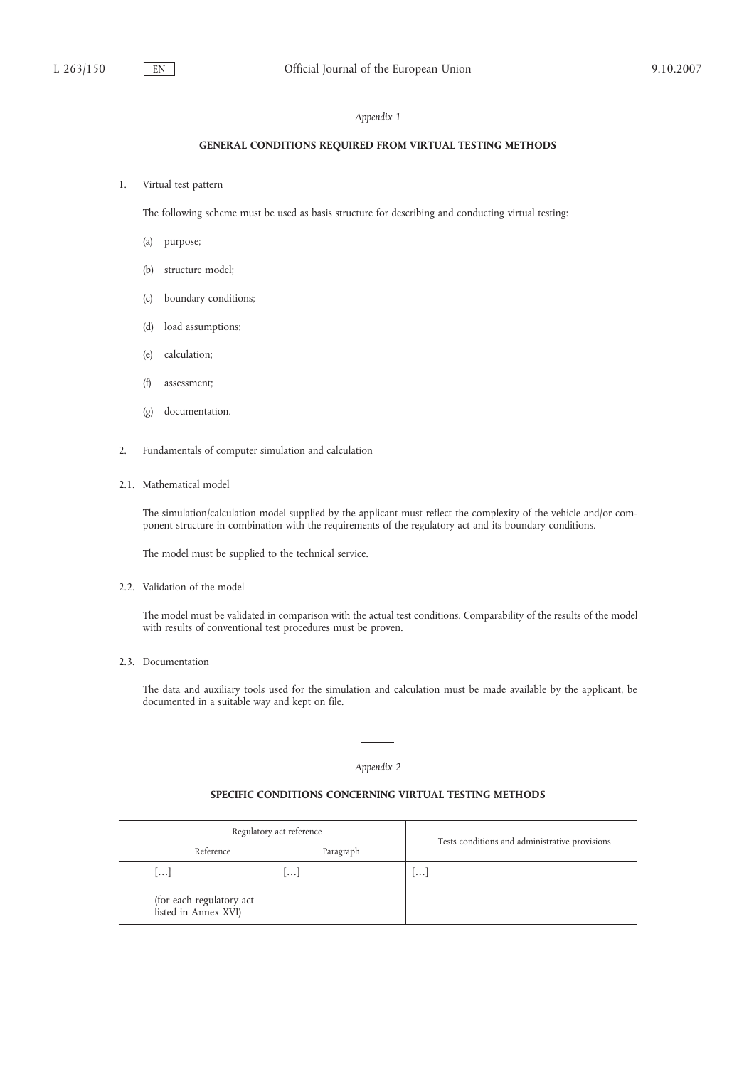### *Appendix 1*

# **GENERAL CONDITIONS REQUIRED FROM VIRTUAL TESTING METHODS**

1. Virtual test pattern

The following scheme must be used as basis structure for describing and conducting virtual testing:

- (a) purpose;
- (b) structure model;
- (c) boundary conditions;
- (d) load assumptions;
- (e) calculation;
- (f) assessment;
- (g) documentation.
- 2. Fundamentals of computer simulation and calculation
- 2.1. Mathematical model

The simulation/calculation model supplied by the applicant must reflect the complexity of the vehicle and/or component structure in combination with the requirements of the regulatory act and its boundary conditions.

The model must be supplied to the technical service.

2.2. Validation of the model

The model must be validated in comparison with the actual test conditions. Comparability of the results of the model with results of conventional test procedures must be proven.

2.3. Documentation

The data and auxiliary tools used for the simulation and calculation must be made available by the applicant, be documented in a suitable way and kept on file.

#### *Appendix 2*

### **SPECIFIC CONDITIONS CONCERNING VIRTUAL TESTING METHODS**

| Regulatory act reference                                       |           | Tests conditions and administrative provisions |  |
|----------------------------------------------------------------|-----------|------------------------------------------------|--|
| Reference                                                      | Paragraph |                                                |  |
| $1 \cdots$<br>(for each regulatory act<br>listed in Annex XVI) | <b></b>   | $\cdots$                                       |  |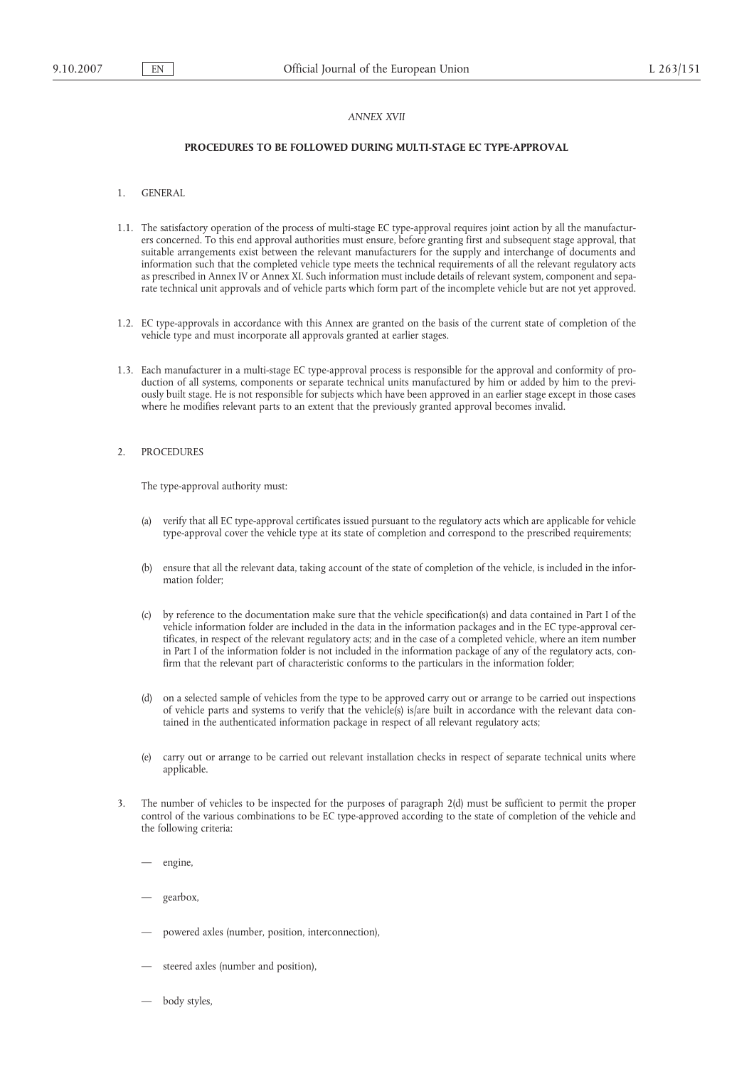### *ANNEX XVII*

# **PROCEDURES TO BE FOLLOWED DURING MULTI-STAGE EC TYPE-APPROVAL**

- 1. GENERAL
- 1.1. The satisfactory operation of the process of multi-stage EC type-approval requires joint action by all the manufacturers concerned. To this end approval authorities must ensure, before granting first and subsequent stage approval, that suitable arrangements exist between the relevant manufacturers for the supply and interchange of documents and information such that the completed vehicle type meets the technical requirements of all the relevant regulatory acts as prescribed in Annex IV or Annex XI. Such information must include details of relevant system, component and separate technical unit approvals and of vehicle parts which form part of the incomplete vehicle but are not yet approved.
- 1.2. EC type-approvals in accordance with this Annex are granted on the basis of the current state of completion of the vehicle type and must incorporate all approvals granted at earlier stages.
- 1.3. Each manufacturer in a multi-stage EC type-approval process is responsible for the approval and conformity of production of all systems, components or separate technical units manufactured by him or added by him to the previously built stage. He is not responsible for subjects which have been approved in an earlier stage except in those cases where he modifies relevant parts to an extent that the previously granted approval becomes invalid.

#### 2. PROCEDURES

The type-approval authority must:

- (a) verify that all EC type-approval certificates issued pursuant to the regulatory acts which are applicable for vehicle type-approval cover the vehicle type at its state of completion and correspond to the prescribed requirements;
- (b) ensure that all the relevant data, taking account of the state of completion of the vehicle, is included in the information folder;
- (c) by reference to the documentation make sure that the vehicle specification(s) and data contained in Part I of the vehicle information folder are included in the data in the information packages and in the EC type-approval certificates, in respect of the relevant regulatory acts; and in the case of a completed vehicle, where an item number in Part I of the information folder is not included in the information package of any of the regulatory acts, confirm that the relevant part of characteristic conforms to the particulars in the information folder;
- (d) on a selected sample of vehicles from the type to be approved carry out or arrange to be carried out inspections of vehicle parts and systems to verify that the vehicle(s) is/are built in accordance with the relevant data contained in the authenticated information package in respect of all relevant regulatory acts;
- (e) carry out or arrange to be carried out relevant installation checks in respect of separate technical units where applicable.
- 3. The number of vehicles to be inspected for the purposes of paragraph 2(d) must be sufficient to permit the proper control of the various combinations to be EC type-approved according to the state of completion of the vehicle and the following criteria:
	- engine,
	- gearbox,
	- powered axles (number, position, interconnection),
	- steered axles (number and position),
	- body styles,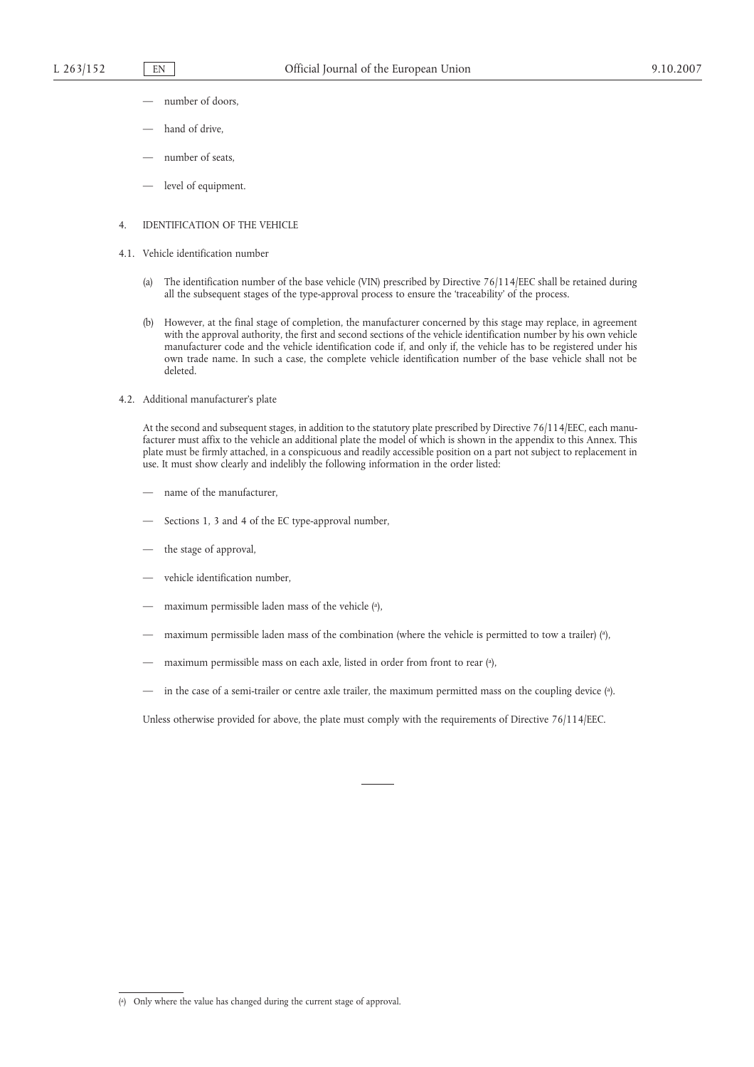- number of doors,
- hand of drive.
- number of seats,
- level of equipment.

### 4. IDENTIFICATION OF THE VEHICLE

- 4.1. Vehicle identification number
	- (a) The identification number of the base vehicle (VIN) prescribed by Directive 76/114/EEC shall be retained during all the subsequent stages of the type-approval process to ensure the 'traceability' of the process.
	- (b) However, at the final stage of completion, the manufacturer concerned by this stage may replace, in agreement with the approval authority, the first and second sections of the vehicle identification number by his own vehicle manufacturer code and the vehicle identification code if, and only if, the vehicle has to be registered under his own trade name. In such a case, the complete vehicle identification number of the base vehicle shall not be deleted.
- 4.2. Additional manufacturer's plate

At the second and subsequent stages, in addition to the statutory plate prescribed by Directive 76/114/EEC, each manufacturer must affix to the vehicle an additional plate the model of which is shown in the appendix to this Annex. This plate must be firmly attached, in a conspicuous and readily accessible position on a part not subject to replacement in use. It must show clearly and indelibly the following information in the order listed:

- name of the manufacturer,
- Sections 1, 3 and 4 of the EC type-approval number,
- the stage of approval,
- vehicle identification number.
- maximum permissible laden mass of the vehicle (a ),
- maximum permissible laden mass of the combination (where the vehicle is permitted to tow a trailer) (a),
- maximum permissible mass on each axle, listed in order from front to rear (a ),
- in the case of a semi-trailer or centre axle trailer, the maximum permitted mass on the coupling device (a ).

Unless otherwise provided for above, the plate must comply with the requirements of Directive 76/114/EEC.

<sup>(</sup> a ) Only where the value has changed during the current stage of approval.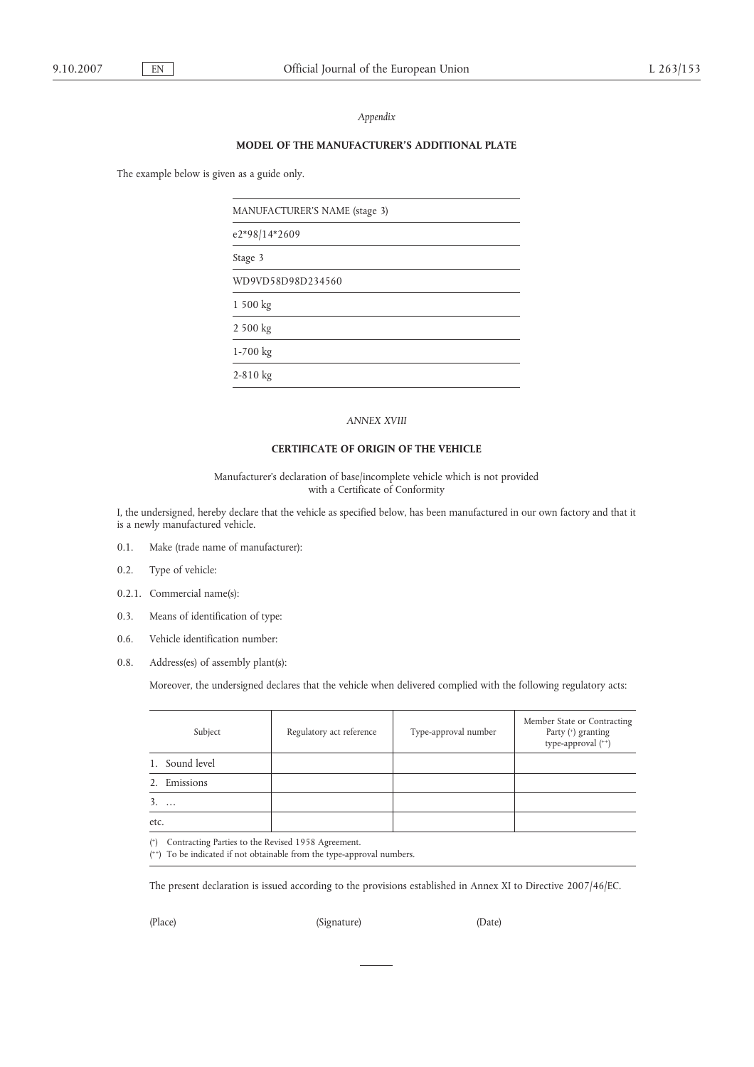### *Appendix*

### **MODEL OF THE MANUFACTURER'S ADDITIONAL PLATE**

The example below is given as a guide only.

| MANUFACTURER'S NAME (stage 3) |  |
|-------------------------------|--|
| e2*98/14*2609                 |  |
| Stage 3                       |  |
| WD9VD58D98D234560             |  |
| 1 500 kg                      |  |
| 2 500 kg                      |  |
| 1-700 kg                      |  |
| $2 - 810$ kg                  |  |

### *ANNEX XVIII*

#### **CERTIFICATE OF ORIGIN OF THE VEHICLE**

Manufacturer's declaration of base/incomplete vehicle which is not provided with a Certificate of Conformity

I, the undersigned, hereby declare that the vehicle as specified below, has been manufactured in our own factory and that it is a newly manufactured vehicle.

- 0.1. Make (trade name of manufacturer):
- 0.2. Type of vehicle:
- 0.2.1. Commercial name(s):
- 0.3. Means of identification of type:
- 0.6. Vehicle identification number:
- 0.8. Address(es) of assembly plant(s):

Moreover, the undersigned declares that the vehicle when delivered complied with the following regulatory acts:

|                | Subject | Regulatory act reference | Type-approval number | Member State or Contracting<br>Party (*) granting<br>type-approval (++) |
|----------------|---------|--------------------------|----------------------|-------------------------------------------------------------------------|
| 1. Sound level |         |                          |                      |                                                                         |
| 2. Emissions   |         |                          |                      |                                                                         |
| $3. \ldots$    |         |                          |                      |                                                                         |
| etc.           |         |                          |                      |                                                                         |

( +) Contracting Parties to the Revised 1958 Agreement.

( ++) To be indicated if not obtainable from the type-approval numbers.

The present declaration is issued according to the provisions established in Annex XI to Directive 2007/46/EC.

(Place) (Signature) (Date)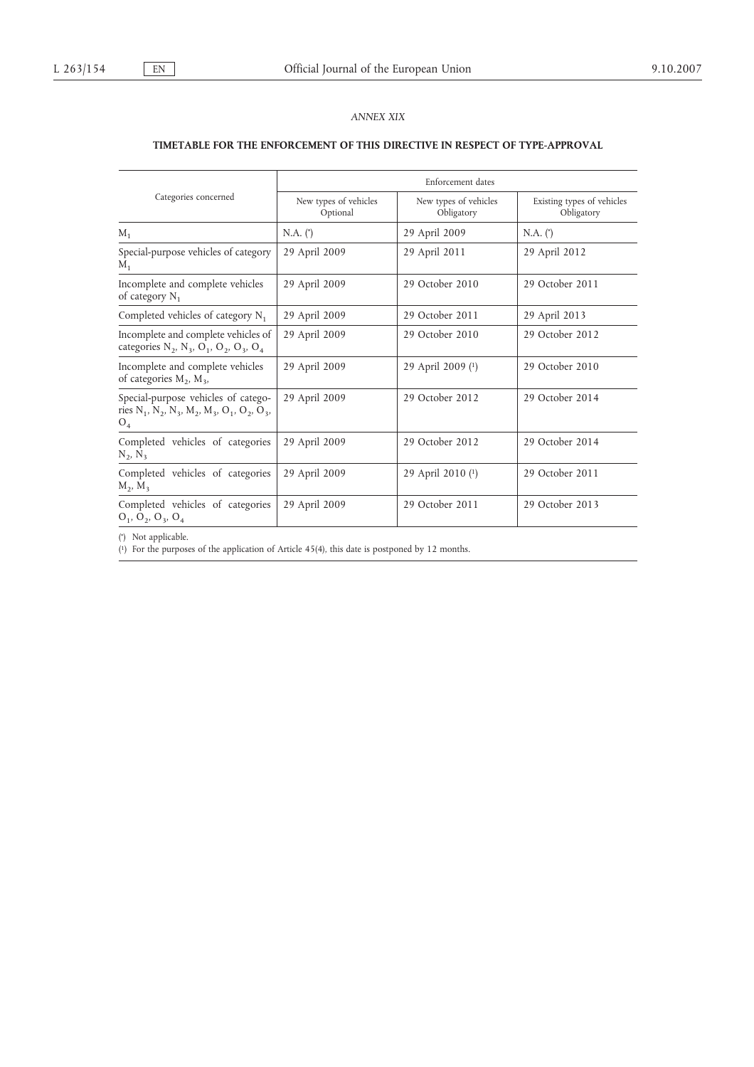# *ANNEX XIX*

# **TIMETABLE FOR THE ENFORCEMENT OF THIS DIRECTIVE IN RESPECT OF TYPE-APPROVAL**

|                                                                                                                                                                                                       | Enforcement dates                 |                                     |                                          |  |  |
|-------------------------------------------------------------------------------------------------------------------------------------------------------------------------------------------------------|-----------------------------------|-------------------------------------|------------------------------------------|--|--|
| Categories concerned                                                                                                                                                                                  | New types of vehicles<br>Optional | New types of vehicles<br>Obligatory | Existing types of vehicles<br>Obligatory |  |  |
| $M_1$                                                                                                                                                                                                 | $N.A.$ $(*)$                      | 29 April 2009                       | $N.A.$ $(*)$                             |  |  |
| Special-purpose vehicles of category<br>$M_1$                                                                                                                                                         | 29 April 2009                     | 29 April 2011                       | 29 April 2012                            |  |  |
| Incomplete and complete vehicles<br>of category $N_1$                                                                                                                                                 | 29 April 2009                     | 29 October 2010                     | 29 October 2011                          |  |  |
| Completed vehicles of category $N_1$                                                                                                                                                                  | 29 April 2009                     | 29 October 2011                     | 29 April 2013                            |  |  |
| Incomplete and complete vehicles of<br>categories $N_2$ , $N_3$ , $O_1$ , $O_2$ , $O_3$ , $O_4$                                                                                                       | 29 April 2009                     | 29 October 2010                     | 29 October 2012                          |  |  |
| Incomplete and complete vehicles<br>of categories $M_2$ , $M_3$ ,                                                                                                                                     | 29 April 2009                     | 29 April 2009 (1)                   | 29 October 2010                          |  |  |
| Special-purpose vehicles of catego-<br>ries N <sub>1</sub> , N <sub>2</sub> , N <sub>3</sub> , M <sub>2</sub> , M <sub>3</sub> , O <sub>1</sub> , O <sub>2</sub> , O <sub>3</sub> ,<br>O <sub>4</sub> | 29 April 2009                     | 29 October 2012                     | 29 October 2014                          |  |  |
| Completed vehicles of categories<br>$N_2, N_3$                                                                                                                                                        | 29 April 2009                     | 29 October 2012                     | 29 October 2014                          |  |  |
| Completed vehicles of categories<br>$M_2$ , $M_3$                                                                                                                                                     | 29 April 2009                     | 29 April 2010 (1)                   | 29 October 2011                          |  |  |
| Completed vehicles of categories<br>$O_1$ , $O_2$ , $O_3$ , $O_4$                                                                                                                                     | 29 April 2009                     | 29 October 2011                     | 29 October 2013                          |  |  |

( \* ) Not applicable.

( 1) For the purposes of the application of Article 45(4), this date is postponed by 12 months.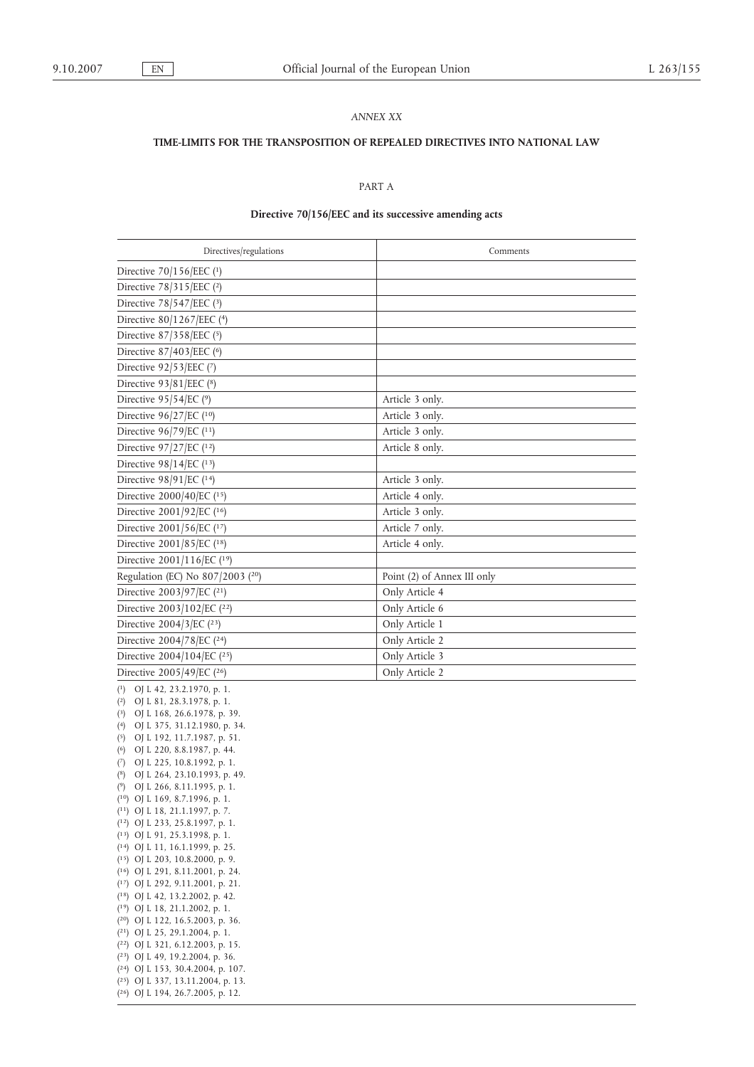### *ANNEX XX*

#### **TIME-LIMITS FOR THE TRANSPOSITION OF REPEALED DIRECTIVES INTO NATIONAL LAW**

# PART A

# **Directive 70/156/EEC and its successive amending acts**

| Directives/regulations                  | Comments                    |
|-----------------------------------------|-----------------------------|
| Directive 70/156/EEC (1)                |                             |
| Directive 78/315/EEC (2)                |                             |
| Directive $78/547/EEC$ (3)              |                             |
| Directive 80/1267/EEC (4)               |                             |
| Directive 87/358/EEC (5)                |                             |
| Directive 87/403/EEC (6)                |                             |
| Directive $92/53/EEC$ (7)               |                             |
| Directive 93/81/EEC (8)                 |                             |
| Directive 95/54/EC (9)                  | Article 3 only.             |
| Directive $96/27/EC$ ( <sup>10</sup> )  | Article 3 only.             |
| Directive 96/79/EC (11)                 | Article 3 only.             |
| Directive 97/27/EC (12)                 | Article 8 only.             |
| Directive $98/14/EC$ (13)               |                             |
| Directive 98/91/EC (14)                 | Article 3 only.             |
| Directive 2000/40/EC (15)               | Article 4 only.             |
| Directive 2001/92/EC (16)               | Article 3 only.             |
| Directive 2001/56/EC (17)               | Article 7 only.             |
| Directive 2001/85/EC (18)               | Article 4 only.             |
| Directive 2001/116/EC (19)              |                             |
| Regulation (EC) No 807/2003 (20)        | Point (2) of Annex III only |
| Directive 2003/97/EC (21)               | Only Article 4              |
| Directive 2003/102/EC (22)              | Only Article 6              |
| Directive $2004/3/EC$ ( <sup>23</sup> ) | Only Article 1              |
| Directive 2004/78/EC (24)               | Only Article 2              |
| Directive 2004/104/EC (25)              | Only Article 3              |
| Directive 2005/49/EC (26)               | Only Article 2              |
| $(1)$ OJ L 42, 23.2.1970, p. 1.         |                             |

( 2) OJ L 81, 28.3.1978, p. 1. ( 3) OJ L 168, 26.6.1978, p. 39. ( 4) OJ L 375, 31.12.1980, p. 34. ( 5) OJ L 192, 11.7.1987, p. 51. ( 6) OJ L 220, 8.8.1987, p. 44. ( 7) OJ L 225, 10.8.1992, p. 1. ( 8) OJ L 264, 23.10.1993, p. 49. ( 9) OJ L 266, 8.11.1995, p. 1. ( 10) OJ L 169, 8.7.1996, p. 1. ( 11) OJ L 18, 21.1.1997, p. 7. ( 12) OJ L 233, 25.8.1997, p. 1. ( 13) OJ L 91, 25.3.1998, p. 1. ( 14) OJ L 11, 16.1.1999, p. 25. ( 15) OJ L 203, 10.8.2000, p. 9. ( 16) OJ L 291, 8.11.2001, p. 24. ( 17) OJ L 292, 9.11.2001, p. 21. ( 18) OJ L 42, 13.2.2002, p. 42. ( 19) OJ L 18, 21.1.2002, p. 1. ( 20) OJ L 122, 16.5.2003, p. 36. ( 21) OJ L 25, 29.1.2004, p. 1. ( 22) OJ L 321, 6.12.2003, p. 15. ( 23) OJ L 49, 19.2.2004, p. 36. ( 24) OJ L 153, 30.4.2004, p. 107. ( 25) OJ L 337, 13.11.2004, p. 13.

( 26) OJ L 194, 26.7.2005, p. 12.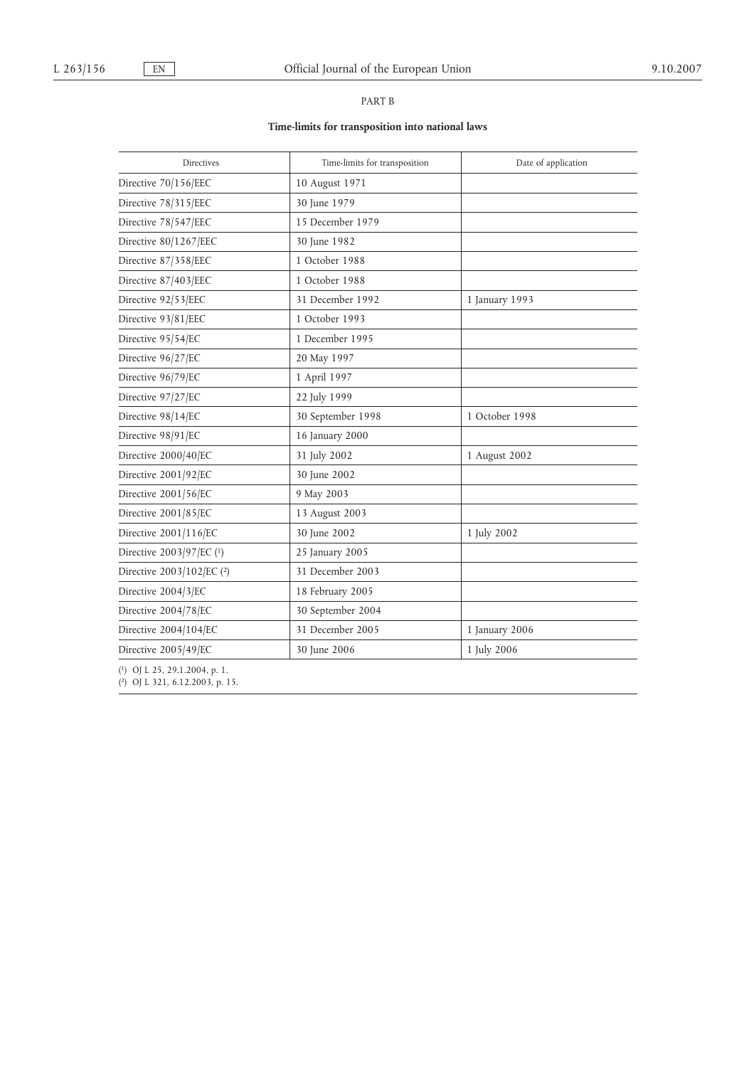# PART B

# **Time-limits for transposition into national laws**

| Directives                | Time-limits for transposition | Date of application |
|---------------------------|-------------------------------|---------------------|
| Directive 70/156/EEC      | 10 August 1971                |                     |
| Directive 78/315/EEC      | 30 June 1979                  |                     |
| Directive 78/547/EEC      | 15 December 1979              |                     |
| Directive 80/1267/EEC     | 30 June 1982                  |                     |
| Directive 87/358/EEC      | 1 October 1988                |                     |
| Directive 87/403/EEC      | 1 October 1988                |                     |
| Directive 92/53/EEC       | 31 December 1992              | 1 January 1993      |
| Directive 93/81/EEC       | 1 October 1993                |                     |
| Directive 95/54/EC        | 1 December 1995               |                     |
| Directive 96/27/EC        | 20 May 1997                   |                     |
| Directive 96/79/EC        | 1 April 1997                  |                     |
| Directive 97/27/EC        | 22 July 1999                  |                     |
| Directive 98/14/EC        | 30 September 1998             | 1 October 1998      |
| Directive 98/91/EC        | 16 January 2000               |                     |
| Directive 2000/40/EC      | 31 July 2002                  | 1 August 2002       |
| Directive 2001/92/EC      | 30 June 2002                  |                     |
| Directive 2001/56/EC      | 9 May 2003                    |                     |
| Directive 2001/85/EC      | 13 August 2003                |                     |
| Directive 2001/116/EC     | 30 June 2002                  | 1 July 2002         |
| Directive 2003/97/EC (1)  | 25 January 2005               |                     |
| Directive 2003/102/EC (2) | 31 December 2003              |                     |
| Directive 2004/3/EC       | 18 February 2005              |                     |
| Directive 2004/78/EC      | 30 September 2004             |                     |
| Directive 2004/104/EC     | 31 December 2005              | 1 January 2006      |
| Directive 2005/49/EC      | 30 June 2006                  | 1 July 2006         |

( 1) OJ L 25, 29.1.2004, p. 1.

( 2) OJ L 321, 6.12.2003, p. 15.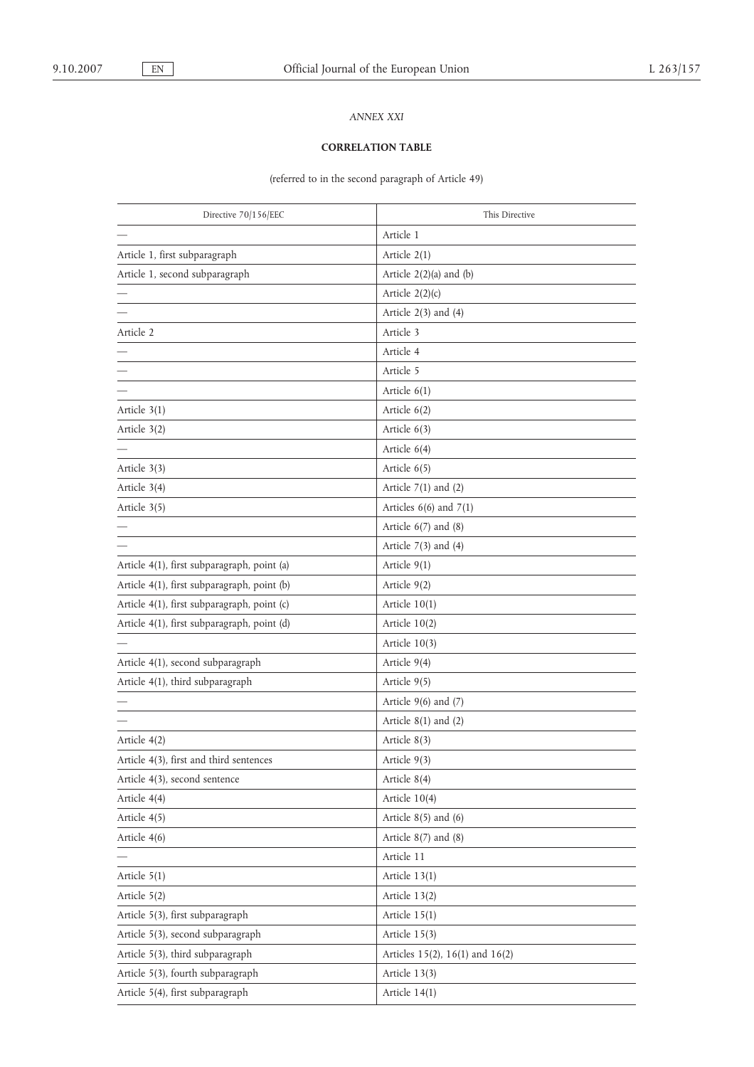# *ANNEX XXI*

# **CORRELATION TABLE**

(referred to in the second paragraph of Article 49)

| Directive 70/156/EEC                        | This Directive                  |
|---------------------------------------------|---------------------------------|
|                                             | Article 1                       |
| Article 1, first subparagraph               | Article $2(1)$                  |
| Article 1, second subparagraph              | Article $2(2)(a)$ and $(b)$     |
|                                             | Article $2(2)(c)$               |
|                                             | Article $2(3)$ and $(4)$        |
| Article 2                                   | Article 3                       |
|                                             | Article 4                       |
|                                             | Article 5                       |
|                                             | Article $6(1)$                  |
| Article $3(1)$                              | Article 6(2)                    |
| Article 3(2)                                | Article 6(3)                    |
|                                             | Article $6(4)$                  |
| Article 3(3)                                | Article $6(5)$                  |
| Article 3(4)                                | Article $7(1)$ and $(2)$        |
| Article 3(5)                                | Articles $6(6)$ and $7(1)$      |
|                                             | Article $6(7)$ and $(8)$        |
|                                             | Article $7(3)$ and $(4)$        |
| Article 4(1), first subparagraph, point (a) | Article $9(1)$                  |
| Article 4(1), first subparagraph, point (b) | Article $9(2)$                  |
| Article 4(1), first subparagraph, point (c) | Article 10(1)                   |
| Article 4(1), first subparagraph, point (d) | Article 10(2)                   |
|                                             | Article 10(3)                   |
| Article 4(1), second subparagraph           | Article 9(4)                    |
| Article 4(1), third subparagraph            | Article 9(5)                    |
|                                             | Article $9(6)$ and $(7)$        |
|                                             | Article $8(1)$ and $(2)$        |
| Article 4(2)                                | Article $8(3)$                  |
| Article 4(3), first and third sentences     | Article 9(3)                    |
| Article 4(3), second sentence               | Article 8(4)                    |
| Article 4(4)                                | Article $10(4)$                 |
| Article 4(5)                                | Article $8(5)$ and $(6)$        |
| Article 4(6)                                | Article $8(7)$ and $(8)$        |
|                                             | Article 11                      |
| Article $5(1)$                              | Article 13(1)                   |
| Article 5(2)                                | Article 13(2)                   |
| Article 5(3), first subparagraph            | Article 15(1)                   |
| Article 5(3), second subparagraph           | Article 15(3)                   |
| Article 5(3), third subparagraph            | Articles 15(2), 16(1) and 16(2) |
| Article 5(3), fourth subparagraph           | Article 13(3)                   |
| Article 5(4), first subparagraph            | Article $14(1)$                 |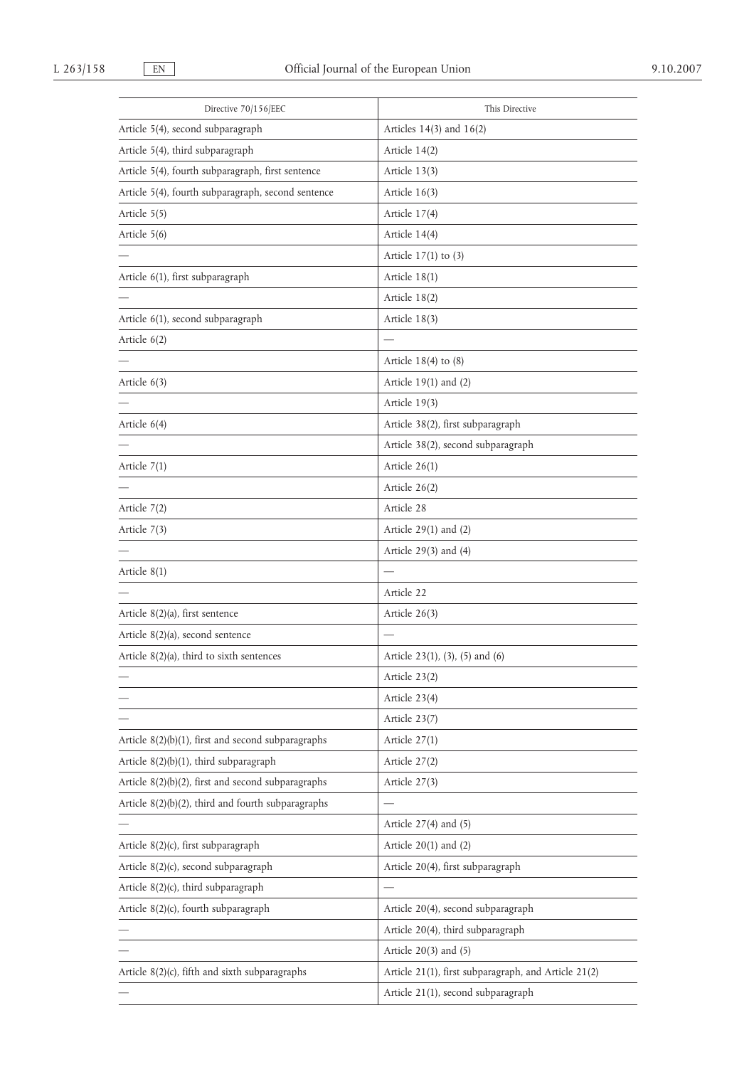| Directive 70/156/EEC                                  | This Directive                                       |
|-------------------------------------------------------|------------------------------------------------------|
| Article 5(4), second subparagraph                     | Articles $14(3)$ and $16(2)$                         |
| Article 5(4), third subparagraph                      | Article 14(2)                                        |
| Article 5(4), fourth subparagraph, first sentence     | Article 13(3)                                        |
| Article 5(4), fourth subparagraph, second sentence    | Article 16(3)                                        |
| Article 5(5)                                          | Article 17(4)                                        |
| Article 5(6)                                          | Article 14(4)                                        |
|                                                       | Article $17(1)$ to $(3)$                             |
| Article 6(1), first subparagraph                      | Article $18(1)$                                      |
|                                                       | Article 18(2)                                        |
| Article 6(1), second subparagraph                     | Article 18(3)                                        |
| Article 6(2)                                          |                                                      |
|                                                       | Article $18(4)$ to $(8)$                             |
| Article $6(3)$                                        | Article $19(1)$ and $(2)$                            |
|                                                       | Article 19(3)                                        |
| Article $6(4)$                                        | Article 38(2), first subparagraph                    |
|                                                       | Article 38(2), second subparagraph                   |
| Article $7(1)$                                        | Article 26(1)                                        |
|                                                       | Article 26(2)                                        |
| Article $7(2)$                                        | Article 28                                           |
| Article $7(3)$                                        | Article $29(1)$ and $(2)$                            |
|                                                       | Article $29(3)$ and $(4)$                            |
| Article 8(1)                                          |                                                      |
|                                                       | Article 22                                           |
| Article 8(2)(a), first sentence                       | Article 26(3)                                        |
| Article 8(2)(a), second sentence                      |                                                      |
| Article $8(2)(a)$ , third to sixth sentences          | Article 23(1), (3), (5) and (6)                      |
|                                                       | Article 23(2)                                        |
|                                                       | Article 23(4)                                        |
|                                                       | Article 23(7)                                        |
| Article $8(2)(b)(1)$ , first and second subparagraphs | Article $27(1)$                                      |
| Article 8(2)(b)(1), third subparagraph                | Article 27(2)                                        |
| Article $8(2)(b)(2)$ , first and second subparagraphs | Article 27(3)                                        |
| Article 8(2)(b)(2), third and fourth subparagraphs    |                                                      |
|                                                       | Article $27(4)$ and $(5)$                            |
| Article 8(2)(c), first subparagraph                   | Article $20(1)$ and $(2)$                            |
| Article 8(2)(c), second subparagraph                  | Article 20(4), first subparagraph                    |
| Article 8(2)(c), third subparagraph                   |                                                      |
| Article 8(2)(c), fourth subparagraph                  | Article 20(4), second subparagraph                   |
|                                                       | Article 20(4), third subparagraph                    |
|                                                       | Article $20(3)$ and $(5)$                            |
| Article 8(2)(c), fifth and sixth subparagraphs        | Article 21(1), first subparagraph, and Article 21(2) |
|                                                       | Article 21(1), second subparagraph                   |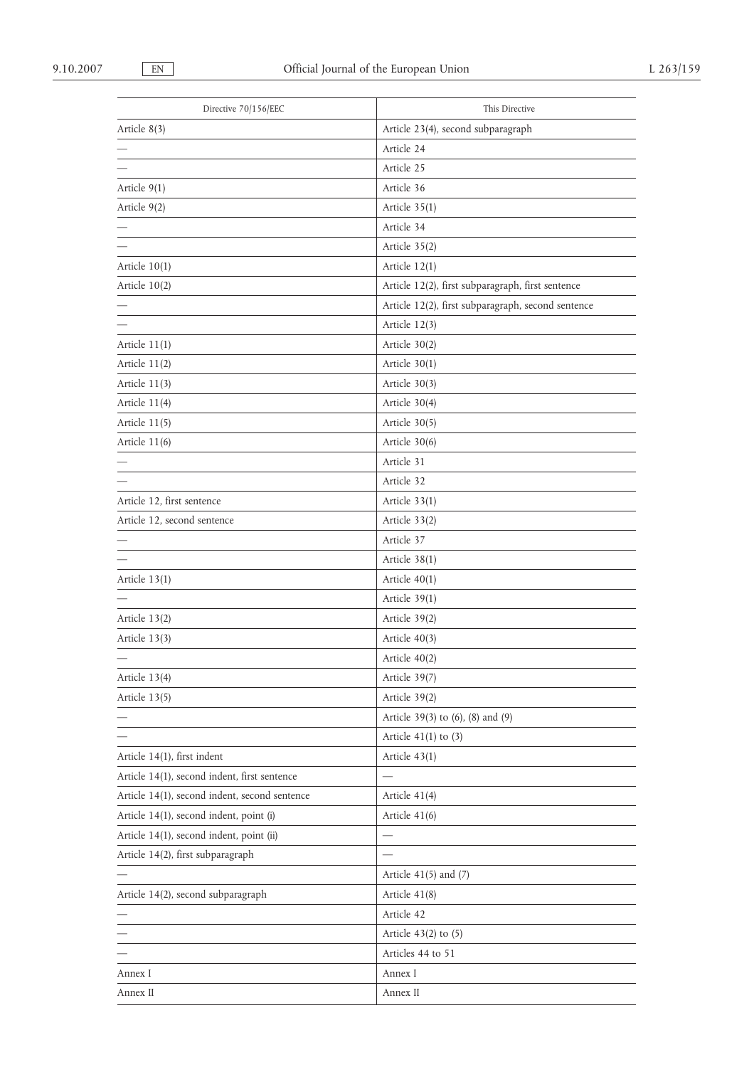| Directive 70/156/EEC                          | This Directive                                     |
|-----------------------------------------------|----------------------------------------------------|
| Article 8(3)                                  | Article 23(4), second subparagraph                 |
|                                               | Article 24                                         |
|                                               | Article 25                                         |
| Article $9(1)$                                | Article 36                                         |
| Article 9(2)                                  | Article $35(1)$                                    |
|                                               | Article 34                                         |
|                                               | Article 35(2)                                      |
| Article $10(1)$                               | Article $12(1)$                                    |
| Article 10(2)                                 | Article 12(2), first subparagraph, first sentence  |
|                                               | Article 12(2), first subparagraph, second sentence |
|                                               | Article 12(3)                                      |
| Article $11(1)$                               | Article $30(2)$                                    |
| Article 11(2)                                 | Article $30(1)$                                    |
| Article 11(3)                                 | Article 30(3)                                      |
| Article 11(4)                                 | Article $30(4)$                                    |
| Article 11(5)                                 | Article 30(5)                                      |
| Article 11(6)                                 | Article 30(6)                                      |
|                                               | Article 31                                         |
|                                               | Article 32                                         |
| Article 12, first sentence                    | Article $33(1)$                                    |
| Article 12, second sentence                   | Article 33(2)                                      |
|                                               | Article 37                                         |
|                                               | Article 38(1)                                      |
| Article 13(1)                                 | Article $40(1)$                                    |
|                                               | Article 39(1)                                      |
| Article 13(2)                                 | Article 39(2)                                      |
| Article 13(3)                                 | Article $40(3)$                                    |
|                                               | Article 40(2)                                      |
| Article 13(4)                                 | Article 39(7)                                      |
| Article 13(5)                                 | Article 39(2)                                      |
|                                               | Article 39(3) to (6), (8) and (9)                  |
|                                               | Article $41(1)$ to $(3)$                           |
| Article 14(1), first indent                   | Article $43(1)$                                    |
| Article 14(1), second indent, first sentence  |                                                    |
| Article 14(1), second indent, second sentence | Article 41(4)                                      |
| Article 14(1), second indent, point (i)       | Article $41(6)$                                    |
| Article 14(1), second indent, point (ii)      |                                                    |
| Article 14(2), first subparagraph             |                                                    |
|                                               | Article $41(5)$ and $(7)$                          |
| Article 14(2), second subparagraph            | Article 41(8)                                      |
|                                               | Article 42                                         |
|                                               | Article $43(2)$ to $(5)$                           |
|                                               | Articles 44 to 51                                  |
| Annex I                                       | Annex I                                            |
| Annex II                                      | Annex II                                           |